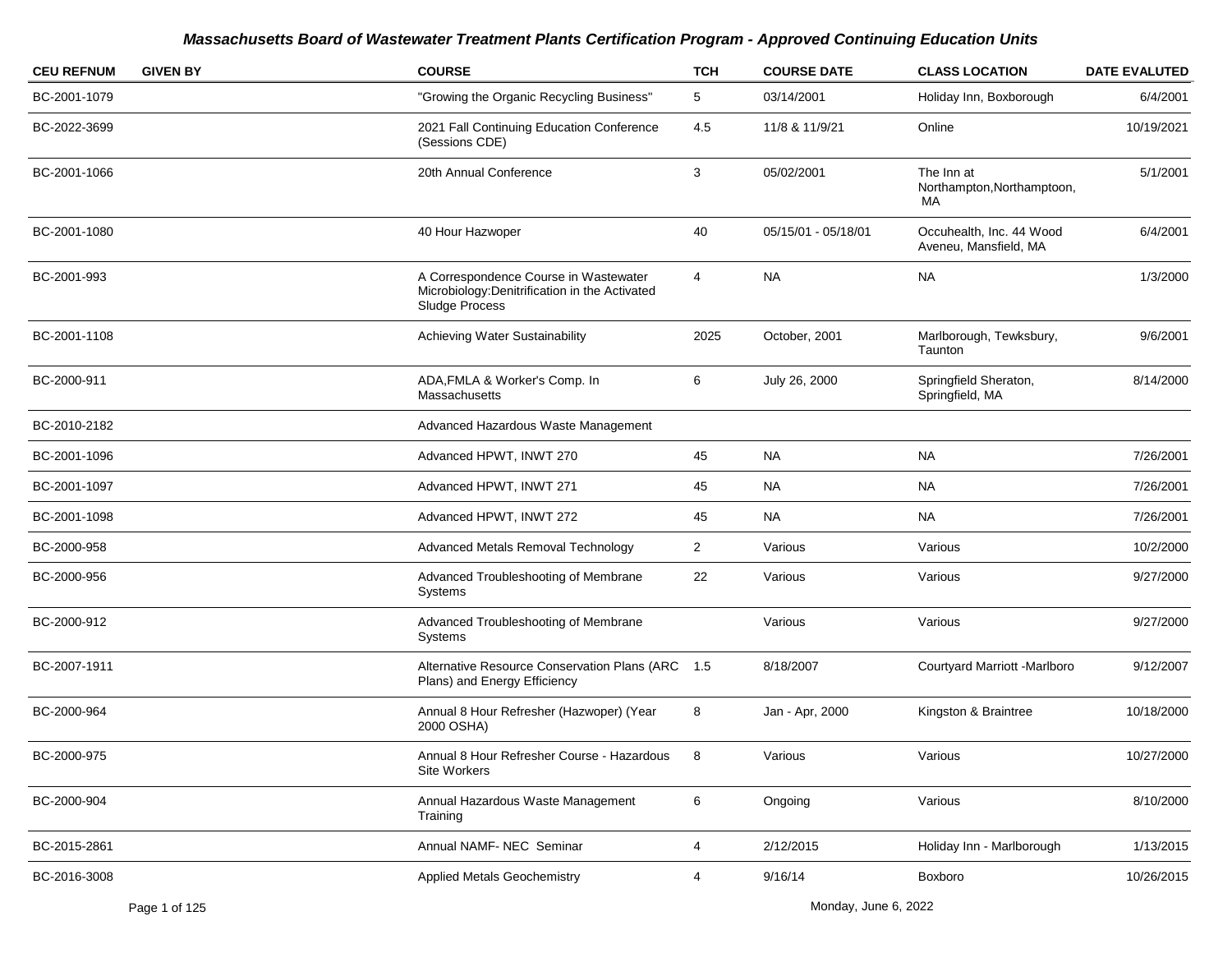| <b>CEU REFNUM</b> | <b>GIVEN BY</b> | <b>COURSE</b>                                                                                             | <b>TCH</b>     | <b>COURSE DATE</b>  | <b>CLASS LOCATION</b>                             | <b>DATE EVALUTED</b> |
|-------------------|-----------------|-----------------------------------------------------------------------------------------------------------|----------------|---------------------|---------------------------------------------------|----------------------|
| BC-2001-1079      |                 | "Growing the Organic Recycling Business"                                                                  | 5              | 03/14/2001          | Holiday Inn, Boxborough                           | 6/4/2001             |
| BC-2022-3699      |                 | 2021 Fall Continuing Education Conference<br>(Sessions CDE)                                               | 4.5            | 11/8 & 11/9/21      | Online                                            | 10/19/2021           |
| BC-2001-1066      |                 | 20th Annual Conference                                                                                    | 3              | 05/02/2001          | The Inn at<br>Northampton, Northamptoon,<br>MA    | 5/1/2001             |
| BC-2001-1080      |                 | 40 Hour Hazwoper                                                                                          | 40             | 05/15/01 - 05/18/01 | Occuhealth, Inc. 44 Wood<br>Aveneu, Mansfield, MA | 6/4/2001             |
| BC-2001-993       |                 | A Correspondence Course in Wastewater<br>Microbiology: Denitrification in the Activated<br>Sludge Process | 4              | <b>NA</b>           | <b>NA</b>                                         | 1/3/2000             |
| BC-2001-1108      |                 | Achieving Water Sustainability                                                                            | 2025           | October, 2001       | Marlborough, Tewksbury,<br>Taunton                | 9/6/2001             |
| BC-2000-911       |                 | ADA, FMLA & Worker's Comp. In<br>Massachusetts                                                            | 6              | July 26, 2000       | Springfield Sheraton,<br>Springfield, MA          | 8/14/2000            |
| BC-2010-2182      |                 | Advanced Hazardous Waste Management                                                                       |                |                     |                                                   |                      |
| BC-2001-1096      |                 | Advanced HPWT, INWT 270                                                                                   | 45             | <b>NA</b>           | <b>NA</b>                                         | 7/26/2001            |
| BC-2001-1097      |                 | Advanced HPWT, INWT 271                                                                                   | 45             | <b>NA</b>           | <b>NA</b>                                         | 7/26/2001            |
| BC-2001-1098      |                 | Advanced HPWT, INWT 272                                                                                   | 45             | <b>NA</b>           | <b>NA</b>                                         | 7/26/2001            |
| BC-2000-958       |                 | Advanced Metals Removal Technology                                                                        | $\overline{2}$ | Various             | Various                                           | 10/2/2000            |
| BC-2000-956       |                 | Advanced Troubleshooting of Membrane<br>Systems                                                           | 22             | Various             | Various                                           | 9/27/2000            |
| BC-2000-912       |                 | Advanced Troubleshooting of Membrane<br>Systems                                                           |                | Various             | Various                                           | 9/27/2000            |
| BC-2007-1911      |                 | Alternative Resource Conservation Plans (ARC 1.5<br>Plans) and Energy Efficiency                          |                | 8/18/2007           | Courtyard Marriott -Marlboro                      | 9/12/2007            |
| BC-2000-964       |                 | Annual 8 Hour Refresher (Hazwoper) (Year<br>2000 OSHA)                                                    | 8              | Jan - Apr, 2000     | Kingston & Braintree                              | 10/18/2000           |
| BC-2000-975       |                 | Annual 8 Hour Refresher Course - Hazardous<br>Site Workers                                                | 8              | Various             | Various                                           | 10/27/2000           |
| BC-2000-904       |                 | Annual Hazardous Waste Management<br>Training                                                             | 6              | Ongoing             | Various                                           | 8/10/2000            |
| BC-2015-2861      |                 | Annual NAMF- NEC Seminar                                                                                  | 4              | 2/12/2015           | Holiday Inn - Marlborough                         | 1/13/2015            |
| BC-2016-3008      |                 | <b>Applied Metals Geochemistry</b>                                                                        | 4              | 9/16/14             | Boxboro                                           | 10/26/2015           |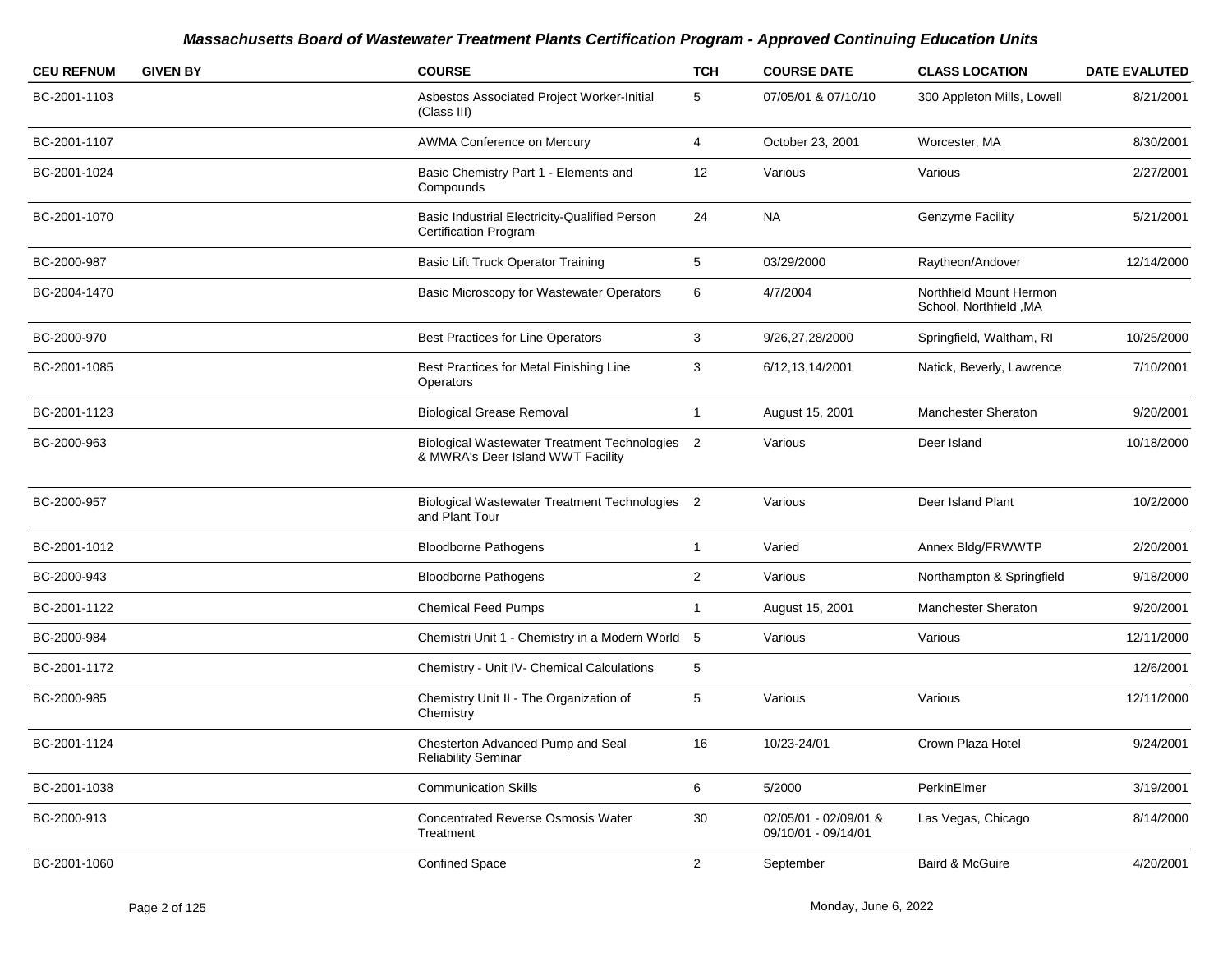| <b>CEU REFNUM</b> | <b>GIVEN BY</b> | <b>COURSE</b>                                                                       | <b>TCH</b>     | <b>COURSE DATE</b>                           | <b>CLASS LOCATION</b>                             | <b>DATE EVALUTED</b> |
|-------------------|-----------------|-------------------------------------------------------------------------------------|----------------|----------------------------------------------|---------------------------------------------------|----------------------|
| BC-2001-1103      |                 | Asbestos Associated Project Worker-Initial<br>(Class III)                           | 5              | 07/05/01 & 07/10/10                          | 300 Appleton Mills, Lowell                        | 8/21/2001            |
| BC-2001-1107      |                 | AWMA Conference on Mercury                                                          | 4              | October 23, 2001                             | Worcester, MA                                     | 8/30/2001            |
| BC-2001-1024      |                 | Basic Chemistry Part 1 - Elements and<br>Compounds                                  | 12             | Various                                      | Various                                           | 2/27/2001            |
| BC-2001-1070      |                 | Basic Industrial Electricity-Qualified Person<br><b>Certification Program</b>       | 24             | <b>NA</b>                                    | <b>Genzyme Facility</b>                           | 5/21/2001            |
| BC-2000-987       |                 | <b>Basic Lift Truck Operator Training</b>                                           | 5              | 03/29/2000                                   | Raytheon/Andover                                  | 12/14/2000           |
| BC-2004-1470      |                 | Basic Microscopy for Wastewater Operators                                           | 6              | 4/7/2004                                     | Northfield Mount Hermon<br>School, Northfield, MA |                      |
| BC-2000-970       |                 | <b>Best Practices for Line Operators</b>                                            | 3              | 9/26,27,28/2000                              | Springfield, Waltham, RI                          | 10/25/2000           |
| BC-2001-1085      |                 | Best Practices for Metal Finishing Line<br>Operators                                | 3              | 6/12, 13, 14/2001                            | Natick, Beverly, Lawrence                         | 7/10/2001            |
| BC-2001-1123      |                 | <b>Biological Grease Removal</b>                                                    | $\overline{1}$ | August 15, 2001                              | <b>Manchester Sheraton</b>                        | 9/20/2001            |
| BC-2000-963       |                 | Biological Wastewater Treatment Technologies 2<br>& MWRA's Deer Island WWT Facility |                | Various                                      | Deer Island                                       | 10/18/2000           |
| BC-2000-957       |                 | Biological Wastewater Treatment Technologies 2<br>and Plant Tour                    |                | Various                                      | Deer Island Plant                                 | 10/2/2000            |
| BC-2001-1012      |                 | <b>Bloodborne Pathogens</b>                                                         | $\overline{1}$ | Varied                                       | Annex Bldg/FRWWTP                                 | 2/20/2001            |
| BC-2000-943       |                 | <b>Bloodborne Pathogens</b>                                                         | $\mathbf{2}$   | Various                                      | Northampton & Springfield                         | 9/18/2000            |
| BC-2001-1122      |                 | <b>Chemical Feed Pumps</b>                                                          | $\overline{1}$ | August 15, 2001                              | <b>Manchester Sheraton</b>                        | 9/20/2001            |
| BC-2000-984       |                 | Chemistri Unit 1 - Chemistry in a Modern World 5                                    |                | Various                                      | Various                                           | 12/11/2000           |
| BC-2001-1172      |                 | Chemistry - Unit IV- Chemical Calculations                                          | 5              |                                              |                                                   | 12/6/2001            |
| BC-2000-985       |                 | Chemistry Unit II - The Organization of<br>Chemistry                                | 5              | Various                                      | Various                                           | 12/11/2000           |
| BC-2001-1124      |                 | Chesterton Advanced Pump and Seal<br><b>Reliability Seminar</b>                     | 16             | 10/23-24/01                                  | Crown Plaza Hotel                                 | 9/24/2001            |
| BC-2001-1038      |                 | <b>Communication Skills</b>                                                         | 6              | 5/2000                                       | PerkinElmer                                       | 3/19/2001            |
| BC-2000-913       |                 | <b>Concentrated Reverse Osmosis Water</b><br>Treatment                              | 30             | 02/05/01 - 02/09/01 &<br>09/10/01 - 09/14/01 | Las Vegas, Chicago                                | 8/14/2000            |
| BC-2001-1060      |                 | <b>Confined Space</b>                                                               | $\overline{2}$ | September                                    | Baird & McGuire                                   | 4/20/2001            |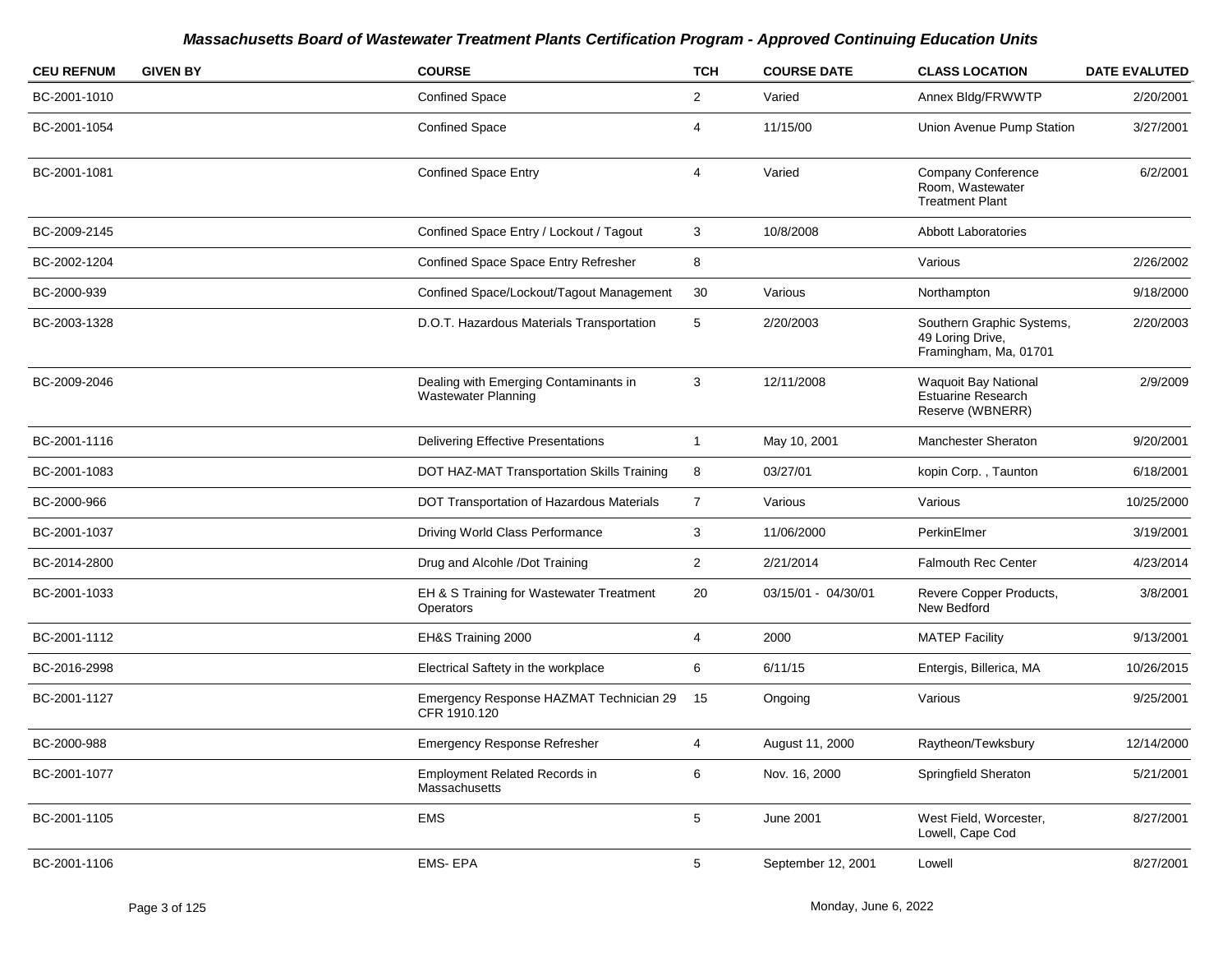| <b>CEU REFNUM</b> | <b>GIVEN BY</b> | <b>COURSE</b>                                                       | <b>TCH</b>     | <b>COURSE DATE</b>  | <b>CLASS LOCATION</b>                                                   | <b>DATE EVALUTED</b> |
|-------------------|-----------------|---------------------------------------------------------------------|----------------|---------------------|-------------------------------------------------------------------------|----------------------|
| BC-2001-1010      |                 | <b>Confined Space</b>                                               | $\overline{2}$ | Varied              | Annex Bldg/FRWWTP                                                       | 2/20/2001            |
| BC-2001-1054      |                 | <b>Confined Space</b>                                               | 4              | 11/15/00            | Union Avenue Pump Station                                               | 3/27/2001            |
| BC-2001-1081      |                 | <b>Confined Space Entry</b>                                         | 4              | Varied              | <b>Company Conference</b><br>Room, Wastewater<br><b>Treatment Plant</b> | 6/2/2001             |
| BC-2009-2145      |                 | Confined Space Entry / Lockout / Tagout                             | 3              | 10/8/2008           | <b>Abbott Laboratories</b>                                              |                      |
| BC-2002-1204      |                 | Confined Space Space Entry Refresher                                | 8              |                     | Various                                                                 | 2/26/2002            |
| BC-2000-939       |                 | Confined Space/Lockout/Tagout Management                            | 30             | Various             | Northampton                                                             | 9/18/2000            |
| BC-2003-1328      |                 | D.O.T. Hazardous Materials Transportation                           | 5              | 2/20/2003           | Southern Graphic Systems,<br>49 Loring Drive,<br>Framingham, Ma, 01701  | 2/20/2003            |
| BC-2009-2046      |                 | Dealing with Emerging Contaminants in<br><b>Wastewater Planning</b> | 3              | 12/11/2008          | <b>Waquoit Bay National</b><br>Estuarine Research<br>Reserve (WBNERR)   | 2/9/2009             |
| BC-2001-1116      |                 | <b>Delivering Effective Presentations</b>                           | $\mathbf{1}$   | May 10, 2001        | Manchester Sheraton                                                     | 9/20/2001            |
| BC-2001-1083      |                 | DOT HAZ-MAT Transportation Skills Training                          | 8              | 03/27/01            | kopin Corp., Taunton                                                    | 6/18/2001            |
| BC-2000-966       |                 | DOT Transportation of Hazardous Materials                           | $\overline{7}$ | Various             | Various                                                                 | 10/25/2000           |
| BC-2001-1037      |                 | Driving World Class Performance                                     | 3              | 11/06/2000          | PerkinElmer                                                             | 3/19/2001            |
| BC-2014-2800      |                 | Drug and Alcohle /Dot Training                                      | $\overline{2}$ | 2/21/2014           | <b>Falmouth Rec Center</b>                                              | 4/23/2014            |
| BC-2001-1033      |                 | EH & S Training for Wastewater Treatment<br>Operators               | 20             | 03/15/01 - 04/30/01 | Revere Copper Products,<br>New Bedford                                  | 3/8/2001             |
| BC-2001-1112      |                 | EH&S Training 2000                                                  | 4              | 2000                | <b>MATEP Facility</b>                                                   | 9/13/2001            |
| BC-2016-2998      |                 | Electrical Saftety in the workplace                                 | 6              | 6/11/15             | Entergis, Billerica, MA                                                 | 10/26/2015           |
| BC-2001-1127      |                 | Emergency Response HAZMAT Technician 29<br>CFR 1910.120             | 15             | Ongoing             | Various                                                                 | 9/25/2001            |
| BC-2000-988       |                 | <b>Emergency Response Refresher</b>                                 | $\overline{4}$ | August 11, 2000     | Raytheon/Tewksbury                                                      | 12/14/2000           |
| BC-2001-1077      |                 | <b>Employment Related Records in</b><br>Massachusetts               | 6              | Nov. 16, 2000       | Springfield Sheraton                                                    | 5/21/2001            |
| BC-2001-1105      |                 | <b>EMS</b>                                                          | 5              | <b>June 2001</b>    | West Field, Worcester,<br>Lowell, Cape Cod                              | 8/27/2001            |
| BC-2001-1106      |                 | <b>EMS-EPA</b>                                                      | 5              | September 12, 2001  | Lowell                                                                  | 8/27/2001            |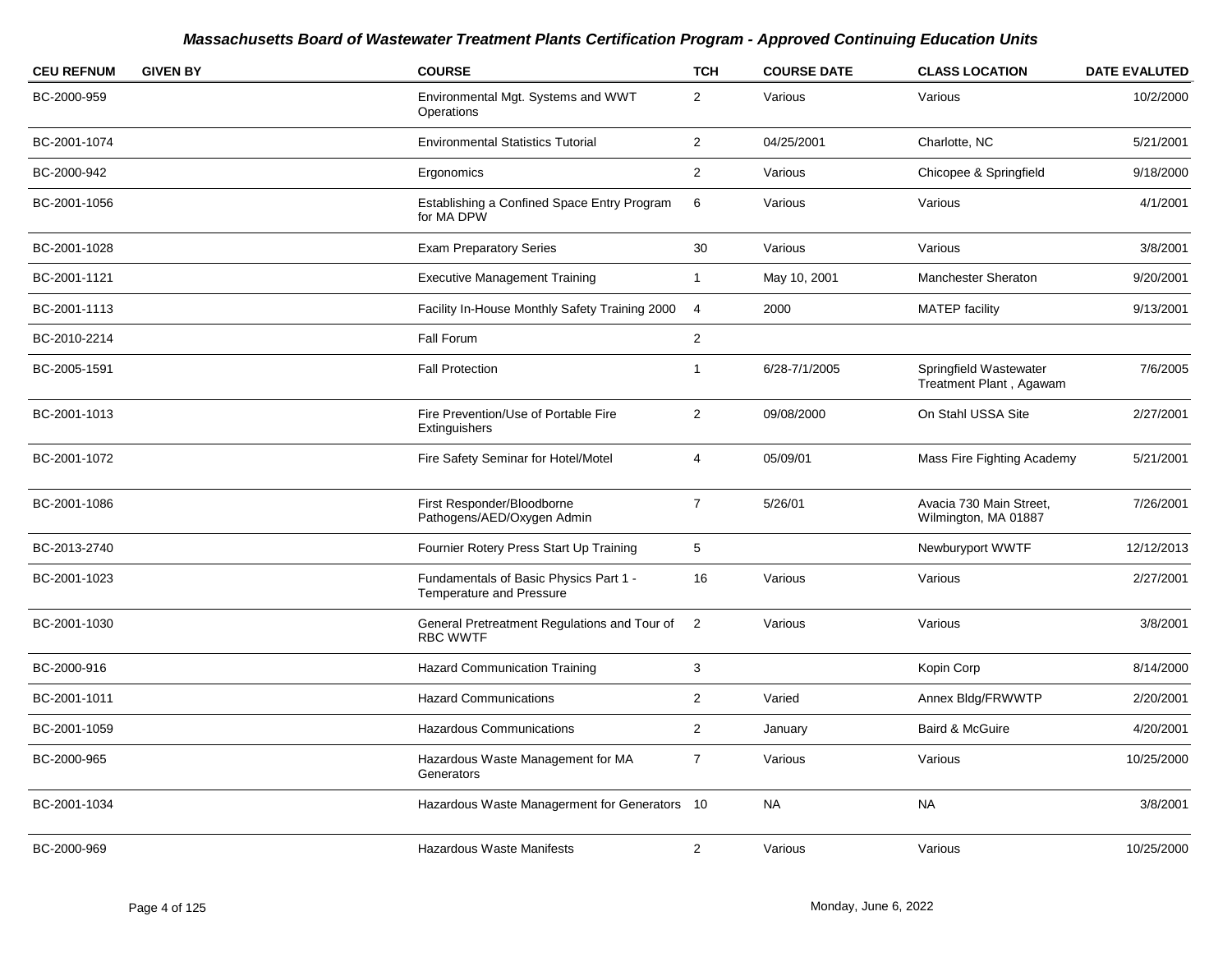| <b>CEU REFNUM</b> | <b>GIVEN BY</b> | <b>COURSE</b>                                                             | <b>TCH</b>     | <b>COURSE DATE</b> | <b>CLASS LOCATION</b>                             | <b>DATE EVALUTED</b> |
|-------------------|-----------------|---------------------------------------------------------------------------|----------------|--------------------|---------------------------------------------------|----------------------|
| BC-2000-959       |                 | Environmental Mgt. Systems and WWT<br>Operations                          | $\overline{2}$ | Various            | Various                                           | 10/2/2000            |
| BC-2001-1074      |                 | <b>Environmental Statistics Tutorial</b>                                  | $\overline{2}$ | 04/25/2001         | Charlotte, NC                                     | 5/21/2001            |
| BC-2000-942       |                 | Ergonomics                                                                | $\overline{2}$ | Various            | Chicopee & Springfield                            | 9/18/2000            |
| BC-2001-1056      |                 | Establishing a Confined Space Entry Program<br>for MA DPW                 | 6              | Various            | Various                                           | 4/1/2001             |
| BC-2001-1028      |                 | <b>Exam Preparatory Series</b>                                            | 30             | Various            | Various                                           | 3/8/2001             |
| BC-2001-1121      |                 | <b>Executive Management Training</b>                                      | $\mathbf{1}$   | May 10, 2001       | Manchester Sheraton                               | 9/20/2001            |
| BC-2001-1113      |                 | Facility In-House Monthly Safety Training 2000                            | $\overline{4}$ | 2000               | <b>MATEP</b> facility                             | 9/13/2001            |
| BC-2010-2214      |                 | Fall Forum                                                                | $\overline{2}$ |                    |                                                   |                      |
| BC-2005-1591      |                 | <b>Fall Protection</b>                                                    | $\overline{1}$ | 6/28-7/1/2005      | Springfield Wastewater<br>Treatment Plant, Agawam | 7/6/2005             |
| BC-2001-1013      |                 | Fire Prevention/Use of Portable Fire<br>Extinguishers                     | $\overline{2}$ | 09/08/2000         | On Stahl USSA Site                                | 2/27/2001            |
| BC-2001-1072      |                 | Fire Safety Seminar for Hotel/Motel                                       | 4              | 05/09/01           | Mass Fire Fighting Academy                        | 5/21/2001            |
| BC-2001-1086      |                 | First Responder/Bloodborne<br>Pathogens/AED/Oxygen Admin                  | $\overline{7}$ | 5/26/01            | Avacia 730 Main Street,<br>Wilmington, MA 01887   | 7/26/2001            |
| BC-2013-2740      |                 | Fournier Rotery Press Start Up Training                                   | 5              |                    | Newburyport WWTF                                  | 12/12/2013           |
| BC-2001-1023      |                 | Fundamentals of Basic Physics Part 1 -<br><b>Temperature and Pressure</b> | 16             | Various            | Various                                           | 2/27/2001            |
| BC-2001-1030      |                 | General Pretreatment Regulations and Tour of<br><b>RBC WWTF</b>           | 2              | Various            | Various                                           | 3/8/2001             |
| BC-2000-916       |                 | <b>Hazard Communication Training</b>                                      | 3              |                    | Kopin Corp                                        | 8/14/2000            |
| BC-2001-1011      |                 | <b>Hazard Communications</b>                                              | $\overline{2}$ | Varied             | Annex Bldg/FRWWTP                                 | 2/20/2001            |
| BC-2001-1059      |                 | Hazardous Communications                                                  | $\overline{2}$ | January            | Baird & McGuire                                   | 4/20/2001            |
| BC-2000-965       |                 | Hazardous Waste Management for MA<br>Generators                           | $\overline{7}$ | Various            | Various                                           | 10/25/2000           |
| BC-2001-1034      |                 | Hazardous Waste Managerment for Generators 10                             |                | <b>NA</b>          | <b>NA</b>                                         | 3/8/2001             |
| BC-2000-969       |                 | <b>Hazardous Waste Manifests</b>                                          | $\overline{2}$ | Various            | Various                                           | 10/25/2000           |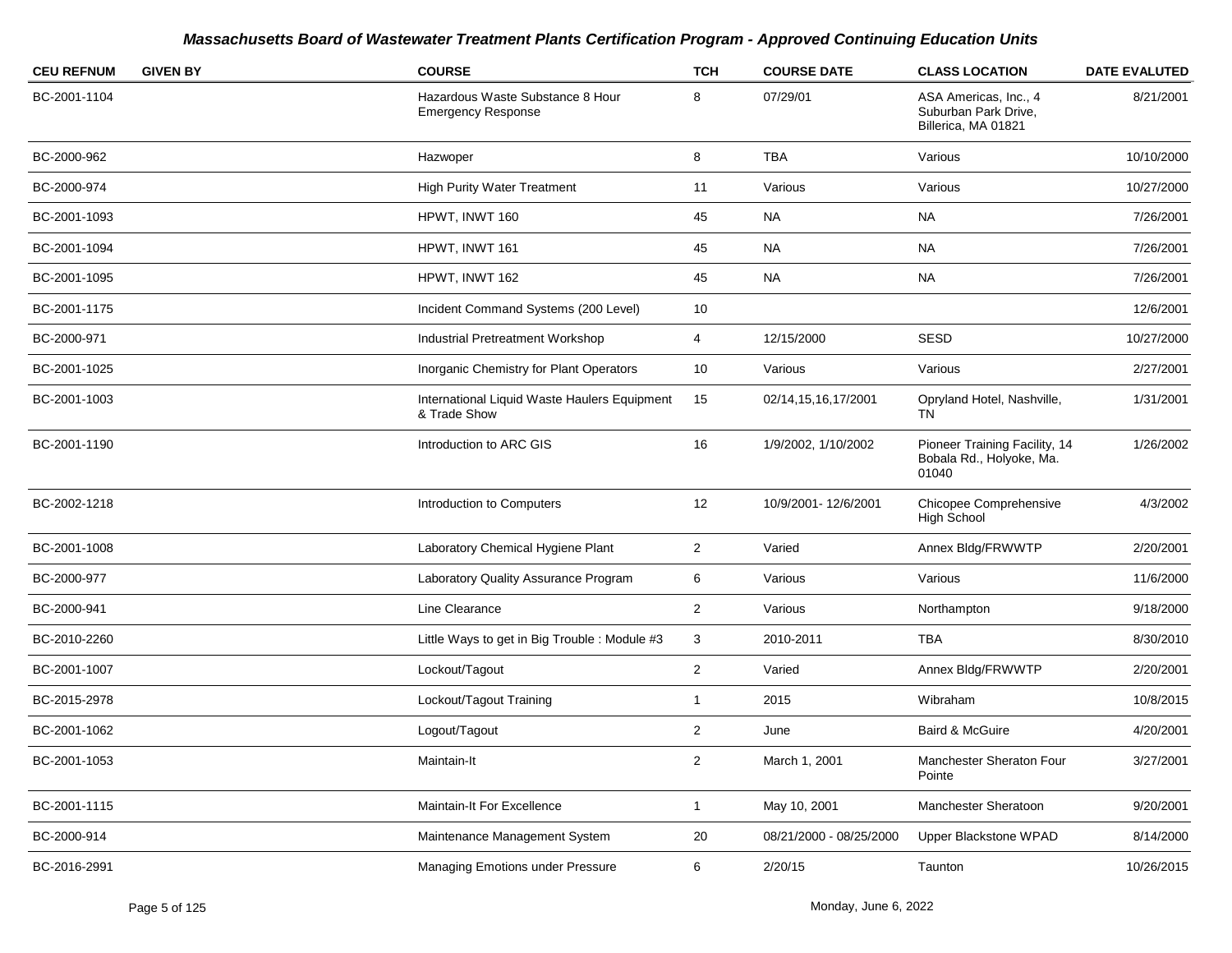| <b>GIVEN BY</b><br><b>CEU REFNUM</b> | <b>COURSE</b>                                                 | <b>TCH</b>     | <b>COURSE DATE</b>      | <b>CLASS LOCATION</b>                                                | <b>DATE EVALUTED</b> |
|--------------------------------------|---------------------------------------------------------------|----------------|-------------------------|----------------------------------------------------------------------|----------------------|
| BC-2001-1104                         | Hazardous Waste Substance 8 Hour<br><b>Emergency Response</b> | 8              | 07/29/01                | ASA Americas, Inc., 4<br>Suburban Park Drive,<br>Billerica, MA 01821 | 8/21/2001            |
| BC-2000-962                          | Hazwoper                                                      | 8              | <b>TBA</b>              | Various                                                              | 10/10/2000           |
| BC-2000-974                          | <b>High Purity Water Treatment</b>                            | 11             | Various                 | Various                                                              | 10/27/2000           |
| BC-2001-1093                         | HPWT, INWT 160                                                | 45             | <b>NA</b>               | <b>NA</b>                                                            | 7/26/2001            |
| BC-2001-1094                         | HPWT, INWT 161                                                | 45             | NA.                     | <b>NA</b>                                                            | 7/26/2001            |
| BC-2001-1095                         | HPWT, INWT 162                                                | 45             | <b>NA</b>               | <b>NA</b>                                                            | 7/26/2001            |
| BC-2001-1175                         | Incident Command Systems (200 Level)                          | 10             |                         |                                                                      | 12/6/2001            |
| BC-2000-971                          | Industrial Pretreatment Workshop                              | $\overline{4}$ | 12/15/2000              | <b>SESD</b>                                                          | 10/27/2000           |
| BC-2001-1025                         | Inorganic Chemistry for Plant Operators                       | 10             | Various                 | Various                                                              | 2/27/2001            |
| BC-2001-1003                         | International Liquid Waste Haulers Equipment<br>& Trade Show  | 15             | 02/14,15,16,17/2001     | Opryland Hotel, Nashville,<br>TN                                     | 1/31/2001            |
| BC-2001-1190                         | Introduction to ARC GIS                                       | 16             | 1/9/2002, 1/10/2002     | Pioneer Training Facility, 14<br>Bobala Rd., Holyoke, Ma.<br>01040   | 1/26/2002            |
| BC-2002-1218                         | Introduction to Computers                                     | 12             | 10/9/2001-12/6/2001     | Chicopee Comprehensive<br><b>High School</b>                         | 4/3/2002             |
| BC-2001-1008                         | Laboratory Chemical Hygiene Plant                             | $\overline{2}$ | Varied                  | Annex Bldg/FRWWTP                                                    | 2/20/2001            |
| BC-2000-977                          | Laboratory Quality Assurance Program                          | 6              | Various                 | Various                                                              | 11/6/2000            |
| BC-2000-941                          | Line Clearance                                                | $\mathbf{2}$   | Various                 | Northampton                                                          | 9/18/2000            |
| BC-2010-2260                         | Little Ways to get in Big Trouble : Module #3                 | 3              | 2010-2011               | <b>TBA</b>                                                           | 8/30/2010            |
| BC-2001-1007                         | Lockout/Tagout                                                | $\overline{2}$ | Varied                  | Annex Bldg/FRWWTP                                                    | 2/20/2001            |
| BC-2015-2978                         | Lockout/Tagout Training                                       | $\mathbf{1}$   | 2015                    | Wibraham                                                             | 10/8/2015            |
| BC-2001-1062                         | Logout/Tagout                                                 | $\overline{2}$ | June                    | Baird & McGuire                                                      | 4/20/2001            |
| BC-2001-1053                         | Maintain-It                                                   | $\overline{2}$ | March 1, 2001           | Manchester Sheraton Four<br>Pointe                                   | 3/27/2001            |
| BC-2001-1115                         | Maintain-It For Excellence                                    | $\mathbf{1}$   | May 10, 2001            | Manchester Sheratoon                                                 | 9/20/2001            |
| BC-2000-914                          | Maintenance Management System                                 | 20             | 08/21/2000 - 08/25/2000 | Upper Blackstone WPAD                                                | 8/14/2000            |
| BC-2016-2991                         | Managing Emotions under Pressure                              | 6              | 2/20/15                 | Taunton                                                              | 10/26/2015           |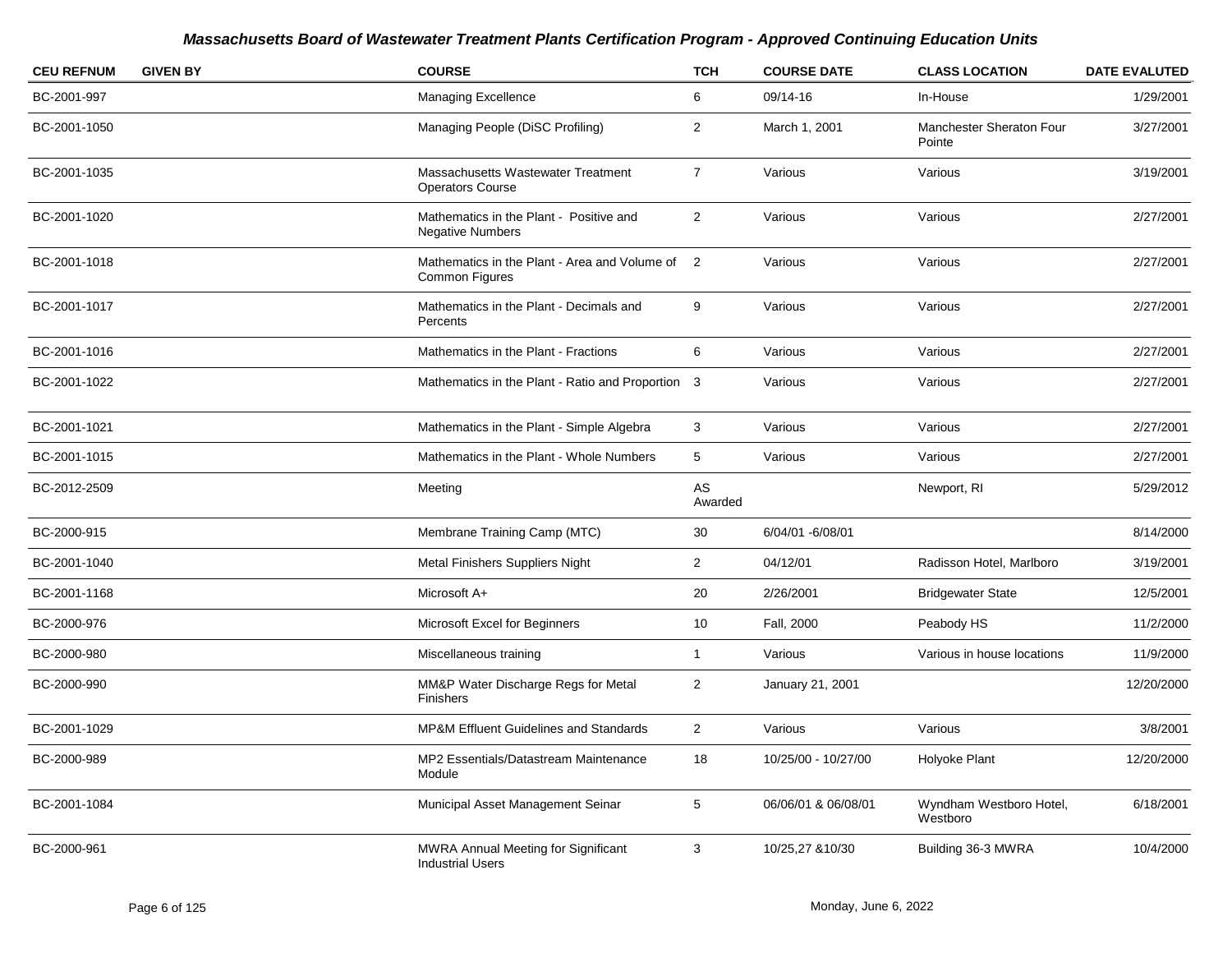| <b>CEU REFNUM</b> | <b>GIVEN BY</b> | <b>COURSE</b>                                                          | <b>TCH</b>           | <b>COURSE DATE</b>  | <b>CLASS LOCATION</b>               | <b>DATE EVALUTED</b> |
|-------------------|-----------------|------------------------------------------------------------------------|----------------------|---------------------|-------------------------------------|----------------------|
| BC-2001-997       |                 | Managing Excellence                                                    | 6                    | 09/14-16            | In-House                            | 1/29/2001            |
| BC-2001-1050      |                 | Managing People (DiSC Profiling)                                       | $\overline{2}$       | March 1, 2001       | Manchester Sheraton Four<br>Pointe  | 3/27/2001            |
| BC-2001-1035      |                 | Massachusetts Wastewater Treatment<br><b>Operators Course</b>          | $\overline{7}$       | Various             | Various                             | 3/19/2001            |
| BC-2001-1020      |                 | Mathematics in the Plant - Positive and<br><b>Negative Numbers</b>     | $\overline{a}$       | Various             | Various                             | 2/27/2001            |
| BC-2001-1018      |                 | Mathematics in the Plant - Area and Volume of<br><b>Common Figures</b> | $\overline{2}$       | Various             | Various                             | 2/27/2001            |
| BC-2001-1017      |                 | Mathematics in the Plant - Decimals and<br>Percents                    | 9                    | Various             | Various                             | 2/27/2001            |
| BC-2001-1016      |                 | Mathematics in the Plant - Fractions                                   | 6                    | Various             | Various                             | 2/27/2001            |
| BC-2001-1022      |                 | Mathematics in the Plant - Ratio and Proportion 3                      |                      | Various             | Various                             | 2/27/2001            |
| BC-2001-1021      |                 | Mathematics in the Plant - Simple Algebra                              | 3                    | Various             | Various                             | 2/27/2001            |
| BC-2001-1015      |                 | Mathematics in the Plant - Whole Numbers                               | $\sqrt{5}$           | Various             | Various                             | 2/27/2001            |
| BC-2012-2509      |                 | Meeting                                                                | <b>AS</b><br>Awarded |                     | Newport, RI                         | 5/29/2012            |
| BC-2000-915       |                 | Membrane Training Camp (MTC)                                           | 30                   | 6/04/01 -6/08/01    |                                     | 8/14/2000            |
| BC-2001-1040      |                 | Metal Finishers Suppliers Night                                        | $\overline{a}$       | 04/12/01            | Radisson Hotel, Marlboro            | 3/19/2001            |
| BC-2001-1168      |                 | Microsoft A+                                                           | 20                   | 2/26/2001           | <b>Bridgewater State</b>            | 12/5/2001            |
| BC-2000-976       |                 | Microsoft Excel for Beginners                                          | 10                   | Fall, 2000          | Peabody HS                          | 11/2/2000            |
| BC-2000-980       |                 | Miscellaneous training                                                 | $\mathbf{1}$         | Various             | Various in house locations          | 11/9/2000            |
| BC-2000-990       |                 | MM&P Water Discharge Regs for Metal<br>Finishers                       | $\overline{2}$       | January 21, 2001    |                                     | 12/20/2000           |
| BC-2001-1029      |                 | <b>MP&amp;M Effluent Guidelines and Standards</b>                      | $\overline{2}$       | Various             | Various                             | 3/8/2001             |
| BC-2000-989       |                 | MP2 Essentials/Datastream Maintenance<br>Module                        | 18                   | 10/25/00 - 10/27/00 | Holyoke Plant                       | 12/20/2000           |
| BC-2001-1084      |                 | Municipal Asset Management Seinar                                      | 5                    | 06/06/01 & 06/08/01 | Wyndham Westboro Hotel,<br>Westboro | 6/18/2001            |
| BC-2000-961       |                 | <b>MWRA Annual Meeting for Significant</b><br><b>Industrial Users</b>  | 3                    | 10/25,27 & 10/30    | Building 36-3 MWRA                  | 10/4/2000            |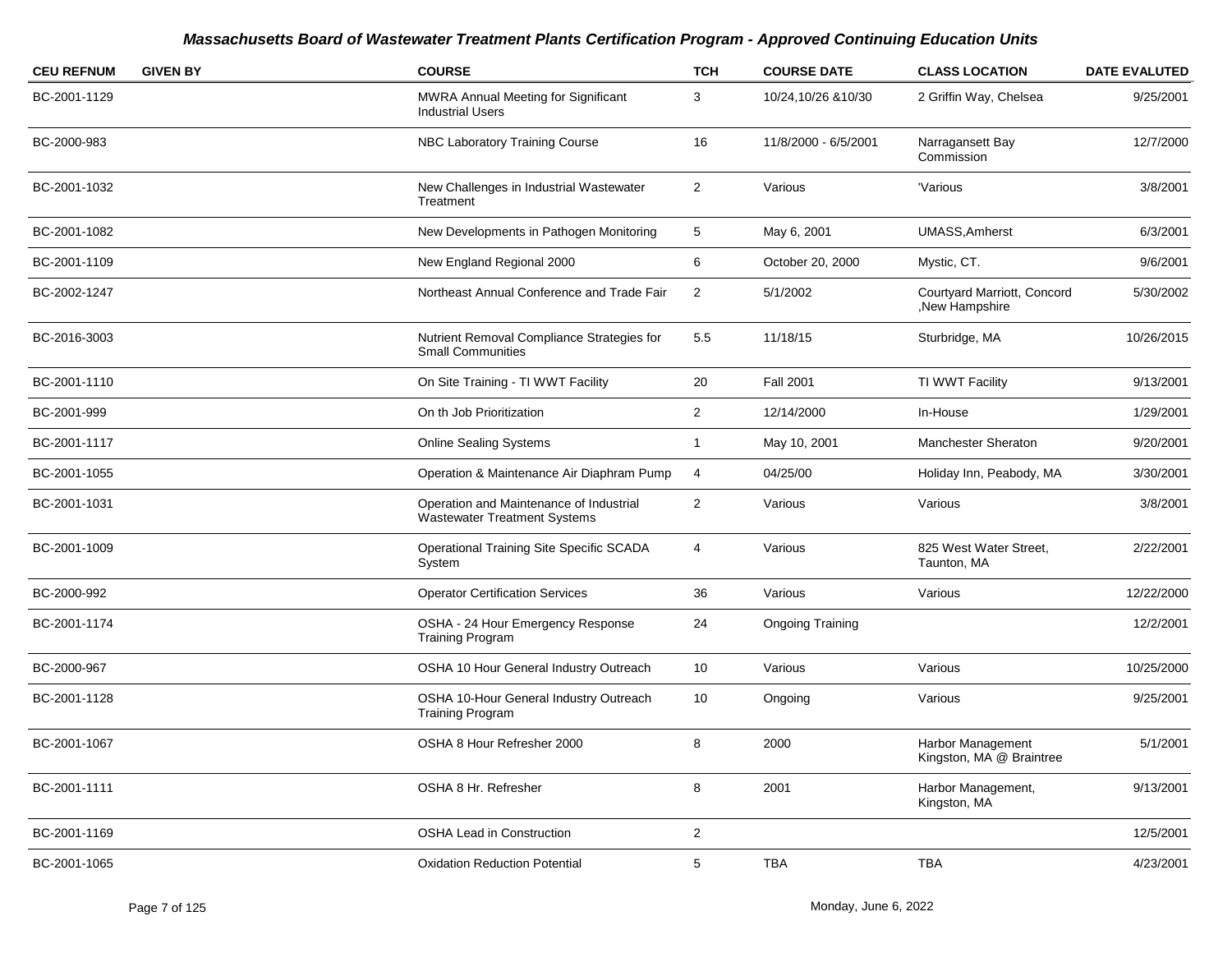| <b>CEU REFNUM</b> | <b>GIVEN BY</b> | <b>COURSE</b>                                                                  | <b>TCH</b>     | <b>COURSE DATE</b>      | <b>CLASS LOCATION</b>                          | <b>DATE EVALUTED</b> |
|-------------------|-----------------|--------------------------------------------------------------------------------|----------------|-------------------------|------------------------------------------------|----------------------|
| BC-2001-1129      |                 | <b>MWRA Annual Meeting for Significant</b><br><b>Industrial Users</b>          | 3              | 10/24,10/26 &10/30      | 2 Griffin Way, Chelsea                         | 9/25/2001            |
| BC-2000-983       |                 | NBC Laboratory Training Course                                                 | 16             | 11/8/2000 - 6/5/2001    | Narragansett Bay<br>Commission                 | 12/7/2000            |
| BC-2001-1032      |                 | New Challenges in Industrial Wastewater<br>Treatment                           | $\overline{2}$ | Various                 | 'Various                                       | 3/8/2001             |
| BC-2001-1082      |                 | New Developments in Pathogen Monitoring                                        | 5              | May 6, 2001             | <b>UMASS, Amherst</b>                          | 6/3/2001             |
| BC-2001-1109      |                 | New England Regional 2000                                                      | 6              | October 20, 2000        | Mystic, CT.                                    | 9/6/2001             |
| BC-2002-1247      |                 | Northeast Annual Conference and Trade Fair                                     | 2              | 5/1/2002                | Courtyard Marriott, Concord<br>, New Hampshire | 5/30/2002            |
| BC-2016-3003      |                 | Nutrient Removal Compliance Strategies for<br><b>Small Communities</b>         | 5.5            | 11/18/15                | Sturbridge, MA                                 | 10/26/2015           |
| BC-2001-1110      |                 | On Site Training - TI WWT Facility                                             | 20             | <b>Fall 2001</b>        | TI WWT Facility                                | 9/13/2001            |
| BC-2001-999       |                 | On th Job Prioritization                                                       | 2              | 12/14/2000              | In-House                                       | 1/29/2001            |
| BC-2001-1117      |                 | <b>Online Sealing Systems</b>                                                  | $\mathbf 1$    | May 10, 2001            | <b>Manchester Sheraton</b>                     | 9/20/2001            |
| BC-2001-1055      |                 | Operation & Maintenance Air Diaphram Pump                                      | 4              | 04/25/00                | Holiday Inn, Peabody, MA                       | 3/30/2001            |
| BC-2001-1031      |                 | Operation and Maintenance of Industrial<br><b>Wastewater Treatment Systems</b> | $\overline{2}$ | Various                 | Various                                        | 3/8/2001             |
| BC-2001-1009      |                 | Operational Training Site Specific SCADA<br>System                             | $\overline{4}$ | Various                 | 825 West Water Street,<br>Taunton, MA          | 2/22/2001            |
| BC-2000-992       |                 | <b>Operator Certification Services</b>                                         | 36             | Various                 | Various                                        | 12/22/2000           |
| BC-2001-1174      |                 | OSHA - 24 Hour Emergency Response<br><b>Training Program</b>                   | 24             | <b>Ongoing Training</b> |                                                | 12/2/2001            |
| BC-2000-967       |                 | OSHA 10 Hour General Industry Outreach                                         | 10             | Various                 | Various                                        | 10/25/2000           |
| BC-2001-1128      |                 | OSHA 10-Hour General Industry Outreach<br><b>Training Program</b>              | 10             | Ongoing                 | Various                                        | 9/25/2001            |
| BC-2001-1067      |                 | OSHA 8 Hour Refresher 2000                                                     | 8              | 2000                    | Harbor Management<br>Kingston, MA @ Braintree  | 5/1/2001             |
| BC-2001-1111      |                 | OSHA 8 Hr. Refresher                                                           | 8              | 2001                    | Harbor Management,<br>Kingston, MA             | 9/13/2001            |
| BC-2001-1169      |                 | <b>OSHA Lead in Construction</b>                                               | $\sqrt{2}$     |                         |                                                | 12/5/2001            |
| BC-2001-1065      |                 | <b>Oxidation Reduction Potential</b>                                           | 5              | <b>TBA</b>              | <b>TBA</b>                                     | 4/23/2001            |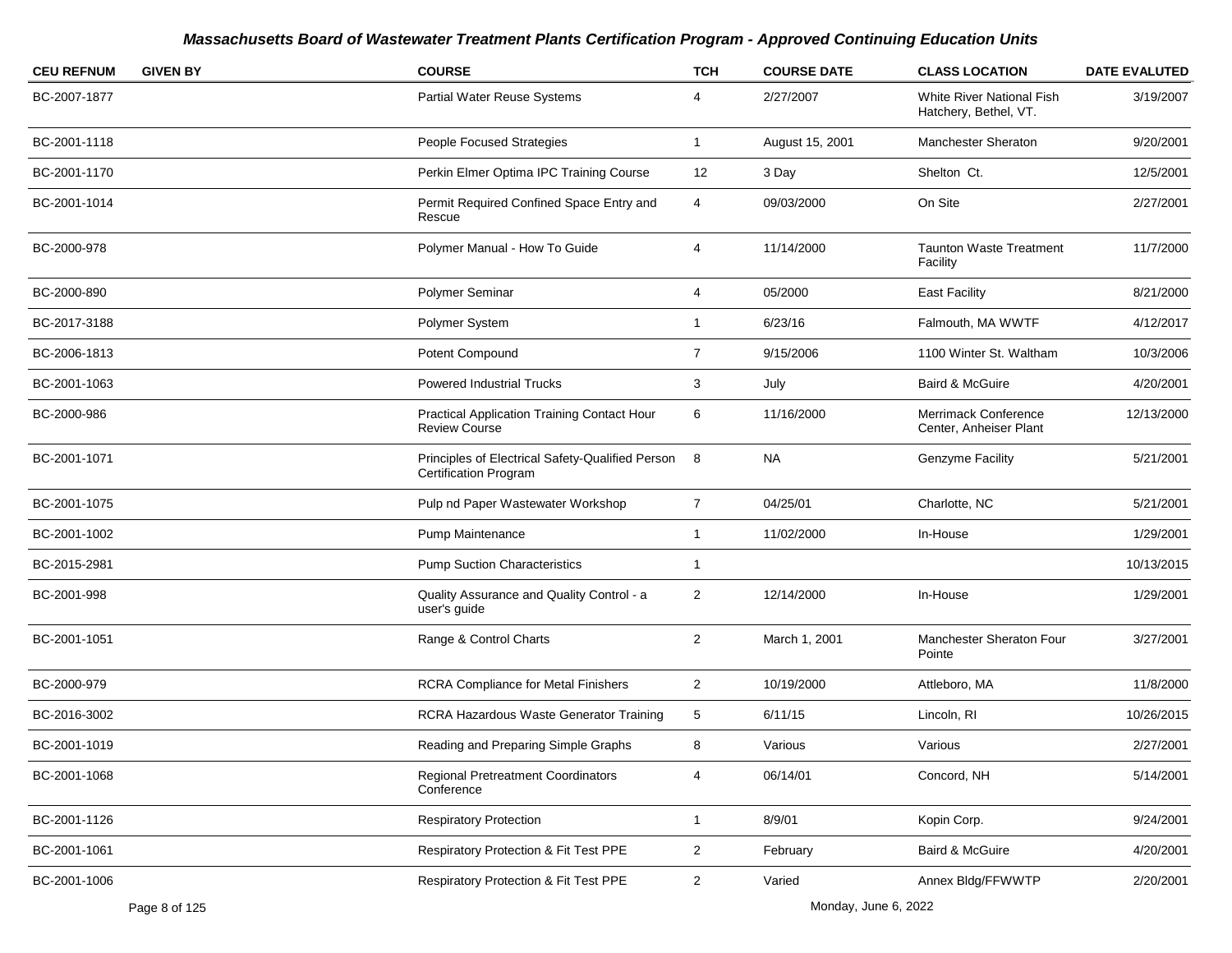| <b>CEU REFNUM</b> | <b>GIVEN BY</b> | <b>COURSE</b>                                                                    | <b>TCH</b>     | <b>COURSE DATE</b> | <b>CLASS LOCATION</b>                                     | <b>DATE EVALUTED</b> |
|-------------------|-----------------|----------------------------------------------------------------------------------|----------------|--------------------|-----------------------------------------------------------|----------------------|
| BC-2007-1877      |                 | Partial Water Reuse Systems                                                      | 4              | 2/27/2007          | <b>White River National Fish</b><br>Hatchery, Bethel, VT. | 3/19/2007            |
| BC-2001-1118      |                 | People Focused Strategies                                                        | $\mathbf{1}$   | August 15, 2001    | Manchester Sheraton                                       | 9/20/2001            |
| BC-2001-1170      |                 | Perkin Elmer Optima IPC Training Course                                          | 12             | 3 Day              | Shelton Ct.                                               | 12/5/2001            |
| BC-2001-1014      |                 | Permit Required Confined Space Entry and<br>Rescue                               | 4              | 09/03/2000         | On Site                                                   | 2/27/2001            |
| BC-2000-978       |                 | Polymer Manual - How To Guide                                                    | 4              | 11/14/2000         | <b>Taunton Waste Treatment</b><br>Facility                | 11/7/2000            |
| BC-2000-890       |                 | Polymer Seminar                                                                  | $\overline{4}$ | 05/2000            | <b>East Facility</b>                                      | 8/21/2000            |
| BC-2017-3188      |                 | Polymer System                                                                   | $\mathbf{1}$   | 6/23/16            | Falmouth, MA WWTF                                         | 4/12/2017            |
| BC-2006-1813      |                 | Potent Compound                                                                  | $\overline{7}$ | 9/15/2006          | 1100 Winter St. Waltham                                   | 10/3/2006            |
| BC-2001-1063      |                 | <b>Powered Industrial Trucks</b>                                                 | 3              | July               | Baird & McGuire                                           | 4/20/2001            |
| BC-2000-986       |                 | <b>Practical Application Training Contact Hour</b><br><b>Review Course</b>       | 6              | 11/16/2000         | <b>Merrimack Conference</b><br>Center, Anheiser Plant     | 12/13/2000           |
| BC-2001-1071      |                 | Principles of Electrical Safety-Qualified Person<br><b>Certification Program</b> | 8              | <b>NA</b>          | Genzyme Facility                                          | 5/21/2001            |
| BC-2001-1075      |                 | Pulp nd Paper Wastewater Workshop                                                | $\overline{7}$ | 04/25/01           | Charlotte, NC                                             | 5/21/2001            |
| BC-2001-1002      |                 | Pump Maintenance                                                                 | $\mathbf{1}$   | 11/02/2000         | In-House                                                  | 1/29/2001            |
| BC-2015-2981      |                 | <b>Pump Suction Characteristics</b>                                              | -1             |                    |                                                           | 10/13/2015           |
| BC-2001-998       |                 | Quality Assurance and Quality Control - a<br>user's guide                        | 2              | 12/14/2000         | In-House                                                  | 1/29/2001            |
| BC-2001-1051      |                 | Range & Control Charts                                                           | $\overline{2}$ | March 1, 2001      | Manchester Sheraton Four<br>Pointe                        | 3/27/2001            |
| BC-2000-979       |                 | RCRA Compliance for Metal Finishers                                              | $\overline{2}$ | 10/19/2000         | Attleboro, MA                                             | 11/8/2000            |
| BC-2016-3002      |                 | RCRA Hazardous Waste Generator Training                                          | 5              | 6/11/15            | Lincoln, RI                                               | 10/26/2015           |
| BC-2001-1019      |                 | Reading and Preparing Simple Graphs                                              | 8              | Various            | Various                                                   | 2/27/2001            |
| BC-2001-1068      |                 | <b>Regional Pretreatment Coordinators</b><br>Conference                          | 4              | 06/14/01           | Concord, NH                                               | 5/14/2001            |
| BC-2001-1126      |                 | <b>Respiratory Protection</b>                                                    | $\mathbf{1}$   | 8/9/01             | Kopin Corp.                                               | 9/24/2001            |
| BC-2001-1061      |                 | Respiratory Protection & Fit Test PPE                                            | $\overline{2}$ | February           | Baird & McGuire                                           | 4/20/2001            |
| BC-2001-1006      |                 | Respiratory Protection & Fit Test PPE                                            | $\overline{a}$ | Varied             | Annex Bldg/FFWWTP                                         | 2/20/2001            |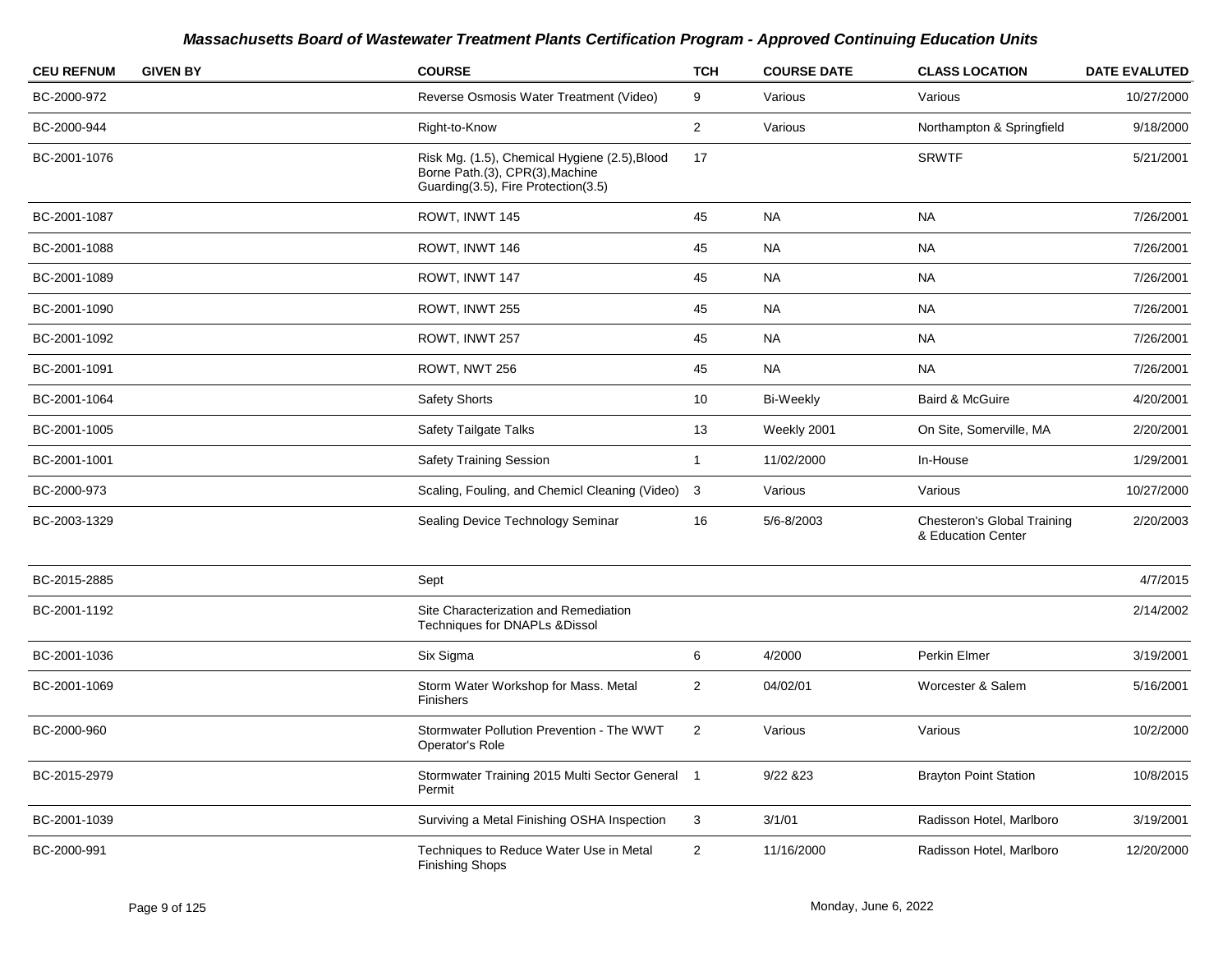| <b>CEU REFNUM</b> | <b>GIVEN BY</b> | <b>COURSE</b>                                                                                                           | <b>TCH</b>     | <b>COURSE DATE</b> | <b>CLASS LOCATION</b>                             | <b>DATE EVALUTED</b> |
|-------------------|-----------------|-------------------------------------------------------------------------------------------------------------------------|----------------|--------------------|---------------------------------------------------|----------------------|
| BC-2000-972       |                 | Reverse Osmosis Water Treatment (Video)                                                                                 | 9              | Various            | Various                                           | 10/27/2000           |
| BC-2000-944       |                 | Right-to-Know                                                                                                           | $\overline{2}$ | Various            | Northampton & Springfield                         | 9/18/2000            |
| BC-2001-1076      |                 | Risk Mg. (1.5), Chemical Hygiene (2.5), Blood<br>Borne Path.(3), CPR(3), Machine<br>Guarding(3.5), Fire Protection(3.5) | 17             |                    | <b>SRWTF</b>                                      | 5/21/2001            |
| BC-2001-1087      |                 | ROWT, INWT 145                                                                                                          | 45             | <b>NA</b>          | <b>NA</b>                                         | 7/26/2001            |
| BC-2001-1088      |                 | ROWT, INWT 146                                                                                                          | 45             | <b>NA</b>          | <b>NA</b>                                         | 7/26/2001            |
| BC-2001-1089      |                 | ROWT, INWT 147                                                                                                          | 45             | <b>NA</b>          | <b>NA</b>                                         | 7/26/2001            |
| BC-2001-1090      |                 | ROWT, INWT 255                                                                                                          | 45             | <b>NA</b>          | <b>NA</b>                                         | 7/26/2001            |
| BC-2001-1092      |                 | ROWT, INWT 257                                                                                                          | 45             | <b>NA</b>          | <b>NA</b>                                         | 7/26/2001            |
| BC-2001-1091      |                 | ROWT, NWT 256                                                                                                           | 45             | <b>NA</b>          | <b>NA</b>                                         | 7/26/2001            |
| BC-2001-1064      |                 | <b>Safety Shorts</b>                                                                                                    | 10             | <b>Bi-Weekly</b>   | Baird & McGuire                                   | 4/20/2001            |
| BC-2001-1005      |                 | Safety Tailgate Talks                                                                                                   | 13             | Weekly 2001        | On Site, Somerville, MA                           | 2/20/2001            |
| BC-2001-1001      |                 | <b>Safety Training Session</b>                                                                                          | -1             | 11/02/2000         | In-House                                          | 1/29/2001            |
| BC-2000-973       |                 | Scaling, Fouling, and Chemicl Cleaning (Video) 3                                                                        |                | Various            | Various                                           | 10/27/2000           |
| BC-2003-1329      |                 | Sealing Device Technology Seminar                                                                                       | 16             | 5/6-8/2003         | Chesteron's Global Training<br>& Education Center | 2/20/2003            |
| BC-2015-2885      |                 | Sept                                                                                                                    |                |                    |                                                   | 4/7/2015             |
| BC-2001-1192      |                 | Site Characterization and Remediation<br>Techniques for DNAPLs & Dissol                                                 |                |                    |                                                   | 2/14/2002            |
| BC-2001-1036      |                 | Six Sigma                                                                                                               | 6              | 4/2000             | Perkin Elmer                                      | 3/19/2001            |
| BC-2001-1069      |                 | Storm Water Workshop for Mass. Metal<br>Finishers                                                                       | $\overline{2}$ | 04/02/01           | Worcester & Salem                                 | 5/16/2001            |
| BC-2000-960       |                 | Stormwater Pollution Prevention - The WWT<br>Operator's Role                                                            | $\overline{2}$ | Various            | Various                                           | 10/2/2000            |
| BC-2015-2979      |                 | Stormwater Training 2015 Multi Sector General 1<br>Permit                                                               |                | 9/22 & 23          | <b>Brayton Point Station</b>                      | 10/8/2015            |
| BC-2001-1039      |                 | Surviving a Metal Finishing OSHA Inspection                                                                             | 3              | 3/1/01             | Radisson Hotel, Marlboro                          | 3/19/2001            |
| BC-2000-991       |                 | Techniques to Reduce Water Use in Metal<br><b>Finishing Shops</b>                                                       | $\overline{2}$ | 11/16/2000         | Radisson Hotel, Marlboro                          | 12/20/2000           |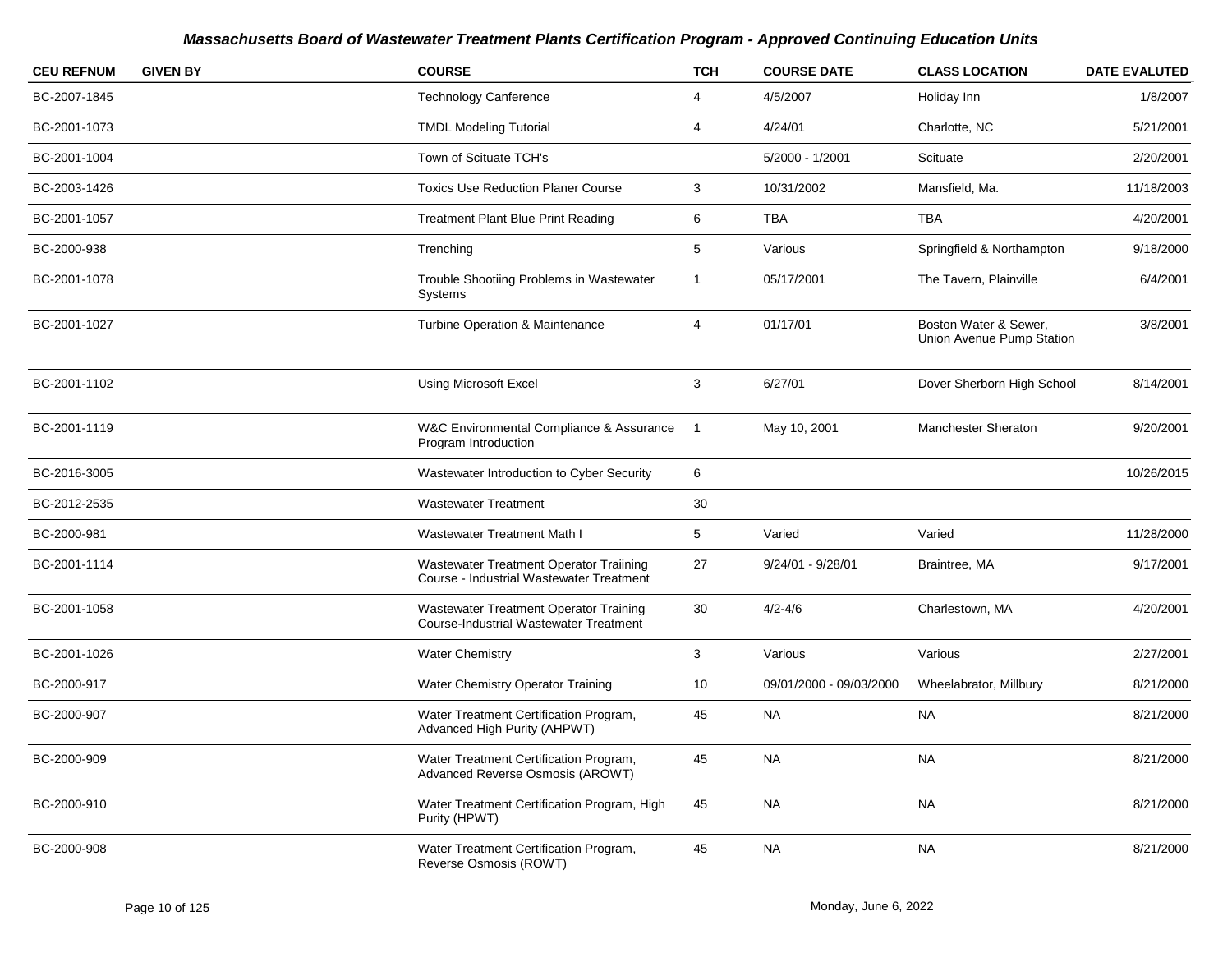| <b>CEU REFNUM</b> | <b>GIVEN BY</b> | <b>COURSE</b>                                                                              | <b>TCH</b>     | <b>COURSE DATE</b>      | <b>CLASS LOCATION</b>                              | <b>DATE EVALUTED</b> |
|-------------------|-----------------|--------------------------------------------------------------------------------------------|----------------|-------------------------|----------------------------------------------------|----------------------|
| BC-2007-1845      |                 | <b>Technology Canference</b>                                                               | 4              | 4/5/2007                | Holiday Inn                                        | 1/8/2007             |
| BC-2001-1073      |                 | <b>TMDL Modeling Tutorial</b>                                                              | 4              | 4/24/01                 | Charlotte, NC                                      | 5/21/2001            |
| BC-2001-1004      |                 | Town of Scituate TCH's                                                                     |                | 5/2000 - 1/2001         | Scituate                                           | 2/20/2001            |
| BC-2003-1426      |                 | <b>Toxics Use Reduction Planer Course</b>                                                  | 3              | 10/31/2002              | Mansfield, Ma.                                     | 11/18/2003           |
| BC-2001-1057      |                 | <b>Treatment Plant Blue Print Reading</b>                                                  | 6              | <b>TBA</b>              | <b>TBA</b>                                         | 4/20/2001            |
| BC-2000-938       |                 | Trenching                                                                                  | $\mathbf 5$    | Various                 | Springfield & Northampton                          | 9/18/2000            |
| BC-2001-1078      |                 | Trouble Shootiing Problems in Wastewater<br>Systems                                        | $\mathbf{1}$   | 05/17/2001              | The Tavern, Plainville                             | 6/4/2001             |
| BC-2001-1027      |                 | <b>Turbine Operation &amp; Maintenance</b>                                                 | $\overline{4}$ | 01/17/01                | Boston Water & Sewer,<br>Union Avenue Pump Station | 3/8/2001             |
| BC-2001-1102      |                 | <b>Using Microsoft Excel</b>                                                               | 3              | 6/27/01                 | Dover Sherborn High School                         | 8/14/2001            |
| BC-2001-1119      |                 | W&C Environmental Compliance & Assurance<br>Program Introduction                           | $\overline{1}$ | May 10, 2001            | Manchester Sheraton                                | 9/20/2001            |
| BC-2016-3005      |                 | Wastewater Introduction to Cyber Security                                                  | 6              |                         |                                                    | 10/26/2015           |
| BC-2012-2535      |                 | <b>Wastewater Treatment</b>                                                                | 30             |                         |                                                    |                      |
| BC-2000-981       |                 | Wastewater Treatment Math I                                                                | 5              | Varied                  | Varied                                             | 11/28/2000           |
| BC-2001-1114      |                 | Wastewater Treatment Operator Traiining<br><b>Course - Industrial Wastewater Treatment</b> | 27             | 9/24/01 - 9/28/01       | Braintree, MA                                      | 9/17/2001            |
| BC-2001-1058      |                 | Wastewater Treatment Operator Training<br><b>Course-Industrial Wastewater Treatment</b>    | 30             | $4/2 - 4/6$             | Charlestown, MA                                    | 4/20/2001            |
| BC-2001-1026      |                 | <b>Water Chemistry</b>                                                                     | 3              | Various                 | Various                                            | 2/27/2001            |
| BC-2000-917       |                 | Water Chemistry Operator Training                                                          | 10             | 09/01/2000 - 09/03/2000 | Wheelabrator, Millbury                             | 8/21/2000            |
| BC-2000-907       |                 | Water Treatment Certification Program,<br>Advanced High Purity (AHPWT)                     | 45             | <b>NA</b>               | <b>NA</b>                                          | 8/21/2000            |
| BC-2000-909       |                 | Water Treatment Certification Program,<br>Advanced Reverse Osmosis (AROWT)                 | 45             | <b>NA</b>               | <b>NA</b>                                          | 8/21/2000            |
| BC-2000-910       |                 | Water Treatment Certification Program, High<br>Purity (HPWT)                               | 45             | <b>NA</b>               | <b>NA</b>                                          | 8/21/2000            |
| BC-2000-908       |                 | Water Treatment Certification Program,<br>Reverse Osmosis (ROWT)                           | 45             | <b>NA</b>               | <b>NA</b>                                          | 8/21/2000            |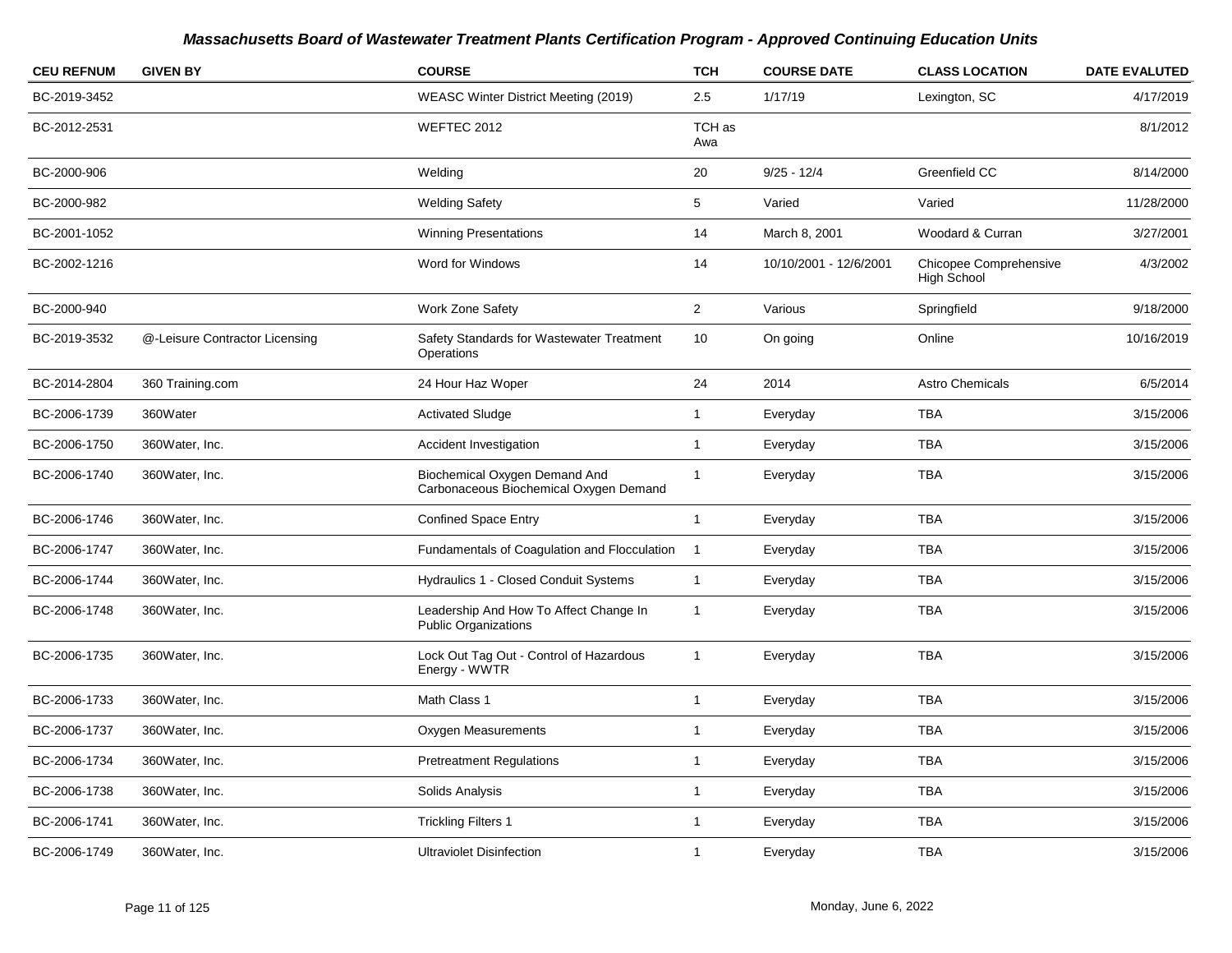| <b>CEU REFNUM</b> | <b>GIVEN BY</b>                | <b>COURSE</b>                                                           | <b>TCH</b>     | <b>COURSE DATE</b>     | <b>CLASS LOCATION</b>                        | <b>DATE EVALUTED</b> |
|-------------------|--------------------------------|-------------------------------------------------------------------------|----------------|------------------------|----------------------------------------------|----------------------|
| BC-2019-3452      |                                | WEASC Winter District Meeting (2019)                                    | 2.5            | 1/17/19                | Lexington, SC                                | 4/17/2019            |
| BC-2012-2531      |                                | <b>WEFTEC 2012</b>                                                      | TCH as<br>Awa  |                        |                                              | 8/1/2012             |
| BC-2000-906       |                                | Welding                                                                 | 20             | $9/25 - 12/4$          | Greenfield CC                                | 8/14/2000            |
| BC-2000-982       |                                | <b>Welding Safety</b>                                                   | 5              | Varied                 | Varied                                       | 11/28/2000           |
| BC-2001-1052      |                                | <b>Winning Presentations</b>                                            | 14             | March 8, 2001          | Woodard & Curran                             | 3/27/2001            |
| BC-2002-1216      |                                | Word for Windows                                                        | 14             | 10/10/2001 - 12/6/2001 | Chicopee Comprehensive<br><b>High School</b> | 4/3/2002             |
| BC-2000-940       |                                | <b>Work Zone Safety</b>                                                 | $\overline{2}$ | Various                | Springfield                                  | 9/18/2000            |
| BC-2019-3532      | @-Leisure Contractor Licensing | Safety Standards for Wastewater Treatment<br>Operations                 | 10             | On going               | Online                                       | 10/16/2019           |
| BC-2014-2804      | 360 Training.com               | 24 Hour Haz Woper                                                       | 24             | 2014                   | <b>Astro Chemicals</b>                       | 6/5/2014             |
| BC-2006-1739      | 360Water                       | <b>Activated Sludge</b>                                                 | 1              | Everyday               | <b>TBA</b>                                   | 3/15/2006            |
| BC-2006-1750      | 360Water, Inc.                 | Accident Investigation                                                  | 1              | Everyday               | <b>TBA</b>                                   | 3/15/2006            |
| BC-2006-1740      | 360Water, Inc.                 | Biochemical Oxygen Demand And<br>Carbonaceous Biochemical Oxygen Demand | $\mathbf{1}$   | Everyday               | <b>TBA</b>                                   | 3/15/2006            |
| BC-2006-1746      | 360Water, Inc.                 | <b>Confined Space Entry</b>                                             | $\mathbf{1}$   | Everyday               | <b>TBA</b>                                   | 3/15/2006            |
| BC-2006-1747      | 360Water, Inc.                 | Fundamentals of Coagulation and Flocculation                            | $\overline{1}$ | Everyday               | <b>TBA</b>                                   | 3/15/2006            |
| BC-2006-1744      | 360Water, Inc.                 | Hydraulics 1 - Closed Conduit Systems                                   | $\mathbf{1}$   | Everyday               | <b>TBA</b>                                   | 3/15/2006            |
| BC-2006-1748      | 360Water, Inc.                 | Leadership And How To Affect Change In<br><b>Public Organizations</b>   | $\mathbf{1}$   | Everyday               | <b>TBA</b>                                   | 3/15/2006            |
| BC-2006-1735      | 360Water, Inc.                 | Lock Out Tag Out - Control of Hazardous<br>Energy - WWTR                | 1              | Everyday               | <b>TBA</b>                                   | 3/15/2006            |
| BC-2006-1733      | 360Water, Inc.                 | Math Class 1                                                            | $\mathbf{1}$   | Everyday               | <b>TBA</b>                                   | 3/15/2006            |
| BC-2006-1737      | 360Water, Inc.                 | Oxygen Measurements                                                     | 1              | Everyday               | <b>TBA</b>                                   | 3/15/2006            |
| BC-2006-1734      | 360Water, Inc.                 | <b>Pretreatment Regulations</b>                                         | $\mathbf{1}$   | Everyday               | <b>TBA</b>                                   | 3/15/2006            |
| BC-2006-1738      | 360Water, Inc.                 | Solids Analysis                                                         | $\mathbf{1}$   | Everyday               | <b>TBA</b>                                   | 3/15/2006            |
| BC-2006-1741      | 360Water, Inc.                 | <b>Trickling Filters 1</b>                                              | 1              | Everyday               | <b>TBA</b>                                   | 3/15/2006            |
| BC-2006-1749      | 360Water, Inc.                 | <b>Ultraviolet Disinfection</b>                                         | 1              | Everyday               | <b>TBA</b>                                   | 3/15/2006            |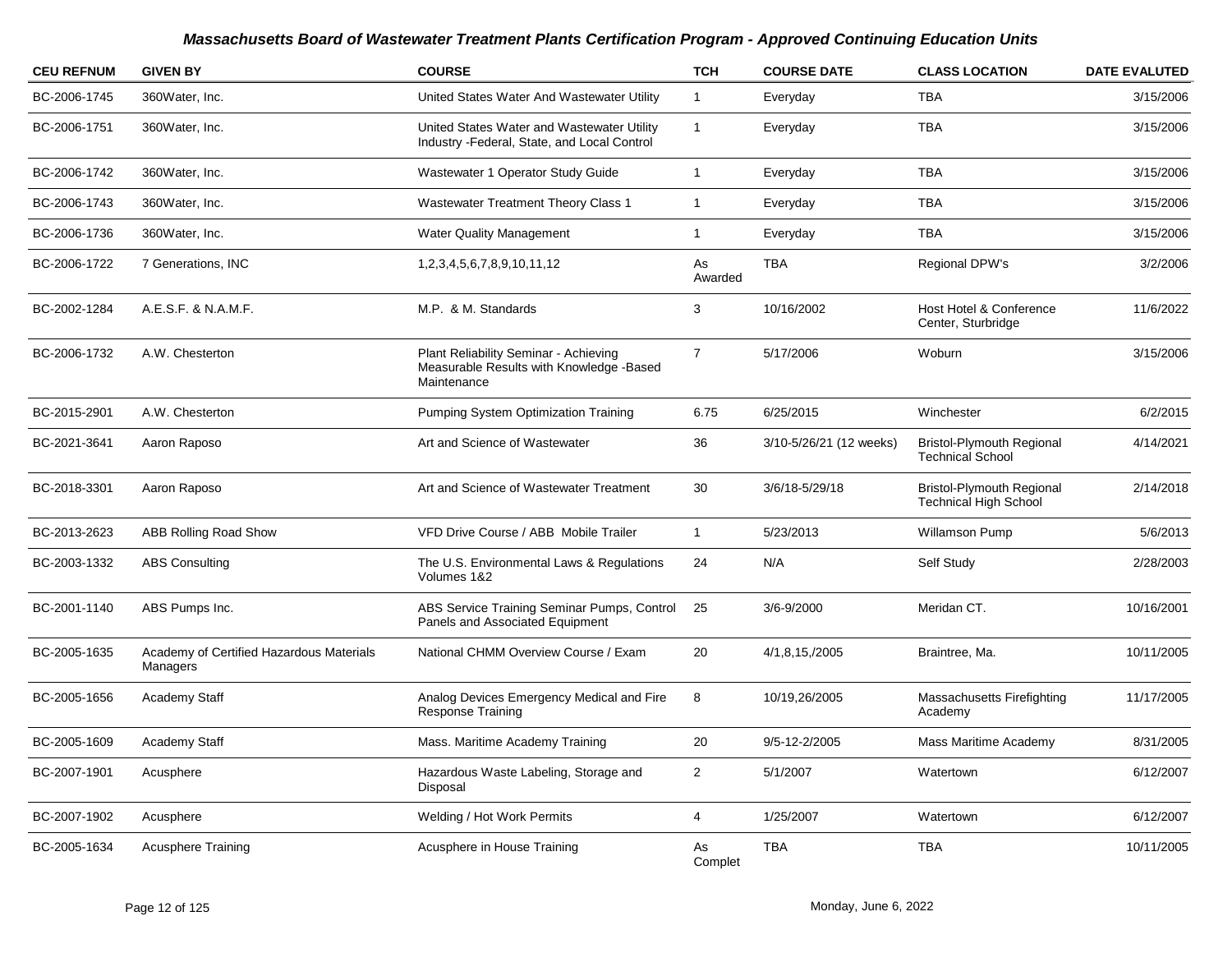| <b>CEU REFNUM</b> | <b>GIVEN BY</b>                                      | <b>COURSE</b>                                                                                    | <b>TCH</b>     | <b>COURSE DATE</b>      | <b>CLASS LOCATION</b>                                       | <b>DATE EVALUTED</b> |
|-------------------|------------------------------------------------------|--------------------------------------------------------------------------------------------------|----------------|-------------------------|-------------------------------------------------------------|----------------------|
| BC-2006-1745      | 360Water, Inc.                                       | United States Water And Wastewater Utility                                                       | $\mathbf{1}$   | Everyday                | <b>TBA</b>                                                  | 3/15/2006            |
| BC-2006-1751      | 360Water, Inc.                                       | United States Water and Wastewater Utility<br>Industry - Federal, State, and Local Control       | $\mathbf{1}$   | Everyday                | <b>TBA</b>                                                  | 3/15/2006            |
| BC-2006-1742      | 360Water, Inc.                                       | Wastewater 1 Operator Study Guide                                                                | $\mathbf{1}$   | Everyday                | <b>TBA</b>                                                  | 3/15/2006            |
| BC-2006-1743      | 360Water, Inc.                                       | Wastewater Treatment Theory Class 1                                                              | $\mathbf{1}$   | Everyday                | <b>TBA</b>                                                  | 3/15/2006            |
| BC-2006-1736      | 360Water, Inc.                                       | <b>Water Quality Management</b>                                                                  | 1              | Everyday                | <b>TBA</b>                                                  | 3/15/2006            |
| BC-2006-1722      | 7 Generations, INC                                   | 1, 2, 3, 4, 5, 6, 7, 8, 9, 10, 11, 12                                                            | As<br>Awarded  | <b>TBA</b>              | Regional DPW's                                              | 3/2/2006             |
| BC-2002-1284      | A.E.S.F. & N.A.M.F.                                  | M.P. & M. Standards                                                                              | 3              | 10/16/2002              | Host Hotel & Conference<br>Center, Sturbridge               | 11/6/2022            |
| BC-2006-1732      | A.W. Chesterton                                      | Plant Reliability Seminar - Achieving<br>Measurable Results with Knowledge -Based<br>Maintenance | $\overline{7}$ | 5/17/2006               | Woburn                                                      | 3/15/2006            |
| BC-2015-2901      | A.W. Chesterton                                      | Pumping System Optimization Training                                                             | 6.75           | 6/25/2015               | Winchester                                                  | 6/2/2015             |
| BC-2021-3641      | Aaron Raposo                                         | Art and Science of Wastewater                                                                    | 36             | 3/10-5/26/21 (12 weeks) | <b>Bristol-Plymouth Regional</b><br><b>Technical School</b> | 4/14/2021            |
| BC-2018-3301      | Aaron Raposo                                         | Art and Science of Wastewater Treatment                                                          | 30             | 3/6/18-5/29/18          | <b>Bristol-Plymouth Regional</b><br>Technical High School   | 2/14/2018            |
| BC-2013-2623      | ABB Rolling Road Show                                | VFD Drive Course / ABB Mobile Trailer                                                            | $\mathbf{1}$   | 5/23/2013               | <b>Willamson Pump</b>                                       | 5/6/2013             |
| BC-2003-1332      | <b>ABS Consulting</b>                                | The U.S. Environmental Laws & Regulations<br>Volumes 1&2                                         | 24             | N/A                     | Self Study                                                  | 2/28/2003            |
| BC-2001-1140      | ABS Pumps Inc.                                       | ABS Service Training Seminar Pumps, Control<br>Panels and Associated Equipment                   | 25             | 3/6-9/2000              | Meridan CT.                                                 | 10/16/2001           |
| BC-2005-1635      | Academy of Certified Hazardous Materials<br>Managers | National CHMM Overview Course / Exam                                                             | 20             | 4/1,8,15,/2005          | Braintree, Ma.                                              | 10/11/2005           |
| BC-2005-1656      | Academy Staff                                        | Analog Devices Emergency Medical and Fire<br><b>Response Training</b>                            | 8              | 10/19,26/2005           | Massachusetts Firefighting<br>Academy                       | 11/17/2005           |
| BC-2005-1609      | Academy Staff                                        | Mass. Maritime Academy Training                                                                  | 20             | 9/5-12-2/2005           | Mass Maritime Academy                                       | 8/31/2005            |
| BC-2007-1901      | Acusphere                                            | Hazardous Waste Labeling, Storage and<br>Disposal                                                | $\overline{2}$ | 5/1/2007                | Watertown                                                   | 6/12/2007            |
| BC-2007-1902      | Acusphere                                            | Welding / Hot Work Permits                                                                       | 4              | 1/25/2007               | Watertown                                                   | 6/12/2007            |
| BC-2005-1634      | <b>Acusphere Training</b>                            | Acusphere in House Training                                                                      | As<br>Complet  | <b>TBA</b>              | <b>TBA</b>                                                  | 10/11/2005           |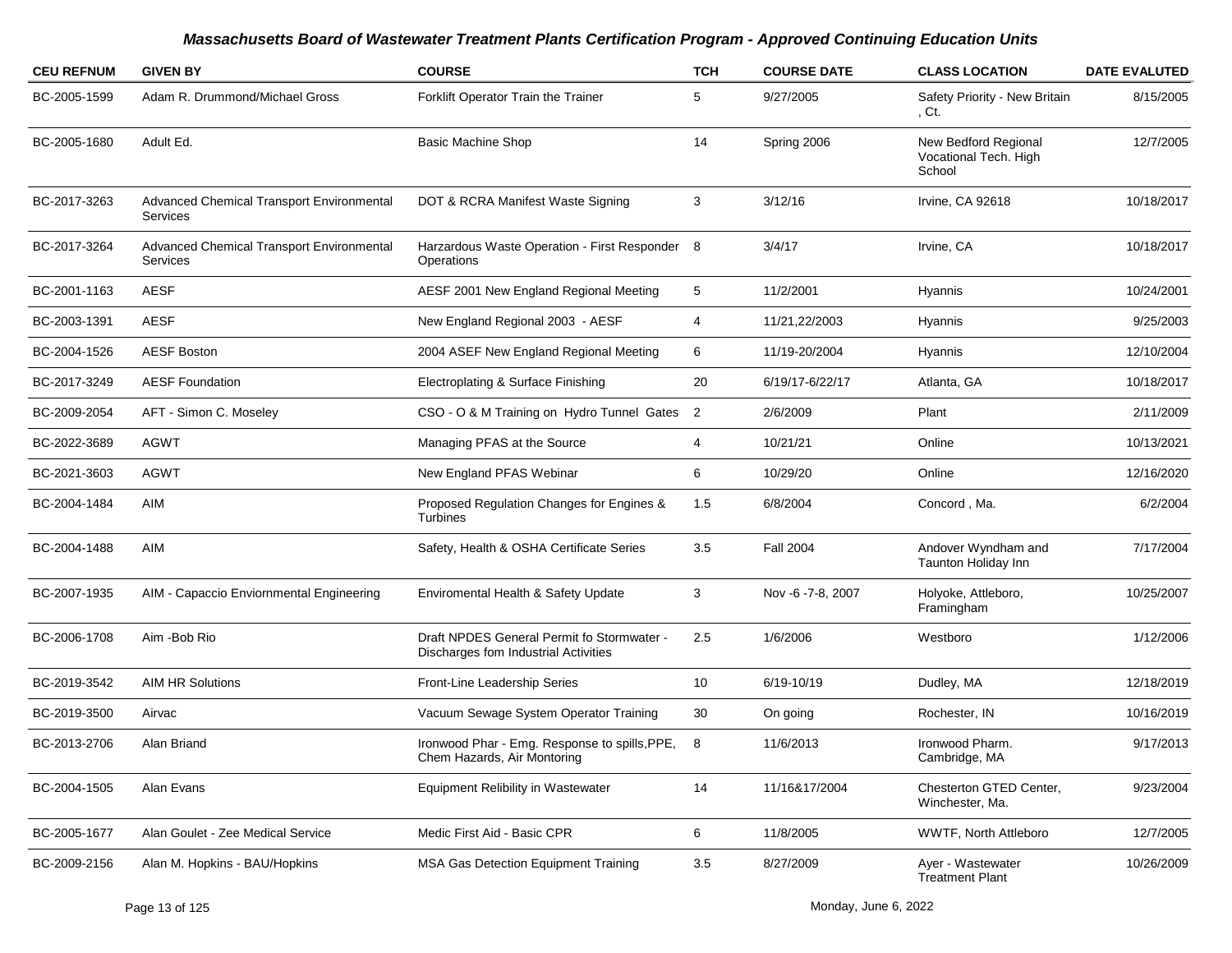| <b>CEU REFNUM</b> | <b>GIVEN BY</b>                                              | <b>COURSE</b>                                                                      | <b>TCH</b> | <b>COURSE DATE</b> | <b>CLASS LOCATION</b>                                   | <b>DATE EVALUTED</b> |
|-------------------|--------------------------------------------------------------|------------------------------------------------------------------------------------|------------|--------------------|---------------------------------------------------------|----------------------|
| BC-2005-1599      | Adam R. Drummond/Michael Gross                               | Forklift Operator Train the Trainer                                                | 5          | 9/27/2005          | Safety Priority - New Britain<br>, Ct.                  | 8/15/2005            |
| BC-2005-1680      | Adult Ed.                                                    | <b>Basic Machine Shop</b>                                                          | 14         | Spring 2006        | New Bedford Regional<br>Vocational Tech. High<br>School | 12/7/2005            |
| BC-2017-3263      | Advanced Chemical Transport Environmental<br><b>Services</b> | DOT & RCRA Manifest Waste Signing                                                  | 3          | 3/12/16            | Irvine, CA 92618                                        | 10/18/2017           |
| BC-2017-3264      | Advanced Chemical Transport Environmental<br><b>Services</b> | Harzardous Waste Operation - First Responder 8<br>Operations                       |            | 3/4/17             | Irvine, CA                                              | 10/18/2017           |
| BC-2001-1163      | <b>AESF</b>                                                  | AESF 2001 New England Regional Meeting                                             | 5          | 11/2/2001          | Hyannis                                                 | 10/24/2001           |
| BC-2003-1391      | <b>AESF</b>                                                  | New England Regional 2003 - AESF                                                   | 4          | 11/21,22/2003      | Hyannis                                                 | 9/25/2003            |
| BC-2004-1526      | <b>AESF Boston</b>                                           | 2004 ASEF New England Regional Meeting                                             | 6          | 11/19-20/2004      | Hyannis                                                 | 12/10/2004           |
| BC-2017-3249      | <b>AESF Foundation</b>                                       | Electroplating & Surface Finishing                                                 | 20         | 6/19/17-6/22/17    | Atlanta, GA                                             | 10/18/2017           |
| BC-2009-2054      | AFT - Simon C. Moseley                                       | CSO - O & M Training on Hydro Tunnel Gates 2                                       |            | 2/6/2009           | Plant                                                   | 2/11/2009            |
| BC-2022-3689      | AGWT                                                         | Managing PFAS at the Source                                                        | 4          | 10/21/21           | Online                                                  | 10/13/2021           |
| BC-2021-3603      | AGWT                                                         | New England PFAS Webinar                                                           | 6          | 10/29/20           | Online                                                  | 12/16/2020           |
| BC-2004-1484      | AIM                                                          | Proposed Regulation Changes for Engines &<br>Turbines                              | 1.5        | 6/8/2004           | Concord, Ma.                                            | 6/2/2004             |
| BC-2004-1488      | AIM                                                          | Safety, Health & OSHA Certificate Series                                           | 3.5        | <b>Fall 2004</b>   | Andover Wyndham and<br>Taunton Holiday Inn              | 7/17/2004            |
| BC-2007-1935      | AIM - Capaccio Enviornmental Engineering                     | Enviromental Health & Safety Update                                                | 3          | Nov -6 -7-8, 2007  | Holyoke, Attleboro,<br>Framingham                       | 10/25/2007           |
| BC-2006-1708      | Aim - Bob Rio                                                | Draft NPDES General Permit fo Stormwater -<br>Discharges fom Industrial Activities | 2.5        | 1/6/2006           | Westboro                                                | 1/12/2006            |
| BC-2019-3542      | <b>AIM HR Solutions</b>                                      | Front-Line Leadership Series                                                       | 10         | 6/19-10/19         | Dudley, MA                                              | 12/18/2019           |
| BC-2019-3500      | Airvac                                                       | Vacuum Sewage System Operator Training                                             | 30         | On going           | Rochester, IN                                           | 10/16/2019           |
| BC-2013-2706      | Alan Briand                                                  | Ironwood Phar - Emg. Response to spills, PPE,<br>Chem Hazards, Air Montoring       | 8          | 11/6/2013          | Ironwood Pharm.<br>Cambridge, MA                        | 9/17/2013            |
| BC-2004-1505      | Alan Evans                                                   | <b>Equipment Relibility in Wastewater</b>                                          | 14         | 11/16&17/2004      | Chesterton GTED Center,<br>Winchester, Ma.              | 9/23/2004            |
| BC-2005-1677      | Alan Goulet - Zee Medical Service                            | Medic First Aid - Basic CPR                                                        | 6          | 11/8/2005          | WWTF, North Attleboro                                   | 12/7/2005            |
| BC-2009-2156      | Alan M. Hopkins - BAU/Hopkins                                | <b>MSA Gas Detection Equipment Training</b>                                        | 3.5        | 8/27/2009          | Ayer - Wastewater<br><b>Treatment Plant</b>             | 10/26/2009           |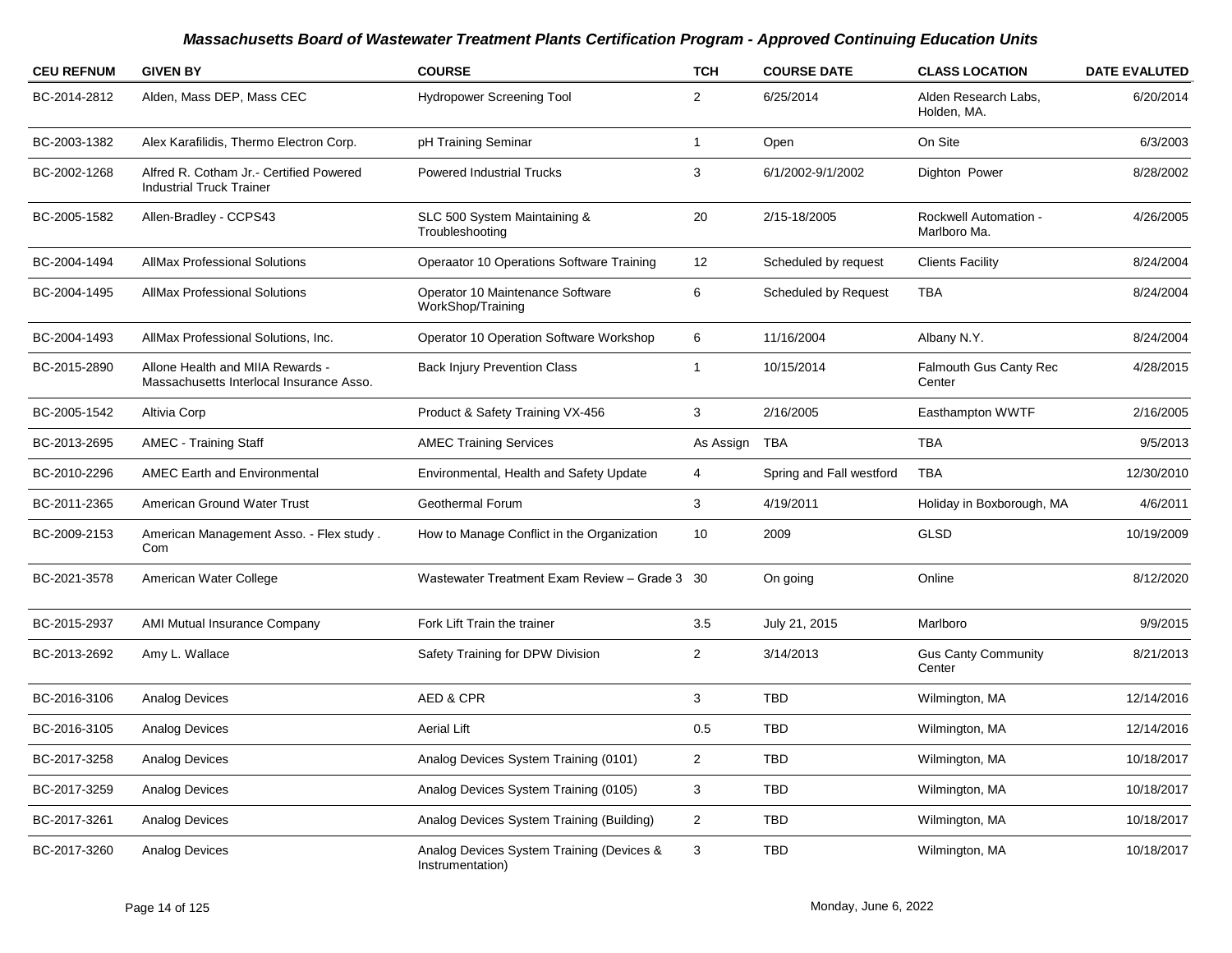| <b>CEU REFNUM</b> | <b>GIVEN BY</b>                                                              | <b>COURSE</b>                                                 | <b>TCH</b>     | <b>COURSE DATE</b>       | <b>CLASS LOCATION</b>                        | <b>DATE EVALUTED</b> |
|-------------------|------------------------------------------------------------------------------|---------------------------------------------------------------|----------------|--------------------------|----------------------------------------------|----------------------|
| BC-2014-2812      | Alden, Mass DEP, Mass CEC                                                    | <b>Hydropower Screening Tool</b>                              | $\overline{2}$ | 6/25/2014                | Alden Research Labs,<br>Holden, MA.          | 6/20/2014            |
| BC-2003-1382      | Alex Karafilidis, Thermo Electron Corp.                                      | pH Training Seminar                                           | $\overline{1}$ | Open                     | On Site                                      | 6/3/2003             |
| BC-2002-1268      | Alfred R. Cotham Jr.- Certified Powered<br><b>Industrial Truck Trainer</b>   | <b>Powered Industrial Trucks</b>                              | 3              | 6/1/2002-9/1/2002        | Dighton Power                                | 8/28/2002            |
| BC-2005-1582      | Allen-Bradley - CCPS43                                                       | SLC 500 System Maintaining &<br>Troubleshooting               | 20             | 2/15-18/2005             | <b>Rockwell Automation -</b><br>Marlboro Ma. | 4/26/2005            |
| BC-2004-1494      | <b>AllMax Professional Solutions</b>                                         | Operaator 10 Operations Software Training                     | 12             | Scheduled by request     | <b>Clients Facility</b>                      | 8/24/2004            |
| BC-2004-1495      | <b>AllMax Professional Solutions</b>                                         | Operator 10 Maintenance Software<br>WorkShop/Training         | 6              | Scheduled by Request     | <b>TBA</b>                                   | 8/24/2004            |
| BC-2004-1493      | AllMax Professional Solutions, Inc.                                          | Operator 10 Operation Software Workshop                       | 6              | 11/16/2004               | Albany N.Y.                                  | 8/24/2004            |
| BC-2015-2890      | Allone Health and MIIA Rewards -<br>Massachusetts Interlocal Insurance Asso. | <b>Back Injury Prevention Class</b>                           | -1             | 10/15/2014               | <b>Falmouth Gus Canty Rec</b><br>Center      | 4/28/2015            |
| BC-2005-1542      | Altivia Corp                                                                 | Product & Safety Training VX-456                              | 3              | 2/16/2005                | Easthampton WWTF                             | 2/16/2005            |
| BC-2013-2695      | <b>AMEC - Training Staff</b>                                                 | <b>AMEC Training Services</b>                                 | As Assign      | TBA                      | TBA                                          | 9/5/2013             |
| BC-2010-2296      | <b>AMEC Earth and Environmental</b>                                          | Environmental, Health and Safety Update                       | 4              | Spring and Fall westford | TBA                                          | 12/30/2010           |
| BC-2011-2365      | American Ground Water Trust                                                  | Geothermal Forum                                              | 3              | 4/19/2011                | Holiday in Boxborough, MA                    | 4/6/2011             |
| BC-2009-2153      | American Management Asso. - Flex study.<br>Com                               | How to Manage Conflict in the Organization                    | 10             | 2009                     | GLSD                                         | 10/19/2009           |
| BC-2021-3578      | American Water College                                                       | Wastewater Treatment Exam Review - Grade 3 30                 |                | On going                 | Online                                       | 8/12/2020            |
| BC-2015-2937      | AMI Mutual Insurance Company                                                 | Fork Lift Train the trainer                                   | 3.5            | July 21, 2015            | Marlboro                                     | 9/9/2015             |
| BC-2013-2692      | Amy L. Wallace                                                               | Safety Training for DPW Division                              | $\overline{2}$ | 3/14/2013                | <b>Gus Canty Community</b><br>Center         | 8/21/2013            |
| BC-2016-3106      | <b>Analog Devices</b>                                                        | AED & CPR                                                     | 3              | TBD                      | Wilmington, MA                               | 12/14/2016           |
| BC-2016-3105      | Analog Devices                                                               | <b>Aerial Lift</b>                                            | 0.5            | TBD                      | Wilmington, MA                               | 12/14/2016           |
| BC-2017-3258      | Analog Devices                                                               | Analog Devices System Training (0101)                         | 2              | TBD                      | Wilmington, MA                               | 10/18/2017           |
| BC-2017-3259      | Analog Devices                                                               | Analog Devices System Training (0105)                         | 3              | TBD                      | Wilmington, MA                               | 10/18/2017           |
| BC-2017-3261      | Analog Devices                                                               | Analog Devices System Training (Building)                     | $\overline{2}$ | TBD                      | Wilmington, MA                               | 10/18/2017           |
| BC-2017-3260      | Analog Devices                                                               | Analog Devices System Training (Devices &<br>Instrumentation) | 3              | TBD                      | Wilmington, MA                               | 10/18/2017           |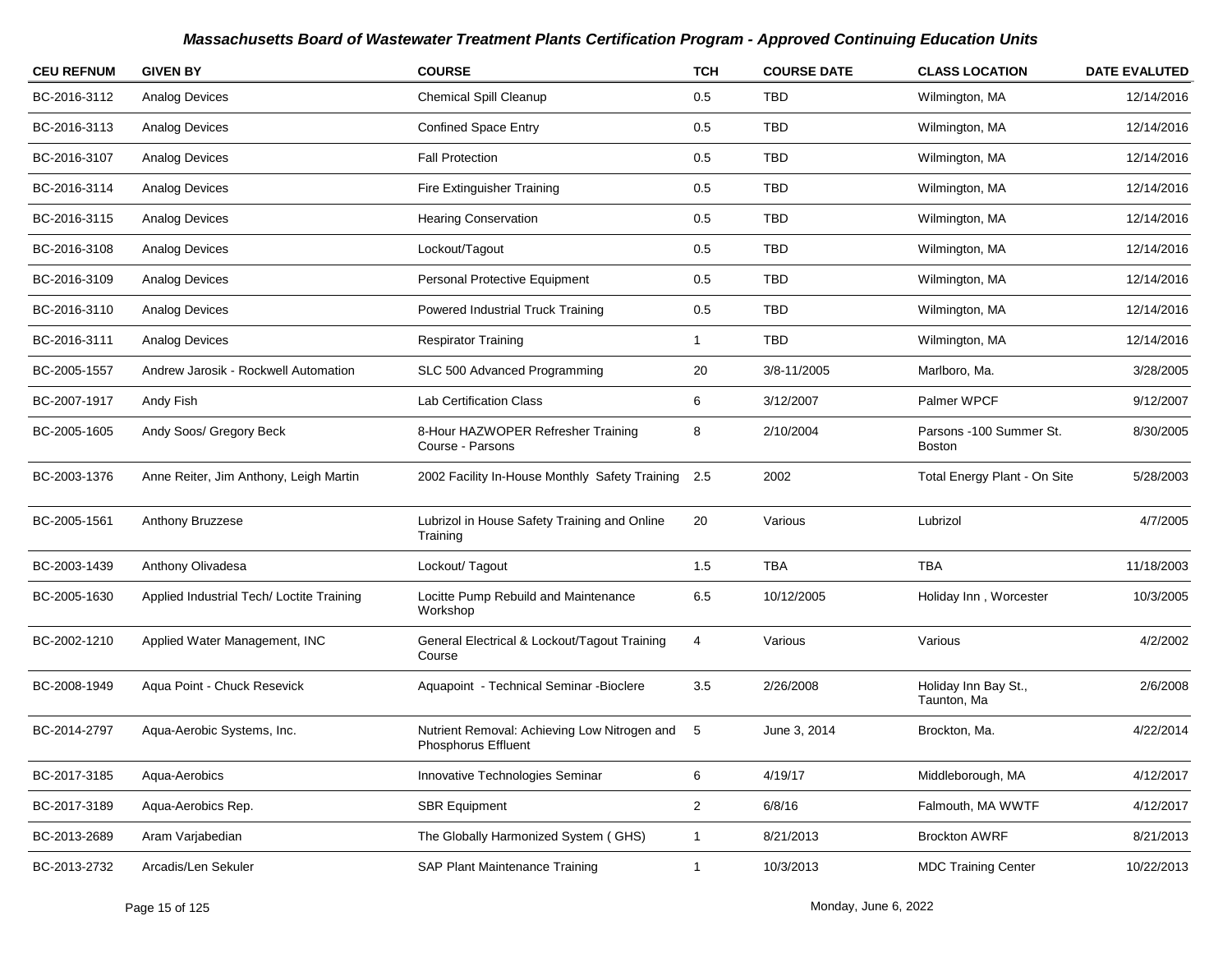| <b>CEU REFNUM</b> | <b>GIVEN BY</b>                           | <b>COURSE</b>                                                       | <b>TCH</b>     | <b>COURSE DATE</b> | <b>CLASS LOCATION</b>                    | <b>DATE EVALUTED</b> |
|-------------------|-------------------------------------------|---------------------------------------------------------------------|----------------|--------------------|------------------------------------------|----------------------|
| BC-2016-3112      | <b>Analog Devices</b>                     | Chemical Spill Cleanup                                              | 0.5            | <b>TBD</b>         | Wilmington, MA                           | 12/14/2016           |
| BC-2016-3113      | <b>Analog Devices</b>                     | <b>Confined Space Entry</b>                                         | 0.5            | TBD                | Wilmington, MA                           | 12/14/2016           |
| BC-2016-3107      | <b>Analog Devices</b>                     | <b>Fall Protection</b>                                              | 0.5            | <b>TBD</b>         | Wilmington, MA                           | 12/14/2016           |
| BC-2016-3114      | <b>Analog Devices</b>                     | Fire Extinguisher Training                                          | 0.5            | <b>TBD</b>         | Wilmington, MA                           | 12/14/2016           |
| BC-2016-3115      | <b>Analog Devices</b>                     | <b>Hearing Conservation</b>                                         | 0.5            | <b>TBD</b>         | Wilmington, MA                           | 12/14/2016           |
| BC-2016-3108      | <b>Analog Devices</b>                     | Lockout/Tagout                                                      | 0.5            | <b>TBD</b>         | Wilmington, MA                           | 12/14/2016           |
| BC-2016-3109      | <b>Analog Devices</b>                     | Personal Protective Equipment                                       | 0.5            | <b>TBD</b>         | Wilmington, MA                           | 12/14/2016           |
| BC-2016-3110      | <b>Analog Devices</b>                     | Powered Industrial Truck Training                                   | 0.5            | <b>TBD</b>         | Wilmington, MA                           | 12/14/2016           |
| BC-2016-3111      | <b>Analog Devices</b>                     | <b>Respirator Training</b>                                          | $\mathbf{1}$   | <b>TBD</b>         | Wilmington, MA                           | 12/14/2016           |
| BC-2005-1557      | Andrew Jarosik - Rockwell Automation      | SLC 500 Advanced Programming                                        | 20             | 3/8-11/2005        | Marlboro, Ma.                            | 3/28/2005            |
| BC-2007-1917      | Andy Fish                                 | <b>Lab Certification Class</b>                                      | 6              | 3/12/2007          | Palmer WPCF                              | 9/12/2007            |
| BC-2005-1605      | Andy Soos/ Gregory Beck                   | 8-Hour HAZWOPER Refresher Training<br>Course - Parsons              | 8              | 2/10/2004          | Parsons -100 Summer St.<br><b>Boston</b> | 8/30/2005            |
| BC-2003-1376      | Anne Reiter, Jim Anthony, Leigh Martin    | 2002 Facility In-House Monthly Safety Training                      | 2.5            | 2002               | Total Energy Plant - On Site             | 5/28/2003            |
| BC-2005-1561      | Anthony Bruzzese                          | Lubrizol in House Safety Training and Online<br>Training            | 20             | Various            | Lubrizol                                 | 4/7/2005             |
| BC-2003-1439      | Anthony Olivadesa                         | Lockout/Tagout                                                      | 1.5            | <b>TBA</b>         | TBA                                      | 11/18/2003           |
| BC-2005-1630      | Applied Industrial Tech/ Loctite Training | Locitte Pump Rebuild and Maintenance<br>Workshop                    | 6.5            | 10/12/2005         | Holiday Inn, Worcester                   | 10/3/2005            |
| BC-2002-1210      | Applied Water Management, INC             | General Electrical & Lockout/Tagout Training<br>Course              | 4              | Various            | Various                                  | 4/2/2002             |
| BC-2008-1949      | Aqua Point - Chuck Resevick               | Aquapoint - Technical Seminar - Bioclere                            | 3.5            | 2/26/2008          | Holiday Inn Bay St.,<br>Taunton, Ma      | 2/6/2008             |
| BC-2014-2797      | Aqua-Aerobic Systems, Inc.                | Nutrient Removal: Achieving Low Nitrogen and<br>Phosphorus Effluent | 5              | June 3, 2014       | Brockton, Ma.                            | 4/22/2014            |
| BC-2017-3185      | Aqua-Aerobics                             | Innovative Technologies Seminar                                     | 6              | 4/19/17            | Middleborough, MA                        | 4/12/2017            |
| BC-2017-3189      | Aqua-Aerobics Rep.                        | <b>SBR Equipment</b>                                                | $\overline{2}$ | 6/8/16             | Falmouth, MA WWTF                        | 4/12/2017            |
| BC-2013-2689      | Aram Varjabedian                          | The Globally Harmonized System (GHS)                                | $\mathbf{1}$   | 8/21/2013          | <b>Brockton AWRF</b>                     | 8/21/2013            |
| BC-2013-2732      | Arcadis/Len Sekuler                       | SAP Plant Maintenance Training                                      | $\mathbf{1}$   | 10/3/2013          | <b>MDC Training Center</b>               | 10/22/2013           |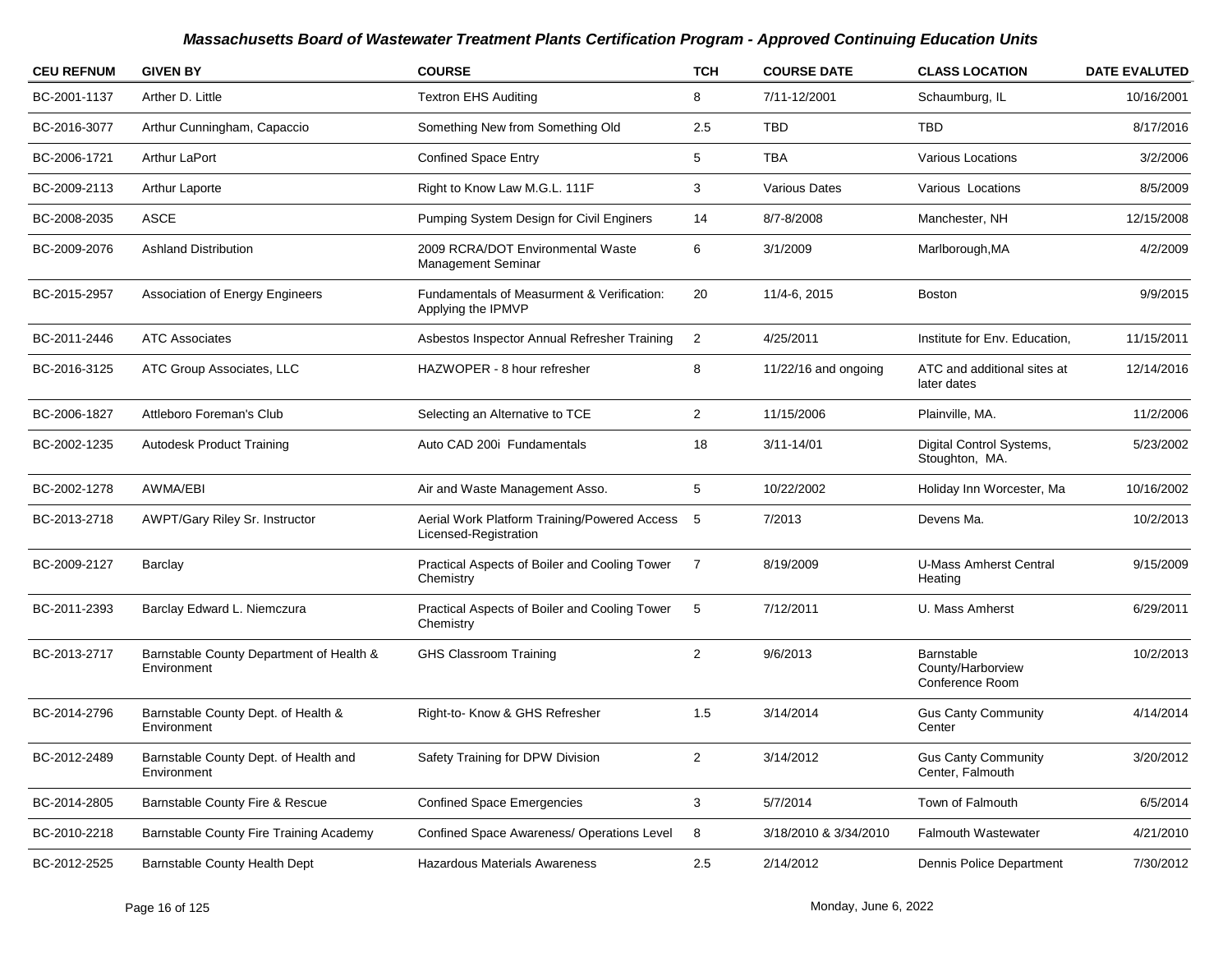| <b>CEU REFNUM</b> | <b>GIVEN BY</b>                                         | <b>COURSE</b>                                                         | <b>TCH</b>     | <b>COURSE DATE</b>     | <b>CLASS LOCATION</b>                              | <b>DATE EVALUTED</b> |
|-------------------|---------------------------------------------------------|-----------------------------------------------------------------------|----------------|------------------------|----------------------------------------------------|----------------------|
| BC-2001-1137      | Arther D. Little                                        | <b>Textron EHS Auditing</b>                                           | 8              | 7/11-12/2001           | Schaumburg, IL                                     | 10/16/2001           |
| BC-2016-3077      | Arthur Cunningham, Capaccio                             | Something New from Something Old                                      | 2.5            | <b>TBD</b>             | TBD                                                | 8/17/2016            |
| BC-2006-1721      | <b>Arthur LaPort</b>                                    | <b>Confined Space Entry</b>                                           | 5              | <b>TBA</b>             | Various Locations                                  | 3/2/2006             |
| BC-2009-2113      | Arthur Laporte                                          | Right to Know Law M.G.L. 111F                                         | 3              | <b>Various Dates</b>   | Various Locations                                  | 8/5/2009             |
| BC-2008-2035      | <b>ASCE</b>                                             | Pumping System Design for Civil Enginers                              | 14             | 8/7-8/2008             | Manchester, NH                                     | 12/15/2008           |
| BC-2009-2076      | <b>Ashland Distribution</b>                             | 2009 RCRA/DOT Environmental Waste<br><b>Management Seminar</b>        | 6              | 3/1/2009               | Marlborough, MA                                    | 4/2/2009             |
| BC-2015-2957      | <b>Association of Energy Engineers</b>                  | Fundamentals of Measurment & Verification:<br>Applying the IPMVP      | 20             | 11/4-6, 2015           | <b>Boston</b>                                      | 9/9/2015             |
| BC-2011-2446      | <b>ATC Associates</b>                                   | Asbestos Inspector Annual Refresher Training                          | 2              | 4/25/2011              | Institute for Env. Education,                      | 11/15/2011           |
| BC-2016-3125      | ATC Group Associates, LLC                               | HAZWOPER - 8 hour refresher                                           | 8              | $11/22/16$ and ongoing | ATC and additional sites at<br>later dates         | 12/14/2016           |
| BC-2006-1827      | Attleboro Foreman's Club                                | Selecting an Alternative to TCE                                       | $\overline{2}$ | 11/15/2006             | Plainville, MA.                                    | 11/2/2006            |
| BC-2002-1235      | <b>Autodesk Product Training</b>                        | Auto CAD 200i Fundamentals                                            | 18             | $3/11 - 14/01$         | Digital Control Systems,<br>Stoughton, MA.         | 5/23/2002            |
| BC-2002-1278      | AWMA/EBI                                                | Air and Waste Management Asso.                                        | 5              | 10/22/2002             | Holiday Inn Worcester, Ma                          | 10/16/2002           |
| BC-2013-2718      | <b>AWPT/Gary Riley Sr. Instructor</b>                   | Aerial Work Platform Training/Powered Access<br>Licensed-Registration | 5              | 7/2013                 | Devens Ma.                                         | 10/2/2013            |
| BC-2009-2127      | Barclay                                                 | Practical Aspects of Boiler and Cooling Tower<br>Chemistry            | $\overline{7}$ | 8/19/2009              | <b>U-Mass Amherst Central</b><br>Heating           | 9/15/2009            |
| BC-2011-2393      | Barclay Edward L. Niemczura                             | Practical Aspects of Boiler and Cooling Tower<br>Chemistry            | 5              | 7/12/2011              | U. Mass Amherst                                    | 6/29/2011            |
| BC-2013-2717      | Barnstable County Department of Health &<br>Environment | <b>GHS Classroom Training</b>                                         | $\overline{2}$ | 9/6/2013               | Barnstable<br>County/Harborview<br>Conference Room | 10/2/2013            |
| BC-2014-2796      | Barnstable County Dept. of Health &<br>Environment      | Right-to- Know & GHS Refresher                                        | 1.5            | 3/14/2014              | <b>Gus Canty Community</b><br>Center               | 4/14/2014            |
| BC-2012-2489      | Barnstable County Dept. of Health and<br>Environment    | Safety Training for DPW Division                                      | $\overline{2}$ | 3/14/2012              | <b>Gus Canty Community</b><br>Center, Falmouth     | 3/20/2012            |
| BC-2014-2805      | Barnstable County Fire & Rescue                         | <b>Confined Space Emergencies</b>                                     | 3              | 5/7/2014               | Town of Falmouth                                   | 6/5/2014             |
| BC-2010-2218      | Barnstable County Fire Training Academy                 | Confined Space Awareness/ Operations Level                            | 8              | 3/18/2010 & 3/34/2010  | <b>Falmouth Wastewater</b>                         | 4/21/2010            |
| BC-2012-2525      | Barnstable County Health Dept                           | <b>Hazardous Materials Awareness</b>                                  | 2.5            | 2/14/2012              | Dennis Police Department                           | 7/30/2012            |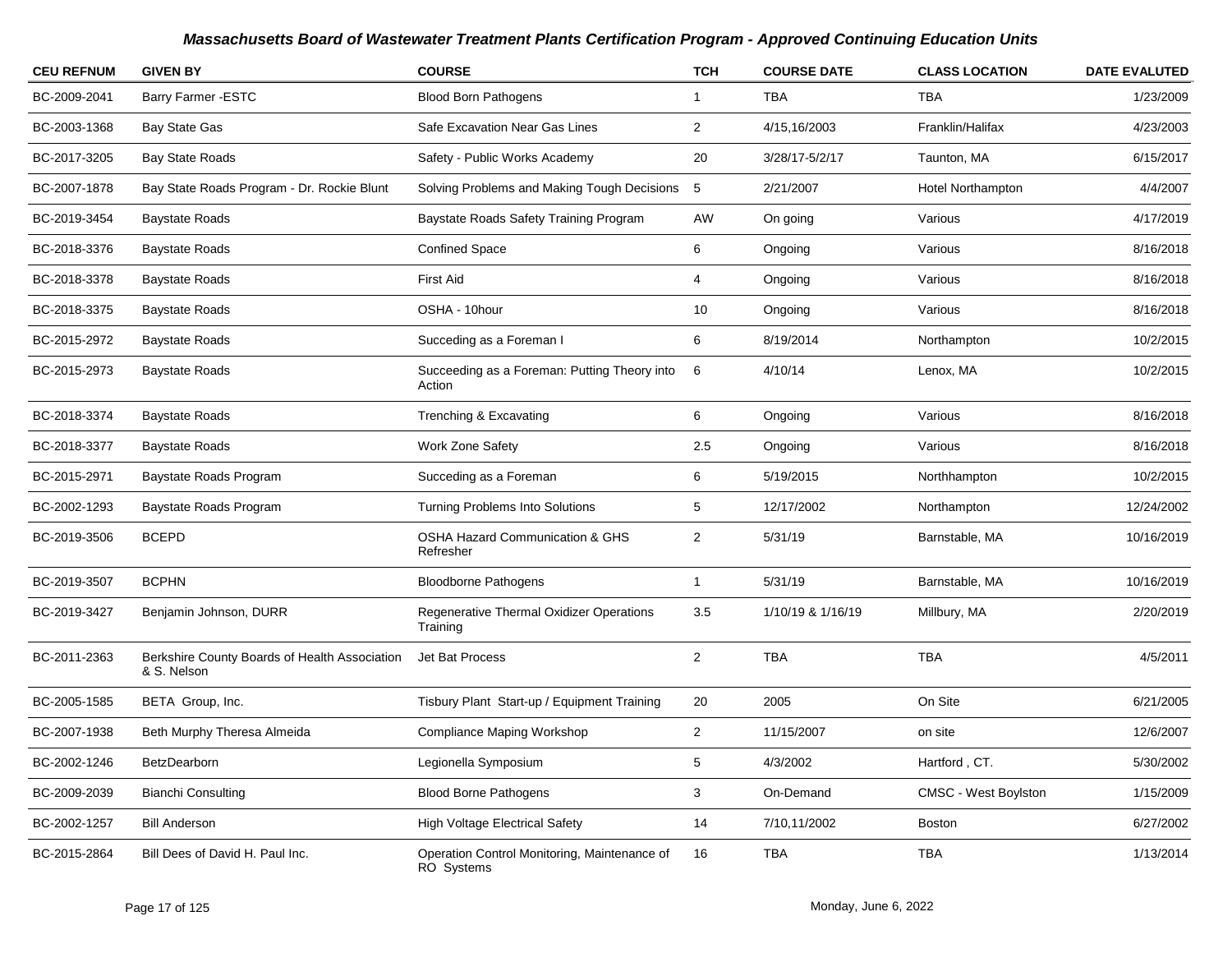| <b>CEU REFNUM</b> | <b>GIVEN BY</b>                                              | <b>COURSE</b>                                              | <b>TCH</b>     | <b>COURSE DATE</b> | <b>CLASS LOCATION</b>       | <b>DATE EVALUTED</b> |
|-------------------|--------------------------------------------------------------|------------------------------------------------------------|----------------|--------------------|-----------------------------|----------------------|
| BC-2009-2041      | <b>Barry Farmer -ESTC</b>                                    | <b>Blood Born Pathogens</b>                                | $\mathbf{1}$   | <b>TBA</b>         | <b>TBA</b>                  | 1/23/2009            |
| BC-2003-1368      | Bay State Gas                                                | Safe Excavation Near Gas Lines                             | $\overline{2}$ | 4/15,16/2003       | Franklin/Halifax            | 4/23/2003            |
| BC-2017-3205      | <b>Bay State Roads</b>                                       | Safety - Public Works Academy                              | 20             | 3/28/17-5/2/17     | Taunton, MA                 | 6/15/2017            |
| BC-2007-1878      | Bay State Roads Program - Dr. Rockie Blunt                   | Solving Problems and Making Tough Decisions 5              |                | 2/21/2007          | <b>Hotel Northampton</b>    | 4/4/2007             |
| BC-2019-3454      | <b>Baystate Roads</b>                                        | Baystate Roads Safety Training Program                     | AW             | On going           | Various                     | 4/17/2019            |
| BC-2018-3376      | <b>Baystate Roads</b>                                        | <b>Confined Space</b>                                      | 6              | Ongoing            | Various                     | 8/16/2018            |
| BC-2018-3378      | <b>Baystate Roads</b>                                        | <b>First Aid</b>                                           | 4              | Ongoing            | Various                     | 8/16/2018            |
| BC-2018-3375      | <b>Baystate Roads</b>                                        | OSHA - 10hour                                              | 10             | Ongoing            | Various                     | 8/16/2018            |
| BC-2015-2972      | <b>Baystate Roads</b>                                        | Succeding as a Foreman I                                   | 6              | 8/19/2014          | Northampton                 | 10/2/2015            |
| BC-2015-2973      | <b>Baystate Roads</b>                                        | Succeeding as a Foreman: Putting Theory into<br>Action     | 6              | 4/10/14            | Lenox, MA                   | 10/2/2015            |
| BC-2018-3374      | <b>Baystate Roads</b>                                        | Trenching & Excavating                                     | 6              | Ongoing            | Various                     | 8/16/2018            |
| BC-2018-3377      | <b>Baystate Roads</b>                                        | Work Zone Safety                                           | 2.5            | Ongoing            | Various                     | 8/16/2018            |
| BC-2015-2971      | Baystate Roads Program                                       | Succeding as a Foreman                                     | 6              | 5/19/2015          | Northhampton                | 10/2/2015            |
| BC-2002-1293      | Baystate Roads Program                                       | Turning Problems Into Solutions                            | 5              | 12/17/2002         | Northampton                 | 12/24/2002           |
| BC-2019-3506      | <b>BCEPD</b>                                                 | OSHA Hazard Communication & GHS<br>Refresher               | $\overline{2}$ | 5/31/19            | Barnstable, MA              | 10/16/2019           |
| BC-2019-3507      | <b>BCPHN</b>                                                 | <b>Bloodborne Pathogens</b>                                | $\mathbf{1}$   | 5/31/19            | Barnstable, MA              | 10/16/2019           |
| BC-2019-3427      | Benjamin Johnson, DURR                                       | Regenerative Thermal Oxidizer Operations<br>Training       | 3.5            | 1/10/19 & 1/16/19  | Millbury, MA                | 2/20/2019            |
| BC-2011-2363      | Berkshire County Boards of Health Association<br>& S. Nelson | Jet Bat Process                                            | $\overline{2}$ | <b>TBA</b>         | <b>TBA</b>                  | 4/5/2011             |
| BC-2005-1585      | BETA Group, Inc.                                             | Tisbury Plant Start-up / Equipment Training                | 20             | 2005               | On Site                     | 6/21/2005            |
| BC-2007-1938      | Beth Murphy Theresa Almeida                                  | Compliance Maping Workshop                                 | $\overline{2}$ | 11/15/2007         | on site                     | 12/6/2007            |
| BC-2002-1246      | BetzDearborn                                                 | Legionella Symposium                                       | 5              | 4/3/2002           | Hartford, CT.               | 5/30/2002            |
| BC-2009-2039      | <b>Bianchi Consulting</b>                                    | <b>Blood Borne Pathogens</b>                               | 3              | On-Demand          | <b>CMSC - West Boylston</b> | 1/15/2009            |
| BC-2002-1257      | <b>Bill Anderson</b>                                         | <b>High Voltage Electrical Safety</b>                      | 14             | 7/10,11/2002       | Boston                      | 6/27/2002            |
| BC-2015-2864      | Bill Dees of David H. Paul Inc.                              | Operation Control Monitoring, Maintenance of<br>RO Systems | 16             | TBA                | TBA                         | 1/13/2014            |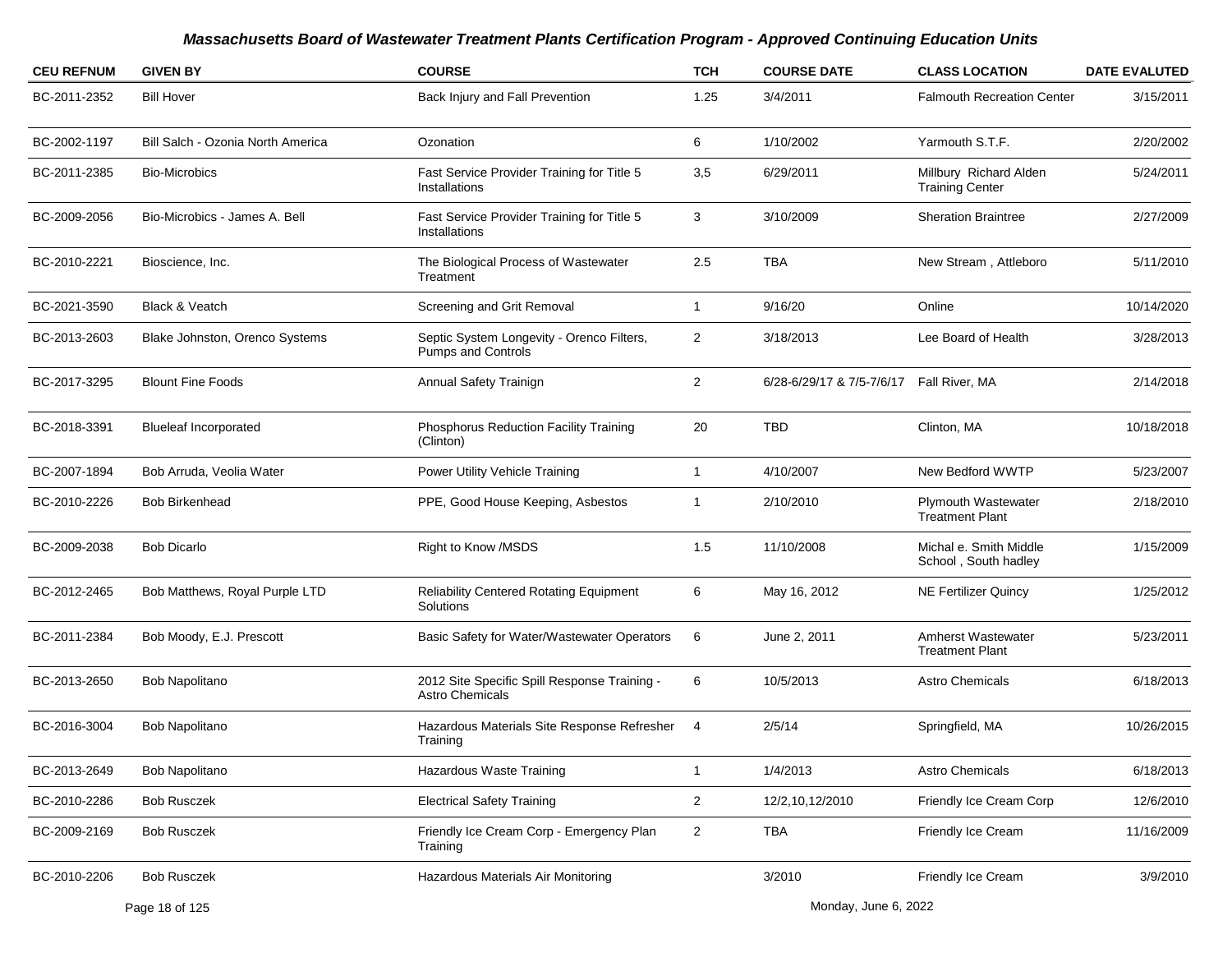| <b>CEU REFNUM</b> | <b>GIVEN BY</b>                   | <b>COURSE</b>                                                          | TCH            | <b>COURSE DATE</b>                        | <b>CLASS LOCATION</b>                               | <b>DATE EVALUTED</b> |
|-------------------|-----------------------------------|------------------------------------------------------------------------|----------------|-------------------------------------------|-----------------------------------------------------|----------------------|
| BC-2011-2352      | <b>Bill Hover</b>                 | Back Injury and Fall Prevention                                        | 1.25           | 3/4/2011                                  | <b>Falmouth Recreation Center</b>                   | 3/15/2011            |
| BC-2002-1197      | Bill Salch - Ozonia North America | Ozonation                                                              | 6              | 1/10/2002                                 | Yarmouth S.T.F.                                     | 2/20/2002            |
| BC-2011-2385      | <b>Bio-Microbics</b>              | Fast Service Provider Training for Title 5<br>Installations            | 3,5            | 6/29/2011                                 | Millbury Richard Alden<br><b>Training Center</b>    | 5/24/2011            |
| BC-2009-2056      | Bio-Microbics - James A. Bell     | Fast Service Provider Training for Title 5<br>Installations            | 3              | 3/10/2009                                 | <b>Sheration Braintree</b>                          | 2/27/2009            |
| BC-2010-2221      | Bioscience, Inc.                  | The Biological Process of Wastewater<br>Treatment                      | 2.5            | <b>TBA</b>                                | New Stream, Attleboro                               | 5/11/2010            |
| BC-2021-3590      | Black & Veatch                    | Screening and Grit Removal                                             | 1              | 9/16/20                                   | Online                                              | 10/14/2020           |
| BC-2013-2603      | Blake Johnston, Orenco Systems    | Septic System Longevity - Orenco Filters,<br>Pumps and Controls        | $\overline{2}$ | 3/18/2013                                 | Lee Board of Health                                 | 3/28/2013            |
| BC-2017-3295      | <b>Blount Fine Foods</b>          | Annual Safety Trainign                                                 | $\overline{2}$ | 6/28-6/29/17 & 7/5-7/6/17  Fall River, MA |                                                     | 2/14/2018            |
| BC-2018-3391      | <b>Blueleaf Incorporated</b>      | Phosphorus Reduction Facility Training<br>(Clinton)                    | 20             | <b>TBD</b>                                | Clinton, MA                                         | 10/18/2018           |
| BC-2007-1894      | Bob Arruda, Veolia Water          | Power Utility Vehicle Training                                         | 1              | 4/10/2007                                 | New Bedford WWTP                                    | 5/23/2007            |
| BC-2010-2226      | <b>Bob Birkenhead</b>             | PPE, Good House Keeping, Asbestos                                      | -1             | 2/10/2010                                 | Plymouth Wastewater<br><b>Treatment Plant</b>       | 2/18/2010            |
| BC-2009-2038      | <b>Bob Dicarlo</b>                | Right to Know /MSDS                                                    | 1.5            | 11/10/2008                                | Michal e. Smith Middle<br>School, South hadley      | 1/15/2009            |
| BC-2012-2465      | Bob Matthews, Royal Purple LTD    | <b>Reliability Centered Rotating Equipment</b><br>Solutions            | 6              | May 16, 2012                              | <b>NE Fertilizer Quincy</b>                         | 1/25/2012            |
| BC-2011-2384      | Bob Moody, E.J. Prescott          | Basic Safety for Water/Wastewater Operators                            | 6              | June 2, 2011                              | <b>Amherst Wastewater</b><br><b>Treatment Plant</b> | 5/23/2011            |
| BC-2013-2650      | <b>Bob Napolitano</b>             | 2012 Site Specific Spill Response Training -<br><b>Astro Chemicals</b> | 6              | 10/5/2013                                 | <b>Astro Chemicals</b>                              | 6/18/2013            |
| BC-2016-3004      | Bob Napolitano                    | Hazardous Materials Site Response Refresher 4<br>Training              |                | 2/5/14                                    | Springfield, MA                                     | 10/26/2015           |
| BC-2013-2649      | Bob Napolitano                    | <b>Hazardous Waste Training</b>                                        | $\mathbf{1}$   | 1/4/2013                                  | Astro Chemicals                                     | 6/18/2013            |
| BC-2010-2286      | <b>Bob Rusczek</b>                | <b>Electrical Safety Training</b>                                      | $\overline{2}$ | 12/2,10,12/2010                           | Friendly Ice Cream Corp                             | 12/6/2010            |
| BC-2009-2169      | <b>Bob Rusczek</b>                | Friendly Ice Cream Corp - Emergency Plan<br>Training                   | $\overline{a}$ | <b>TBA</b>                                | Friendly Ice Cream                                  | 11/16/2009           |
| BC-2010-2206      | <b>Bob Rusczek</b>                | Hazardous Materials Air Monitoring                                     |                | 3/2010                                    | Friendly Ice Cream                                  | 3/9/2010             |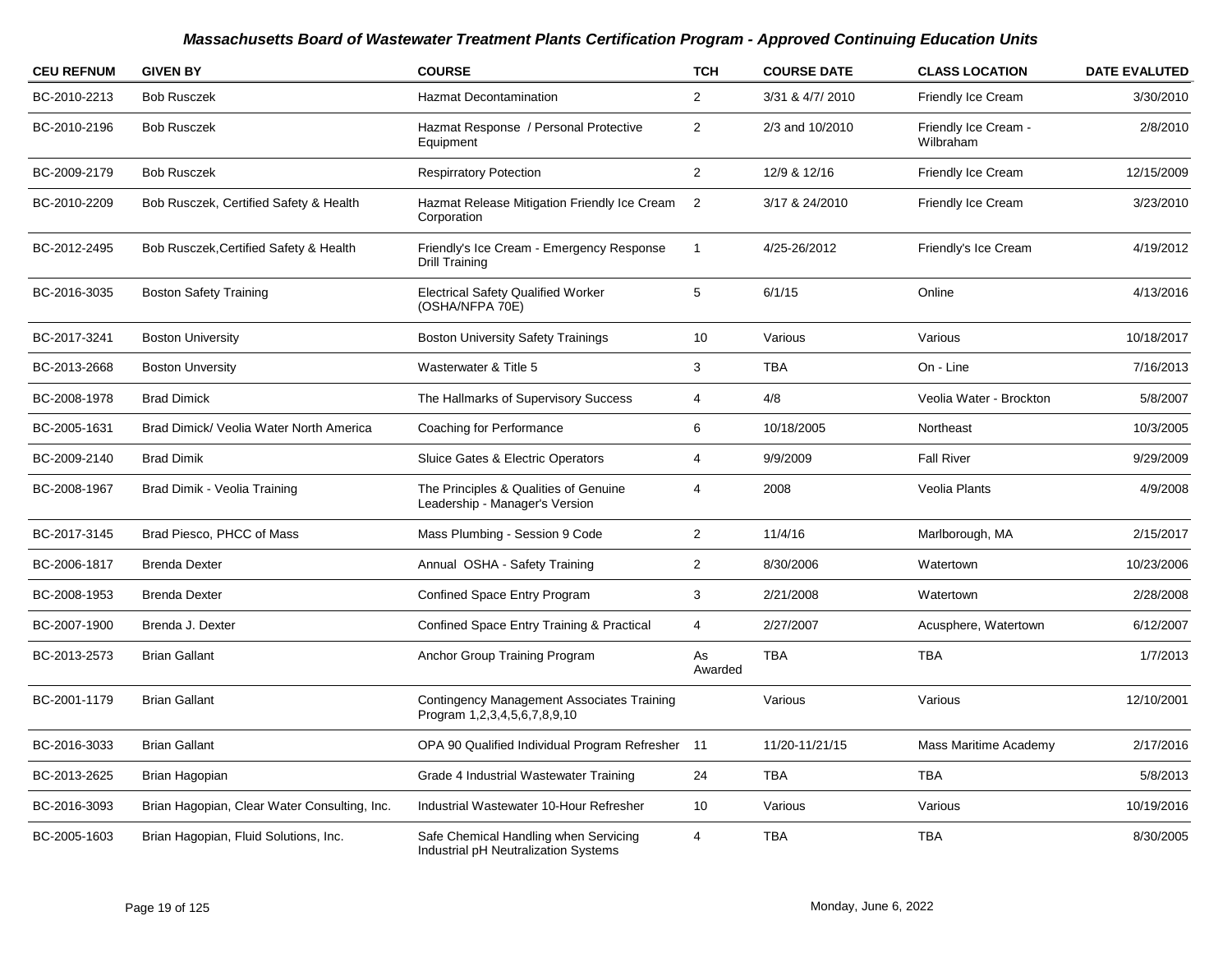| <b>CEU REFNUM</b> | <b>GIVEN BY</b>                              | <b>COURSE</b>                                                                     | <b>TCH</b>              | <b>COURSE DATE</b> | <b>CLASS LOCATION</b>             | <b>DATE EVALUTED</b> |
|-------------------|----------------------------------------------|-----------------------------------------------------------------------------------|-------------------------|--------------------|-----------------------------------|----------------------|
| BC-2010-2213      | <b>Bob Rusczek</b>                           | <b>Hazmat Decontamination</b>                                                     | $\overline{2}$          | 3/31 & 4/7/ 2010   | Friendly Ice Cream                | 3/30/2010            |
| BC-2010-2196      | <b>Bob Rusczek</b>                           | Hazmat Response / Personal Protective<br>Equipment                                | $\overline{\mathbf{c}}$ | 2/3 and 10/2010    | Friendly Ice Cream -<br>Wilbraham | 2/8/2010             |
| BC-2009-2179      | <b>Bob Rusczek</b>                           | <b>Respirratory Potection</b>                                                     | $\overline{2}$          | 12/9 & 12/16       | Friendly Ice Cream                | 12/15/2009           |
| BC-2010-2209      | Bob Rusczek, Certified Safety & Health       | Hazmat Release Mitigation Friendly Ice Cream<br>Corporation                       | $\overline{2}$          | 3/17 & 24/2010     | Friendly Ice Cream                | 3/23/2010            |
| BC-2012-2495      | Bob Rusczek, Certified Safety & Health       | Friendly's Ice Cream - Emergency Response<br>Drill Training                       | $\mathbf{1}$            | 4/25-26/2012       | Friendly's Ice Cream              | 4/19/2012            |
| BC-2016-3035      | <b>Boston Safety Training</b>                | <b>Electrical Safety Qualified Worker</b><br>(OSHA/NFPA 70E)                      | 5                       | 6/1/15             | Online                            | 4/13/2016            |
| BC-2017-3241      | <b>Boston University</b>                     | <b>Boston University Safety Trainings</b>                                         | 10                      | Various            | Various                           | 10/18/2017           |
| BC-2013-2668      | <b>Boston Unversity</b>                      | Wasterwater & Title 5                                                             | 3                       | <b>TBA</b>         | On - Line                         | 7/16/2013            |
| BC-2008-1978      | <b>Brad Dimick</b>                           | The Hallmarks of Supervisory Success                                              | 4                       | 4/8                | Veolia Water - Brockton           | 5/8/2007             |
| BC-2005-1631      | Brad Dimick/ Veolia Water North America      | Coaching for Performance                                                          | 6                       | 10/18/2005         | Northeast                         | 10/3/2005            |
| BC-2009-2140      | <b>Brad Dimik</b>                            | Sluice Gates & Electric Operators                                                 | 4                       | 9/9/2009           | <b>Fall River</b>                 | 9/29/2009            |
| BC-2008-1967      | Brad Dimik - Veolia Training                 | The Principles & Qualities of Genuine<br>Leadership - Manager's Version           | 4                       | 2008               | Veolia Plants                     | 4/9/2008             |
| BC-2017-3145      | Brad Piesco, PHCC of Mass                    | Mass Plumbing - Session 9 Code                                                    | $\mathbf{2}$            | 11/4/16            | Marlborough, MA                   | 2/15/2017            |
| BC-2006-1817      | <b>Brenda Dexter</b>                         | Annual OSHA - Safety Training                                                     | $\overline{c}$          | 8/30/2006          | Watertown                         | 10/23/2006           |
| BC-2008-1953      | <b>Brenda Dexter</b>                         | Confined Space Entry Program                                                      | 3                       | 2/21/2008          | Watertown                         | 2/28/2008            |
| BC-2007-1900      | Brenda J. Dexter                             | Confined Space Entry Training & Practical                                         | 4                       | 2/27/2007          | Acusphere, Watertown              | 6/12/2007            |
| BC-2013-2573      | <b>Brian Gallant</b>                         | Anchor Group Training Program                                                     | As<br>Awarded           | <b>TBA</b>         | <b>TBA</b>                        | 1/7/2013             |
| BC-2001-1179      | <b>Brian Gallant</b>                         | <b>Contingency Management Associates Training</b><br>Program 1,2,3,4,5,6,7,8,9,10 |                         | Various            | Various                           | 12/10/2001           |
| BC-2016-3033      | <b>Brian Gallant</b>                         | OPA 90 Qualified Individual Program Refresher 11                                  |                         | 11/20-11/21/15     | Mass Maritime Academy             | 2/17/2016            |
| BC-2013-2625      | Brian Hagopian                               | Grade 4 Industrial Wastewater Training                                            | 24                      | <b>TBA</b>         | <b>TBA</b>                        | 5/8/2013             |
| BC-2016-3093      | Brian Hagopian, Clear Water Consulting, Inc. | Industrial Wastewater 10-Hour Refresher                                           | 10                      | Various            | Various                           | 10/19/2016           |
| BC-2005-1603      | Brian Hagopian, Fluid Solutions, Inc.        | Safe Chemical Handling when Servicing<br>Industrial pH Neutralization Systems     | 4                       | <b>TBA</b>         | <b>TBA</b>                        | 8/30/2005            |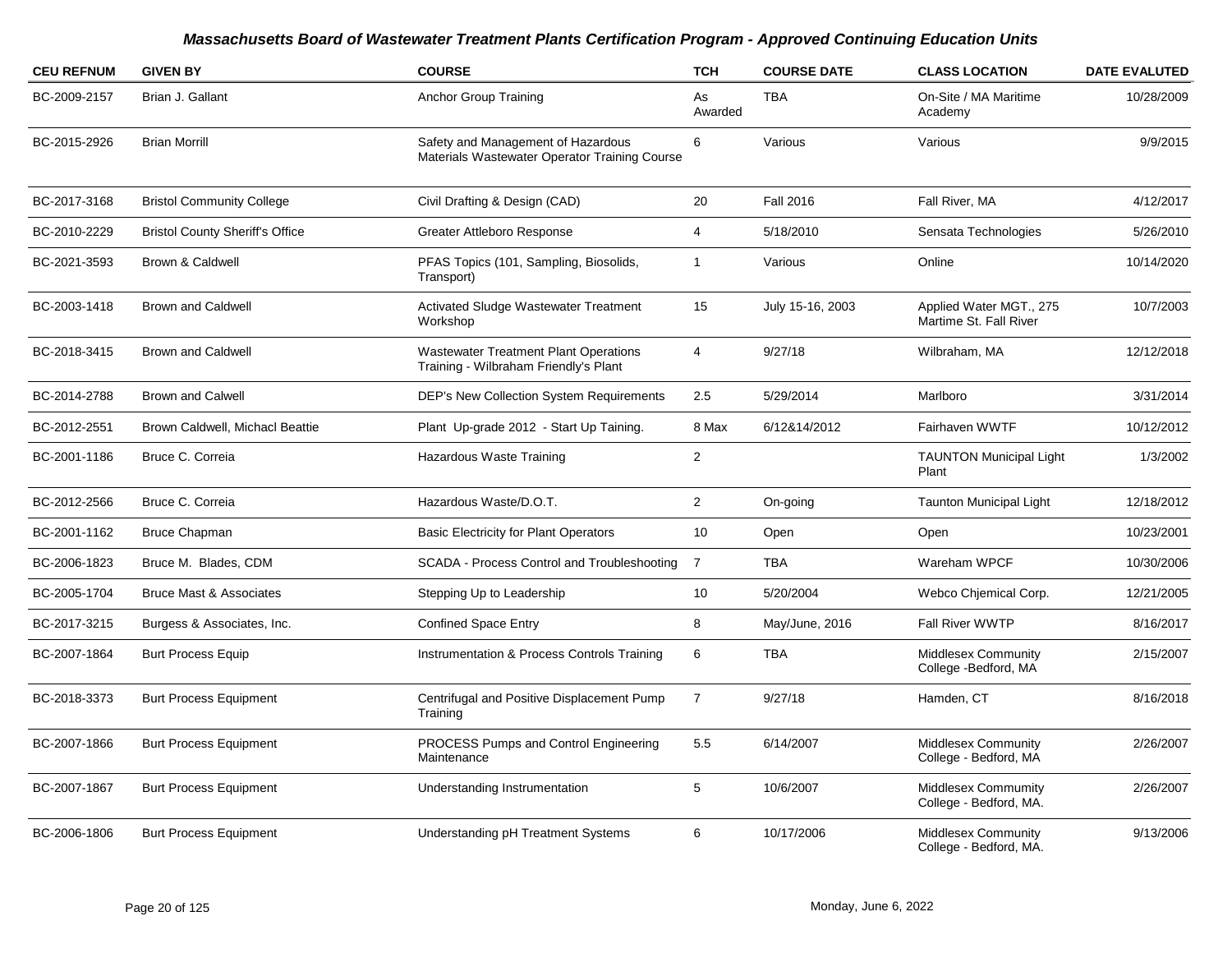| <b>CEU REFNUM</b> | <b>GIVEN BY</b>                        | <b>COURSE</b>                                                                         | <b>TCH</b>              | <b>COURSE DATE</b> | <b>CLASS LOCATION</b>                              | <b>DATE EVALUTED</b> |
|-------------------|----------------------------------------|---------------------------------------------------------------------------------------|-------------------------|--------------------|----------------------------------------------------|----------------------|
| BC-2009-2157      | Brian J. Gallant                       | Anchor Group Training                                                                 | As<br>Awarded           | <b>TBA</b>         | On-Site / MA Maritime<br>Academy                   | 10/28/2009           |
| BC-2015-2926      | <b>Brian Morrill</b>                   | Safety and Management of Hazardous<br>Materials Wastewater Operator Training Course   | 6                       | Various            | Various                                            | 9/9/2015             |
| BC-2017-3168      | <b>Bristol Community College</b>       | Civil Drafting & Design (CAD)                                                         | 20                      | <b>Fall 2016</b>   | Fall River, MA                                     | 4/12/2017            |
| BC-2010-2229      | <b>Bristol County Sheriff's Office</b> | Greater Attleboro Response                                                            | 4                       | 5/18/2010          | Sensata Technologies                               | 5/26/2010            |
| BC-2021-3593      | Brown & Caldwell                       | PFAS Topics (101, Sampling, Biosolids,<br>Transport)                                  | 1                       | Various            | Online                                             | 10/14/2020           |
| BC-2003-1418      | <b>Brown and Caldwell</b>              | <b>Activated Sludge Wastewater Treatment</b><br>Workshop                              | 15                      | July 15-16, 2003   | Applied Water MGT., 275<br>Martime St. Fall River  | 10/7/2003            |
| BC-2018-3415      | <b>Brown and Caldwell</b>              | <b>Wastewater Treatment Plant Operations</b><br>Training - Wilbraham Friendly's Plant | 4                       | 9/27/18            | Wilbraham, MA                                      | 12/12/2018           |
| BC-2014-2788      | <b>Brown and Calwell</b>               | <b>DEP's New Collection System Requirements</b>                                       | 2.5                     | 5/29/2014          | Marlboro                                           | 3/31/2014            |
| BC-2012-2551      | Brown Caldwell, Michacl Beattie        | Plant Up-grade 2012 - Start Up Taining.                                               | 8 Max                   | 6/12&14/2012       | Fairhaven WWTF                                     | 10/12/2012           |
| BC-2001-1186      | Bruce C. Correia                       | Hazardous Waste Training                                                              | $\overline{\mathbf{c}}$ |                    | <b>TAUNTON Municipal Light</b><br>Plant            | 1/3/2002             |
| BC-2012-2566      | Bruce C. Correia                       | Hazardous Waste/D.O.T.                                                                | $\overline{2}$          | On-going           | <b>Taunton Municipal Light</b>                     | 12/18/2012           |
| BC-2001-1162      | <b>Bruce Chapman</b>                   | <b>Basic Electricity for Plant Operators</b>                                          | 10                      | Open               | Open                                               | 10/23/2001           |
| BC-2006-1823      | Bruce M. Blades, CDM                   | SCADA - Process Control and Troubleshooting                                           | $\overline{7}$          | <b>TBA</b>         | Wareham WPCF                                       | 10/30/2006           |
| BC-2005-1704      | <b>Bruce Mast &amp; Associates</b>     | Stepping Up to Leadership                                                             | 10                      | 5/20/2004          | Webco Chjemical Corp.                              | 12/21/2005           |
| BC-2017-3215      | Burgess & Associates, Inc.             | <b>Confined Space Entry</b>                                                           | 8                       | May/June, 2016     | <b>Fall River WWTP</b>                             | 8/16/2017            |
| BC-2007-1864      | <b>Burt Process Equip</b>              | Instrumentation & Process Controls Training                                           | 6                       | TBA                | <b>Middlesex Community</b><br>College -Bedford, MA | 2/15/2007            |
| BC-2018-3373      | <b>Burt Process Equipment</b>          | Centrifugal and Positive Displacement Pump<br>Training                                | $\overline{7}$          | 9/27/18            | Hamden, CT                                         | 8/16/2018            |
| BC-2007-1866      | <b>Burt Process Equipment</b>          | PROCESS Pumps and Control Engineering<br>Maintenance                                  | 5.5                     | 6/14/2007          | Middlesex Community<br>College - Bedford, MA       | 2/26/2007            |
| BC-2007-1867      | <b>Burt Process Equipment</b>          | Understanding Instrumentation                                                         | 5                       | 10/6/2007          | Middlesex Commumity<br>College - Bedford, MA.      | 2/26/2007            |
| BC-2006-1806      | <b>Burt Process Equipment</b>          | Understanding pH Treatment Systems                                                    | 6                       | 10/17/2006         | Middlesex Community<br>College - Bedford, MA.      | 9/13/2006            |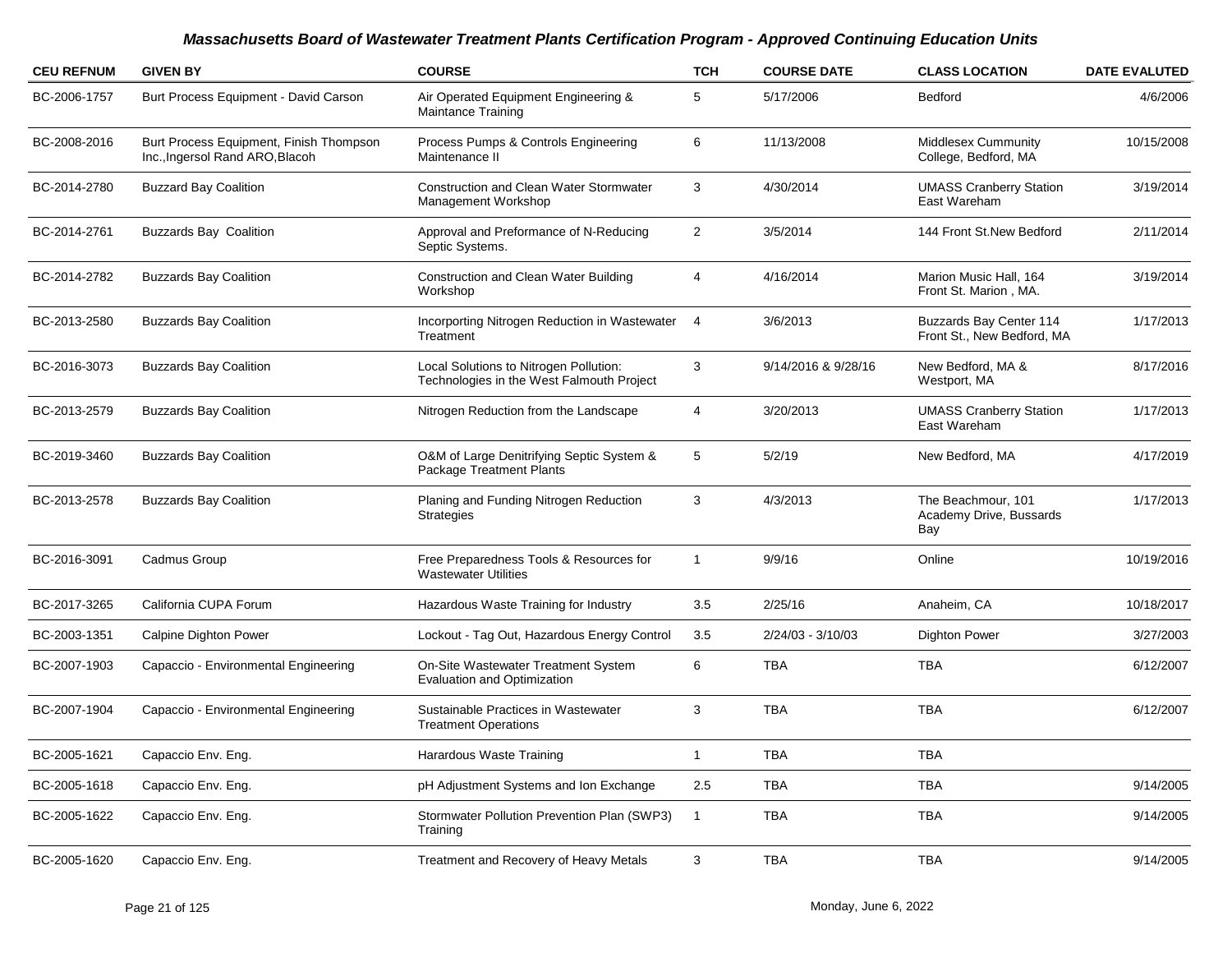| <b>CEU REFNUM</b> | <b>GIVEN BY</b>                                                            | <b>COURSE</b>                                                                       | <b>TCH</b>              | <b>COURSE DATE</b>  | <b>CLASS LOCATION</b>                                 | <b>DATE EVALUTED</b> |
|-------------------|----------------------------------------------------------------------------|-------------------------------------------------------------------------------------|-------------------------|---------------------|-------------------------------------------------------|----------------------|
| BC-2006-1757      | Burt Process Equipment - David Carson                                      | Air Operated Equipment Engineering &<br><b>Maintance Training</b>                   | 5                       | 5/17/2006           | <b>Bedford</b>                                        | 4/6/2006             |
| BC-2008-2016      | Burt Process Equipment, Finish Thompson<br>Inc., Ingersol Rand ARO, Blacoh | Process Pumps & Controls Engineering<br>Maintenance II                              | 6                       | 11/13/2008          | Middlesex Cummunity<br>College, Bedford, MA           | 10/15/2008           |
| BC-2014-2780      | <b>Buzzard Bay Coalition</b>                                               | <b>Construction and Clean Water Stormwater</b><br>Management Workshop               | 3                       | 4/30/2014           | <b>UMASS Cranberry Station</b><br>East Wareham        | 3/19/2014            |
| BC-2014-2761      | <b>Buzzards Bay Coalition</b>                                              | Approval and Preformance of N-Reducing<br>Septic Systems.                           | $\overline{\mathbf{c}}$ | 3/5/2014            | 144 Front St.New Bedford                              | 2/11/2014            |
| BC-2014-2782      | <b>Buzzards Bay Coalition</b>                                              | Construction and Clean Water Building<br>Workshop                                   | 4                       | 4/16/2014           | Marion Music Hall, 164<br>Front St. Marion, MA.       | 3/19/2014            |
| BC-2013-2580      | <b>Buzzards Bay Coalition</b>                                              | Incorporting Nitrogen Reduction in Wastewater<br>Treatment                          | $\overline{4}$          | 3/6/2013            | Buzzards Bay Center 114<br>Front St., New Bedford, MA | 1/17/2013            |
| BC-2016-3073      | <b>Buzzards Bay Coalition</b>                                              | Local Solutions to Nitrogen Pollution:<br>Technologies in the West Falmouth Project | 3                       | 9/14/2016 & 9/28/16 | New Bedford, MA &<br>Westport, MA                     | 8/17/2016            |
| BC-2013-2579      | <b>Buzzards Bay Coalition</b>                                              | Nitrogen Reduction from the Landscape                                               | 4                       | 3/20/2013           | <b>UMASS Cranberry Station</b><br>East Wareham        | 1/17/2013            |
| BC-2019-3460      | <b>Buzzards Bay Coalition</b>                                              | O&M of Large Denitrifying Septic System &<br><b>Package Treatment Plants</b>        | 5                       | 5/2/19              | New Bedford, MA                                       | 4/17/2019            |
| BC-2013-2578      | <b>Buzzards Bay Coalition</b>                                              | Planing and Funding Nitrogen Reduction<br><b>Strategies</b>                         | 3                       | 4/3/2013            | The Beachmour, 101<br>Academy Drive, Bussards<br>Bay  | 1/17/2013            |
| BC-2016-3091      | Cadmus Group                                                               | Free Preparedness Tools & Resources for<br><b>Wastewater Utilities</b>              | 1                       | 9/9/16              | Online                                                | 10/19/2016           |
| BC-2017-3265      | California CUPA Forum                                                      | Hazardous Waste Training for Industry                                               | 3.5                     | 2/25/16             | Anaheim, CA                                           | 10/18/2017           |
| BC-2003-1351      | Calpine Dighton Power                                                      | Lockout - Tag Out, Hazardous Energy Control                                         | 3.5                     | 2/24/03 - 3/10/03   | <b>Dighton Power</b>                                  | 3/27/2003            |
| BC-2007-1903      | Capaccio - Environmental Engineering                                       | On-Site Wastewater Treatment System<br><b>Evaluation and Optimization</b>           | 6                       | <b>TBA</b>          | <b>TBA</b>                                            | 6/12/2007            |
| BC-2007-1904      | Capaccio - Environmental Engineering                                       | Sustainable Practices in Wastewater<br><b>Treatment Operations</b>                  | 3                       | <b>TBA</b>          | <b>TBA</b>                                            | 6/12/2007            |
| BC-2005-1621      | Capaccio Env. Eng.                                                         | Harardous Waste Training                                                            | $\mathbf{1}$            | <b>TBA</b>          | <b>TBA</b>                                            |                      |
| BC-2005-1618      | Capaccio Env. Eng.                                                         | pH Adjustment Systems and Ion Exchange                                              | 2.5                     | <b>TBA</b>          | <b>TBA</b>                                            | 9/14/2005            |
| BC-2005-1622      | Capaccio Env. Eng.                                                         | Stormwater Pollution Prevention Plan (SWP3)<br>Training                             | $\mathbf 1$             | <b>TBA</b>          | <b>TBA</b>                                            | 9/14/2005            |
| BC-2005-1620      | Capaccio Env. Eng.                                                         | Treatment and Recovery of Heavy Metals                                              | 3                       | <b>TBA</b>          | <b>TBA</b>                                            | 9/14/2005            |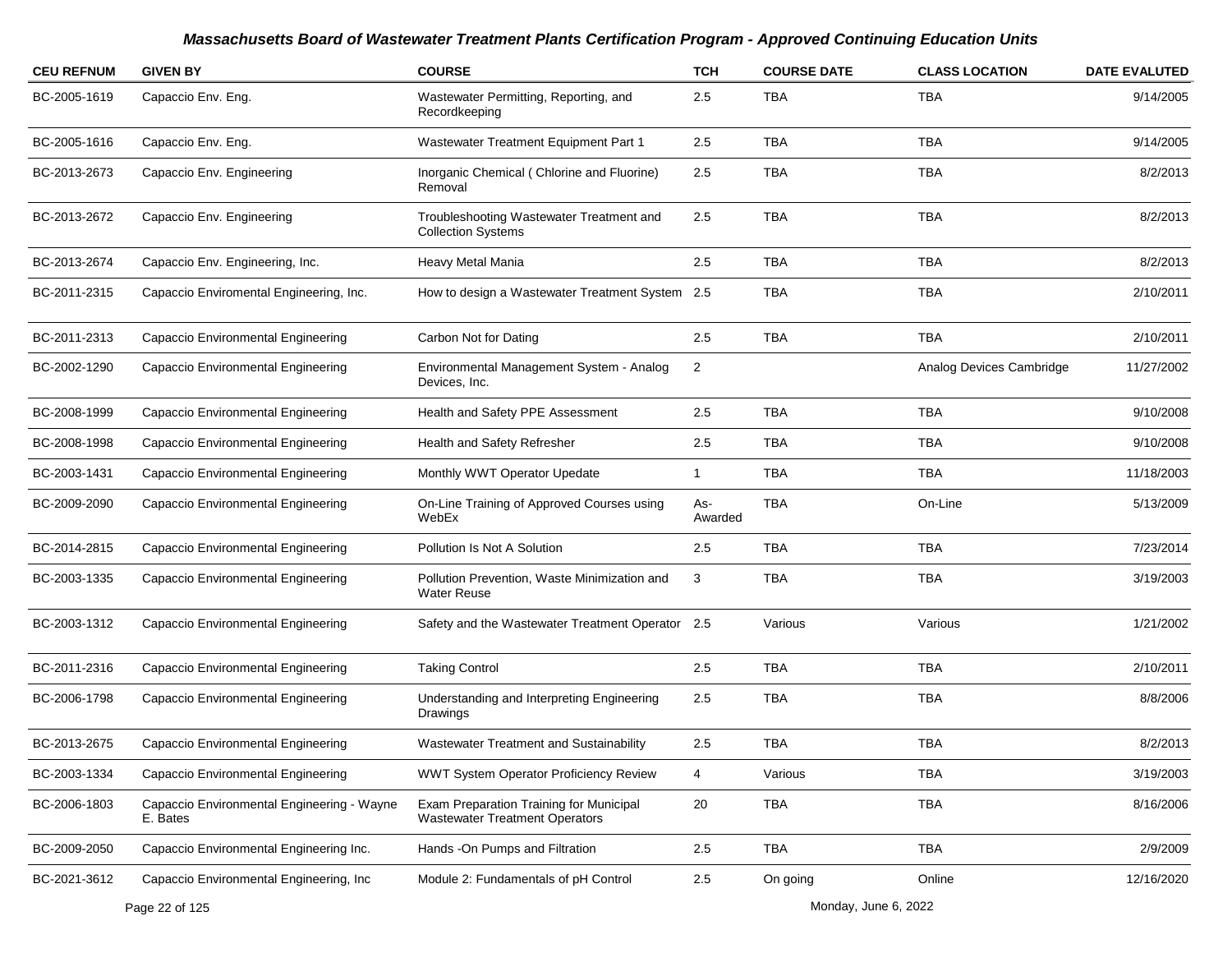| <b>CEU REFNUM</b> | <b>GIVEN BY</b>                                        | <b>COURSE</b>                                                                    | <b>TCH</b>     | <b>COURSE DATE</b>   | <b>CLASS LOCATION</b>    | <b>DATE EVALUTED</b> |
|-------------------|--------------------------------------------------------|----------------------------------------------------------------------------------|----------------|----------------------|--------------------------|----------------------|
| BC-2005-1619      | Capaccio Env. Eng.                                     | Wastewater Permitting, Reporting, and<br>Recordkeeping                           | 2.5            | TBA                  | TBA                      | 9/14/2005            |
| BC-2005-1616      | Capaccio Env. Eng.                                     | Wastewater Treatment Equipment Part 1                                            | 2.5            | <b>TBA</b>           | <b>TBA</b>               | 9/14/2005            |
| BC-2013-2673      | Capaccio Env. Engineering                              | Inorganic Chemical (Chlorine and Fluorine)<br>Removal                            | 2.5            | <b>TBA</b>           | <b>TBA</b>               | 8/2/2013             |
| BC-2013-2672      | Capaccio Env. Engineering                              | Troubleshooting Wastewater Treatment and<br><b>Collection Systems</b>            | 2.5            | <b>TBA</b>           | <b>TBA</b>               | 8/2/2013             |
| BC-2013-2674      | Capaccio Env. Engineering, Inc.                        | Heavy Metal Mania                                                                | 2.5            | <b>TBA</b>           | <b>TBA</b>               | 8/2/2013             |
| BC-2011-2315      | Capaccio Enviromental Engineering, Inc.                | How to design a Wastewater Treatment System 2.5                                  |                | <b>TBA</b>           | <b>TBA</b>               | 2/10/2011            |
| BC-2011-2313      | Capaccio Environmental Engineering                     | Carbon Not for Dating                                                            | 2.5            | <b>TBA</b>           | <b>TBA</b>               | 2/10/2011            |
| BC-2002-1290      | Capaccio Environmental Engineering                     | Environmental Management System - Analog<br>Devices, Inc.                        | $\overline{c}$ |                      | Analog Devices Cambridge | 11/27/2002           |
| BC-2008-1999      | Capaccio Environmental Engineering                     | Health and Safety PPE Assessment                                                 | 2.5            | <b>TBA</b>           | <b>TBA</b>               | 9/10/2008            |
| BC-2008-1998      | Capaccio Environmental Engineering                     | Health and Safety Refresher                                                      | 2.5            | TBA                  | TBA                      | 9/10/2008            |
| BC-2003-1431      | Capaccio Environmental Engineering                     | Monthly WWT Operator Upedate                                                     | $\mathbf{1}$   | TBA                  | <b>TBA</b>               | 11/18/2003           |
| BC-2009-2090      | Capaccio Environmental Engineering                     | On-Line Training of Approved Courses using<br>WebEx                              | As-<br>Awarded | <b>TBA</b>           | On-Line                  | 5/13/2009            |
| BC-2014-2815      | Capaccio Environmental Engineering                     | Pollution Is Not A Solution                                                      | 2.5            | TBA                  | <b>TBA</b>               | 7/23/2014            |
| BC-2003-1335      | Capaccio Environmental Engineering                     | Pollution Prevention, Waste Minimization and<br><b>Water Reuse</b>               | 3              | TBA                  | <b>TBA</b>               | 3/19/2003            |
| BC-2003-1312      | Capaccio Environmental Engineering                     | Safety and the Wastewater Treatment Operator                                     | 2.5            | Various              | Various                  | 1/21/2002            |
| BC-2011-2316      | Capaccio Environmental Engineering                     | <b>Taking Control</b>                                                            | 2.5            | <b>TBA</b>           | <b>TBA</b>               | 2/10/2011            |
| BC-2006-1798      | Capaccio Environmental Engineering                     | Understanding and Interpreting Engineering<br>Drawings                           | 2.5            | <b>TBA</b>           | <b>TBA</b>               | 8/8/2006             |
| BC-2013-2675      | Capaccio Environmental Engineering                     | Wastewater Treatment and Sustainability                                          | 2.5            | TBA                  | <b>TBA</b>               | 8/2/2013             |
| BC-2003-1334      | Capaccio Environmental Engineering                     | WWT System Operator Proficiency Review                                           | 4              | Various              | <b>TBA</b>               | 3/19/2003            |
| BC-2006-1803      | Capaccio Environmental Engineering - Wayne<br>E. Bates | Exam Preparation Training for Municipal<br><b>Wastewater Treatment Operators</b> | 20             | TBA                  | <b>TBA</b>               | 8/16/2006            |
| BC-2009-2050      | Capaccio Environmental Engineering Inc.                | Hands -On Pumps and Filtration                                                   | 2.5            | <b>TBA</b>           | <b>TBA</b>               | 2/9/2009             |
| BC-2021-3612      | Capaccio Environmental Engineering, Inc                | Module 2: Fundamentals of pH Control                                             | 2.5            | On going             | Online                   | 12/16/2020           |
|                   | Page 22 of 125                                         |                                                                                  |                | Monday, June 6, 2022 |                          |                      |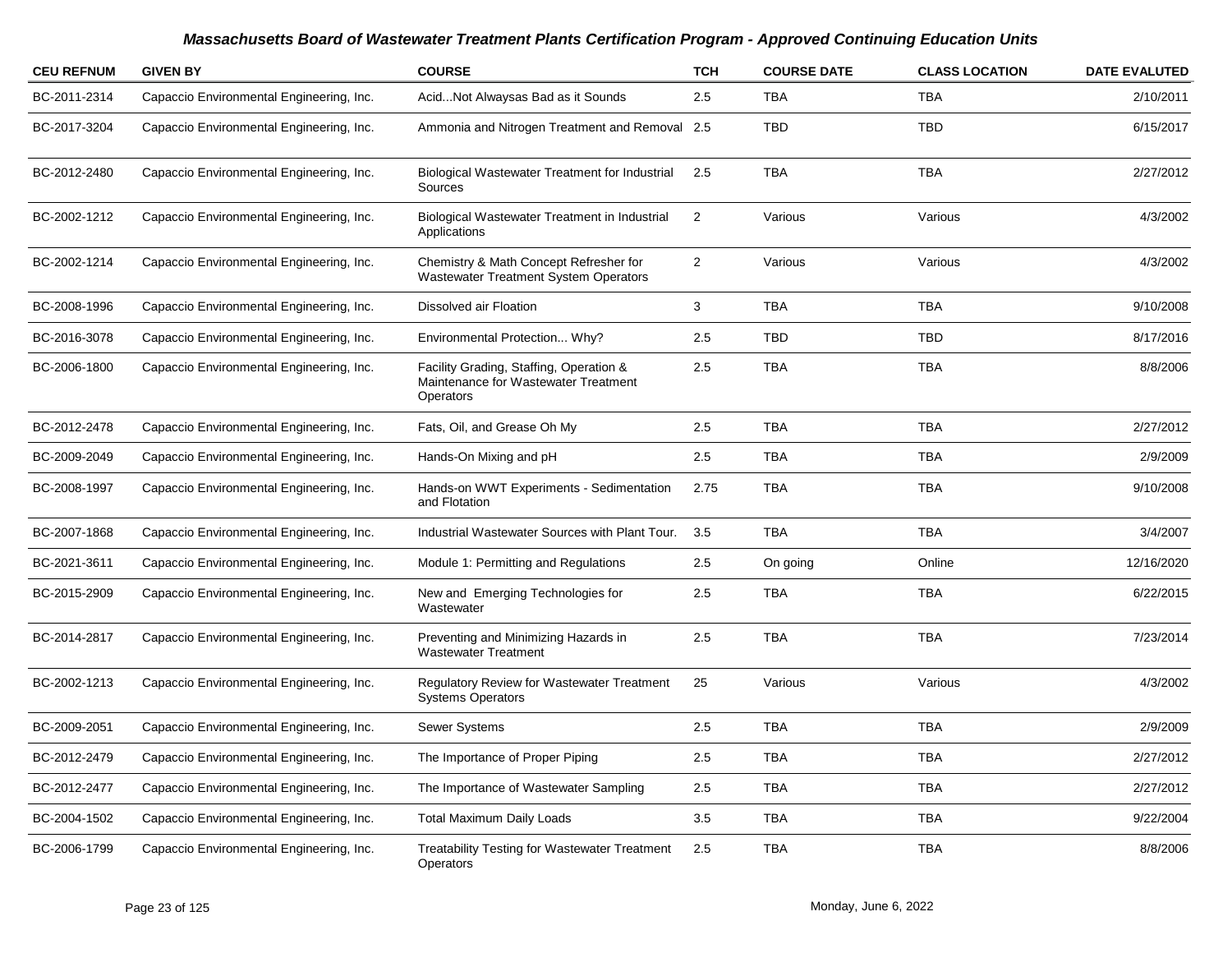| <b>CEU REFNUM</b> | <b>GIVEN BY</b>                          | <b>COURSE</b>                                                                                       | <b>TCH</b>     | <b>COURSE DATE</b> | <b>CLASS LOCATION</b> | <b>DATE EVALUTED</b> |
|-------------------|------------------------------------------|-----------------------------------------------------------------------------------------------------|----------------|--------------------|-----------------------|----------------------|
| BC-2011-2314      | Capaccio Environmental Engineering, Inc. | AcidNot Alwaysas Bad as it Sounds                                                                   | 2.5            | <b>TBA</b>         | <b>TBA</b>            | 2/10/2011            |
| BC-2017-3204      | Capaccio Environmental Engineering, Inc. | Ammonia and Nitrogen Treatment and Removal 2.5                                                      |                | <b>TBD</b>         | <b>TBD</b>            | 6/15/2017            |
| BC-2012-2480      | Capaccio Environmental Engineering, Inc. | <b>Biological Wastewater Treatment for Industrial</b><br>Sources                                    | 2.5            | <b>TBA</b>         | <b>TBA</b>            | 2/27/2012            |
| BC-2002-1212      | Capaccio Environmental Engineering, Inc. | Biological Wastewater Treatment in Industrial<br>Applications                                       | $\overline{2}$ | Various            | Various               | 4/3/2002             |
| BC-2002-1214      | Capaccio Environmental Engineering, Inc. | Chemistry & Math Concept Refresher for<br><b>Wastewater Treatment System Operators</b>              | $\overline{2}$ | Various            | Various               | 4/3/2002             |
| BC-2008-1996      | Capaccio Environmental Engineering, Inc. | Dissolved air Floation                                                                              | $\mathbf{3}$   | <b>TBA</b>         | <b>TBA</b>            | 9/10/2008            |
| BC-2016-3078      | Capaccio Environmental Engineering, Inc. | Environmental Protection Why?                                                                       | 2.5            | <b>TBD</b>         | <b>TBD</b>            | 8/17/2016            |
| BC-2006-1800      | Capaccio Environmental Engineering, Inc. | Facility Grading, Staffing, Operation &<br>Maintenance for Wastewater Treatment<br><b>Operators</b> | 2.5            | <b>TBA</b>         | <b>TBA</b>            | 8/8/2006             |
| BC-2012-2478      | Capaccio Environmental Engineering, Inc. | Fats, Oil, and Grease Oh My                                                                         | 2.5            | <b>TBA</b>         | <b>TBA</b>            | 2/27/2012            |
| BC-2009-2049      | Capaccio Environmental Engineering, Inc. | Hands-On Mixing and pH                                                                              | 2.5            | <b>TBA</b>         | <b>TBA</b>            | 2/9/2009             |
| BC-2008-1997      | Capaccio Environmental Engineering, Inc. | Hands-on WWT Experiments - Sedimentation<br>and Flotation                                           | 2.75           | <b>TBA</b>         | <b>TBA</b>            | 9/10/2008            |
| BC-2007-1868      | Capaccio Environmental Engineering, Inc. | Industrial Wastewater Sources with Plant Tour.                                                      | 3.5            | <b>TBA</b>         | <b>TBA</b>            | 3/4/2007             |
| BC-2021-3611      | Capaccio Environmental Engineering, Inc. | Module 1: Permitting and Regulations                                                                | 2.5            | On going           | Online                | 12/16/2020           |
| BC-2015-2909      | Capaccio Environmental Engineering, Inc. | New and Emerging Technologies for<br>Wastewater                                                     | 2.5            | <b>TBA</b>         | <b>TBA</b>            | 6/22/2015            |
| BC-2014-2817      | Capaccio Environmental Engineering, Inc. | Preventing and Minimizing Hazards in<br><b>Wastewater Treatment</b>                                 | 2.5            | <b>TBA</b>         | <b>TBA</b>            | 7/23/2014            |
| BC-2002-1213      | Capaccio Environmental Engineering, Inc. | <b>Regulatory Review for Wastewater Treatment</b><br><b>Systems Operators</b>                       | 25             | Various            | Various               | 4/3/2002             |
| BC-2009-2051      | Capaccio Environmental Engineering, Inc. | Sewer Systems                                                                                       | 2.5            | <b>TBA</b>         | <b>TBA</b>            | 2/9/2009             |
| BC-2012-2479      | Capaccio Environmental Engineering, Inc. | The Importance of Proper Piping                                                                     | 2.5            | <b>TBA</b>         | <b>TBA</b>            | 2/27/2012            |
| BC-2012-2477      | Capaccio Environmental Engineering, Inc. | The Importance of Wastewater Sampling                                                               | 2.5            | TBA                | TBA                   | 2/27/2012            |
| BC-2004-1502      | Capaccio Environmental Engineering, Inc. | <b>Total Maximum Daily Loads</b>                                                                    | 3.5            | <b>TBA</b>         | <b>TBA</b>            | 9/22/2004            |
| BC-2006-1799      | Capaccio Environmental Engineering, Inc. | <b>Treatability Testing for Wastewater Treatment</b><br>Operators                                   | 2.5            | <b>TBA</b>         | <b>TBA</b>            | 8/8/2006             |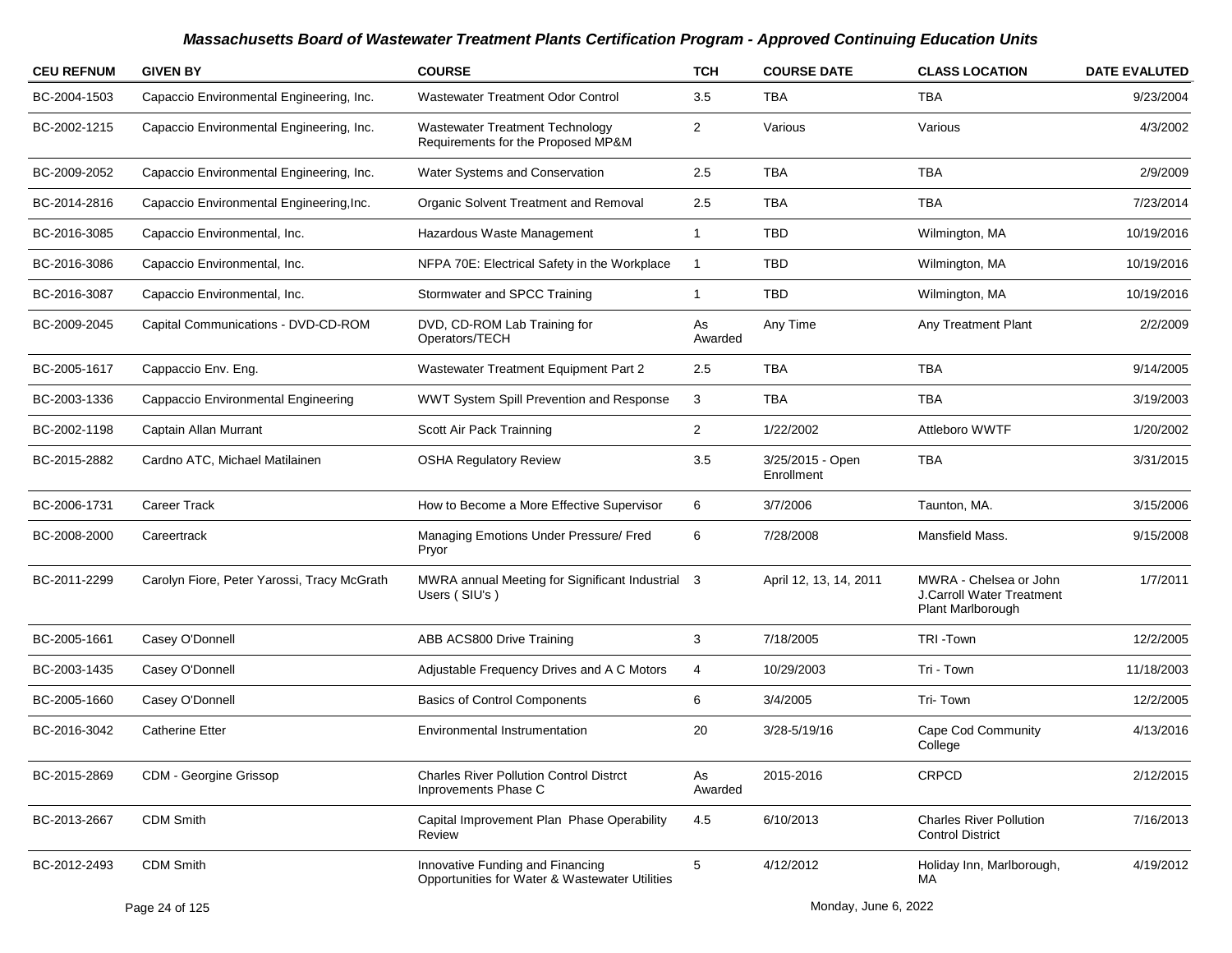| <b>CEU REFNUM</b> | <b>GIVEN BY</b>                             | <b>COURSE</b>                                                                      | <b>TCH</b>     | <b>COURSE DATE</b>             | <b>CLASS LOCATION</b>                                                           | <b>DATE EVALUTED</b> |
|-------------------|---------------------------------------------|------------------------------------------------------------------------------------|----------------|--------------------------------|---------------------------------------------------------------------------------|----------------------|
| BC-2004-1503      | Capaccio Environmental Engineering, Inc.    | <b>Wastewater Treatment Odor Control</b>                                           | 3.5            | <b>TBA</b>                     | <b>TBA</b>                                                                      | 9/23/2004            |
| BC-2002-1215      | Capaccio Environmental Engineering, Inc.    | <b>Wastewater Treatment Technology</b><br>Requirements for the Proposed MP&M       | 2              | Various                        | Various                                                                         | 4/3/2002             |
| BC-2009-2052      | Capaccio Environmental Engineering, Inc.    | Water Systems and Conservation                                                     | 2.5            | <b>TBA</b>                     | <b>TBA</b>                                                                      | 2/9/2009             |
| BC-2014-2816      | Capaccio Environmental Engineering, Inc.    | Organic Solvent Treatment and Removal                                              | 2.5            | <b>TBA</b>                     | <b>TBA</b>                                                                      | 7/23/2014            |
| BC-2016-3085      | Capaccio Environmental, Inc.                | Hazardous Waste Management                                                         | 1              | <b>TBD</b>                     | Wilmington, MA                                                                  | 10/19/2016           |
| BC-2016-3086      | Capaccio Environmental, Inc.                | NFPA 70E: Electrical Safety in the Workplace                                       | $\mathbf 1$    | <b>TBD</b>                     | Wilmington, MA                                                                  | 10/19/2016           |
| BC-2016-3087      | Capaccio Environmental, Inc.                | Stormwater and SPCC Training                                                       | 1              | <b>TBD</b>                     | Wilmington, MA                                                                  | 10/19/2016           |
| BC-2009-2045      | Capital Communications - DVD-CD-ROM         | DVD, CD-ROM Lab Training for<br>Operators/TECH                                     | As<br>Awarded  | Any Time                       | <b>Any Treatment Plant</b>                                                      | 2/2/2009             |
| BC-2005-1617      | Cappaccio Env. Eng.                         | Wastewater Treatment Equipment Part 2                                              | 2.5            | TBA                            | <b>TBA</b>                                                                      | 9/14/2005            |
| BC-2003-1336      | Cappaccio Environmental Engineering         | WWT System Spill Prevention and Response                                           | 3              | <b>TBA</b>                     | <b>TBA</b>                                                                      | 3/19/2003            |
| BC-2002-1198      | Captain Allan Murrant                       | Scott Air Pack Trainning                                                           | $\overline{2}$ | 1/22/2002                      | Attleboro WWTF                                                                  | 1/20/2002            |
| BC-2015-2882      | Cardno ATC, Michael Matilainen              | <b>OSHA Regulatory Review</b>                                                      | 3.5            | 3/25/2015 - Open<br>Enrollment | <b>TBA</b>                                                                      | 3/31/2015            |
| BC-2006-1731      | <b>Career Track</b>                         | How to Become a More Effective Supervisor                                          | 6              | 3/7/2006                       | Taunton, MA.                                                                    | 3/15/2006            |
| BC-2008-2000      | Careertrack                                 | Managing Emotions Under Pressure/ Fred<br>Pryor                                    | 6              | 7/28/2008                      | Mansfield Mass.                                                                 | 9/15/2008            |
| BC-2011-2299      | Carolyn Fiore, Peter Yarossi, Tracy McGrath | MWRA annual Meeting for Significant Industrial 3<br>Users (SIU's)                  |                | April 12, 13, 14, 2011         | MWRA - Chelsea or John<br><b>J.Carroll Water Treatment</b><br>Plant Marlborough | 1/7/2011             |
| BC-2005-1661      | Casey O'Donnell                             | ABB ACS800 Drive Training                                                          | 3              | 7/18/2005                      | TRI-Town                                                                        | 12/2/2005            |
| BC-2003-1435      | Casey O'Donnell                             | Adjustable Frequency Drives and A C Motors                                         | 4              | 10/29/2003                     | Tri - Town                                                                      | 11/18/2003           |
| BC-2005-1660      | Casey O'Donnell                             | <b>Basics of Control Components</b>                                                | 6              | 3/4/2005                       | Tri-Town                                                                        | 12/2/2005            |
| BC-2016-3042      | <b>Catherine Etter</b>                      | Environmental Instrumentation                                                      | 20             | 3/28-5/19/16                   | Cape Cod Community<br>College                                                   | 4/13/2016            |
| BC-2015-2869      | CDM - Georgine Grissop                      | <b>Charles River Pollution Control Distrct</b><br>Inprovements Phase C             | As<br>Awarded  | 2015-2016                      | <b>CRPCD</b>                                                                    | 2/12/2015            |
| BC-2013-2667      | <b>CDM Smith</b>                            | Capital Improvement Plan Phase Operability<br>Review                               | 4.5            | 6/10/2013                      | <b>Charles River Pollution</b><br><b>Control District</b>                       | 7/16/2013            |
| BC-2012-2493      | <b>CDM Smith</b>                            | Innovative Funding and Financing<br>Opportunities for Water & Wastewater Utilities | 5              | 4/12/2012                      | Holiday Inn, Marlborough,<br>MA                                                 | 4/19/2012            |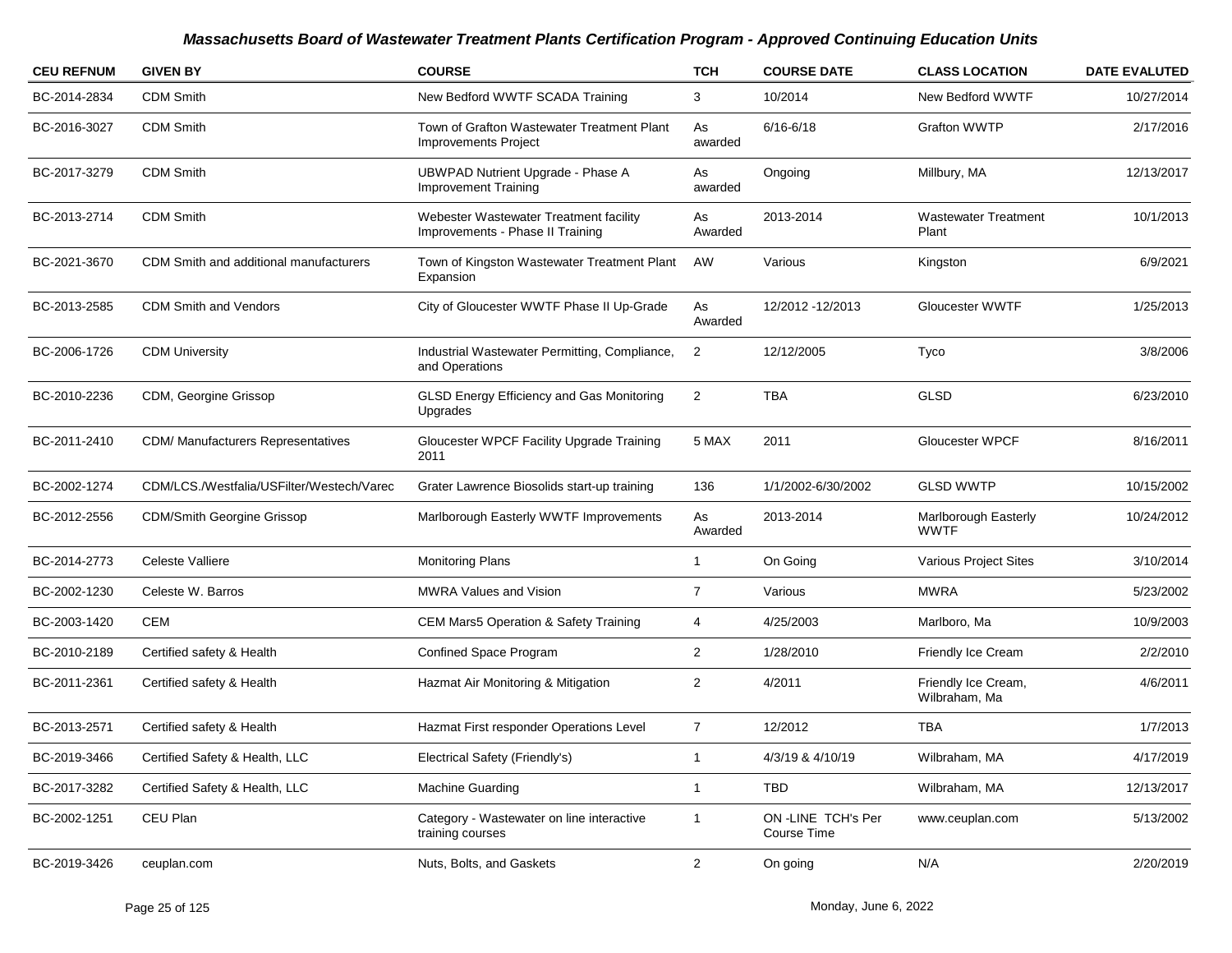| <b>CEU REFNUM</b> | <b>GIVEN BY</b>                           | <b>COURSE</b>                                                              | <b>TCH</b>     | <b>COURSE DATE</b>               | <b>CLASS LOCATION</b>                | <b>DATE EVALUTED</b> |
|-------------------|-------------------------------------------|----------------------------------------------------------------------------|----------------|----------------------------------|--------------------------------------|----------------------|
| BC-2014-2834      | <b>CDM Smith</b>                          | New Bedford WWTF SCADA Training                                            | 3              | 10/2014                          | New Bedford WWTF                     | 10/27/2014           |
| BC-2016-3027      | <b>CDM Smith</b>                          | Town of Grafton Wastewater Treatment Plant<br><b>Improvements Project</b>  | As<br>awarded  | $6/16 - 6/18$                    | <b>Grafton WWTP</b>                  | 2/17/2016            |
| BC-2017-3279      | <b>CDM Smith</b>                          | UBWPAD Nutrient Upgrade - Phase A<br><b>Improvement Training</b>           | As<br>awarded  | Ongoing                          | Millbury, MA                         | 12/13/2017           |
| BC-2013-2714      | <b>CDM Smith</b>                          | Webester Wastewater Treatment facility<br>Improvements - Phase II Training | As<br>Awarded  | 2013-2014                        | <b>Wastewater Treatment</b><br>Plant | 10/1/2013            |
| BC-2021-3670      | CDM Smith and additional manufacturers    | Town of Kingston Wastewater Treatment Plant<br>Expansion                   | AW             | Various                          | Kingston                             | 6/9/2021             |
| BC-2013-2585      | <b>CDM Smith and Vendors</b>              | City of Gloucester WWTF Phase II Up-Grade                                  | As<br>Awarded  | 12/2012 - 12/2013                | Gloucester WWTF                      | 1/25/2013            |
| BC-2006-1726      | <b>CDM University</b>                     | Industrial Wastewater Permitting, Compliance,<br>and Operations            | 2              | 12/12/2005                       | Tyco                                 | 3/8/2006             |
| BC-2010-2236      | CDM, Georgine Grissop                     | GLSD Energy Efficiency and Gas Monitoring<br>Upgrades                      | $\overline{2}$ | TBA                              | GLSD                                 | 6/23/2010            |
| BC-2011-2410      | <b>CDM/ Manufacturers Representatives</b> | Gloucester WPCF Facility Upgrade Training<br>2011                          | 5 MAX          | 2011                             | <b>Gloucester WPCF</b>               | 8/16/2011            |
| BC-2002-1274      | CDM/LCS./Westfalia/USFilter/Westech/Varec | Grater Lawrence Biosolids start-up training                                | 136            | 1/1/2002-6/30/2002               | <b>GLSD WWTP</b>                     | 10/15/2002           |
| BC-2012-2556      | <b>CDM/Smith Georgine Grissop</b>         | Marlborough Easterly WWTF Improvements                                     | As<br>Awarded  | 2013-2014                        | Marlborough Easterly<br><b>WWTF</b>  | 10/24/2012           |
| BC-2014-2773      | Celeste Valliere                          | <b>Monitoring Plans</b>                                                    | -1             | On Going                         | Various Project Sites                | 3/10/2014            |
| BC-2002-1230      | Celeste W. Barros                         | <b>MWRA Values and Vision</b>                                              | 7              | Various                          | MWRA                                 | 5/23/2002            |
| BC-2003-1420      | CEM                                       | <b>CEM Mars5 Operation &amp; Safety Training</b>                           | 4              | 4/25/2003                        | Marlboro, Ma                         | 10/9/2003            |
| BC-2010-2189      | Certified safety & Health                 | Confined Space Program                                                     | 2              | 1/28/2010                        | Friendly Ice Cream                   | 2/2/2010             |
| BC-2011-2361      | Certified safety & Health                 | Hazmat Air Monitoring & Mitigation                                         | $\overline{2}$ | 4/2011                           | Friendly Ice Cream,<br>Wilbraham, Ma | 4/6/2011             |
| BC-2013-2571      | Certified safety & Health                 | Hazmat First responder Operations Level                                    | $\overline{7}$ | 12/2012                          | TBA                                  | 1/7/2013             |
| BC-2019-3466      | Certified Safety & Health, LLC            | Electrical Safety (Friendly's)                                             |                | 4/3/19 & 4/10/19                 | Wilbraham, MA                        | 4/17/2019            |
| BC-2017-3282      | Certified Safety & Health, LLC            | Machine Guarding                                                           | $\overline{1}$ | TBD                              | Wilbraham, MA                        | 12/13/2017           |
| BC-2002-1251      | CEU Plan                                  | Category - Wastewater on line interactive<br>training courses              | $\overline{1}$ | ON-LINE TCH's Per<br>Course Time | www.ceuplan.com                      | 5/13/2002            |
| BC-2019-3426      | ceuplan.com                               | Nuts, Bolts, and Gaskets                                                   | $\overline{a}$ | On going                         | N/A                                  | 2/20/2019            |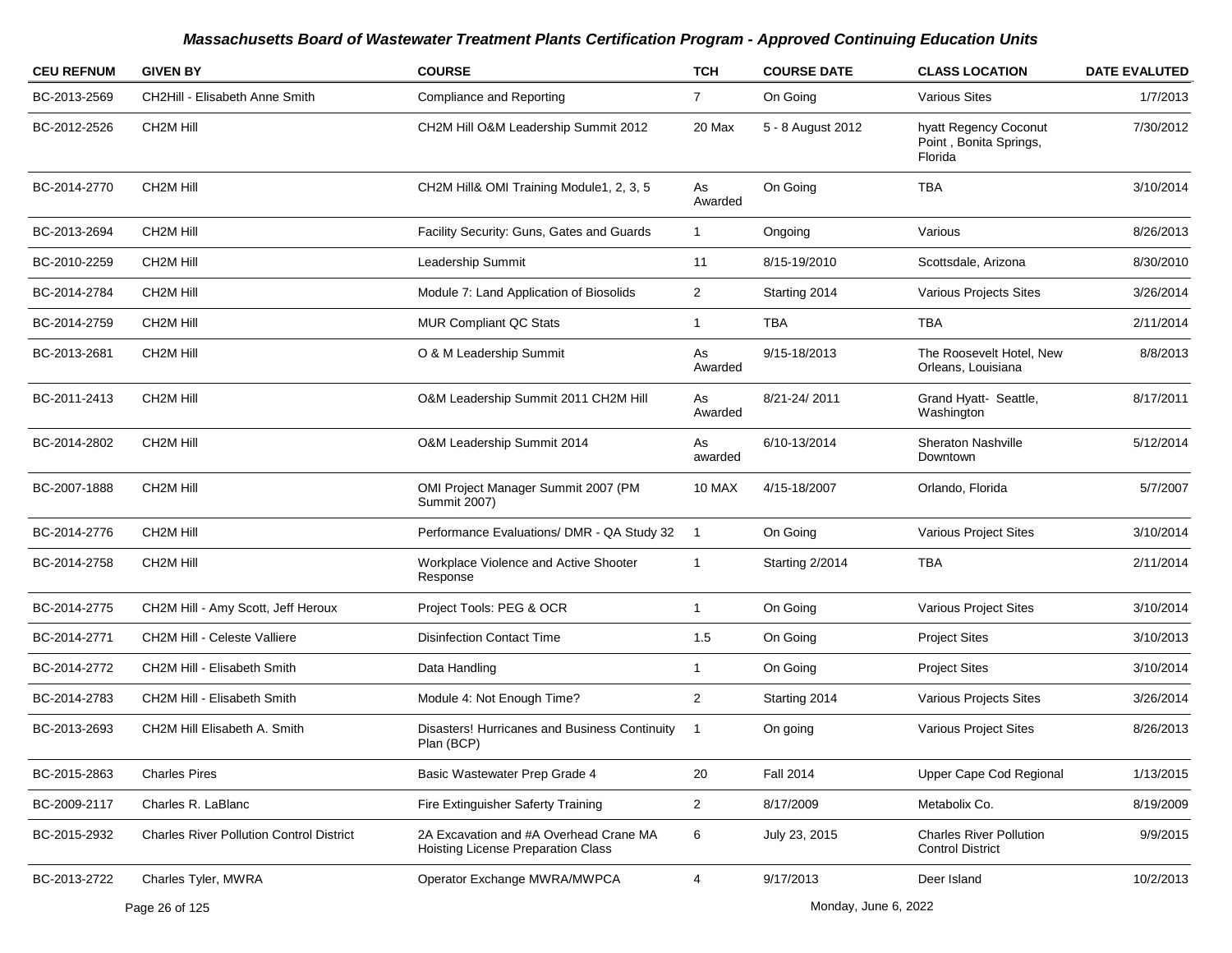| <b>CEU REFNUM</b> | <b>GIVEN BY</b>                                 | <b>COURSE</b>                                                                | <b>TCH</b>     | <b>COURSE DATE</b> | <b>CLASS LOCATION</b>                                      | <b>DATE EVALUTED</b> |
|-------------------|-------------------------------------------------|------------------------------------------------------------------------------|----------------|--------------------|------------------------------------------------------------|----------------------|
| BC-2013-2569      | CH2Hill - Elisabeth Anne Smith                  | <b>Compliance and Reporting</b>                                              | $\overline{7}$ | On Going           | <b>Various Sites</b>                                       | 1/7/2013             |
| BC-2012-2526      | CH <sub>2</sub> M Hill                          | CH2M Hill O&M Leadership Summit 2012                                         | 20 Max         | 5 - 8 August 2012  | hyatt Regency Coconut<br>Point, Bonita Springs,<br>Florida | 7/30/2012            |
| BC-2014-2770      | CH <sub>2</sub> M Hill                          | CH2M Hill& OMI Training Module1, 2, 3, 5                                     | As<br>Awarded  | On Going           | <b>TBA</b>                                                 | 3/10/2014            |
| BC-2013-2694      | CH <sub>2</sub> M Hill                          | Facility Security: Guns, Gates and Guards                                    | $\mathbf{1}$   | Ongoing            | Various                                                    | 8/26/2013            |
| BC-2010-2259      | CH <sub>2</sub> M Hill                          | Leadership Summit                                                            | 11             | 8/15-19/2010       | Scottsdale, Arizona                                        | 8/30/2010            |
| BC-2014-2784      | CH <sub>2</sub> M Hill                          | Module 7: Land Application of Biosolids                                      | $\overline{2}$ | Starting 2014      | Various Projects Sites                                     | 3/26/2014            |
| BC-2014-2759      | CH <sub>2</sub> M Hill                          | <b>MUR Compliant QC Stats</b>                                                | $\mathbf{1}$   | TBA                | TBA                                                        | 2/11/2014            |
| BC-2013-2681      | CH <sub>2</sub> M Hill                          | O & M Leadership Summit                                                      | As<br>Awarded  | 9/15-18/2013       | The Roosevelt Hotel, New<br>Orleans, Louisiana             | 8/8/2013             |
| BC-2011-2413      | CH <sub>2</sub> M Hill                          | O&M Leadership Summit 2011 CH2M Hill                                         | As<br>Awarded  | 8/21-24/2011       | Grand Hyatt- Seattle,<br>Washington                        | 8/17/2011            |
| BC-2014-2802      | CH <sub>2M</sub> Hill                           | O&M Leadership Summit 2014                                                   | As<br>awarded  | 6/10-13/2014       | <b>Sheraton Nashville</b><br>Downtown                      | 5/12/2014            |
| BC-2007-1888      | CH <sub>2</sub> M Hill                          | OMI Project Manager Summit 2007 (PM<br><b>Summit 2007)</b>                   | 10 MAX         | 4/15-18/2007       | Orlando, Florida                                           | 5/7/2007             |
| BC-2014-2776      | CH <sub>2</sub> M Hill                          | Performance Evaluations/ DMR - QA Study 32                                   | $\overline{1}$ | On Going           | Various Project Sites                                      | 3/10/2014            |
| BC-2014-2758      | CH <sub>2</sub> M Hill                          | Workplace Violence and Active Shooter<br>Response                            | $\mathbf{1}$   | Starting 2/2014    | TBA                                                        | 2/11/2014            |
| BC-2014-2775      | CH2M Hill - Amy Scott, Jeff Heroux              | Project Tools: PEG & OCR                                                     | $\mathbf{1}$   | On Going           | Various Project Sites                                      | 3/10/2014            |
| BC-2014-2771      | <b>CH2M Hill - Celeste Valliere</b>             | <b>Disinfection Contact Time</b>                                             | 1.5            | On Going           | <b>Project Sites</b>                                       | 3/10/2013            |
| BC-2014-2772      | CH2M Hill - Elisabeth Smith                     | Data Handling                                                                | 1              | On Going           | <b>Project Sites</b>                                       | 3/10/2014            |
| BC-2014-2783      | CH2M Hill - Elisabeth Smith                     | Module 4: Not Enough Time?                                                   | $\overline{2}$ | Starting 2014      | Various Projects Sites                                     | 3/26/2014            |
| BC-2013-2693      | CH2M Hill Elisabeth A. Smith                    | Disasters! Hurricanes and Business Continuity<br>Plan (BCP)                  |                | On going           | Various Project Sites                                      | 8/26/2013            |
| BC-2015-2863      | <b>Charles Pires</b>                            | Basic Wastewater Prep Grade 4                                                | 20             | <b>Fall 2014</b>   | Upper Cape Cod Regional                                    | 1/13/2015            |
| BC-2009-2117      | Charles R. LaBlanc                              | Fire Extinguisher Saferty Training                                           | $\overline{c}$ | 8/17/2009          | Metabolix Co.                                              | 8/19/2009            |
| BC-2015-2932      | <b>Charles River Pollution Control District</b> | 2A Excavation and #A Overhead Crane MA<br>Hoisting License Preparation Class | 6              | July 23, 2015      | <b>Charles River Pollution</b><br><b>Control District</b>  | 9/9/2015             |
| BC-2013-2722      | Charles Tyler, MWRA                             | Operator Exchange MWRA/MWPCA                                                 | $\overline{4}$ | 9/17/2013          | Deer Island                                                | 10/2/2013            |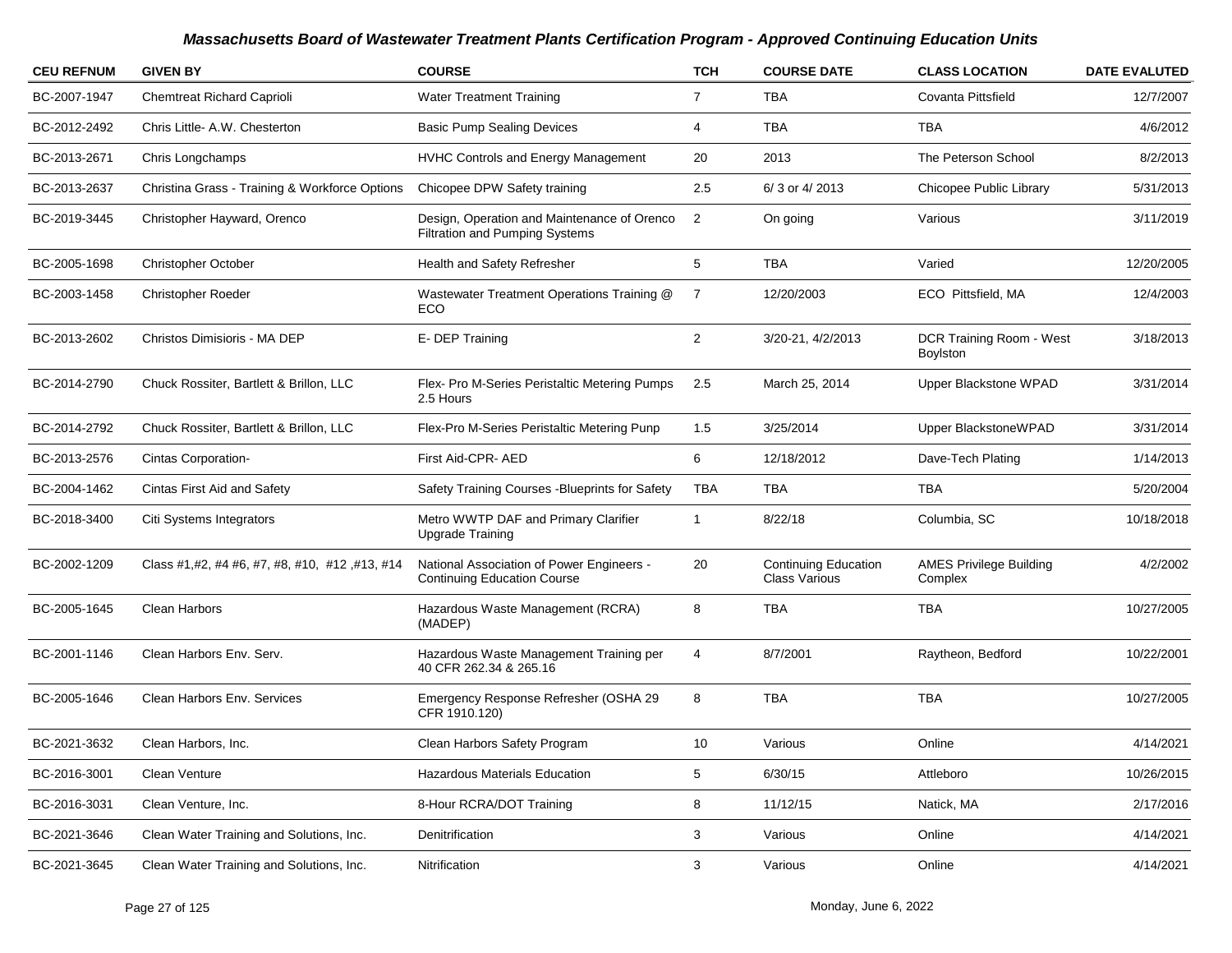| <b>CEU REFNUM</b> | <b>GIVEN BY</b>                                | <b>COURSE</b>                                                                   | <b>TCH</b>     | <b>COURSE DATE</b>                                  | <b>CLASS LOCATION</b>                       | <b>DATE EVALUTED</b> |
|-------------------|------------------------------------------------|---------------------------------------------------------------------------------|----------------|-----------------------------------------------------|---------------------------------------------|----------------------|
| BC-2007-1947      | <b>Chemtreat Richard Caprioli</b>              | <b>Water Treatment Training</b>                                                 | $\overline{7}$ | <b>TBA</b>                                          | Covanta Pittsfield                          | 12/7/2007            |
| BC-2012-2492      | Chris Little- A.W. Chesterton                  | <b>Basic Pump Sealing Devices</b>                                               | 4              | <b>TBA</b>                                          | <b>TBA</b>                                  | 4/6/2012             |
| BC-2013-2671      | Chris Longchamps                               | HVHC Controls and Energy Management                                             | 20             | 2013                                                | The Peterson School                         | 8/2/2013             |
| BC-2013-2637      | Christina Grass - Training & Workforce Options | Chicopee DPW Safety training                                                    | 2.5            | 6/3 or 4/2013                                       | Chicopee Public Library                     | 5/31/2013            |
| BC-2019-3445      | Christopher Hayward, Orenco                    | Design, Operation and Maintenance of Orenco<br>Filtration and Pumping Systems   | $\overline{2}$ | On going                                            | Various                                     | 3/11/2019            |
| BC-2005-1698      | <b>Christopher October</b>                     | Health and Safety Refresher                                                     | 5              | <b>TBA</b>                                          | Varied                                      | 12/20/2005           |
| BC-2003-1458      | <b>Christopher Roeder</b>                      | Wastewater Treatment Operations Training @<br>ECO                               | 7              | 12/20/2003                                          | ECO Pittsfield, MA                          | 12/4/2003            |
| BC-2013-2602      | Christos Dimisioris - MA DEP                   | E-DEP Training                                                                  | $\overline{2}$ | 3/20-21, 4/2/2013                                   | DCR Training Room - West<br><b>Boylston</b> | 3/18/2013            |
| BC-2014-2790      | Chuck Rossiter, Bartlett & Brillon, LLC        | Flex- Pro M-Series Peristaltic Metering Pumps<br>2.5 Hours                      | 2.5            | March 25, 2014                                      | Upper Blackstone WPAD                       | 3/31/2014            |
| BC-2014-2792      | Chuck Rossiter, Bartlett & Brillon, LLC        | Flex-Pro M-Series Peristaltic Metering Punp                                     | 1.5            | 3/25/2014                                           | Upper BlackstoneWPAD                        | 3/31/2014            |
| BC-2013-2576      | Cintas Corporation-                            | First Aid-CPR- AED                                                              | 6              | 12/18/2012                                          | Dave-Tech Plating                           | 1/14/2013            |
| BC-2004-1462      | Cintas First Aid and Safety                    | Safety Training Courses - Blueprints for Safety                                 | TBA            | TBA                                                 | TBA                                         | 5/20/2004            |
| BC-2018-3400      | Citi Systems Integrators                       | Metro WWTP DAF and Primary Clarifier<br><b>Upgrade Training</b>                 | 1              | 8/22/18                                             | Columbia, SC                                | 10/18/2018           |
| BC-2002-1209      | Class #1,#2, #4 #6, #7, #8, #10, #12, #13, #14 | National Association of Power Engineers -<br><b>Continuing Education Course</b> | 20             | <b>Continuing Education</b><br><b>Class Various</b> | <b>AMES Privilege Building</b><br>Complex   | 4/2/2002             |
| BC-2005-1645      | Clean Harbors                                  | Hazardous Waste Management (RCRA)<br>(MADEP)                                    | 8              | <b>TBA</b>                                          | <b>TBA</b>                                  | 10/27/2005           |
| BC-2001-1146      | Clean Harbors Env. Serv.                       | Hazardous Waste Management Training per<br>40 CFR 262.34 & 265.16               | 4              | 8/7/2001                                            | Raytheon, Bedford                           | 10/22/2001           |
| BC-2005-1646      | Clean Harbors Env. Services                    | Emergency Response Refresher (OSHA 29<br>CFR 1910.120)                          | 8              | <b>TBA</b>                                          | <b>TBA</b>                                  | 10/27/2005           |
| BC-2021-3632      | Clean Harbors, Inc.                            | Clean Harbors Safety Program                                                    | 10             | Various                                             | Online                                      | 4/14/2021            |
| BC-2016-3001      | Clean Venture                                  | Hazardous Materials Education                                                   | 5              | 6/30/15                                             | Attleboro                                   | 10/26/2015           |
| BC-2016-3031      | Clean Venture, Inc.                            | 8-Hour RCRA/DOT Training                                                        | 8              | 11/12/15                                            | Natick, MA                                  | 2/17/2016            |
| BC-2021-3646      | Clean Water Training and Solutions, Inc.       | Denitrification                                                                 | 3              | Various                                             | Online                                      | 4/14/2021            |
| BC-2021-3645      | Clean Water Training and Solutions, Inc.       | Nitrification                                                                   | 3 <sup>1</sup> | Various                                             | Online                                      | 4/14/2021            |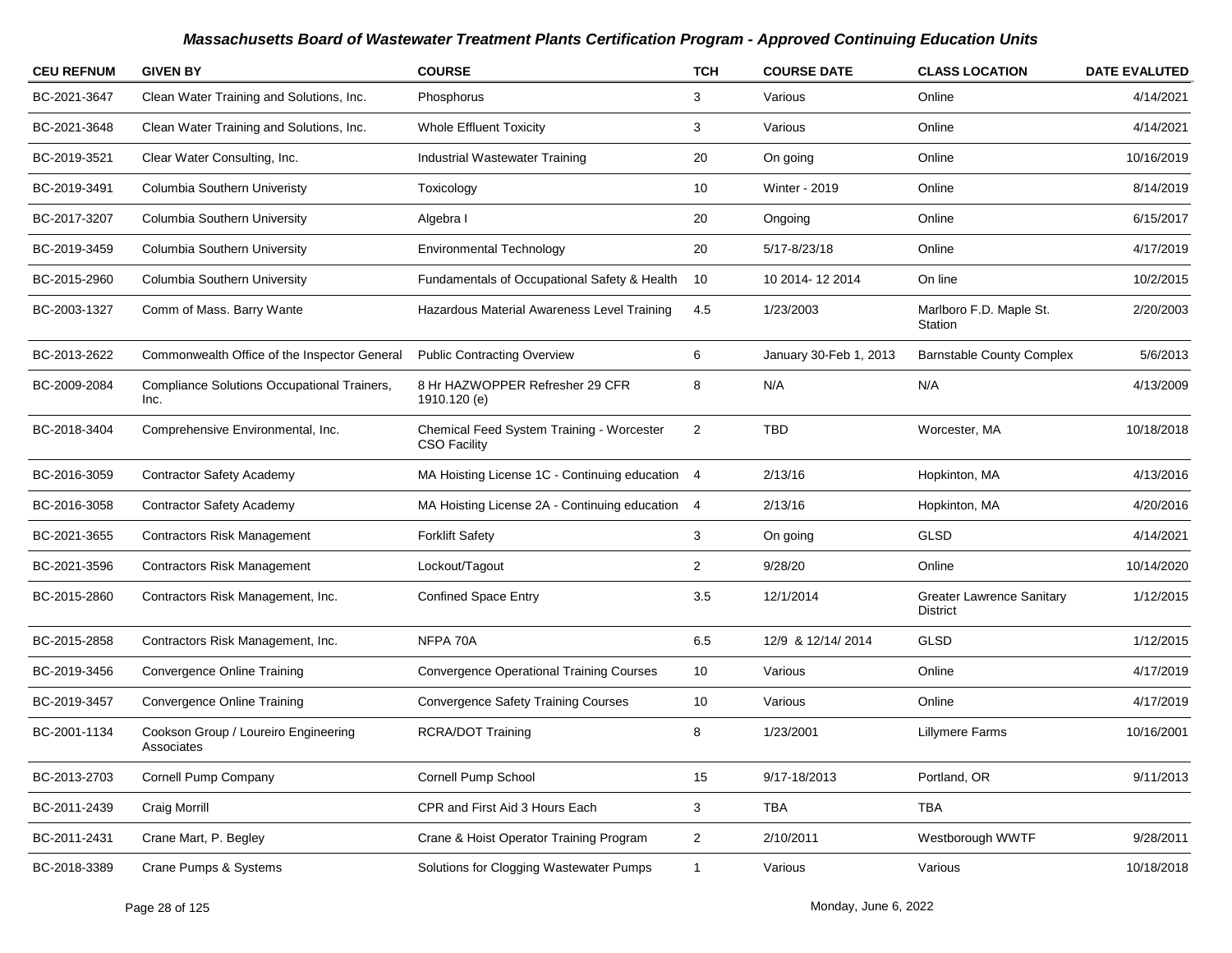| <b>CEU REFNUM</b> | <b>GIVEN BY</b>                                     | <b>COURSE</b>                                                    | <b>TCH</b>     | <b>COURSE DATE</b>     | <b>CLASS LOCATION</b>                               | <b>DATE EVALUTED</b> |
|-------------------|-----------------------------------------------------|------------------------------------------------------------------|----------------|------------------------|-----------------------------------------------------|----------------------|
| BC-2021-3647      | Clean Water Training and Solutions, Inc.            | Phosphorus                                                       | 3              | Various                | Online                                              | 4/14/2021            |
| BC-2021-3648      | Clean Water Training and Solutions, Inc.            | <b>Whole Effluent Toxicity</b>                                   | 3              | Various                | Online                                              | 4/14/2021            |
| BC-2019-3521      | Clear Water Consulting, Inc.                        | Industrial Wastewater Training                                   | 20             | On going               | Online                                              | 10/16/2019           |
| BC-2019-3491      | Columbia Southern Univeristy                        | Toxicology                                                       | 10             | <b>Winter - 2019</b>   | Online                                              | 8/14/2019            |
| BC-2017-3207      | Columbia Southern University                        | Algebra I                                                        | 20             | Ongoing                | Online                                              | 6/15/2017            |
| BC-2019-3459      | Columbia Southern University                        | <b>Environmental Technology</b>                                  | 20             | 5/17-8/23/18           | Online                                              | 4/17/2019            |
| BC-2015-2960      | Columbia Southern University                        | Fundamentals of Occupational Safety & Health                     | 10             | 10 2014-12 2014        | On line                                             | 10/2/2015            |
| BC-2003-1327      | Comm of Mass. Barry Wante                           | Hazardous Material Awareness Level Training                      | 4.5            | 1/23/2003              | Marlboro F.D. Maple St.<br>Station                  | 2/20/2003            |
| BC-2013-2622      | Commonwealth Office of the Inspector General        | <b>Public Contracting Overview</b>                               | 6              | January 30-Feb 1, 2013 | <b>Barnstable County Complex</b>                    | 5/6/2013             |
| BC-2009-2084      | Compliance Solutions Occupational Trainers,<br>Inc. | 8 Hr HAZWOPPER Refresher 29 CFR<br>1910.120 (e)                  | 8              | N/A                    | N/A                                                 | 4/13/2009            |
| BC-2018-3404      | Comprehensive Environmental, Inc.                   | Chemical Feed System Training - Worcester<br><b>CSO Facility</b> | 2              | <b>TBD</b>             | Worcester, MA                                       | 10/18/2018           |
| BC-2016-3059      | <b>Contractor Safety Academy</b>                    | MA Hoisting License 1C - Continuing education 4                  |                | 2/13/16                | Hopkinton, MA                                       | 4/13/2016            |
| BC-2016-3058      | <b>Contractor Safety Academy</b>                    | MA Hoisting License 2A - Continuing education 4                  |                | 2/13/16                | Hopkinton, MA                                       | 4/20/2016            |
| BC-2021-3655      | <b>Contractors Risk Management</b>                  | <b>Forklift Safety</b>                                           | 3              | On going               | GLSD                                                | 4/14/2021            |
| BC-2021-3596      | <b>Contractors Risk Management</b>                  | Lockout/Tagout                                                   | $\overline{2}$ | 9/28/20                | Online                                              | 10/14/2020           |
| BC-2015-2860      | Contractors Risk Management, Inc.                   | <b>Confined Space Entry</b>                                      | 3.5            | 12/1/2014              | <b>Greater Lawrence Sanitary</b><br><b>District</b> | 1/12/2015            |
| BC-2015-2858      | Contractors Risk Management, Inc.                   | NFPA 70A                                                         | 6.5            | 12/9 & 12/14/2014      | GLSD                                                | 1/12/2015            |
| BC-2019-3456      | <b>Convergence Online Training</b>                  | <b>Convergence Operational Training Courses</b>                  | 10             | Various                | Online                                              | 4/17/2019            |
| BC-2019-3457      | Convergence Online Training                         | <b>Convergence Safety Training Courses</b>                       | 10             | Various                | Online                                              | 4/17/2019            |
| BC-2001-1134      | Cookson Group / Loureiro Engineering<br>Associates  | <b>RCRA/DOT Training</b>                                         | 8              | 1/23/2001              | Lillymere Farms                                     | 10/16/2001           |
| BC-2013-2703      | Cornell Pump Company                                | Cornell Pump School                                              | 15             | 9/17-18/2013           | Portland, OR                                        | 9/11/2013            |
| BC-2011-2439      | Craig Morrill                                       | CPR and First Aid 3 Hours Each                                   | 3              | TBA                    | TBA                                                 |                      |
| BC-2011-2431      | Crane Mart, P. Begley                               | Crane & Hoist Operator Training Program                          | $\overline{2}$ | 2/10/2011              | Westborough WWTF                                    | 9/28/2011            |
| BC-2018-3389      | Crane Pumps & Systems                               | Solutions for Clogging Wastewater Pumps                          | $\overline{1}$ | Various                | Various                                             | 10/18/2018           |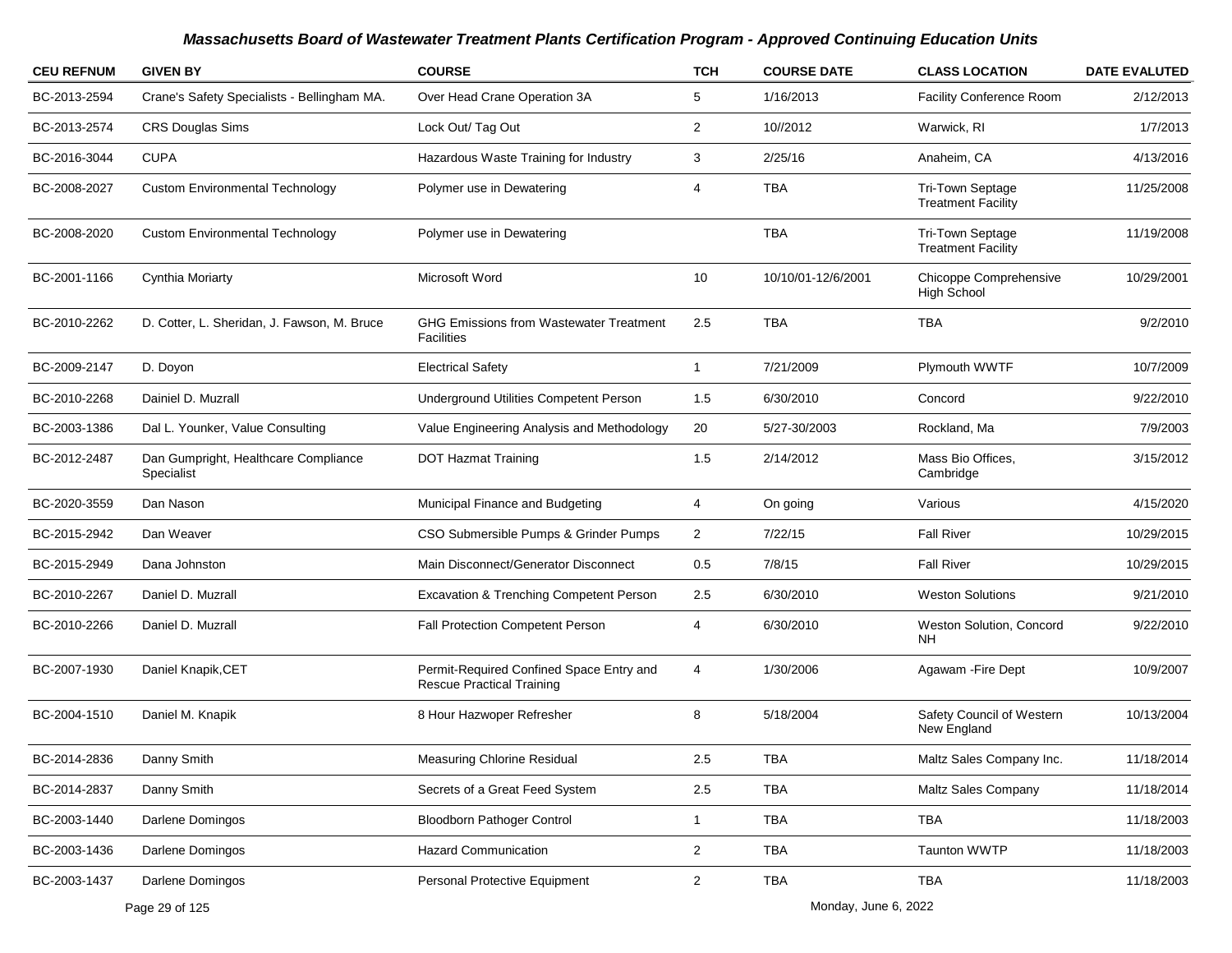| <b>CEU REFNUM</b> | <b>GIVEN BY</b>                                    | <b>COURSE</b>                                                                | <b>TCH</b>     | <b>COURSE DATE</b> | <b>CLASS LOCATION</b>                         | <b>DATE EVALUTED</b> |
|-------------------|----------------------------------------------------|------------------------------------------------------------------------------|----------------|--------------------|-----------------------------------------------|----------------------|
| BC-2013-2594      | Crane's Safety Specialists - Bellingham MA.        | Over Head Crane Operation 3A                                                 | 5              | 1/16/2013          | Facility Conference Room                      | 2/12/2013            |
| BC-2013-2574      | <b>CRS Douglas Sims</b>                            | Lock Out/ Tag Out                                                            | $\overline{2}$ | 10//2012           | Warwick, RI                                   | 1/7/2013             |
| BC-2016-3044      | <b>CUPA</b>                                        | Hazardous Waste Training for Industry                                        | 3              | 2/25/16            | Anaheim, CA                                   | 4/13/2016            |
| BC-2008-2027      | <b>Custom Environmental Technology</b>             | Polymer use in Dewatering                                                    | 4              | <b>TBA</b>         | Tri-Town Septage<br><b>Treatment Facility</b> | 11/25/2008           |
| BC-2008-2020      | <b>Custom Environmental Technology</b>             | Polymer use in Dewatering                                                    |                | <b>TBA</b>         | Tri-Town Septage<br><b>Treatment Facility</b> | 11/19/2008           |
| BC-2001-1166      | Cynthia Moriarty                                   | Microsoft Word                                                               | 10             | 10/10/01-12/6/2001 | Chicoppe Comprehensive<br><b>High School</b>  | 10/29/2001           |
| BC-2010-2262      | D. Cotter, L. Sheridan, J. Fawson, M. Bruce        | <b>GHG Emissions from Wastewater Treatment</b><br><b>Facilities</b>          | 2.5            | <b>TBA</b>         | <b>TBA</b>                                    | 9/2/2010             |
| BC-2009-2147      | D. Doyon                                           | <b>Electrical Safety</b>                                                     | $\mathbf{1}$   | 7/21/2009          | Plymouth WWTF                                 | 10/7/2009            |
| BC-2010-2268      | Dainiel D. Muzrall                                 | Underground Utilities Competent Person                                       | 1.5            | 6/30/2010          | Concord                                       | 9/22/2010            |
| BC-2003-1386      | Dal L. Younker, Value Consulting                   | Value Engineering Analysis and Methodology                                   | 20             | 5/27-30/2003       | Rockland, Ma                                  | 7/9/2003             |
| BC-2012-2487      | Dan Gumpright, Healthcare Compliance<br>Specialist | <b>DOT Hazmat Training</b>                                                   | 1.5            | 2/14/2012          | Mass Bio Offices,<br>Cambridge                | 3/15/2012            |
| BC-2020-3559      | Dan Nason                                          | Municipal Finance and Budgeting                                              | 4              | On going           | Various                                       | 4/15/2020            |
| BC-2015-2942      | Dan Weaver                                         | CSO Submersible Pumps & Grinder Pumps                                        | $\overline{2}$ | 7/22/15            | <b>Fall River</b>                             | 10/29/2015           |
| BC-2015-2949      | Dana Johnston                                      | Main Disconnect/Generator Disconnect                                         | 0.5            | 7/8/15             | <b>Fall River</b>                             | 10/29/2015           |
| BC-2010-2267      | Daniel D. Muzrall                                  | Excavation & Trenching Competent Person                                      | $2.5\,$        | 6/30/2010          | <b>Weston Solutions</b>                       | 9/21/2010            |
| BC-2010-2266      | Daniel D. Muzrall                                  | Fall Protection Competent Person                                             | 4              | 6/30/2010          | Weston Solution, Concord<br>NΗ                | 9/22/2010            |
| BC-2007-1930      | Daniel Knapik, CET                                 | Permit-Required Confined Space Entry and<br><b>Rescue Practical Training</b> | 4              | 1/30/2006          | Agawam - Fire Dept                            | 10/9/2007            |
| BC-2004-1510      | Daniel M. Knapik                                   | 8 Hour Hazwoper Refresher                                                    | 8              | 5/18/2004          | Safety Council of Western<br>New England      | 10/13/2004           |
| BC-2014-2836      | Danny Smith                                        | <b>Measuring Chlorine Residual</b>                                           | $2.5\,$        | <b>TBA</b>         | Maltz Sales Company Inc.                      | 11/18/2014           |
| BC-2014-2837      | Danny Smith                                        | Secrets of a Great Feed System                                               | 2.5            | TBA                | Maltz Sales Company                           | 11/18/2014           |
| BC-2003-1440      | Darlene Domingos                                   | <b>Bloodborn Pathoger Control</b>                                            | $\mathbf{1}$   | TBA                | TBA                                           | 11/18/2003           |
| BC-2003-1436      | Darlene Domingos                                   | <b>Hazard Communication</b>                                                  | $\overline{a}$ | TBA                | Taunton WWTP                                  | 11/18/2003           |
| BC-2003-1437      | Darlene Domingos                                   | Personal Protective Equipment                                                | $\overline{a}$ | TBA                | TBA                                           | 11/18/2003           |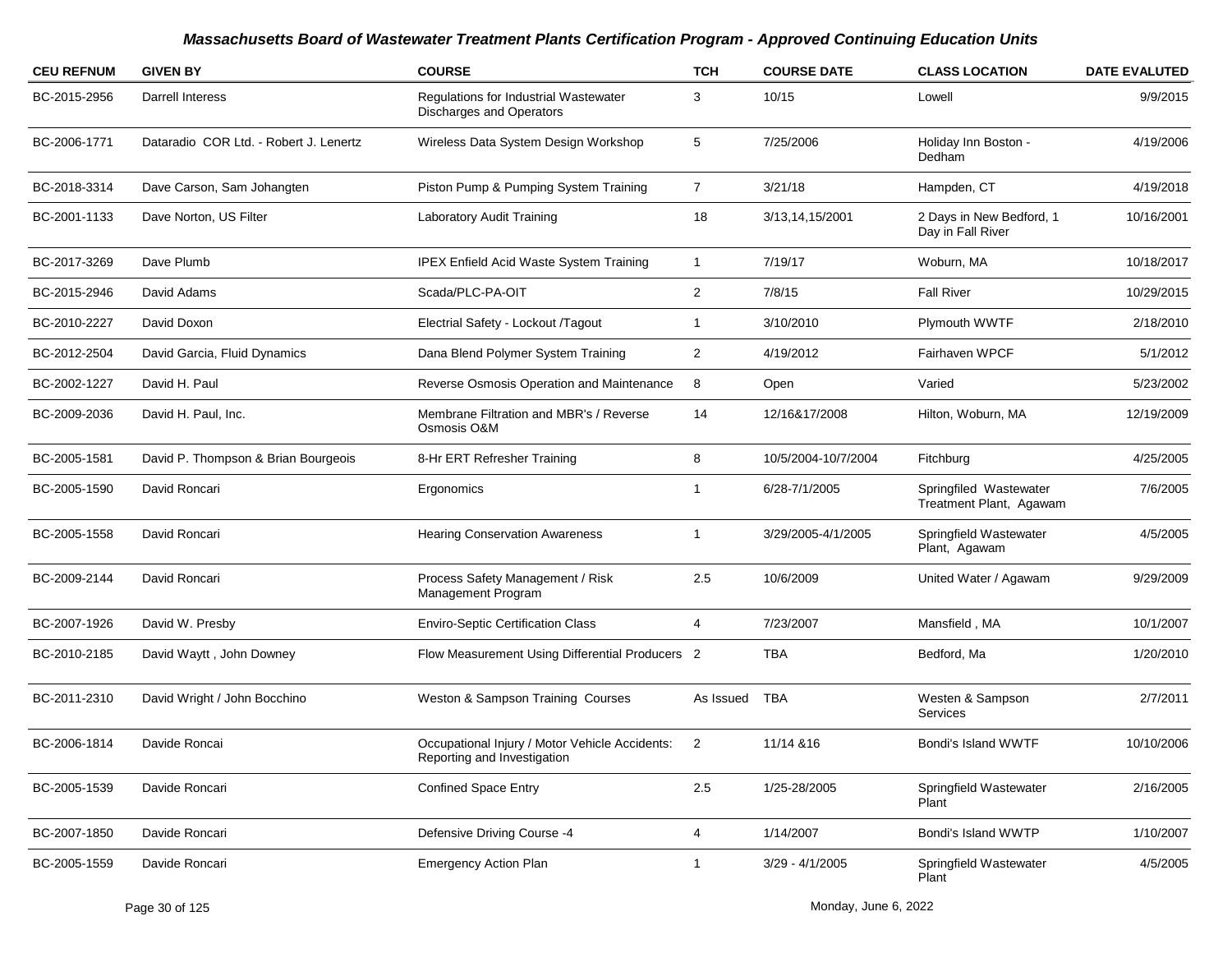| <b>CEU REFNUM</b> | <b>GIVEN BY</b>                        | <b>COURSE</b>                                                                 | <b>TCH</b>     | <b>COURSE DATE</b>  | <b>CLASS LOCATION</b>                             | <b>DATE EVALUTED</b> |
|-------------------|----------------------------------------|-------------------------------------------------------------------------------|----------------|---------------------|---------------------------------------------------|----------------------|
| BC-2015-2956      | Darrell Interess                       | Regulations for Industrial Wastewater<br><b>Discharges and Operators</b>      | 3              | 10/15               | Lowell                                            | 9/9/2015             |
| BC-2006-1771      | Dataradio COR Ltd. - Robert J. Lenertz | Wireless Data System Design Workshop                                          | 5              | 7/25/2006           | Holiday Inn Boston -<br>Dedham                    | 4/19/2006            |
| BC-2018-3314      | Dave Carson, Sam Johangten             | Piston Pump & Pumping System Training                                         | $\overline{7}$ | 3/21/18             | Hampden, CT                                       | 4/19/2018            |
| BC-2001-1133      | Dave Norton, US Filter                 | Laboratory Audit Training                                                     | 18             | 3/13,14,15/2001     | 2 Days in New Bedford, 1<br>Day in Fall River     | 10/16/2001           |
| BC-2017-3269      | Dave Plumb                             | <b>IPEX Enfield Acid Waste System Training</b>                                | $\mathbf{1}$   | 7/19/17             | Woburn, MA                                        | 10/18/2017           |
| BC-2015-2946      | David Adams                            | Scada/PLC-PA-OIT                                                              | $\overline{2}$ | 7/8/15              | <b>Fall River</b>                                 | 10/29/2015           |
| BC-2010-2227      | David Doxon                            | Electrial Safety - Lockout /Tagout                                            | $\mathbf 1$    | 3/10/2010           | Plymouth WWTF                                     | 2/18/2010            |
| BC-2012-2504      | David Garcia, Fluid Dynamics           | Dana Blend Polymer System Training                                            | $\overline{2}$ | 4/19/2012           | Fairhaven WPCF                                    | 5/1/2012             |
| BC-2002-1227      | David H. Paul                          | Reverse Osmosis Operation and Maintenance                                     | 8              | Open                | Varied                                            | 5/23/2002            |
| BC-2009-2036      | David H. Paul, Inc.                    | Membrane Filtration and MBR's / Reverse<br>Osmosis O&M                        | 14             | 12/16&17/2008       | Hilton, Woburn, MA                                | 12/19/2009           |
| BC-2005-1581      | David P. Thompson & Brian Bourgeois    | 8-Hr ERT Refresher Training                                                   | 8              | 10/5/2004-10/7/2004 | Fitchburg                                         | 4/25/2005            |
| BC-2005-1590      | David Roncari                          | Ergonomics                                                                    | $\mathbf 1$    | 6/28-7/1/2005       | Springfiled Wastewater<br>Treatment Plant, Agawam | 7/6/2005             |
| BC-2005-1558      | David Roncari                          | <b>Hearing Conservation Awareness</b>                                         | -1             | 3/29/2005-4/1/2005  | Springfield Wastewater<br>Plant, Agawam           | 4/5/2005             |
| BC-2009-2144      | David Roncari                          | Process Safety Management / Risk<br><b>Management Program</b>                 | 2.5            | 10/6/2009           | United Water / Agawam                             | 9/29/2009            |
| BC-2007-1926      | David W. Presby                        | <b>Enviro-Septic Certification Class</b>                                      | 4              | 7/23/2007           | Mansfield, MA                                     | 10/1/2007            |
| BC-2010-2185      | David Waytt, John Downey               | Flow Measurement Using Differential Producers 2                               |                | TBA                 | Bedford, Ma                                       | 1/20/2010            |
| BC-2011-2310      | David Wright / John Bocchino           | Weston & Sampson Training Courses                                             | As Issued      | TBA                 | Westen & Sampson<br>Services                      | 2/7/2011             |
| BC-2006-1814      | Davide Roncai                          | Occupational Injury / Motor Vehicle Accidents:<br>Reporting and Investigation | $\overline{2}$ | 11/14 & 16          | Bondi's Island WWTF                               | 10/10/2006           |
| BC-2005-1539      | Davide Roncari                         | <b>Confined Space Entry</b>                                                   | $2.5\,$        | 1/25-28/2005        | Springfield Wastewater<br>Plant                   | 2/16/2005            |
| BC-2007-1850      | Davide Roncari                         | Defensive Driving Course -4                                                   | 4              | 1/14/2007           | Bondi's Island WWTP                               | 1/10/2007            |
| BC-2005-1559      | Davide Roncari                         | <b>Emergency Action Plan</b>                                                  | 1              | $3/29 - 4/1/2005$   | Springfield Wastewater<br>Plant                   | 4/5/2005             |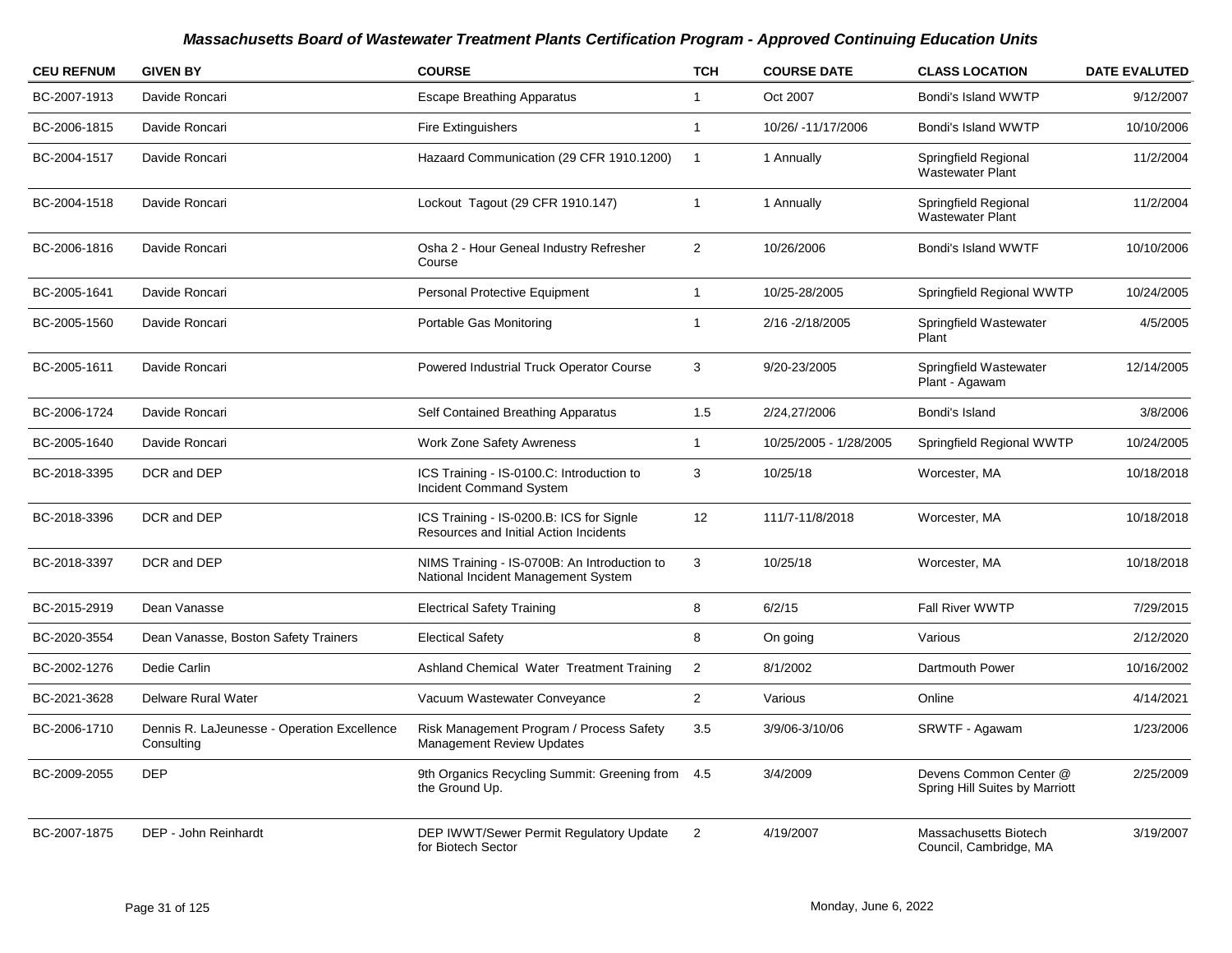| <b>CEU REFNUM</b> | <b>GIVEN BY</b>                                           | <b>COURSE</b>                                                                       | <b>TCH</b>     | <b>COURSE DATE</b>     | <b>CLASS LOCATION</b>                                    | <b>DATE EVALUTED</b> |
|-------------------|-----------------------------------------------------------|-------------------------------------------------------------------------------------|----------------|------------------------|----------------------------------------------------------|----------------------|
| BC-2007-1913      | Davide Roncari                                            | <b>Escape Breathing Apparatus</b>                                                   | $\mathbf{1}$   | Oct 2007               | Bondi's Island WWTP                                      | 9/12/2007            |
| BC-2006-1815      | Davide Roncari                                            | Fire Extinguishers                                                                  | $\mathbf{1}$   | 10/26/ -11/17/2006     | Bondi's Island WWTP                                      | 10/10/2006           |
| BC-2004-1517      | Davide Roncari                                            | Hazaard Communication (29 CFR 1910.1200)                                            | $\mathbf{1}$   | 1 Annually             | Springfield Regional<br><b>Wastewater Plant</b>          | 11/2/2004            |
| BC-2004-1518      | Davide Roncari                                            | Lockout Tagout (29 CFR 1910.147)                                                    | $\overline{1}$ | 1 Annually             | Springfield Regional<br><b>Wastewater Plant</b>          | 11/2/2004            |
| BC-2006-1816      | Davide Roncari                                            | Osha 2 - Hour Geneal Industry Refresher<br>Course                                   | 2              | 10/26/2006             | Bondi's Island WWTF                                      | 10/10/2006           |
| BC-2005-1641      | Davide Roncari                                            | Personal Protective Equipment                                                       | $\mathbf{1}$   | 10/25-28/2005          | Springfield Regional WWTP                                | 10/24/2005           |
| BC-2005-1560      | Davide Roncari                                            | Portable Gas Monitoring                                                             | $\mathbf{1}$   | 2/16 - 2/18/2005       | Springfield Wastewater<br>Plant                          | 4/5/2005             |
| BC-2005-1611      | Davide Roncari                                            | Powered Industrial Truck Operator Course                                            | 3              | 9/20-23/2005           | Springfield Wastewater<br>Plant - Agawam                 | 12/14/2005           |
| BC-2006-1724      | Davide Roncari                                            | Self Contained Breathing Apparatus                                                  | 1.5            | 2/24,27/2006           | Bondi's Island                                           | 3/8/2006             |
| BC-2005-1640      | Davide Roncari                                            | <b>Work Zone Safety Awreness</b>                                                    | $\mathbf{1}$   | 10/25/2005 - 1/28/2005 | Springfield Regional WWTP                                | 10/24/2005           |
| BC-2018-3395      | DCR and DEP                                               | ICS Training - IS-0100.C: Introduction to<br><b>Incident Command System</b>         | 3              | 10/25/18               | Worcester, MA                                            | 10/18/2018           |
| BC-2018-3396      | DCR and DEP                                               | ICS Training - IS-0200.B: ICS for Signle<br>Resources and Initial Action Incidents  | 12             | 111/7-11/8/2018        | Worcester, MA                                            | 10/18/2018           |
| BC-2018-3397      | DCR and DEP                                               | NIMS Training - IS-0700B: An Introduction to<br>National Incident Management System | 3              | 10/25/18               | Worcester, MA                                            | 10/18/2018           |
| BC-2015-2919      | Dean Vanasse                                              | <b>Electrical Safety Training</b>                                                   | 8              | 6/2/15                 | Fall River WWTP                                          | 7/29/2015            |
| BC-2020-3554      | Dean Vanasse, Boston Safety Trainers                      | <b>Electical Safety</b>                                                             | 8              | On going               | Various                                                  | 2/12/2020            |
| BC-2002-1276      | Dedie Carlin                                              | Ashland Chemical Water Treatment Training                                           | $\mathbf 2$    | 8/1/2002               | Dartmouth Power                                          | 10/16/2002           |
| BC-2021-3628      | <b>Delware Rural Water</b>                                | Vacuum Wastewater Conveyance                                                        | $\overline{2}$ | Various                | Online                                                   | 4/14/2021            |
| BC-2006-1710      | Dennis R. LaJeunesse - Operation Excellence<br>Consulting | Risk Management Program / Process Safety<br>Management Review Updates               | 3.5            | 3/9/06-3/10/06         | SRWTF - Agawam                                           | 1/23/2006            |
| BC-2009-2055      | <b>DEP</b>                                                | 9th Organics Recycling Summit: Greening from<br>the Ground Up.                      | 4.5            | 3/4/2009               | Devens Common Center @<br>Spring Hill Suites by Marriott | 2/25/2009            |
| BC-2007-1875      | DEP - John Reinhardt                                      | <b>DEP IWWT/Sewer Permit Regulatory Update</b><br>for Biotech Sector                | $\overline{2}$ | 4/19/2007              | Massachusetts Biotech<br>Council, Cambridge, MA          | 3/19/2007            |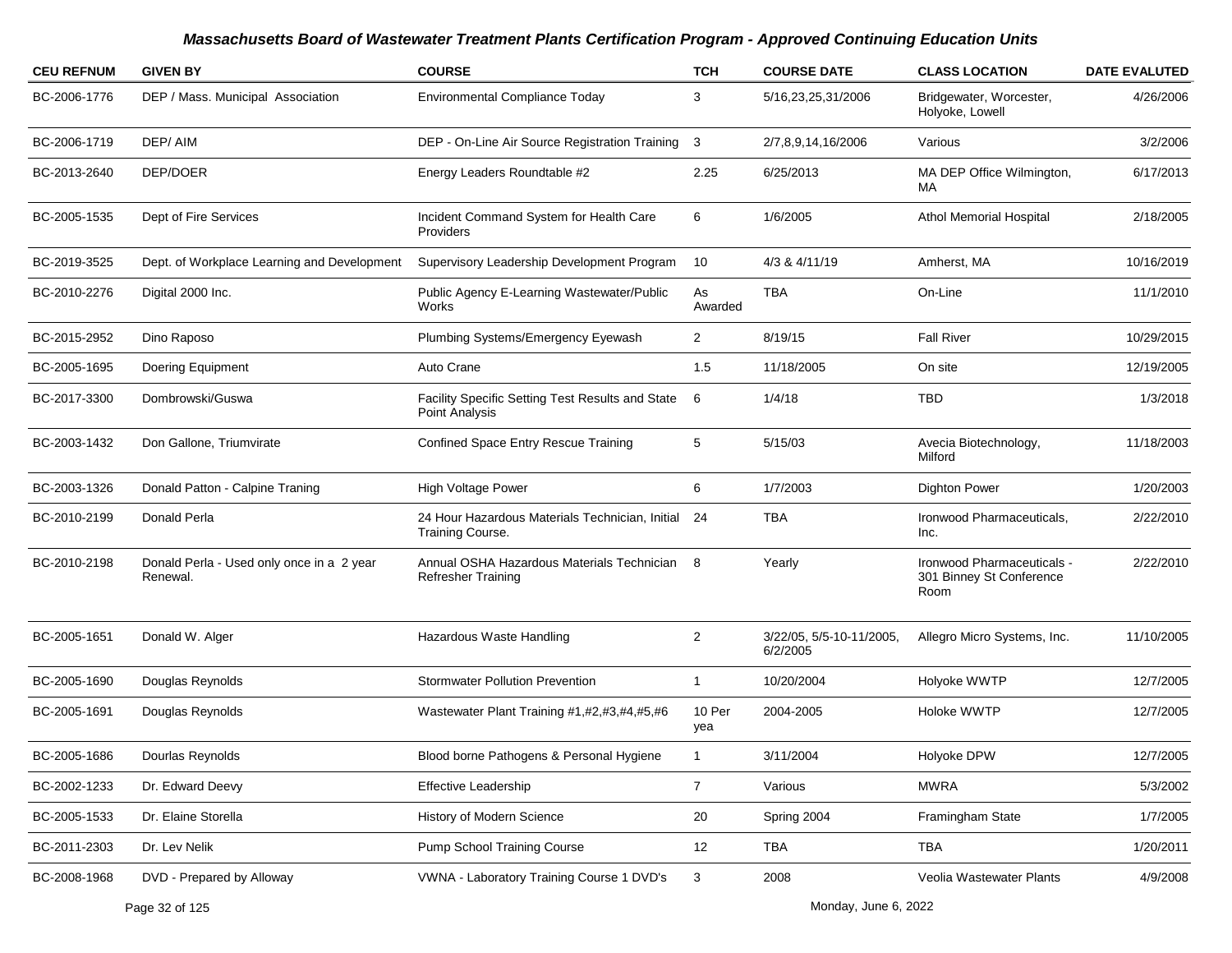| <b>CEU REFNUM</b> | <b>GIVEN BY</b>                                       | <b>COURSE</b>                                                          | <b>TCH</b>     | <b>COURSE DATE</b>                   | <b>CLASS LOCATION</b>                                          | <b>DATE EVALUTED</b> |
|-------------------|-------------------------------------------------------|------------------------------------------------------------------------|----------------|--------------------------------------|----------------------------------------------------------------|----------------------|
| BC-2006-1776      | DEP / Mass. Municipal Association                     | <b>Environmental Compliance Today</b>                                  | 3              | 5/16,23,25,31/2006                   | Bridgewater, Worcester,<br>Holyoke, Lowell                     | 4/26/2006            |
| BC-2006-1719      | DEP/AIM                                               | DEP - On-Line Air Source Registration Training 3                       |                | 2/7,8,9,14,16/2006                   | Various                                                        | 3/2/2006             |
| BC-2013-2640      | DEP/DOER                                              | Energy Leaders Roundtable #2                                           | 2.25           | 6/25/2013                            | MA DEP Office Wilmington,<br>MA.                               | 6/17/2013            |
| BC-2005-1535      | Dept of Fire Services                                 | Incident Command System for Health Care<br><b>Providers</b>            | 6              | 1/6/2005                             | <b>Athol Memorial Hospital</b>                                 | 2/18/2005            |
| BC-2019-3525      | Dept. of Workplace Learning and Development           | Supervisory Leadership Development Program                             | 10             | 4/3 & 4/11/19                        | Amherst, MA                                                    | 10/16/2019           |
| BC-2010-2276      | Digital 2000 Inc.                                     | Public Agency E-Learning Wastewater/Public<br>Works                    | As<br>Awarded  | <b>TBA</b>                           | On-Line                                                        | 11/1/2010            |
| BC-2015-2952      | Dino Raposo                                           | Plumbing Systems/Emergency Eyewash                                     | $\overline{2}$ | 8/19/15                              | <b>Fall River</b>                                              | 10/29/2015           |
| BC-2005-1695      | Doering Equipment                                     | Auto Crane                                                             | 1.5            | 11/18/2005                           | On site                                                        | 12/19/2005           |
| BC-2017-3300      | Dombrowski/Guswa                                      | Facility Specific Setting Test Results and State<br>Point Analysis     | -6             | 1/4/18                               | TBD                                                            | 1/3/2018             |
| BC-2003-1432      | Don Gallone, Triumvirate                              | Confined Space Entry Rescue Training                                   | 5              | 5/15/03                              | Avecia Biotechnology,<br>Milford                               | 11/18/2003           |
| BC-2003-1326      | Donald Patton - Calpine Traning                       | High Voltage Power                                                     | 6              | 1/7/2003                             | <b>Dighton Power</b>                                           | 1/20/2003            |
| BC-2010-2199      | Donald Perla                                          | 24 Hour Hazardous Materials Technician, Initial 24<br>Training Course. |                | TBA                                  | Ironwood Pharmaceuticals,<br>Inc.                              | 2/22/2010            |
| BC-2010-2198      | Donald Perla - Used only once in a 2 year<br>Renewal. | Annual OSHA Hazardous Materials Technician<br>Refresher Training       | -8             | Yearly                               | Ironwood Pharmaceuticals -<br>301 Binney St Conference<br>Room | 2/22/2010            |
| BC-2005-1651      | Donald W. Alger                                       | Hazardous Waste Handling                                               | 2              | 3/22/05, 5/5-10-11/2005,<br>6/2/2005 | Allegro Micro Systems, Inc.                                    | 11/10/2005           |
| BC-2005-1690      | Douglas Reynolds                                      | <b>Stormwater Pollution Prevention</b>                                 | $\mathbf{1}$   | 10/20/2004                           | Holyoke WWTP                                                   | 12/7/2005            |
| BC-2005-1691      | Douglas Reynolds                                      | Wastewater Plant Training #1,#2,#3,#4,#5,#6                            | 10 Per<br>yea  | 2004-2005                            | Holoke WWTP                                                    | 12/7/2005            |
| BC-2005-1686      | Dourlas Reynolds                                      | Blood borne Pathogens & Personal Hygiene                               |                | 3/11/2004                            | Holyoke DPW                                                    | 12/7/2005            |
| BC-2002-1233      | Dr. Edward Deevy                                      | <b>Effective Leadership</b>                                            | $\overline{7}$ | Various                              | <b>MWRA</b>                                                    | 5/3/2002             |
| BC-2005-1533      | Dr. Elaine Storella                                   | History of Modern Science                                              | 20             | Spring 2004                          | Framingham State                                               | 1/7/2005             |
| BC-2011-2303      | Dr. Lev Nelik                                         | Pump School Training Course                                            | 12             | TBA                                  | TBA                                                            | 1/20/2011            |
| BC-2008-1968      | DVD - Prepared by Alloway                             | VWNA - Laboratory Training Course 1 DVD's                              | $\mathbf{3}$   | 2008                                 | Veolia Wastewater Plants                                       | 4/9/2008             |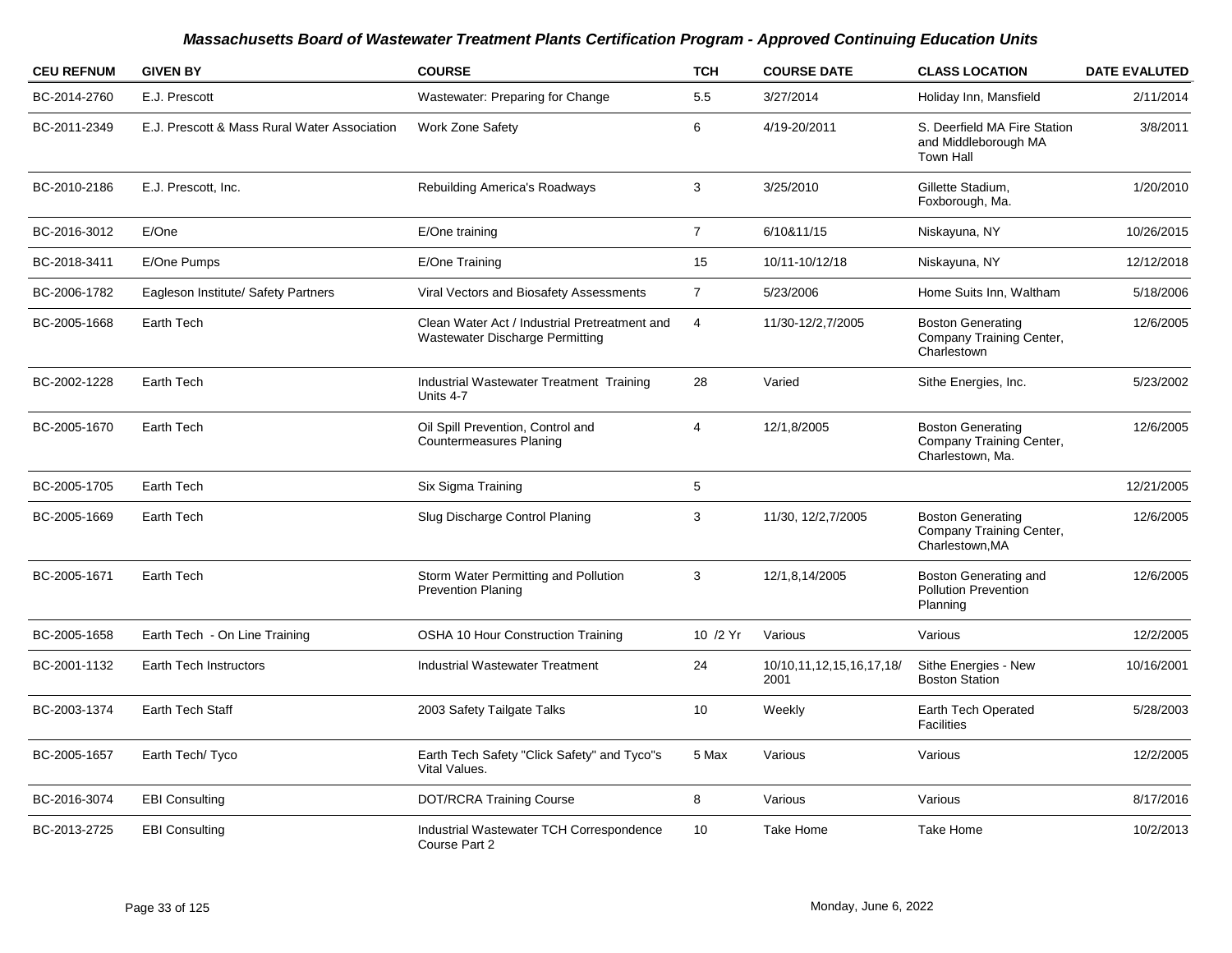| <b>CEU REFNUM</b> | <b>GIVEN BY</b>                              | <b>COURSE</b>                                                                    | <b>TCH</b>     | <b>COURSE DATE</b>               | <b>CLASS LOCATION</b>                                                    | <b>DATE EVALUTED</b> |
|-------------------|----------------------------------------------|----------------------------------------------------------------------------------|----------------|----------------------------------|--------------------------------------------------------------------------|----------------------|
| BC-2014-2760      | E.J. Prescott                                | Wastewater: Preparing for Change                                                 | 5.5            | 3/27/2014                        | Holiday Inn, Mansfield                                                   | 2/11/2014            |
| BC-2011-2349      | E.J. Prescott & Mass Rural Water Association | <b>Work Zone Safety</b>                                                          | 6              | 4/19-20/2011                     | S. Deerfield MA Fire Station<br>and Middleborough MA<br><b>Town Hall</b> | 3/8/2011             |
| BC-2010-2186      | E.J. Prescott, Inc.                          | <b>Rebuilding America's Roadways</b>                                             | 3              | 3/25/2010                        | Gillette Stadium,<br>Foxborough, Ma.                                     | 1/20/2010            |
| BC-2016-3012      | E/One                                        | E/One training                                                                   | $\overline{7}$ | 6/10&11/15                       | Niskayuna, NY                                                            | 10/26/2015           |
| BC-2018-3411      | E/One Pumps                                  | E/One Training                                                                   | 15             | 10/11-10/12/18                   | Niskayuna, NY                                                            | 12/12/2018           |
| BC-2006-1782      | Eagleson Institute/ Safety Partners          | Viral Vectors and Biosafety Assessments                                          | $\overline{7}$ | 5/23/2006                        | Home Suits Inn, Waltham                                                  | 5/18/2006            |
| BC-2005-1668      | Earth Tech                                   | Clean Water Act / Industrial Pretreatment and<br>Wastewater Discharge Permitting | $\overline{4}$ | 11/30-12/2,7/2005                | <b>Boston Generating</b><br>Company Training Center,<br>Charlestown      | 12/6/2005            |
| BC-2002-1228      | Earth Tech                                   | Industrial Wastewater Treatment Training<br>Units 4-7                            | 28             | Varied                           | Sithe Energies, Inc.                                                     | 5/23/2002            |
| BC-2005-1670      | Earth Tech                                   | Oil Spill Prevention, Control and<br><b>Countermeasures Planing</b>              | $\overline{4}$ | 12/1,8/2005                      | <b>Boston Generating</b><br>Company Training Center,<br>Charlestown, Ma. | 12/6/2005            |
| BC-2005-1705      | Earth Tech                                   | Six Sigma Training                                                               | 5              |                                  |                                                                          | 12/21/2005           |
| BC-2005-1669      | Earth Tech                                   | Slug Discharge Control Planing                                                   | 3              | 11/30, 12/2, 7/2005              | <b>Boston Generating</b><br>Company Training Center,<br>Charlestown, MA  | 12/6/2005            |
| BC-2005-1671      | Earth Tech                                   | Storm Water Permitting and Pollution<br><b>Prevention Planing</b>                | 3              | 12/1,8,14/2005                   | Boston Generating and<br><b>Pollution Prevention</b><br>Planning         | 12/6/2005            |
| BC-2005-1658      | Earth Tech - On Line Training                | <b>OSHA 10 Hour Construction Training</b>                                        | 10 /2 Yr       | Various                          | Various                                                                  | 12/2/2005            |
| BC-2001-1132      | Earth Tech Instructors                       | <b>Industrial Wastewater Treatment</b>                                           | 24             | 10/10,11,12,15,16,17,18/<br>2001 | Sithe Energies - New<br><b>Boston Station</b>                            | 10/16/2001           |
| BC-2003-1374      | Earth Tech Staff                             | 2003 Safety Tailgate Talks                                                       | 10             | Weekly                           | Earth Tech Operated<br><b>Facilities</b>                                 | 5/28/2003            |
| BC-2005-1657      | Earth Tech/ Tyco                             | Earth Tech Safety "Click Safety" and Tyco"s<br>Vital Values.                     | 5 Max          | Various                          | Various                                                                  | 12/2/2005            |
| BC-2016-3074      | <b>EBI Consulting</b>                        | <b>DOT/RCRA Training Course</b>                                                  | 8              | Various                          | Various                                                                  | 8/17/2016            |
| BC-2013-2725      | <b>EBI Consulting</b>                        | Industrial Wastewater TCH Correspondence<br>Course Part 2                        | 10             | Take Home                        | Take Home                                                                | 10/2/2013            |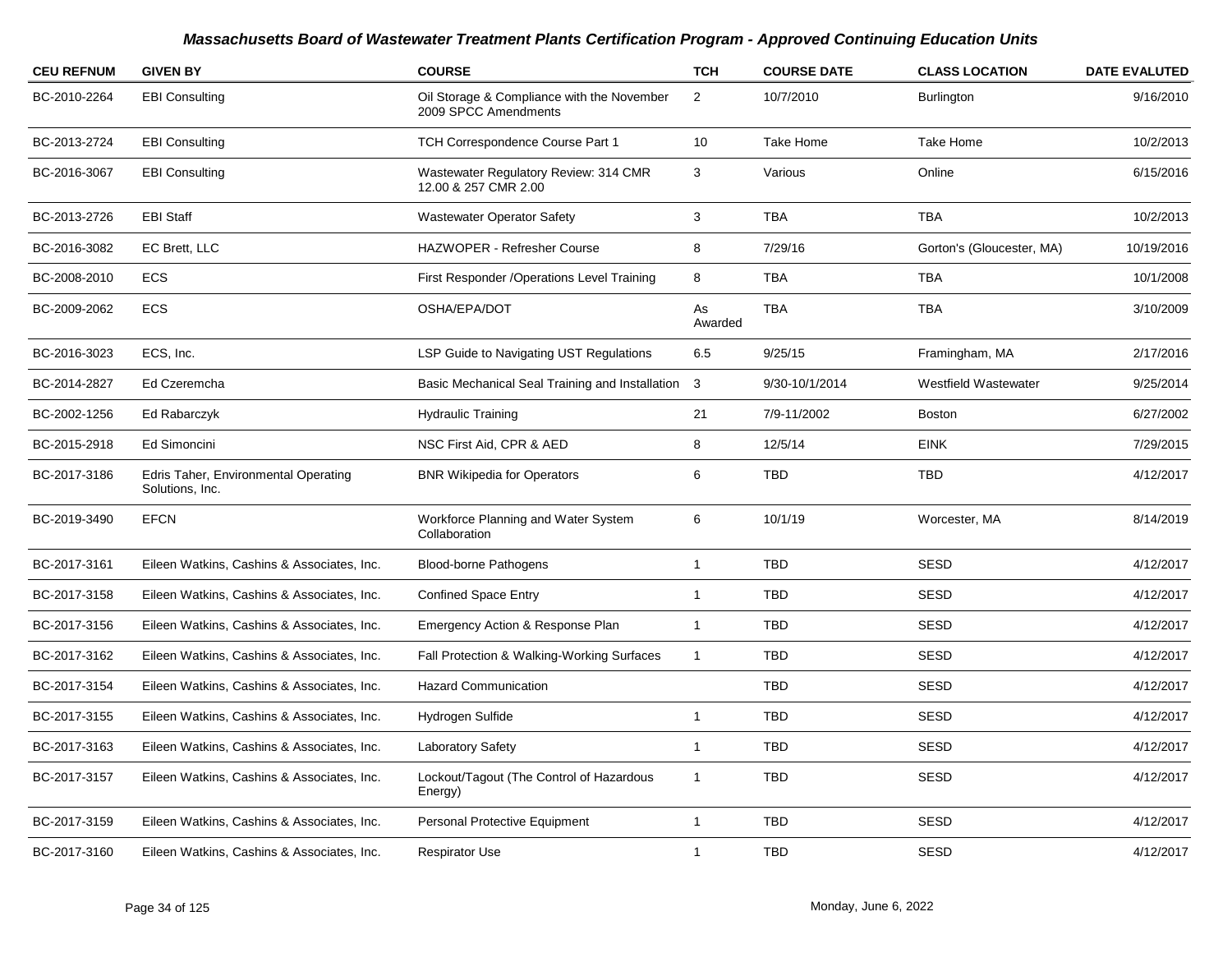| <b>CEU REFNUM</b> | <b>GIVEN BY</b>                                         | <b>COURSE</b>                                                      | <b>TCH</b>    | <b>COURSE DATE</b> | <b>CLASS LOCATION</b>     | <b>DATE EVALUTED</b> |
|-------------------|---------------------------------------------------------|--------------------------------------------------------------------|---------------|--------------------|---------------------------|----------------------|
| BC-2010-2264      | <b>EBI Consulting</b>                                   | Oil Storage & Compliance with the November<br>2009 SPCC Amendments | 2             | 10/7/2010          | <b>Burlington</b>         | 9/16/2010            |
| BC-2013-2724      | <b>EBI Consulting</b>                                   | TCH Correspondence Course Part 1                                   | 10            | Take Home          | Take Home                 | 10/2/2013            |
| BC-2016-3067      | <b>EBI Consulting</b>                                   | Wastewater Regulatory Review: 314 CMR<br>12.00 & 257 CMR 2.00      | 3             | Various            | Online                    | 6/15/2016            |
| BC-2013-2726      | <b>EBI Staff</b>                                        | <b>Wastewater Operator Safety</b>                                  | 3             | <b>TBA</b>         | <b>TBA</b>                | 10/2/2013            |
| BC-2016-3082      | EC Brett, LLC                                           | HAZWOPER - Refresher Course                                        | 8             | 7/29/16            | Gorton's (Gloucester, MA) | 10/19/2016           |
| BC-2008-2010      | <b>ECS</b>                                              | First Responder / Operations Level Training                        | 8             | <b>TBA</b>         | <b>TBA</b>                | 10/1/2008            |
| BC-2009-2062      | <b>ECS</b>                                              | OSHA/EPA/DOT                                                       | As<br>Awarded | <b>TBA</b>         | <b>TBA</b>                | 3/10/2009            |
| BC-2016-3023      | ECS, Inc.                                               | LSP Guide to Navigating UST Regulations                            | 6.5           | 9/25/15            | Framingham, MA            | 2/17/2016            |
| BC-2014-2827      | Ed Czeremcha                                            | Basic Mechanical Seal Training and Installation 3                  |               | 9/30-10/1/2014     | Westfield Wastewater      | 9/25/2014            |
| BC-2002-1256      | Ed Rabarczyk                                            | <b>Hydraulic Training</b>                                          | 21            | 7/9-11/2002        | <b>Boston</b>             | 6/27/2002            |
| BC-2015-2918      | Ed Simoncini                                            | NSC First Aid, CPR & AED                                           | 8             | 12/5/14            | <b>EINK</b>               | 7/29/2015            |
| BC-2017-3186      | Edris Taher, Environmental Operating<br>Solutions, Inc. | <b>BNR Wikipedia for Operators</b>                                 | 6             | <b>TBD</b>         | <b>TBD</b>                | 4/12/2017            |
| BC-2019-3490      | <b>EFCN</b>                                             | Workforce Planning and Water System<br>Collaboration               | 6             | 10/1/19            | Worcester, MA             | 8/14/2019            |
| BC-2017-3161      | Eileen Watkins, Cashins & Associates, Inc.              | <b>Blood-borne Pathogens</b>                                       | $\mathbf{1}$  | <b>TBD</b>         | <b>SESD</b>               | 4/12/2017            |
| BC-2017-3158      | Eileen Watkins, Cashins & Associates, Inc.              | <b>Confined Space Entry</b>                                        | $\mathbf{1}$  | <b>TBD</b>         | <b>SESD</b>               | 4/12/2017            |
| BC-2017-3156      | Eileen Watkins, Cashins & Associates, Inc.              | Emergency Action & Response Plan                                   | $\mathbf{1}$  | <b>TBD</b>         | <b>SESD</b>               | 4/12/2017            |
| BC-2017-3162      | Eileen Watkins, Cashins & Associates, Inc.              | Fall Protection & Walking-Working Surfaces                         | $\mathbf{1}$  | <b>TBD</b>         | <b>SESD</b>               | 4/12/2017            |
| BC-2017-3154      | Eileen Watkins, Cashins & Associates, Inc.              | <b>Hazard Communication</b>                                        |               | <b>TBD</b>         | <b>SESD</b>               | 4/12/2017            |
| BC-2017-3155      | Eileen Watkins, Cashins & Associates, Inc.              | Hydrogen Sulfide                                                   | $\mathbf{1}$  | <b>TBD</b>         | <b>SESD</b>               | 4/12/2017            |
| BC-2017-3163      | Eileen Watkins, Cashins & Associates, Inc.              | Laboratory Safety                                                  | $\mathbf{1}$  | <b>TBD</b>         | <b>SESD</b>               | 4/12/2017            |
| BC-2017-3157      | Eileen Watkins, Cashins & Associates, Inc.              | Lockout/Tagout (The Control of Hazardous<br>Energy)                | $\mathbf{1}$  | <b>TBD</b>         | <b>SESD</b>               | 4/12/2017            |
| BC-2017-3159      | Eileen Watkins, Cashins & Associates, Inc.              | Personal Protective Equipment                                      | $\mathbf{1}$  | <b>TBD</b>         | <b>SESD</b>               | 4/12/2017            |
| BC-2017-3160      | Eileen Watkins, Cashins & Associates, Inc.              | <b>Respirator Use</b>                                              | 1             | <b>TBD</b>         | <b>SESD</b>               | 4/12/2017            |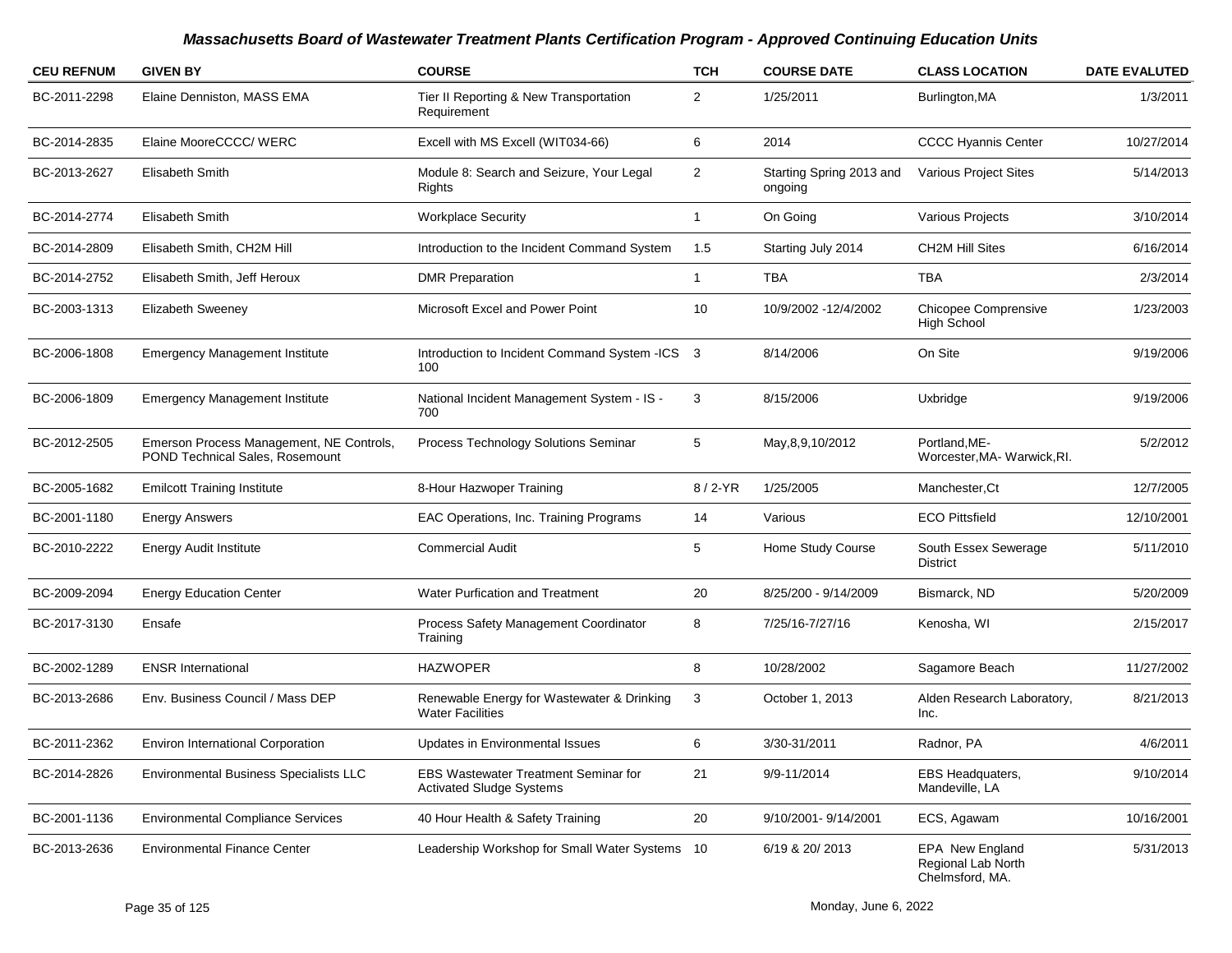| <b>CEU REFNUM</b> | <b>GIVEN BY</b>                                                             | <b>COURSE</b>                                                                  | <b>TCH</b>     | <b>COURSE DATE</b>                  | <b>CLASS LOCATION</b>                                           | <b>DATE EVALUTED</b> |
|-------------------|-----------------------------------------------------------------------------|--------------------------------------------------------------------------------|----------------|-------------------------------------|-----------------------------------------------------------------|----------------------|
| BC-2011-2298      | Elaine Denniston, MASS EMA                                                  | Tier II Reporting & New Transportation<br>Requirement                          | 2              | 1/25/2011                           | Burlington, MA                                                  | 1/3/2011             |
| BC-2014-2835      | Elaine MooreCCCC/ WERC                                                      | Excell with MS Excell (WIT034-66)                                              | 6              | 2014                                | <b>CCCC Hyannis Center</b>                                      | 10/27/2014           |
| BC-2013-2627      | Elisabeth Smith                                                             | Module 8: Search and Seizure, Your Legal<br>Rights                             | $\overline{2}$ | Starting Spring 2013 and<br>ongoing | Various Project Sites                                           | 5/14/2013            |
| BC-2014-2774      | Elisabeth Smith                                                             | <b>Workplace Security</b>                                                      | $\mathbf{1}$   | On Going                            | Various Projects                                                | 3/10/2014            |
| BC-2014-2809      | Elisabeth Smith, CH2M Hill                                                  | Introduction to the Incident Command System                                    | 1.5            | Starting July 2014                  | <b>CH2M Hill Sites</b>                                          | 6/16/2014            |
| BC-2014-2752      | Elisabeth Smith, Jeff Heroux                                                | <b>DMR Preparation</b>                                                         | $\mathbf{1}$   | <b>TBA</b>                          | TBA                                                             | 2/3/2014             |
| BC-2003-1313      | <b>Elizabeth Sweeney</b>                                                    | Microsoft Excel and Power Point                                                | 10             | 10/9/2002 -12/4/2002                | Chicopee Comprensive<br><b>High School</b>                      | 1/23/2003            |
| BC-2006-1808      | <b>Emergency Management Institute</b>                                       | Introduction to Incident Command System -ICS 3<br>100                          |                | 8/14/2006                           | On Site                                                         | 9/19/2006            |
| BC-2006-1809      | <b>Emergency Management Institute</b>                                       | National Incident Management System - IS -<br>700                              | 3              | 8/15/2006                           | Uxbridge                                                        | 9/19/2006            |
| BC-2012-2505      | Emerson Process Management, NE Controls,<br>POND Technical Sales, Rosemount | Process Technology Solutions Seminar                                           | 5              | May, 8, 9, 10/2012                  | Portland, ME-<br>Worcester, MA-Warwick, RI.                     | 5/2/2012             |
| BC-2005-1682      | <b>Emilcott Training Institute</b>                                          | 8-Hour Hazwoper Training                                                       | 8/2-YR         | 1/25/2005                           | Manchester, Ct                                                  | 12/7/2005            |
| BC-2001-1180      | <b>Energy Answers</b>                                                       | EAC Operations, Inc. Training Programs                                         | 14             | Various                             | <b>ECO Pittsfield</b>                                           | 12/10/2001           |
| BC-2010-2222      | Energy Audit Institute                                                      | <b>Commercial Audit</b>                                                        | 5              | Home Study Course                   | South Essex Sewerage<br>District                                | 5/11/2010            |
| BC-2009-2094      | <b>Energy Education Center</b>                                              | Water Purfication and Treatment                                                | 20             | 8/25/200 - 9/14/2009                | Bismarck, ND                                                    | 5/20/2009            |
| BC-2017-3130      | Ensafe                                                                      | Process Safety Management Coordinator<br>Training                              | 8              | 7/25/16-7/27/16                     | Kenosha, WI                                                     | 2/15/2017            |
| BC-2002-1289      | <b>ENSR International</b>                                                   | <b>HAZWOPER</b>                                                                | 8              | 10/28/2002                          | Sagamore Beach                                                  | 11/27/2002           |
| BC-2013-2686      | Env. Business Council / Mass DEP                                            | Renewable Energy for Wastewater & Drinking<br><b>Water Facilities</b>          | 3              | October 1, 2013                     | Alden Research Laboratory,<br>Inc.                              | 8/21/2013            |
| BC-2011-2362      | <b>Environ International Corporation</b>                                    | <b>Updates in Environmental Issues</b>                                         | 6              | 3/30-31/2011                        | Radnor, PA                                                      | 4/6/2011             |
| BC-2014-2826      | <b>Environmental Business Specialists LLC</b>                               | <b>EBS Wastewater Treatment Seminar for</b><br><b>Activated Sludge Systems</b> | 21             | 9/9-11/2014                         | <b>EBS Headquaters,</b><br>Mandeville, LA                       | 9/10/2014            |
| BC-2001-1136      | <b>Environmental Compliance Services</b>                                    | 40 Hour Health & Safety Training                                               | 20             | 9/10/2001-9/14/2001                 | ECS, Agawam                                                     | 10/16/2001           |
| BC-2013-2636      | <b>Environmental Finance Center</b>                                         | Leadership Workshop for Small Water Systems 10                                 |                | 6/19 & 20/ 2013                     | <b>EPA New England</b><br>Regional Lab North<br>Chelmsford, MA. | 5/31/2013            |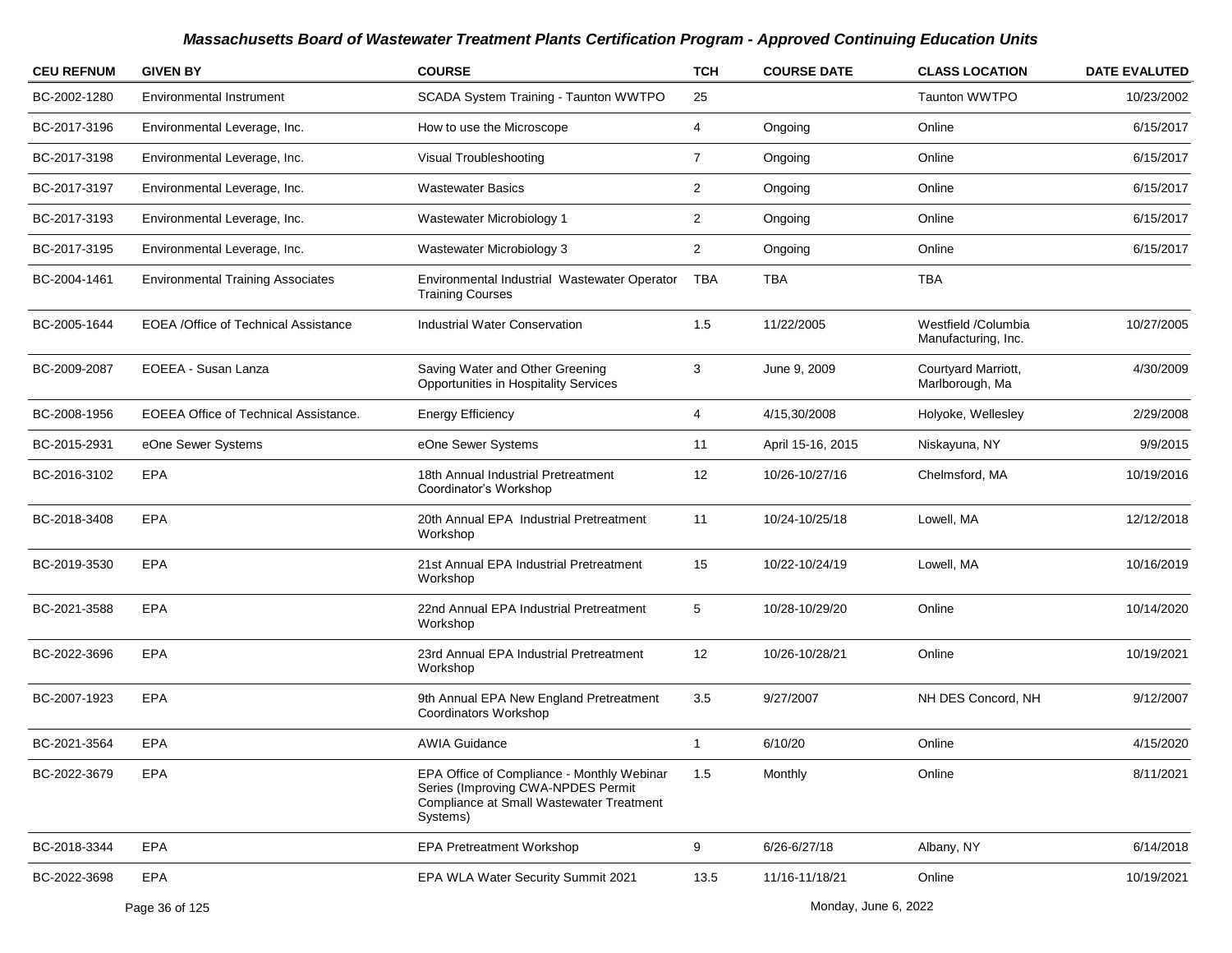| <b>CEU REFNUM</b> | <b>GIVEN BY</b>                              | <b>COURSE</b>                                                                                                                            | <b>TCH</b>     | <b>COURSE DATE</b> | <b>CLASS LOCATION</b>                      | <b>DATE EVALUTED</b> |
|-------------------|----------------------------------------------|------------------------------------------------------------------------------------------------------------------------------------------|----------------|--------------------|--------------------------------------------|----------------------|
| BC-2002-1280      | <b>Environmental Instrument</b>              | SCADA System Training - Taunton WWTPO                                                                                                    | 25             |                    | Taunton WWTPO                              | 10/23/2002           |
| BC-2017-3196      | Environmental Leverage, Inc.                 | How to use the Microscope                                                                                                                | 4              | Ongoing            | Online                                     | 6/15/2017            |
| BC-2017-3198      | Environmental Leverage, Inc.                 | Visual Troubleshooting                                                                                                                   | $\overline{7}$ | Ongoing            | Online                                     | 6/15/2017            |
| BC-2017-3197      | Environmental Leverage, Inc.                 | <b>Wastewater Basics</b>                                                                                                                 | $\overline{c}$ | Ongoing            | Online                                     | 6/15/2017            |
| BC-2017-3193      | Environmental Leverage, Inc.                 | Wastewater Microbiology 1                                                                                                                | $\overline{2}$ | Ongoing            | Online                                     | 6/15/2017            |
| BC-2017-3195      | Environmental Leverage, Inc.                 | Wastewater Microbiology 3                                                                                                                | $\overline{2}$ | Ongoing            | Online                                     | 6/15/2017            |
| BC-2004-1461      | <b>Environmental Training Associates</b>     | Environmental Industrial Wastewater Operator<br><b>Training Courses</b>                                                                  | TBA            | TBA                | <b>TBA</b>                                 |                      |
| BC-2005-1644      | EOEA /Office of Technical Assistance         | <b>Industrial Water Conservation</b>                                                                                                     | 1.5            | 11/22/2005         | Westfield /Columbia<br>Manufacturing, Inc. | 10/27/2005           |
| BC-2009-2087      | EOEEA - Susan Lanza                          | Saving Water and Other Greening<br>Opportunities in Hospitality Services                                                                 | 3              | June 9, 2009       | Courtyard Marriott,<br>Marlborough, Ma     | 4/30/2009            |
| BC-2008-1956      | <b>EOEEA Office of Technical Assistance.</b> | <b>Energy Efficiency</b>                                                                                                                 | 4              | 4/15,30/2008       | Holyoke, Wellesley                         | 2/29/2008            |
| BC-2015-2931      | eOne Sewer Systems                           | eOne Sewer Systems                                                                                                                       | 11             | April 15-16, 2015  | Niskayuna, NY                              | 9/9/2015             |
| BC-2016-3102      | <b>EPA</b>                                   | 18th Annual Industrial Pretreatment<br>Coordinator's Workshop                                                                            | 12             | 10/26-10/27/16     | Chelmsford, MA                             | 10/19/2016           |
| BC-2018-3408      | <b>EPA</b>                                   | 20th Annual EPA Industrial Pretreatment<br>Workshop                                                                                      | 11             | 10/24-10/25/18     | Lowell, MA                                 | 12/12/2018           |
| BC-2019-3530      | <b>EPA</b>                                   | 21st Annual EPA Industrial Pretreatment<br>Workshop                                                                                      | 15             | 10/22-10/24/19     | Lowell, MA                                 | 10/16/2019           |
| BC-2021-3588      | <b>EPA</b>                                   | 22nd Annual EPA Industrial Pretreatment<br>Workshop                                                                                      | 5              | 10/28-10/29/20     | Online                                     | 10/14/2020           |
| BC-2022-3696      | <b>EPA</b>                                   | 23rd Annual EPA Industrial Pretreatment<br>Workshop                                                                                      | 12             | 10/26-10/28/21     | Online                                     | 10/19/2021           |
| BC-2007-1923      | <b>EPA</b>                                   | 9th Annual EPA New England Pretreatment<br>Coordinators Workshop                                                                         | 3.5            | 9/27/2007          | NH DES Concord, NH                         | 9/12/2007            |
| BC-2021-3564      | <b>EPA</b>                                   | <b>AWIA Guidance</b>                                                                                                                     | 1              | 6/10/20            | Online                                     | 4/15/2020            |
| BC-2022-3679      | EPA                                          | EPA Office of Compliance - Monthly Webinar<br>Series (Improving CWA-NPDES Permit<br>Compliance at Small Wastewater Treatment<br>Systems) | 1.5            | Monthly            | Online                                     | 8/11/2021            |
| BC-2018-3344      | <b>EPA</b>                                   | <b>EPA Pretreatment Workshop</b>                                                                                                         | 9              | 6/26-6/27/18       | Albany, NY                                 | 6/14/2018            |
| BC-2022-3698      | <b>EPA</b>                                   | EPA WLA Water Security Summit 2021                                                                                                       | 13.5           | 11/16-11/18/21     | Online                                     | 10/19/2021           |
|                   | Page 36 of 125                               | Monday, June 6, 2022                                                                                                                     |                |                    |                                            |                      |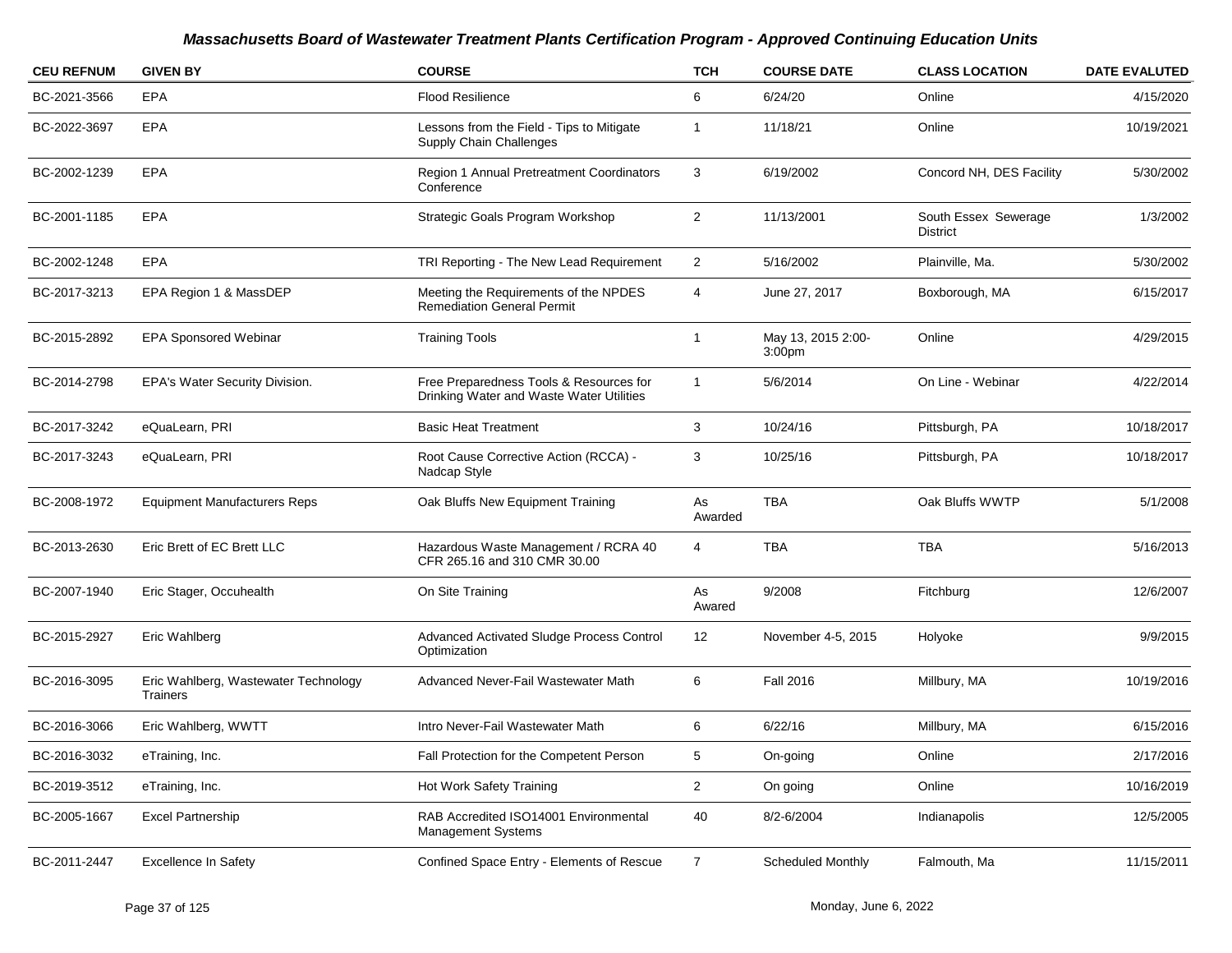| <b>CEU REFNUM</b> | <b>GIVEN BY</b>                                  | <b>COURSE</b>                                                                       | <b>TCH</b>     | <b>COURSE DATE</b>                       | <b>CLASS LOCATION</b>                   | <b>DATE EVALUTED</b> |
|-------------------|--------------------------------------------------|-------------------------------------------------------------------------------------|----------------|------------------------------------------|-----------------------------------------|----------------------|
| BC-2021-3566      | <b>EPA</b>                                       | <b>Flood Resilience</b>                                                             | 6              | 6/24/20                                  | Online                                  | 4/15/2020            |
| BC-2022-3697      | <b>EPA</b>                                       | Lessons from the Field - Tips to Mitigate<br>Supply Chain Challenges                | $\mathbf{1}$   | 11/18/21                                 | Online                                  | 10/19/2021           |
| BC-2002-1239      | <b>EPA</b>                                       | <b>Region 1 Annual Pretreatment Coordinators</b><br>Conference                      | 3              | 6/19/2002                                | Concord NH, DES Facility                | 5/30/2002            |
| BC-2001-1185      | <b>EPA</b>                                       | Strategic Goals Program Workshop                                                    | $\overline{c}$ | 11/13/2001                               | South Essex Sewerage<br><b>District</b> | 1/3/2002             |
| BC-2002-1248      | <b>EPA</b>                                       | TRI Reporting - The New Lead Requirement                                            | $\sqrt{2}$     | 5/16/2002                                | Plainville, Ma.                         | 5/30/2002            |
| BC-2017-3213      | EPA Region 1 & MassDEP                           | Meeting the Requirements of the NPDES<br><b>Remediation General Permit</b>          | 4              | June 27, 2017                            | Boxborough, MA                          | 6/15/2017            |
| BC-2015-2892      | <b>EPA Sponsored Webinar</b>                     | <b>Training Tools</b>                                                               | $\mathbf{1}$   | May 13, 2015 2:00-<br>3:00 <sub>pm</sub> | Online                                  | 4/29/2015            |
| BC-2014-2798      | EPA's Water Security Division.                   | Free Preparedness Tools & Resources for<br>Drinking Water and Waste Water Utilities | $\mathbf{1}$   | 5/6/2014                                 | On Line - Webinar                       | 4/22/2014            |
| BC-2017-3242      | eQuaLearn, PRI                                   | <b>Basic Heat Treatment</b>                                                         | 3              | 10/24/16                                 | Pittsburgh, PA                          | 10/18/2017           |
| BC-2017-3243      | eQuaLearn, PRI                                   | Root Cause Corrective Action (RCCA) -<br>Nadcap Style                               | 3              | 10/25/16                                 | Pittsburgh, PA                          | 10/18/2017           |
| BC-2008-1972      | <b>Equipment Manufacturers Reps</b>              | Oak Bluffs New Equipment Training                                                   | As<br>Awarded  | <b>TBA</b>                               | Oak Bluffs WWTP                         | 5/1/2008             |
| BC-2013-2630      | Eric Brett of EC Brett LLC                       | Hazardous Waste Management / RCRA 40<br>CFR 265.16 and 310 CMR 30.00                | 4              | <b>TBA</b>                               | <b>TBA</b>                              | 5/16/2013            |
| BC-2007-1940      | Eric Stager, Occuhealth                          | On Site Training                                                                    | As<br>Awared   | 9/2008                                   | Fitchburg                               | 12/6/2007            |
| BC-2015-2927      | Eric Wahlberg                                    | Advanced Activated Sludge Process Control<br>Optimization                           | 12             | November 4-5, 2015                       | Holyoke                                 | 9/9/2015             |
| BC-2016-3095      | Eric Wahlberg, Wastewater Technology<br>Trainers | Advanced Never-Fail Wastewater Math                                                 | 6              | <b>Fall 2016</b>                         | Millbury, MA                            | 10/19/2016           |
| BC-2016-3066      | Eric Wahlberg, WWTT                              | Intro Never-Fail Wastewater Math                                                    | 6              | 6/22/16                                  | Millbury, MA                            | 6/15/2016            |
| BC-2016-3032      | eTraining, Inc.                                  | Fall Protection for the Competent Person                                            | 5              | On-going                                 | Online                                  | 2/17/2016            |
| BC-2019-3512      | eTraining, Inc.                                  | Hot Work Safety Training                                                            | $\overline{a}$ | On going                                 | Online                                  | 10/16/2019           |
| BC-2005-1667      | <b>Excel Partnership</b>                         | RAB Accredited ISO14001 Environmental<br><b>Management Systems</b>                  | 40             | 8/2-6/2004                               | Indianapolis                            | 12/5/2005            |
| BC-2011-2447      | <b>Excellence In Safety</b>                      | Confined Space Entry - Elements of Rescue                                           | $\overline{7}$ | Scheduled Monthly                        | Falmouth, Ma                            | 11/15/2011           |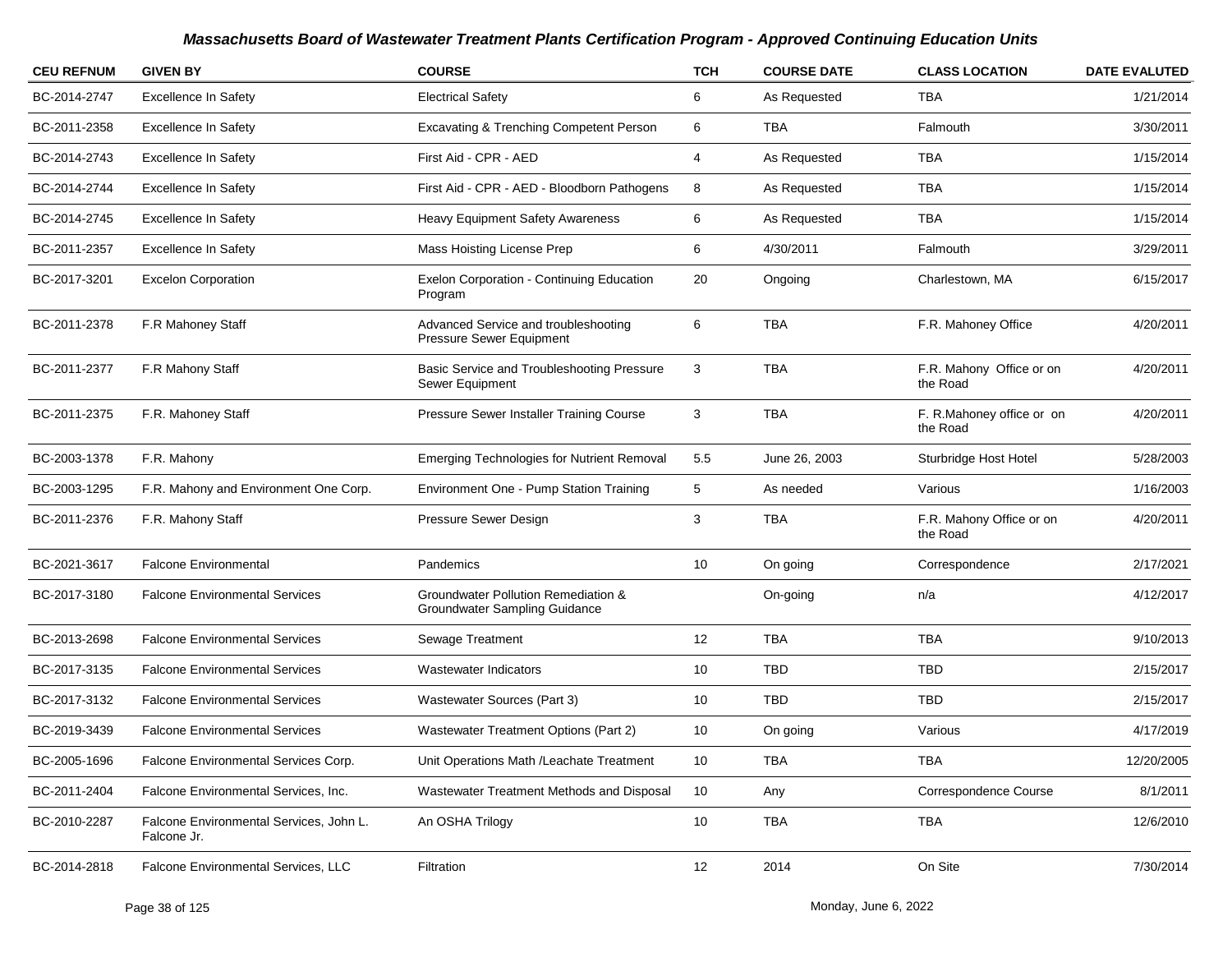| <b>CEU REFNUM</b> | <b>GIVEN BY</b>                                        | <b>COURSE</b>                                                        | <b>TCH</b> | <b>COURSE DATE</b> | <b>CLASS LOCATION</b>                 | <b>DATE EVALUTED</b> |
|-------------------|--------------------------------------------------------|----------------------------------------------------------------------|------------|--------------------|---------------------------------------|----------------------|
| BC-2014-2747      | <b>Excellence In Safety</b>                            | <b>Electrical Safety</b>                                             | 6          | As Requested       | TBA                                   | 1/21/2014            |
| BC-2011-2358      | <b>Excellence In Safety</b>                            | <b>Excavating &amp; Trenching Competent Person</b>                   | 6          | <b>TBA</b>         | Falmouth                              | 3/30/2011            |
| BC-2014-2743      | <b>Excellence In Safety</b>                            | First Aid - CPR - AED                                                | 4          | As Requested       | <b>TBA</b>                            | 1/15/2014            |
| BC-2014-2744      | <b>Excellence In Safety</b>                            | First Aid - CPR - AED - Bloodborn Pathogens                          | 8          | As Requested       | <b>TBA</b>                            | 1/15/2014            |
| BC-2014-2745      | Excellence In Safety                                   | Heavy Equipment Safety Awareness                                     | 6          | As Requested       | <b>TBA</b>                            | 1/15/2014            |
| BC-2011-2357      | <b>Excellence In Safety</b>                            | Mass Hoisting License Prep                                           | 6          | 4/30/2011          | Falmouth                              | 3/29/2011            |
| BC-2017-3201      | <b>Excelon Corporation</b>                             | Exelon Corporation - Continuing Education<br>Program                 | 20         | Ongoing            | Charlestown, MA                       | 6/15/2017            |
| BC-2011-2378      | F.R Mahoney Staff                                      | Advanced Service and troubleshooting<br>Pressure Sewer Equipment     | 6          | <b>TBA</b>         | F.R. Mahoney Office                   | 4/20/2011            |
| BC-2011-2377      | F.R Mahony Staff                                       | Basic Service and Troubleshooting Pressure<br>Sewer Equipment        | 3          | <b>TBA</b>         | F.R. Mahony Office or on<br>the Road  | 4/20/2011            |
| BC-2011-2375      | F.R. Mahoney Staff                                     | Pressure Sewer Installer Training Course                             | 3          | <b>TBA</b>         | F. R.Mahoney office or on<br>the Road | 4/20/2011            |
| BC-2003-1378      | F.R. Mahony                                            | <b>Emerging Technologies for Nutrient Removal</b>                    | 5.5        | June 26, 2003      | Sturbridge Host Hotel                 | 5/28/2003            |
| BC-2003-1295      | F.R. Mahony and Environment One Corp.                  | Environment One - Pump Station Training                              | 5          | As needed          | Various                               | 1/16/2003            |
| BC-2011-2376      | F.R. Mahony Staff                                      | Pressure Sewer Design                                                | 3          | <b>TBA</b>         | F.R. Mahony Office or on<br>the Road  | 4/20/2011            |
| BC-2021-3617      | <b>Falcone Environmental</b>                           | Pandemics                                                            | 10         | On going           | Correspondence                        | 2/17/2021            |
| BC-2017-3180      | <b>Falcone Environmental Services</b>                  | Groundwater Pollution Remediation &<br>Groundwater Sampling Guidance |            | On-going           | n/a                                   | 4/12/2017            |
| BC-2013-2698      | <b>Falcone Environmental Services</b>                  | Sewage Treatment                                                     | 12         | <b>TBA</b>         | <b>TBA</b>                            | 9/10/2013            |
| BC-2017-3135      | <b>Falcone Environmental Services</b>                  | Wastewater Indicators                                                | 10         | <b>TBD</b>         | <b>TBD</b>                            | 2/15/2017            |
| BC-2017-3132      | <b>Falcone Environmental Services</b>                  | Wastewater Sources (Part 3)                                          | 10         | <b>TBD</b>         | TBD                                   | 2/15/2017            |
| BC-2019-3439      | <b>Falcone Environmental Services</b>                  | Wastewater Treatment Options (Part 2)                                | 10         | On going           | Various                               | 4/17/2019            |
| BC-2005-1696      | Falcone Environmental Services Corp.                   | Unit Operations Math /Leachate Treatment                             | 10         | TBA                | TBA                                   | 12/20/2005           |
| BC-2011-2404      | Falcone Environmental Services, Inc.                   | Wastewater Treatment Methods and Disposal                            | 10         | Any                | Correspondence Course                 | 8/1/2011             |
| BC-2010-2287      | Falcone Environmental Services, John L.<br>Falcone Jr. | An OSHA Trilogy                                                      | 10         | <b>TBA</b>         | TBA                                   | 12/6/2010            |
| BC-2014-2818      | Falcone Environmental Services, LLC                    | Filtration                                                           | 12         | 2014               | On Site                               | 7/30/2014            |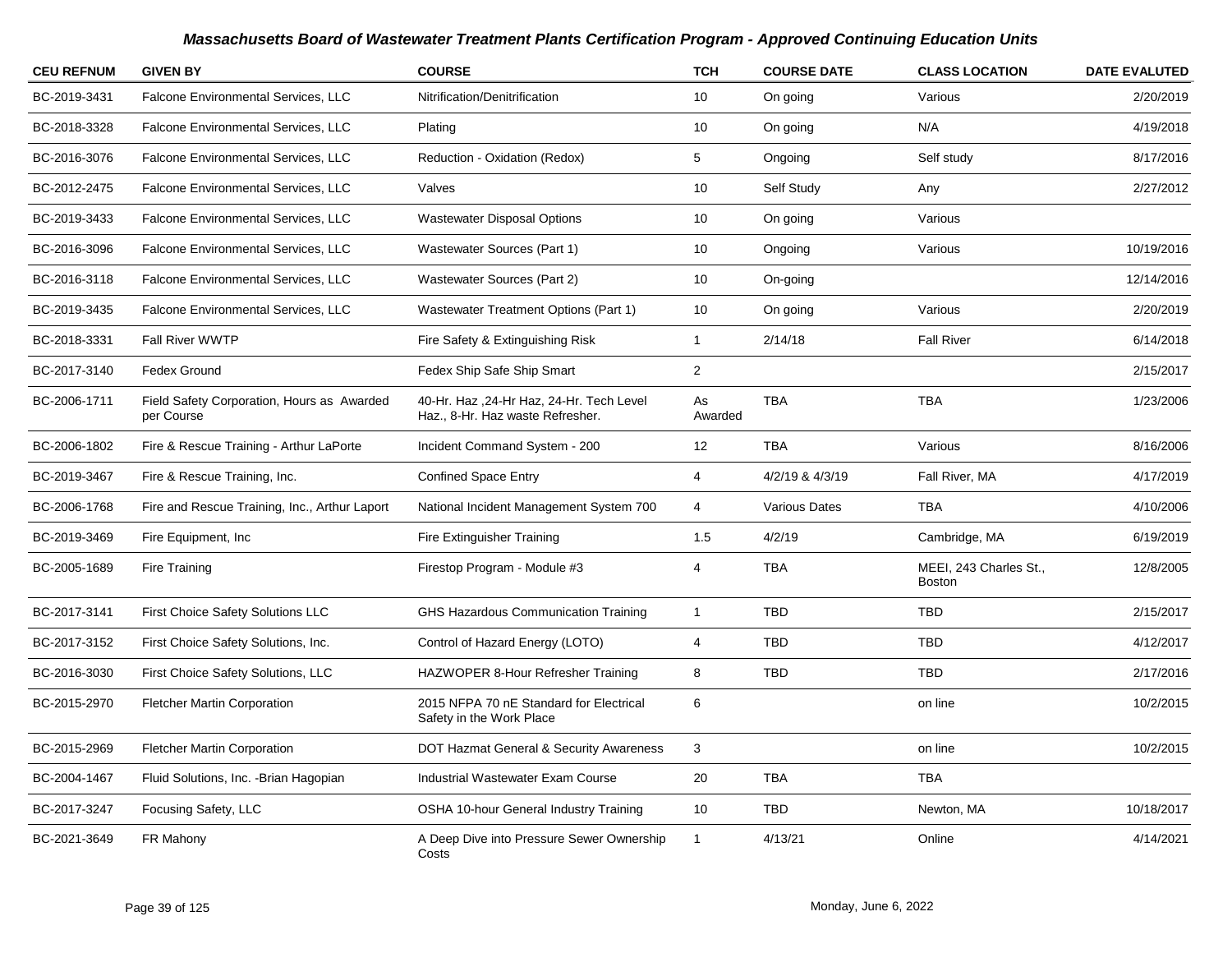| <b>CEU REFNUM</b> | <b>GIVEN BY</b>                                          | <b>COURSE</b>                                                                 | <b>TCH</b>     | <b>COURSE DATE</b> | <b>CLASS LOCATION</b>                   | <b>DATE EVALUTED</b> |
|-------------------|----------------------------------------------------------|-------------------------------------------------------------------------------|----------------|--------------------|-----------------------------------------|----------------------|
| BC-2019-3431      | Falcone Environmental Services, LLC                      | Nitrification/Denitrification                                                 | 10             | On going           | Various                                 | 2/20/2019            |
| BC-2018-3328      | Falcone Environmental Services, LLC                      | Plating                                                                       | 10             | On going           | N/A                                     | 4/19/2018            |
| BC-2016-3076      | <b>Falcone Environmental Services, LLC</b>               | Reduction - Oxidation (Redox)                                                 | 5              | Ongoing            | Self study                              | 8/17/2016            |
| BC-2012-2475      | Falcone Environmental Services, LLC                      | Valves                                                                        | 10             | Self Study         | Any                                     | 2/27/2012            |
| BC-2019-3433      | Falcone Environmental Services, LLC                      | <b>Wastewater Disposal Options</b>                                            | 10             | On going           | Various                                 |                      |
| BC-2016-3096      | Falcone Environmental Services, LLC                      | Wastewater Sources (Part 1)                                                   | 10             | Ongoing            | Various                                 | 10/19/2016           |
| BC-2016-3118      | Falcone Environmental Services, LLC                      | Wastewater Sources (Part 2)                                                   | 10             | On-going           |                                         | 12/14/2016           |
| BC-2019-3435      | Falcone Environmental Services, LLC                      | Wastewater Treatment Options (Part 1)                                         | 10             | On going           | Various                                 | 2/20/2019            |
| BC-2018-3331      | Fall River WWTP                                          | Fire Safety & Extinguishing Risk                                              | $\mathbf{1}$   | 2/14/18            | <b>Fall River</b>                       | 6/14/2018            |
| BC-2017-3140      | Fedex Ground                                             | Fedex Ship Safe Ship Smart                                                    | $\overline{2}$ |                    |                                         | 2/15/2017            |
| BC-2006-1711      | Field Safety Corporation, Hours as Awarded<br>per Course | 40-Hr. Haz , 24-Hr Haz, 24-Hr. Tech Level<br>Haz., 8-Hr. Haz waste Refresher. | As<br>Awarded  | <b>TBA</b>         | <b>TBA</b>                              | 1/23/2006            |
| BC-2006-1802      | Fire & Rescue Training - Arthur LaPorte                  | Incident Command System - 200                                                 | 12             | <b>TBA</b>         | Various                                 | 8/16/2006            |
| BC-2019-3467      | Fire & Rescue Training, Inc.                             | <b>Confined Space Entry</b>                                                   | $\overline{4}$ | 4/2/19 & 4/3/19    | Fall River, MA                          | 4/17/2019            |
| BC-2006-1768      | Fire and Rescue Training, Inc., Arthur Laport            | National Incident Management System 700                                       | $\overline{4}$ | Various Dates      | <b>TBA</b>                              | 4/10/2006            |
| BC-2019-3469      | Fire Equipment, Inc.                                     | Fire Extinguisher Training                                                    | 1.5            | 4/2/19             | Cambridge, MA                           | 6/19/2019            |
| BC-2005-1689      | Fire Training                                            | Firestop Program - Module #3                                                  | $\overline{4}$ | <b>TBA</b>         | MEEI, 243 Charles St.,<br><b>Boston</b> | 12/8/2005            |
| BC-2017-3141      | First Choice Safety Solutions LLC                        | GHS Hazardous Communication Training                                          | $\mathbf{1}$   | <b>TBD</b>         | <b>TBD</b>                              | 2/15/2017            |
| BC-2017-3152      | First Choice Safety Solutions, Inc.                      | Control of Hazard Energy (LOTO)                                               | $\overline{4}$ | <b>TBD</b>         | <b>TBD</b>                              | 4/12/2017            |
| BC-2016-3030      | First Choice Safety Solutions, LLC                       | HAZWOPER 8-Hour Refresher Training                                            | 8              | <b>TBD</b>         | <b>TBD</b>                              | 2/17/2016            |
| BC-2015-2970      | <b>Fletcher Martin Corporation</b>                       | 2015 NFPA 70 nE Standard for Electrical<br>Safety in the Work Place           | 6              |                    | on line                                 | 10/2/2015            |
| BC-2015-2969      | <b>Fletcher Martin Corporation</b>                       | DOT Hazmat General & Security Awareness                                       | 3              |                    | on line                                 | 10/2/2015            |
| BC-2004-1467      | Fluid Solutions, Inc. - Brian Hagopian                   | <b>Industrial Wastewater Exam Course</b>                                      | 20             | <b>TBA</b>         | <b>TBA</b>                              |                      |
| BC-2017-3247      | Focusing Safety, LLC                                     | OSHA 10-hour General Industry Training                                        | 10             | <b>TBD</b>         | Newton, MA                              | 10/18/2017           |
| BC-2021-3649      | FR Mahony                                                | A Deep Dive into Pressure Sewer Ownership<br>Costs                            | $\mathbf{1}$   | 4/13/21            | Online                                  | 4/14/2021            |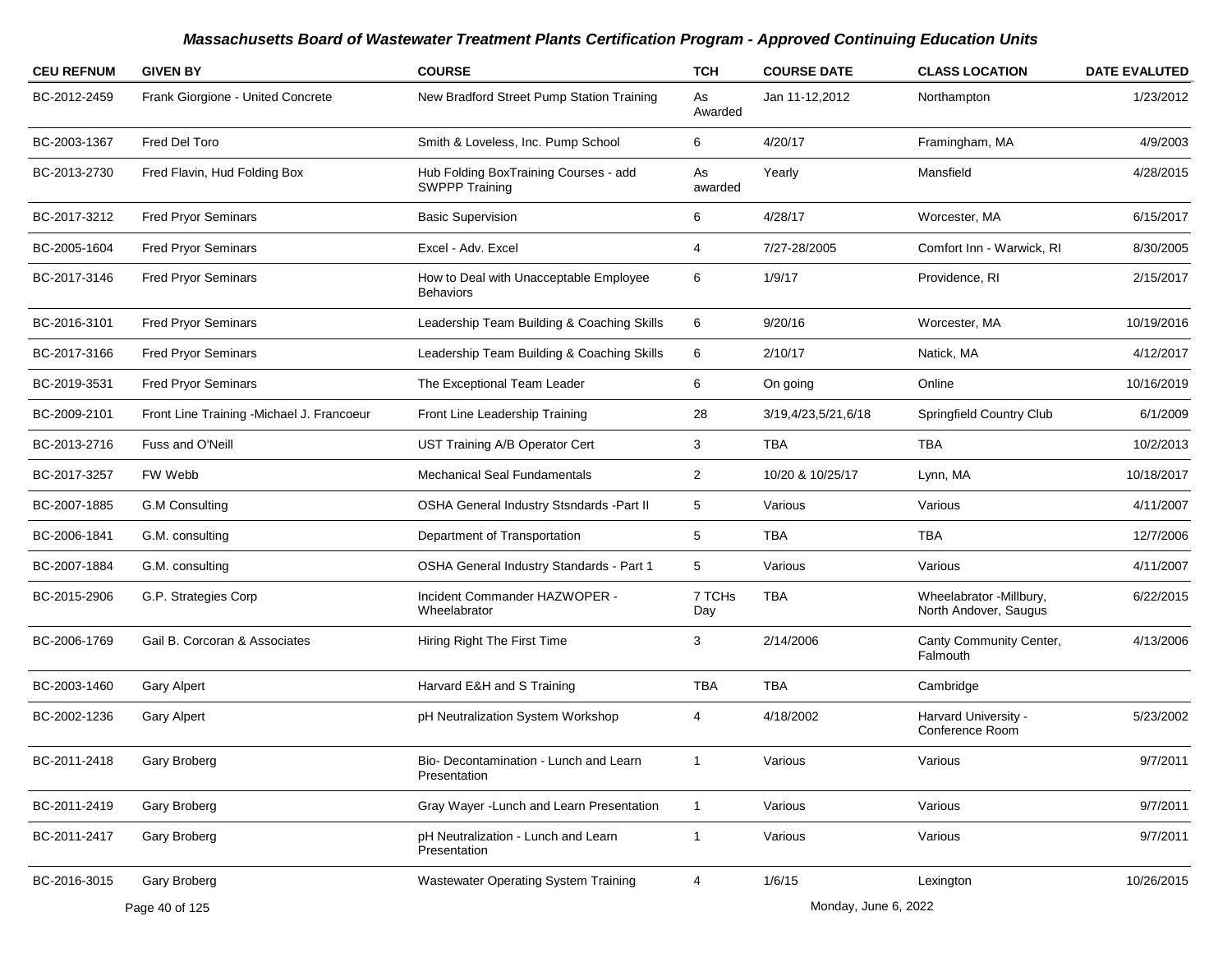| <b>CEU REFNUM</b> | <b>GIVEN BY</b>                            | <b>COURSE</b>                                                  | <b>TCH</b>     | <b>COURSE DATE</b>   | <b>CLASS LOCATION</b>                            | <b>DATE EVALUTED</b> |
|-------------------|--------------------------------------------|----------------------------------------------------------------|----------------|----------------------|--------------------------------------------------|----------------------|
| BC-2012-2459      | Frank Giorgione - United Concrete          | New Bradford Street Pump Station Training                      | As<br>Awarded  | Jan 11-12,2012       | Northampton                                      | 1/23/2012            |
| BC-2003-1367      | Fred Del Toro                              | Smith & Loveless, Inc. Pump School                             | 6              | 4/20/17              | Framingham, MA                                   | 4/9/2003             |
| BC-2013-2730      | Fred Flavin, Hud Folding Box               | Hub Folding BoxTraining Courses - add<br><b>SWPPP Training</b> | As<br>awarded  | Yearly               | Mansfield                                        | 4/28/2015            |
| BC-2017-3212      | <b>Fred Pryor Seminars</b>                 | <b>Basic Supervision</b>                                       | 6              | 4/28/17              | Worcester, MA                                    | 6/15/2017            |
| BC-2005-1604      | <b>Fred Pryor Seminars</b>                 | Excel - Adv. Excel                                             | 4              | 7/27-28/2005         | Comfort Inn - Warwick, RI                        | 8/30/2005            |
| BC-2017-3146      | <b>Fred Pryor Seminars</b>                 | How to Deal with Unacceptable Employee<br><b>Behaviors</b>     | 6              | 1/9/17               | Providence, RI                                   | 2/15/2017            |
| BC-2016-3101      | <b>Fred Pryor Seminars</b>                 | Leadership Team Building & Coaching Skills                     | 6              | 9/20/16              | Worcester, MA                                    | 10/19/2016           |
| BC-2017-3166      | <b>Fred Pryor Seminars</b>                 | Leadership Team Building & Coaching Skills                     | 6              | 2/10/17              | Natick, MA                                       | 4/12/2017            |
| BC-2019-3531      | <b>Fred Pryor Seminars</b>                 | The Exceptional Team Leader                                    | 6              | On going             | Online                                           | 10/16/2019           |
| BC-2009-2101      | Front Line Training - Michael J. Francoeur | Front Line Leadership Training                                 | 28             | 3/19,4/23,5/21,6/18  | Springfield Country Club                         | 6/1/2009             |
| BC-2013-2716      | Fuss and O'Neill                           | UST Training A/B Operator Cert                                 | 3              | <b>TBA</b>           | <b>TBA</b>                                       | 10/2/2013            |
| BC-2017-3257      | FW Webb                                    | <b>Mechanical Seal Fundamentals</b>                            | $\overline{2}$ | 10/20 & 10/25/17     | Lynn, MA                                         | 10/18/2017           |
| BC-2007-1885      | <b>G.M Consulting</b>                      | OSHA General Industry Stsndards -Part II                       | 5              | Various              | Various                                          | 4/11/2007            |
| BC-2006-1841      | G.M. consulting                            | Department of Transportation                                   | 5              | <b>TBA</b>           | TBA                                              | 12/7/2006            |
| BC-2007-1884      | G.M. consulting                            | <b>OSHA General Industry Standards - Part 1</b>                | 5              | Various              | Various                                          | 4/11/2007            |
| BC-2015-2906      | G.P. Strategies Corp                       | Incident Commander HAZWOPER -<br>Wheelabrator                  | 7 TCHs<br>Day  | <b>TBA</b>           | Wheelabrator -Millbury,<br>North Andover, Saugus | 6/22/2015            |
| BC-2006-1769      | Gail B. Corcoran & Associates              | Hiring Right The First Time                                    | 3              | 2/14/2006            | Canty Community Center,<br>Falmouth              | 4/13/2006            |
| BC-2003-1460      | <b>Gary Alpert</b>                         | Harvard E&H and S Training                                     | <b>TBA</b>     | <b>TBA</b>           | Cambridge                                        |                      |
| BC-2002-1236      | <b>Gary Alpert</b>                         | pH Neutralization System Workshop                              | 4              | 4/18/2002            | Harvard University -<br>Conference Room          | 5/23/2002            |
| BC-2011-2418      | Gary Broberg                               | Bio- Decontamination - Lunch and Learn<br>Presentation         | $\mathbf{1}$   | Various              | Various                                          | 9/7/2011             |
| BC-2011-2419      | Gary Broberg                               | Gray Wayer - Lunch and Learn Presentation                      | $\mathbf{1}$   | Various              | Various                                          | 9/7/2011             |
| BC-2011-2417      | Gary Broberg                               | pH Neutralization - Lunch and Learn<br>Presentation            | $\mathbf{1}$   | Various              | Various                                          | 9/7/2011             |
| BC-2016-3015      | Gary Broberg                               | Wastewater Operating System Training                           | 4              | 1/6/15               | Lexington                                        | 10/26/2015           |
|                   | Page 40 of 125                             |                                                                |                | Monday, June 6, 2022 |                                                  |                      |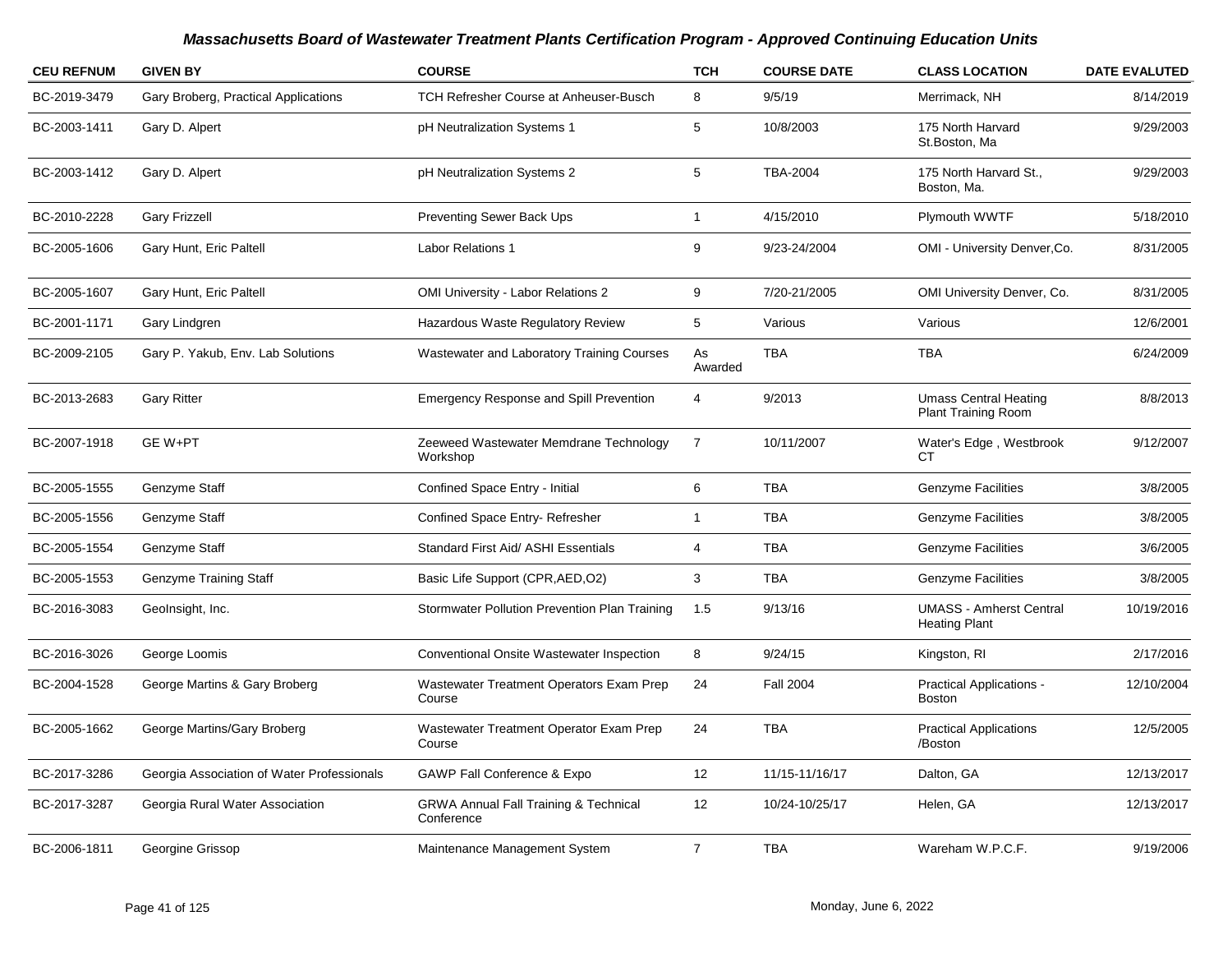| <b>CEU REFNUM</b> | <b>GIVEN BY</b>                            | <b>COURSE</b>                                                  | <b>TCH</b>     | <b>COURSE DATE</b> | <b>CLASS LOCATION</b>                                      | <b>DATE EVALUTED</b> |
|-------------------|--------------------------------------------|----------------------------------------------------------------|----------------|--------------------|------------------------------------------------------------|----------------------|
| BC-2019-3479      | Gary Broberg, Practical Applications       | <b>TCH Refresher Course at Anheuser-Busch</b>                  | 8              | 9/5/19             | Merrimack, NH                                              | 8/14/2019            |
| BC-2003-1411      | Gary D. Alpert                             | pH Neutralization Systems 1                                    | 5              | 10/8/2003          | 175 North Harvard<br>St.Boston, Ma                         | 9/29/2003            |
| BC-2003-1412      | Gary D. Alpert                             | pH Neutralization Systems 2                                    | 5              | <b>TBA-2004</b>    | 175 North Harvard St.,<br>Boston, Ma.                      | 9/29/2003            |
| BC-2010-2228      | <b>Gary Frizzell</b>                       | <b>Preventing Sewer Back Ups</b>                               | $\mathbf{1}$   | 4/15/2010          | Plymouth WWTF                                              | 5/18/2010            |
| BC-2005-1606      | Gary Hunt, Eric Paltell                    | <b>Labor Relations 1</b>                                       | 9              | 9/23-24/2004       | OMI - University Denver, Co.                               | 8/31/2005            |
| BC-2005-1607      | Gary Hunt, Eric Paltell                    | OMI University - Labor Relations 2                             | 9              | 7/20-21/2005       | OMI University Denver, Co.                                 | 8/31/2005            |
| BC-2001-1171      | Gary Lindgren                              | Hazardous Waste Regulatory Review                              | 5              | Various            | Various                                                    | 12/6/2001            |
| BC-2009-2105      | Gary P. Yakub, Env. Lab Solutions          | Wastewater and Laboratory Training Courses                     | As<br>Awarded  | TBA                | TBA                                                        | 6/24/2009            |
| BC-2013-2683      | <b>Gary Ritter</b>                         | <b>Emergency Response and Spill Prevention</b>                 | 4              | 9/2013             | <b>Umass Central Heating</b><br><b>Plant Training Room</b> | 8/8/2013             |
| BC-2007-1918      | GE W+PT                                    | Zeeweed Wastewater Memdrane Technology<br>Workshop             | $\overline{7}$ | 10/11/2007         | Water's Edge, Westbrook<br>СT                              | 9/12/2007            |
| BC-2005-1555      | Genzyme Staff                              | Confined Space Entry - Initial                                 | 6              | <b>TBA</b>         | <b>Genzyme Facilities</b>                                  | 3/8/2005             |
| BC-2005-1556      | Genzyme Staff                              | Confined Space Entry-Refresher                                 | 1              | <b>TBA</b>         | <b>Genzyme Facilities</b>                                  | 3/8/2005             |
| BC-2005-1554      | Genzyme Staff                              | Standard First Aid/ ASHI Essentials                            | 4              | <b>TBA</b>         | <b>Genzyme Facilities</b>                                  | 3/6/2005             |
| BC-2005-1553      | Genzyme Training Staff                     | Basic Life Support (CPR, AED, O2)                              | 3              | <b>TBA</b>         | <b>Genzyme Facilities</b>                                  | 3/8/2005             |
| BC-2016-3083      | GeoInsight, Inc.                           | Stormwater Pollution Prevention Plan Training                  | 1.5            | 9/13/16            | <b>UMASS - Amherst Central</b><br><b>Heating Plant</b>     | 10/19/2016           |
| BC-2016-3026      | George Loomis                              | Conventional Onsite Wastewater Inspection                      | 8              | 9/24/15            | Kingston, RI                                               | 2/17/2016            |
| BC-2004-1528      | George Martins & Gary Broberg              | Wastewater Treatment Operators Exam Prep<br>Course             | 24             | <b>Fall 2004</b>   | <b>Practical Applications -</b><br><b>Boston</b>           | 12/10/2004           |
| BC-2005-1662      | George Martins/Gary Broberg                | Wastewater Treatment Operator Exam Prep<br>Course              | 24             | <b>TBA</b>         | <b>Practical Applications</b><br>/Boston                   | 12/5/2005            |
| BC-2017-3286      | Georgia Association of Water Professionals | <b>GAWP Fall Conference &amp; Expo</b>                         | 12             | 11/15-11/16/17     | Dalton, GA                                                 | 12/13/2017           |
| BC-2017-3287      | Georgia Rural Water Association            | <b>GRWA Annual Fall Training &amp; Technical</b><br>Conference | 12             | 10/24-10/25/17     | Helen, GA                                                  | 12/13/2017           |
| BC-2006-1811      | Georgine Grissop                           | Maintenance Management System                                  | $\overline{7}$ | <b>TBA</b>         | Wareham W.P.C.F.                                           | 9/19/2006            |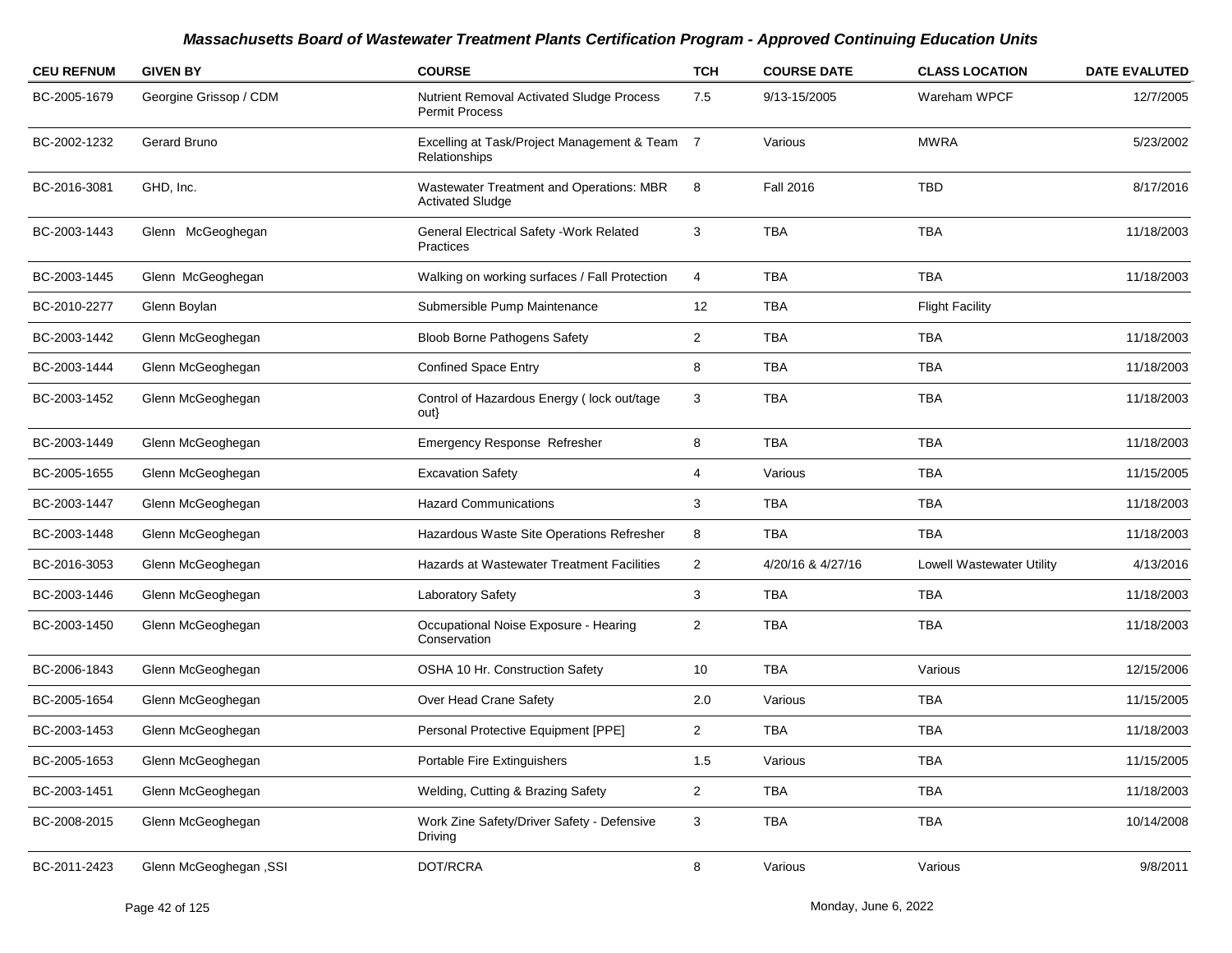| <b>CEU REFNUM</b> | <b>GIVEN BY</b>               | <b>COURSE</b>                                                       | <b>TCH</b>     | <b>COURSE DATE</b> | <b>CLASS LOCATION</b>     | <b>DATE EVALUTED</b> |
|-------------------|-------------------------------|---------------------------------------------------------------------|----------------|--------------------|---------------------------|----------------------|
| BC-2005-1679      | Georgine Grissop / CDM        | Nutrient Removal Activated Sludge Process<br><b>Permit Process</b>  | 7.5            | 9/13-15/2005       | Wareham WPCF              | 12/7/2005            |
| BC-2002-1232      | Gerard Bruno                  | Excelling at Task/Project Management & Team 7<br>Relationships      |                | Various            | <b>MWRA</b>               | 5/23/2002            |
| BC-2016-3081      | GHD, Inc.                     | Wastewater Treatment and Operations: MBR<br><b>Activated Sludge</b> | 8              | <b>Fall 2016</b>   | <b>TBD</b>                | 8/17/2016            |
| BC-2003-1443      | Glenn McGeoghegan             | General Electrical Safety - Work Related<br>Practices               | 3              | TBA                | <b>TBA</b>                | 11/18/2003           |
| BC-2003-1445      | Glenn McGeoghegan             | Walking on working surfaces / Fall Protection                       | 4              | <b>TBA</b>         | <b>TBA</b>                | 11/18/2003           |
| BC-2010-2277      | Glenn Boylan                  | Submersible Pump Maintenance                                        | 12             | <b>TBA</b>         | <b>Flight Facility</b>    |                      |
| BC-2003-1442      | Glenn McGeoghegan             | <b>Bloob Borne Pathogens Safety</b>                                 | $\overline{2}$ | <b>TBA</b>         | <b>TBA</b>                | 11/18/2003           |
| BC-2003-1444      | Glenn McGeoghegan             | <b>Confined Space Entry</b>                                         | 8              | TBA                | <b>TBA</b>                | 11/18/2003           |
| BC-2003-1452      | Glenn McGeoghegan             | Control of Hazardous Energy (lock out/tage<br>out}                  | 3              | <b>TBA</b>         | <b>TBA</b>                | 11/18/2003           |
| BC-2003-1449      | Glenn McGeoghegan             | Emergency Response Refresher                                        | 8              | <b>TBA</b>         | <b>TBA</b>                | 11/18/2003           |
| BC-2005-1655      | Glenn McGeoghegan             | <b>Excavation Safety</b>                                            | 4              | Various            | <b>TBA</b>                | 11/15/2005           |
| BC-2003-1447      | Glenn McGeoghegan             | <b>Hazard Communications</b>                                        | 3              | <b>TBA</b>         | <b>TBA</b>                | 11/18/2003           |
| BC-2003-1448      | Glenn McGeoghegan             | Hazardous Waste Site Operations Refresher                           | 8              | <b>TBA</b>         | <b>TBA</b>                | 11/18/2003           |
| BC-2016-3053      | Glenn McGeoghegan             | Hazards at Wastewater Treatment Facilities                          | $\overline{2}$ | 4/20/16 & 4/27/16  | Lowell Wastewater Utility | 4/13/2016            |
| BC-2003-1446      | Glenn McGeoghegan             | Laboratory Safety                                                   | 3              | TBA                | <b>TBA</b>                | 11/18/2003           |
| BC-2003-1450      | Glenn McGeoghegan             | Occupational Noise Exposure - Hearing<br>Conservation               | $\overline{2}$ | <b>TBA</b>         | <b>TBA</b>                | 11/18/2003           |
| BC-2006-1843      | Glenn McGeoghegan             | OSHA 10 Hr. Construction Safety                                     | 10             | TBA                | Various                   | 12/15/2006           |
| BC-2005-1654      | Glenn McGeoghegan             | Over Head Crane Safety                                              | 2.0            | Various            | TBA                       | 11/15/2005           |
| BC-2003-1453      | Glenn McGeoghegan             | Personal Protective Equipment [PPE]                                 | $\overline{c}$ | <b>TBA</b>         | <b>TBA</b>                | 11/18/2003           |
| BC-2005-1653      | Glenn McGeoghegan             | Portable Fire Extinguishers                                         | 1.5            | Various            | TBA                       | 11/15/2005           |
| BC-2003-1451      | Glenn McGeoghegan             | Welding, Cutting & Brazing Safety                                   | $\overline{a}$ | <b>TBA</b>         | TBA                       | 11/18/2003           |
| BC-2008-2015      | Glenn McGeoghegan             | Work Zine Safety/Driver Safety - Defensive<br>Driving               | 3              | TBA                | TBA                       | 10/14/2008           |
| BC-2011-2423      | <b>Glenn McGeoghegan, SSI</b> | DOT/RCRA                                                            | 8              | Various            | Various                   | 9/8/2011             |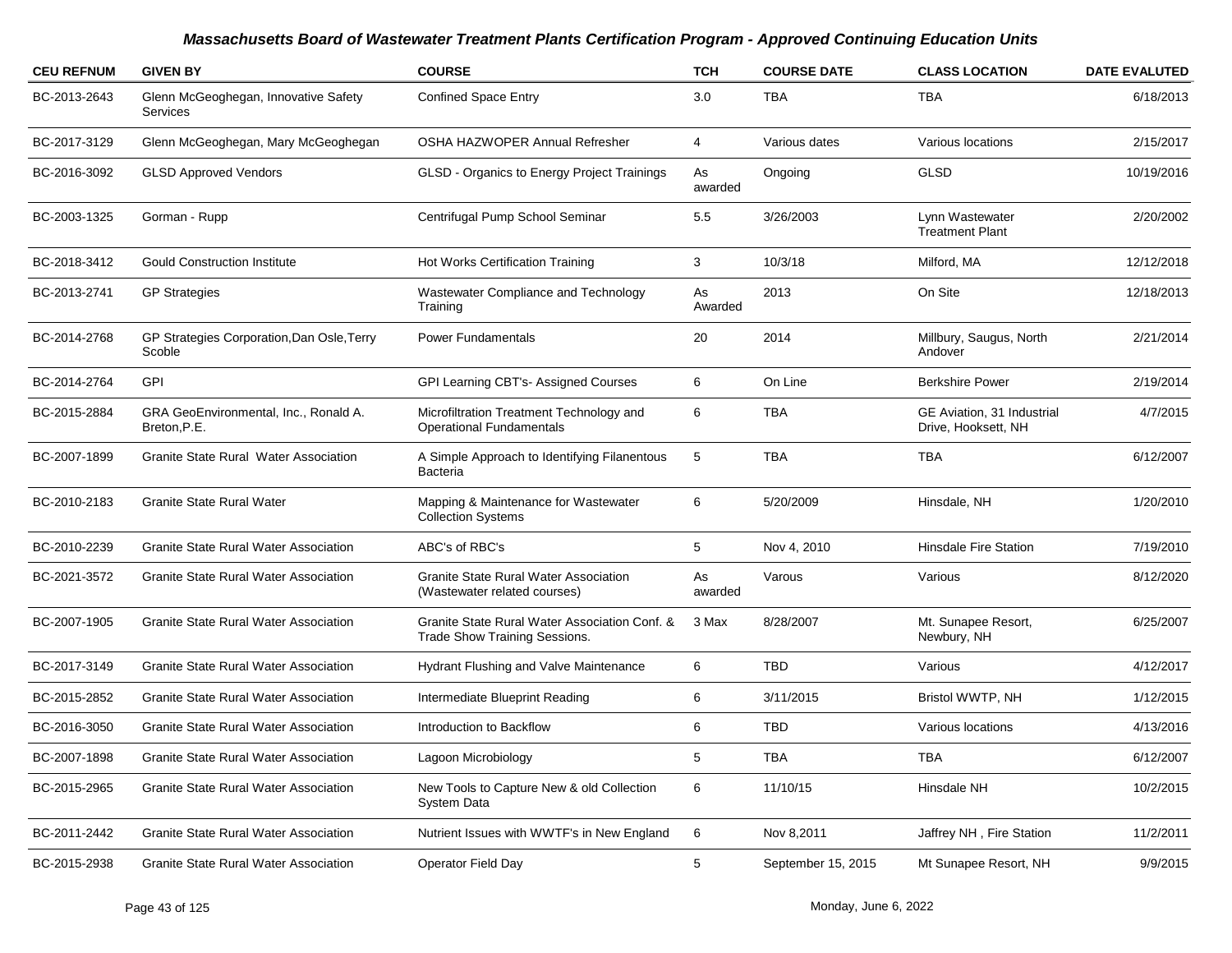| <b>CEU REFNUM</b> | <b>GIVEN BY</b>                                         | <b>COURSE</b>                                                                  | <b>TCH</b>    | <b>COURSE DATE</b> | <b>CLASS LOCATION</b>                             | <b>DATE EVALUTED</b> |
|-------------------|---------------------------------------------------------|--------------------------------------------------------------------------------|---------------|--------------------|---------------------------------------------------|----------------------|
| BC-2013-2643      | Glenn McGeoghegan, Innovative Safety<br><b>Services</b> | <b>Confined Space Entry</b>                                                    | 3.0           | <b>TBA</b>         | TBA                                               | 6/18/2013            |
| BC-2017-3129      | Glenn McGeoghegan, Mary McGeoghegan                     | OSHA HAZWOPER Annual Refresher                                                 | 4             | Various dates      | Various locations                                 | 2/15/2017            |
| BC-2016-3092      | <b>GLSD Approved Vendors</b>                            | GLSD - Organics to Energy Project Trainings                                    | As<br>awarded | Ongoing            | <b>GLSD</b>                                       | 10/19/2016           |
| BC-2003-1325      | Gorman - Rupp                                           | Centrifugal Pump School Seminar                                                | 5.5           | 3/26/2003          | Lynn Wastewater<br><b>Treatment Plant</b>         | 2/20/2002            |
| BC-2018-3412      | <b>Gould Construction Institute</b>                     | Hot Works Certification Training                                               | 3             | 10/3/18            | Milford, MA                                       | 12/12/2018           |
| BC-2013-2741      | <b>GP Strategies</b>                                    | Wastewater Compliance and Technology<br>Training                               | As<br>Awarded | 2013               | On Site                                           | 12/18/2013           |
| BC-2014-2768      | GP Strategies Corporation, Dan Osle, Terry<br>Scoble    | <b>Power Fundamentals</b>                                                      | 20            | 2014               | Millbury, Saugus, North<br>Andover                | 2/21/2014            |
| BC-2014-2764      | <b>GPI</b>                                              | GPI Learning CBT's- Assigned Courses                                           | 6             | On Line            | <b>Berkshire Power</b>                            | 2/19/2014            |
| BC-2015-2884      | GRA GeoEnvironmental, Inc., Ronald A.<br>Breton, P.E.   | Microfiltration Treatment Technology and<br><b>Operational Fundamentals</b>    | 6             | <b>TBA</b>         | GE Aviation, 31 Industrial<br>Drive, Hooksett, NH | 4/7/2015             |
| BC-2007-1899      | Granite State Rural Water Association                   | A Simple Approach to Identifying Filanentous<br><b>Bacteria</b>                | 5             | <b>TBA</b>         | <b>TBA</b>                                        | 6/12/2007            |
| BC-2010-2183      | <b>Granite State Rural Water</b>                        | Mapping & Maintenance for Wastewater<br><b>Collection Systems</b>              | 6             | 5/20/2009          | Hinsdale, NH                                      | 1/20/2010            |
| BC-2010-2239      | <b>Granite State Rural Water Association</b>            | ABC's of RBC's                                                                 | 5             | Nov 4, 2010        | <b>Hinsdale Fire Station</b>                      | 7/19/2010            |
| BC-2021-3572      | <b>Granite State Rural Water Association</b>            | Granite State Rural Water Association<br>(Wastewater related courses)          | As<br>awarded | Varous             | Various                                           | 8/12/2020            |
| BC-2007-1905      | <b>Granite State Rural Water Association</b>            | Granite State Rural Water Association Conf. &<br>Trade Show Training Sessions. | 3 Max         | 8/28/2007          | Mt. Sunapee Resort,<br>Newbury, NH                | 6/25/2007            |
| BC-2017-3149      | <b>Granite State Rural Water Association</b>            | Hydrant Flushing and Valve Maintenance                                         | 6             | <b>TBD</b>         | Various                                           | 4/12/2017            |
| BC-2015-2852      | <b>Granite State Rural Water Association</b>            | Intermediate Blueprint Reading                                                 | 6             | 3/11/2015          | Bristol WWTP, NH                                  | 1/12/2015            |
| BC-2016-3050      | <b>Granite State Rural Water Association</b>            | Introduction to Backflow                                                       | 6             | <b>TBD</b>         | Various locations                                 | 4/13/2016            |
| BC-2007-1898      | Granite State Rural Water Association                   | Lagoon Microbiology                                                            | 5             | <b>TBA</b>         | <b>TBA</b>                                        | 6/12/2007            |
| BC-2015-2965      | <b>Granite State Rural Water Association</b>            | New Tools to Capture New & old Collection<br>System Data                       | 6             | 11/10/15           | Hinsdale NH                                       | 10/2/2015            |
| BC-2011-2442      | Granite State Rural Water Association                   | Nutrient Issues with WWTF's in New England                                     | 6             | Nov 8,2011         | Jaffrey NH, Fire Station                          | 11/2/2011            |
| BC-2015-2938      | Granite State Rural Water Association                   | Operator Field Day                                                             | 5             | September 15, 2015 | Mt Sunapee Resort, NH                             | 9/9/2015             |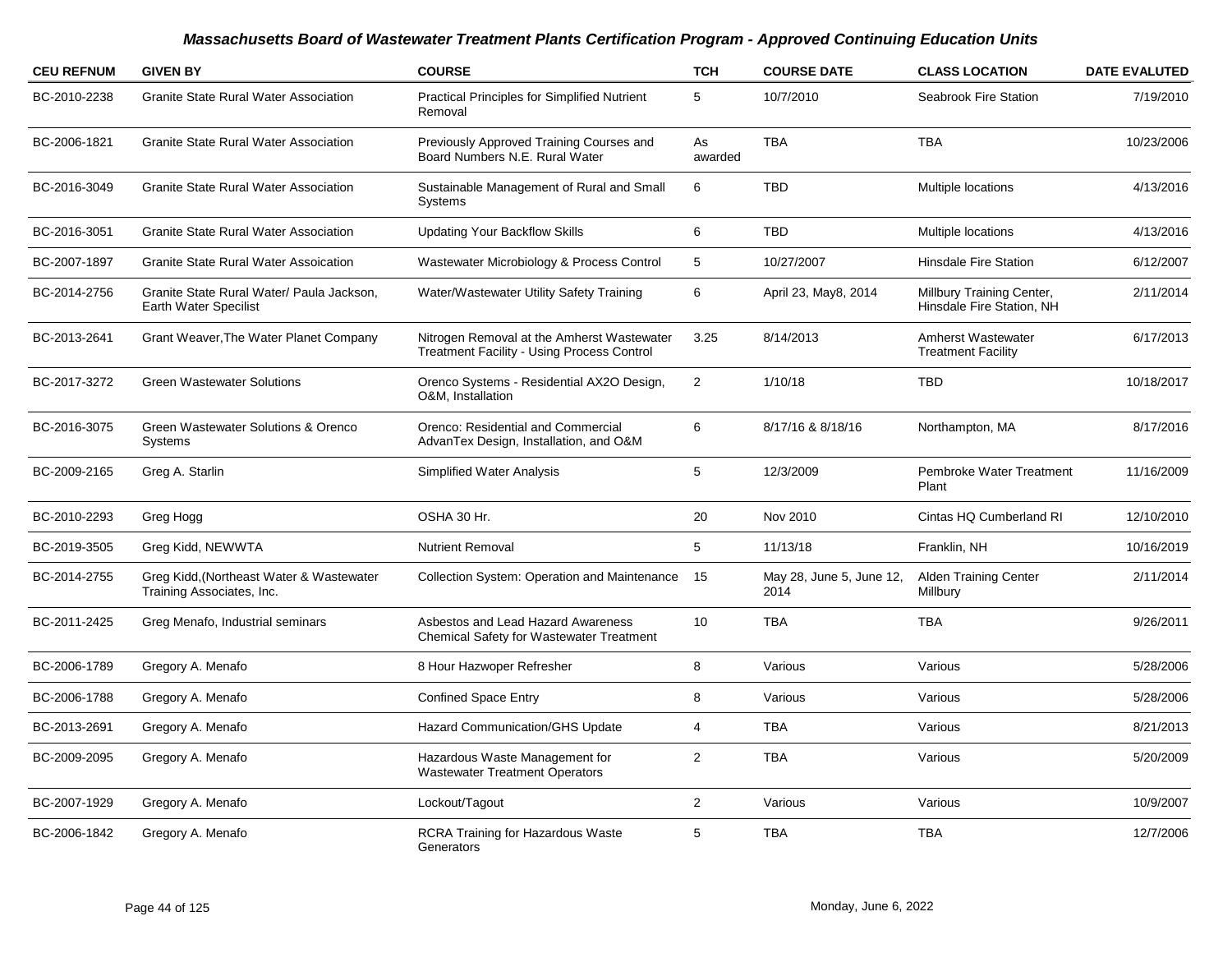| <b>CEU REFNUM</b> | <b>GIVEN BY</b>                                                       | <b>COURSE</b>                                                                                   | <b>TCH</b>     | <b>COURSE DATE</b>               | <b>CLASS LOCATION</b>                                  | <b>DATE EVALUTED</b> |
|-------------------|-----------------------------------------------------------------------|-------------------------------------------------------------------------------------------------|----------------|----------------------------------|--------------------------------------------------------|----------------------|
| BC-2010-2238      | <b>Granite State Rural Water Association</b>                          | <b>Practical Principles for Simplified Nutrient</b><br>Removal                                  | 5              | 10/7/2010                        | <b>Seabrook Fire Station</b>                           | 7/19/2010            |
| BC-2006-1821      | <b>Granite State Rural Water Association</b>                          | Previously Approved Training Courses and<br>Board Numbers N.E. Rural Water                      | As<br>awarded  | <b>TBA</b>                       | <b>TBA</b>                                             | 10/23/2006           |
| BC-2016-3049      | <b>Granite State Rural Water Association</b>                          | Sustainable Management of Rural and Small<br>Systems                                            | 6              | <b>TBD</b>                       | Multiple locations                                     | 4/13/2016            |
| BC-2016-3051      | <b>Granite State Rural Water Association</b>                          | <b>Updating Your Backflow Skills</b>                                                            | 6              | <b>TBD</b>                       | Multiple locations                                     | 4/13/2016            |
| BC-2007-1897      | <b>Granite State Rural Water Assoication</b>                          | Wastewater Microbiology & Process Control                                                       | 5              | 10/27/2007                       | <b>Hinsdale Fire Station</b>                           | 6/12/2007            |
| BC-2014-2756      | Granite State Rural Water/ Paula Jackson,<br>Earth Water Specilist    | Water/Wastewater Utility Safety Training                                                        | 6              | April 23, May8, 2014             | Millbury Training Center,<br>Hinsdale Fire Station, NH | 2/11/2014            |
| BC-2013-2641      | Grant Weaver, The Water Planet Company                                | Nitrogen Removal at the Amherst Wastewater<br><b>Treatment Facility - Using Process Control</b> | 3.25           | 8/14/2013                        | <b>Amherst Wastewater</b><br><b>Treatment Facility</b> | 6/17/2013            |
| BC-2017-3272      | <b>Green Wastewater Solutions</b>                                     | Orenco Systems - Residential AX2O Design,<br>O&M, Installation                                  | 2              | 1/10/18                          | <b>TBD</b>                                             | 10/18/2017           |
| BC-2016-3075      | Green Wastewater Solutions & Orenco<br>Systems                        | Orenco: Residential and Commercial<br>AdvanTex Design, Installation, and O&M                    | $\,6$          | 8/17/16 & 8/18/16                | Northampton, MA                                        | 8/17/2016            |
| BC-2009-2165      | Greg A. Starlin                                                       | Simplified Water Analysis                                                                       | 5              | 12/3/2009                        | Pembroke Water Treatment<br>Plant                      | 11/16/2009           |
| BC-2010-2293      | Greg Hogg                                                             | OSHA 30 Hr.                                                                                     | 20             | Nov 2010                         | Cintas HQ Cumberland RI                                | 12/10/2010           |
| BC-2019-3505      | Greg Kidd, NEWWTA                                                     | <b>Nutrient Removal</b>                                                                         | 5              | 11/13/18                         | Franklin, NH                                           | 10/16/2019           |
| BC-2014-2755      | Greg Kidd, (Northeast Water & Wastewater<br>Training Associates, Inc. | <b>Collection System: Operation and Maintenance</b>                                             | - 15           | May 28, June 5, June 12,<br>2014 | <b>Alden Training Center</b><br>Millbury               | 2/11/2014            |
| BC-2011-2425      | Greg Menafo, Industrial seminars                                      | Asbestos and Lead Hazard Awareness<br><b>Chemical Safety for Wastewater Treatment</b>           | 10             | <b>TBA</b>                       | <b>TBA</b>                                             | 9/26/2011            |
| BC-2006-1789      | Gregory A. Menafo                                                     | 8 Hour Hazwoper Refresher                                                                       | 8              | Various                          | Various                                                | 5/28/2006            |
| BC-2006-1788      | Gregory A. Menafo                                                     | <b>Confined Space Entry</b>                                                                     | 8              | Various                          | Various                                                | 5/28/2006            |
| BC-2013-2691      | Gregory A. Menafo                                                     | <b>Hazard Communication/GHS Update</b>                                                          | 4              | <b>TBA</b>                       | Various                                                | 8/21/2013            |
| BC-2009-2095      | Gregory A. Menafo                                                     | Hazardous Waste Management for<br><b>Wastewater Treatment Operators</b>                         | $\overline{2}$ | <b>TBA</b>                       | Various                                                | 5/20/2009            |
| BC-2007-1929      | Gregory A. Menafo                                                     | Lockout/Tagout                                                                                  | $\overline{2}$ | Various                          | Various                                                | 10/9/2007            |
| BC-2006-1842      | Gregory A. Menafo                                                     | <b>RCRA Training for Hazardous Waste</b><br>Generators                                          | 5              | <b>TBA</b>                       | <b>TBA</b>                                             | 12/7/2006            |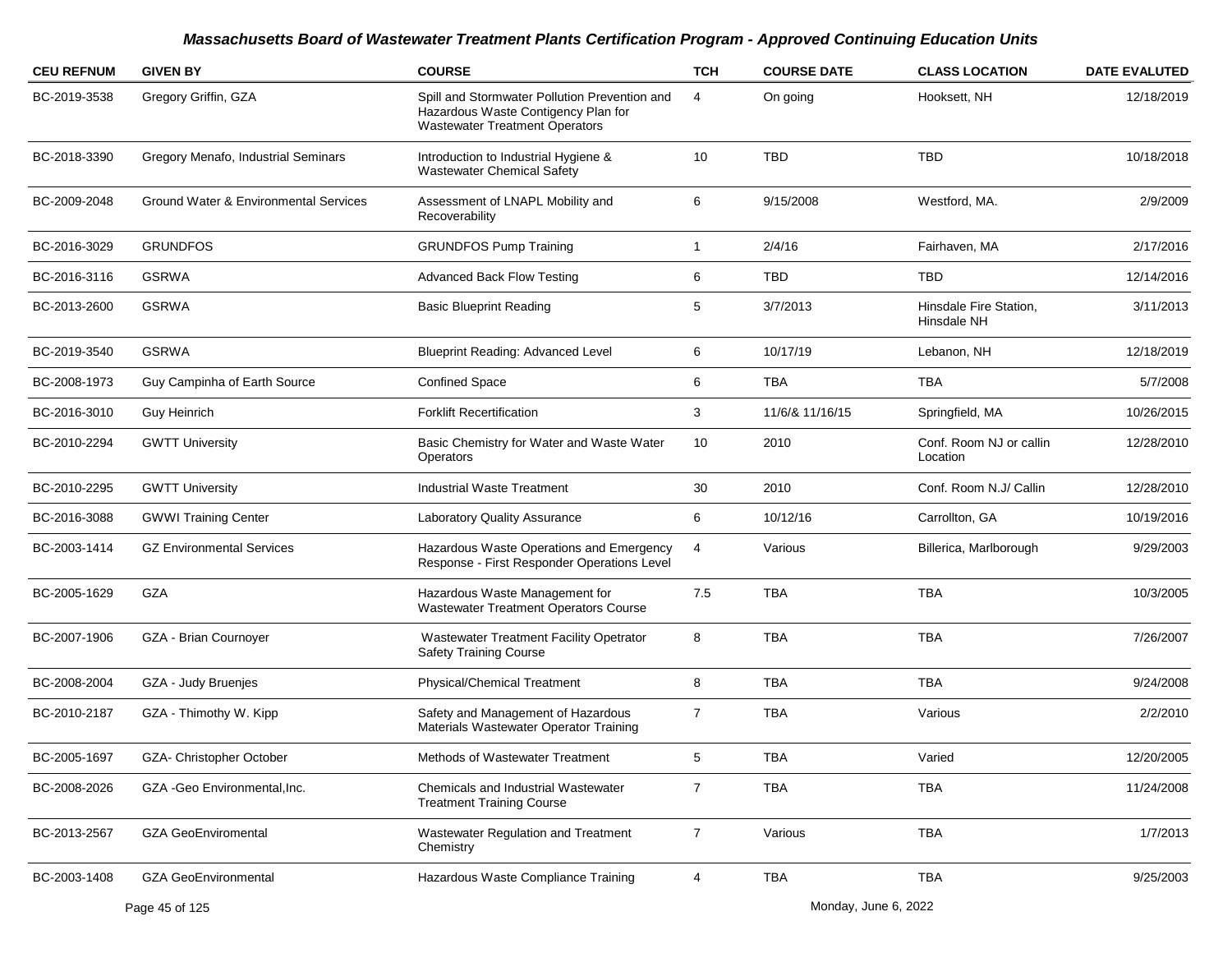| <b>CEU REFNUM</b> | <b>GIVEN BY</b>                       | <b>COURSE</b>                                                                                                                 | <b>TCH</b>     | <b>COURSE DATE</b> | <b>CLASS LOCATION</b>                 | <b>DATE EVALUTED</b> |
|-------------------|---------------------------------------|-------------------------------------------------------------------------------------------------------------------------------|----------------|--------------------|---------------------------------------|----------------------|
| BC-2019-3538      | Gregory Griffin, GZA                  | Spill and Stormwater Pollution Prevention and<br>Hazardous Waste Contigency Plan for<br><b>Wastewater Treatment Operators</b> | 4              | On going           | Hooksett, NH                          | 12/18/2019           |
| BC-2018-3390      | Gregory Menafo, Industrial Seminars   | Introduction to Industrial Hygiene &<br><b>Wastewater Chemical Safety</b>                                                     | 10             | <b>TBD</b>         | <b>TBD</b>                            | 10/18/2018           |
| BC-2009-2048      | Ground Water & Environmental Services | Assessment of LNAPL Mobility and<br>Recoverability                                                                            | 6              | 9/15/2008          | Westford, MA.                         | 2/9/2009             |
| BC-2016-3029      | <b>GRUNDFOS</b>                       | <b>GRUNDFOS Pump Training</b>                                                                                                 | 1              | 2/4/16             | Fairhaven, MA                         | 2/17/2016            |
| BC-2016-3116      | <b>GSRWA</b>                          | <b>Advanced Back Flow Testing</b>                                                                                             | 6              | TBD                | TBD                                   | 12/14/2016           |
| BC-2013-2600      | <b>GSRWA</b>                          | <b>Basic Blueprint Reading</b>                                                                                                | 5              | 3/7/2013           | Hinsdale Fire Station,<br>Hinsdale NH | 3/11/2013            |
| BC-2019-3540      | <b>GSRWA</b>                          | <b>Blueprint Reading: Advanced Level</b>                                                                                      | 6              | 10/17/19           | Lebanon, NH                           | 12/18/2019           |
| BC-2008-1973      | Guy Campinha of Earth Source          | <b>Confined Space</b>                                                                                                         | 6              | <b>TBA</b>         | TBA                                   | 5/7/2008             |
| BC-2016-3010      | Guy Heinrich                          | <b>Forklift Recertification</b>                                                                                               | 3              | 11/6/& 11/16/15    | Springfield, MA                       | 10/26/2015           |
| BC-2010-2294      | <b>GWTT University</b>                | Basic Chemistry for Water and Waste Water<br><b>Operators</b>                                                                 | 10             | 2010               | Conf. Room NJ or callin<br>Location   | 12/28/2010           |
| BC-2010-2295      | <b>GWTT University</b>                | <b>Industrial Waste Treatment</b>                                                                                             | 30             | 2010               | Conf. Room N.J/ Callin                | 12/28/2010           |
| BC-2016-3088      | <b>GWWI Training Center</b>           | Laboratory Quality Assurance                                                                                                  | 6              | 10/12/16           | Carrollton, GA                        | 10/19/2016           |
| BC-2003-1414      | <b>GZ Environmental Services</b>      | Hazardous Waste Operations and Emergency<br>Response - First Responder Operations Level                                       | 4              | Various            | Billerica, Marlborough                | 9/29/2003            |
| BC-2005-1629      | GZA                                   | Hazardous Waste Management for<br>Wastewater Treatment Operators Course                                                       | 7.5            | <b>TBA</b>         | TBA                                   | 10/3/2005            |
| BC-2007-1906      | GZA - Brian Cournoyer                 | <b>Wastewater Treatment Facility Opetrator</b><br><b>Safety Training Course</b>                                               | 8              | <b>TBA</b>         | <b>TBA</b>                            | 7/26/2007            |
| BC-2008-2004      | GZA - Judy Bruenjes                   | <b>Physical/Chemical Treatment</b>                                                                                            | 8              | <b>TBA</b>         | <b>TBA</b>                            | 9/24/2008            |
| BC-2010-2187      | GZA - Thimothy W. Kipp                | Safety and Management of Hazardous<br>Materials Wastewater Operator Training                                                  | 7              | <b>TBA</b>         | Various                               | 2/2/2010             |
| BC-2005-1697      | GZA- Christopher October              | Methods of Wastewater Treatment                                                                                               | 5              | <b>TBA</b>         | Varied                                | 12/20/2005           |
| BC-2008-2026      | GZA - Geo Environmental. Inc.         | Chemicals and Industrial Wastewater<br><b>Treatment Training Course</b>                                                       | $\overline{7}$ | <b>TBA</b>         | <b>TBA</b>                            | 11/24/2008           |
| BC-2013-2567      | <b>GZA GeoEnviromental</b>            | Wastewater Regulation and Treatment<br>Chemistry                                                                              | $\overline{7}$ | Various            | <b>TBA</b>                            | 1/7/2013             |
| BC-2003-1408      | <b>GZA GeoEnvironmental</b>           | Hazardous Waste Compliance Training                                                                                           | 4              | TBA                | <b>TBA</b>                            | 9/25/2003            |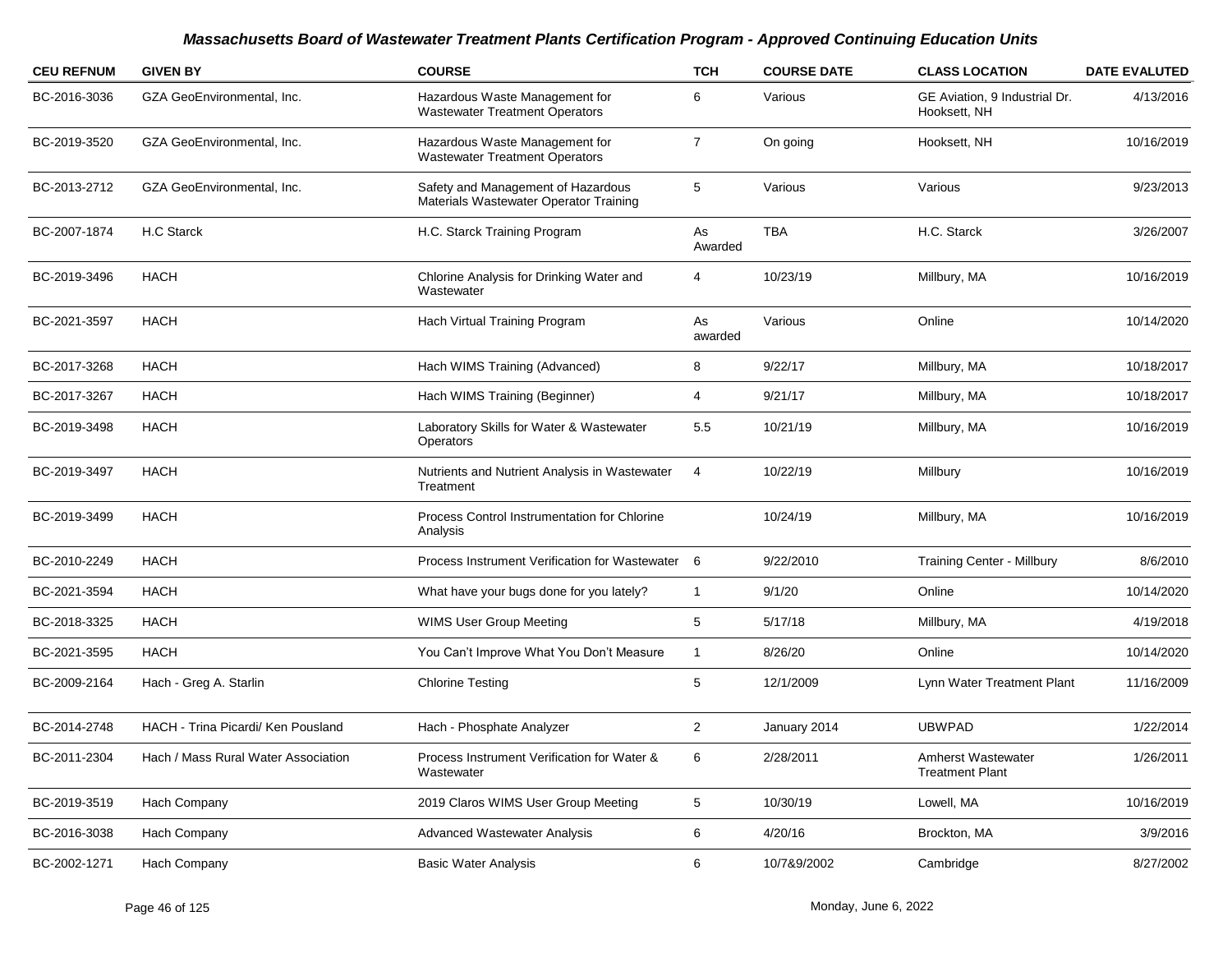| <b>CEU REFNUM</b> | <b>GIVEN BY</b>                     | <b>COURSE</b>                                                                | <b>TCH</b>     | <b>COURSE DATE</b> | <b>CLASS LOCATION</b>                               | <b>DATE EVALUTED</b> |
|-------------------|-------------------------------------|------------------------------------------------------------------------------|----------------|--------------------|-----------------------------------------------------|----------------------|
| BC-2016-3036      | GZA GeoEnvironmental, Inc.          | Hazardous Waste Management for<br><b>Wastewater Treatment Operators</b>      | 6              | Various            | GE Aviation, 9 Industrial Dr.<br>Hooksett, NH       | 4/13/2016            |
| BC-2019-3520      | GZA GeoEnvironmental, Inc.          | Hazardous Waste Management for<br><b>Wastewater Treatment Operators</b>      | $\overline{7}$ | On going           | Hooksett, NH                                        | 10/16/2019           |
| BC-2013-2712      | GZA GeoEnvironmental, Inc.          | Safety and Management of Hazardous<br>Materials Wastewater Operator Training | 5              | Various            | Various                                             | 9/23/2013            |
| BC-2007-1874      | H.C Starck                          | H.C. Starck Training Program                                                 | As<br>Awarded  | <b>TBA</b>         | H.C. Starck                                         | 3/26/2007            |
| BC-2019-3496      | <b>HACH</b>                         | Chlorine Analysis for Drinking Water and<br>Wastewater                       | $\overline{4}$ | 10/23/19           | Millbury, MA                                        | 10/16/2019           |
| BC-2021-3597      | <b>HACH</b>                         | Hach Virtual Training Program                                                | As<br>awarded  | Various            | Online                                              | 10/14/2020           |
| BC-2017-3268      | <b>HACH</b>                         | Hach WIMS Training (Advanced)                                                | 8              | 9/22/17            | Millbury, MA                                        | 10/18/2017           |
| BC-2017-3267      | <b>HACH</b>                         | Hach WIMS Training (Beginner)                                                | $\overline{4}$ | 9/21/17            | Millbury, MA                                        | 10/18/2017           |
| BC-2019-3498      | <b>HACH</b>                         | Laboratory Skills for Water & Wastewater<br>Operators                        | 5.5            | 10/21/19           | Millbury, MA                                        | 10/16/2019           |
| BC-2019-3497      | <b>HACH</b>                         | Nutrients and Nutrient Analysis in Wastewater<br>Treatment                   | $\overline{4}$ | 10/22/19           | Millbury                                            | 10/16/2019           |
| BC-2019-3499      | <b>HACH</b>                         | Process Control Instrumentation for Chlorine<br>Analysis                     |                | 10/24/19           | Millbury, MA                                        | 10/16/2019           |
| BC-2010-2249      | <b>HACH</b>                         | Process Instrument Verification for Wastewater 6                             |                | 9/22/2010          | <b>Training Center - Millbury</b>                   | 8/6/2010             |
| BC-2021-3594      | <b>HACH</b>                         | What have your bugs done for you lately?                                     | $\overline{1}$ | 9/1/20             | Online                                              | 10/14/2020           |
| BC-2018-3325      | <b>HACH</b>                         | WIMS User Group Meeting                                                      | 5              | 5/17/18            | Millbury, MA                                        | 4/19/2018            |
| BC-2021-3595      | <b>HACH</b>                         | You Can't Improve What You Don't Measure                                     | $\overline{1}$ | 8/26/20            | Online                                              | 10/14/2020           |
| BC-2009-2164      | Hach - Greg A. Starlin              | <b>Chlorine Testing</b>                                                      | 5              | 12/1/2009          | Lynn Water Treatment Plant                          | 11/16/2009           |
| BC-2014-2748      | HACH - Trina Picardi/ Ken Pousland  | Hach - Phosphate Analyzer                                                    | $\overline{2}$ | January 2014       | <b>UBWPAD</b>                                       | 1/22/2014            |
| BC-2011-2304      | Hach / Mass Rural Water Association | Process Instrument Verification for Water &<br>Wastewater                    | 6              | 2/28/2011          | <b>Amherst Wastewater</b><br><b>Treatment Plant</b> | 1/26/2011            |
| BC-2019-3519      | Hach Company                        | 2019 Claros WIMS User Group Meeting                                          | $\sqrt{5}$     | 10/30/19           | Lowell, MA                                          | 10/16/2019           |
| BC-2016-3038      | Hach Company                        | <b>Advanced Wastewater Analysis</b>                                          | 6              | 4/20/16            | Brockton, MA                                        | 3/9/2016             |
| BC-2002-1271      | Hach Company                        | <b>Basic Water Analysis</b>                                                  | 6              | 10/7&9/2002        | Cambridge                                           | 8/27/2002            |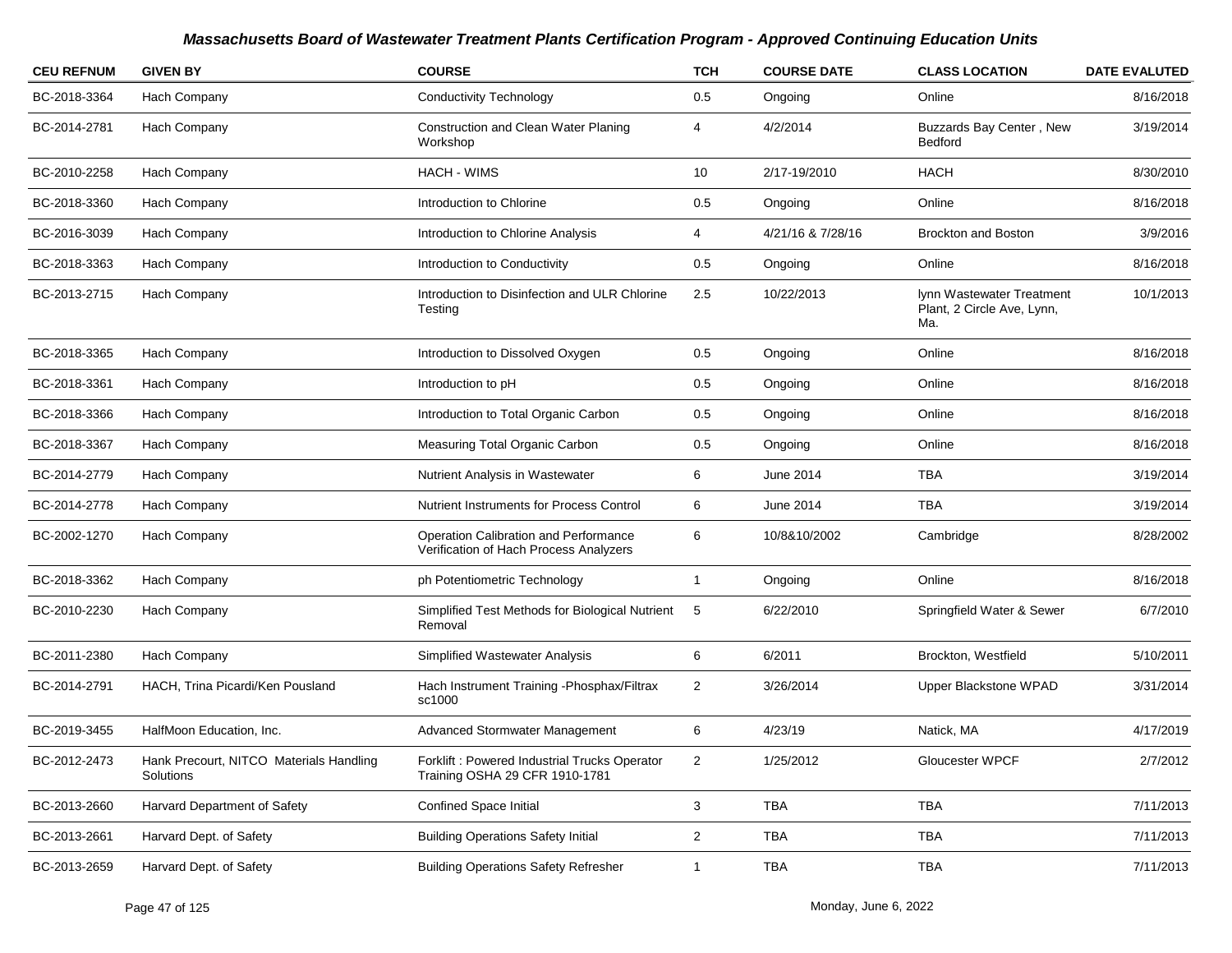| <b>CEU REFNUM</b> | <b>GIVEN BY</b>                                      | <b>COURSE</b>                                                                   | <b>TCH</b>     | <b>COURSE DATE</b> | <b>CLASS LOCATION</b>                                          | <b>DATE EVALUTED</b> |
|-------------------|------------------------------------------------------|---------------------------------------------------------------------------------|----------------|--------------------|----------------------------------------------------------------|----------------------|
| BC-2018-3364      | Hach Company                                         | <b>Conductivity Technology</b>                                                  | 0.5            | Ongoing            | Online                                                         | 8/16/2018            |
| BC-2014-2781      | Hach Company                                         | Construction and Clean Water Planing<br>Workshop                                | 4              | 4/2/2014           | Buzzards Bay Center, New<br>Bedford                            | 3/19/2014            |
| BC-2010-2258      | Hach Company                                         | <b>HACH - WIMS</b>                                                              | 10             | 2/17-19/2010       | <b>HACH</b>                                                    | 8/30/2010            |
| BC-2018-3360      | Hach Company                                         | Introduction to Chlorine                                                        | 0.5            | Ongoing            | Online                                                         | 8/16/2018            |
| BC-2016-3039      | Hach Company                                         | Introduction to Chlorine Analysis                                               | 4              | 4/21/16 & 7/28/16  | <b>Brockton and Boston</b>                                     | 3/9/2016             |
| BC-2018-3363      | Hach Company                                         | Introduction to Conductivity                                                    | 0.5            | Ongoing            | Online                                                         | 8/16/2018            |
| BC-2013-2715      | Hach Company                                         | Introduction to Disinfection and ULR Chlorine<br>Testing                        | 2.5            | 10/22/2013         | lynn Wastewater Treatment<br>Plant, 2 Circle Ave, Lynn,<br>Ma. | 10/1/2013            |
| BC-2018-3365      | Hach Company                                         | Introduction to Dissolved Oxygen                                                | 0.5            | Ongoing            | Online                                                         | 8/16/2018            |
| BC-2018-3361      | Hach Company                                         | Introduction to pH                                                              | 0.5            | Ongoing            | Online                                                         | 8/16/2018            |
| BC-2018-3366      | Hach Company                                         | Introduction to Total Organic Carbon                                            | 0.5            | Ongoing            | Online                                                         | 8/16/2018            |
| BC-2018-3367      | Hach Company                                         | Measuring Total Organic Carbon                                                  | 0.5            | Ongoing            | Online                                                         | 8/16/2018            |
| BC-2014-2779      | Hach Company                                         | Nutrient Analysis in Wastewater                                                 | 6              | June 2014          | <b>TBA</b>                                                     | 3/19/2014            |
| BC-2014-2778      | Hach Company                                         | <b>Nutrient Instruments for Process Control</b>                                 | 6              | June 2014          | <b>TBA</b>                                                     | 3/19/2014            |
| BC-2002-1270      | Hach Company                                         | Operation Calibration and Performance<br>Verification of Hach Process Analyzers | 6              | 10/8&10/2002       | Cambridge                                                      | 8/28/2002            |
| BC-2018-3362      | Hach Company                                         | ph Potentiometric Technology                                                    | -1             | Ongoing            | Online                                                         | 8/16/2018            |
| BC-2010-2230      | Hach Company                                         | Simplified Test Methods for Biological Nutrient<br>Removal                      | 5              | 6/22/2010          | Springfield Water & Sewer                                      | 6/7/2010             |
| BC-2011-2380      | Hach Company                                         | Simplified Wastewater Analysis                                                  | 6              | 6/2011             | Brockton, Westfield                                            | 5/10/2011            |
| BC-2014-2791      | HACH, Trina Picardi/Ken Pousland                     | Hach Instrument Training - Phosphax/Filtrax<br>sc1000                           | 2              | 3/26/2014          | Upper Blackstone WPAD                                          | 3/31/2014            |
| BC-2019-3455      | HalfMoon Education, Inc.                             | Advanced Stormwater Management                                                  | 6              | 4/23/19            | Natick, MA                                                     | 4/17/2019            |
| BC-2012-2473      | Hank Precourt, NITCO Materials Handling<br>Solutions | Forklift : Powered Industrial Trucks Operator<br>Training OSHA 29 CFR 1910-1781 | $\mathbf{2}$   | 1/25/2012          | Gloucester WPCF                                                | 2/7/2012             |
| BC-2013-2660      | Harvard Department of Safety                         | <b>Confined Space Initial</b>                                                   | $\mathbf{3}$   | TBA                | TBA                                                            | 7/11/2013            |
| BC-2013-2661      | Harvard Dept. of Safety                              | <b>Building Operations Safety Initial</b>                                       | $\overline{2}$ | TBA                | TBA                                                            | 7/11/2013            |
| BC-2013-2659      | Harvard Dept. of Safety                              | <b>Building Operations Safety Refresher</b>                                     | $\mathbf{1}$   | TBA                | <b>TBA</b>                                                     | 7/11/2013            |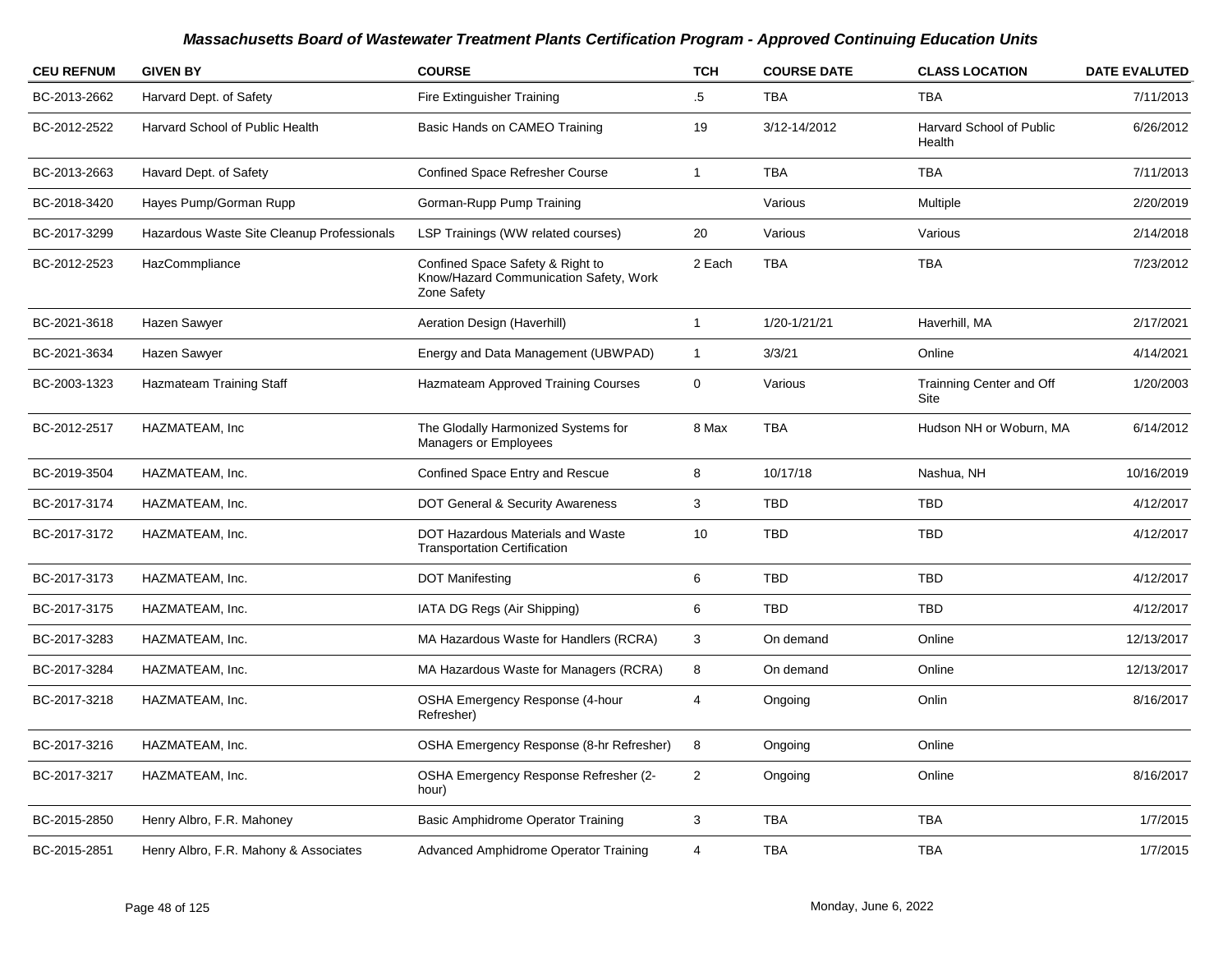| <b>CEU REFNUM</b> | <b>GIVEN BY</b>                            | <b>COURSE</b>                                                                             | <b>TCH</b>     | <b>COURSE DATE</b> | <b>CLASS LOCATION</b>              | <b>DATE EVALUTED</b> |
|-------------------|--------------------------------------------|-------------------------------------------------------------------------------------------|----------------|--------------------|------------------------------------|----------------------|
| BC-2013-2662      | Harvard Dept. of Safety                    | Fire Extinguisher Training                                                                | .5             | <b>TBA</b>         | <b>TBA</b>                         | 7/11/2013            |
| BC-2012-2522      | Harvard School of Public Health            | Basic Hands on CAMEO Training                                                             | 19             | 3/12-14/2012       | Harvard School of Public<br>Health | 6/26/2012            |
| BC-2013-2663      | Havard Dept. of Safety                     | <b>Confined Space Refresher Course</b>                                                    | $\mathbf{1}$   | <b>TBA</b>         | <b>TBA</b>                         | 7/11/2013            |
| BC-2018-3420      | Hayes Pump/Gorman Rupp                     | Gorman-Rupp Pump Training                                                                 |                | Various            | Multiple                           | 2/20/2019            |
| BC-2017-3299      | Hazardous Waste Site Cleanup Professionals | LSP Trainings (WW related courses)                                                        | 20             | Various            | Various                            | 2/14/2018            |
| BC-2012-2523      | HazCommpliance                             | Confined Space Safety & Right to<br>Know/Hazard Communication Safety, Work<br>Zone Safety | 2 Each         | <b>TBA</b>         | <b>TBA</b>                         | 7/23/2012            |
| BC-2021-3618      | Hazen Sawyer                               | Aeration Design (Haverhill)                                                               | $\mathbf{1}$   | 1/20-1/21/21       | Haverhill, MA                      | 2/17/2021            |
| BC-2021-3634      | Hazen Sawyer                               | Energy and Data Management (UBWPAD)                                                       | $\mathbf{1}$   | 3/3/21             | Online                             | 4/14/2021            |
| BC-2003-1323      | Hazmateam Training Staff                   | Hazmateam Approved Training Courses                                                       | 0              | Various            | Trainning Center and Off<br>Site   | 1/20/2003            |
| BC-2012-2517      | HAZMATEAM, Inc                             | The Glodally Harmonized Systems for<br>Managers or Employees                              | 8 Max          | <b>TBA</b>         | Hudson NH or Woburn, MA            | 6/14/2012            |
| BC-2019-3504      | HAZMATEAM, Inc.                            | Confined Space Entry and Rescue                                                           | $\bf 8$        | 10/17/18           | Nashua, NH                         | 10/16/2019           |
| BC-2017-3174      | HAZMATEAM, Inc.                            | DOT General & Security Awareness                                                          | 3              | <b>TBD</b>         | <b>TBD</b>                         | 4/12/2017            |
| BC-2017-3172      | HAZMATEAM, Inc.                            | <b>DOT Hazardous Materials and Waste</b><br><b>Transportation Certification</b>           | 10             | <b>TBD</b>         | <b>TBD</b>                         | 4/12/2017            |
| BC-2017-3173      | HAZMATEAM, Inc.                            | <b>DOT Manifesting</b>                                                                    | $\,6$          | <b>TBD</b>         | <b>TBD</b>                         | 4/12/2017            |
| BC-2017-3175      | HAZMATEAM, Inc.                            | IATA DG Regs (Air Shipping)                                                               | 6              | <b>TBD</b>         | <b>TBD</b>                         | 4/12/2017            |
| BC-2017-3283      | HAZMATEAM, Inc.                            | MA Hazardous Waste for Handlers (RCRA)                                                    | 3              | On demand          | Online                             | 12/13/2017           |
| BC-2017-3284      | HAZMATEAM, Inc.                            | MA Hazardous Waste for Managers (RCRA)                                                    | 8              | On demand          | Online                             | 12/13/2017           |
| BC-2017-3218      | HAZMATEAM, Inc.                            | OSHA Emergency Response (4-hour<br>Refresher)                                             | 4              | Ongoing            | Onlin                              | 8/16/2017            |
| BC-2017-3216      | HAZMATEAM, Inc.                            | OSHA Emergency Response (8-hr Refresher)                                                  | 8              | Ongoing            | Online                             |                      |
| BC-2017-3217      | HAZMATEAM, Inc.                            | OSHA Emergency Response Refresher (2-<br>hour)                                            | $\overline{2}$ | Ongoing            | Online                             | 8/16/2017            |
| BC-2015-2850      | Henry Albro, F.R. Mahoney                  | <b>Basic Amphidrome Operator Training</b>                                                 | 3              | <b>TBA</b>         | <b>TBA</b>                         | 1/7/2015             |
| BC-2015-2851      | Henry Albro, F.R. Mahony & Associates      | <b>Advanced Amphidrome Operator Training</b>                                              | 4              | <b>TBA</b>         | <b>TBA</b>                         | 1/7/2015             |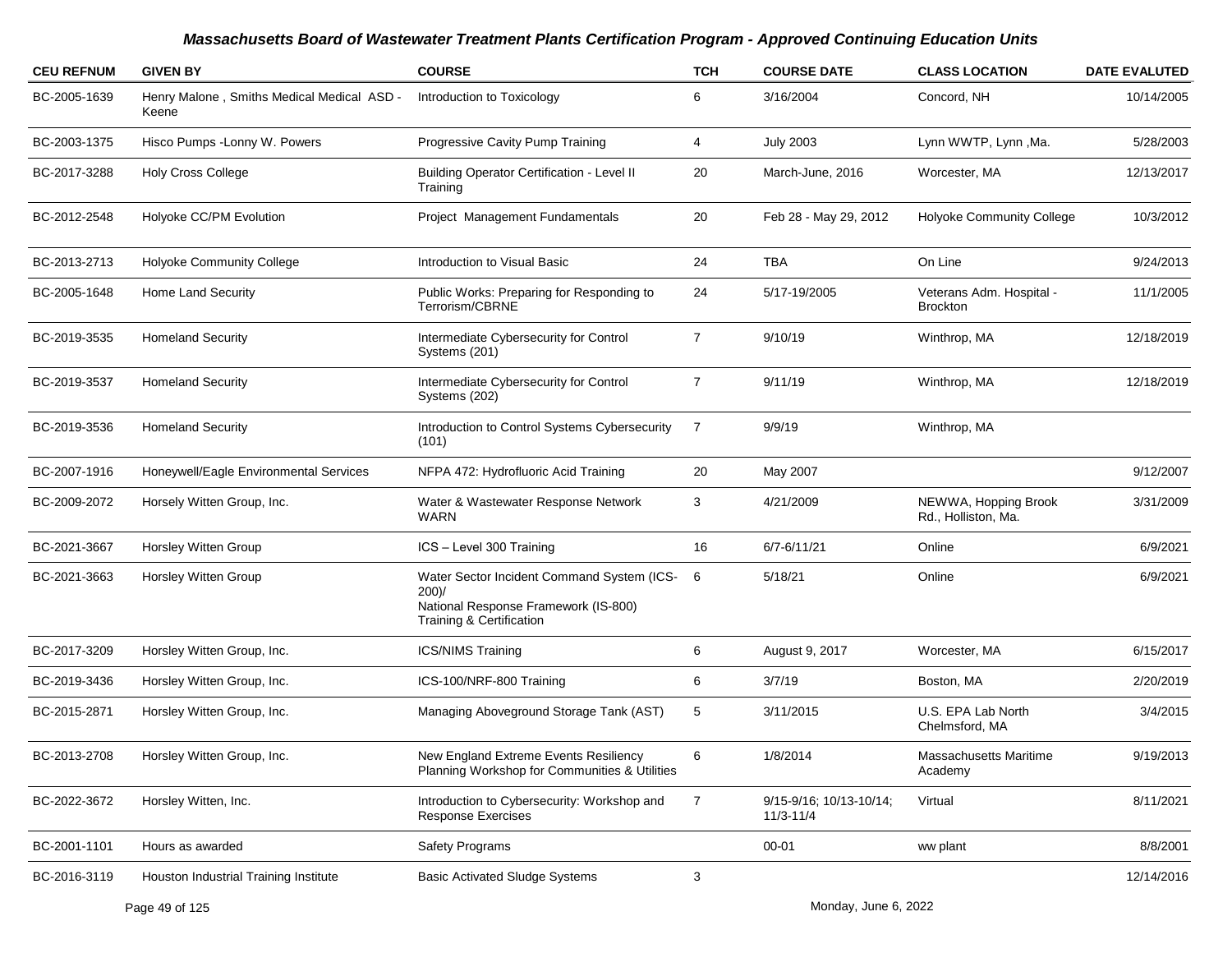| <b>CEU REFNUM</b> | <b>GIVEN BY</b>                                     | <b>COURSE</b>                                                                                                              | <b>TCH</b>     | <b>COURSE DATE</b>                       | <b>CLASS LOCATION</b>                       | <b>DATE EVALUTED</b> |
|-------------------|-----------------------------------------------------|----------------------------------------------------------------------------------------------------------------------------|----------------|------------------------------------------|---------------------------------------------|----------------------|
| BC-2005-1639      | Henry Malone, Smiths Medical Medical ASD -<br>Keene | Introduction to Toxicology                                                                                                 | 6              | 3/16/2004                                | Concord, NH                                 | 10/14/2005           |
| BC-2003-1375      | Hisco Pumps - Lonny W. Powers                       | Progressive Cavity Pump Training                                                                                           | 4              | <b>July 2003</b>                         | Lynn WWTP, Lynn, Ma.                        | 5/28/2003            |
| BC-2017-3288      | Holy Cross College                                  | Building Operator Certification - Level II<br>Training                                                                     | 20             | March-June, 2016                         | Worcester, MA                               | 12/13/2017           |
| BC-2012-2548      | Holyoke CC/PM Evolution                             | Project Management Fundamentals                                                                                            | 20             | Feb 28 - May 29, 2012                    | <b>Holyoke Community College</b>            | 10/3/2012            |
| BC-2013-2713      | <b>Holyoke Community College</b>                    | Introduction to Visual Basic                                                                                               | 24             | <b>TBA</b>                               | On Line                                     | 9/24/2013            |
| BC-2005-1648      | Home Land Security                                  | Public Works: Preparing for Responding to<br>Terrorism/CBRNE                                                               | 24             | 5/17-19/2005                             | Veterans Adm. Hospital -<br><b>Brockton</b> | 11/1/2005            |
| BC-2019-3535      | <b>Homeland Security</b>                            | Intermediate Cybersecurity for Control<br>Systems (201)                                                                    | $\overline{7}$ | 9/10/19                                  | Winthrop, MA                                | 12/18/2019           |
| BC-2019-3537      | <b>Homeland Security</b>                            | Intermediate Cybersecurity for Control<br>Systems (202)                                                                    | $\overline{7}$ | 9/11/19                                  | Winthrop, MA                                | 12/18/2019           |
| BC-2019-3536      | <b>Homeland Security</b>                            | Introduction to Control Systems Cybersecurity<br>(101)                                                                     | -7             | 9/9/19                                   | Winthrop, MA                                |                      |
| BC-2007-1916      | Honeywell/Eagle Environmental Services              | NFPA 472: Hydrofluoric Acid Training                                                                                       | 20             | May 2007                                 |                                             | 9/12/2007            |
| BC-2009-2072      | Horsely Witten Group, Inc.                          | Water & Wastewater Response Network<br><b>WARN</b>                                                                         | 3              | 4/21/2009                                | NEWWA, Hopping Brook<br>Rd., Holliston, Ma. | 3/31/2009            |
| BC-2021-3667      | <b>Horsley Witten Group</b>                         | ICS - Level 300 Training                                                                                                   | 16             | 6/7-6/11/21                              | Online                                      | 6/9/2021             |
| BC-2021-3663      | <b>Horsley Witten Group</b>                         | Water Sector Incident Command System (ICS-<br>$200$ )/<br>National Response Framework (IS-800)<br>Training & Certification | - 6            | 5/18/21                                  | Online                                      | 6/9/2021             |
| BC-2017-3209      | Horsley Witten Group, Inc.                          | <b>ICS/NIMS Training</b>                                                                                                   | 6              | August 9, 2017                           | Worcester, MA                               | 6/15/2017            |
| BC-2019-3436      | Horsley Witten Group, Inc.                          | ICS-100/NRF-800 Training                                                                                                   | 6              | 3/7/19                                   | Boston, MA                                  | 2/20/2019            |
| BC-2015-2871      | Horsley Witten Group, Inc.                          | Managing Aboveground Storage Tank (AST)                                                                                    | 5              | 3/11/2015                                | U.S. EPA Lab North<br>Chelmsford, MA        | 3/4/2015             |
| BC-2013-2708      | Horsley Witten Group, Inc.                          | New England Extreme Events Resiliency<br>Planning Workshop for Communities & Utilities                                     | 6              | 1/8/2014                                 | Massachusetts Maritime<br>Academy           | 9/19/2013            |
| BC-2022-3672      | Horsley Witten, Inc.                                | Introduction to Cybersecurity: Workshop and<br><b>Response Exercises</b>                                                   | $\overline{7}$ | 9/15-9/16; 10/13-10/14;<br>$11/3 - 11/4$ | Virtual                                     | 8/11/2021            |
| BC-2001-1101      | Hours as awarded                                    | <b>Safety Programs</b>                                                                                                     |                | $00 - 01$                                | ww plant                                    | 8/8/2001             |
| BC-2016-3119      | Houston Industrial Training Institute               | <b>Basic Activated Sludge Systems</b>                                                                                      | 3              |                                          |                                             | 12/14/2016           |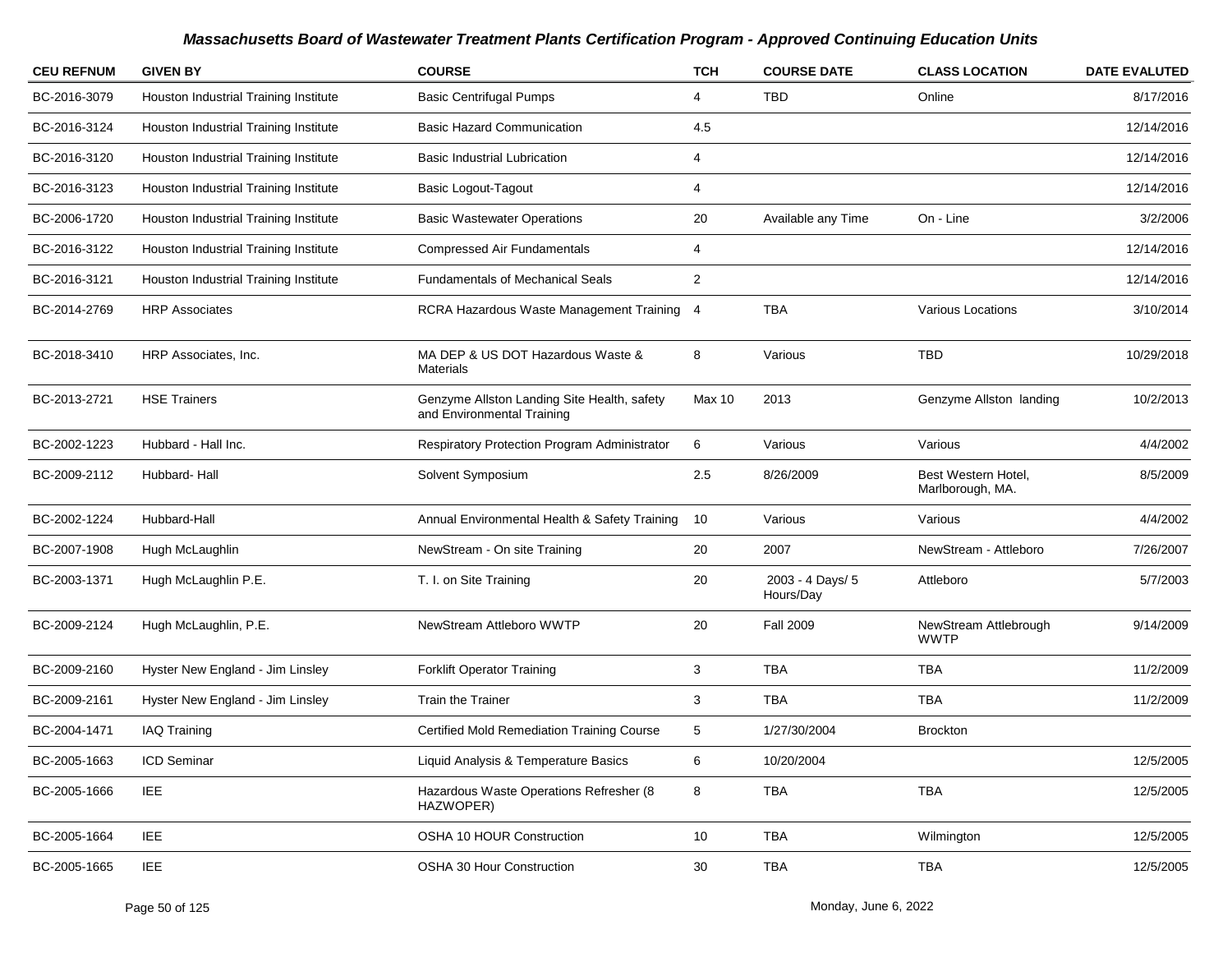| <b>CEU REFNUM</b> | <b>GIVEN BY</b>                       | <b>COURSE</b>                                                             | <b>TCH</b>     | <b>COURSE DATE</b>            | <b>CLASS LOCATION</b>                   | <b>DATE EVALUTED</b> |
|-------------------|---------------------------------------|---------------------------------------------------------------------------|----------------|-------------------------------|-----------------------------------------|----------------------|
| BC-2016-3079      | Houston Industrial Training Institute | <b>Basic Centrifugal Pumps</b>                                            | 4              | <b>TBD</b>                    | Online                                  | 8/17/2016            |
| BC-2016-3124      | Houston Industrial Training Institute | <b>Basic Hazard Communication</b>                                         | 4.5            |                               |                                         | 12/14/2016           |
| BC-2016-3120      | Houston Industrial Training Institute | <b>Basic Industrial Lubrication</b>                                       | 4              |                               |                                         | 12/14/2016           |
| BC-2016-3123      | Houston Industrial Training Institute | <b>Basic Logout-Tagout</b>                                                | 4              |                               |                                         | 12/14/2016           |
| BC-2006-1720      | Houston Industrial Training Institute | <b>Basic Wastewater Operations</b>                                        | 20             | Available any Time            | On - Line                               | 3/2/2006             |
| BC-2016-3122      | Houston Industrial Training Institute | <b>Compressed Air Fundamentals</b>                                        | 4              |                               |                                         | 12/14/2016           |
| BC-2016-3121      | Houston Industrial Training Institute | <b>Fundamentals of Mechanical Seals</b>                                   | $\overline{2}$ |                               |                                         | 12/14/2016           |
| BC-2014-2769      | <b>HRP Associates</b>                 | RCRA Hazardous Waste Management Training 4                                |                | <b>TBA</b>                    | <b>Various Locations</b>                | 3/10/2014            |
| BC-2018-3410      | HRP Associates, Inc.                  | MA DEP & US DOT Hazardous Waste &<br>Materials                            | 8              | Various                       | <b>TBD</b>                              | 10/29/2018           |
| BC-2013-2721      | <b>HSE Trainers</b>                   | Genzyme Allston Landing Site Health, safety<br>and Environmental Training | Max 10         | 2013                          | Genzyme Allston landing                 | 10/2/2013            |
| BC-2002-1223      | Hubbard - Hall Inc.                   | <b>Respiratory Protection Program Administrator</b>                       | 6              | Various                       | Various                                 | 4/4/2002             |
| BC-2009-2112      | Hubbard-Hall                          | Solvent Symposium                                                         | 2.5            | 8/26/2009                     | Best Western Hotel,<br>Marlborough, MA. | 8/5/2009             |
| BC-2002-1224      | Hubbard-Hall                          | Annual Environmental Health & Safety Training                             | 10             | Various                       | Various                                 | 4/4/2002             |
| BC-2007-1908      | Hugh McLaughlin                       | NewStream - On site Training                                              | 20             | 2007                          | NewStream - Attleboro                   | 7/26/2007            |
| BC-2003-1371      | Hugh McLaughlin P.E.                  | T. I. on Site Training                                                    | 20             | 2003 - 4 Days/ 5<br>Hours/Day | Attleboro                               | 5/7/2003             |
| BC-2009-2124      | Hugh McLaughlin, P.E.                 | NewStream Attleboro WWTP                                                  | 20             | <b>Fall 2009</b>              | NewStream Attlebrough<br><b>WWTP</b>    | 9/14/2009            |
| BC-2009-2160      | Hyster New England - Jim Linsley      | <b>Forklift Operator Training</b>                                         | 3              | <b>TBA</b>                    | TBA                                     | 11/2/2009            |
| BC-2009-2161      | Hyster New England - Jim Linsley      | <b>Train the Trainer</b>                                                  | 3              | <b>TBA</b>                    | <b>TBA</b>                              | 11/2/2009            |
| BC-2004-1471      | <b>IAQ Training</b>                   | <b>Certified Mold Remediation Training Course</b>                         | 5              | 1/27/30/2004                  | <b>Brockton</b>                         |                      |
| BC-2005-1663      | <b>ICD Seminar</b>                    | Liquid Analysis & Temperature Basics                                      | 6              | 10/20/2004                    |                                         | 12/5/2005            |
| BC-2005-1666      | IEE                                   | Hazardous Waste Operations Refresher (8<br>HAZWOPER)                      | 8              | <b>TBA</b>                    | TBA                                     | 12/5/2005            |
| BC-2005-1664      | IEE                                   | OSHA 10 HOUR Construction                                                 | 10             | TBA                           | Wilmington                              | 12/5/2005            |
| BC-2005-1665      | <b>IEE</b>                            | OSHA 30 Hour Construction                                                 | 30             | TBA                           | TBA                                     | 12/5/2005            |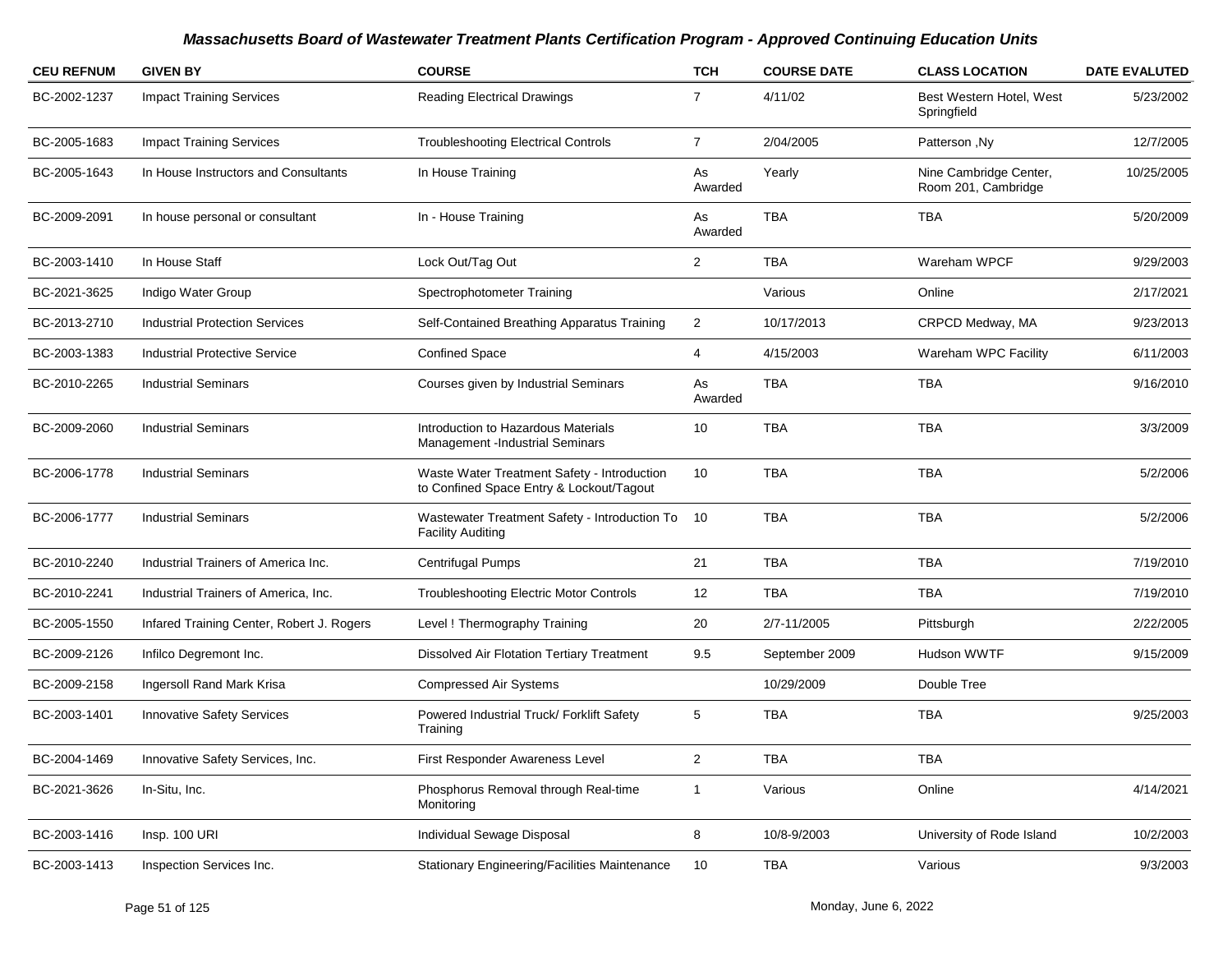| <b>CEU REFNUM</b> | <b>GIVEN BY</b>                           | <b>COURSE</b>                                                                           | <b>TCH</b>     | <b>COURSE DATE</b> | <b>CLASS LOCATION</b>                         | <b>DATE EVALUTED</b> |
|-------------------|-------------------------------------------|-----------------------------------------------------------------------------------------|----------------|--------------------|-----------------------------------------------|----------------------|
| BC-2002-1237      | <b>Impact Training Services</b>           | <b>Reading Electrical Drawings</b>                                                      | 7              | 4/11/02            | Best Western Hotel, West<br>Springfield       | 5/23/2002            |
| BC-2005-1683      | <b>Impact Training Services</b>           | <b>Troubleshooting Electrical Controls</b>                                              | $\overline{7}$ | 2/04/2005          | Patterson, Ny                                 | 12/7/2005            |
| BC-2005-1643      | In House Instructors and Consultants      | In House Training                                                                       | As<br>Awarded  | Yearly             | Nine Cambridge Center,<br>Room 201, Cambridge | 10/25/2005           |
| BC-2009-2091      | In house personal or consultant           | In - House Training                                                                     | As<br>Awarded  | <b>TBA</b>         | <b>TBA</b>                                    | 5/20/2009            |
| BC-2003-1410      | In House Staff                            | Lock Out/Tag Out                                                                        | $\overline{2}$ | <b>TBA</b>         | Wareham WPCF                                  | 9/29/2003            |
| BC-2021-3625      | Indigo Water Group                        | Spectrophotometer Training                                                              |                | Various            | Online                                        | 2/17/2021            |
| BC-2013-2710      | <b>Industrial Protection Services</b>     | Self-Contained Breathing Apparatus Training                                             | $\overline{2}$ | 10/17/2013         | CRPCD Medway, MA                              | 9/23/2013            |
| BC-2003-1383      | <b>Industrial Protective Service</b>      | <b>Confined Space</b>                                                                   | 4              | 4/15/2003          | Wareham WPC Facility                          | 6/11/2003            |
| BC-2010-2265      | <b>Industrial Seminars</b>                | Courses given by Industrial Seminars                                                    | As<br>Awarded  | TBA                | <b>TBA</b>                                    | 9/16/2010            |
| BC-2009-2060      | <b>Industrial Seminars</b>                | Introduction to Hazardous Materials<br>Management -Industrial Seminars                  | 10             | TBA                | <b>TBA</b>                                    | 3/3/2009             |
| BC-2006-1778      | <b>Industrial Seminars</b>                | Waste Water Treatment Safety - Introduction<br>to Confined Space Entry & Lockout/Tagout | 10             | <b>TBA</b>         | <b>TBA</b>                                    | 5/2/2006             |
| BC-2006-1777      | <b>Industrial Seminars</b>                | Wastewater Treatment Safety - Introduction To<br><b>Facility Auditing</b>               | 10             | <b>TBA</b>         | <b>TBA</b>                                    | 5/2/2006             |
| BC-2010-2240      | Industrial Trainers of America Inc.       | Centrifugal Pumps                                                                       | 21             | <b>TBA</b>         | <b>TBA</b>                                    | 7/19/2010            |
| BC-2010-2241      | Industrial Trainers of America, Inc.      | <b>Troubleshooting Electric Motor Controls</b>                                          | 12             | TBA                | <b>TBA</b>                                    | 7/19/2010            |
| BC-2005-1550      | Infared Training Center, Robert J. Rogers | Level ! Thermography Training                                                           | 20             | 2/7-11/2005        | Pittsburgh                                    | 2/22/2005            |
| BC-2009-2126      | Infilco Degremont Inc.                    | <b>Dissolved Air Flotation Tertiary Treatment</b>                                       | 9.5            | September 2009     | Hudson WWTF                                   | 9/15/2009            |
| BC-2009-2158      | Ingersoll Rand Mark Krisa                 | <b>Compressed Air Systems</b>                                                           |                | 10/29/2009         | Double Tree                                   |                      |
| BC-2003-1401      | <b>Innovative Safety Services</b>         | Powered Industrial Truck/ Forklift Safety<br>Training                                   | 5              | <b>TBA</b>         | <b>TBA</b>                                    | 9/25/2003            |
| BC-2004-1469      | Innovative Safety Services, Inc.          | First Responder Awareness Level                                                         | 2              | TBA                | TBA                                           |                      |
| BC-2021-3626      | In-Situ, Inc.                             | Phosphorus Removal through Real-time<br>Monitoring                                      | $\mathbf{1}$   | Various            | Online                                        | 4/14/2021            |
| BC-2003-1416      | Insp. 100 URI                             | Individual Sewage Disposal                                                              | 8              | 10/8-9/2003        | University of Rode Island                     | 10/2/2003            |
| BC-2003-1413      | Inspection Services Inc.                  | Stationary Engineering/Facilities Maintenance                                           | 10             | TBA                | Various                                       | 9/3/2003             |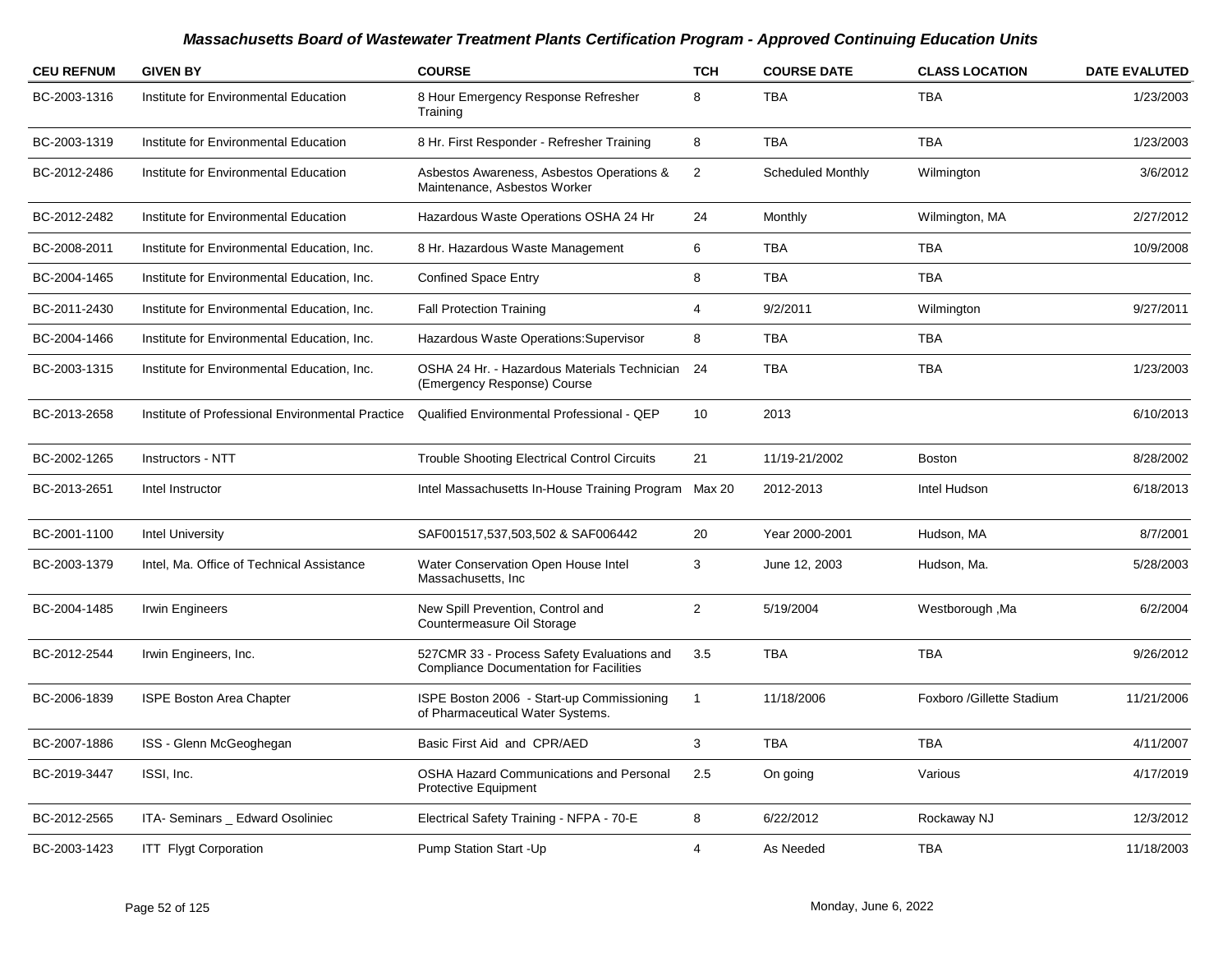| <b>CEU REFNUM</b> | <b>GIVEN BY</b>                                  | <b>COURSE</b>                                                                                | <b>TCH</b>     | <b>COURSE DATE</b>       | <b>CLASS LOCATION</b>     | <b>DATE EVALUTED</b> |
|-------------------|--------------------------------------------------|----------------------------------------------------------------------------------------------|----------------|--------------------------|---------------------------|----------------------|
| BC-2003-1316      | Institute for Environmental Education            | 8 Hour Emergency Response Refresher<br>Training                                              | 8              | <b>TBA</b>               | <b>TBA</b>                | 1/23/2003            |
| BC-2003-1319      | Institute for Environmental Education            | 8 Hr. First Responder - Refresher Training                                                   | 8              | <b>TBA</b>               | <b>TBA</b>                | 1/23/2003            |
| BC-2012-2486      | Institute for Environmental Education            | Asbestos Awareness, Asbestos Operations &<br>Maintenance, Asbestos Worker                    | 2              | <b>Scheduled Monthly</b> | Wilmington                | 3/6/2012             |
| BC-2012-2482      | Institute for Environmental Education            | Hazardous Waste Operations OSHA 24 Hr                                                        | 24             | Monthly                  | Wilmington, MA            | 2/27/2012            |
| BC-2008-2011      | Institute for Environmental Education, Inc.      | 8 Hr. Hazardous Waste Management                                                             | 6              | <b>TBA</b>               | <b>TBA</b>                | 10/9/2008            |
| BC-2004-1465      | Institute for Environmental Education, Inc.      | <b>Confined Space Entry</b>                                                                  | 8              | <b>TBA</b>               | <b>TBA</b>                |                      |
| BC-2011-2430      | Institute for Environmental Education, Inc.      | <b>Fall Protection Training</b>                                                              | $\overline{4}$ | 9/2/2011                 | Wilmington                | 9/27/2011            |
| BC-2004-1466      | Institute for Environmental Education, Inc.      | Hazardous Waste Operations: Supervisor                                                       | 8              | <b>TBA</b>               | <b>TBA</b>                |                      |
| BC-2003-1315      | Institute for Environmental Education, Inc.      | OSHA 24 Hr. - Hazardous Materials Technician 24<br>(Emergency Response) Course               |                | <b>TBA</b>               | <b>TBA</b>                | 1/23/2003            |
| BC-2013-2658      | Institute of Professional Environmental Practice | Qualified Environmental Professional - QEP                                                   | 10             | 2013                     |                           | 6/10/2013            |
| BC-2002-1265      | Instructors - NTT                                | <b>Trouble Shooting Electrical Control Circuits</b>                                          | 21             | 11/19-21/2002            | <b>Boston</b>             | 8/28/2002            |
| BC-2013-2651      | Intel Instructor                                 | Intel Massachusetts In-House Training Program                                                | Max 20         | 2012-2013                | Intel Hudson              | 6/18/2013            |
| BC-2001-1100      | <b>Intel University</b>                          | SAF001517,537,503,502 & SAF006442                                                            | 20             | Year 2000-2001           | Hudson, MA                | 8/7/2001             |
| BC-2003-1379      | Intel, Ma. Office of Technical Assistance        | Water Conservation Open House Intel<br>Massachusetts, Inc.                                   | 3              | June 12, 2003            | Hudson, Ma.               | 5/28/2003            |
| BC-2004-1485      | Irwin Engineers                                  | New Spill Prevention, Control and<br>Countermeasure Oil Storage                              | 2              | 5/19/2004                | Westborough, Ma           | 6/2/2004             |
| BC-2012-2544      | Irwin Engineers, Inc.                            | 527CMR 33 - Process Safety Evaluations and<br><b>Compliance Documentation for Facilities</b> | 3.5            | <b>TBA</b>               | <b>TBA</b>                | 9/26/2012            |
| BC-2006-1839      | ISPE Boston Area Chapter                         | ISPE Boston 2006 - Start-up Commissioning<br>of Pharmaceutical Water Systems.                | $\overline{1}$ | 11/18/2006               | Foxboro /Gillette Stadium | 11/21/2006           |
| BC-2007-1886      | ISS - Glenn McGeoghegan                          | Basic First Aid and CPR/AED                                                                  | 3              | <b>TBA</b>               | <b>TBA</b>                | 4/11/2007            |
| BC-2019-3447      | ISSI, Inc.                                       | <b>OSHA Hazard Communications and Personal</b><br>Protective Equipment                       | 2.5            | On going                 | Various                   | 4/17/2019            |
| BC-2012-2565      | ITA- Seminars _ Edward Osoliniec                 | Electrical Safety Training - NFPA - 70-E                                                     | 8              | 6/22/2012                | Rockaway NJ               | 12/3/2012            |
| BC-2003-1423      | <b>ITT Flygt Corporation</b>                     | Pump Station Start - Up                                                                      | 4              | As Needed                | <b>TBA</b>                | 11/18/2003           |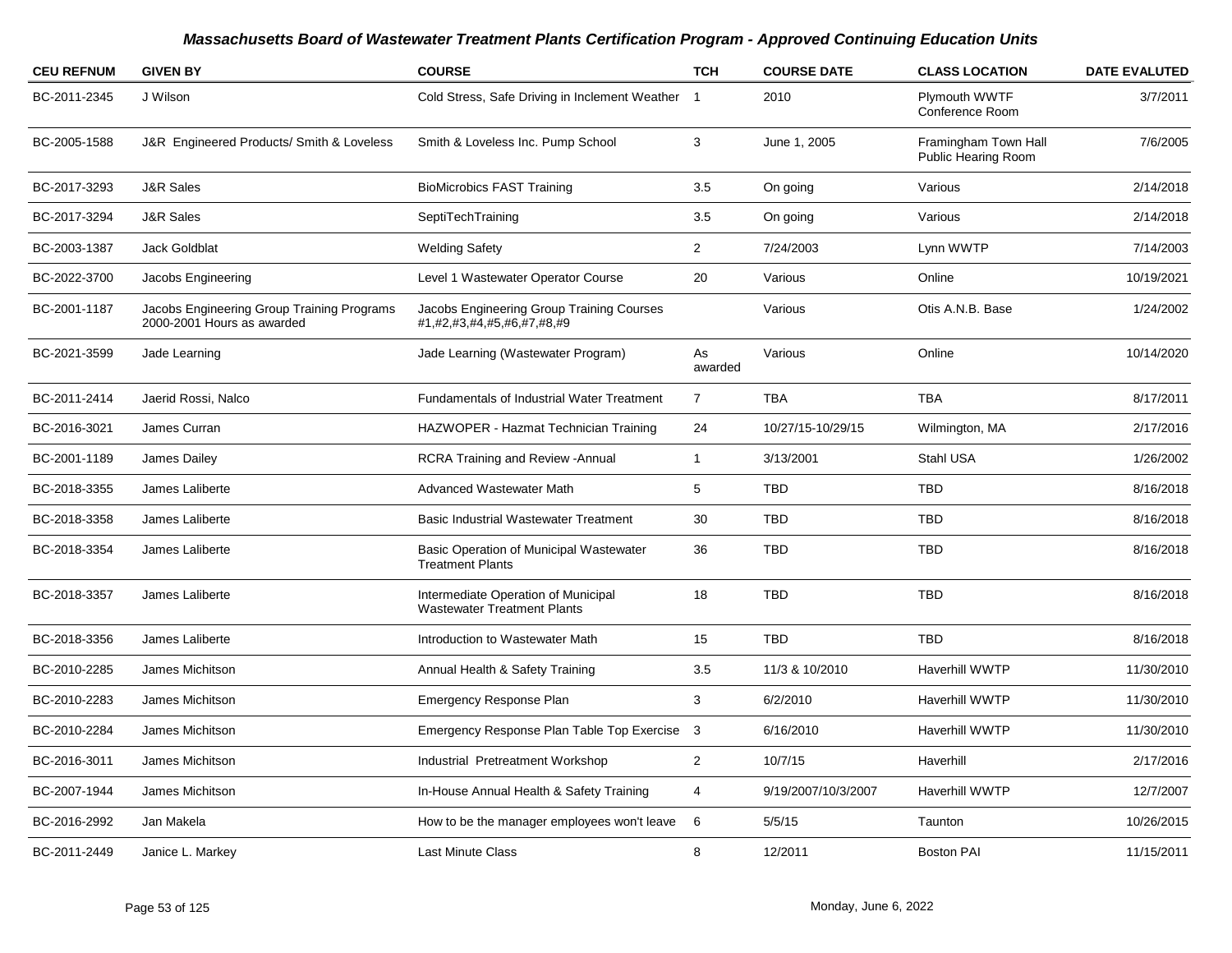| <b>CEU REFNUM</b> | <b>GIVEN BY</b>                                                          | <b>COURSE</b>                                                             | <b>TCH</b>     | <b>COURSE DATE</b>  | <b>CLASS LOCATION</b>                       | <b>DATE EVALUTED</b> |
|-------------------|--------------------------------------------------------------------------|---------------------------------------------------------------------------|----------------|---------------------|---------------------------------------------|----------------------|
| BC-2011-2345      | J Wilson                                                                 | Cold Stress, Safe Driving in Inclement Weather 1                          |                | 2010                | Plymouth WWTF<br>Conference Room            | 3/7/2011             |
| BC-2005-1588      | J&R Engineered Products/ Smith & Loveless                                | Smith & Loveless Inc. Pump School                                         | 3              | June 1, 2005        | Framingham Town Hall<br>Public Hearing Room | 7/6/2005             |
| BC-2017-3293      | <b>J&amp;R Sales</b>                                                     | <b>BioMicrobics FAST Training</b>                                         | 3.5            | On going            | Various                                     | 2/14/2018            |
| BC-2017-3294      | <b>J&amp;R Sales</b>                                                     | SeptiTechTraining                                                         | 3.5            | On going            | Various                                     | 2/14/2018            |
| BC-2003-1387      | Jack Goldblat                                                            | <b>Welding Safety</b>                                                     | $\overline{2}$ | 7/24/2003           | Lynn WWTP                                   | 7/14/2003            |
| BC-2022-3700      | Jacobs Engineering                                                       | Level 1 Wastewater Operator Course                                        | 20             | Various             | Online                                      | 10/19/2021           |
| BC-2001-1187      | Jacobs Engineering Group Training Programs<br>2000-2001 Hours as awarded | Jacobs Engineering Group Training Courses<br>#1,#2,#3,#4,#5,#6,#7,#8,#9   |                | Various             | Otis A.N.B. Base                            | 1/24/2002            |
| BC-2021-3599      | Jade Learning                                                            | Jade Learning (Wastewater Program)                                        | As<br>awarded  | Various             | Online                                      | 10/14/2020           |
| BC-2011-2414      | Jaerid Rossi, Nalco                                                      | Fundamentals of Industrial Water Treatment                                | $\overline{7}$ | <b>TBA</b>          | <b>TBA</b>                                  | 8/17/2011            |
| BC-2016-3021      | James Curran                                                             | HAZWOPER - Hazmat Technician Training                                     | 24             | 10/27/15-10/29/15   | Wilmington, MA                              | 2/17/2016            |
| BC-2001-1189      | James Dailey                                                             | <b>RCRA Training and Review - Annual</b>                                  | $\mathbf{1}$   | 3/13/2001           | Stahl USA                                   | 1/26/2002            |
| BC-2018-3355      | James Laliberte                                                          | Advanced Wastewater Math                                                  | 5              | <b>TBD</b>          | <b>TBD</b>                                  | 8/16/2018            |
| BC-2018-3358      | James Laliberte                                                          | <b>Basic Industrial Wastewater Treatment</b>                              | 30             | <b>TBD</b>          | <b>TBD</b>                                  | 8/16/2018            |
| BC-2018-3354      | James Laliberte                                                          | <b>Basic Operation of Municipal Wastewater</b><br><b>Treatment Plants</b> | 36             | <b>TBD</b>          | <b>TBD</b>                                  | 8/16/2018            |
| BC-2018-3357      | James Laliberte                                                          | Intermediate Operation of Municipal<br><b>Wastewater Treatment Plants</b> | 18             | <b>TBD</b>          | <b>TBD</b>                                  | 8/16/2018            |
| BC-2018-3356      | James Laliberte                                                          | Introduction to Wastewater Math                                           | 15             | <b>TBD</b>          | <b>TBD</b>                                  | 8/16/2018            |
| BC-2010-2285      | James Michitson                                                          | Annual Health & Safety Training                                           | 3.5            | 11/3 & 10/2010      | <b>Haverhill WWTP</b>                       | 11/30/2010           |
| BC-2010-2283      | James Michitson                                                          | <b>Emergency Response Plan</b>                                            | 3              | 6/2/2010            | <b>Haverhill WWTP</b>                       | 11/30/2010           |
| BC-2010-2284      | James Michitson                                                          | Emergency Response Plan Table Top Exercise 3                              |                | 6/16/2010           | <b>Haverhill WWTP</b>                       | 11/30/2010           |
| BC-2016-3011      | James Michitson                                                          | Industrial Pretreatment Workshop                                          | $\overline{2}$ | 10/7/15             | Haverhill                                   | 2/17/2016            |
| BC-2007-1944      | James Michitson                                                          | In-House Annual Health & Safety Training                                  | 4              | 9/19/2007/10/3/2007 | <b>Haverhill WWTP</b>                       | 12/7/2007            |
| BC-2016-2992      | Jan Makela                                                               | How to be the manager employees won't leave                               | 6              | 5/5/15              | Taunton                                     | 10/26/2015           |
| BC-2011-2449      | Janice L. Markey                                                         | <b>Last Minute Class</b>                                                  | 8              | 12/2011             | <b>Boston PAI</b>                           | 11/15/2011           |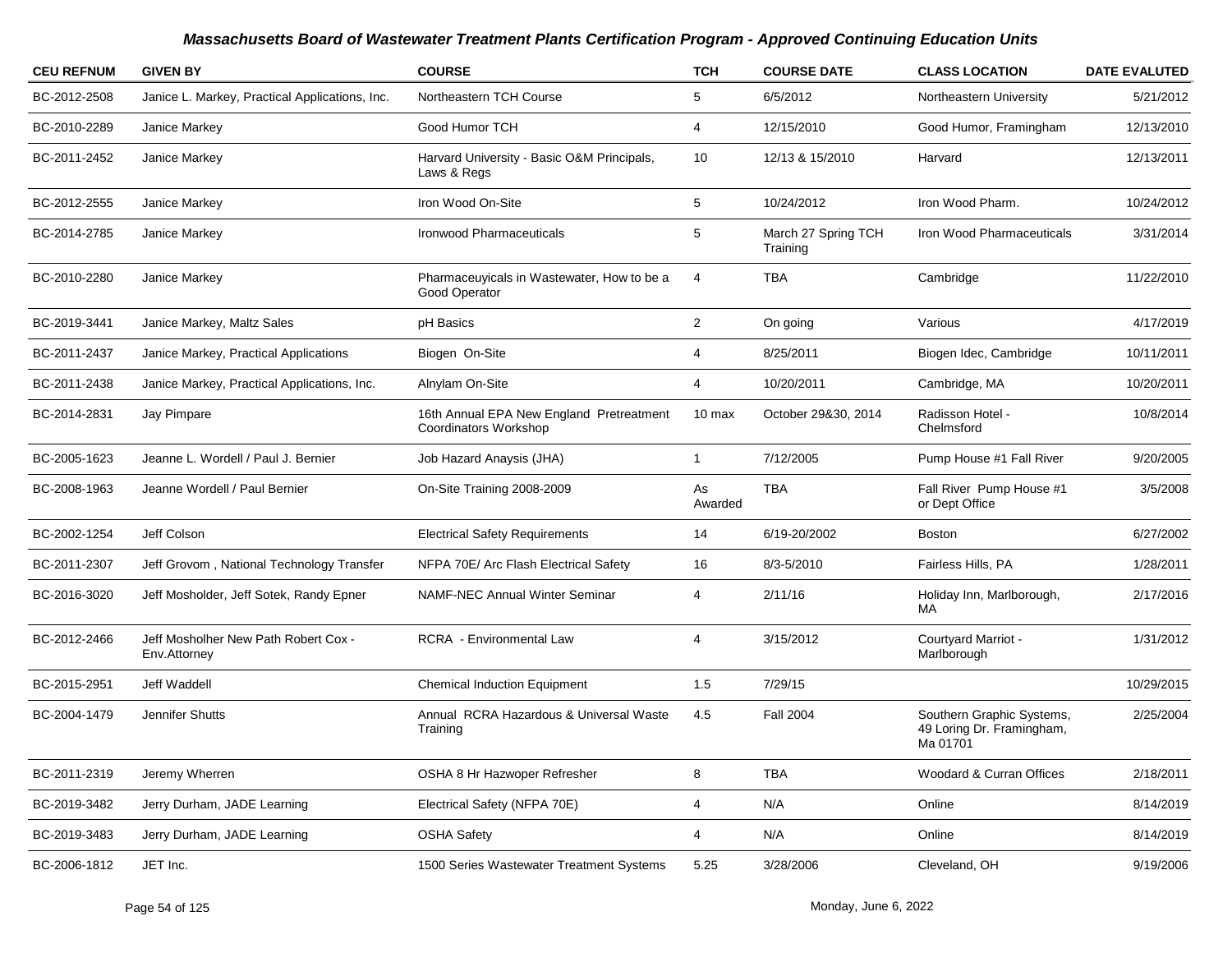| <b>CEU REFNUM</b> | <b>GIVEN BY</b>                                      | <b>COURSE</b>                                                     | <b>TCH</b>     | <b>COURSE DATE</b>              | <b>CLASS LOCATION</b>                                              | <b>DATE EVALUTED</b> |
|-------------------|------------------------------------------------------|-------------------------------------------------------------------|----------------|---------------------------------|--------------------------------------------------------------------|----------------------|
| BC-2012-2508      | Janice L. Markey, Practical Applications, Inc.       | Northeastern TCH Course                                           | 5              | 6/5/2012                        | Northeastern University                                            | 5/21/2012            |
| BC-2010-2289      | Janice Markey                                        | Good Humor TCH                                                    | $\overline{4}$ | 12/15/2010                      | Good Humor, Framingham                                             | 12/13/2010           |
| BC-2011-2452      | Janice Markey                                        | Harvard University - Basic O&M Principals,<br>Laws & Regs         | 10             | 12/13 & 15/2010                 | Harvard                                                            | 12/13/2011           |
| BC-2012-2555      | Janice Markey                                        | Iron Wood On-Site                                                 | 5              | 10/24/2012                      | Iron Wood Pharm.                                                   | 10/24/2012           |
| BC-2014-2785      | Janice Markey                                        | <b>Ironwood Pharmaceuticals</b>                                   | 5              | March 27 Spring TCH<br>Training | Iron Wood Pharmaceuticals                                          | 3/31/2014            |
| BC-2010-2280      | Janice Markey                                        | Pharmaceuyicals in Wastewater, How to be a<br>Good Operator       | 4              | <b>TBA</b>                      | Cambridge                                                          | 11/22/2010           |
| BC-2019-3441      | Janice Markey, Maltz Sales                           | pH Basics                                                         | $\overline{2}$ | On going                        | Various                                                            | 4/17/2019            |
| BC-2011-2437      | Janice Markey, Practical Applications                | Biogen On-Site                                                    | $\overline{4}$ | 8/25/2011                       | Biogen Idec, Cambridge                                             | 10/11/2011           |
| BC-2011-2438      | Janice Markey, Practical Applications, Inc.          | Alnylam On-Site                                                   | $\overline{4}$ | 10/20/2011                      | Cambridge, MA                                                      | 10/20/2011           |
| BC-2014-2831      | Jay Pimpare                                          | 16th Annual EPA New England Pretreatment<br>Coordinators Workshop | 10 max         | October 29&30, 2014             | Radisson Hotel -<br>Chelmsford                                     | 10/8/2014            |
| BC-2005-1623      | Jeanne L. Wordell / Paul J. Bernier                  | Job Hazard Anaysis (JHA)                                          | $\mathbf{1}$   | 7/12/2005                       | Pump House #1 Fall River                                           | 9/20/2005            |
| BC-2008-1963      | Jeanne Wordell / Paul Bernier                        | On-Site Training 2008-2009                                        | As<br>Awarded  | <b>TBA</b>                      | Fall River Pump House #1<br>or Dept Office                         | 3/5/2008             |
| BC-2002-1254      | Jeff Colson                                          | <b>Electrical Safety Requirements</b>                             | 14             | 6/19-20/2002                    | <b>Boston</b>                                                      | 6/27/2002            |
| BC-2011-2307      | Jeff Grovom, National Technology Transfer            | NFPA 70E/ Arc Flash Electrical Safety                             | 16             | 8/3-5/2010                      | Fairless Hills, PA                                                 | 1/28/2011            |
| BC-2016-3020      | Jeff Mosholder, Jeff Sotek, Randy Epner              | <b>NAMF-NEC Annual Winter Seminar</b>                             | $\overline{4}$ | 2/11/16                         | Holiday Inn, Marlborough,<br>MA                                    | 2/17/2016            |
| BC-2012-2466      | Jeff Mosholher New Path Robert Cox -<br>Env.Attorney | <b>RCRA</b> - Environmental Law                                   | 4              | 3/15/2012                       | Courtyard Marriot -<br>Marlborough                                 | 1/31/2012            |
| BC-2015-2951      | Jeff Waddell                                         | <b>Chemical Induction Equipment</b>                               | 1.5            | 7/29/15                         |                                                                    | 10/29/2015           |
| BC-2004-1479      | Jennifer Shutts                                      | Annual RCRA Hazardous & Universal Waste<br>Training               | 4.5            | <b>Fall 2004</b>                | Southern Graphic Systems,<br>49 Loring Dr. Framingham,<br>Ma 01701 | 2/25/2004            |
| BC-2011-2319      | Jeremy Wherren                                       | OSHA 8 Hr Hazwoper Refresher                                      | 8              | <b>TBA</b>                      | Woodard & Curran Offices                                           | 2/18/2011            |
| BC-2019-3482      | Jerry Durham, JADE Learning                          | Electrical Safety (NFPA 70E)                                      | 4              | N/A                             | Online                                                             | 8/14/2019            |
| BC-2019-3483      | Jerry Durham, JADE Learning                          | <b>OSHA Safety</b>                                                | $\overline{4}$ | N/A                             | Online                                                             | 8/14/2019            |
| BC-2006-1812      | JET Inc.                                             | 1500 Series Wastewater Treatment Systems                          | 5.25           | 3/28/2006                       | Cleveland, OH                                                      | 9/19/2006            |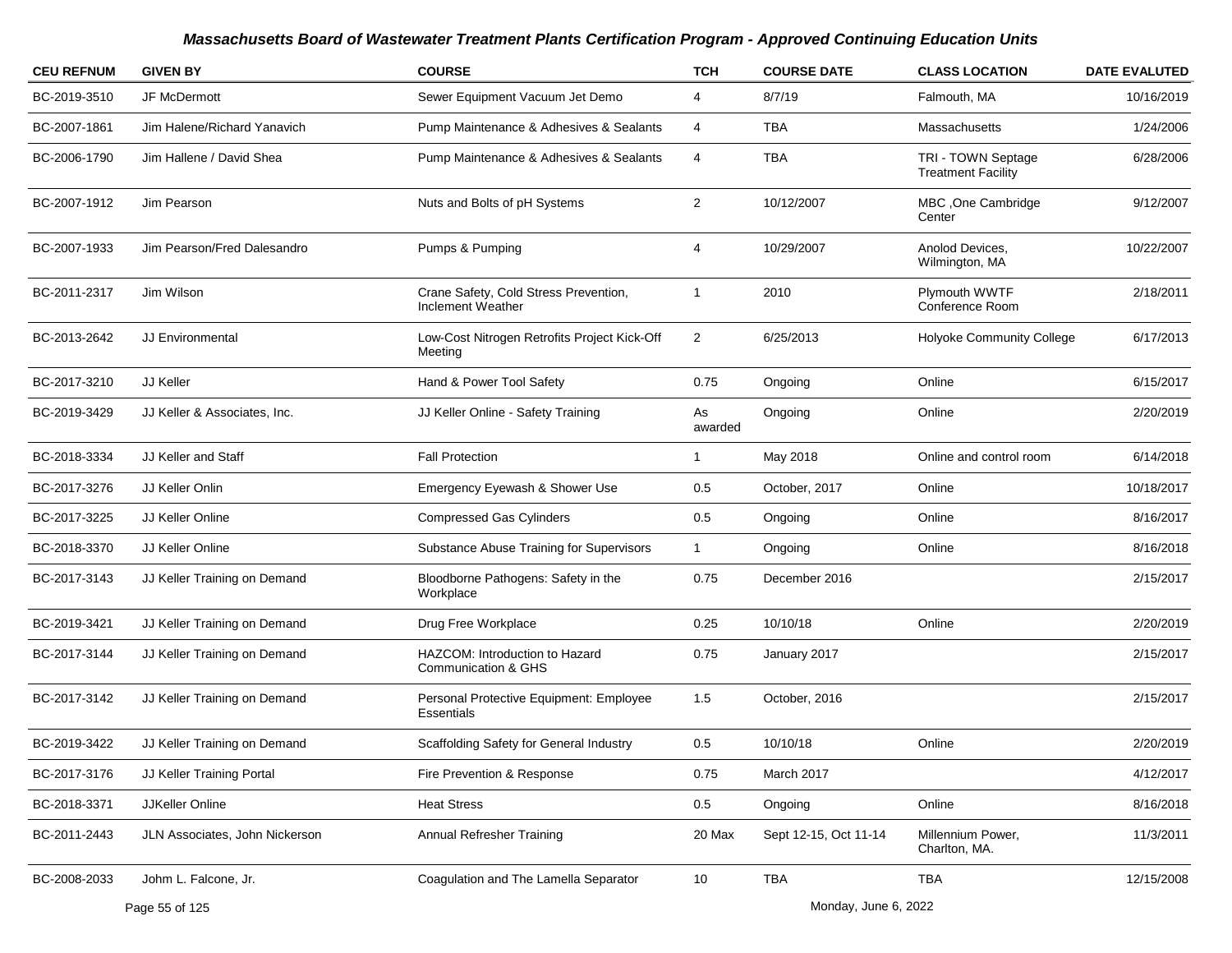| <b>CEU REFNUM</b> | <b>GIVEN BY</b>                | <b>COURSE</b>                                                    | <b>TCH</b>     | <b>COURSE DATE</b>    | <b>CLASS LOCATION</b>                           | <b>DATE EVALUTED</b> |
|-------------------|--------------------------------|------------------------------------------------------------------|----------------|-----------------------|-------------------------------------------------|----------------------|
| BC-2019-3510      | JF McDermott                   | Sewer Equipment Vacuum Jet Demo                                  | 4              | 8/7/19                | Falmouth, MA                                    | 10/16/2019           |
| BC-2007-1861      | Jim Halene/Richard Yanavich    | Pump Maintenance & Adhesives & Sealants                          | 4              | TBA                   | Massachusetts                                   | 1/24/2006            |
| BC-2006-1790      | Jim Hallene / David Shea       | Pump Maintenance & Adhesives & Sealants                          | 4              | <b>TBA</b>            | TRI - TOWN Septage<br><b>Treatment Facility</b> | 6/28/2006            |
| BC-2007-1912      | Jim Pearson                    | Nuts and Bolts of pH Systems                                     | $\overline{2}$ | 10/12/2007            | MBC, One Cambridge<br>Center                    | 9/12/2007            |
| BC-2007-1933      | Jim Pearson/Fred Dalesandro    | Pumps & Pumping                                                  | 4              | 10/29/2007            | Anolod Devices,<br>Wilmington, MA               | 10/22/2007           |
| BC-2011-2317      | Jim Wilson                     | Crane Safety, Cold Stress Prevention,<br>Inclement Weather       | $\overline{1}$ | 2010                  | <b>Plymouth WWTF</b><br>Conference Room         | 2/18/2011            |
| BC-2013-2642      | JJ Environmental               | Low-Cost Nitrogen Retrofits Project Kick-Off<br>Meeting          | $\overline{2}$ | 6/25/2013             | <b>Holyoke Community College</b>                | 6/17/2013            |
| BC-2017-3210      | <b>JJ Keller</b>               | Hand & Power Tool Safety                                         | 0.75           | Ongoing               | Online                                          | 6/15/2017            |
| BC-2019-3429      | JJ Keller & Associates, Inc.   | JJ Keller Online - Safety Training                               | As<br>awarded  | Ongoing               | Online                                          | 2/20/2019            |
| BC-2018-3334      | JJ Keller and Staff            | <b>Fall Protection</b>                                           | 1              | May 2018              | Online and control room                         | 6/14/2018            |
| BC-2017-3276      | JJ Keller Onlin                | Emergency Eyewash & Shower Use                                   | 0.5            | October, 2017         | Online                                          | 10/18/2017           |
| BC-2017-3225      | JJ Keller Online               | <b>Compressed Gas Cylinders</b>                                  | 0.5            | Ongoing               | Online                                          | 8/16/2017            |
| BC-2018-3370      | JJ Keller Online               | Substance Abuse Training for Supervisors                         | $\mathbf{1}$   | Ongoing               | Online                                          | 8/16/2018            |
| BC-2017-3143      | JJ Keller Training on Demand   | Bloodborne Pathogens: Safety in the<br>Workplace                 | 0.75           | December 2016         |                                                 | 2/15/2017            |
| BC-2019-3421      | JJ Keller Training on Demand   | Drug Free Workplace                                              | 0.25           | 10/10/18              | Online                                          | 2/20/2019            |
| BC-2017-3144      | JJ Keller Training on Demand   | HAZCOM: Introduction to Hazard<br><b>Communication &amp; GHS</b> | 0.75           | January 2017          |                                                 | 2/15/2017            |
| BC-2017-3142      | JJ Keller Training on Demand   | Personal Protective Equipment: Employee<br>Essentials            | 1.5            | October, 2016         |                                                 | 2/15/2017            |
| BC-2019-3422      | JJ Keller Training on Demand   | Scaffolding Safety for General Industry                          | 0.5            | 10/10/18              | Online                                          | 2/20/2019            |
| BC-2017-3176      | JJ Keller Training Portal      | Fire Prevention & Response                                       | 0.75           | March 2017            |                                                 | 4/12/2017            |
| BC-2018-3371      | JJKeller Online                | <b>Heat Stress</b>                                               | 0.5            | Ongoing               | Online                                          | 8/16/2018            |
| BC-2011-2443      | JLN Associates, John Nickerson | Annual Refresher Training                                        | 20 Max         | Sept 12-15, Oct 11-14 | Millennium Power,<br>Charlton, MA.              | 11/3/2011            |
| BC-2008-2033      | Johm L. Falcone, Jr.           | Coagulation and The Lamella Separator                            | 10             | <b>TBA</b>            | <b>TBA</b>                                      | 12/15/2008           |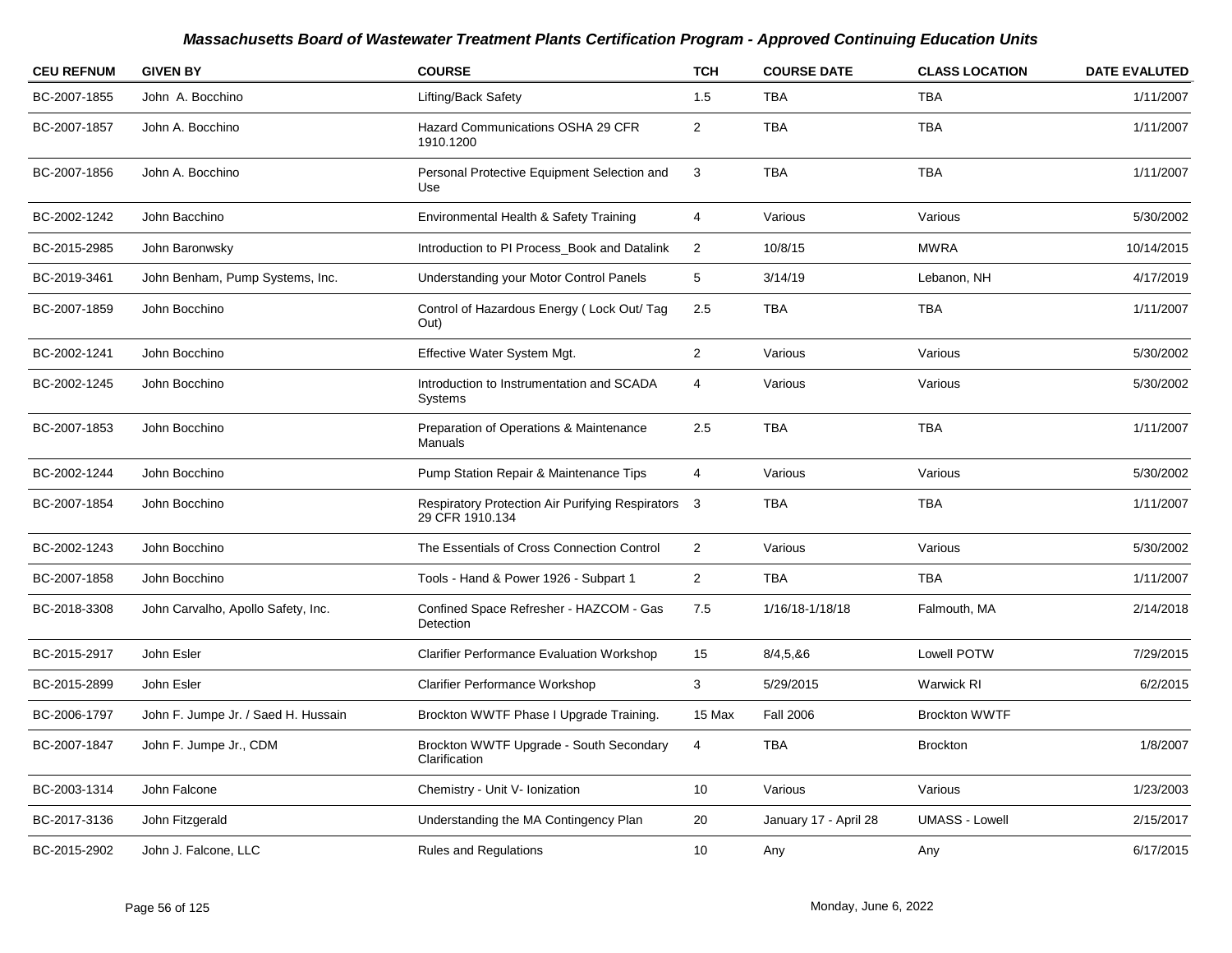| <b>CEU REFNUM</b> | <b>GIVEN BY</b>                     | <b>COURSE</b>                                                         | <b>TCH</b>              | <b>COURSE DATE</b>    | <b>CLASS LOCATION</b> | <b>DATE EVALUTED</b> |
|-------------------|-------------------------------------|-----------------------------------------------------------------------|-------------------------|-----------------------|-----------------------|----------------------|
| BC-2007-1855      | John A. Bocchino                    | Lifting/Back Safety                                                   | 1.5                     | <b>TBA</b>            | <b>TBA</b>            | 1/11/2007            |
| BC-2007-1857      | John A. Bocchino                    | Hazard Communications OSHA 29 CFR<br>1910.1200                        | $\overline{\mathbf{c}}$ | <b>TBA</b>            | <b>TBA</b>            | 1/11/2007            |
| BC-2007-1856      | John A. Bocchino                    | Personal Protective Equipment Selection and<br>Use                    | $\mathbf{3}$            | <b>TBA</b>            | <b>TBA</b>            | 1/11/2007            |
| BC-2002-1242      | John Bacchino                       | Environmental Health & Safety Training                                | 4                       | Various               | Various               | 5/30/2002            |
| BC-2015-2985      | John Baronwsky                      | Introduction to PI Process Book and Datalink                          | $\overline{2}$          | 10/8/15               | <b>MWRA</b>           | 10/14/2015           |
| BC-2019-3461      | John Benham, Pump Systems, Inc.     | Understanding your Motor Control Panels                               | 5                       | 3/14/19               | Lebanon, NH           | 4/17/2019            |
| BC-2007-1859      | John Bocchino                       | Control of Hazardous Energy (Lock Out/Tag<br>Out)                     | 2.5                     | TBA                   | TBA                   | 1/11/2007            |
| BC-2002-1241      | John Bocchino                       | Effective Water System Mgt.                                           | $\overline{2}$          | Various               | Various               | 5/30/2002            |
| BC-2002-1245      | John Bocchino                       | Introduction to Instrumentation and SCADA<br><b>Systems</b>           | 4                       | Various               | Various               | 5/30/2002            |
| BC-2007-1853      | John Bocchino                       | Preparation of Operations & Maintenance<br>Manuals                    | 2.5                     | <b>TBA</b>            | <b>TBA</b>            | 1/11/2007            |
| BC-2002-1244      | John Bocchino                       | Pump Station Repair & Maintenance Tips                                | $\overline{4}$          | Various               | Various               | 5/30/2002            |
| BC-2007-1854      | John Bocchino                       | Respiratory Protection Air Purifying Respirators 3<br>29 CFR 1910.134 |                         | <b>TBA</b>            | <b>TBA</b>            | 1/11/2007            |
| BC-2002-1243      | John Bocchino                       | The Essentials of Cross Connection Control                            | $\overline{c}$          | Various               | Various               | 5/30/2002            |
| BC-2007-1858      | John Bocchino                       | Tools - Hand & Power 1926 - Subpart 1                                 | $\overline{2}$          | <b>TBA</b>            | <b>TBA</b>            | 1/11/2007            |
| BC-2018-3308      | John Carvalho, Apollo Safety, Inc.  | Confined Space Refresher - HAZCOM - Gas<br>Detection                  | 7.5                     | 1/16/18-1/18/18       | Falmouth, MA          | 2/14/2018            |
| BC-2015-2917      | John Esler                          | <b>Clarifier Performance Evaluation Workshop</b>                      | 15                      | 8/4, 5, 86            | Lowell POTW           | 7/29/2015            |
| BC-2015-2899      | John Esler                          | <b>Clarifier Performance Workshop</b>                                 | 3                       | 5/29/2015             | <b>Warwick RI</b>     | 6/2/2015             |
| BC-2006-1797      | John F. Jumpe Jr. / Saed H. Hussain | Brockton WWTF Phase I Upgrade Training.                               | 15 Max                  | <b>Fall 2006</b>      | <b>Brockton WWTF</b>  |                      |
| BC-2007-1847      | John F. Jumpe Jr., CDM              | Brockton WWTF Upgrade - South Secondary<br>Clarification              | 4                       | <b>TBA</b>            | <b>Brockton</b>       | 1/8/2007             |
| BC-2003-1314      | John Falcone                        | Chemistry - Unit V- Ionization                                        | 10                      | Various               | Various               | 1/23/2003            |
| BC-2017-3136      | John Fitzgerald                     | Understanding the MA Contingency Plan                                 | 20                      | January 17 - April 28 | <b>UMASS - Lowell</b> | 2/15/2017            |
| BC-2015-2902      | John J. Falcone, LLC                | Rules and Regulations                                                 | 10                      | Any                   | Any                   | 6/17/2015            |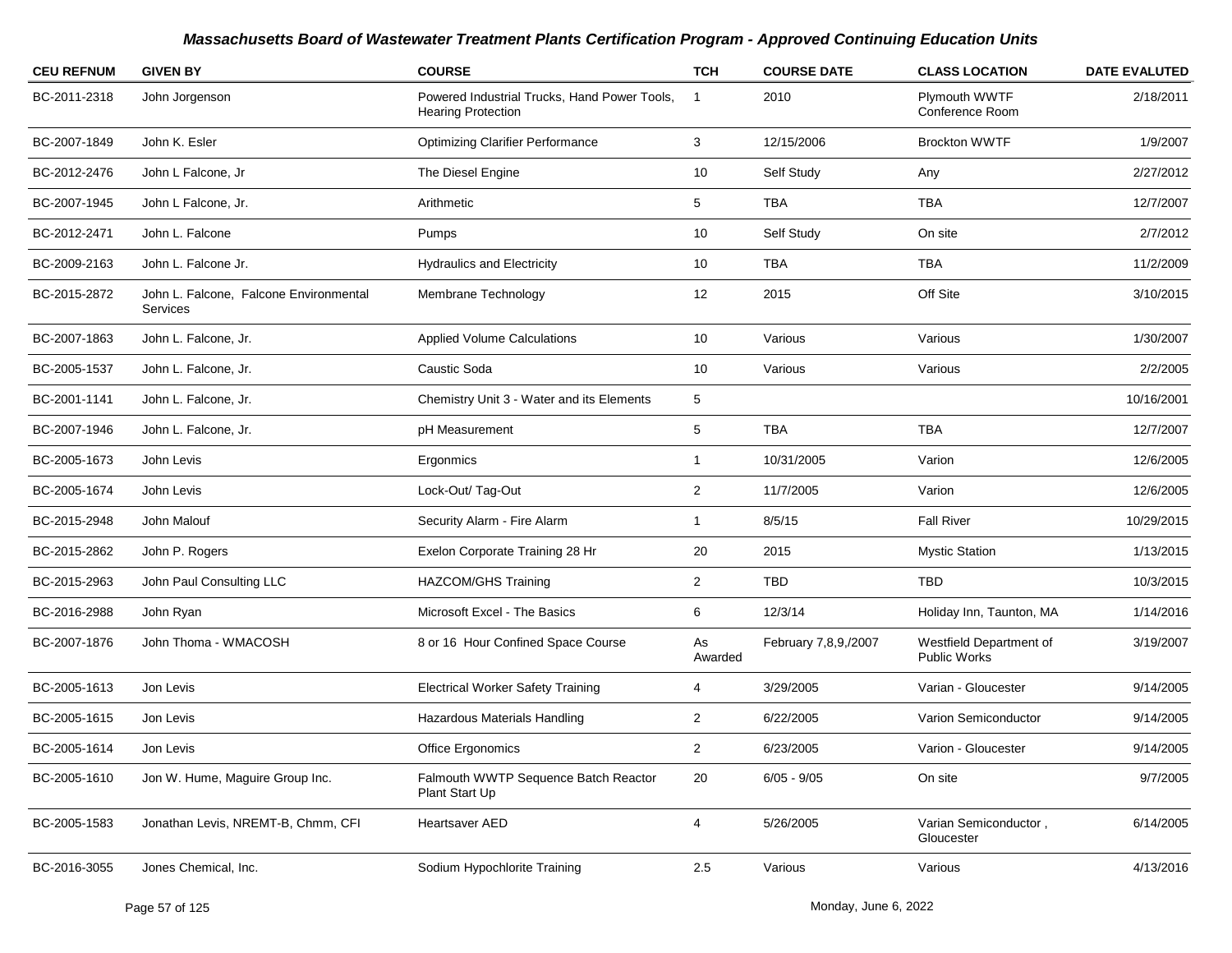| <b>CEU REFNUM</b> | <b>GIVEN BY</b>                                    | <b>COURSE</b>                                                             | <b>TCH</b>     | <b>COURSE DATE</b>   | <b>CLASS LOCATION</b>                   | <b>DATE EVALUTED</b> |
|-------------------|----------------------------------------------------|---------------------------------------------------------------------------|----------------|----------------------|-----------------------------------------|----------------------|
| BC-2011-2318      | John Jorgenson                                     | Powered Industrial Trucks, Hand Power Tools,<br><b>Hearing Protection</b> | $\mathbf{1}$   | 2010                 | Plymouth WWTF<br>Conference Room        | 2/18/2011            |
| BC-2007-1849      | John K. Esler                                      | <b>Optimizing Clarifier Performance</b>                                   | 3              | 12/15/2006           | <b>Brockton WWTF</b>                    | 1/9/2007             |
| BC-2012-2476      | John L Falcone, Jr                                 | The Diesel Engine                                                         | 10             | Self Study           | Any                                     | 2/27/2012            |
| BC-2007-1945      | John L Falcone, Jr.                                | Arithmetic                                                                | 5              | <b>TBA</b>           | TBA                                     | 12/7/2007            |
| BC-2012-2471      | John L. Falcone                                    | Pumps                                                                     | 10             | Self Study           | On site                                 | 2/7/2012             |
| BC-2009-2163      | John L. Falcone Jr.                                | <b>Hydraulics and Electricity</b>                                         | 10             | <b>TBA</b>           | <b>TBA</b>                              | 11/2/2009            |
| BC-2015-2872      | John L. Falcone, Falcone Environmental<br>Services | Membrane Technology                                                       | 12             | 2015                 | Off Site                                | 3/10/2015            |
| BC-2007-1863      | John L. Falcone, Jr.                               | <b>Applied Volume Calculations</b>                                        | 10             | Various              | Various                                 | 1/30/2007            |
| BC-2005-1537      | John L. Falcone, Jr.                               | Caustic Soda                                                              | 10             | Various              | Various                                 | 2/2/2005             |
| BC-2001-1141      | John L. Falcone, Jr.                               | Chemistry Unit 3 - Water and its Elements                                 | 5              |                      |                                         | 10/16/2001           |
| BC-2007-1946      | John L. Falcone, Jr.                               | pH Measurement                                                            | 5              | <b>TBA</b>           | <b>TBA</b>                              | 12/7/2007            |
| BC-2005-1673      | John Levis                                         | Ergonmics                                                                 | 1              | 10/31/2005           | Varion                                  | 12/6/2005            |
| BC-2005-1674      | John Levis                                         | Lock-Out/Tag-Out                                                          | $\overline{2}$ | 11/7/2005            | Varion                                  | 12/6/2005            |
| BC-2015-2948      | John Malouf                                        | Security Alarm - Fire Alarm                                               | 1              | 8/5/15               | <b>Fall River</b>                       | 10/29/2015           |
| BC-2015-2862      | John P. Rogers                                     | Exelon Corporate Training 28 Hr                                           | 20             | 2015                 | <b>Mystic Station</b>                   | 1/13/2015            |
| BC-2015-2963      | John Paul Consulting LLC                           | <b>HAZCOM/GHS Training</b>                                                | $\overline{2}$ | TBD                  | <b>TBD</b>                              | 10/3/2015            |
| BC-2016-2988      | John Ryan                                          | Microsoft Excel - The Basics                                              | 6              | 12/3/14              | Holiday Inn, Taunton, MA                | 1/14/2016            |
| BC-2007-1876      | John Thoma - WMACOSH                               | 8 or 16 Hour Confined Space Course                                        | As<br>Awarded  | February 7,8,9,/2007 | Westfield Department of<br>Public Works | 3/19/2007            |
| BC-2005-1613      | Jon Levis                                          | <b>Electrical Worker Safety Training</b>                                  | 4              | 3/29/2005            | Varian - Gloucester                     | 9/14/2005            |
| BC-2005-1615      | Jon Levis                                          | Hazardous Materials Handling                                              | $\overline{c}$ | 6/22/2005            | Varion Semiconductor                    | 9/14/2005            |
| BC-2005-1614      | Jon Levis                                          | Office Ergonomics                                                         | $\overline{2}$ | 6/23/2005            | Varion - Gloucester                     | 9/14/2005            |
| BC-2005-1610      | Jon W. Hume, Maguire Group Inc.                    | Falmouth WWTP Sequence Batch Reactor<br>Plant Start Up                    | 20             | $6/05 - 9/05$        | On site                                 | 9/7/2005             |
| BC-2005-1583      | Jonathan Levis, NREMT-B, Chmm, CFI                 | Heartsaver AED                                                            | 4              | 5/26/2005            | Varian Semiconductor,<br>Gloucester     | 6/14/2005            |
| BC-2016-3055      | Jones Chemical, Inc.                               | Sodium Hypochlorite Training                                              | 2.5            | Various              | Various                                 | 4/13/2016            |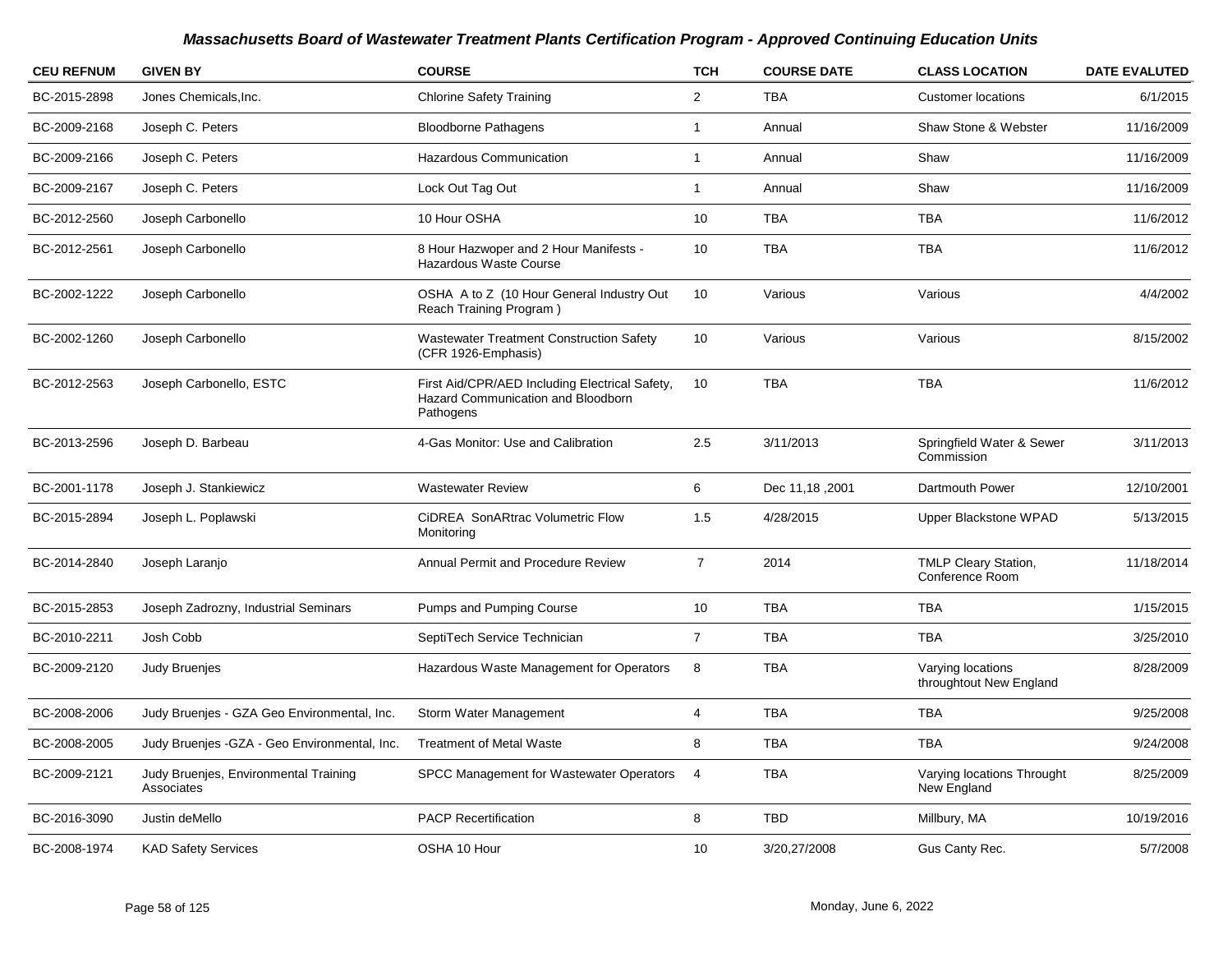| <b>CEU REFNUM</b> | <b>GIVEN BY</b>                                     | <b>COURSE</b>                                                                                     | <b>TCH</b>              | <b>COURSE DATE</b> | <b>CLASS LOCATION</b>                        | <b>DATE EVALUTED</b> |
|-------------------|-----------------------------------------------------|---------------------------------------------------------------------------------------------------|-------------------------|--------------------|----------------------------------------------|----------------------|
| BC-2015-2898      | Jones Chemicals.Inc.                                | <b>Chlorine Safety Training</b>                                                                   | $\overline{\mathbf{c}}$ | <b>TBA</b>         | <b>Customer locations</b>                    | 6/1/2015             |
| BC-2009-2168      | Joseph C. Peters                                    | <b>Bloodborne Pathagens</b>                                                                       | 1                       | Annual             | Shaw Stone & Webster                         | 11/16/2009           |
| BC-2009-2166      | Joseph C. Peters                                    | Hazardous Communication                                                                           | $\mathbf{1}$            | Annual             | Shaw                                         | 11/16/2009           |
| BC-2009-2167      | Joseph C. Peters                                    | Lock Out Tag Out                                                                                  | $\mathbf{1}$            | Annual             | Shaw                                         | 11/16/2009           |
| BC-2012-2560      | Joseph Carbonello                                   | 10 Hour OSHA                                                                                      | 10                      | <b>TBA</b>         | <b>TBA</b>                                   | 11/6/2012            |
| BC-2012-2561      | Joseph Carbonello                                   | 8 Hour Hazwoper and 2 Hour Manifests -<br>Hazardous Waste Course                                  | 10                      | <b>TBA</b>         | <b>TBA</b>                                   | 11/6/2012            |
| BC-2002-1222      | Joseph Carbonello                                   | OSHA A to Z (10 Hour General Industry Out<br>Reach Training Program)                              | 10                      | Various            | Various                                      | 4/4/2002             |
| BC-2002-1260      | Joseph Carbonello                                   | <b>Wastewater Treatment Construction Safety</b><br>(CFR 1926-Emphasis)                            | 10 <sup>1</sup>         | Various            | Various                                      | 8/15/2002            |
| BC-2012-2563      | Joseph Carbonello, ESTC                             | First Aid/CPR/AED Including Electrical Safety,<br>Hazard Communication and Bloodborn<br>Pathogens | 10 <sup>1</sup>         | <b>TBA</b>         | <b>TBA</b>                                   | 11/6/2012            |
| BC-2013-2596      | Joseph D. Barbeau                                   | 4-Gas Monitor: Use and Calibration                                                                | 2.5                     | 3/11/2013          | Springfield Water & Sewer<br>Commission      | 3/11/2013            |
| BC-2001-1178      | Joseph J. Stankiewicz                               | <b>Wastewater Review</b>                                                                          | 6                       | Dec 11,18,2001     | Dartmouth Power                              | 12/10/2001           |
| BC-2015-2894      | Joseph L. Poplawski                                 | CiDREA SonARtrac Volumetric Flow<br>Monitoring                                                    | 1.5                     | 4/28/2015          | Upper Blackstone WPAD                        | 5/13/2015            |
| BC-2014-2840      | Joseph Laranjo                                      | Annual Permit and Procedure Review                                                                | $\overline{7}$          | 2014               | TMLP Cleary Station,<br>Conference Room      | 11/18/2014           |
| BC-2015-2853      | Joseph Zadrozny, Industrial Seminars                | Pumps and Pumping Course                                                                          | 10                      | <b>TBA</b>         | <b>TBA</b>                                   | 1/15/2015            |
| BC-2010-2211      | Josh Cobb                                           | SeptiTech Service Technician                                                                      | $\overline{7}$          | <b>TBA</b>         | <b>TBA</b>                                   | 3/25/2010            |
| BC-2009-2120      | <b>Judy Bruenjes</b>                                | Hazardous Waste Management for Operators                                                          | 8                       | <b>TBA</b>         | Varying locations<br>throughtout New England | 8/28/2009            |
| BC-2008-2006      | Judy Bruenjes - GZA Geo Environmental, Inc.         | Storm Water Management                                                                            | $\overline{4}$          | <b>TBA</b>         | <b>TBA</b>                                   | 9/25/2008            |
| BC-2008-2005      | Judy Bruenjes - GZA - Geo Environmental, Inc.       | <b>Treatment of Metal Waste</b>                                                                   | 8                       | <b>TBA</b>         | <b>TBA</b>                                   | 9/24/2008            |
| BC-2009-2121      | Judy Bruenjes, Environmental Training<br>Associates | <b>SPCC Management for Wastewater Operators</b>                                                   | $\overline{4}$          | <b>TBA</b>         | Varying locations Throught<br>New England    | 8/25/2009            |
| BC-2016-3090      | Justin deMello                                      | <b>PACP Recertification</b>                                                                       | 8                       | <b>TBD</b>         | Millbury, MA                                 | 10/19/2016           |
| BC-2008-1974      | <b>KAD Safety Services</b>                          | OSHA 10 Hour                                                                                      | 10                      | 3/20,27/2008       | Gus Canty Rec.                               | 5/7/2008             |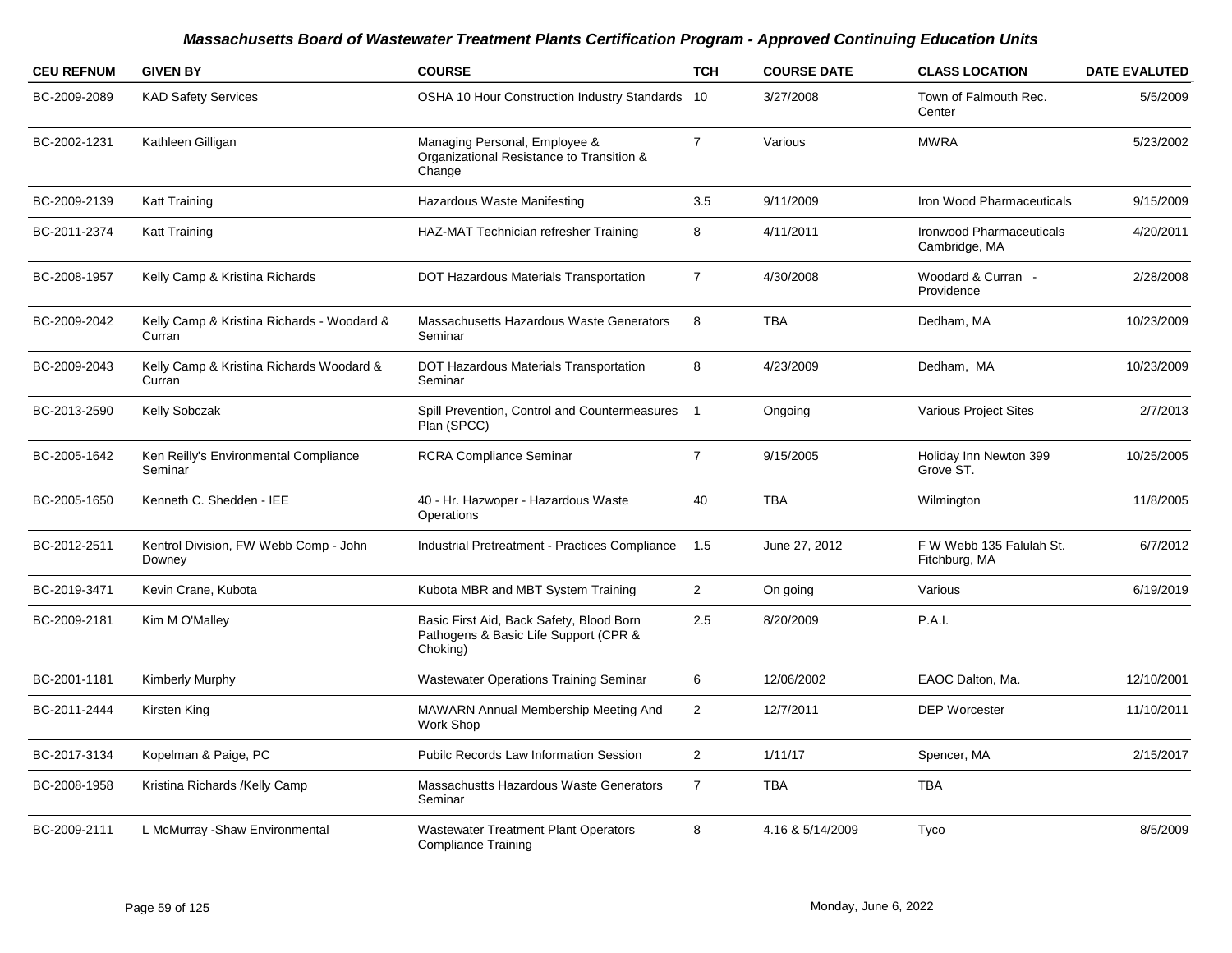| <b>CEU REFNUM</b> | <b>GIVEN BY</b>                                      | <b>COURSE</b>                                                                                 | <b>TCH</b>               | <b>COURSE DATE</b> | <b>CLASS LOCATION</b>                            | <b>DATE EVALUTED</b> |
|-------------------|------------------------------------------------------|-----------------------------------------------------------------------------------------------|--------------------------|--------------------|--------------------------------------------------|----------------------|
| BC-2009-2089      | <b>KAD Safety Services</b>                           | OSHA 10 Hour Construction Industry Standards                                                  | 10                       | 3/27/2008          | Town of Falmouth Rec.<br>Center                  | 5/5/2009             |
| BC-2002-1231      | Kathleen Gilligan                                    | Managing Personal, Employee &<br>Organizational Resistance to Transition &<br>Change          | $\overline{7}$           | Various            | <b>MWRA</b>                                      | 5/23/2002            |
| BC-2009-2139      | <b>Katt Training</b>                                 | Hazardous Waste Manifesting                                                                   | 3.5                      | 9/11/2009          | Iron Wood Pharmaceuticals                        | 9/15/2009            |
| BC-2011-2374      | Katt Training                                        | HAZ-MAT Technician refresher Training                                                         | 8                        | 4/11/2011          | <b>Ironwood Pharmaceuticals</b><br>Cambridge, MA | 4/20/2011            |
| BC-2008-1957      | Kelly Camp & Kristina Richards                       | DOT Hazardous Materials Transportation                                                        | $\overline{7}$           | 4/30/2008          | Woodard & Curran -<br>Providence                 | 2/28/2008            |
| BC-2009-2042      | Kelly Camp & Kristina Richards - Woodard &<br>Curran | Massachusetts Hazardous Waste Generators<br>Seminar                                           | 8                        | <b>TBA</b>         | Dedham, MA                                       | 10/23/2009           |
| BC-2009-2043      | Kelly Camp & Kristina Richards Woodard &<br>Curran   | DOT Hazardous Materials Transportation<br>Seminar                                             | 8                        | 4/23/2009          | Dedham, MA                                       | 10/23/2009           |
| BC-2013-2590      | Kelly Sobczak                                        | Spill Prevention, Control and Countermeasures<br>Plan (SPCC)                                  | $\overline{\phantom{0}}$ | Ongoing            | <b>Various Project Sites</b>                     | 2/7/2013             |
| BC-2005-1642      | Ken Reilly's Environmental Compliance<br>Seminar     | <b>RCRA Compliance Seminar</b>                                                                | $\overline{7}$           | 9/15/2005          | Holiday Inn Newton 399<br>Grove ST.              | 10/25/2005           |
| BC-2005-1650      | Kenneth C. Shedden - IEE                             | 40 - Hr. Hazwoper - Hazardous Waste<br>Operations                                             | 40                       | <b>TBA</b>         | Wilmington                                       | 11/8/2005            |
| BC-2012-2511      | Kentrol Division, FW Webb Comp - John<br>Downey      | Industrial Pretreatment - Practices Compliance                                                | 1.5                      | June 27, 2012      | F W Webb 135 Falulah St.<br>Fitchburg, MA        | 6/7/2012             |
| BC-2019-3471      | Kevin Crane, Kubota                                  | Kubota MBR and MBT System Training                                                            | $\overline{2}$           | On going           | Various                                          | 6/19/2019            |
| BC-2009-2181      | Kim M O'Malley                                       | Basic First Aid, Back Safety, Blood Born<br>Pathogens & Basic Life Support (CPR &<br>Choking) | 2.5                      | 8/20/2009          | P.A.I.                                           |                      |
| BC-2001-1181      | Kimberly Murphy                                      | <b>Wastewater Operations Training Seminar</b>                                                 | 6                        | 12/06/2002         | EAOC Dalton, Ma.                                 | 12/10/2001           |
| BC-2011-2444      | Kirsten King                                         | MAWARN Annual Membership Meeting And<br><b>Work Shop</b>                                      | $\overline{a}$           | 12/7/2011          | <b>DEP Worcester</b>                             | 11/10/2011           |
| BC-2017-3134      | Kopelman & Paige, PC                                 | <b>Pubilc Records Law Information Session</b>                                                 | $\overline{2}$           | 1/11/17            | Spencer, MA                                      | 2/15/2017            |
| BC-2008-1958      | Kristina Richards / Kelly Camp                       | Massachustts Hazardous Waste Generators<br>Seminar                                            | $\overline{7}$           | <b>TBA</b>         | <b>TBA</b>                                       |                      |
| BC-2009-2111      | L McMurray - Shaw Environmental                      | <b>Wastewater Treatment Plant Operators</b><br>Compliance Training                            | 8                        | 4.16 & 5/14/2009   | Tyco                                             | 8/5/2009             |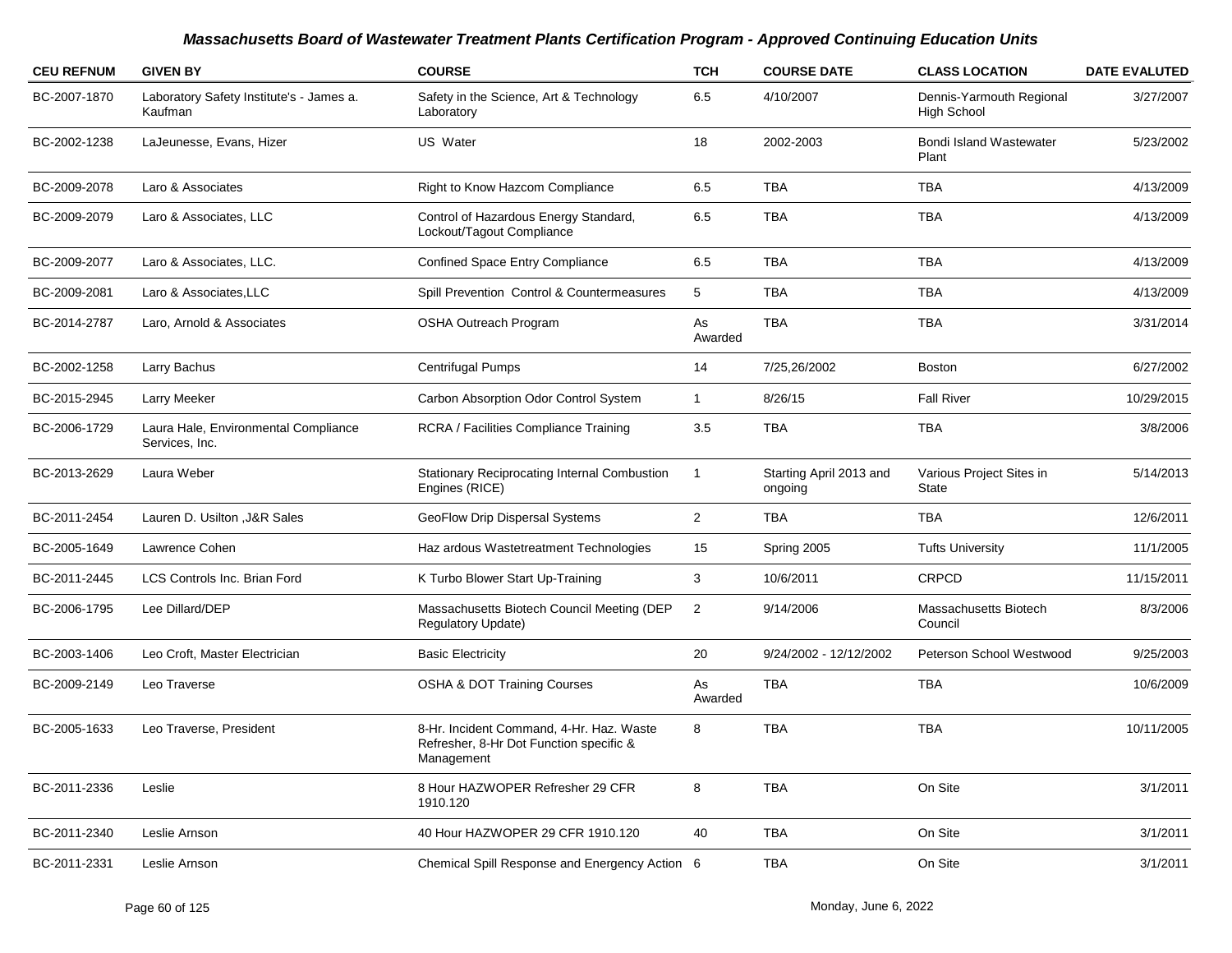| <b>CEU REFNUM</b> | <b>GIVEN BY</b>                                        | <b>COURSE</b>                                                                                     | <b>TCH</b>     | <b>COURSE DATE</b>                 | <b>CLASS LOCATION</b>                          | <b>DATE EVALUTED</b> |
|-------------------|--------------------------------------------------------|---------------------------------------------------------------------------------------------------|----------------|------------------------------------|------------------------------------------------|----------------------|
| BC-2007-1870      | Laboratory Safety Institute's - James a.<br>Kaufman    | Safety in the Science, Art & Technology<br>Laboratory                                             | 6.5            | 4/10/2007                          | Dennis-Yarmouth Regional<br><b>High School</b> | 3/27/2007            |
| BC-2002-1238      | LaJeunesse, Evans, Hizer                               | US Water                                                                                          | 18             | 2002-2003                          | <b>Bondi Island Wastewater</b><br>Plant        | 5/23/2002            |
| BC-2009-2078      | Laro & Associates                                      | Right to Know Hazcom Compliance                                                                   | 6.5            | <b>TBA</b>                         | <b>TBA</b>                                     | 4/13/2009            |
| BC-2009-2079      | Laro & Associates, LLC                                 | Control of Hazardous Energy Standard,<br>Lockout/Tagout Compliance                                | 6.5            | <b>TBA</b>                         | <b>TBA</b>                                     | 4/13/2009            |
| BC-2009-2077      | Laro & Associates, LLC.                                | <b>Confined Space Entry Compliance</b>                                                            | 6.5            | <b>TBA</b>                         | <b>TBA</b>                                     | 4/13/2009            |
| BC-2009-2081      | Laro & Associates, LLC                                 | Spill Prevention Control & Countermeasures                                                        | 5              | <b>TBA</b>                         | <b>TBA</b>                                     | 4/13/2009            |
| BC-2014-2787      | Laro, Arnold & Associates                              | <b>OSHA Outreach Program</b>                                                                      | As<br>Awarded  | <b>TBA</b>                         | <b>TBA</b>                                     | 3/31/2014            |
| BC-2002-1258      | Larry Bachus                                           | <b>Centrifugal Pumps</b>                                                                          | 14             | 7/25,26/2002                       | <b>Boston</b>                                  | 6/27/2002            |
| BC-2015-2945      | Larry Meeker                                           | Carbon Absorption Odor Control System                                                             | $\mathbf{1}$   | 8/26/15                            | <b>Fall River</b>                              | 10/29/2015           |
| BC-2006-1729      | Laura Hale, Environmental Compliance<br>Services, Inc. | RCRA / Facilities Compliance Training                                                             | 3.5            | <b>TBA</b>                         | <b>TBA</b>                                     | 3/8/2006             |
| BC-2013-2629      | Laura Weber                                            | Stationary Reciprocating Internal Combustion<br>Engines (RICE)                                    | $\mathbf{1}$   | Starting April 2013 and<br>ongoing | Various Project Sites in<br><b>State</b>       | 5/14/2013            |
| BC-2011-2454      | Lauren D. Usilton , J&R Sales                          | GeoFlow Drip Dispersal Systems                                                                    | $\overline{2}$ | <b>TBA</b>                         | <b>TBA</b>                                     | 12/6/2011            |
| BC-2005-1649      | Lawrence Cohen                                         | Haz ardous Wastetreatment Technologies                                                            | 15             | Spring 2005                        | <b>Tufts University</b>                        | 11/1/2005            |
| BC-2011-2445      | <b>LCS Controls Inc. Brian Ford</b>                    | K Turbo Blower Start Up-Training                                                                  | 3              | 10/6/2011                          | <b>CRPCD</b>                                   | 11/15/2011           |
| BC-2006-1795      | Lee Dillard/DEP                                        | Massachusetts Biotech Council Meeting (DEP<br><b>Regulatory Update)</b>                           | $\overline{c}$ | 9/14/2006                          | Massachusetts Biotech<br>Council               | 8/3/2006             |
| BC-2003-1406      | Leo Croft, Master Electrician                          | <b>Basic Electricity</b>                                                                          | 20             | 9/24/2002 - 12/12/2002             | Peterson School Westwood                       | 9/25/2003            |
| BC-2009-2149      | Leo Traverse                                           | <b>OSHA &amp; DOT Training Courses</b>                                                            | As<br>Awarded  | <b>TBA</b>                         | <b>TBA</b>                                     | 10/6/2009            |
| BC-2005-1633      | Leo Traverse, President                                | 8-Hr. Incident Command, 4-Hr. Haz. Waste<br>Refresher, 8-Hr Dot Function specific &<br>Management | 8              | <b>TBA</b>                         | <b>TBA</b>                                     | 10/11/2005           |
| BC-2011-2336      | Leslie                                                 | 8 Hour HAZWOPER Refresher 29 CFR<br>1910.120                                                      | 8              | <b>TBA</b>                         | On Site                                        | 3/1/2011             |
| BC-2011-2340      | Leslie Arnson                                          | 40 Hour HAZWOPER 29 CFR 1910.120                                                                  | 40             | <b>TBA</b>                         | On Site                                        | 3/1/2011             |
| BC-2011-2331      | Leslie Arnson                                          | Chemical Spill Response and Energency Action 6                                                    |                | <b>TBA</b>                         | On Site                                        | 3/1/2011             |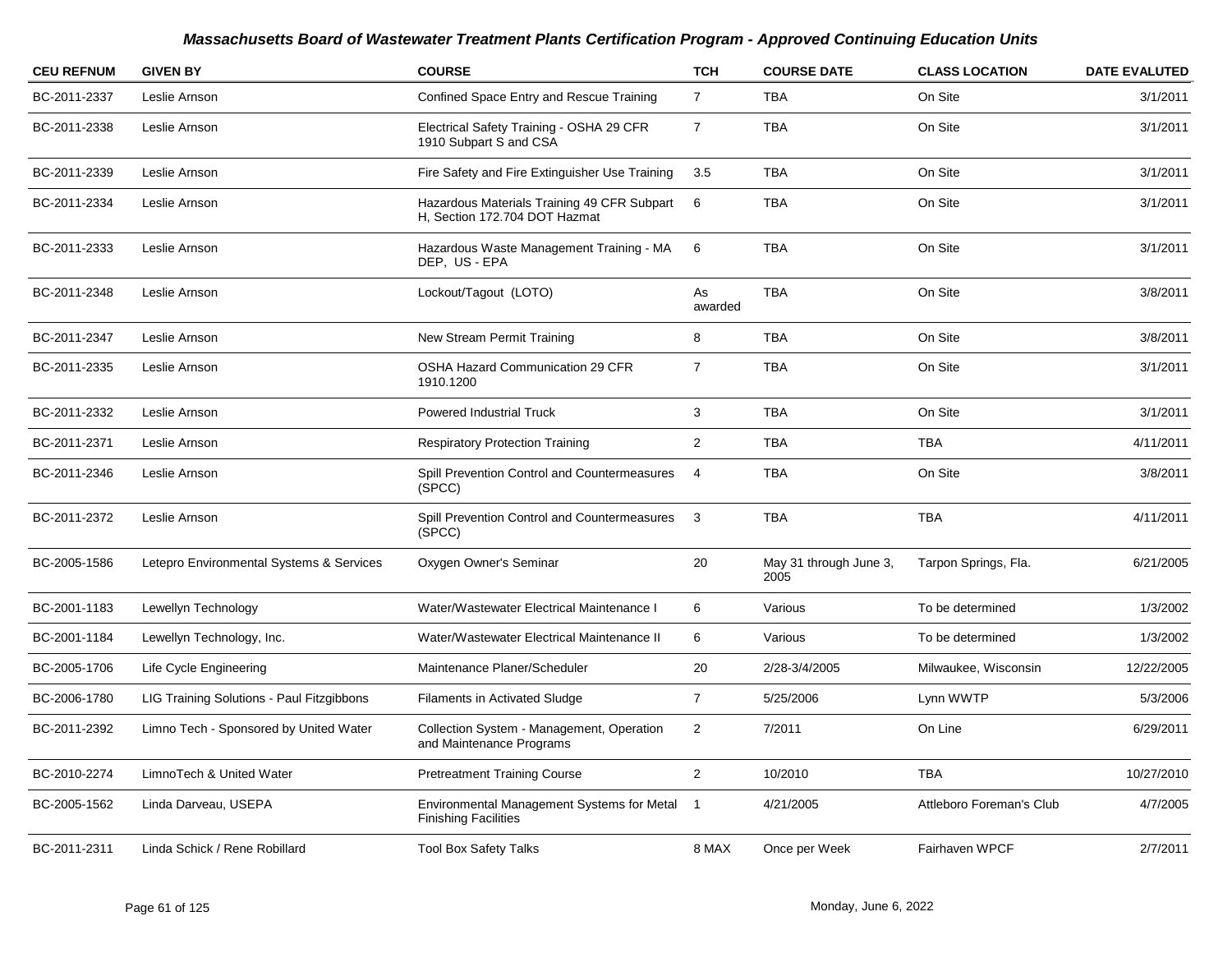| <b>CEU REFNUM</b> | <b>GIVEN BY</b>                           | <b>COURSE</b>                                                                | <b>TCH</b>     | <b>COURSE DATE</b>             | <b>CLASS LOCATION</b>    | <b>DATE EVALUTED</b> |
|-------------------|-------------------------------------------|------------------------------------------------------------------------------|----------------|--------------------------------|--------------------------|----------------------|
| BC-2011-2337      | Leslie Arnson                             | Confined Space Entry and Rescue Training                                     | $\overline{7}$ | TBA                            | On Site                  | 3/1/2011             |
| BC-2011-2338      | Leslie Arnson                             | Electrical Safety Training - OSHA 29 CFR<br>1910 Subpart S and CSA           | $\overline{7}$ | <b>TBA</b>                     | On Site                  | 3/1/2011             |
| BC-2011-2339      | Leslie Arnson                             | Fire Safety and Fire Extinguisher Use Training                               | 3.5            | <b>TBA</b>                     | On Site                  | 3/1/2011             |
| BC-2011-2334      | Leslie Arnson                             | Hazardous Materials Training 49 CFR Subpart<br>H, Section 172.704 DOT Hazmat | 6              | <b>TBA</b>                     | On Site                  | 3/1/2011             |
| BC-2011-2333      | Leslie Arnson                             | Hazardous Waste Management Training - MA<br>DEP, US - EPA                    | 6              | <b>TBA</b>                     | On Site                  | 3/1/2011             |
| BC-2011-2348      | Leslie Arnson                             | Lockout/Tagout (LOTO)                                                        | As<br>awarded  | <b>TBA</b>                     | On Site                  | 3/8/2011             |
| BC-2011-2347      | Leslie Arnson                             | New Stream Permit Training                                                   | 8              | <b>TBA</b>                     | On Site                  | 3/8/2011             |
| BC-2011-2335      | Leslie Arnson                             | <b>OSHA Hazard Communication 29 CFR</b><br>1910.1200                         | $\overline{7}$ | <b>TBA</b>                     | On Site                  | 3/1/2011             |
| BC-2011-2332      | Leslie Arnson                             | Powered Industrial Truck                                                     | 3              | <b>TBA</b>                     | On Site                  | 3/1/2011             |
| BC-2011-2371      | Leslie Arnson                             | <b>Respiratory Protection Training</b>                                       | $\overline{a}$ | <b>TBA</b>                     | <b>TBA</b>               | 4/11/2011            |
| BC-2011-2346      | Leslie Arnson                             | Spill Prevention Control and Countermeasures<br>(SPCC)                       | $\overline{4}$ | <b>TBA</b>                     | On Site                  | 3/8/2011             |
| BC-2011-2372      | Leslie Arnson                             | Spill Prevention Control and Countermeasures<br>(SPCC)                       | 3              | <b>TBA</b>                     | <b>TBA</b>               | 4/11/2011            |
| BC-2005-1586      | Letepro Environmental Systems & Services  | Oxygen Owner's Seminar                                                       | 20             | May 31 through June 3,<br>2005 | Tarpon Springs, Fla.     | 6/21/2005            |
| BC-2001-1183      | Lewellyn Technology                       | Water/Wastewater Electrical Maintenance I                                    | 6              | Various                        | To be determined         | 1/3/2002             |
| BC-2001-1184      | Lewellyn Technology, Inc.                 | Water/Wastewater Electrical Maintenance II                                   | 6              | Various                        | To be determined         | 1/3/2002             |
| BC-2005-1706      | Life Cycle Engineering                    | Maintenance Planer/Scheduler                                                 | 20             | 2/28-3/4/2005                  | Milwaukee, Wisconsin     | 12/22/2005           |
| BC-2006-1780      | LIG Training Solutions - Paul Fitzgibbons | <b>Filaments in Activated Sludge</b>                                         | $\overline{7}$ | 5/25/2006                      | Lynn WWTP                | 5/3/2006             |
| BC-2011-2392      | Limno Tech - Sponsored by United Water    | Collection System - Management, Operation<br>and Maintenance Programs        | $\overline{2}$ | 7/2011                         | On Line                  | 6/29/2011            |
| BC-2010-2274      | LimnoTech & United Water                  | <b>Pretreatment Training Course</b>                                          | $\overline{2}$ | 10/2010                        | <b>TBA</b>               | 10/27/2010           |
| BC-2005-1562      | Linda Darveau, USEPA                      | Environmental Management Systems for Metal<br><b>Finishing Facilities</b>    | $\overline{1}$ | 4/21/2005                      | Attleboro Foreman's Club | 4/7/2005             |
| BC-2011-2311      | Linda Schick / Rene Robillard             | <b>Tool Box Safety Talks</b>                                                 | 8 MAX          | Once per Week                  | Fairhaven WPCF           | 2/7/2011             |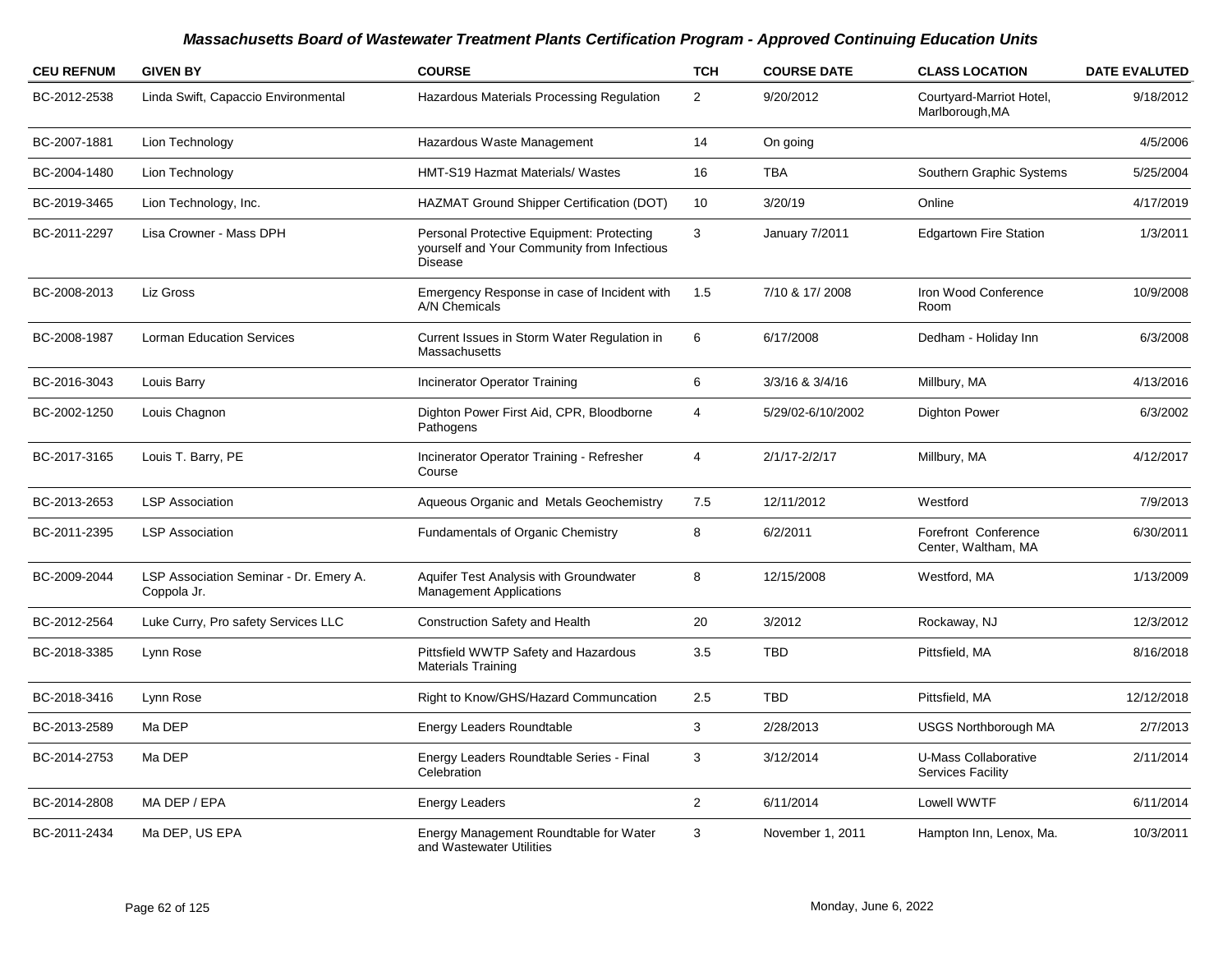| <b>CEU REFNUM</b> | <b>GIVEN BY</b>                                       | <b>COURSE</b>                                                                                              | <b>TCH</b>     | <b>COURSE DATE</b> | <b>CLASS LOCATION</b>                            | <b>DATE EVALUTED</b> |
|-------------------|-------------------------------------------------------|------------------------------------------------------------------------------------------------------------|----------------|--------------------|--------------------------------------------------|----------------------|
| BC-2012-2538      | Linda Swift, Capaccio Environmental                   | Hazardous Materials Processing Regulation                                                                  | $\overline{2}$ | 9/20/2012          | Courtyard-Marriot Hotel,<br>Marlborough, MA      | 9/18/2012            |
| BC-2007-1881      | Lion Technology                                       | Hazardous Waste Management                                                                                 | 14             | On going           |                                                  | 4/5/2006             |
| BC-2004-1480      | Lion Technology                                       | HMT-S19 Hazmat Materials/ Wastes                                                                           | 16             | <b>TBA</b>         | Southern Graphic Systems                         | 5/25/2004            |
| BC-2019-3465      | Lion Technology, Inc.                                 | HAZMAT Ground Shipper Certification (DOT)                                                                  | 10             | 3/20/19            | Online                                           | 4/17/2019            |
| BC-2011-2297      | Lisa Crowner - Mass DPH                               | Personal Protective Equipment: Protecting<br>yourself and Your Community from Infectious<br><b>Disease</b> | 3              | January 7/2011     | <b>Edgartown Fire Station</b>                    | 1/3/2011             |
| BC-2008-2013      | Liz Gross                                             | Emergency Response in case of Incident with<br>A/N Chemicals                                               | 1.5            | 7/10 & 17/2008     | Iron Wood Conference<br>Room                     | 10/9/2008            |
| BC-2008-1987      | <b>Lorman Education Services</b>                      | Current Issues in Storm Water Regulation in<br>Massachusetts                                               | 6              | 6/17/2008          | Dedham - Holiday Inn                             | 6/3/2008             |
| BC-2016-3043      | Louis Barry                                           | Incinerator Operator Training                                                                              | 6              | 3/3/16 & 3/4/16    | Millbury, MA                                     | 4/13/2016            |
| BC-2002-1250      | Louis Chagnon                                         | Dighton Power First Aid, CPR, Bloodborne<br>Pathogens                                                      | 4              | 5/29/02-6/10/2002  | <b>Dighton Power</b>                             | 6/3/2002             |
| BC-2017-3165      | Louis T. Barry, PE                                    | Incinerator Operator Training - Refresher<br>Course                                                        | 4              | 2/1/17-2/2/17      | Millbury, MA                                     | 4/12/2017            |
| BC-2013-2653      | <b>LSP Association</b>                                | Aqueous Organic and Metals Geochemistry                                                                    | 7.5            | 12/11/2012         | Westford                                         | 7/9/2013             |
| BC-2011-2395      | <b>LSP Association</b>                                | Fundamentals of Organic Chemistry                                                                          | 8              | 6/2/2011           | Forefront Conference<br>Center, Waltham, MA      | 6/30/2011            |
| BC-2009-2044      | LSP Association Seminar - Dr. Emery A.<br>Coppola Jr. | Aquifer Test Analysis with Groundwater<br><b>Management Applications</b>                                   | 8              | 12/15/2008         | Westford, MA                                     | 1/13/2009            |
| BC-2012-2564      | Luke Curry, Pro safety Services LLC                   | Construction Safety and Health                                                                             | 20             | 3/2012             | Rockaway, NJ                                     | 12/3/2012            |
| BC-2018-3385      | Lynn Rose                                             | Pittsfield WWTP Safety and Hazardous<br><b>Materials Training</b>                                          | 3.5            | <b>TBD</b>         | Pittsfield, MA                                   | 8/16/2018            |
| BC-2018-3416      | Lynn Rose                                             | Right to Know/GHS/Hazard Communcation                                                                      | 2.5            | <b>TBD</b>         | Pittsfield, MA                                   | 12/12/2018           |
| BC-2013-2589      | Ma DEP                                                | <b>Energy Leaders Roundtable</b>                                                                           | 3              | 2/28/2013          | <b>USGS Northborough MA</b>                      | 2/7/2013             |
| BC-2014-2753      | Ma DEP                                                | Energy Leaders Roundtable Series - Final<br>Celebration                                                    | 3              | 3/12/2014          | U-Mass Collaborative<br><b>Services Facility</b> | 2/11/2014            |
| BC-2014-2808      | MA DEP / EPA                                          | <b>Energy Leaders</b>                                                                                      | $\overline{2}$ | 6/11/2014          | Lowell WWTF                                      | 6/11/2014            |
| BC-2011-2434      | Ma DEP, US EPA                                        | Energy Management Roundtable for Water<br>and Wastewater Utilities                                         | 3              | November 1, 2011   | Hampton Inn, Lenox, Ma.                          | 10/3/2011            |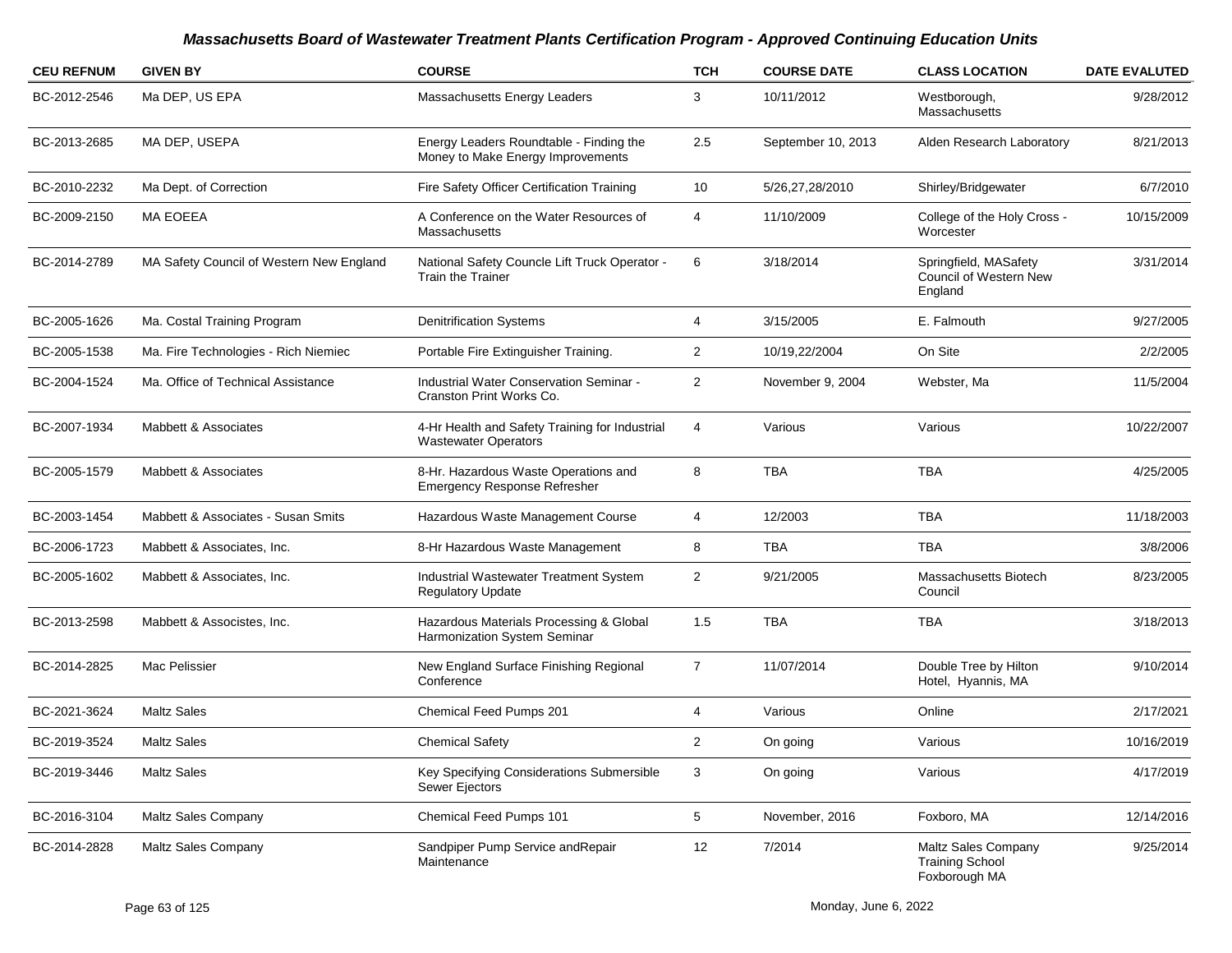| <b>CEU REFNUM</b> | <b>GIVEN BY</b>                          | <b>COURSE</b>                                                                 | <b>TCH</b>     | <b>COURSE DATE</b> | <b>CLASS LOCATION</b>                                          | <b>DATE EVALUTED</b> |
|-------------------|------------------------------------------|-------------------------------------------------------------------------------|----------------|--------------------|----------------------------------------------------------------|----------------------|
| BC-2012-2546      | Ma DEP, US EPA                           | Massachusetts Energy Leaders                                                  | 3              | 10/11/2012         | Westborough,<br>Massachusetts                                  | 9/28/2012            |
| BC-2013-2685      | MA DEP, USEPA                            | Energy Leaders Roundtable - Finding the<br>Money to Make Energy Improvements  | 2.5            | September 10, 2013 | Alden Research Laboratory                                      | 8/21/2013            |
| BC-2010-2232      | Ma Dept. of Correction                   | Fire Safety Officer Certification Training                                    | 10             | 5/26,27,28/2010    | Shirley/Bridgewater                                            | 6/7/2010             |
| BC-2009-2150      | MA EOEEA                                 | A Conference on the Water Resources of<br>Massachusetts                       | 4              | 11/10/2009         | College of the Holy Cross -<br>Worcester                       | 10/15/2009           |
| BC-2014-2789      | MA Safety Council of Western New England | National Safety Councle Lift Truck Operator -<br><b>Train the Trainer</b>     | 6              | 3/18/2014          | Springfield, MASafety<br>Council of Western New<br>England     | 3/31/2014            |
| BC-2005-1626      | Ma. Costal Training Program              | <b>Denitrification Systems</b>                                                | 4              | 3/15/2005          | E. Falmouth                                                    | 9/27/2005            |
| BC-2005-1538      | Ma. Fire Technologies - Rich Niemiec     | Portable Fire Extinguisher Training.                                          | $\overline{2}$ | 10/19,22/2004      | On Site                                                        | 2/2/2005             |
| BC-2004-1524      | Ma. Office of Technical Assistance       | Industrial Water Conservation Seminar -<br>Cranston Print Works Co.           | $\overline{2}$ | November 9, 2004   | Webster, Ma                                                    | 11/5/2004            |
| BC-2007-1934      | Mabbett & Associates                     | 4-Hr Health and Safety Training for Industrial<br><b>Wastewater Operators</b> | 4              | Various            | Various                                                        | 10/22/2007           |
| BC-2005-1579      | Mabbett & Associates                     | 8-Hr. Hazardous Waste Operations and<br><b>Emergency Response Refresher</b>   | 8              | <b>TBA</b>         | <b>TBA</b>                                                     | 4/25/2005            |
| BC-2003-1454      | Mabbett & Associates - Susan Smits       | Hazardous Waste Management Course                                             | 4              | 12/2003            | TBA                                                            | 11/18/2003           |
| BC-2006-1723      | Mabbett & Associates, Inc.               | 8-Hr Hazardous Waste Management                                               | 8              | <b>TBA</b>         | TBA                                                            | 3/8/2006             |
| BC-2005-1602      | Mabbett & Associates, Inc.               | Industrial Wastewater Treatment System<br><b>Regulatory Update</b>            | $\overline{c}$ | 9/21/2005          | Massachusetts Biotech<br>Council                               | 8/23/2005            |
| BC-2013-2598      | Mabbett & Associstes, Inc.               | Hazardous Materials Processing & Global<br>Harmonization System Seminar       | 1.5            | <b>TBA</b>         | TBA                                                            | 3/18/2013            |
| BC-2014-2825      | Mac Pelissier                            | New England Surface Finishing Regional<br>Conference                          | $\overline{7}$ | 11/07/2014         | Double Tree by Hilton<br>Hotel, Hyannis, MA                    | 9/10/2014            |
| BC-2021-3624      | <b>Maltz Sales</b>                       | Chemical Feed Pumps 201                                                       | 4              | Various            | Online                                                         | 2/17/2021            |
| BC-2019-3524      | <b>Maltz Sales</b>                       | <b>Chemical Safety</b>                                                        | 2              | On going           | Various                                                        | 10/16/2019           |
| BC-2019-3446      | <b>Maltz Sales</b>                       | Key Specifying Considerations Submersible<br>Sewer Ejectors                   | 3              | On going           | Various                                                        | 4/17/2019            |
| BC-2016-3104      | Maltz Sales Company                      | Chemical Feed Pumps 101                                                       | 5              | November, 2016     | Foxboro, MA                                                    | 12/14/2016           |
| BC-2014-2828      | <b>Maltz Sales Company</b>               | Sandpiper Pump Service andRepair<br>Maintenance                               | 12             | 7/2014             | Maltz Sales Company<br><b>Training School</b><br>Foxborough MA | 9/25/2014            |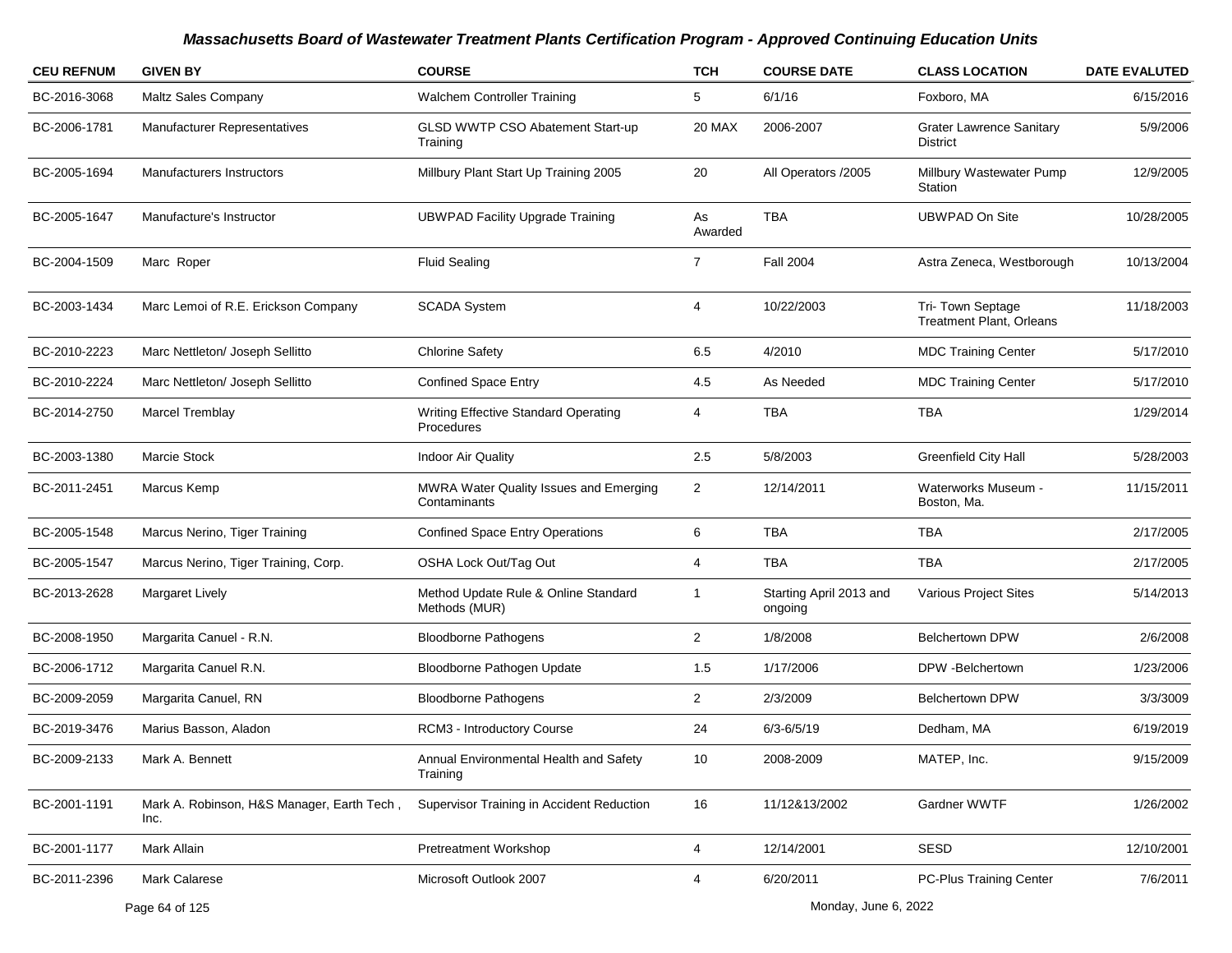| <b>CEU REFNUM</b> | <b>GIVEN BY</b>                                    | <b>COURSE</b>                                             | <b>TCH</b>     | <b>COURSE DATE</b>                 | <b>CLASS LOCATION</b>                               | <b>DATE EVALUTED</b> |
|-------------------|----------------------------------------------------|-----------------------------------------------------------|----------------|------------------------------------|-----------------------------------------------------|----------------------|
| BC-2016-3068      | Maltz Sales Company                                | Walchem Controller Training                               | 5              | 6/1/16                             | Foxboro, MA                                         | 6/15/2016            |
| BC-2006-1781      | Manufacturer Representatives                       | GLSD WWTP CSO Abatement Start-up<br>Training              | 20 MAX         | 2006-2007                          | <b>Grater Lawrence Sanitary</b><br>District         | 5/9/2006             |
| BC-2005-1694      | Manufacturers Instructors                          | Millbury Plant Start Up Training 2005                     | 20             | All Operators /2005                | Millbury Wastewater Pump<br>Station                 | 12/9/2005            |
| BC-2005-1647      | Manufacture's Instructor                           | <b>UBWPAD Facility Upgrade Training</b>                   | As<br>Awarded  | <b>TBA</b>                         | <b>UBWPAD On Site</b>                               | 10/28/2005           |
| BC-2004-1509      | Marc Roper                                         | <b>Fluid Sealing</b>                                      | $\overline{7}$ | <b>Fall 2004</b>                   | Astra Zeneca, Westborough                           | 10/13/2004           |
| BC-2003-1434      | Marc Lemoi of R.E. Erickson Company                | <b>SCADA System</b>                                       | 4              | 10/22/2003                         | Tri-Town Septage<br><b>Treatment Plant, Orleans</b> | 11/18/2003           |
| BC-2010-2223      | Marc Nettleton/ Joseph Sellitto                    | <b>Chlorine Safety</b>                                    | 6.5            | 4/2010                             | <b>MDC Training Center</b>                          | 5/17/2010            |
| BC-2010-2224      | Marc Nettleton/ Joseph Sellitto                    | <b>Confined Space Entry</b>                               | 4.5            | As Needed                          | <b>MDC Training Center</b>                          | 5/17/2010            |
| BC-2014-2750      | Marcel Tremblay                                    | <b>Writing Effective Standard Operating</b><br>Procedures | 4              | <b>TBA</b>                         | <b>TBA</b>                                          | 1/29/2014            |
| BC-2003-1380      | Marcie Stock                                       | <b>Indoor Air Quality</b>                                 | 2.5            | 5/8/2003                           | <b>Greenfield City Hall</b>                         | 5/28/2003            |
| BC-2011-2451      | Marcus Kemp                                        | MWRA Water Quality Issues and Emerging<br>Contaminants    | $\overline{2}$ | 12/14/2011                         | Waterworks Museum -<br>Boston, Ma.                  | 11/15/2011           |
| BC-2005-1548      | Marcus Nerino, Tiger Training                      | <b>Confined Space Entry Operations</b>                    | 6              | <b>TBA</b>                         | TBA                                                 | 2/17/2005            |
| BC-2005-1547      | Marcus Nerino, Tiger Training, Corp.               | OSHA Lock Out/Tag Out                                     | 4              | TBA                                | <b>TBA</b>                                          | 2/17/2005            |
| BC-2013-2628      | <b>Margaret Lively</b>                             | Method Update Rule & Online Standard<br>Methods (MUR)     | 1              | Starting April 2013 and<br>ongoing | Various Project Sites                               | 5/14/2013            |
| BC-2008-1950      | Margarita Canuel - R.N.                            | <b>Bloodborne Pathogens</b>                               | $\overline{a}$ | 1/8/2008                           | <b>Belchertown DPW</b>                              | 2/6/2008             |
| BC-2006-1712      | Margarita Canuel R.N.                              | Bloodborne Pathogen Update                                | 1.5            | 1/17/2006                          | DPW -Belchertown                                    | 1/23/2006            |
| BC-2009-2059      | Margarita Canuel, RN                               | <b>Bloodborne Pathogens</b>                               | $\overline{c}$ | 2/3/2009                           | <b>Belchertown DPW</b>                              | 3/3/3009             |
| BC-2019-3476      | Marius Basson, Aladon                              | RCM3 - Introductory Course                                | 24             | $6/3 - 6/5/19$                     | Dedham, MA                                          | 6/19/2019            |
| BC-2009-2133      | Mark A. Bennett                                    | Annual Environmental Health and Safety<br>Training        | 10             | 2008-2009                          | MATEP, Inc.                                         | 9/15/2009            |
| BC-2001-1191      | Mark A. Robinson, H&S Manager, Earth Tech,<br>Inc. | Supervisor Training in Accident Reduction                 | 16             | 11/12&13/2002                      | Gardner WWTF                                        | 1/26/2002            |
| BC-2001-1177      | Mark Allain                                        | Pretreatment Workshop                                     | 4              | 12/14/2001                         | SESD                                                | 12/10/2001           |
| BC-2011-2396      | Mark Calarese                                      | Microsoft Outlook 2007                                    | 4              | 6/20/2011                          | PC-Plus Training Center                             | 7/6/2011             |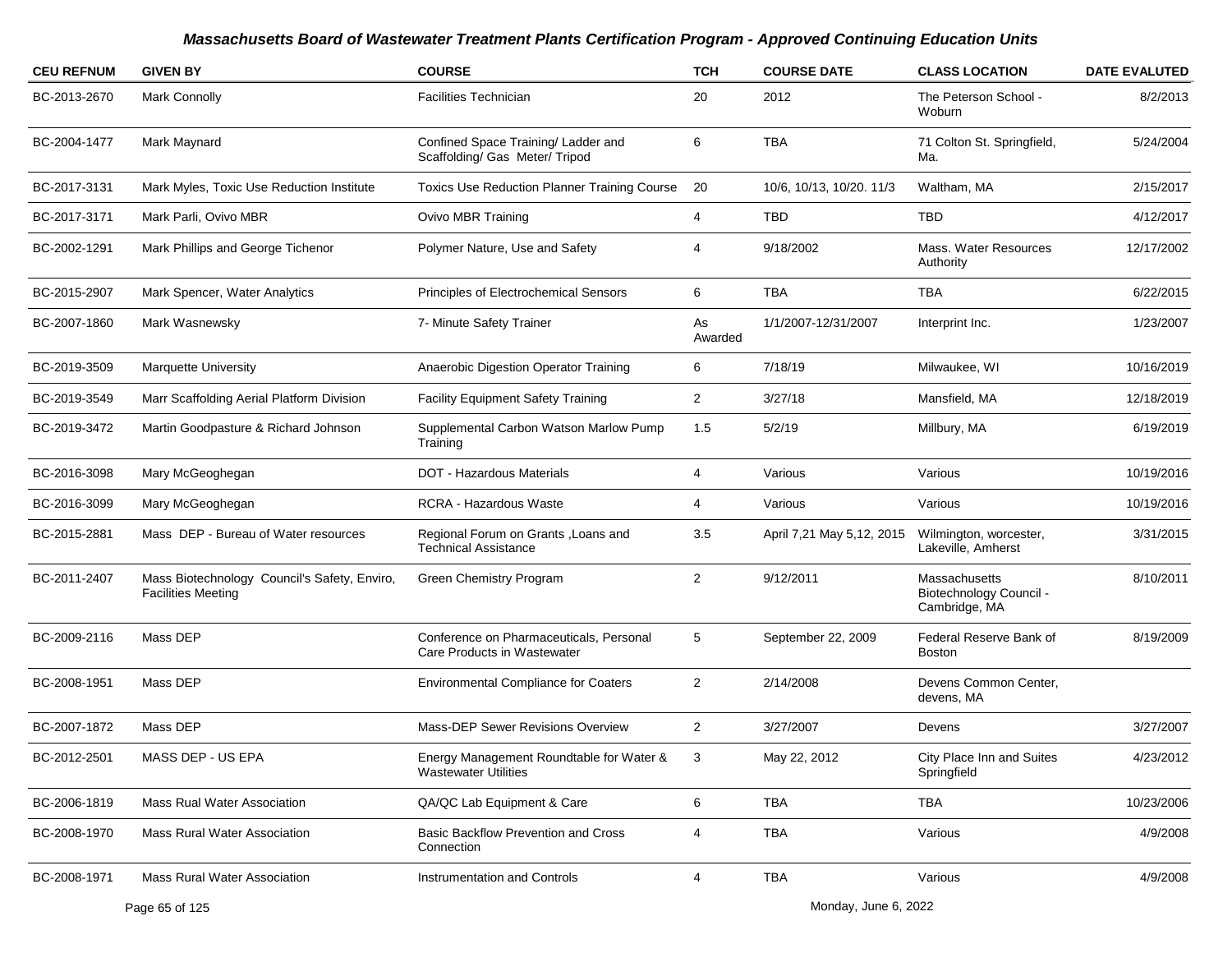| <b>CEU REFNUM</b> | <b>GIVEN BY</b>                                                           | <b>COURSE</b>                                                           | <b>TCH</b>     | <b>COURSE DATE</b>        | <b>CLASS LOCATION</b>                                     | <b>DATE EVALUTED</b> |
|-------------------|---------------------------------------------------------------------------|-------------------------------------------------------------------------|----------------|---------------------------|-----------------------------------------------------------|----------------------|
| BC-2013-2670      | <b>Mark Connolly</b>                                                      | <b>Facilities Technician</b>                                            | 20             | 2012                      | The Peterson School -<br>Woburn                           | 8/2/2013             |
| BC-2004-1477      | Mark Maynard                                                              | Confined Space Training/ Ladder and<br>Scaffolding/ Gas Meter/ Tripod   | 6              | <b>TBA</b>                | 71 Colton St. Springfield,<br>Ma.                         | 5/24/2004            |
| BC-2017-3131      | Mark Myles, Toxic Use Reduction Institute                                 | <b>Toxics Use Reduction Planner Training Course</b>                     | 20             | 10/6, 10/13, 10/20. 11/3  | Waltham, MA                                               | 2/15/2017            |
| BC-2017-3171      | Mark Parli, Ovivo MBR                                                     | Ovivo MBR Training                                                      | 4              | TBD                       | TBD                                                       | 4/12/2017            |
| BC-2002-1291      | Mark Phillips and George Tichenor                                         | Polymer Nature, Use and Safety                                          | 4              | 9/18/2002                 | Mass. Water Resources<br>Authority                        | 12/17/2002           |
| BC-2015-2907      | Mark Spencer, Water Analytics                                             | Principles of Electrochemical Sensors                                   | 6              | <b>TBA</b>                | TBA                                                       | 6/22/2015            |
| BC-2007-1860      | Mark Wasnewsky                                                            | 7- Minute Safety Trainer                                                | As<br>Awarded  | 1/1/2007-12/31/2007       | Interprint Inc.                                           | 1/23/2007            |
| BC-2019-3509      | Marquette University                                                      | Anaerobic Digestion Operator Training                                   | 6              | 7/18/19                   | Milwaukee, WI                                             | 10/16/2019           |
| BC-2019-3549      | Marr Scaffolding Aerial Platform Division                                 | <b>Facility Equipment Safety Training</b>                               | $\overline{2}$ | 3/27/18                   | Mansfield, MA                                             | 12/18/2019           |
| BC-2019-3472      | Martin Goodpasture & Richard Johnson                                      | Supplemental Carbon Watson Marlow Pump<br>Training                      | 1.5            | 5/2/19                    | Millbury, MA                                              | 6/19/2019            |
| BC-2016-3098      | Mary McGeoghegan                                                          | <b>DOT - Hazardous Materials</b>                                        | 4              | Various                   | Various                                                   | 10/19/2016           |
| BC-2016-3099      | Mary McGeoghegan                                                          | RCRA - Hazardous Waste                                                  | 4              | Various                   | Various                                                   | 10/19/2016           |
| BC-2015-2881      | Mass DEP - Bureau of Water resources                                      | Regional Forum on Grants, Loans and<br><b>Technical Assistance</b>      | 3.5            | April 7,21 May 5,12, 2015 | Wilmington, worcester,<br>Lakeville, Amherst              | 3/31/2015            |
| BC-2011-2407      | Mass Biotechnology Council's Safety, Enviro,<br><b>Facilities Meeting</b> | <b>Green Chemistry Program</b>                                          | $\overline{2}$ | 9/12/2011                 | Massachusetts<br>Biotechnology Council -<br>Cambridge, MA | 8/10/2011            |
| BC-2009-2116      | Mass DEP                                                                  | Conference on Pharmaceuticals, Personal<br>Care Products in Wastewater  | 5              | September 22, 2009        | Federal Reserve Bank of<br><b>Boston</b>                  | 8/19/2009            |
| BC-2008-1951      | Mass DEP                                                                  | <b>Environmental Compliance for Coaters</b>                             | 2              | 2/14/2008                 | Devens Common Center,<br>devens, MA                       |                      |
| BC-2007-1872      | Mass DEP                                                                  | Mass-DEP Sewer Revisions Overview                                       | 2              | 3/27/2007                 | Devens                                                    | 3/27/2007            |
| BC-2012-2501      | MASS DEP - US EPA                                                         | Energy Management Roundtable for Water &<br><b>Wastewater Utilities</b> |                | May 22, 2012              | City Place Inn and Suites<br>Springfield                  | 4/23/2012            |
| BC-2006-1819      | <b>Mass Rual Water Association</b>                                        | QA/QC Lab Equipment & Care                                              | 6              | <b>TBA</b>                | <b>TBA</b>                                                | 10/23/2006           |
| BC-2008-1970      | <b>Mass Rural Water Association</b>                                       | <b>Basic Backflow Prevention and Cross</b><br>Connection                | 4              | TBA                       | Various                                                   | 4/9/2008             |
| BC-2008-1971      | Mass Rural Water Association                                              | Instrumentation and Controls                                            | 4              | <b>TBA</b>                | Various                                                   | 4/9/2008             |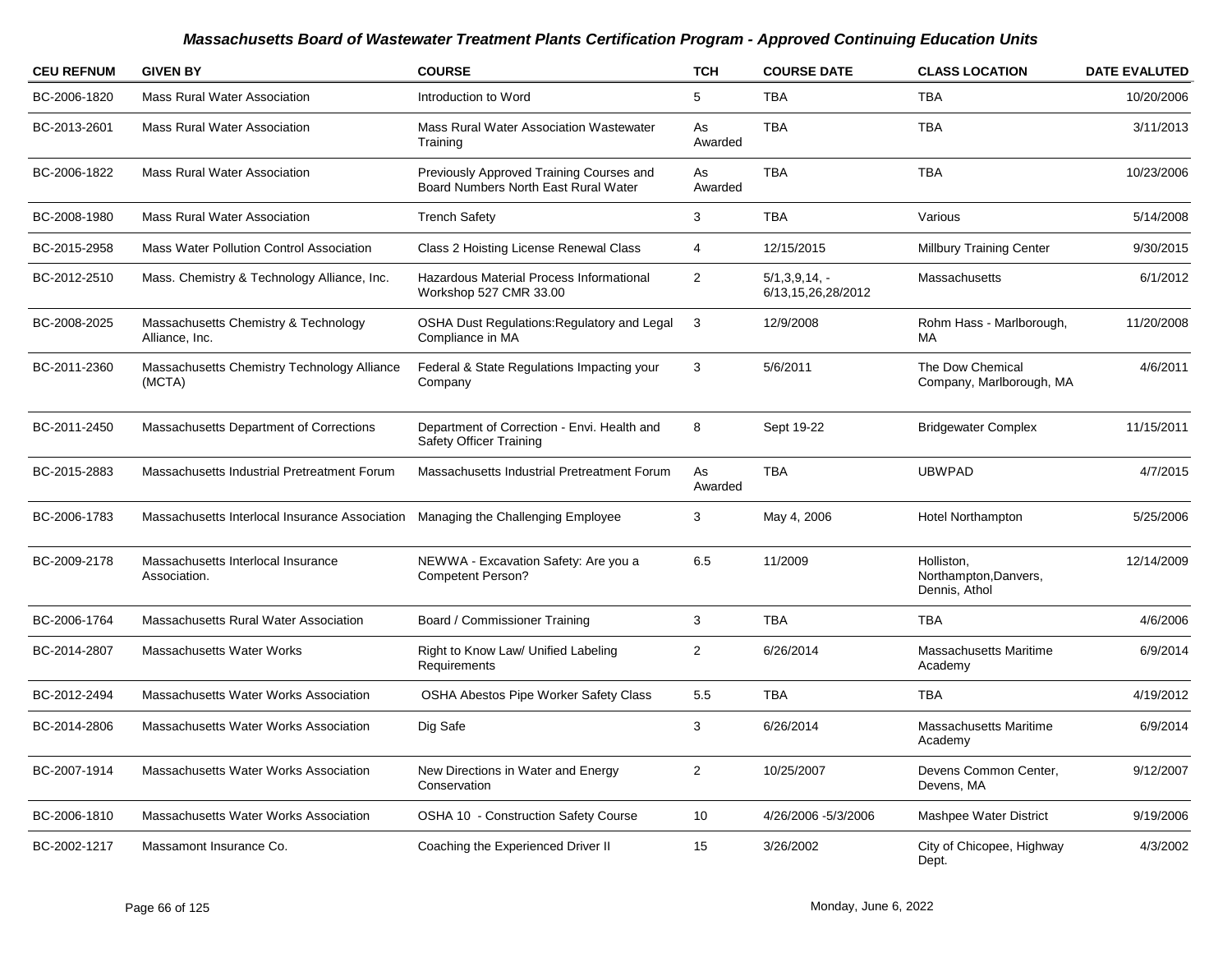| <b>CEU REFNUM</b> | <b>GIVEN BY</b>                                                                  | <b>COURSE</b>                                                                    | <b>TCH</b>     | <b>COURSE DATE</b>                       | <b>CLASS LOCATION</b>                                | <b>DATE EVALUTED</b> |
|-------------------|----------------------------------------------------------------------------------|----------------------------------------------------------------------------------|----------------|------------------------------------------|------------------------------------------------------|----------------------|
| BC-2006-1820      | <b>Mass Rural Water Association</b>                                              | Introduction to Word                                                             | 5              | <b>TBA</b>                               | <b>TBA</b>                                           | 10/20/2006           |
| BC-2013-2601      | <b>Mass Rural Water Association</b>                                              | Mass Rural Water Association Wastewater<br>Training                              | As<br>Awarded  | <b>TBA</b>                               | <b>TBA</b>                                           | 3/11/2013            |
| BC-2006-1822      | <b>Mass Rural Water Association</b>                                              | Previously Approved Training Courses and<br>Board Numbers North East Rural Water | As<br>Awarded  | <b>TBA</b>                               | <b>TBA</b>                                           | 10/23/2006           |
| BC-2008-1980      | Mass Rural Water Association                                                     | <b>Trench Safety</b>                                                             | 3              | <b>TBA</b>                               | Various                                              | 5/14/2008            |
| BC-2015-2958      | Mass Water Pollution Control Association                                         | Class 2 Hoisting License Renewal Class                                           | $\overline{4}$ | 12/15/2015                               | <b>Millbury Training Center</b>                      | 9/30/2015            |
| BC-2012-2510      | Mass. Chemistry & Technology Alliance, Inc.                                      | Hazardous Material Process Informational<br>Workshop 527 CMR 33.00               | 2              | $5/1, 3, 9, 14, -$<br>6/13,15,26,28/2012 | Massachusetts                                        | 6/1/2012             |
| BC-2008-2025      | Massachusetts Chemistry & Technology<br>Alliance, Inc.                           | <b>OSHA Dust Regulations: Regulatory and Legal</b><br>Compliance in MA           | 3              | 12/9/2008                                | Rohm Hass - Marlborough,<br>МA                       | 11/20/2008           |
| BC-2011-2360      | Massachusetts Chemistry Technology Alliance<br>(MCTA)                            | Federal & State Regulations Impacting your<br>Company                            | 3              | 5/6/2011                                 | The Dow Chemical<br>Company, Marlborough, MA         | 4/6/2011             |
| BC-2011-2450      | Massachusetts Department of Corrections                                          | Department of Correction - Envi. Health and<br><b>Safety Officer Training</b>    | 8              | Sept 19-22                               | <b>Bridgewater Complex</b>                           | 11/15/2011           |
| BC-2015-2883      | Massachusetts Industrial Pretreatment Forum                                      | Massachusetts Industrial Pretreatment Forum                                      | As<br>Awarded  | <b>TBA</b>                               | <b>UBWPAD</b>                                        | 4/7/2015             |
| BC-2006-1783      | Massachusetts Interlocal Insurance Association Managing the Challenging Employee |                                                                                  | 3              | May 4, 2006                              | <b>Hotel Northampton</b>                             | 5/25/2006            |
| BC-2009-2178      | Massachusetts Interlocal Insurance<br>Association.                               | NEWWA - Excavation Safety: Are you a<br><b>Competent Person?</b>                 | 6.5            | 11/2009                                  | Holliston,<br>Northampton, Danvers,<br>Dennis, Athol | 12/14/2009           |
| BC-2006-1764      | Massachusetts Rural Water Association                                            | Board / Commissioner Training                                                    | 3              | <b>TBA</b>                               | <b>TBA</b>                                           | 4/6/2006             |
| BC-2014-2807      | Massachusetts Water Works                                                        | Right to Know Law/ Unified Labeling<br>Requirements                              | $\overline{2}$ | 6/26/2014                                | Massachusetts Maritime<br>Academy                    | 6/9/2014             |
| BC-2012-2494      | Massachusetts Water Works Association                                            | <b>OSHA Abestos Pipe Worker Safety Class</b>                                     | 5.5            | <b>TBA</b>                               | <b>TBA</b>                                           | 4/19/2012            |
| BC-2014-2806      | Massachusetts Water Works Association                                            | Dig Safe                                                                         | 3              | 6/26/2014                                | <b>Massachusetts Maritime</b><br>Academy             | 6/9/2014             |
| BC-2007-1914      | Massachusetts Water Works Association                                            | New Directions in Water and Energy<br>Conservation                               | $\overline{2}$ | 10/25/2007                               | Devens Common Center,<br>Devens, MA                  | 9/12/2007            |
| BC-2006-1810      | Massachusetts Water Works Association                                            | OSHA 10 - Construction Safety Course                                             | 10             | 4/26/2006 -5/3/2006                      | Mashpee Water District                               | 9/19/2006            |
| BC-2002-1217      | Massamont Insurance Co.                                                          | Coaching the Experienced Driver II                                               | 15             | 3/26/2002                                | City of Chicopee, Highway<br>Dept.                   | 4/3/2002             |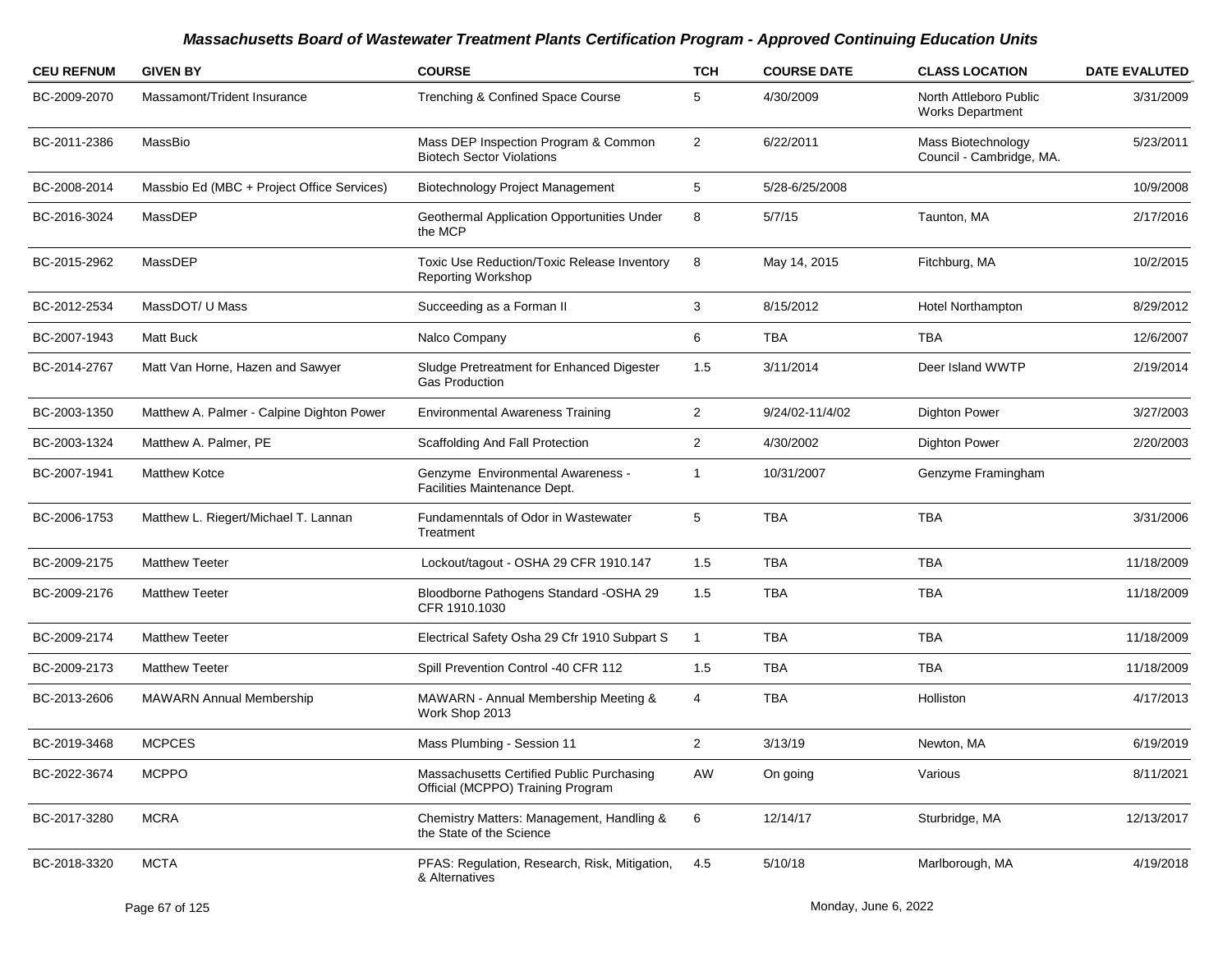| <b>CEU REFNUM</b> | <b>GIVEN BY</b>                            | <b>COURSE</b>                                                                  | <b>TCH</b>     | <b>COURSE DATE</b> | <b>CLASS LOCATION</b>                             | <b>DATE EVALUTED</b> |
|-------------------|--------------------------------------------|--------------------------------------------------------------------------------|----------------|--------------------|---------------------------------------------------|----------------------|
| BC-2009-2070      | Massamont/Trident Insurance                | Trenching & Confined Space Course                                              | 5              | 4/30/2009          | North Attleboro Public<br><b>Works Department</b> | 3/31/2009            |
| BC-2011-2386      | MassBio                                    | Mass DEP Inspection Program & Common<br><b>Biotech Sector Violations</b>       | $\overline{2}$ | 6/22/2011          | Mass Biotechnology<br>Council - Cambridge, MA.    | 5/23/2011            |
| BC-2008-2014      | Massbio Ed (MBC + Project Office Services) | Biotechnology Project Management                                               | 5              | 5/28-6/25/2008     |                                                   | 10/9/2008            |
| BC-2016-3024      | MassDEP                                    | Geothermal Application Opportunities Under<br>the MCP                          | 8              | 5/7/15             | Taunton, MA                                       | 2/17/2016            |
| BC-2015-2962      | MassDEP                                    | Toxic Use Reduction/Toxic Release Inventory<br><b>Reporting Workshop</b>       | 8              | May 14, 2015       | Fitchburg, MA                                     | 10/2/2015            |
| BC-2012-2534      | MassDOT/ U Mass                            | Succeeding as a Forman II                                                      | 3              | 8/15/2012          | <b>Hotel Northampton</b>                          | 8/29/2012            |
| BC-2007-1943      | Matt Buck                                  | Nalco Company                                                                  | 6              | <b>TBA</b>         | TBA                                               | 12/6/2007            |
| BC-2014-2767      | Matt Van Horne, Hazen and Sawyer           | Sludge Pretreatment for Enhanced Digester<br><b>Gas Production</b>             | 1.5            | 3/11/2014          | Deer Island WWTP                                  | 2/19/2014            |
| BC-2003-1350      | Matthew A. Palmer - Calpine Dighton Power  | <b>Environmental Awareness Training</b>                                        | 2              | 9/24/02-11/4/02    | <b>Dighton Power</b>                              | 3/27/2003            |
| BC-2003-1324      | Matthew A. Palmer, PE                      | Scaffolding And Fall Protection                                                | $\overline{2}$ | 4/30/2002          | <b>Dighton Power</b>                              | 2/20/2003            |
| BC-2007-1941      | <b>Matthew Kotce</b>                       | Genzyme Environmental Awareness -<br>Facilities Maintenance Dept.              | -1             | 10/31/2007         | Genzyme Framingham                                |                      |
| BC-2006-1753      | Matthew L. Riegert/Michael T. Lannan       | Fundamenntals of Odor in Wastewater<br>Treatment                               | 5              | <b>TBA</b>         | <b>TBA</b>                                        | 3/31/2006            |
| BC-2009-2175      | <b>Matthew Teeter</b>                      | Lockout/tagout - OSHA 29 CFR 1910.147                                          | 1.5            | <b>TBA</b>         | <b>TBA</b>                                        | 11/18/2009           |
| BC-2009-2176      | <b>Matthew Teeter</b>                      | Bloodborne Pathogens Standard - OSHA 29<br>CFR 1910.1030                       | 1.5            | <b>TBA</b>         | TBA                                               | 11/18/2009           |
| BC-2009-2174      | <b>Matthew Teeter</b>                      | Electrical Safety Osha 29 Cfr 1910 Subpart S                                   | $\overline{1}$ | <b>TBA</b>         | <b>TBA</b>                                        | 11/18/2009           |
| BC-2009-2173      | <b>Matthew Teeter</b>                      | Spill Prevention Control -40 CFR 112                                           | 1.5            | <b>TBA</b>         | <b>TBA</b>                                        | 11/18/2009           |
| BC-2013-2606      | <b>MAWARN Annual Membership</b>            | MAWARN - Annual Membership Meeting &<br>Work Shop 2013                         | 4              | <b>TBA</b>         | Holliston                                         | 4/17/2013            |
| BC-2019-3468      | <b>MCPCES</b>                              | Mass Plumbing - Session 11                                                     | 2              | 3/13/19            | Newton, MA                                        | 6/19/2019            |
| BC-2022-3674      | <b>MCPPO</b>                               | Massachusetts Certified Public Purchasing<br>Official (MCPPO) Training Program | AW             | On going           | Various                                           | 8/11/2021            |
| BC-2017-3280      | <b>MCRA</b>                                | Chemistry Matters: Management, Handling &<br>the State of the Science          | 6              | 12/14/17           | Sturbridge, MA                                    | 12/13/2017           |
| BC-2018-3320      | <b>MCTA</b>                                | PFAS: Regulation, Research, Risk, Mitigation,<br>& Alternatives                | 4.5            | 5/10/18            | Marlborough, MA                                   | 4/19/2018            |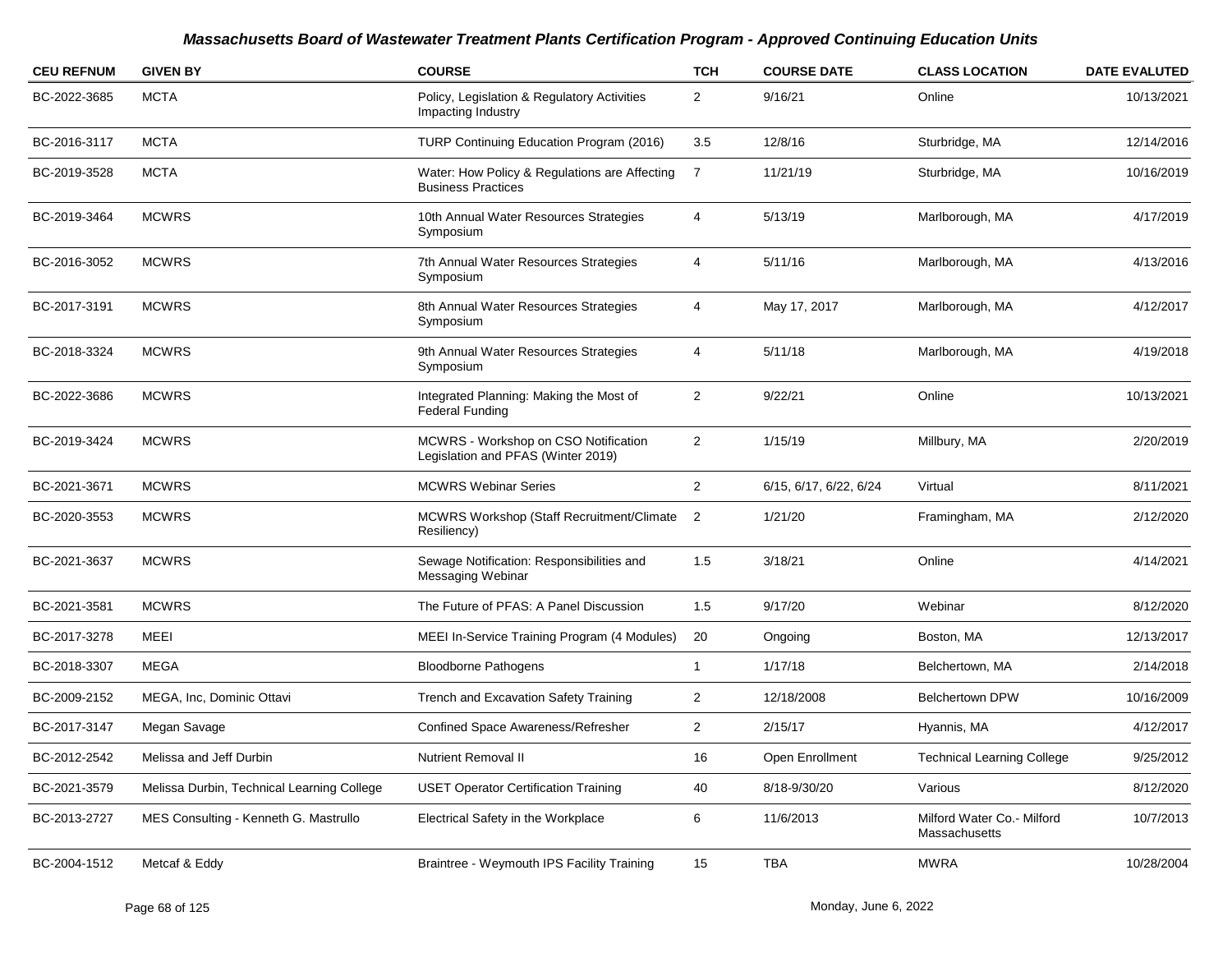| <b>CEU REFNUM</b> | <b>GIVEN BY</b>                            | <b>COURSE</b>                                                              | <b>TCH</b>     | <b>COURSE DATE</b>     | <b>CLASS LOCATION</b>                       | <b>DATE EVALUTED</b> |
|-------------------|--------------------------------------------|----------------------------------------------------------------------------|----------------|------------------------|---------------------------------------------|----------------------|
| BC-2022-3685      | <b>MCTA</b>                                | Policy, Legislation & Regulatory Activities<br>Impacting Industry          | $\overline{2}$ | 9/16/21                | Online                                      | 10/13/2021           |
| BC-2016-3117      | <b>MCTA</b>                                | TURP Continuing Education Program (2016)                                   | 3.5            | 12/8/16                | Sturbridge, MA                              | 12/14/2016           |
| BC-2019-3528      | <b>MCTA</b>                                | Water: How Policy & Regulations are Affecting<br><b>Business Practices</b> | $\overline{7}$ | 11/21/19               | Sturbridge, MA                              | 10/16/2019           |
| BC-2019-3464      | <b>MCWRS</b>                               | 10th Annual Water Resources Strategies<br>Symposium                        | 4              | 5/13/19                | Marlborough, MA                             | 4/17/2019            |
| BC-2016-3052      | <b>MCWRS</b>                               | 7th Annual Water Resources Strategies<br>Symposium                         | 4              | 5/11/16                | Marlborough, MA                             | 4/13/2016            |
| BC-2017-3191      | <b>MCWRS</b>                               | 8th Annual Water Resources Strategies<br>Symposium                         | 4              | May 17, 2017           | Marlborough, MA                             | 4/12/2017            |
| BC-2018-3324      | <b>MCWRS</b>                               | 9th Annual Water Resources Strategies<br>Symposium                         | 4              | 5/11/18                | Marlborough, MA                             | 4/19/2018            |
| BC-2022-3686      | <b>MCWRS</b>                               | Integrated Planning: Making the Most of<br><b>Federal Funding</b>          | $\overline{2}$ | 9/22/21                | Online                                      | 10/13/2021           |
| BC-2019-3424      | <b>MCWRS</b>                               | MCWRS - Workshop on CSO Notification<br>Legislation and PFAS (Winter 2019) | $\overline{2}$ | 1/15/19                | Millbury, MA                                | 2/20/2019            |
| BC-2021-3671      | <b>MCWRS</b>                               | <b>MCWRS Webinar Series</b>                                                | $\overline{2}$ | 6/15, 6/17, 6/22, 6/24 | Virtual                                     | 8/11/2021            |
| BC-2020-3553      | <b>MCWRS</b>                               | MCWRS Workshop (Staff Recruitment/Climate<br>Resiliency)                   | $\overline{2}$ | 1/21/20                | Framingham, MA                              | 2/12/2020            |
| BC-2021-3637      | <b>MCWRS</b>                               | Sewage Notification: Responsibilities and<br>Messaging Webinar             | 1.5            | 3/18/21                | Online                                      | 4/14/2021            |
| BC-2021-3581      | <b>MCWRS</b>                               | The Future of PFAS: A Panel Discussion                                     | 1.5            | 9/17/20                | Webinar                                     | 8/12/2020            |
| BC-2017-3278      | MEEI                                       | MEEI In-Service Training Program (4 Modules)                               | 20             | Ongoing                | Boston, MA                                  | 12/13/2017           |
| BC-2018-3307      | <b>MEGA</b>                                | <b>Bloodborne Pathogens</b>                                                | $\mathbf{1}$   | 1/17/18                | Belchertown, MA                             | 2/14/2018            |
| BC-2009-2152      | MEGA, Inc, Dominic Ottavi                  | Trench and Excavation Safety Training                                      | $\overline{2}$ | 12/18/2008             | <b>Belchertown DPW</b>                      | 10/16/2009           |
| BC-2017-3147      | Megan Savage                               | Confined Space Awareness/Refresher                                         | $\overline{2}$ | 2/15/17                | Hyannis, MA                                 | 4/12/2017            |
| BC-2012-2542      | Melissa and Jeff Durbin                    | <b>Nutrient Removal II</b>                                                 | 16             | Open Enrollment        | <b>Technical Learning College</b>           | 9/25/2012            |
| BC-2021-3579      | Melissa Durbin, Technical Learning College | <b>USET Operator Certification Training</b>                                | 40             | 8/18-9/30/20           | Various                                     | 8/12/2020            |
| BC-2013-2727      | MES Consulting - Kenneth G. Mastrullo      | Electrical Safety in the Workplace                                         | 6              | 11/6/2013              | Milford Water Co.- Milford<br>Massachusetts | 10/7/2013            |
| BC-2004-1512      | Metcaf & Eddy                              | Braintree - Weymouth IPS Facility Training                                 | 15             | <b>TBA</b>             | <b>MWRA</b>                                 | 10/28/2004           |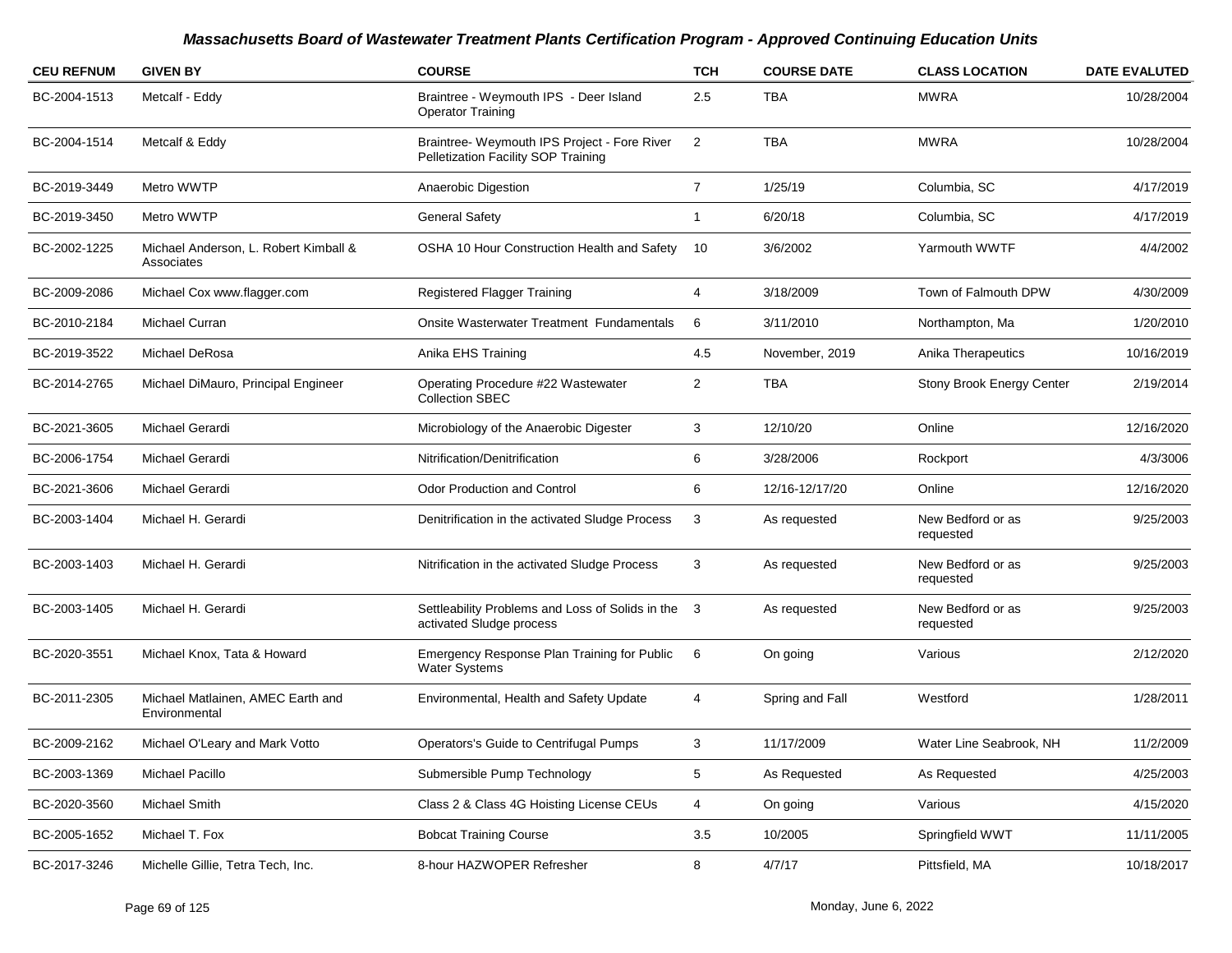| <b>CEU REFNUM</b> | <b>GIVEN BY</b>                                     | <b>COURSE</b>                                                                       | <b>TCH</b>     | <b>COURSE DATE</b> | <b>CLASS LOCATION</b>          | <b>DATE EVALUTED</b> |
|-------------------|-----------------------------------------------------|-------------------------------------------------------------------------------------|----------------|--------------------|--------------------------------|----------------------|
| BC-2004-1513      | Metcalf - Eddy                                      | Braintree - Weymouth IPS - Deer Island<br><b>Operator Training</b>                  | 2.5            | <b>TBA</b>         | <b>MWRA</b>                    | 10/28/2004           |
| BC-2004-1514      | Metcalf & Eddy                                      | Braintree- Weymouth IPS Project - Fore River<br>Pelletization Facility SOP Training | $\overline{2}$ | <b>TBA</b>         | <b>MWRA</b>                    | 10/28/2004           |
| BC-2019-3449      | Metro WWTP                                          | Anaerobic Digestion                                                                 | $\overline{7}$ | 1/25/19            | Columbia, SC                   | 4/17/2019            |
| BC-2019-3450      | Metro WWTP                                          | <b>General Safety</b>                                                               | $\mathbf{1}$   | 6/20/18            | Columbia, SC                   | 4/17/2019            |
| BC-2002-1225      | Michael Anderson, L. Robert Kimball &<br>Associates | OSHA 10 Hour Construction Health and Safety                                         | -10            | 3/6/2002           | Yarmouth WWTF                  | 4/4/2002             |
| BC-2009-2086      | Michael Cox www.flagger.com                         | Registered Flagger Training                                                         | 4              | 3/18/2009          | Town of Falmouth DPW           | 4/30/2009            |
| BC-2010-2184      | Michael Curran                                      | Onsite Wasterwater Treatment Fundamentals                                           | 6              | 3/11/2010          | Northampton, Ma                | 1/20/2010            |
| BC-2019-3522      | Michael DeRosa                                      | Anika EHS Training                                                                  | 4.5            | November, 2019     | Anika Therapeutics             | 10/16/2019           |
| BC-2014-2765      | Michael DiMauro, Principal Engineer                 | Operating Procedure #22 Wastewater<br><b>Collection SBEC</b>                        | $\overline{2}$ | <b>TBA</b>         | Stony Brook Energy Center      | 2/19/2014            |
| BC-2021-3605      | Michael Gerardi                                     | Microbiology of the Anaerobic Digester                                              | 3              | 12/10/20           | Online                         | 12/16/2020           |
| BC-2006-1754      | Michael Gerardi                                     | Nitrification/Denitrification                                                       | 6              | 3/28/2006          | Rockport                       | 4/3/3006             |
| BC-2021-3606      | Michael Gerardi                                     | <b>Odor Production and Control</b>                                                  | 6              | 12/16-12/17/20     | Online                         | 12/16/2020           |
| BC-2003-1404      | Michael H. Gerardi                                  | Denitrification in the activated Sludge Process                                     | 3              | As requested       | New Bedford or as<br>requested | 9/25/2003            |
| BC-2003-1403      | Michael H. Gerardi                                  | Nitrification in the activated Sludge Process                                       | 3              | As requested       | New Bedford or as<br>requested | 9/25/2003            |
| BC-2003-1405      | Michael H. Gerardi                                  | Settleability Problems and Loss of Solids in the 3<br>activated Sludge process      |                | As requested       | New Bedford or as<br>requested | 9/25/2003            |
| BC-2020-3551      | Michael Knox, Tata & Howard                         | Emergency Response Plan Training for Public<br><b>Water Systems</b>                 | 6              | On going           | Various                        | 2/12/2020            |
| BC-2011-2305      | Michael Matlainen, AMEC Earth and<br>Environmental  | Environmental, Health and Safety Update                                             | $\overline{4}$ | Spring and Fall    | Westford                       | 1/28/2011            |
| BC-2009-2162      | Michael O'Leary and Mark Votto                      | Operators's Guide to Centrifugal Pumps                                              | 3              | 11/17/2009         | Water Line Seabrook, NH        | 11/2/2009            |
| BC-2003-1369      | Michael Pacillo                                     | Submersible Pump Technology                                                         | 5              | As Requested       | As Requested                   | 4/25/2003            |
| BC-2020-3560      | Michael Smith                                       | Class 2 & Class 4G Hoisting License CEUs                                            | $\overline{4}$ | On going           | Various                        | 4/15/2020            |
| BC-2005-1652      | Michael T. Fox                                      | <b>Bobcat Training Course</b>                                                       | 3.5            | 10/2005            | Springfield WWT                | 11/11/2005           |
| BC-2017-3246      | Michelle Gillie. Tetra Tech. Inc.                   | 8-hour HAZWOPER Refresher                                                           | 8              | 4/7/17             | Pittsfield, MA                 | 10/18/2017           |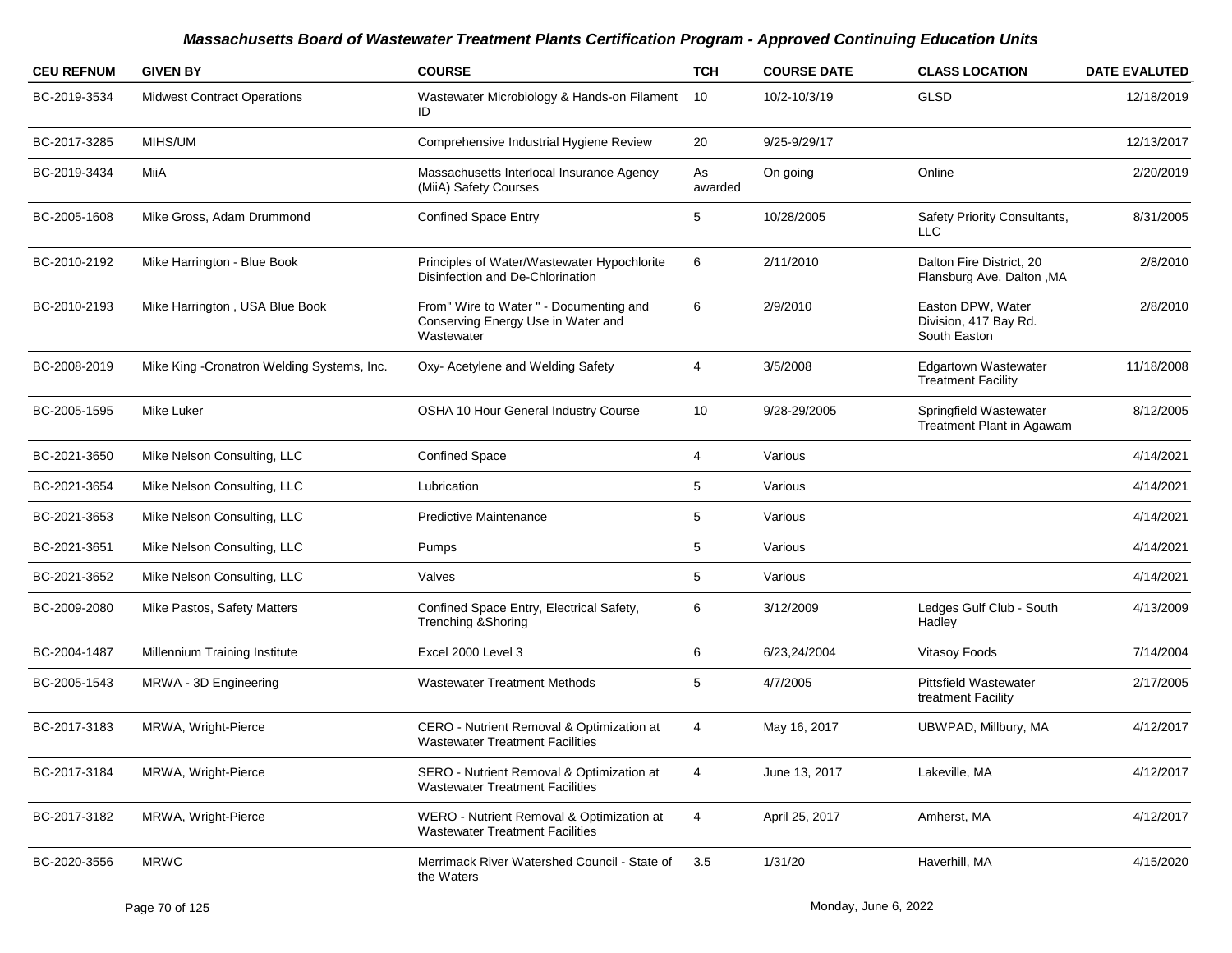| <b>CEU REFNUM</b> | <b>GIVEN BY</b>                             | <b>COURSE</b>                                                                               | <b>TCH</b>    | <b>COURSE DATE</b> | <b>CLASS LOCATION</b>                                      | <b>DATE EVALUTED</b> |
|-------------------|---------------------------------------------|---------------------------------------------------------------------------------------------|---------------|--------------------|------------------------------------------------------------|----------------------|
| BC-2019-3534      | <b>Midwest Contract Operations</b>          | Wastewater Microbiology & Hands-on Filament<br>ID                                           | 10            | 10/2-10/3/19       | GLSD                                                       | 12/18/2019           |
| BC-2017-3285      | MIHS/UM                                     | Comprehensive Industrial Hygiene Review                                                     | 20            | 9/25-9/29/17       |                                                            | 12/13/2017           |
| BC-2019-3434      | MiiA                                        | Massachusetts Interlocal Insurance Agency<br>(MiiA) Safety Courses                          | As<br>awarded | On going           | Online                                                     | 2/20/2019            |
| BC-2005-1608      | Mike Gross, Adam Drummond                   | <b>Confined Space Entry</b>                                                                 | 5             | 10/28/2005         | Safety Priority Consultants,<br><b>LLC</b>                 | 8/31/2005            |
| BC-2010-2192      | Mike Harrington - Blue Book                 | Principles of Water/Wastewater Hypochlorite<br>Disinfection and De-Chlorination             | 6             | 2/11/2010          | Dalton Fire District, 20<br>Flansburg Ave. Dalton, MA      | 2/8/2010             |
| BC-2010-2193      | Mike Harrington, USA Blue Book              | From" Wire to Water " - Documenting and<br>Conserving Energy Use in Water and<br>Wastewater | 6             | 2/9/2010           | Easton DPW, Water<br>Division, 417 Bay Rd.<br>South Easton | 2/8/2010             |
| BC-2008-2019      | Mike King - Cronatron Welding Systems, Inc. | Oxy- Acetylene and Welding Safety                                                           | 4             | 3/5/2008           | <b>Edgartown Wastewater</b><br><b>Treatment Facility</b>   | 11/18/2008           |
| BC-2005-1595      | Mike Luker                                  | OSHA 10 Hour General Industry Course                                                        | 10            | 9/28-29/2005       | Springfield Wastewater<br>Treatment Plant in Agawam        | 8/12/2005            |
| BC-2021-3650      | Mike Nelson Consulting, LLC                 | <b>Confined Space</b>                                                                       | 4             | Various            |                                                            | 4/14/2021            |
| BC-2021-3654      | Mike Nelson Consulting, LLC                 | Lubrication                                                                                 | 5             | Various            |                                                            | 4/14/2021            |
| BC-2021-3653      | Mike Nelson Consulting, LLC                 | <b>Predictive Maintenance</b>                                                               | 5             | Various            |                                                            | 4/14/2021            |
| BC-2021-3651      | Mike Nelson Consulting, LLC                 | Pumps                                                                                       | 5             | Various            |                                                            | 4/14/2021            |
| BC-2021-3652      | Mike Nelson Consulting, LLC                 | Valves                                                                                      | 5             | Various            |                                                            | 4/14/2021            |
| BC-2009-2080      | Mike Pastos, Safety Matters                 | Confined Space Entry, Electrical Safety,<br>Trenching & Shoring                             | 6             | 3/12/2009          | Ledges Gulf Club - South<br>Hadley                         | 4/13/2009            |
| BC-2004-1487      | Millennium Training Institute               | Excel 2000 Level 3                                                                          | 6             | 6/23,24/2004       | Vitasoy Foods                                              | 7/14/2004            |
| BC-2005-1543      | MRWA - 3D Engineering                       | <b>Wastewater Treatment Methods</b>                                                         | 5             | 4/7/2005           | <b>Pittsfield Wastewater</b><br>treatment Facility         | 2/17/2005            |
| BC-2017-3183      | MRWA, Wright-Pierce                         | CERO - Nutrient Removal & Optimization at<br><b>Wastewater Treatment Facilities</b>         | 4             | May 16, 2017       | UBWPAD, Millbury, MA                                       | 4/12/2017            |
| BC-2017-3184      | MRWA, Wright-Pierce                         | SERO - Nutrient Removal & Optimization at<br><b>Wastewater Treatment Facilities</b>         | 4             | June 13, 2017      | Lakeville, MA                                              | 4/12/2017            |
| BC-2017-3182      | MRWA, Wright-Pierce                         | WERO - Nutrient Removal & Optimization at<br><b>Wastewater Treatment Facilities</b>         | 4             | April 25, 2017     | Amherst, MA                                                | 4/12/2017            |
| BC-2020-3556      | <b>MRWC</b>                                 | Merrimack River Watershed Council - State of<br>the Waters                                  | 3.5           | 1/31/20            | Haverhill, MA                                              | 4/15/2020            |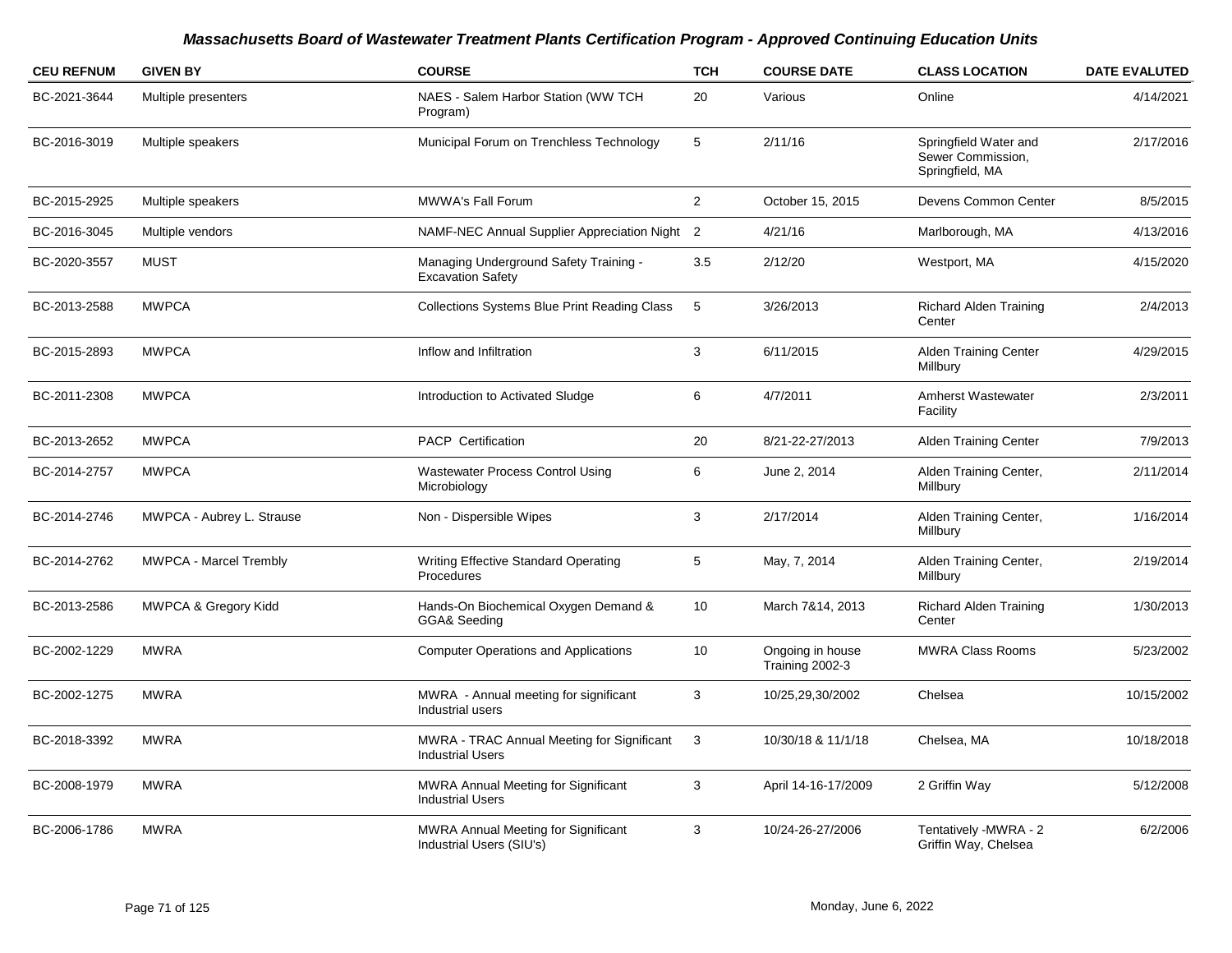| <b>CEU REFNUM</b> | <b>GIVEN BY</b>                 | <b>COURSE</b>                                                          | <b>TCH</b>     | <b>COURSE DATE</b>                  | <b>CLASS LOCATION</b>                                         | <b>DATE EVALUTED</b> |
|-------------------|---------------------------------|------------------------------------------------------------------------|----------------|-------------------------------------|---------------------------------------------------------------|----------------------|
| BC-2021-3644      | Multiple presenters             | NAES - Salem Harbor Station (WW TCH<br>Program)                        | 20             | Various                             | Online                                                        | 4/14/2021            |
| BC-2016-3019      | Multiple speakers               | Municipal Forum on Trenchless Technology                               | 5              | 2/11/16                             | Springfield Water and<br>Sewer Commission,<br>Springfield, MA | 2/17/2016            |
| BC-2015-2925      | Multiple speakers               | MWWA's Fall Forum                                                      | $\overline{2}$ | October 15, 2015                    | Devens Common Center                                          | 8/5/2015             |
| BC-2016-3045      | Multiple vendors                | NAMF-NEC Annual Supplier Appreciation Night 2                          |                | 4/21/16                             | Marlborough, MA                                               | 4/13/2016            |
| BC-2020-3557      | <b>MUST</b>                     | Managing Underground Safety Training -<br><b>Excavation Safety</b>     | 3.5            | 2/12/20                             | Westport, MA                                                  | 4/15/2020            |
| BC-2013-2588      | <b>MWPCA</b>                    | <b>Collections Systems Blue Print Reading Class</b>                    | 5              | 3/26/2013                           | <b>Richard Alden Training</b><br>Center                       | 2/4/2013             |
| BC-2015-2893      | <b>MWPCA</b>                    | Inflow and Infiltration                                                | 3              | 6/11/2015                           | <b>Alden Training Center</b><br>Millbury                      | 4/29/2015            |
| BC-2011-2308      | <b>MWPCA</b>                    | Introduction to Activated Sludge                                       | 6              | 4/7/2011                            | Amherst Wastewater<br>Facility                                | 2/3/2011             |
| BC-2013-2652      | <b>MWPCA</b>                    | <b>PACP Certification</b>                                              | 20             | 8/21-22-27/2013                     | <b>Alden Training Center</b>                                  | 7/9/2013             |
| BC-2014-2757      | <b>MWPCA</b>                    | <b>Wastewater Process Control Using</b><br>Microbiology                | 6              | June 2, 2014                        | Alden Training Center,<br>Millbury                            | 2/11/2014            |
| BC-2014-2746      | MWPCA - Aubrey L. Strause       | Non - Dispersible Wipes                                                | 3              | 2/17/2014                           | Alden Training Center,<br>Millbury                            | 1/16/2014            |
| BC-2014-2762      | MWPCA - Marcel Trembly          | <b>Writing Effective Standard Operating</b><br>Procedures              | 5              | May, 7, 2014                        | Alden Training Center,<br>Millbury                            | 2/19/2014            |
| BC-2013-2586      | <b>MWPCA &amp; Gregory Kidd</b> | Hands-On Biochemical Oxygen Demand &<br>GGA& Seeding                   | 10             | March 7&14, 2013                    | Richard Alden Training<br>Center                              | 1/30/2013            |
| BC-2002-1229      | <b>MWRA</b>                     | <b>Computer Operations and Applications</b>                            | 10             | Ongoing in house<br>Training 2002-3 | <b>MWRA Class Rooms</b>                                       | 5/23/2002            |
| BC-2002-1275      | <b>MWRA</b>                     | MWRA - Annual meeting for significant<br>Industrial users              | 3              | 10/25,29,30/2002                    | Chelsea                                                       | 10/15/2002           |
| BC-2018-3392      | <b>MWRA</b>                     | MWRA - TRAC Annual Meeting for Significant<br><b>Industrial Users</b>  | 3              | 10/30/18 & 11/1/18                  | Chelsea, MA                                                   | 10/18/2018           |
| BC-2008-1979      | <b>MWRA</b>                     | <b>MWRA Annual Meeting for Significant</b><br><b>Industrial Users</b>  | 3              | April 14-16-17/2009                 | 2 Griffin Way                                                 | 5/12/2008            |
| BC-2006-1786      | <b>MWRA</b>                     | <b>MWRA Annual Meeting for Significant</b><br>Industrial Users (SIU's) | 3              | 10/24-26-27/2006                    | Tentatively - MWRA - 2<br>Griffin Way, Chelsea                | 6/2/2006             |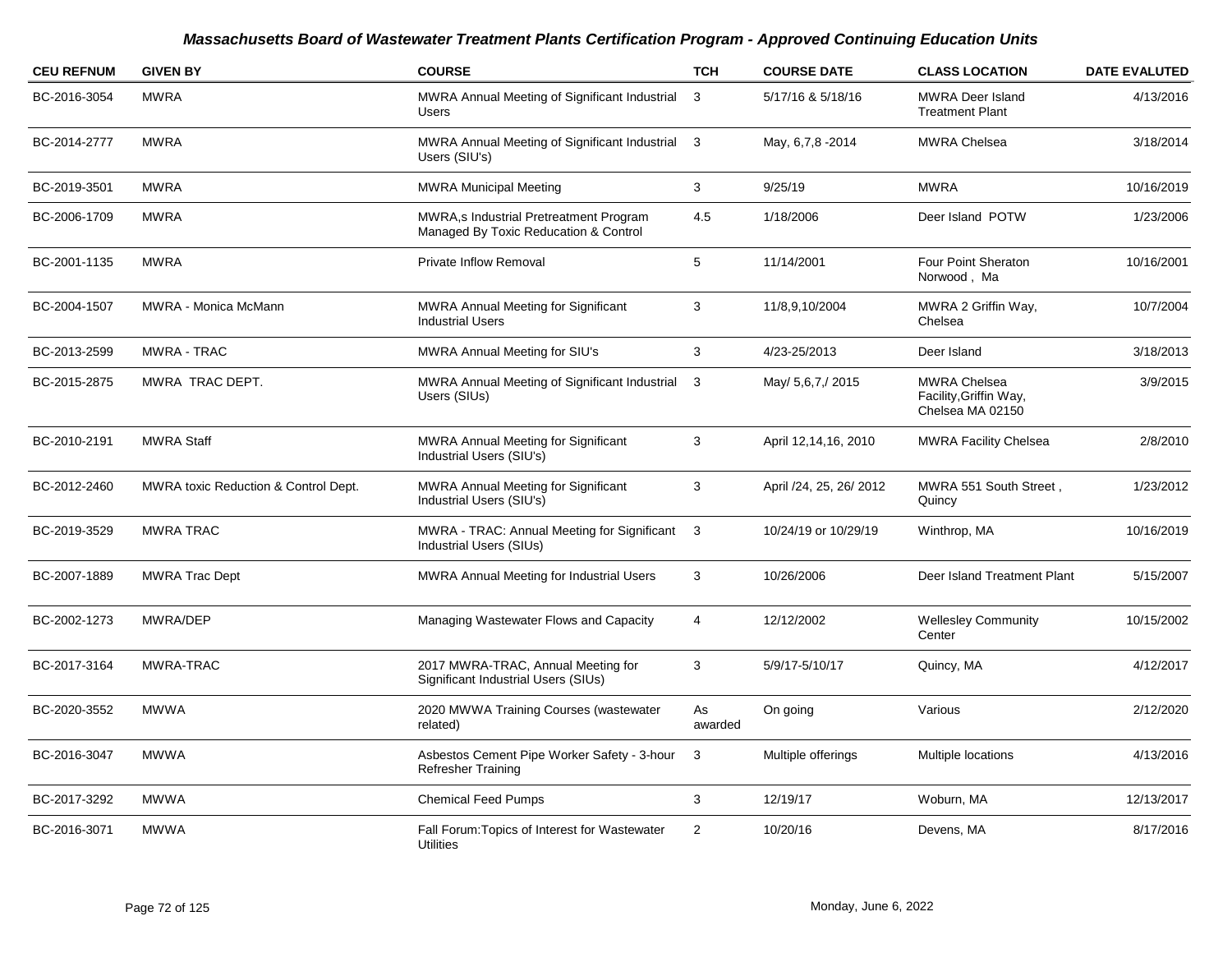| <b>CEU REFNUM</b> | <b>GIVEN BY</b>                      | <b>COURSE</b>                                                                   | <b>TCH</b>    | <b>COURSE DATE</b>      | <b>CLASS LOCATION</b>                                             | <b>DATE EVALUTED</b> |
|-------------------|--------------------------------------|---------------------------------------------------------------------------------|---------------|-------------------------|-------------------------------------------------------------------|----------------------|
| BC-2016-3054      | <b>MWRA</b>                          | MWRA Annual Meeting of Significant Industrial<br><b>Users</b>                   | 3             | 5/17/16 & 5/18/16       | <b>MWRA Deer Island</b><br><b>Treatment Plant</b>                 | 4/13/2016            |
| BC-2014-2777      | <b>MWRA</b>                          | MWRA Annual Meeting of Significant Industrial 3<br>Users (SIU's)                |               | May, 6,7,8 -2014        | <b>MWRA Chelsea</b>                                               | 3/18/2014            |
| BC-2019-3501      | <b>MWRA</b>                          | <b>MWRA Municipal Meeting</b>                                                   | 3             | 9/25/19                 | <b>MWRA</b>                                                       | 10/16/2019           |
| BC-2006-1709      | <b>MWRA</b>                          | MWRA,s Industrial Pretreatment Program<br>Managed By Toxic Reducation & Control | 4.5           | 1/18/2006               | Deer Island POTW                                                  | 1/23/2006            |
| BC-2001-1135      | <b>MWRA</b>                          | <b>Private Inflow Removal</b>                                                   | 5             | 11/14/2001              | Four Point Sheraton<br>Norwood, Ma                                | 10/16/2001           |
| BC-2004-1507      | MWRA - Monica McMann                 | <b>MWRA Annual Meeting for Significant</b><br><b>Industrial Users</b>           | 3             | 11/8,9,10/2004          | MWRA 2 Griffin Way,<br>Chelsea                                    | 10/7/2004            |
| BC-2013-2599      | <b>MWRA - TRAC</b>                   | <b>MWRA Annual Meeting for SIU's</b>                                            | 3             | 4/23-25/2013            | Deer Island                                                       | 3/18/2013            |
| BC-2015-2875      | MWRA TRAC DEPT.                      | MWRA Annual Meeting of Significant Industrial<br>Users (SIUs)                   | 3             | May/ 5,6,7,/ 2015       | <b>MWRA Chelsea</b><br>Facility, Griffin Way,<br>Chelsea MA 02150 | 3/9/2015             |
| BC-2010-2191      | <b>MWRA Staff</b>                    | MWRA Annual Meeting for Significant<br>Industrial Users (SIU's)                 | 3             | April 12,14,16, 2010    | <b>MWRA Facility Chelsea</b>                                      | 2/8/2010             |
| BC-2012-2460      | MWRA toxic Reduction & Control Dept. | MWRA Annual Meeting for Significant<br>Industrial Users (SIU's)                 | 3             | April /24, 25, 26/ 2012 | MWRA 551 South Street,<br>Quincy                                  | 1/23/2012            |
| BC-2019-3529      | <b>MWRA TRAC</b>                     | MWRA - TRAC: Annual Meeting for Significant 3<br>Industrial Users (SIUs)        |               | 10/24/19 or 10/29/19    | Winthrop, MA                                                      | 10/16/2019           |
| BC-2007-1889      | <b>MWRA Trac Dept</b>                | <b>MWRA Annual Meeting for Industrial Users</b>                                 | 3             | 10/26/2006              | Deer Island Treatment Plant                                       | 5/15/2007            |
| BC-2002-1273      | MWRA/DEP                             | Managing Wastewater Flows and Capacity                                          | 4             | 12/12/2002              | <b>Wellesley Community</b><br>Center                              | 10/15/2002           |
| BC-2017-3164      | MWRA-TRAC                            | 2017 MWRA-TRAC, Annual Meeting for<br>Significant Industrial Users (SIUs)       | 3             | 5/9/17-5/10/17          | Quincy, MA                                                        | 4/12/2017            |
| BC-2020-3552      | <b>MWWA</b>                          | 2020 MWWA Training Courses (wastewater<br>related)                              | As<br>awarded | On going                | Various                                                           | 2/12/2020            |
| BC-2016-3047      | <b>MWWA</b>                          | Asbestos Cement Pipe Worker Safety - 3-hour<br><b>Refresher Training</b>        | 3             | Multiple offerings      | Multiple locations                                                | 4/13/2016            |
| BC-2017-3292      | <b>MWWA</b>                          | <b>Chemical Feed Pumps</b>                                                      | 3             | 12/19/17                | Woburn, MA                                                        | 12/13/2017           |
| BC-2016-3071      | <b>MWWA</b>                          | Fall Forum: Topics of Interest for Wastewater<br>Utilities                      | 2             | 10/20/16                | Devens, MA                                                        | 8/17/2016            |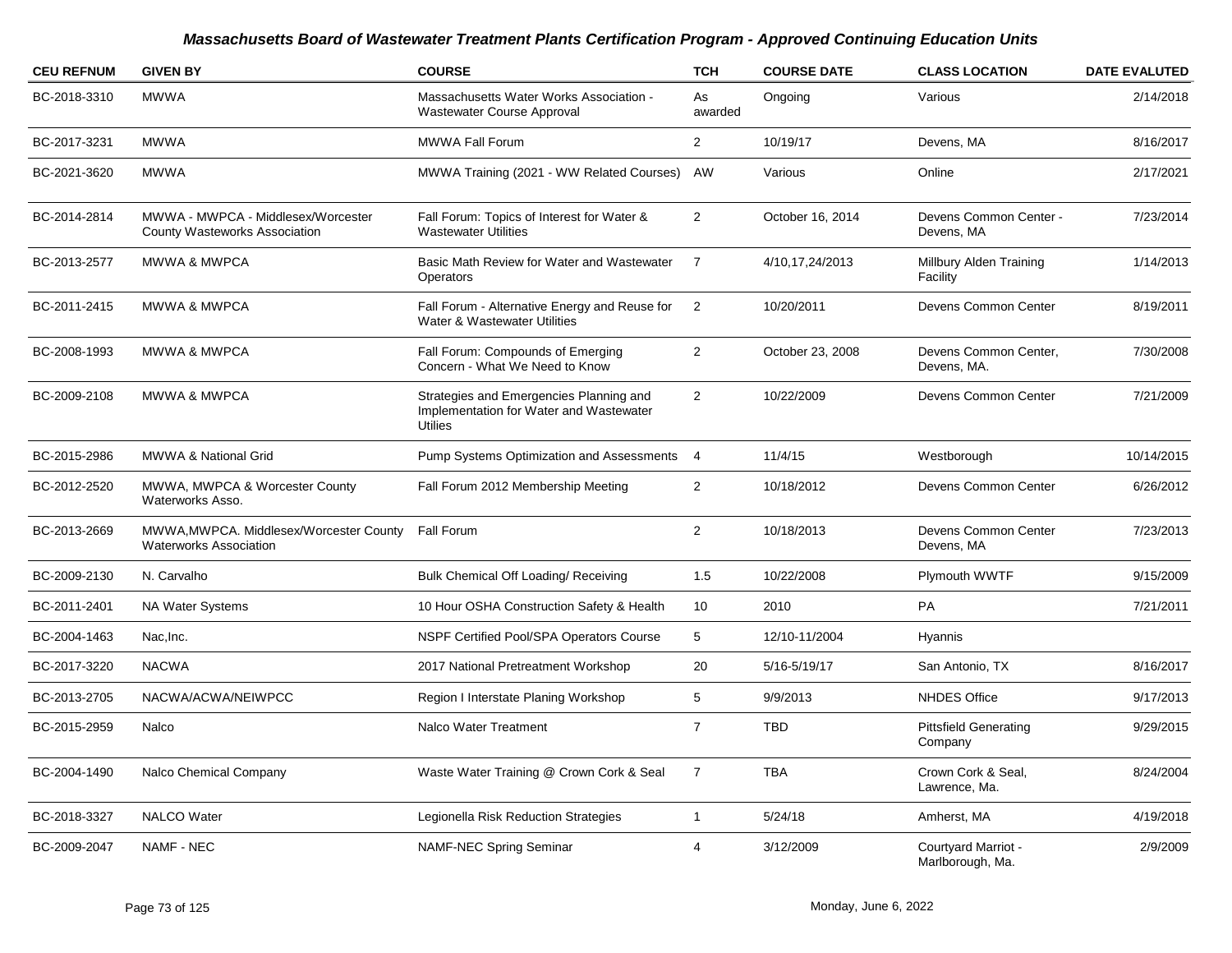| <b>CEU REFNUM</b> | <b>GIVEN BY</b>                                                          | <b>COURSE</b>                                                                                        | <b>TCH</b>     | <b>COURSE DATE</b> | <b>CLASS LOCATION</b>                   | <b>DATE EVALUTED</b> |
|-------------------|--------------------------------------------------------------------------|------------------------------------------------------------------------------------------------------|----------------|--------------------|-----------------------------------------|----------------------|
| BC-2018-3310      | <b>MWWA</b>                                                              | Massachusetts Water Works Association -<br>Wastewater Course Approval                                | As<br>awarded  | Ongoing            | Various                                 | 2/14/2018            |
| BC-2017-3231      | <b>MWWA</b>                                                              | MWWA Fall Forum                                                                                      | $\overline{2}$ | 10/19/17           | Devens, MA                              | 8/16/2017            |
| BC-2021-3620      | <b>MWWA</b>                                                              | MWWA Training (2021 - WW Related Courses)                                                            | AW             | Various            | Online                                  | 2/17/2021            |
| BC-2014-2814      | MWWA - MWPCA - Middlesex/Worcester<br>County Wasteworks Association      | Fall Forum: Topics of Interest for Water &<br><b>Wastewater Utilities</b>                            | 2              | October 16, 2014   | Devens Common Center -<br>Devens, MA    | 7/23/2014            |
| BC-2013-2577      | MWWA & MWPCA                                                             | Basic Math Review for Water and Wastewater<br><b>Operators</b>                                       | $\overline{7}$ | 4/10,17,24/2013    | Millbury Alden Training<br>Facility     | 1/14/2013            |
| BC-2011-2415      | <b>MWWA &amp; MWPCA</b>                                                  | Fall Forum - Alternative Energy and Reuse for<br>Water & Wastewater Utilities                        | $\overline{2}$ | 10/20/2011         | Devens Common Center                    | 8/19/2011            |
| BC-2008-1993      | <b>MWWA &amp; MWPCA</b>                                                  | Fall Forum: Compounds of Emerging<br>Concern - What We Need to Know                                  | $\overline{2}$ | October 23, 2008   | Devens Common Center,<br>Devens, MA.    | 7/30/2008            |
| BC-2009-2108      | <b>MWWA &amp; MWPCA</b>                                                  | Strategies and Emergencies Planning and<br>Implementation for Water and Wastewater<br><b>Utilies</b> | $\overline{2}$ | 10/22/2009         | Devens Common Center                    | 7/21/2009            |
| BC-2015-2986      | MWWA & National Grid                                                     | Pump Systems Optimization and Assessments                                                            | $\overline{4}$ | 11/4/15            | Westborough                             | 10/14/2015           |
| BC-2012-2520      | MWWA, MWPCA & Worcester County<br>Waterworks Asso.                       | Fall Forum 2012 Membership Meeting                                                                   | $\overline{2}$ | 10/18/2012         | Devens Common Center                    | 6/26/2012            |
| BC-2013-2669      | MWWA, MWPCA. Middlesex/Worcester County<br><b>Waterworks Association</b> | Fall Forum                                                                                           | $\overline{2}$ | 10/18/2013         | Devens Common Center<br>Devens, MA      | 7/23/2013            |
| BC-2009-2130      | N. Carvalho                                                              | Bulk Chemical Off Loading/ Receiving                                                                 | 1.5            | 10/22/2008         | Plymouth WWTF                           | 9/15/2009            |
| BC-2011-2401      | <b>NA Water Systems</b>                                                  | 10 Hour OSHA Construction Safety & Health                                                            | 10             | 2010               | PA                                      | 7/21/2011            |
| BC-2004-1463      | Nac.Inc.                                                                 | NSPF Certified Pool/SPA Operators Course                                                             | 5              | 12/10-11/2004      | Hyannis                                 |                      |
| BC-2017-3220      | <b>NACWA</b>                                                             | 2017 National Pretreatment Workshop                                                                  | 20             | 5/16-5/19/17       | San Antonio, TX                         | 8/16/2017            |
| BC-2013-2705      | NACWA/ACWA/NEIWPCC                                                       | Region I Interstate Planing Workshop                                                                 | 5              | 9/9/2013           | <b>NHDES Office</b>                     | 9/17/2013            |
| BC-2015-2959      | Nalco                                                                    | <b>Nalco Water Treatment</b>                                                                         | $\overline{7}$ | <b>TBD</b>         | <b>Pittsfield Generating</b><br>Company | 9/29/2015            |
| BC-2004-1490      | Nalco Chemical Company                                                   | Waste Water Training @ Crown Cork & Seal                                                             | $\overline{7}$ | <b>TBA</b>         | Crown Cork & Seal,<br>Lawrence, Ma.     | 8/24/2004            |
| BC-2018-3327      | <b>NALCO</b> Water                                                       | Legionella Risk Reduction Strategies                                                                 | $\mathbf{1}$   | 5/24/18            | Amherst, MA                             | 4/19/2018            |
| BC-2009-2047      | <b>NAMF - NEC</b>                                                        | NAMF-NEC Spring Seminar                                                                              | 4              | 3/12/2009          | Courtyard Marriot -<br>Marlborough, Ma. | 2/9/2009             |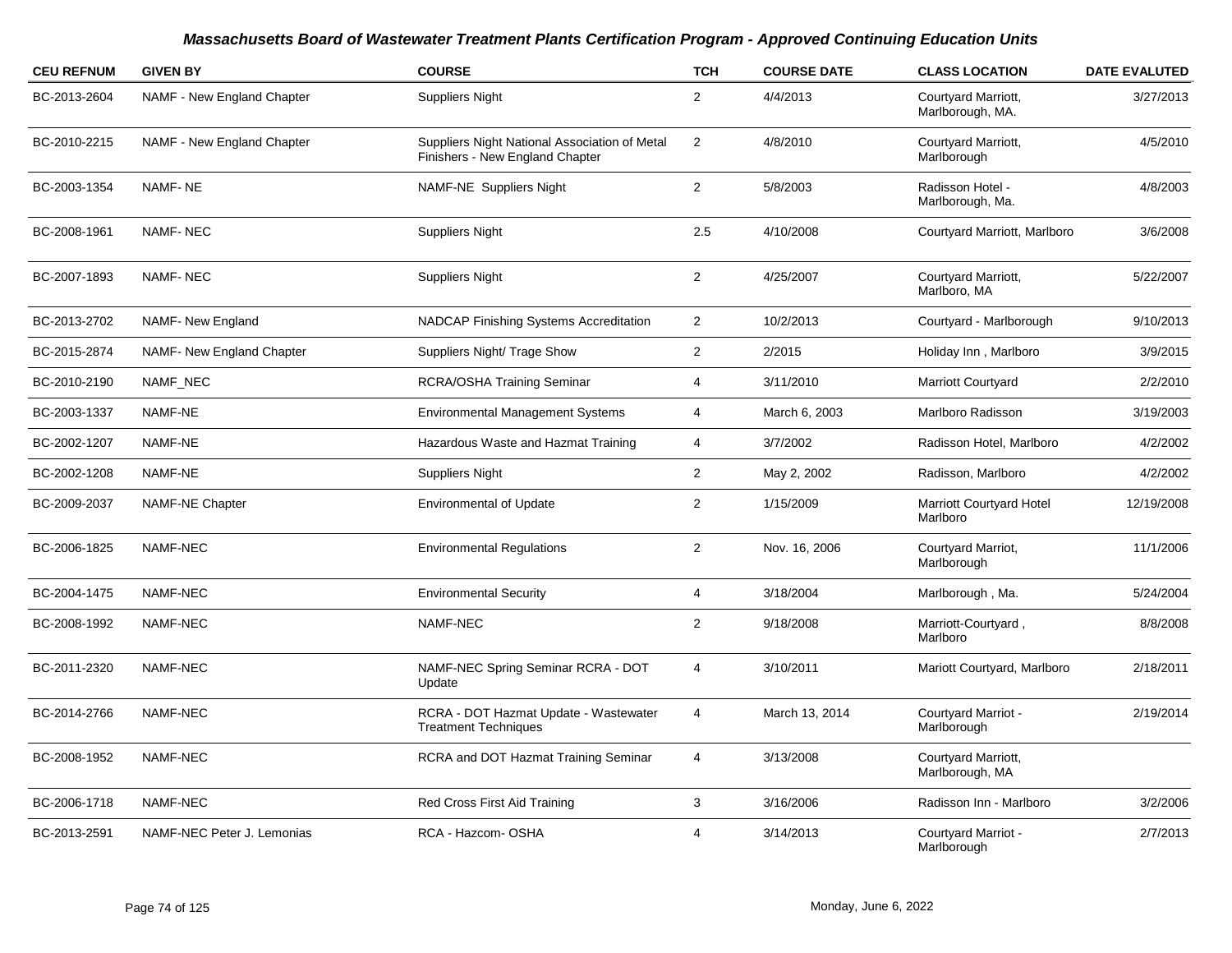| <b>CEU REFNUM</b> | <b>GIVEN BY</b>            | <b>COURSE</b>                                                                    | <b>TCH</b>     | <b>COURSE DATE</b> | <b>CLASS LOCATION</b>                   | <b>DATE EVALUTED</b> |
|-------------------|----------------------------|----------------------------------------------------------------------------------|----------------|--------------------|-----------------------------------------|----------------------|
| BC-2013-2604      | NAMF - New England Chapter | <b>Suppliers Night</b>                                                           | $\overline{2}$ | 4/4/2013           | Courtyard Marriott,<br>Marlborough, MA. | 3/27/2013            |
| BC-2010-2215      | NAMF - New England Chapter | Suppliers Night National Association of Metal<br>Finishers - New England Chapter | $\overline{2}$ | 4/8/2010           | Courtyard Marriott,<br>Marlborough      | 4/5/2010             |
| BC-2003-1354      | NAMF-NE                    | NAMF-NE Suppliers Night                                                          | $\overline{2}$ | 5/8/2003           | Radisson Hotel -<br>Marlborough, Ma.    | 4/8/2003             |
| BC-2008-1961      | <b>NAMF-NEC</b>            | <b>Suppliers Night</b>                                                           | 2.5            | 4/10/2008          | Courtyard Marriott, Marlboro            | 3/6/2008             |
| BC-2007-1893      | <b>NAMF-NEC</b>            | <b>Suppliers Night</b>                                                           | $\overline{2}$ | 4/25/2007          | Courtyard Marriott,<br>Marlboro, MA     | 5/22/2007            |
| BC-2013-2702      | NAMF- New England          | <b>NADCAP Finishing Systems Accreditation</b>                                    | $\overline{2}$ | 10/2/2013          | Courtyard - Marlborough                 | 9/10/2013            |
| BC-2015-2874      | NAMF- New England Chapter  | Suppliers Night/ Trage Show                                                      | $\overline{2}$ | 2/2015             | Holiday Inn, Marlboro                   | 3/9/2015             |
| BC-2010-2190      | NAMF NEC                   | <b>RCRA/OSHA Training Seminar</b>                                                | 4              | 3/11/2010          | <b>Marriott Courtyard</b>               | 2/2/2010             |
| BC-2003-1337      | NAMF-NE                    | <b>Environmental Management Systems</b>                                          | 4              | March 6, 2003      | Marlboro Radisson                       | 3/19/2003            |
| BC-2002-1207      | NAMF-NE                    | Hazardous Waste and Hazmat Training                                              | $\overline{4}$ | 3/7/2002           | Radisson Hotel, Marlboro                | 4/2/2002             |
| BC-2002-1208      | NAMF-NE                    | <b>Suppliers Night</b>                                                           | $\overline{2}$ | May 2, 2002        | Radisson, Marlboro                      | 4/2/2002             |
| BC-2009-2037      | NAMF-NE Chapter            | <b>Environmental of Update</b>                                                   | $\overline{2}$ | 1/15/2009          | Marriott Courtyard Hotel<br>Marlboro    | 12/19/2008           |
| BC-2006-1825      | NAMF-NEC                   | <b>Environmental Regulations</b>                                                 | $\overline{a}$ | Nov. 16, 2006      | Courtyard Marriot,<br>Marlborough       | 11/1/2006            |
| BC-2004-1475      | NAMF-NEC                   | <b>Environmental Security</b>                                                    | $\overline{4}$ | 3/18/2004          | Marlborough, Ma.                        | 5/24/2004            |
| BC-2008-1992      | NAMF-NEC                   | <b>NAMF-NEC</b>                                                                  | $\overline{2}$ | 9/18/2008          | Marriott-Courtyard,<br>Marlboro         | 8/8/2008             |
| BC-2011-2320      | NAMF-NEC                   | NAMF-NEC Spring Seminar RCRA - DOT<br>Update                                     | 4              | 3/10/2011          | Mariott Courtyard, Marlboro             | 2/18/2011            |
| BC-2014-2766      | NAMF-NEC                   | RCRA - DOT Hazmat Update - Wastewater<br><b>Treatment Techniques</b>             | 4              | March 13, 2014     | Courtyard Marriot -<br>Marlborough      | 2/19/2014            |
| BC-2008-1952      | NAMF-NEC                   | RCRA and DOT Hazmat Training Seminar                                             | 4              | 3/13/2008          | Courtyard Marriott,<br>Marlborough, MA  |                      |
| BC-2006-1718      | NAMF-NEC                   | Red Cross First Aid Training                                                     | 3              | 3/16/2006          | Radisson Inn - Marlboro                 | 3/2/2006             |
| BC-2013-2591      | NAMF-NEC Peter J. Lemonias | RCA - Hazcom- OSHA                                                               | $\overline{4}$ | 3/14/2013          | Courtyard Marriot -<br>Marlborough      | 2/7/2013             |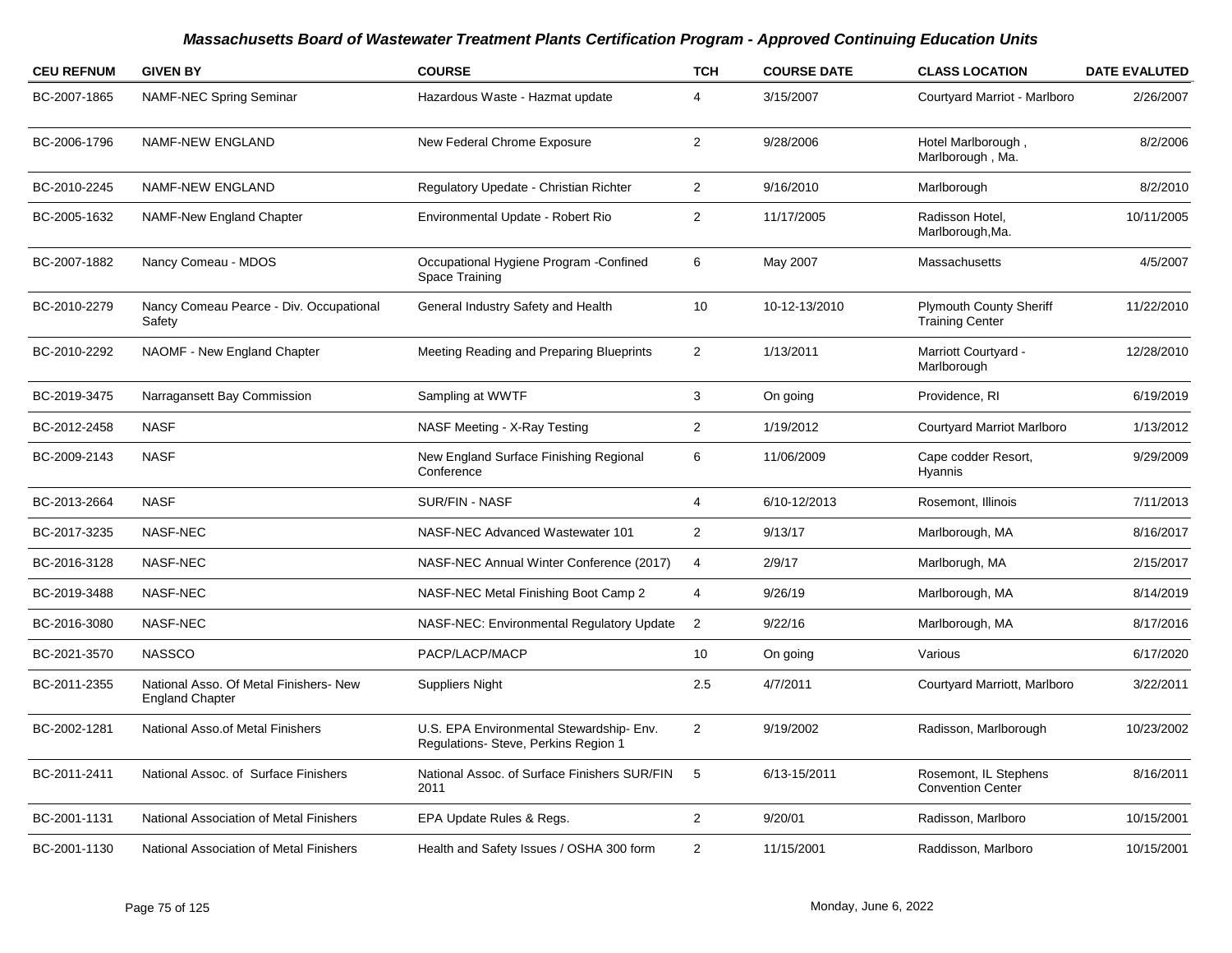| <b>CEU REFNUM</b> | <b>GIVEN BY</b>                                                  | <b>COURSE</b>                                                                   | <b>TCH</b>              | <b>COURSE DATE</b> | <b>CLASS LOCATION</b>                                    | <b>DATE EVALUTED</b> |
|-------------------|------------------------------------------------------------------|---------------------------------------------------------------------------------|-------------------------|--------------------|----------------------------------------------------------|----------------------|
| BC-2007-1865      | <b>NAMF-NEC Spring Seminar</b>                                   | Hazardous Waste - Hazmat update                                                 | 4                       | 3/15/2007          | Courtyard Marriot - Marlboro                             | 2/26/2007            |
| BC-2006-1796      | NAMF-NEW ENGLAND                                                 | New Federal Chrome Exposure                                                     | $\overline{2}$          | 9/28/2006          | Hotel Marlborough,<br>Marlborough, Ma.                   | 8/2/2006             |
| BC-2010-2245      | NAMF-NEW ENGLAND                                                 | Regulatory Upedate - Christian Richter                                          | $\overline{a}$          | 9/16/2010          | Marlborough                                              | 8/2/2010             |
| BC-2005-1632      | <b>NAMF-New England Chapter</b>                                  | Environmental Update - Robert Rio                                               | $\overline{2}$          | 11/17/2005         | Radisson Hotel,<br>Marlborough, Ma.                      | 10/11/2005           |
| BC-2007-1882      | Nancy Comeau - MDOS                                              | Occupational Hygiene Program - Confined<br>Space Training                       | 6                       | May 2007           | Massachusetts                                            | 4/5/2007             |
| BC-2010-2279      | Nancy Comeau Pearce - Div. Occupational<br>Safety                | General Industry Safety and Health                                              | 10                      | 10-12-13/2010      | <b>Plymouth County Sheriff</b><br><b>Training Center</b> | 11/22/2010           |
| BC-2010-2292      | NAOMF - New England Chapter                                      | Meeting Reading and Preparing Blueprints                                        | $\overline{2}$          | 1/13/2011          | Marriott Courtyard -<br>Marlborough                      | 12/28/2010           |
| BC-2019-3475      | Narragansett Bay Commission                                      | Sampling at WWTF                                                                | 3                       | On going           | Providence, RI                                           | 6/19/2019            |
| BC-2012-2458      | <b>NASF</b>                                                      | NASF Meeting - X-Ray Testing                                                    | $\overline{\mathbf{c}}$ | 1/19/2012          | <b>Courtyard Marriot Marlboro</b>                        | 1/13/2012            |
| BC-2009-2143      | <b>NASF</b>                                                      | New England Surface Finishing Regional<br>Conference                            | 6                       | 11/06/2009         | Cape codder Resort,<br>Hyannis                           | 9/29/2009            |
| BC-2013-2664      | <b>NASF</b>                                                      | SUR/FIN - NASF                                                                  | 4                       | 6/10-12/2013       | Rosemont, Illinois                                       | 7/11/2013            |
| BC-2017-3235      | NASF-NEC                                                         | NASF-NEC Advanced Wastewater 101                                                | $\overline{\mathbf{c}}$ | 9/13/17            | Marlborough, MA                                          | 8/16/2017            |
| BC-2016-3128      | <b>NASF-NEC</b>                                                  | NASF-NEC Annual Winter Conference (2017)                                        | 4                       | 2/9/17             | Marlborugh, MA                                           | 2/15/2017            |
| BC-2019-3488      | NASF-NEC                                                         | NASF-NEC Metal Finishing Boot Camp 2                                            | 4                       | 9/26/19            | Marlborough, MA                                          | 8/14/2019            |
| BC-2016-3080      | <b>NASF-NEC</b>                                                  | NASF-NEC: Environmental Regulatory Update                                       | $\overline{2}$          | 9/22/16            | Marlborough, MA                                          | 8/17/2016            |
| BC-2021-3570      | <b>NASSCO</b>                                                    | PACP/LACP/MACP                                                                  | 10                      | On going           | Various                                                  | 6/17/2020            |
| BC-2011-2355      | National Asso. Of Metal Finishers- New<br><b>England Chapter</b> | <b>Suppliers Night</b>                                                          | 2.5                     | 4/7/2011           | Courtyard Marriott, Marlboro                             | 3/22/2011            |
| BC-2002-1281      | National Asso.of Metal Finishers                                 | U.S. EPA Environmental Stewardship-Env.<br>Regulations- Steve, Perkins Region 1 | $\overline{2}$          | 9/19/2002          | Radisson, Marlborough                                    | 10/23/2002           |
| BC-2011-2411      | National Assoc. of Surface Finishers                             | National Assoc. of Surface Finishers SUR/FIN<br>2011                            | 5                       | 6/13-15/2011       | Rosemont, IL Stephens<br><b>Convention Center</b>        | 8/16/2011            |
| BC-2001-1131      | National Association of Metal Finishers                          | EPA Update Rules & Regs.                                                        | $\mathbf{2}$            | 9/20/01            | Radisson, Marlboro                                       | 10/15/2001           |
| BC-2001-1130      | National Association of Metal Finishers                          | Health and Safety Issues / OSHA 300 form                                        | $\overline{2}$          | 11/15/2001         | Raddisson, Marlboro                                      | 10/15/2001           |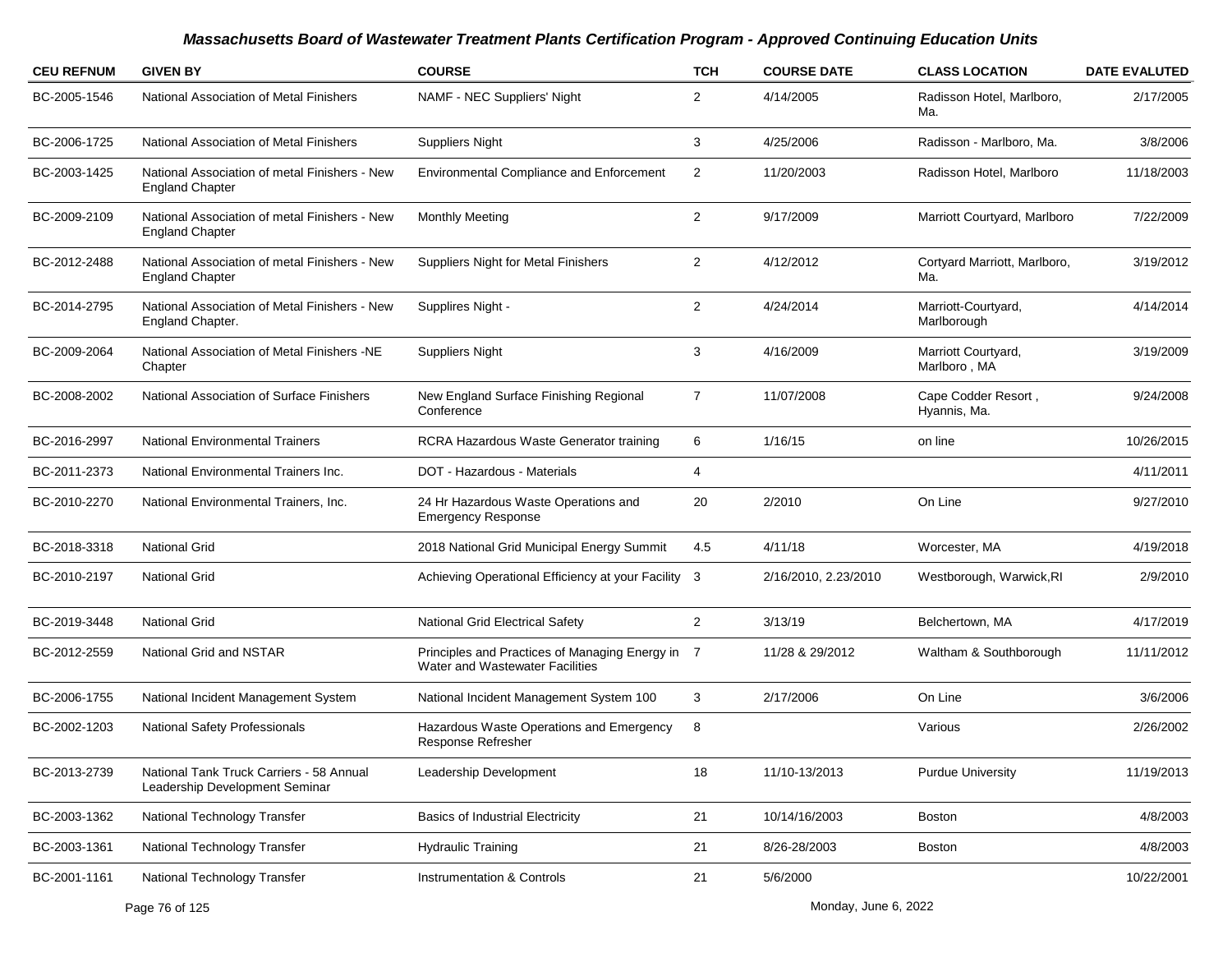| <b>CEU REFNUM</b> | <b>GIVEN BY</b>                                                            | <b>COURSE</b>                                                                       | <b>TCH</b>     | <b>COURSE DATE</b>   | <b>CLASS LOCATION</b>               | <b>DATE EVALUTED</b> |
|-------------------|----------------------------------------------------------------------------|-------------------------------------------------------------------------------------|----------------|----------------------|-------------------------------------|----------------------|
| BC-2005-1546      | National Association of Metal Finishers                                    | NAMF - NEC Suppliers' Night                                                         | $\overline{2}$ | 4/14/2005            | Radisson Hotel, Marlboro,<br>Ma.    | 2/17/2005            |
| BC-2006-1725      | National Association of Metal Finishers                                    | <b>Suppliers Night</b>                                                              | 3              | 4/25/2006            | Radisson - Marlboro, Ma.            | 3/8/2006             |
| BC-2003-1425      | National Association of metal Finishers - New<br><b>England Chapter</b>    | <b>Environmental Compliance and Enforcement</b>                                     | 2              | 11/20/2003           | Radisson Hotel, Marlboro            | 11/18/2003           |
| BC-2009-2109      | National Association of metal Finishers - New<br><b>England Chapter</b>    | <b>Monthly Meeting</b>                                                              | $\overline{2}$ | 9/17/2009            | Marriott Courtyard, Marlboro        | 7/22/2009            |
| BC-2012-2488      | National Association of metal Finishers - New<br><b>England Chapter</b>    | <b>Suppliers Night for Metal Finishers</b>                                          | $\overline{2}$ | 4/12/2012            | Cortyard Marriott, Marlboro,<br>Ma. | 3/19/2012            |
| BC-2014-2795      | National Association of Metal Finishers - New<br>England Chapter.          | Supplires Night -                                                                   | $\overline{2}$ | 4/24/2014            | Marriott-Courtyard,<br>Marlborough  | 4/14/2014            |
| BC-2009-2064      | National Association of Metal Finishers -NE<br>Chapter                     | <b>Suppliers Night</b>                                                              | 3              | 4/16/2009            | Marriott Courtyard,<br>Marlboro, MA | 3/19/2009            |
| BC-2008-2002      | National Association of Surface Finishers                                  | New England Surface Finishing Regional<br>Conference                                | $\overline{7}$ | 11/07/2008           | Cape Codder Resort,<br>Hyannis, Ma. | 9/24/2008            |
| BC-2016-2997      | <b>National Environmental Trainers</b>                                     | RCRA Hazardous Waste Generator training                                             | 6              | 1/16/15              | on line                             | 10/26/2015           |
| BC-2011-2373      | National Environmental Trainers Inc.                                       | DOT - Hazardous - Materials                                                         | 4              |                      |                                     | 4/11/2011            |
| BC-2010-2270      | National Environmental Trainers, Inc.                                      | 24 Hr Hazardous Waste Operations and<br><b>Emergency Response</b>                   | 20             | 2/2010               | On Line                             | 9/27/2010            |
| BC-2018-3318      | <b>National Grid</b>                                                       | 2018 National Grid Municipal Energy Summit                                          | 4.5            | 4/11/18              | Worcester, MA                       | 4/19/2018            |
| BC-2010-2197      | <b>National Grid</b>                                                       | Achieving Operational Efficiency at your Facility 3                                 |                | 2/16/2010, 2.23/2010 | Westborough, Warwick, RI            | 2/9/2010             |
| BC-2019-3448      | <b>National Grid</b>                                                       | National Grid Electrical Safety                                                     | 2              | 3/13/19              | Belchertown, MA                     | 4/17/2019            |
| BC-2012-2559      | National Grid and NSTAR                                                    | Principles and Practices of Managing Energy in 7<br>Water and Wastewater Facilities |                | 11/28 & 29/2012      | Waltham & Southborough              | 11/11/2012           |
| BC-2006-1755      | National Incident Management System                                        | National Incident Management System 100                                             | 3              | 2/17/2006            | On Line                             | 3/6/2006             |
| BC-2002-1203      | <b>National Safety Professionals</b>                                       | Hazardous Waste Operations and Emergency<br><b>Response Refresher</b>               | 8              |                      | Various                             | 2/26/2002            |
| BC-2013-2739      | National Tank Truck Carriers - 58 Annual<br>Leadership Development Seminar | Leadership Development                                                              | 18             | 11/10-13/2013        | <b>Purdue University</b>            | 11/19/2013           |
| BC-2003-1362      | National Technology Transfer                                               | <b>Basics of Industrial Electricity</b>                                             | 21             | 10/14/16/2003        | Boston                              | 4/8/2003             |
| BC-2003-1361      | National Technology Transfer                                               | <b>Hydraulic Training</b>                                                           | 21             | 8/26-28/2003         | Boston                              | 4/8/2003             |
| BC-2001-1161      | National Technology Transfer                                               | <b>Instrumentation &amp; Controls</b>                                               | 21             | 5/6/2000             |                                     | 10/22/2001           |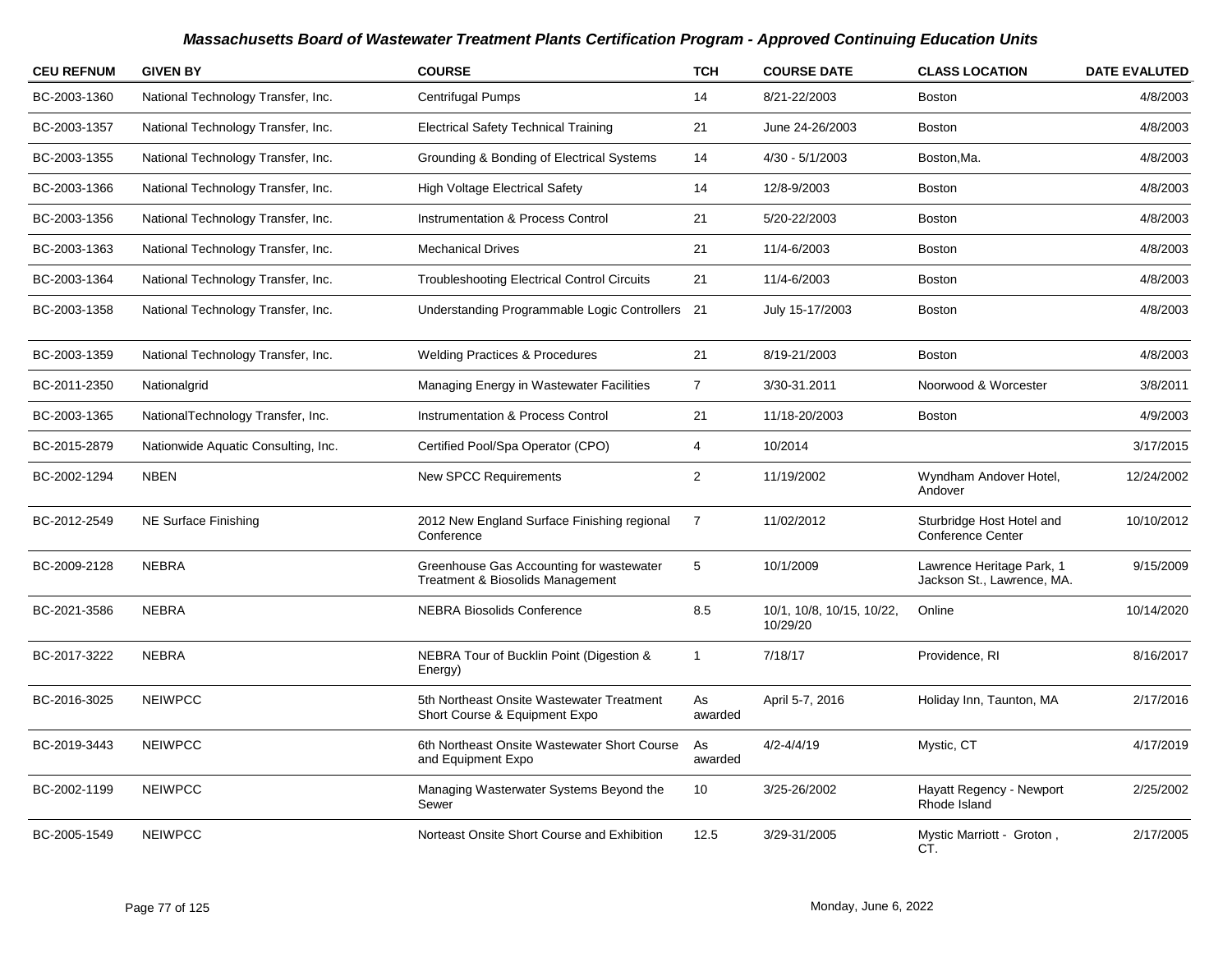| <b>CEU REFNUM</b> | <b>GIVEN BY</b>                     | <b>COURSE</b>                                                                | <b>TCH</b>     | <b>COURSE DATE</b>                    | <b>CLASS LOCATION</b>                                   | <b>DATE EVALUTED</b> |
|-------------------|-------------------------------------|------------------------------------------------------------------------------|----------------|---------------------------------------|---------------------------------------------------------|----------------------|
| BC-2003-1360      | National Technology Transfer, Inc.  | Centrifugal Pumps                                                            | 14             | 8/21-22/2003                          | <b>Boston</b>                                           | 4/8/2003             |
| BC-2003-1357      | National Technology Transfer, Inc.  | <b>Electrical Safety Technical Training</b>                                  | 21             | June 24-26/2003                       | <b>Boston</b>                                           | 4/8/2003             |
| BC-2003-1355      | National Technology Transfer, Inc.  | Grounding & Bonding of Electrical Systems                                    | 14             | $4/30 - 5/1/2003$                     | Boston, Ma.                                             | 4/8/2003             |
| BC-2003-1366      | National Technology Transfer, Inc.  | <b>High Voltage Electrical Safety</b>                                        | 14             | 12/8-9/2003                           | <b>Boston</b>                                           | 4/8/2003             |
| BC-2003-1356      | National Technology Transfer, Inc.  | Instrumentation & Process Control                                            | 21             | 5/20-22/2003                          | <b>Boston</b>                                           | 4/8/2003             |
| BC-2003-1363      | National Technology Transfer, Inc.  | <b>Mechanical Drives</b>                                                     | 21             | 11/4-6/2003                           | <b>Boston</b>                                           | 4/8/2003             |
| BC-2003-1364      | National Technology Transfer, Inc.  | <b>Troubleshooting Electrical Control Circuits</b>                           | 21             | 11/4-6/2003                           | <b>Boston</b>                                           | 4/8/2003             |
| BC-2003-1358      | National Technology Transfer, Inc.  | Understanding Programmable Logic Controllers 21                              |                | July 15-17/2003                       | <b>Boston</b>                                           | 4/8/2003             |
| BC-2003-1359      | National Technology Transfer, Inc.  | <b>Welding Practices &amp; Procedures</b>                                    | 21             | 8/19-21/2003                          | <b>Boston</b>                                           | 4/8/2003             |
| BC-2011-2350      | Nationalgrid                        | Managing Energy in Wastewater Facilities                                     | $\overline{7}$ | 3/30-31.2011                          | Noorwood & Worcester                                    | 3/8/2011             |
| BC-2003-1365      | NationalTechnology Transfer, Inc.   | <b>Instrumentation &amp; Process Control</b>                                 | 21             | 11/18-20/2003                         | <b>Boston</b>                                           | 4/9/2003             |
| BC-2015-2879      | Nationwide Aquatic Consulting, Inc. | Certified Pool/Spa Operator (CPO)                                            | $\overline{4}$ | 10/2014                               |                                                         | 3/17/2015            |
| BC-2002-1294      | <b>NBEN</b>                         | <b>New SPCC Requirements</b>                                                 | $\overline{2}$ | 11/19/2002                            | Wyndham Andover Hotel,<br>Andover                       | 12/24/2002           |
| BC-2012-2549      | NE Surface Finishing                | 2012 New England Surface Finishing regional<br>Conference                    | $\overline{7}$ | 11/02/2012                            | Sturbridge Host Hotel and<br><b>Conference Center</b>   | 10/10/2012           |
| BC-2009-2128      | <b>NEBRA</b>                        | Greenhouse Gas Accounting for wastewater<br>Treatment & Biosolids Management | $\sqrt{5}$     | 10/1/2009                             | Lawrence Heritage Park, 1<br>Jackson St., Lawrence, MA. | 9/15/2009            |
| BC-2021-3586      | <b>NEBRA</b>                        | <b>NEBRA Biosolids Conference</b>                                            | 8.5            | 10/1, 10/8, 10/15, 10/22,<br>10/29/20 | Online                                                  | 10/14/2020           |
| BC-2017-3222      | <b>NEBRA</b>                        | NEBRA Tour of Bucklin Point (Digestion &<br>Energy)                          | $\mathbf{1}$   | 7/18/17                               | Providence, RI                                          | 8/16/2017            |
| BC-2016-3025      | <b>NEIWPCC</b>                      | 5th Northeast Onsite Wastewater Treatment<br>Short Course & Equipment Expo   | As<br>awarded  | April 5-7, 2016                       | Holiday Inn, Taunton, MA                                | 2/17/2016            |
| BC-2019-3443      | <b>NEIWPCC</b>                      | 6th Northeast Onsite Wastewater Short Course<br>and Equipment Expo           | As<br>awarded  | $4/2 - 4/4/19$                        | Mystic, CT                                              | 4/17/2019            |
| BC-2002-1199      | <b>NEIWPCC</b>                      | Managing Wasterwater Systems Beyond the<br>Sewer                             | 10             | 3/25-26/2002                          | Hayatt Regency - Newport<br>Rhode Island                | 2/25/2002            |
| BC-2005-1549      | <b>NEIWPCC</b>                      | Norteast Onsite Short Course and Exhibition                                  | 12.5           | 3/29-31/2005                          | Mystic Marriott - Groton,<br>CT.                        | 2/17/2005            |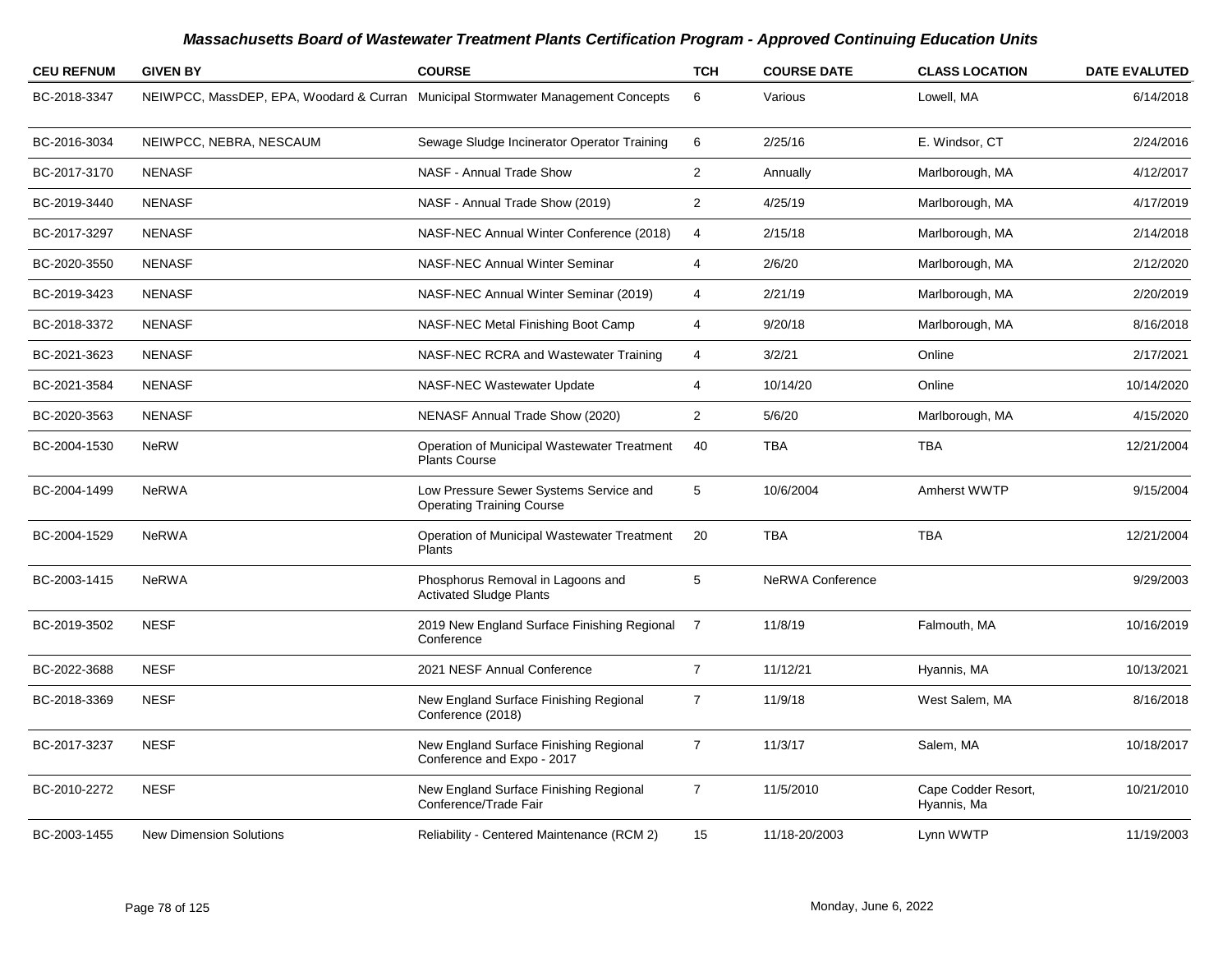| <b>CEU REFNUM</b> | <b>GIVEN BY</b>                                                                  | <b>COURSE</b>                                                              | <b>TCH</b>              | <b>COURSE DATE</b>      | <b>CLASS LOCATION</b>              | <b>DATE EVALUTED</b> |
|-------------------|----------------------------------------------------------------------------------|----------------------------------------------------------------------------|-------------------------|-------------------------|------------------------------------|----------------------|
| BC-2018-3347      | NEIWPCC, MassDEP, EPA, Woodard & Curran Municipal Stormwater Management Concepts |                                                                            | 6                       | Various                 | Lowell, MA                         | 6/14/2018            |
| BC-2016-3034      | NEIWPCC, NEBRA, NESCAUM                                                          | Sewage Sludge Incinerator Operator Training                                | 6                       | 2/25/16                 | E. Windsor, CT                     | 2/24/2016            |
| BC-2017-3170      | <b>NENASF</b>                                                                    | NASF - Annual Trade Show                                                   | $\overline{2}$          | Annually                | Marlborough, MA                    | 4/12/2017            |
| BC-2019-3440      | <b>NENASF</b>                                                                    | NASF - Annual Trade Show (2019)                                            | $\overline{2}$          | 4/25/19                 | Marlborough, MA                    | 4/17/2019            |
| BC-2017-3297      | <b>NENASF</b>                                                                    | NASF-NEC Annual Winter Conference (2018)                                   | $\overline{\mathbf{4}}$ | 2/15/18                 | Marlborough, MA                    | 2/14/2018            |
| BC-2020-3550      | <b>NENASF</b>                                                                    | <b>NASF-NEC Annual Winter Seminar</b>                                      | 4                       | 2/6/20                  | Marlborough, MA                    | 2/12/2020            |
| BC-2019-3423      | <b>NENASF</b>                                                                    | NASF-NEC Annual Winter Seminar (2019)                                      | $\overline{4}$          | 2/21/19                 | Marlborough, MA                    | 2/20/2019            |
| BC-2018-3372      | <b>NENASF</b>                                                                    | NASF-NEC Metal Finishing Boot Camp                                         | 4                       | 9/20/18                 | Marlborough, MA                    | 8/16/2018            |
| BC-2021-3623      | <b>NENASF</b>                                                                    | NASF-NEC RCRA and Wastewater Training                                      | $\overline{4}$          | 3/2/21                  | Online                             | 2/17/2021            |
| BC-2021-3584      | <b>NENASF</b>                                                                    | NASF-NEC Wastewater Update                                                 | 4                       | 10/14/20                | Online                             | 10/14/2020           |
| BC-2020-3563      | <b>NENASF</b>                                                                    | NENASF Annual Trade Show (2020)                                            | $\overline{2}$          | 5/6/20                  | Marlborough, MA                    | 4/15/2020            |
| BC-2004-1530      | <b>NeRW</b>                                                                      | Operation of Municipal Wastewater Treatment<br><b>Plants Course</b>        | 40                      | <b>TBA</b>              | <b>TBA</b>                         | 12/21/2004           |
| BC-2004-1499      | <b>NeRWA</b>                                                                     | Low Pressure Sewer Systems Service and<br><b>Operating Training Course</b> | 5                       | 10/6/2004               | Amherst WWTP                       | 9/15/2004            |
| BC-2004-1529      | <b>NeRWA</b>                                                                     | Operation of Municipal Wastewater Treatment<br><b>Plants</b>               | 20                      | <b>TBA</b>              | <b>TBA</b>                         | 12/21/2004           |
| BC-2003-1415      | <b>NeRWA</b>                                                                     | Phosphorus Removal in Lagoons and<br><b>Activated Sludge Plants</b>        | 5                       | <b>NeRWA Conference</b> |                                    | 9/29/2003            |
| BC-2019-3502      | <b>NESF</b>                                                                      | 2019 New England Surface Finishing Regional<br>Conference                  | $\overline{7}$          | 11/8/19                 | Falmouth, MA                       | 10/16/2019           |
| BC-2022-3688      | <b>NESF</b>                                                                      | 2021 NESF Annual Conference                                                | $\overline{7}$          | 11/12/21                | Hyannis, MA                        | 10/13/2021           |
| BC-2018-3369      | <b>NESF</b>                                                                      | New England Surface Finishing Regional<br>Conference (2018)                | $\overline{7}$          | 11/9/18                 | West Salem, MA                     | 8/16/2018            |
| BC-2017-3237      | <b>NESF</b>                                                                      | New England Surface Finishing Regional<br>Conference and Expo - 2017       | $\overline{7}$          | 11/3/17                 | Salem, MA                          | 10/18/2017           |
| BC-2010-2272      | <b>NESF</b>                                                                      | New England Surface Finishing Regional<br>Conference/Trade Fair            | $\overline{7}$          | 11/5/2010               | Cape Codder Resort,<br>Hyannis, Ma | 10/21/2010           |
| BC-2003-1455      | <b>New Dimension Solutions</b>                                                   | Reliability - Centered Maintenance (RCM 2)                                 | 15                      | 11/18-20/2003           | Lynn WWTP                          | 11/19/2003           |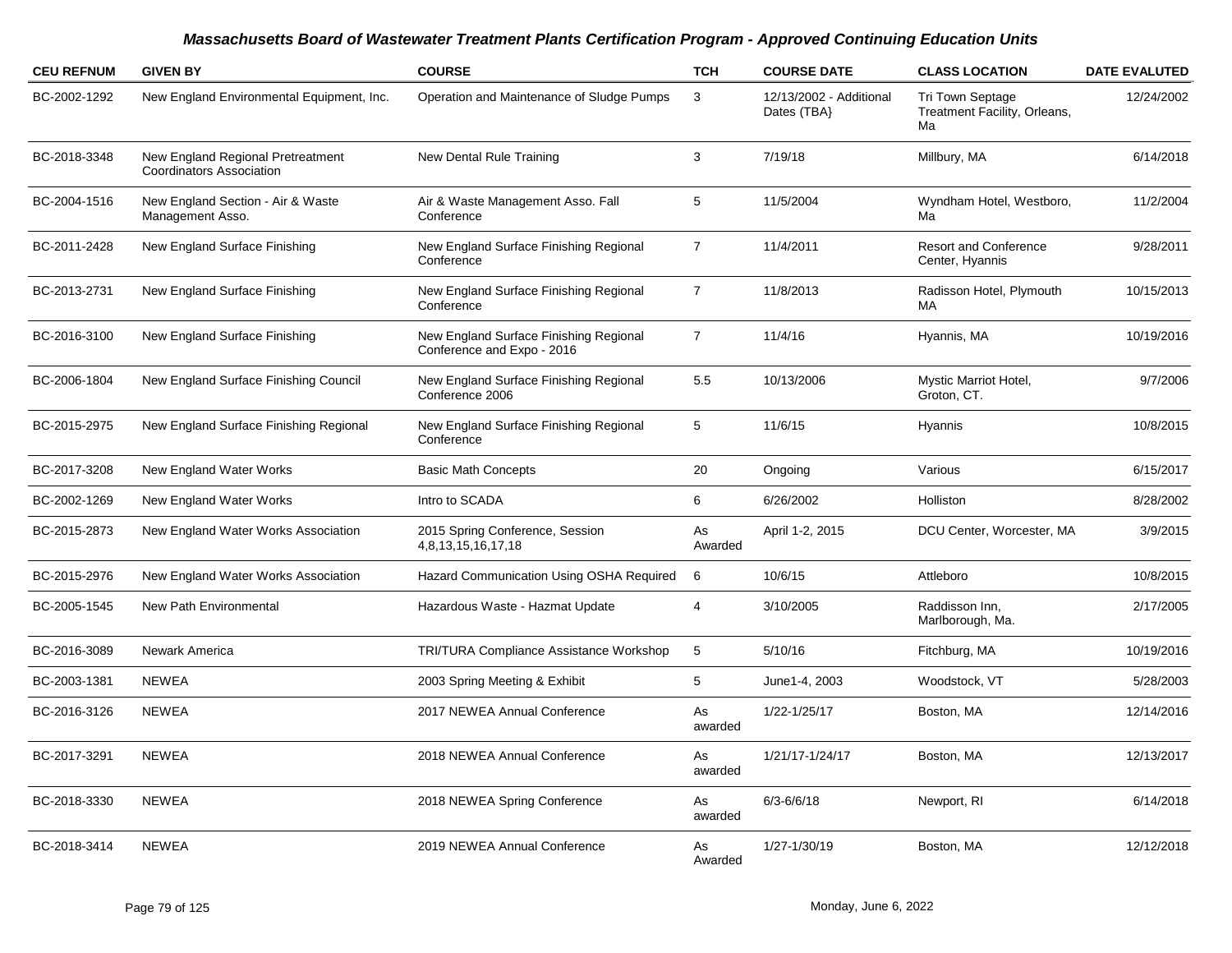| <b>CEU REFNUM</b> | <b>GIVEN BY</b>                                                      | <b>COURSE</b>                                                        | <b>TCH</b>     | <b>COURSE DATE</b>                     | <b>CLASS LOCATION</b>                                         | <b>DATE EVALUTED</b> |
|-------------------|----------------------------------------------------------------------|----------------------------------------------------------------------|----------------|----------------------------------------|---------------------------------------------------------------|----------------------|
| BC-2002-1292      | New England Environmental Equipment, Inc.                            | Operation and Maintenance of Sludge Pumps                            | 3              | 12/13/2002 - Additional<br>Dates (TBA} | <b>Tri Town Septage</b><br>Treatment Facility, Orleans,<br>Ma | 12/24/2002           |
| BC-2018-3348      | New England Regional Pretreatment<br><b>Coordinators Association</b> | New Dental Rule Training                                             | 3              | 7/19/18                                | Millbury, MA                                                  | 6/14/2018            |
| BC-2004-1516      | New England Section - Air & Waste<br>Management Asso.                | Air & Waste Management Asso. Fall<br>Conference                      | 5              | 11/5/2004                              | Wyndham Hotel, Westboro,<br>Ma                                | 11/2/2004            |
| BC-2011-2428      | New England Surface Finishing                                        | New England Surface Finishing Regional<br>Conference                 | $\overline{7}$ | 11/4/2011                              | <b>Resort and Conference</b><br>Center, Hyannis               | 9/28/2011            |
| BC-2013-2731      | New England Surface Finishing                                        | New England Surface Finishing Regional<br>Conference                 | $\overline{7}$ | 11/8/2013                              | Radisson Hotel, Plymouth<br>MA                                | 10/15/2013           |
| BC-2016-3100      | New England Surface Finishing                                        | New England Surface Finishing Regional<br>Conference and Expo - 2016 | $\overline{7}$ | 11/4/16                                | Hyannis, MA                                                   | 10/19/2016           |
| BC-2006-1804      | New England Surface Finishing Council                                | New England Surface Finishing Regional<br>Conference 2006            | 5.5            | 10/13/2006                             | Mystic Marriot Hotel,<br>Groton, CT.                          | 9/7/2006             |
| BC-2015-2975      | New England Surface Finishing Regional                               | New England Surface Finishing Regional<br>Conference                 | 5              | 11/6/15                                | Hyannis                                                       | 10/8/2015            |
| BC-2017-3208      | New England Water Works                                              | <b>Basic Math Concepts</b>                                           | 20             | Ongoing                                | Various                                                       | 6/15/2017            |
| BC-2002-1269      | New England Water Works                                              | Intro to SCADA                                                       | 6              | 6/26/2002                              | Holliston                                                     | 8/28/2002            |
| BC-2015-2873      | New England Water Works Association                                  | 2015 Spring Conference, Session<br>4,8,13,15,16,17,18                | As<br>Awarded  | April 1-2, 2015                        | DCU Center, Worcester, MA                                     | 3/9/2015             |
| BC-2015-2976      | New England Water Works Association                                  | Hazard Communication Using OSHA Required                             | 6              | 10/6/15                                | Attleboro                                                     | 10/8/2015            |
| BC-2005-1545      | New Path Environmental                                               | Hazardous Waste - Hazmat Update                                      | 4              | 3/10/2005                              | Raddisson Inn,<br>Marlborough, Ma.                            | 2/17/2005            |
| BC-2016-3089      | Newark America                                                       | TRI/TURA Compliance Assistance Workshop                              | 5              | 5/10/16                                | Fitchburg, MA                                                 | 10/19/2016           |
| BC-2003-1381      | <b>NEWEA</b>                                                         | 2003 Spring Meeting & Exhibit                                        | 5              | June1-4, 2003                          | Woodstock, VT                                                 | 5/28/2003            |
| BC-2016-3126      | <b>NEWEA</b>                                                         | 2017 NEWEA Annual Conference                                         | As<br>awarded  | 1/22-1/25/17                           | Boston, MA                                                    | 12/14/2016           |
| BC-2017-3291      | <b>NEWEA</b>                                                         | 2018 NEWEA Annual Conference                                         | As<br>awarded  | 1/21/17-1/24/17                        | Boston, MA                                                    | 12/13/2017           |
| BC-2018-3330      | <b>NEWEA</b>                                                         | 2018 NEWEA Spring Conference                                         | As<br>awarded  | $6/3 - 6/6/18$                         | Newport, RI                                                   | 6/14/2018            |
| BC-2018-3414      | <b>NEWEA</b>                                                         | 2019 NEWEA Annual Conference                                         | As<br>Awarded  | 1/27-1/30/19                           | Boston, MA                                                    | 12/12/2018           |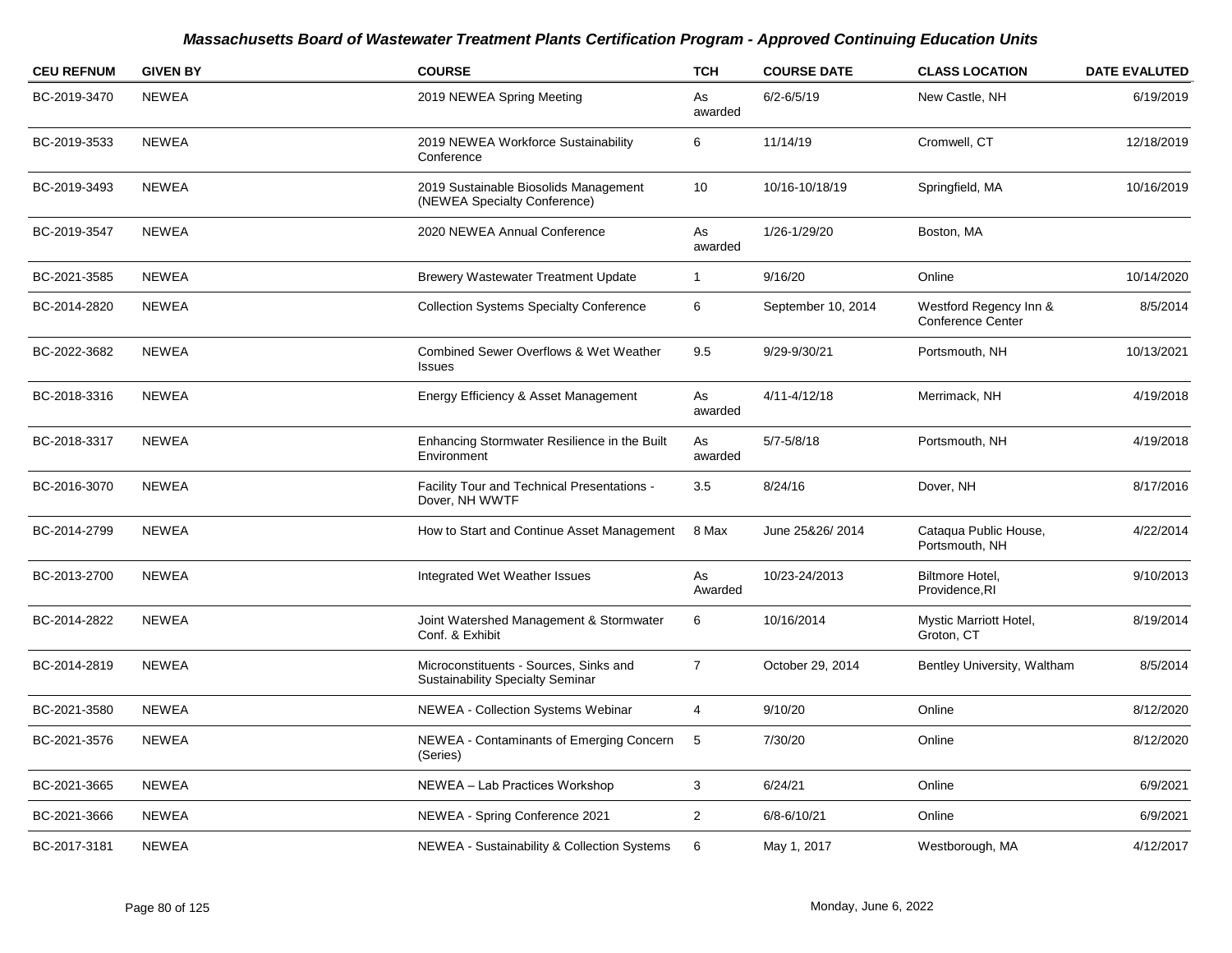| <b>CEU REFNUM</b> | <b>GIVEN BY</b> | <b>COURSE</b>                                                                     | <b>TCH</b>     | <b>COURSE DATE</b> | <b>CLASS LOCATION</b>                              | <b>DATE EVALUTED</b> |
|-------------------|-----------------|-----------------------------------------------------------------------------------|----------------|--------------------|----------------------------------------------------|----------------------|
| BC-2019-3470      | <b>NEWEA</b>    | 2019 NEWEA Spring Meeting                                                         | As<br>awarded  | $6/2 - 6/5/19$     | New Castle, NH                                     | 6/19/2019            |
| BC-2019-3533      | <b>NEWEA</b>    | 2019 NEWEA Workforce Sustainability<br>Conference                                 | 6              | 11/14/19           | Cromwell, CT                                       | 12/18/2019           |
| BC-2019-3493      | <b>NEWEA</b>    | 2019 Sustainable Biosolids Management<br>(NEWEA Specialty Conference)             | 10             | 10/16-10/18/19     | Springfield, MA                                    | 10/16/2019           |
| BC-2019-3547      | <b>NEWEA</b>    | 2020 NEWEA Annual Conference                                                      | As<br>awarded  | 1/26-1/29/20       | Boston, MA                                         |                      |
| BC-2021-3585      | <b>NEWEA</b>    | Brewery Wastewater Treatment Update                                               | $\mathbf{1}$   | 9/16/20            | Online                                             | 10/14/2020           |
| BC-2014-2820      | <b>NEWEA</b>    | <b>Collection Systems Specialty Conference</b>                                    | 6              | September 10, 2014 | Westford Regency Inn &<br><b>Conference Center</b> | 8/5/2014             |
| BC-2022-3682      | <b>NEWEA</b>    | <b>Combined Sewer Overflows &amp; Wet Weather</b><br><b>Issues</b>                | 9.5            | 9/29-9/30/21       | Portsmouth, NH                                     | 10/13/2021           |
| BC-2018-3316      | <b>NEWEA</b>    | Energy Efficiency & Asset Management                                              | As<br>awarded  | 4/11-4/12/18       | Merrimack, NH                                      | 4/19/2018            |
| BC-2018-3317      | <b>NEWEA</b>    | Enhancing Stormwater Resilience in the Built<br>Environment                       | As<br>awarded  | $5/7 - 5/8/18$     | Portsmouth, NH                                     | 4/19/2018            |
| BC-2016-3070      | <b>NEWEA</b>    | Facility Tour and Technical Presentations -<br>Dover, NH WWTF                     | 3.5            | 8/24/16            | Dover, NH                                          | 8/17/2016            |
| BC-2014-2799      | <b>NEWEA</b>    | How to Start and Continue Asset Management                                        | 8 Max          | June 25&26/2014    | Cataqua Public House,<br>Portsmouth, NH            | 4/22/2014            |
| BC-2013-2700      | <b>NEWEA</b>    | Integrated Wet Weather Issues                                                     | As<br>Awarded  | 10/23-24/2013      | Biltmore Hotel,<br>Providence, RI                  | 9/10/2013            |
| BC-2014-2822      | <b>NEWEA</b>    | Joint Watershed Management & Stormwater<br>Conf. & Exhibit                        | 6              | 10/16/2014         | Mystic Marriott Hotel,<br>Groton, CT               | 8/19/2014            |
| BC-2014-2819      | <b>NEWEA</b>    | Microconstituents - Sources, Sinks and<br><b>Sustainability Specialty Seminar</b> | $\overline{7}$ | October 29, 2014   | Bentley University, Waltham                        | 8/5/2014             |
| BC-2021-3580      | <b>NEWEA</b>    | <b>NEWEA - Collection Systems Webinar</b>                                         | 4              | 9/10/20            | Online                                             | 8/12/2020            |
| BC-2021-3576      | <b>NEWEA</b>    | NEWEA - Contaminants of Emerging Concern<br>(Series)                              | 5              | 7/30/20            | Online                                             | 8/12/2020            |
| BC-2021-3665      | <b>NEWEA</b>    | NEWEA - Lab Practices Workshop                                                    | 3              | 6/24/21            | Online                                             | 6/9/2021             |
| BC-2021-3666      | <b>NEWEA</b>    | NEWEA - Spring Conference 2021                                                    | $\overline{2}$ | 6/8-6/10/21        | Online                                             | 6/9/2021             |
| BC-2017-3181      | <b>NEWEA</b>    | NEWEA - Sustainability & Collection Systems                                       | 6              | May 1, 2017        | Westborough, MA                                    | 4/12/2017            |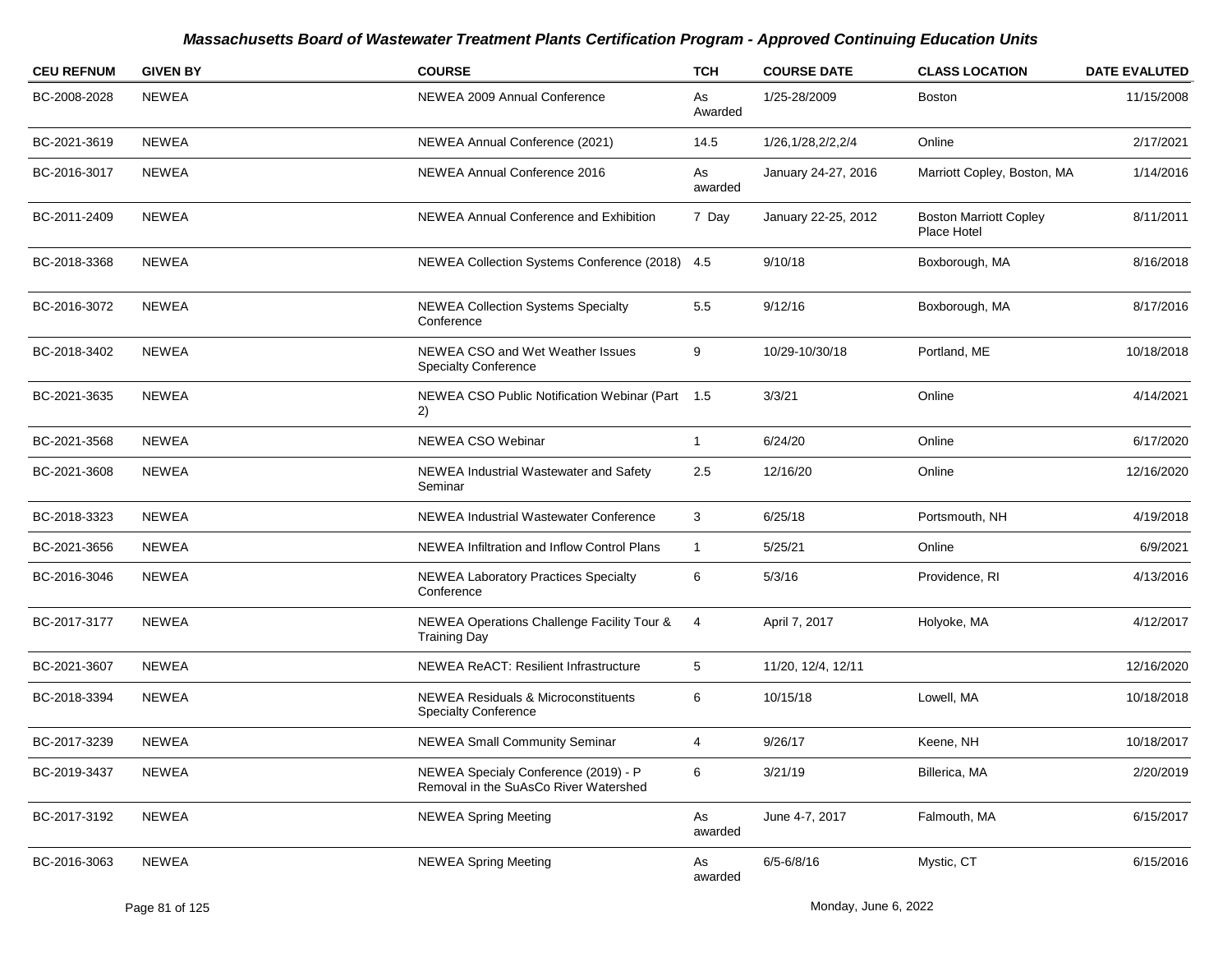| <b>CEU REFNUM</b> | <b>GIVEN BY</b> | <b>COURSE</b>                                                                 | <b>TCH</b>    | <b>COURSE DATE</b>  | <b>CLASS LOCATION</b>                        | <b>DATE EVALUTED</b> |
|-------------------|-----------------|-------------------------------------------------------------------------------|---------------|---------------------|----------------------------------------------|----------------------|
| BC-2008-2028      | <b>NEWEA</b>    | NEWEA 2009 Annual Conference                                                  | As<br>Awarded | 1/25-28/2009        | Boston                                       | 11/15/2008           |
| BC-2021-3619      | NEWEA           | NEWEA Annual Conference (2021)                                                | 14.5          | 1/26,1/28,2/2,2/4   | Online                                       | 2/17/2021            |
| BC-2016-3017      | NEWEA           | NEWEA Annual Conference 2016                                                  | As<br>awarded | January 24-27, 2016 | Marriott Copley, Boston, MA                  | 1/14/2016            |
| BC-2011-2409      | <b>NEWEA</b>    | NEWEA Annual Conference and Exhibition                                        | 7 Day         | January 22-25, 2012 | <b>Boston Marriott Copley</b><br>Place Hotel | 8/11/2011            |
| BC-2018-3368      | NEWEA           | NEWEA Collection Systems Conference (2018) 4.5                                |               | 9/10/18             | Boxborough, MA                               | 8/16/2018            |
| BC-2016-3072      | NEWEA           | <b>NEWEA Collection Systems Specialty</b><br>Conference                       | 5.5           | 9/12/16             | Boxborough, MA                               | 8/17/2016            |
| BC-2018-3402      | NEWEA           | NEWEA CSO and Wet Weather Issues<br><b>Specialty Conference</b>               | 9             | 10/29-10/30/18      | Portland, ME                                 | 10/18/2018           |
| BC-2021-3635      | NEWEA           | NEWEA CSO Public Notification Webinar (Part 1.5<br>2)                         |               | 3/3/21              | Online                                       | 4/14/2021            |
| BC-2021-3568      | NEWEA           | NEWEA CSO Webinar                                                             | $\mathbf{1}$  | 6/24/20             | Online                                       | 6/17/2020            |
| BC-2021-3608      | NEWEA           | NEWEA Industrial Wastewater and Safety<br>Seminar                             | 2.5           | 12/16/20            | Online                                       | 12/16/2020           |
| BC-2018-3323      | <b>NEWEA</b>    | NEWEA Industrial Wastewater Conference                                        | 3             | 6/25/18             | Portsmouth, NH                               | 4/19/2018            |
| BC-2021-3656      | <b>NEWEA</b>    | NEWEA Infiltration and Inflow Control Plans                                   | 1             | 5/25/21             | Online                                       | 6/9/2021             |
| BC-2016-3046      | <b>NEWEA</b>    | <b>NEWEA Laboratory Practices Specialty</b><br>Conference                     | 6             | 5/3/16              | Providence, RI                               | 4/13/2016            |
| BC-2017-3177      | <b>NEWEA</b>    | NEWEA Operations Challenge Facility Tour &<br><b>Training Day</b>             | 4             | April 7, 2017       | Holyoke, MA                                  | 4/12/2017            |
| BC-2021-3607      | NEWEA           | NEWEA ReACT: Resilient Infrastructure                                         | 5             | 11/20, 12/4, 12/11  |                                              | 12/16/2020           |
| BC-2018-3394      | <b>NEWEA</b>    | <b>NEWEA Residuals &amp; Microconstituents</b><br><b>Specialty Conference</b> | 6             | 10/15/18            | Lowell, MA                                   | 10/18/2018           |
| BC-2017-3239      | <b>NEWEA</b>    | <b>NEWEA Small Community Seminar</b>                                          | 4             | 9/26/17             | Keene, NH                                    | 10/18/2017           |
| BC-2019-3437      | <b>NEWEA</b>    | NEWEA Specialy Conference (2019) - P<br>Removal in the SuAsCo River Watershed | 6             | 3/21/19             | Billerica, MA                                | 2/20/2019            |
| BC-2017-3192      | <b>NEWEA</b>    | <b>NEWEA Spring Meeting</b>                                                   | As<br>awarded | June 4-7, 2017      | Falmouth, MA                                 | 6/15/2017            |
| BC-2016-3063      | NEWEA           | <b>NEWEA Spring Meeting</b>                                                   | As<br>awarded | $6/5 - 6/8/16$      | Mystic, CT                                   | 6/15/2016            |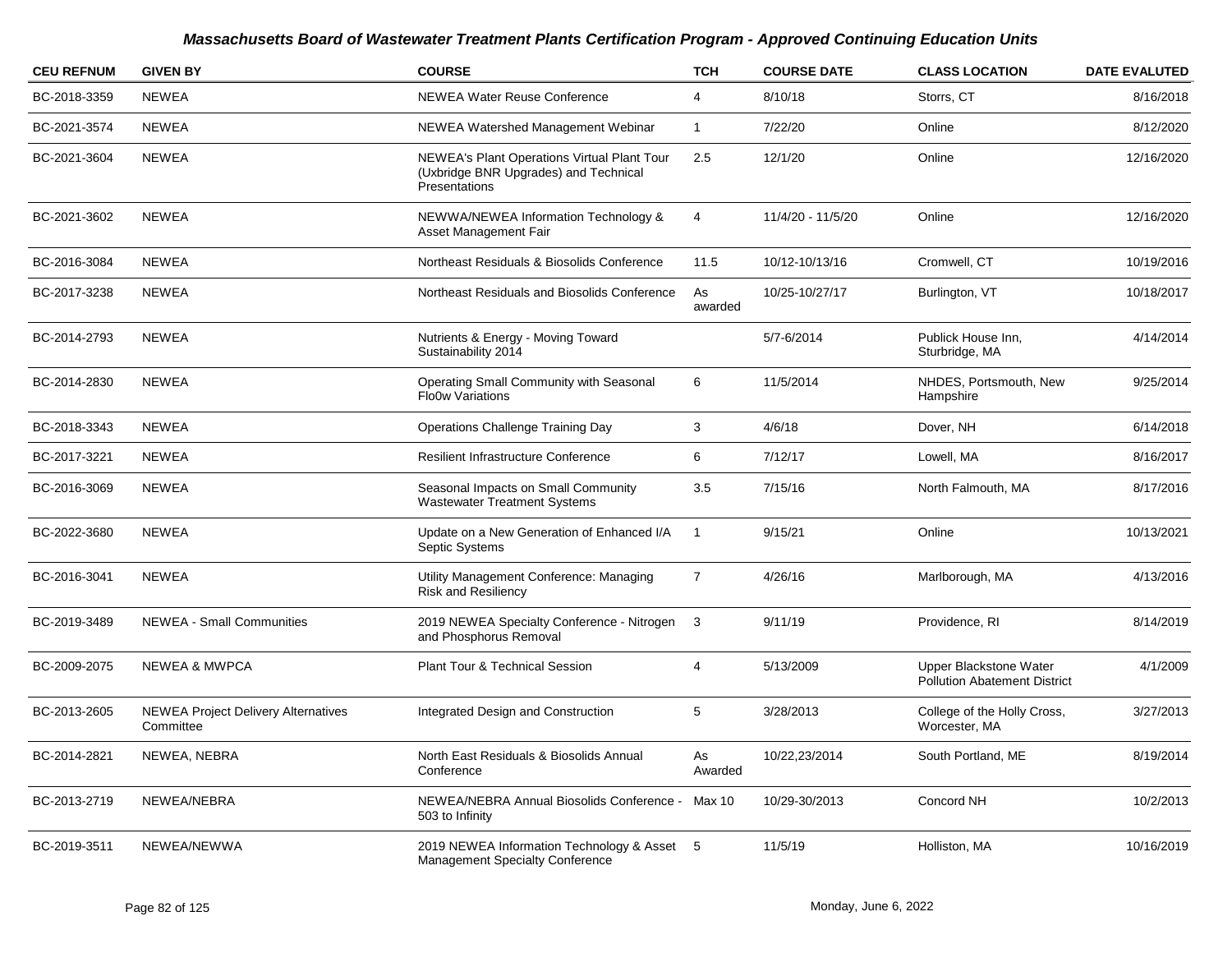| <b>CEU REFNUM</b> | <b>GIVEN BY</b>                                         | <b>COURSE</b>                                                                                         | <b>TCH</b>     | <b>COURSE DATE</b> | <b>CLASS LOCATION</b>                                         | <b>DATE EVALUTED</b> |
|-------------------|---------------------------------------------------------|-------------------------------------------------------------------------------------------------------|----------------|--------------------|---------------------------------------------------------------|----------------------|
| BC-2018-3359      | <b>NEWEA</b>                                            | <b>NEWEA Water Reuse Conference</b>                                                                   | 4              | 8/10/18            | Storrs, CT                                                    | 8/16/2018            |
| BC-2021-3574      | NEWEA                                                   | NEWEA Watershed Management Webinar                                                                    | $\mathbf{1}$   | 7/22/20            | Online                                                        | 8/12/2020            |
| BC-2021-3604      | <b>NEWEA</b>                                            | NEWEA's Plant Operations Virtual Plant Tour<br>(Uxbridge BNR Upgrades) and Technical<br>Presentations | 2.5            | 12/1/20            | Online                                                        | 12/16/2020           |
| BC-2021-3602      | <b>NEWEA</b>                                            | NEWWA/NEWEA Information Technology &<br>Asset Management Fair                                         | $\overline{4}$ | 11/4/20 - 11/5/20  | Online                                                        | 12/16/2020           |
| BC-2016-3084      | <b>NEWEA</b>                                            | Northeast Residuals & Biosolids Conference                                                            | 11.5           | 10/12-10/13/16     | Cromwell, CT                                                  | 10/19/2016           |
| BC-2017-3238      | <b>NEWEA</b>                                            | Northeast Residuals and Biosolids Conference                                                          | As<br>awarded  | 10/25-10/27/17     | Burlington, VT                                                | 10/18/2017           |
| BC-2014-2793      | <b>NEWEA</b>                                            | Nutrients & Energy - Moving Toward<br>Sustainability 2014                                             |                | 5/7-6/2014         | Publick House Inn,<br>Sturbridge, MA                          | 4/14/2014            |
| BC-2014-2830      | <b>NEWEA</b>                                            | Operating Small Community with Seasonal<br><b>Flo0w Variations</b>                                    | 6              | 11/5/2014          | NHDES, Portsmouth, New<br>Hampshire                           | 9/25/2014            |
| BC-2018-3343      | <b>NEWEA</b>                                            | <b>Operations Challenge Training Day</b>                                                              | 3              | 4/6/18             | Dover, NH                                                     | 6/14/2018            |
| BC-2017-3221      | <b>NEWEA</b>                                            | <b>Resilient Infrastructure Conference</b>                                                            | 6              | 7/12/17            | Lowell, MA                                                    | 8/16/2017            |
| BC-2016-3069      | <b>NEWEA</b>                                            | Seasonal Impacts on Small Community<br><b>Wastewater Treatment Systems</b>                            | 3.5            | 7/15/16            | North Falmouth, MA                                            | 8/17/2016            |
| BC-2022-3680      | <b>NEWEA</b>                                            | Update on a New Generation of Enhanced I/A<br>Septic Systems                                          | $\overline{1}$ | 9/15/21            | Online                                                        | 10/13/2021           |
| BC-2016-3041      | <b>NEWEA</b>                                            | Utility Management Conference: Managing<br><b>Risk and Resiliency</b>                                 | $\overline{7}$ | 4/26/16            | Marlborough, MA                                               | 4/13/2016            |
| BC-2019-3489      | <b>NEWEA - Small Communities</b>                        | 2019 NEWEA Specialty Conference - Nitrogen<br>and Phosphorus Removal                                  | 3              | 9/11/19            | Providence, RI                                                | 8/14/2019            |
| BC-2009-2075      | <b>NEWEA &amp; MWPCA</b>                                | <b>Plant Tour &amp; Technical Session</b>                                                             | 4              | 5/13/2009          | Upper Blackstone Water<br><b>Pollution Abatement District</b> | 4/1/2009             |
| BC-2013-2605      | <b>NEWEA Project Delivery Alternatives</b><br>Committee | Integrated Design and Construction                                                                    | 5              | 3/28/2013          | College of the Holly Cross,<br>Worcester, MA                  | 3/27/2013            |
| BC-2014-2821      | NEWEA, NEBRA                                            | North East Residuals & Biosolids Annual<br>Conference                                                 | As<br>Awarded  | 10/22,23/2014      | South Portland, ME                                            | 8/19/2014            |
| BC-2013-2719      | NEWEA/NEBRA                                             | NEWEA/NEBRA Annual Biosolids Conference -<br>503 to Infinity                                          | Max 10         | 10/29-30/2013      | Concord NH                                                    | 10/2/2013            |
| BC-2019-3511      | NEWEA/NEWWA                                             | 2019 NEWEA Information Technology & Asset 5<br><b>Management Specialty Conference</b>                 |                | 11/5/19            | Holliston, MA                                                 | 10/16/2019           |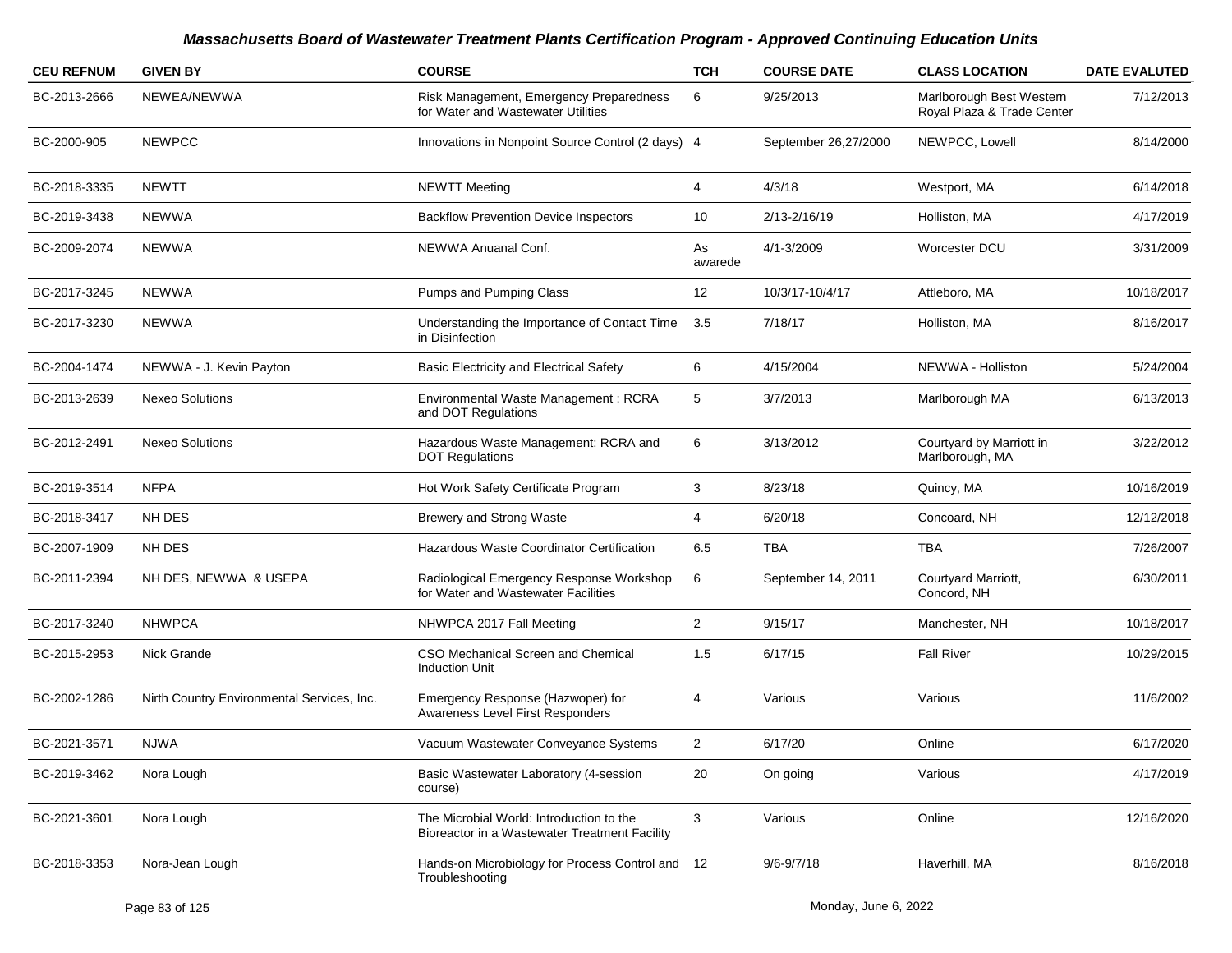| <b>CEU REFNUM</b> | <b>GIVEN BY</b>                            | <b>COURSE</b>                                                                             | <b>TCH</b>     | <b>COURSE DATE</b>   | <b>CLASS LOCATION</b>                                  | <b>DATE EVALUTED</b> |
|-------------------|--------------------------------------------|-------------------------------------------------------------------------------------------|----------------|----------------------|--------------------------------------------------------|----------------------|
| BC-2013-2666      | NEWEA/NEWWA                                | Risk Management, Emergency Preparedness<br>for Water and Wastewater Utilities             | 6              | 9/25/2013            | Marlborough Best Western<br>Royal Plaza & Trade Center | 7/12/2013            |
| BC-2000-905       | <b>NEWPCC</b>                              | Innovations in Nonpoint Source Control (2 days) 4                                         |                | September 26,27/2000 | NEWPCC, Lowell                                         | 8/14/2000            |
| BC-2018-3335      | <b>NEWTT</b>                               | <b>NEWTT Meeting</b>                                                                      | 4              | 4/3/18               | Westport, MA                                           | 6/14/2018            |
| BC-2019-3438      | NEWWA                                      | <b>Backflow Prevention Device Inspectors</b>                                              | 10             | 2/13-2/16/19         | Holliston, MA                                          | 4/17/2019            |
| BC-2009-2074      | <b>NEWWA</b>                               | NEWWA Anuanal Conf.                                                                       | As<br>awarede  | 4/1-3/2009           | Worcester DCU                                          | 3/31/2009            |
| BC-2017-3245      | NEWWA                                      | Pumps and Pumping Class                                                                   | 12             | 10/3/17-10/4/17      | Attleboro, MA                                          | 10/18/2017           |
| BC-2017-3230      | NEWWA                                      | Understanding the Importance of Contact Time<br>in Disinfection                           | 3.5            | 7/18/17              | Holliston, MA                                          | 8/16/2017            |
| BC-2004-1474      | NEWWA - J. Kevin Payton                    | <b>Basic Electricity and Electrical Safety</b>                                            | 6              | 4/15/2004            | NEWWA - Holliston                                      | 5/24/2004            |
| BC-2013-2639      | <b>Nexeo Solutions</b>                     | Environmental Waste Management: RCRA<br>and DOT Regulations                               | 5              | 3/7/2013             | Marlborough MA                                         | 6/13/2013            |
| BC-2012-2491      | <b>Nexeo Solutions</b>                     | Hazardous Waste Management: RCRA and<br><b>DOT Regulations</b>                            | 6              | 3/13/2012            | Courtyard by Marriott in<br>Marlborough, MA            | 3/22/2012            |
| BC-2019-3514      | <b>NFPA</b>                                | Hot Work Safety Certificate Program                                                       | 3              | 8/23/18              | Quincy, MA                                             | 10/16/2019           |
| BC-2018-3417      | NH DES                                     | <b>Brewery and Strong Waste</b>                                                           | 4              | 6/20/18              | Concoard, NH                                           | 12/12/2018           |
| BC-2007-1909      | NH DES                                     | Hazardous Waste Coordinator Certification                                                 | 6.5            | <b>TBA</b>           | <b>TBA</b>                                             | 7/26/2007            |
| BC-2011-2394      | NH DES, NEWWA & USEPA                      | Radiological Emergency Response Workshop<br>for Water and Wastewater Facilities           | 6              | September 14, 2011   | Courtyard Marriott,<br>Concord, NH                     | 6/30/2011            |
| BC-2017-3240      | <b>NHWPCA</b>                              | NHWPCA 2017 Fall Meeting                                                                  | $\overline{2}$ | 9/15/17              | Manchester, NH                                         | 10/18/2017           |
| BC-2015-2953      | Nick Grande                                | CSO Mechanical Screen and Chemical<br><b>Induction Unit</b>                               | 1.5            | 6/17/15              | <b>Fall River</b>                                      | 10/29/2015           |
| BC-2002-1286      | Nirth Country Environmental Services, Inc. | Emergency Response (Hazwoper) for<br>Awareness Level First Responders                     | 4              | Various              | Various                                                | 11/6/2002            |
| BC-2021-3571      | NJWA                                       | Vacuum Wastewater Conveyance Systems                                                      | 2              | 6/17/20              | Online                                                 | 6/17/2020            |
| BC-2019-3462      | Nora Lough                                 | Basic Wastewater Laboratory (4-session<br>course)                                         | 20             | On going             | Various                                                | 4/17/2019            |
| BC-2021-3601      | Nora Lough                                 | The Microbial World: Introduction to the<br>Bioreactor in a Wastewater Treatment Facility | 3              | Various              | Online                                                 | 12/16/2020           |
| BC-2018-3353      | Nora-Jean Lough                            | Hands-on Microbiology for Process Control and 12<br>Troubleshooting                       |                | $9/6 - 9/7/18$       | Haverhill, MA                                          | 8/16/2018            |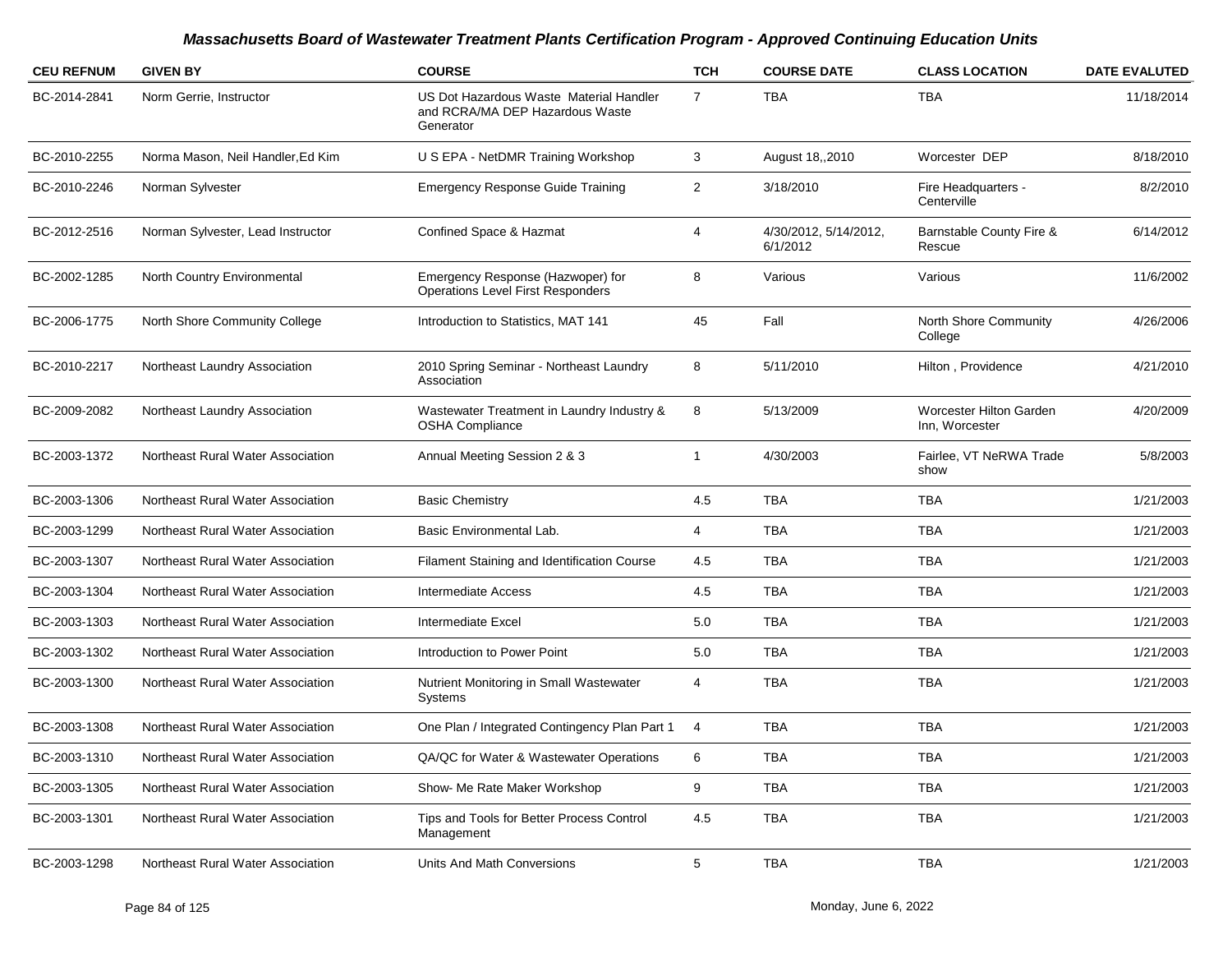| <b>CEU REFNUM</b> | <b>GIVEN BY</b>                   | <b>COURSE</b>                                                                           | <b>TCH</b>     | <b>COURSE DATE</b>                | <b>CLASS LOCATION</b>                     | <b>DATE EVALUTED</b> |
|-------------------|-----------------------------------|-----------------------------------------------------------------------------------------|----------------|-----------------------------------|-------------------------------------------|----------------------|
| BC-2014-2841      | Norm Gerrie, Instructor           | US Dot Hazardous Waste Material Handler<br>and RCRA/MA DEP Hazardous Waste<br>Generator | $\overline{7}$ | <b>TBA</b>                        | <b>TBA</b>                                | 11/18/2014           |
| BC-2010-2255      | Norma Mason, Neil Handler, Ed Kim | U S EPA - NetDMR Training Workshop                                                      | 3              | August 18,,2010                   | Worcester DEP                             | 8/18/2010            |
| BC-2010-2246      | Norman Sylvester                  | <b>Emergency Response Guide Training</b>                                                | 2              | 3/18/2010                         | Fire Headquarters -<br>Centerville        | 8/2/2010             |
| BC-2012-2516      | Norman Sylvester, Lead Instructor | Confined Space & Hazmat                                                                 | 4              | 4/30/2012, 5/14/2012,<br>6/1/2012 | Barnstable County Fire &<br>Rescue        | 6/14/2012            |
| BC-2002-1285      | North Country Environmental       | Emergency Response (Hazwoper) for<br><b>Operations Level First Responders</b>           | 8              | Various                           | Various                                   | 11/6/2002            |
| BC-2006-1775      | North Shore Community College     | Introduction to Statistics, MAT 141                                                     | 45             | Fall                              | North Shore Community<br>College          | 4/26/2006            |
| BC-2010-2217      | Northeast Laundry Association     | 2010 Spring Seminar - Northeast Laundry<br>Association                                  | 8              | 5/11/2010                         | Hilton, Providence                        | 4/21/2010            |
| BC-2009-2082      | Northeast Laundry Association     | Wastewater Treatment in Laundry Industry &<br><b>OSHA Compliance</b>                    | 8              | 5/13/2009                         | Worcester Hilton Garden<br>Inn, Worcester | 4/20/2009            |
| BC-2003-1372      | Northeast Rural Water Association | Annual Meeting Session 2 & 3                                                            | $\overline{1}$ | 4/30/2003                         | Fairlee, VT NeRWA Trade<br>show           | 5/8/2003             |
| BC-2003-1306      | Northeast Rural Water Association | <b>Basic Chemistry</b>                                                                  | 4.5            | <b>TBA</b>                        | <b>TBA</b>                                | 1/21/2003            |
| BC-2003-1299      | Northeast Rural Water Association | Basic Environmental Lab.                                                                | 4              | <b>TBA</b>                        | <b>TBA</b>                                | 1/21/2003            |
| BC-2003-1307      | Northeast Rural Water Association | Filament Staining and Identification Course                                             | 4.5            | <b>TBA</b>                        | <b>TBA</b>                                | 1/21/2003            |
| BC-2003-1304      | Northeast Rural Water Association | <b>Intermediate Access</b>                                                              | 4.5            | <b>TBA</b>                        | <b>TBA</b>                                | 1/21/2003            |
| BC-2003-1303      | Northeast Rural Water Association | Intermediate Excel                                                                      | 5.0            | <b>TBA</b>                        | <b>TBA</b>                                | 1/21/2003            |
| BC-2003-1302      | Northeast Rural Water Association | Introduction to Power Point                                                             | 5.0            | <b>TBA</b>                        | <b>TBA</b>                                | 1/21/2003            |
| BC-2003-1300      | Northeast Rural Water Association | Nutrient Monitoring in Small Wastewater<br>Systems                                      | 4              | <b>TBA</b>                        | <b>TBA</b>                                | 1/21/2003            |
| BC-2003-1308      | Northeast Rural Water Association | One Plan / Integrated Contingency Plan Part 1                                           | $\overline{4}$ | <b>TBA</b>                        | <b>TBA</b>                                | 1/21/2003            |
| BC-2003-1310      | Northeast Rural Water Association | QA/QC for Water & Wastewater Operations                                                 | 6              | <b>TBA</b>                        | <b>TBA</b>                                | 1/21/2003            |
| BC-2003-1305      | Northeast Rural Water Association | Show- Me Rate Maker Workshop                                                            | 9              | <b>TBA</b>                        | <b>TBA</b>                                | 1/21/2003            |
| BC-2003-1301      | Northeast Rural Water Association | Tips and Tools for Better Process Control<br>Management                                 | 4.5            | <b>TBA</b>                        | <b>TBA</b>                                | 1/21/2003            |
| BC-2003-1298      | Northeast Rural Water Association | Units And Math Conversions                                                              | 5              | <b>TBA</b>                        | <b>TBA</b>                                | 1/21/2003            |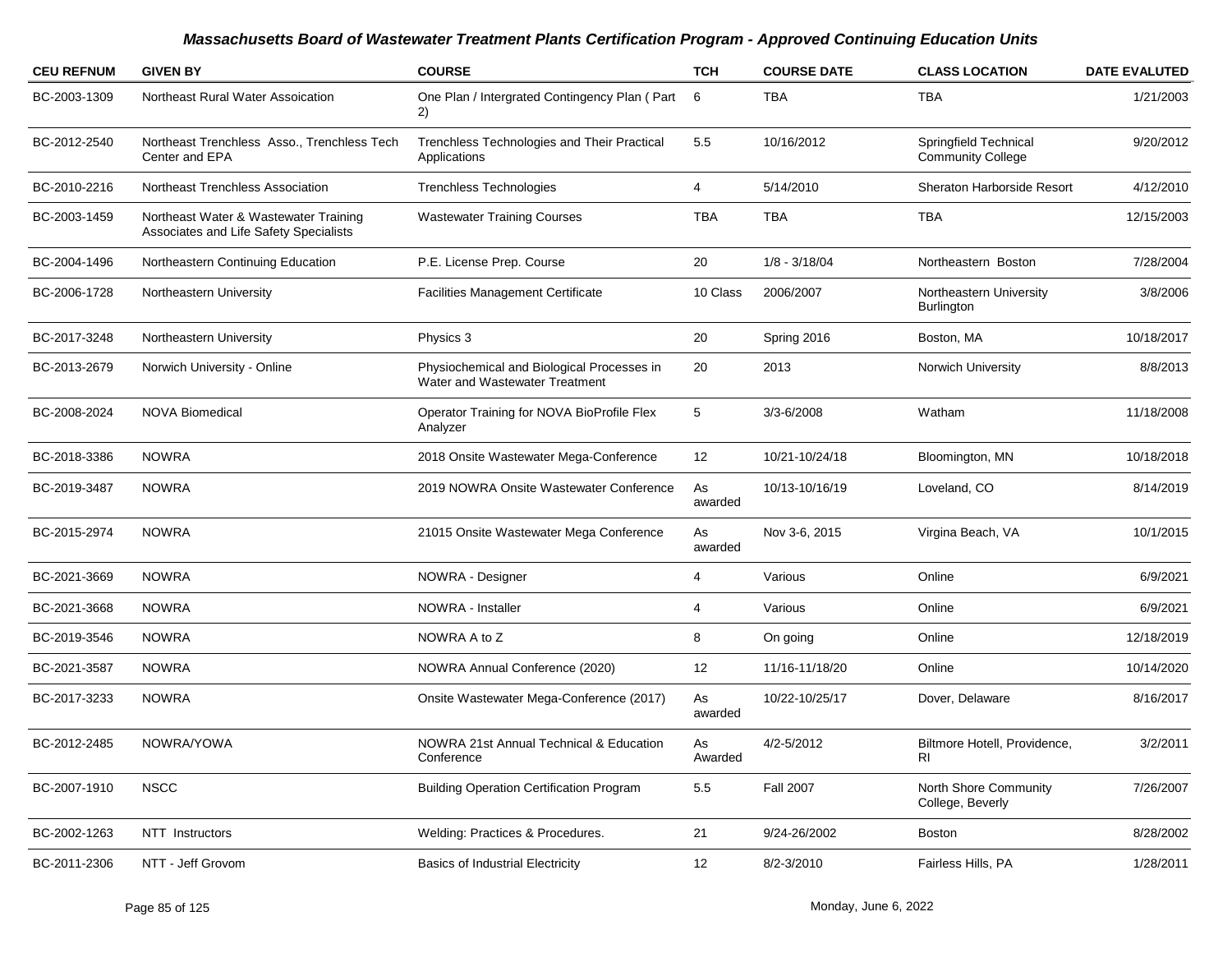| <b>CEU REFNUM</b> | <b>GIVEN BY</b>                                                                 | <b>COURSE</b>                                                                | <b>TCH</b>    | <b>COURSE DATE</b> | <b>CLASS LOCATION</b>                             | <b>DATE EVALUTED</b> |
|-------------------|---------------------------------------------------------------------------------|------------------------------------------------------------------------------|---------------|--------------------|---------------------------------------------------|----------------------|
| BC-2003-1309      | Northeast Rural Water Assoication                                               | One Plan / Intergrated Contingency Plan (Part<br>2)                          | 6             | <b>TBA</b>         | <b>TBA</b>                                        | 1/21/2003            |
| BC-2012-2540      | Northeast Trenchless Asso., Trenchless Tech<br>Center and EPA                   | Trenchless Technologies and Their Practical<br>Applications                  | 5.5           | 10/16/2012         | Springfield Technical<br><b>Community College</b> | 9/20/2012            |
| BC-2010-2216      | Northeast Trenchless Association                                                | <b>Trenchless Technologies</b>                                               | 4             | 5/14/2010          | Sheraton Harborside Resort                        | 4/12/2010            |
| BC-2003-1459      | Northeast Water & Wastewater Training<br>Associates and Life Safety Specialists | <b>Wastewater Training Courses</b>                                           | <b>TBA</b>    | <b>TBA</b>         | <b>TBA</b>                                        | 12/15/2003           |
| BC-2004-1496      | Northeastern Continuing Education                                               | P.E. License Prep. Course                                                    | 20            | $1/8 - 3/18/04$    | Northeastern Boston                               | 7/28/2004            |
| BC-2006-1728      | Northeastern University                                                         | <b>Facilities Management Certificate</b>                                     | 10 Class      | 2006/2007          | Northeastern University<br>Burlington             | 3/8/2006             |
| BC-2017-3248      | Northeastern University                                                         | Physics 3                                                                    | 20            | Spring 2016        | Boston, MA                                        | 10/18/2017           |
| BC-2013-2679      | Norwich University - Online                                                     | Physiochemical and Biological Processes in<br>Water and Wastewater Treatment | 20            | 2013               | Norwich University                                | 8/8/2013             |
| BC-2008-2024      | <b>NOVA Biomedical</b>                                                          | Operator Training for NOVA BioProfile Flex<br>Analyzer                       | 5             | 3/3-6/2008         | Watham                                            | 11/18/2008           |
| BC-2018-3386      | <b>NOWRA</b>                                                                    | 2018 Onsite Wastewater Mega-Conference                                       | 12            | 10/21-10/24/18     | Bloomington, MN                                   | 10/18/2018           |
| BC-2019-3487      | <b>NOWRA</b>                                                                    | 2019 NOWRA Onsite Wastewater Conference                                      | As<br>awarded | 10/13-10/16/19     | Loveland, CO                                      | 8/14/2019            |
| BC-2015-2974      | <b>NOWRA</b>                                                                    | 21015 Onsite Wastewater Mega Conference                                      | As<br>awarded | Nov 3-6, 2015      | Virgina Beach, VA                                 | 10/1/2015            |
| BC-2021-3669      | <b>NOWRA</b>                                                                    | NOWRA - Designer                                                             | 4             | Various            | Online                                            | 6/9/2021             |
| BC-2021-3668      | <b>NOWRA</b>                                                                    | NOWRA - Installer                                                            | 4             | Various            | Online                                            | 6/9/2021             |
| BC-2019-3546      | <b>NOWRA</b>                                                                    | NOWRA A to Z                                                                 | 8             | On going           | Online                                            | 12/18/2019           |
| BC-2021-3587      | <b>NOWRA</b>                                                                    | NOWRA Annual Conference (2020)                                               | 12            | 11/16-11/18/20     | Online                                            | 10/14/2020           |
| BC-2017-3233      | <b>NOWRA</b>                                                                    | Onsite Wastewater Mega-Conference (2017)                                     | As<br>awarded | 10/22-10/25/17     | Dover, Delaware                                   | 8/16/2017            |
| BC-2012-2485      | NOWRA/YOWA                                                                      | NOWRA 21st Annual Technical & Education<br>Conference                        | As<br>Awarded | 4/2-5/2012         | Biltmore Hotell, Providence,<br>R <sub>l</sub>    | 3/2/2011             |
| BC-2007-1910      | <b>NSCC</b>                                                                     | <b>Building Operation Certification Program</b>                              | 5.5           | <b>Fall 2007</b>   | North Shore Community<br>College, Beverly         | 7/26/2007            |
| BC-2002-1263      | NTT Instructors                                                                 | Welding: Practices & Procedures.                                             | 21            | 9/24-26/2002       | <b>Boston</b>                                     | 8/28/2002            |
| BC-2011-2306      | NTT - Jeff Grovom                                                               | <b>Basics of Industrial Electricity</b>                                      | 12            | 8/2-3/2010         | Fairless Hills, PA                                | 1/28/2011            |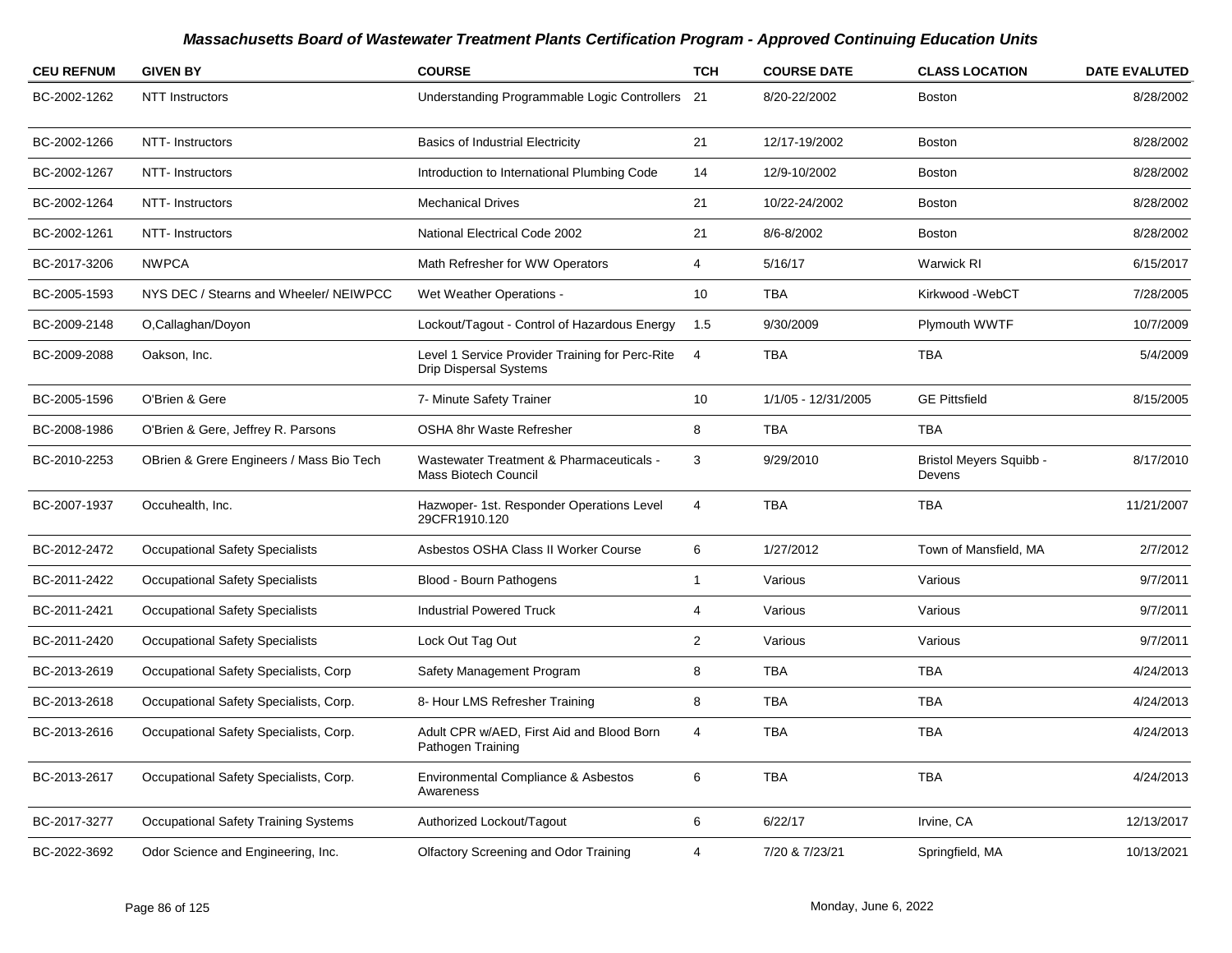| <b>CEU REFNUM</b> | <b>GIVEN BY</b>                          | <b>COURSE</b>                                                                    | <b>TCH</b>     | <b>COURSE DATE</b>  | <b>CLASS LOCATION</b>                    | <b>DATE EVALUTED</b> |
|-------------------|------------------------------------------|----------------------------------------------------------------------------------|----------------|---------------------|------------------------------------------|----------------------|
| BC-2002-1262      | <b>NTT</b> Instructors                   | Understanding Programmable Logic Controllers 21                                  |                | 8/20-22/2002        | <b>Boston</b>                            | 8/28/2002            |
| BC-2002-1266      | NTT- Instructors                         | <b>Basics of Industrial Electricity</b>                                          | 21             | 12/17-19/2002       | <b>Boston</b>                            | 8/28/2002            |
| BC-2002-1267      | NTT- Instructors                         | Introduction to International Plumbing Code                                      | 14             | 12/9-10/2002        | <b>Boston</b>                            | 8/28/2002            |
| BC-2002-1264      | NTT- Instructors                         | <b>Mechanical Drives</b>                                                         | 21             | 10/22-24/2002       | <b>Boston</b>                            | 8/28/2002            |
| BC-2002-1261      | NTT-Instructors                          | National Electrical Code 2002                                                    | 21             | 8/6-8/2002          | <b>Boston</b>                            | 8/28/2002            |
| BC-2017-3206      | <b>NWPCA</b>                             | Math Refresher for WW Operators                                                  | $\overline{4}$ | 5/16/17             | <b>Warwick RI</b>                        | 6/15/2017            |
| BC-2005-1593      | NYS DEC / Stearns and Wheeler/ NEIWPCC   | Wet Weather Operations -                                                         | 10             | <b>TBA</b>          | Kirkwood -WebCT                          | 7/28/2005            |
| BC-2009-2148      | O,Callaghan/Doyon                        | Lockout/Tagout - Control of Hazardous Energy                                     | 1.5            | 9/30/2009           | Plymouth WWTF                            | 10/7/2009            |
| BC-2009-2088      | Oakson, Inc.                             | Level 1 Service Provider Training for Perc-Rite<br><b>Drip Dispersal Systems</b> | $\overline{4}$ | <b>TBA</b>          | <b>TBA</b>                               | 5/4/2009             |
| BC-2005-1596      | O'Brien & Gere                           | 7- Minute Safety Trainer                                                         | 10             | 1/1/05 - 12/31/2005 | <b>GE Pittsfield</b>                     | 8/15/2005            |
| BC-2008-1986      | O'Brien & Gere, Jeffrey R. Parsons       | OSHA 8hr Waste Refresher                                                         | 8              | <b>TBA</b>          | <b>TBA</b>                               |                      |
| BC-2010-2253      | OBrien & Grere Engineers / Mass Bio Tech | Wastewater Treatment & Pharmaceuticals -<br><b>Mass Biotech Council</b>          | 3              | 9/29/2010           | <b>Bristol Meyers Squibb -</b><br>Devens | 8/17/2010            |
| BC-2007-1937      | Occuhealth, Inc.                         | Hazwoper- 1st. Responder Operations Level<br>29CFR1910.120                       | 4              | <b>TBA</b>          | <b>TBA</b>                               | 11/21/2007           |
| BC-2012-2472      | <b>Occupational Safety Specialists</b>   | Asbestos OSHA Class II Worker Course                                             | 6              | 1/27/2012           | Town of Mansfield, MA                    | 2/7/2012             |
| BC-2011-2422      | <b>Occupational Safety Specialists</b>   | Blood - Bourn Pathogens                                                          | $\mathbf{1}$   | Various             | Various                                  | 9/7/2011             |
| BC-2011-2421      | <b>Occupational Safety Specialists</b>   | <b>Industrial Powered Truck</b>                                                  | 4              | Various             | Various                                  | 9/7/2011             |
| BC-2011-2420      | <b>Occupational Safety Specialists</b>   | Lock Out Tag Out                                                                 | $\overline{2}$ | Various             | Various                                  | 9/7/2011             |
| BC-2013-2619      | Occupational Safety Specialists, Corp    | Safety Management Program                                                        | 8              | <b>TBA</b>          | <b>TBA</b>                               | 4/24/2013            |
| BC-2013-2618      | Occupational Safety Specialists, Corp.   | 8- Hour LMS Refresher Training                                                   | 8              | <b>TBA</b>          | <b>TBA</b>                               | 4/24/2013            |
| BC-2013-2616      | Occupational Safety Specialists, Corp.   | Adult CPR w/AED, First Aid and Blood Born<br>Pathogen Training                   | 4              | <b>TBA</b>          | <b>TBA</b>                               | 4/24/2013            |
| BC-2013-2617      | Occupational Safety Specialists, Corp.   | Environmental Compliance & Asbestos<br>Awareness                                 | 6              | <b>TBA</b>          | <b>TBA</b>                               | 4/24/2013            |
| BC-2017-3277      | Occupational Safety Training Systems     | Authorized Lockout/Tagout                                                        | 6              | 6/22/17             | Irvine, CA                               | 12/13/2017           |
| BC-2022-3692      | Odor Science and Engineering, Inc.       | <b>Olfactory Screening and Odor Training</b>                                     | 4              | 7/20 & 7/23/21      | Springfield, MA                          | 10/13/2021           |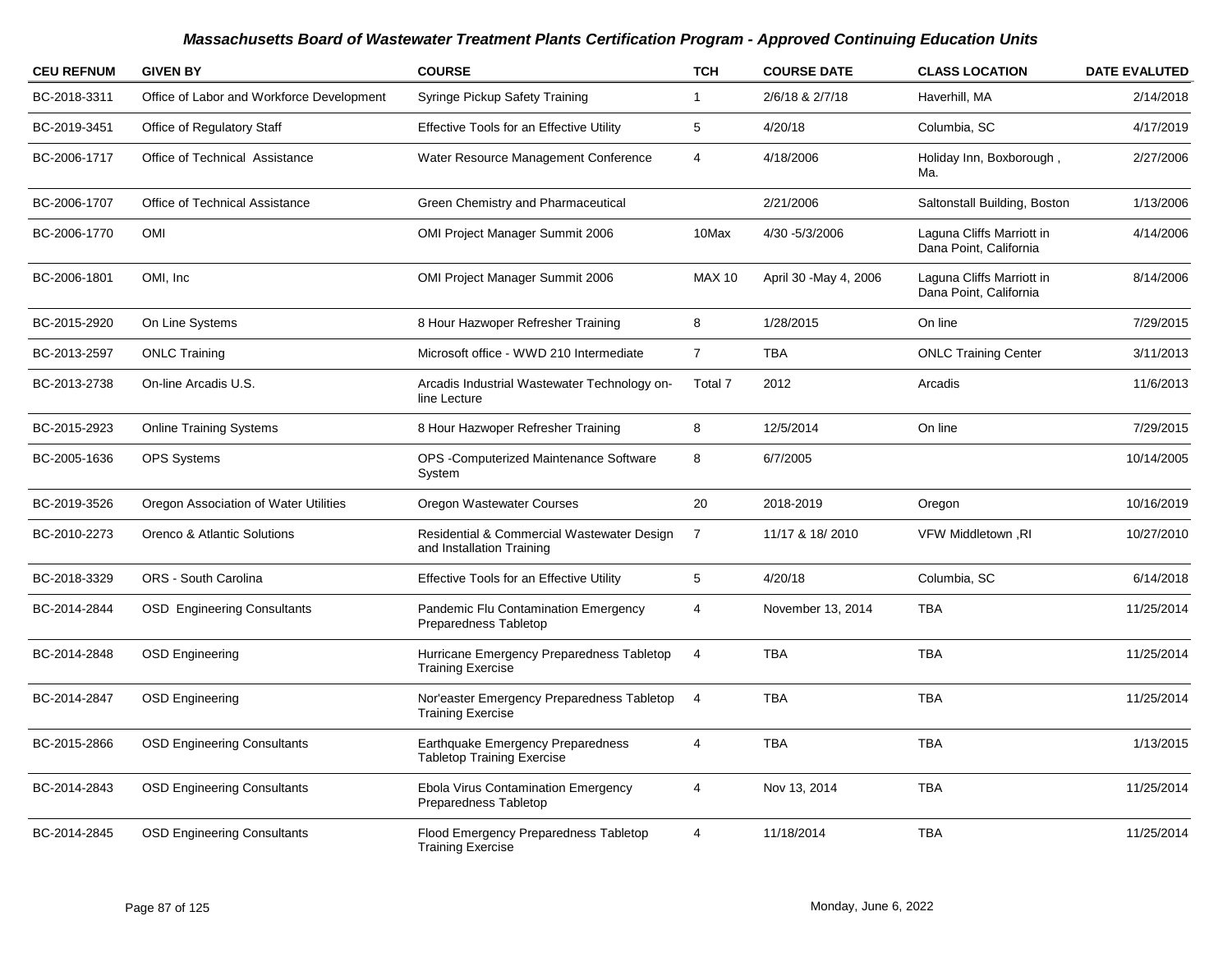| <b>CEU REFNUM</b> | <b>GIVEN BY</b>                           | <b>COURSE</b>                                                           | <b>TCH</b>     | <b>COURSE DATE</b>     | <b>CLASS LOCATION</b>                               | <b>DATE EVALUTED</b> |
|-------------------|-------------------------------------------|-------------------------------------------------------------------------|----------------|------------------------|-----------------------------------------------------|----------------------|
| BC-2018-3311      | Office of Labor and Workforce Development | Syringe Pickup Safety Training                                          | 1              | 2/6/18 & 2/7/18        | Haverhill, MA                                       | 2/14/2018            |
| BC-2019-3451      | Office of Regulatory Staff                | <b>Effective Tools for an Effective Utility</b>                         | 5              | 4/20/18                | Columbia, SC                                        | 4/17/2019            |
| BC-2006-1717      | Office of Technical Assistance            | Water Resource Management Conference                                    | 4              | 4/18/2006              | Holiday Inn, Boxborough,<br>Ma.                     | 2/27/2006            |
| BC-2006-1707      | Office of Technical Assistance            | Green Chemistry and Pharmaceutical                                      |                | 2/21/2006              | Saltonstall Building, Boston                        | 1/13/2006            |
| BC-2006-1770      | <b>OMI</b>                                | OMI Project Manager Summit 2006                                         | 10Max          | 4/30 - 5/3/2006        | Laguna Cliffs Marriott in<br>Dana Point, California | 4/14/2006            |
| BC-2006-1801      | OMI. Inc.                                 | OMI Project Manager Summit 2006                                         | <b>MAX 10</b>  | April 30 - May 4, 2006 | Laguna Cliffs Marriott in<br>Dana Point, California | 8/14/2006            |
| BC-2015-2920      | On Line Systems                           | 8 Hour Hazwoper Refresher Training                                      | 8              | 1/28/2015              | On line                                             | 7/29/2015            |
| BC-2013-2597      | <b>ONLC Training</b>                      | Microsoft office - WWD 210 Intermediate                                 | $\overline{7}$ | <b>TBA</b>             | <b>ONLC Training Center</b>                         | 3/11/2013            |
| BC-2013-2738      | On-line Arcadis U.S.                      | Arcadis Industrial Wastewater Technology on-<br>line Lecture            | Total 7        | 2012                   | Arcadis                                             | 11/6/2013            |
| BC-2015-2923      | <b>Online Training Systems</b>            | 8 Hour Hazwoper Refresher Training                                      | 8              | 12/5/2014              | On line                                             | 7/29/2015            |
| BC-2005-1636      | <b>OPS Systems</b>                        | OPS - Computerized Maintenance Software<br>System                       | 8              | 6/7/2005               |                                                     | 10/14/2005           |
| BC-2019-3526      | Oregon Association of Water Utilities     | Oregon Wastewater Courses                                               | 20             | 2018-2019              | Oregon                                              | 10/16/2019           |
| BC-2010-2273      | Orenco & Atlantic Solutions               | Residential & Commercial Wastewater Design<br>and Installation Training | $\overline{7}$ | 11/17 & 18/2010        | VFW Middletown, RI                                  | 10/27/2010           |
| BC-2018-3329      | ORS - South Carolina                      | <b>Effective Tools for an Effective Utility</b>                         | 5              | 4/20/18                | Columbia, SC                                        | 6/14/2018            |
| BC-2014-2844      | <b>OSD</b> Engineering Consultants        | Pandemic Flu Contamination Emergency<br>Preparedness Tabletop           | 4              | November 13, 2014      | <b>TBA</b>                                          | 11/25/2014           |
| BC-2014-2848      | <b>OSD Engineering</b>                    | Hurricane Emergency Preparedness Tabletop<br><b>Training Exercise</b>   | 4              | <b>TBA</b>             | <b>TBA</b>                                          | 11/25/2014           |
| BC-2014-2847      | <b>OSD Engineering</b>                    | Nor'easter Emergency Preparedness Tabletop<br><b>Training Exercise</b>  | $\overline{4}$ | <b>TBA</b>             | <b>TBA</b>                                          | 11/25/2014           |
| BC-2015-2866      | <b>OSD Engineering Consultants</b>        | Earthquake Emergency Preparedness<br><b>Tabletop Training Exercise</b>  | 4              | <b>TBA</b>             | <b>TBA</b>                                          | 1/13/2015            |
| BC-2014-2843      | <b>OSD Engineering Consultants</b>        | <b>Ebola Virus Contamination Emergency</b><br>Preparedness Tabletop     | 4              | Nov 13, 2014           | <b>TBA</b>                                          | 11/25/2014           |
| BC-2014-2845      | <b>OSD Engineering Consultants</b>        | Flood Emergency Preparedness Tabletop<br><b>Training Exercise</b>       | 4              | 11/18/2014             | <b>TBA</b>                                          | 11/25/2014           |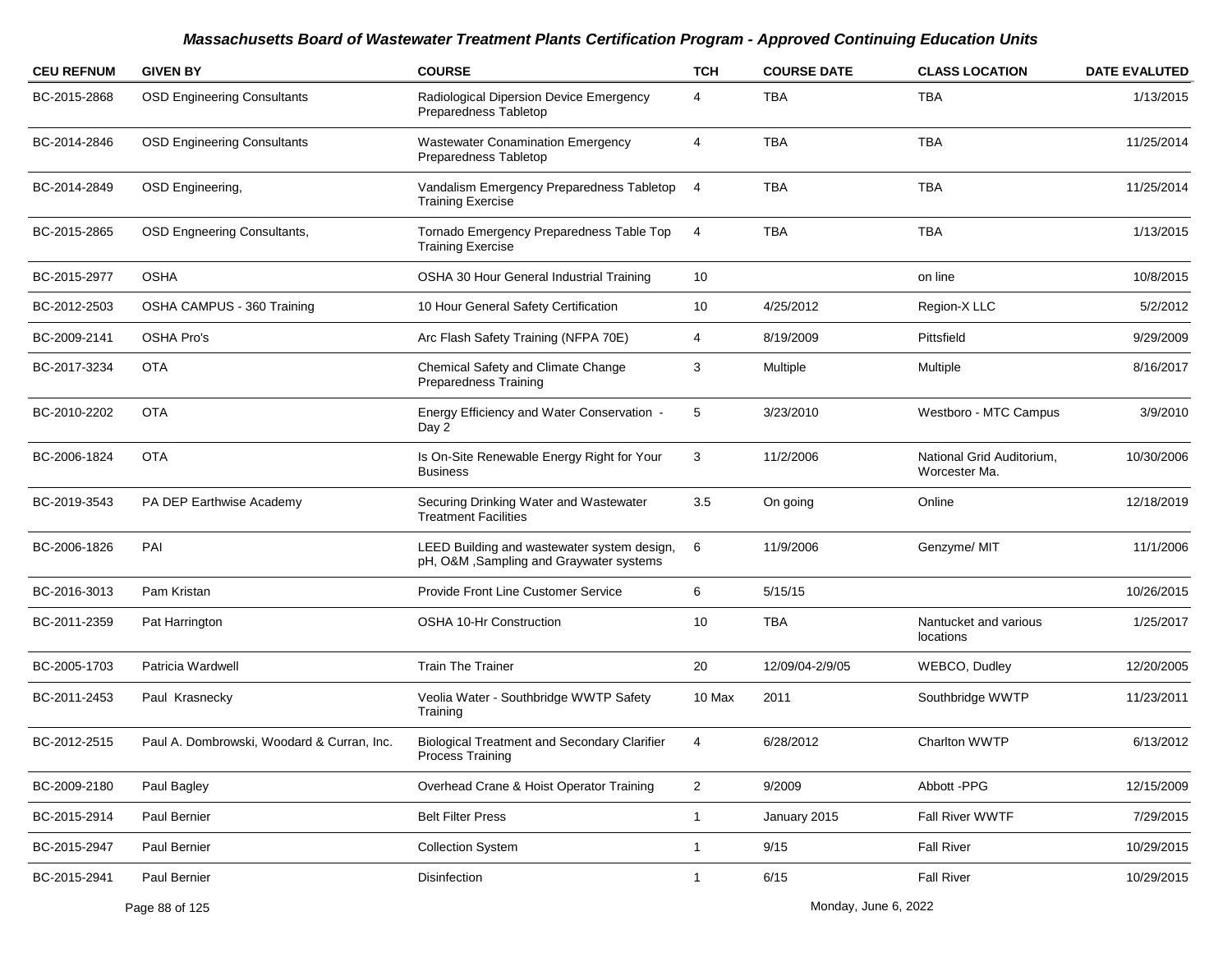| <b>CEU REFNUM</b> | <b>GIVEN BY</b>                            | <b>COURSE</b>                                                                          | <b>TCH</b>     | <b>COURSE DATE</b> | <b>CLASS LOCATION</b>                      | <b>DATE EVALUTED</b> |
|-------------------|--------------------------------------------|----------------------------------------------------------------------------------------|----------------|--------------------|--------------------------------------------|----------------------|
| BC-2015-2868      | <b>OSD Engineering Consultants</b>         | Radiological Dipersion Device Emergency<br>Preparedness Tabletop                       | 4              | TBA                | TBA                                        | 1/13/2015            |
| BC-2014-2846      | <b>OSD Engineering Consultants</b>         | <b>Wastewater Conamination Emergency</b><br>Preparedness Tabletop                      | 4              | <b>TBA</b>         | <b>TBA</b>                                 | 11/25/2014           |
| BC-2014-2849      | OSD Engineering,                           | Vandalism Emergency Preparedness Tabletop<br><b>Training Exercise</b>                  | $\overline{4}$ | <b>TBA</b>         | <b>TBA</b>                                 | 11/25/2014           |
| BC-2015-2865      | <b>OSD Engneering Consultants,</b>         | Tornado Emergency Preparedness Table Top<br><b>Training Exercise</b>                   | 4              | <b>TBA</b>         | <b>TBA</b>                                 | 1/13/2015            |
| BC-2015-2977      | <b>OSHA</b>                                | OSHA 30 Hour General Industrial Training                                               | 10             |                    | on line                                    | 10/8/2015            |
| BC-2012-2503      | OSHA CAMPUS - 360 Training                 | 10 Hour General Safety Certification                                                   | 10             | 4/25/2012          | Region-X LLC                               | 5/2/2012             |
| BC-2009-2141      | <b>OSHA Pro's</b>                          | Arc Flash Safety Training (NFPA 70E)                                                   | 4              | 8/19/2009          | Pittsfield                                 | 9/29/2009            |
| BC-2017-3234      | <b>OTA</b>                                 | Chemical Safety and Climate Change<br>Preparedness Training                            | 3              | Multiple           | Multiple                                   | 8/16/2017            |
| BC-2010-2202      | <b>OTA</b>                                 | Energy Efficiency and Water Conservation -<br>Day 2                                    | 5              | 3/23/2010          | Westboro - MTC Campus                      | 3/9/2010             |
| BC-2006-1824      | <b>OTA</b>                                 | Is On-Site Renewable Energy Right for Your<br><b>Business</b>                          | 3              | 11/2/2006          | National Grid Auditorium.<br>Worcester Ma. | 10/30/2006           |
| BC-2019-3543      | PA DEP Earthwise Academy                   | Securing Drinking Water and Wastewater<br><b>Treatment Facilities</b>                  | 3.5            | On going           | Online                                     | 12/18/2019           |
| BC-2006-1826      | PAI                                        | LEED Building and wastewater system design,<br>pH, O&M, Sampling and Graywater systems | 6              | 11/9/2006          | Genzyme/ MIT                               | 11/1/2006            |
| BC-2016-3013      | Pam Kristan                                | Provide Front Line Customer Service                                                    | 6              | 5/15/15            |                                            | 10/26/2015           |
| BC-2011-2359      | Pat Harrington                             | OSHA 10-Hr Construction                                                                | 10             | <b>TBA</b>         | Nantucket and various<br>locations         | 1/25/2017            |
| BC-2005-1703      | Patricia Wardwell                          | <b>Train The Trainer</b>                                                               | 20             | 12/09/04-2/9/05    | WEBCO, Dudley                              | 12/20/2005           |
| BC-2011-2453      | Paul Krasnecky                             | Veolia Water - Southbridge WWTP Safety<br>Training                                     | 10 Max         | 2011               | Southbridge WWTP                           | 11/23/2011           |
| BC-2012-2515      | Paul A. Dombrowski, Woodard & Curran, Inc. | <b>Biological Treatment and Secondary Clarifier</b><br>Process Training                | 4              | 6/28/2012          | <b>Charlton WWTP</b>                       | 6/13/2012            |
| BC-2009-2180      | Paul Bagley                                | Overhead Crane & Hoist Operator Training                                               | $\overline{2}$ | 9/2009             | Abbott -PPG                                | 12/15/2009           |
| BC-2015-2914      | Paul Bernier                               | <b>Belt Filter Press</b>                                                               | $\mathbf{1}$   | January 2015       | Fall River WWTF                            | 7/29/2015            |
| BC-2015-2947      | Paul Bernier                               | <b>Collection System</b>                                                               | $\mathbf{1}$   | 9/15               | <b>Fall River</b>                          | 10/29/2015           |
| BC-2015-2941      | Paul Bernier                               | Disinfection                                                                           | $\mathbf{1}$   | 6/15               | <b>Fall River</b>                          | 10/29/2015           |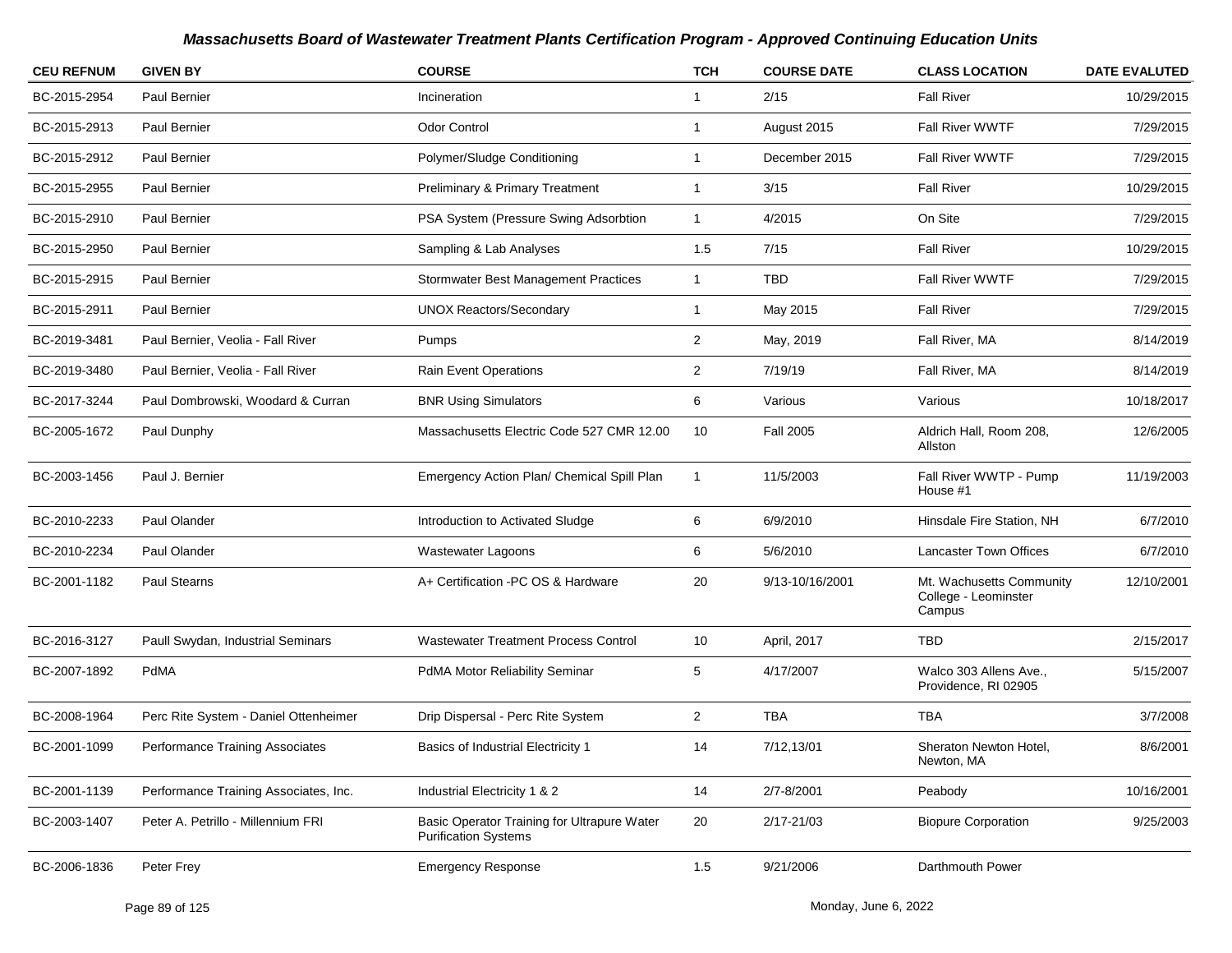| <b>CEU REFNUM</b> | <b>GIVEN BY</b>                        | <b>COURSE</b>                                                              | <b>TCH</b>              | <b>COURSE DATE</b> | <b>CLASS LOCATION</b>                                      | <b>DATE EVALUTED</b> |
|-------------------|----------------------------------------|----------------------------------------------------------------------------|-------------------------|--------------------|------------------------------------------------------------|----------------------|
| BC-2015-2954      | Paul Bernier                           | Incineration                                                               | $\overline{1}$          | 2/15               | <b>Fall River</b>                                          | 10/29/2015           |
| BC-2015-2913      | Paul Bernier                           | <b>Odor Control</b>                                                        | $\overline{1}$          | August 2015        | Fall River WWTF                                            | 7/29/2015            |
| BC-2015-2912      | Paul Bernier                           | Polymer/Sludge Conditioning                                                | -1                      | December 2015      | <b>Fall River WWTF</b>                                     | 7/29/2015            |
| BC-2015-2955      | Paul Bernier                           | Preliminary & Primary Treatment                                            | $\overline{\mathbf{1}}$ | 3/15               | <b>Fall River</b>                                          | 10/29/2015           |
| BC-2015-2910      | Paul Bernier                           | PSA System (Pressure Swing Adsorbtion                                      | $\overline{1}$          | 4/2015             | On Site                                                    | 7/29/2015            |
| BC-2015-2950      | Paul Bernier                           | Sampling & Lab Analyses                                                    | 1.5                     | 7/15               | <b>Fall River</b>                                          | 10/29/2015           |
| BC-2015-2915      | Paul Bernier                           | <b>Stormwater Best Management Practices</b>                                | $\mathbf{1}$            | <b>TBD</b>         | Fall River WWTF                                            | 7/29/2015            |
| BC-2015-2911      | Paul Bernier                           | <b>UNOX Reactors/Secondary</b>                                             | $\overline{1}$          | May 2015           | <b>Fall River</b>                                          | 7/29/2015            |
| BC-2019-3481      | Paul Bernier, Veolia - Fall River      | <b>Pumps</b>                                                               | $\overline{2}$          | May, 2019          | Fall River, MA                                             | 8/14/2019            |
| BC-2019-3480      | Paul Bernier, Veolia - Fall River      | <b>Rain Event Operations</b>                                               | $\overline{c}$          | 7/19/19            | Fall River, MA                                             | 8/14/2019            |
| BC-2017-3244      | Paul Dombrowski, Woodard & Curran      | <b>BNR Using Simulators</b>                                                | 6                       | Various            | Various                                                    | 10/18/2017           |
| BC-2005-1672      | Paul Dunphy                            | Massachusetts Electric Code 527 CMR 12.00                                  | 10                      | <b>Fall 2005</b>   | Aldrich Hall, Room 208,<br>Allston                         | 12/6/2005            |
| BC-2003-1456      | Paul J. Bernier                        | Emergency Action Plan/ Chemical Spill Plan                                 | $\overline{1}$          | 11/5/2003          | Fall River WWTP - Pump<br>House #1                         | 11/19/2003           |
| BC-2010-2233      | Paul Olander                           | Introduction to Activated Sludge                                           | 6                       | 6/9/2010           | Hinsdale Fire Station, NH                                  | 6/7/2010             |
| BC-2010-2234      | Paul Olander                           | Wastewater Lagoons                                                         | 6                       | 5/6/2010           | <b>Lancaster Town Offices</b>                              | 6/7/2010             |
| BC-2001-1182      | Paul Stearns                           | A+ Certification -PC OS & Hardware                                         | 20                      | 9/13-10/16/2001    | Mt. Wachusetts Community<br>College - Leominster<br>Campus | 12/10/2001           |
| BC-2016-3127      | Paull Swydan, Industrial Seminars      | <b>Wastewater Treatment Process Control</b>                                | 10                      | April, 2017        | <b>TBD</b>                                                 | 2/15/2017            |
| BC-2007-1892      | PdMA                                   | PdMA Motor Reliability Seminar                                             | 5                       | 4/17/2007          | Walco 303 Allens Ave.,<br>Providence, RI 02905             | 5/15/2007            |
| BC-2008-1964      | Perc Rite System - Daniel Ottenheimer  | Drip Dispersal - Perc Rite System                                          | $\overline{c}$          | <b>TBA</b>         | <b>TBA</b>                                                 | 3/7/2008             |
| BC-2001-1099      | <b>Performance Training Associates</b> | Basics of Industrial Electricity 1                                         | 14                      | 7/12,13/01         | Sheraton Newton Hotel,<br>Newton, MA                       | 8/6/2001             |
| BC-2001-1139      | Performance Training Associates, Inc.  | Industrial Electricity 1 & 2                                               | 14                      | 2/7-8/2001         | Peabody                                                    | 10/16/2001           |
| BC-2003-1407      | Peter A. Petrillo - Millennium FRI     | Basic Operator Training for Ultrapure Water<br><b>Purification Systems</b> | 20                      | $2/17 - 21/03$     | <b>Biopure Corporation</b>                                 | 9/25/2003            |
| BC-2006-1836      | Peter Frey                             | <b>Emergency Response</b>                                                  | 1.5                     | 9/21/2006          | Darthmouth Power                                           |                      |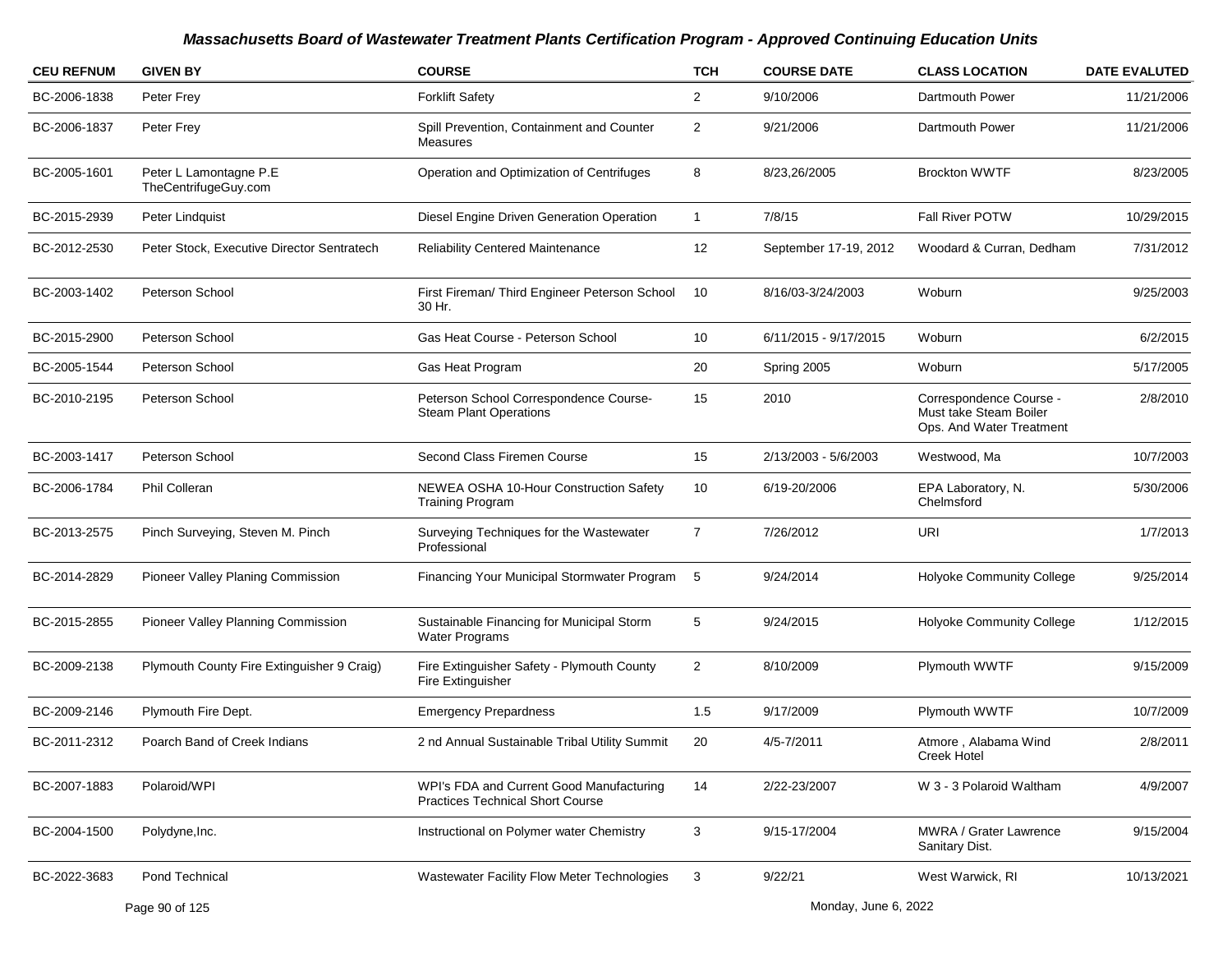| <b>CEU REFNUM</b> | <b>GIVEN BY</b>                                | <b>COURSE</b>                                                                       | <b>TCH</b>     | <b>COURSE DATE</b>    | <b>CLASS LOCATION</b>                                                         | <b>DATE EVALUTED</b> |
|-------------------|------------------------------------------------|-------------------------------------------------------------------------------------|----------------|-----------------------|-------------------------------------------------------------------------------|----------------------|
| BC-2006-1838      | Peter Frey                                     | <b>Forklift Safety</b>                                                              | $\overline{2}$ | 9/10/2006             | Dartmouth Power                                                               | 11/21/2006           |
| BC-2006-1837      | Peter Frey                                     | Spill Prevention, Containment and Counter<br>Measures                               | $\overline{2}$ | 9/21/2006             | Dartmouth Power                                                               | 11/21/2006           |
| BC-2005-1601      | Peter L Lamontagne P.E<br>TheCentrifugeGuy.com | Operation and Optimization of Centrifuges                                           | 8              | 8/23,26/2005          | <b>Brockton WWTF</b>                                                          | 8/23/2005            |
| BC-2015-2939      | Peter Lindquist                                | Diesel Engine Driven Generation Operation                                           | $\mathbf{1}$   | 7/8/15                | <b>Fall River POTW</b>                                                        | 10/29/2015           |
| BC-2012-2530      | Peter Stock, Executive Director Sentratech     | <b>Reliability Centered Maintenance</b>                                             | 12             | September 17-19, 2012 | Woodard & Curran, Dedham                                                      | 7/31/2012            |
| BC-2003-1402      | Peterson School                                | First Fireman/ Third Engineer Peterson School<br>30 Hr.                             | 10             | 8/16/03-3/24/2003     | Woburn                                                                        | 9/25/2003            |
| BC-2015-2900      | Peterson School                                | Gas Heat Course - Peterson School                                                   | 10             | 6/11/2015 - 9/17/2015 | Woburn                                                                        | 6/2/2015             |
| BC-2005-1544      | Peterson School                                | Gas Heat Program                                                                    | 20             | Spring 2005           | Woburn                                                                        | 5/17/2005            |
| BC-2010-2195      | Peterson School                                | Peterson School Correspondence Course-<br><b>Steam Plant Operations</b>             | 15             | 2010                  | Correspondence Course -<br>Must take Steam Boiler<br>Ops. And Water Treatment | 2/8/2010             |
| BC-2003-1417      | Peterson School                                | Second Class Firemen Course                                                         | 15             | 2/13/2003 - 5/6/2003  | Westwood, Ma                                                                  | 10/7/2003            |
| BC-2006-1784      | Phil Colleran                                  | NEWEA OSHA 10-Hour Construction Safety<br><b>Training Program</b>                   | 10             | 6/19-20/2006          | EPA Laboratory, N.<br>Chelmsford                                              | 5/30/2006            |
| BC-2013-2575      | Pinch Surveying, Steven M. Pinch               | Surveying Techniques for the Wastewater<br>Professional                             | $\overline{7}$ | 7/26/2012             | <b>URI</b>                                                                    | 1/7/2013             |
| BC-2014-2829      | Pioneer Valley Planing Commission              | Financing Your Municipal Stormwater Program 5                                       |                | 9/24/2014             | <b>Holyoke Community College</b>                                              | 9/25/2014            |
| BC-2015-2855      | Pioneer Valley Planning Commission             | Sustainable Financing for Municipal Storm<br><b>Water Programs</b>                  | 5              | 9/24/2015             | <b>Holyoke Community College</b>                                              | 1/12/2015            |
| BC-2009-2138      | Plymouth County Fire Extinguisher 9 Craig)     | Fire Extinguisher Safety - Plymouth County<br>Fire Extinguisher                     | $\overline{2}$ | 8/10/2009             | Plymouth WWTF                                                                 | 9/15/2009            |
| BC-2009-2146      | Plymouth Fire Dept.                            | <b>Emergency Prepardness</b>                                                        | 1.5            | 9/17/2009             | Plymouth WWTF                                                                 | 10/7/2009            |
| BC-2011-2312      | Poarch Band of Creek Indians                   | 2 nd Annual Sustainable Tribal Utility Summit                                       | 20             | 4/5-7/2011            | Atmore, Alabama Wind<br>Creek Hotel                                           | 2/8/2011             |
| BC-2007-1883      | Polaroid/WPI                                   | WPI's FDA and Current Good Manufacturing<br><b>Practices Technical Short Course</b> | 14             | 2/22-23/2007          | W 3 - 3 Polaroid Waltham                                                      | 4/9/2007             |
| BC-2004-1500      | Polydyne, Inc.                                 | Instructional on Polymer water Chemistry                                            | 3              | 9/15-17/2004          | MWRA / Grater Lawrence<br>Sanitary Dist.                                      | 9/15/2004            |
| BC-2022-3683      | Pond Technical                                 | <b>Wastewater Facility Flow Meter Technologies</b>                                  | 3              | 9/22/21               | West Warwick, RI                                                              | 10/13/2021           |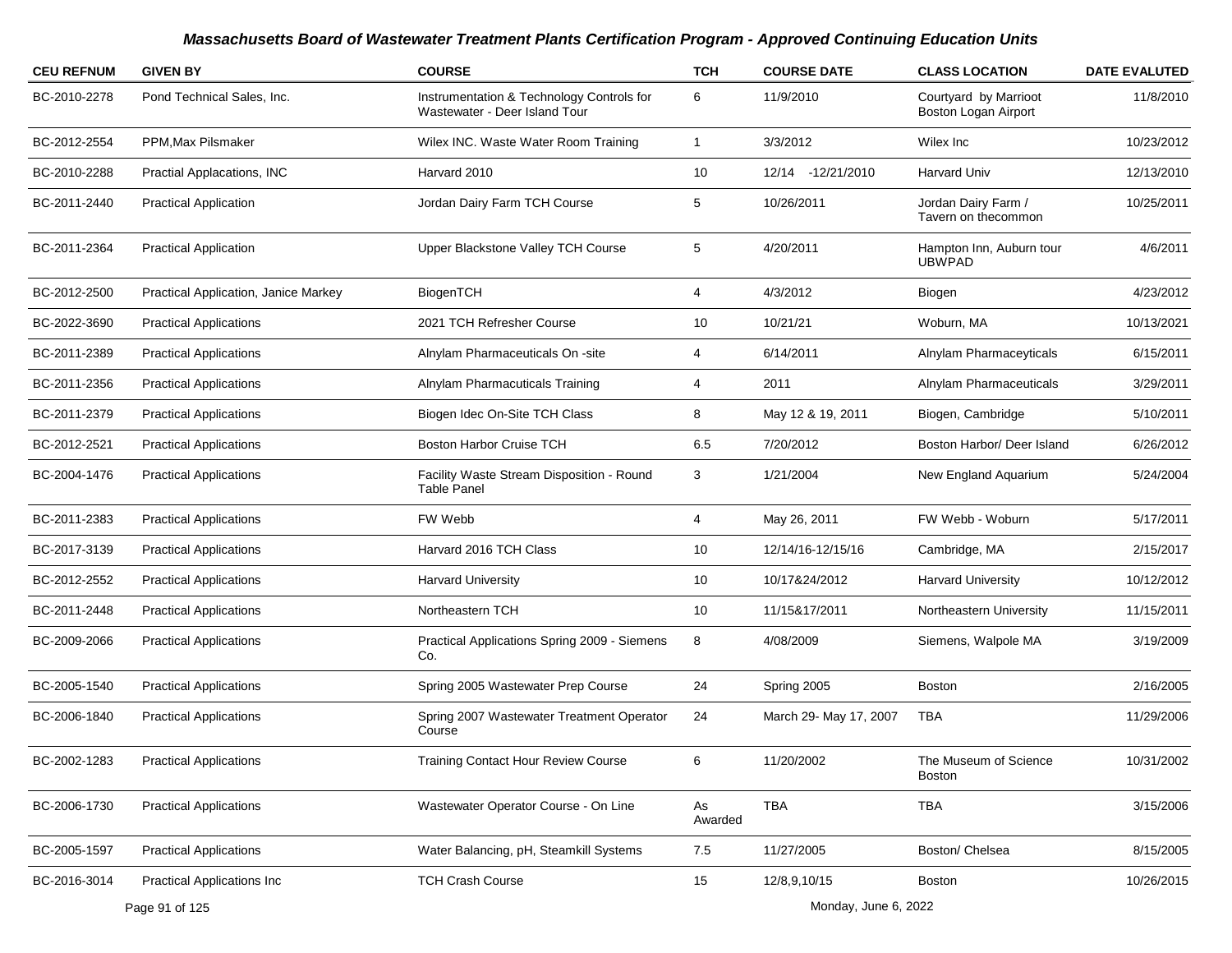| <b>CEU REFNUM</b> | <b>GIVEN BY</b>                      | <b>COURSE</b>                                                              | <b>TCH</b>              | <b>COURSE DATE</b>     | <b>CLASS LOCATION</b>                         | <b>DATE EVALUTED</b> |
|-------------------|--------------------------------------|----------------------------------------------------------------------------|-------------------------|------------------------|-----------------------------------------------|----------------------|
| BC-2010-2278      | Pond Technical Sales, Inc.           | Instrumentation & Technology Controls for<br>Wastewater - Deer Island Tour | 6                       | 11/9/2010              | Courtyard by Marrioot<br>Boston Logan Airport | 11/8/2010            |
| BC-2012-2554      | PPM, Max Pilsmaker                   | Wilex INC. Waste Water Room Training                                       | $\overline{\mathbf{1}}$ | 3/3/2012               | Wilex Inc                                     | 10/23/2012           |
| BC-2010-2288      | Practial Applacations, INC           | Harvard 2010                                                               | 10                      | 12/14 - 12/21/2010     | Harvard Univ                                  | 12/13/2010           |
| BC-2011-2440      | <b>Practical Application</b>         | Jordan Dairy Farm TCH Course                                               | 5                       | 10/26/2011             | Jordan Dairy Farm /<br>Tavern on thecommon    | 10/25/2011           |
| BC-2011-2364      | <b>Practical Application</b>         | Upper Blackstone Valley TCH Course                                         | 5                       | 4/20/2011              | Hampton Inn, Auburn tour<br><b>UBWPAD</b>     | 4/6/2011             |
| BC-2012-2500      | Practical Application, Janice Markey | BiogenTCH                                                                  | $\overline{4}$          | 4/3/2012               | Biogen                                        | 4/23/2012            |
| BC-2022-3690      | <b>Practical Applications</b>        | 2021 TCH Refresher Course                                                  | 10                      | 10/21/21               | Woburn, MA                                    | 10/13/2021           |
| BC-2011-2389      | <b>Practical Applications</b>        | Alnylam Pharmaceuticals On -site                                           | 4                       | 6/14/2011              | Alnylam Pharmaceyticals                       | 6/15/2011            |
| BC-2011-2356      | <b>Practical Applications</b>        | Alnylam Pharmacuticals Training                                            | 4                       | 2011                   | Alnylam Pharmaceuticals                       | 3/29/2011            |
| BC-2011-2379      | <b>Practical Applications</b>        | Biogen Idec On-Site TCH Class                                              | 8                       | May 12 & 19, 2011      | Biogen, Cambridge                             | 5/10/2011            |
| BC-2012-2521      | <b>Practical Applications</b>        | <b>Boston Harbor Cruise TCH</b>                                            | 6.5                     | 7/20/2012              | Boston Harbor/ Deer Island                    | 6/26/2012            |
| BC-2004-1476      | <b>Practical Applications</b>        | Facility Waste Stream Disposition - Round<br><b>Table Panel</b>            | 3                       | 1/21/2004              | New England Aquarium                          | 5/24/2004            |
| BC-2011-2383      | <b>Practical Applications</b>        | FW Webb                                                                    | 4                       | May 26, 2011           | FW Webb - Woburn                              | 5/17/2011            |
| BC-2017-3139      | <b>Practical Applications</b>        | Harvard 2016 TCH Class                                                     | 10                      | 12/14/16-12/15/16      | Cambridge, MA                                 | 2/15/2017            |
| BC-2012-2552      | <b>Practical Applications</b>        | <b>Harvard University</b>                                                  | 10                      | 10/17&24/2012          | <b>Harvard University</b>                     | 10/12/2012           |
| BC-2011-2448      | <b>Practical Applications</b>        | Northeastern TCH                                                           | 10                      | 11/15&17/2011          | Northeastern University                       | 11/15/2011           |
| BC-2009-2066      | <b>Practical Applications</b>        | Practical Applications Spring 2009 - Siemens<br>Co.                        | 8                       | 4/08/2009              | Siemens, Walpole MA                           | 3/19/2009            |
| BC-2005-1540      | <b>Practical Applications</b>        | Spring 2005 Wastewater Prep Course                                         | 24                      | Spring 2005            | <b>Boston</b>                                 | 2/16/2005            |
| BC-2006-1840      | <b>Practical Applications</b>        | Spring 2007 Wastewater Treatment Operator<br>Course                        | 24                      | March 29- May 17, 2007 | TBA                                           | 11/29/2006           |
| BC-2002-1283      | <b>Practical Applications</b>        | <b>Training Contact Hour Review Course</b>                                 | 6                       | 11/20/2002             | The Museum of Science<br>Boston               | 10/31/2002           |
| BC-2006-1730      | <b>Practical Applications</b>        | Wastewater Operator Course - On Line                                       | As<br>Awarded           | <b>TBA</b>             | <b>TBA</b>                                    | 3/15/2006            |
| BC-2005-1597      | <b>Practical Applications</b>        | Water Balancing, pH, Steamkill Systems                                     | 7.5                     | 11/27/2005             | Boston/ Chelsea                               | 8/15/2005            |
| BC-2016-3014      | <b>Practical Applications Inc</b>    | <b>TCH Crash Course</b>                                                    | 15                      | 12/8,9,10/15           | Boston                                        | 10/26/2015           |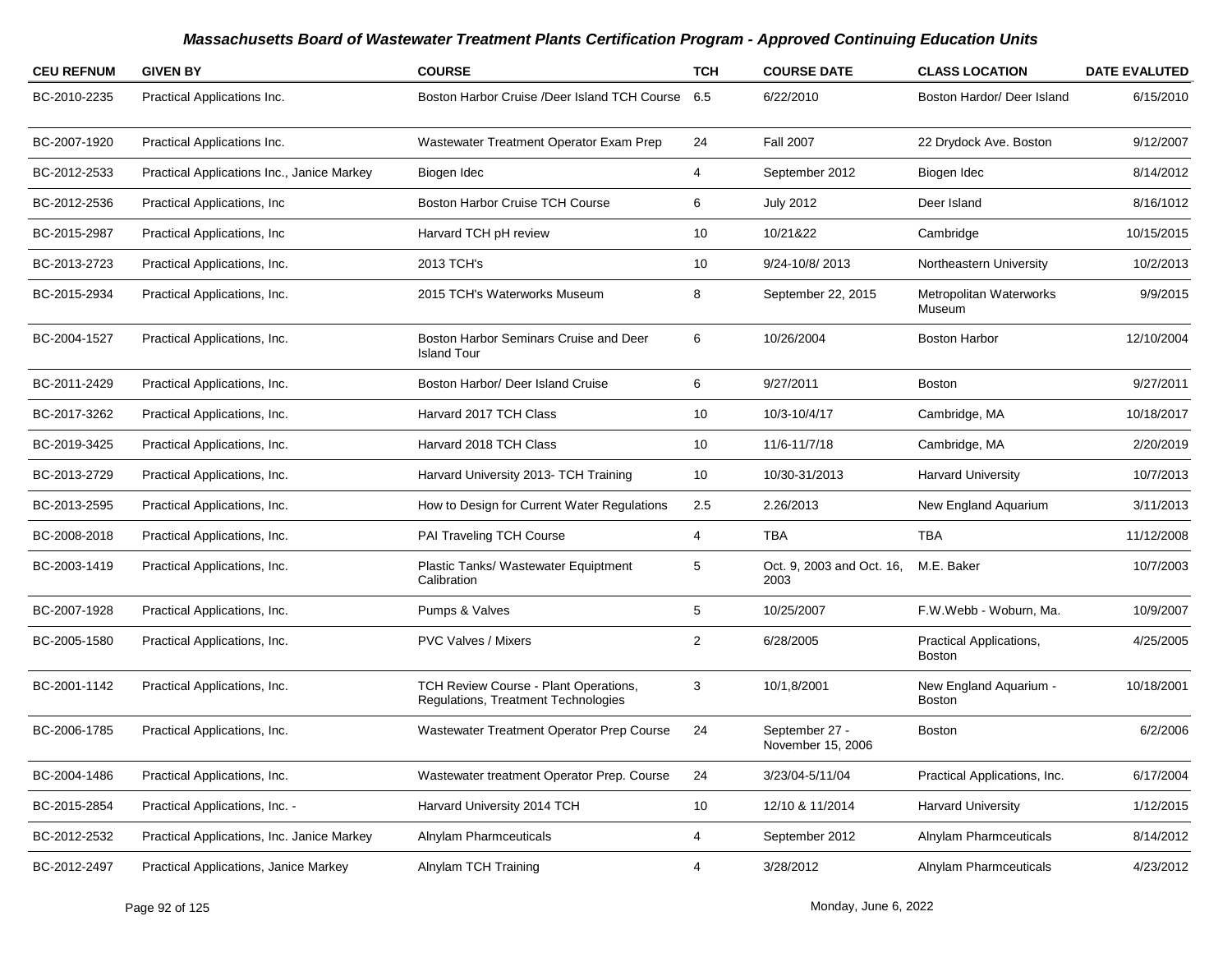| <b>CEU REFNUM</b> | <b>GIVEN BY</b>                            | <b>COURSE</b>                                                                | <b>TCH</b>     | <b>COURSE DATE</b>                  | <b>CLASS LOCATION</b>             | <b>DATE EVALUTED</b> |
|-------------------|--------------------------------------------|------------------------------------------------------------------------------|----------------|-------------------------------------|-----------------------------------|----------------------|
| BC-2010-2235      | Practical Applications Inc.                | Boston Harbor Cruise /Deer Island TCH Course                                 | 6.5            | 6/22/2010                           | Boston Hardor/ Deer Island        | 6/15/2010            |
| BC-2007-1920      | Practical Applications Inc.                | Wastewater Treatment Operator Exam Prep                                      | 24             | <b>Fall 2007</b>                    | 22 Drydock Ave. Boston            | 9/12/2007            |
| BC-2012-2533      | Practical Applications Inc., Janice Markey | Biogen Idec                                                                  | 4              | September 2012                      | Biogen Idec                       | 8/14/2012            |
| BC-2012-2536      | Practical Applications, Inc.               | <b>Boston Harbor Cruise TCH Course</b>                                       | 6              | <b>July 2012</b>                    | Deer Island                       | 8/16/1012            |
| BC-2015-2987      | Practical Applications, Inc.               | Harvard TCH pH review                                                        | 10             | 10/21&22                            | Cambridge                         | 10/15/2015           |
| BC-2013-2723      | Practical Applications, Inc.               | 2013 TCH's                                                                   | 10             | 9/24-10/8/2013                      | Northeastern University           | 10/2/2013            |
| BC-2015-2934      | Practical Applications, Inc.               | 2015 TCH's Waterworks Museum                                                 | 8              | September 22, 2015                  | Metropolitan Waterworks<br>Museum | 9/9/2015             |
| BC-2004-1527      | Practical Applications, Inc.               | Boston Harbor Seminars Cruise and Deer<br><b>Island Tour</b>                 | 6              | 10/26/2004                          | <b>Boston Harbor</b>              | 12/10/2004           |
| BC-2011-2429      | Practical Applications, Inc.               | Boston Harbor/ Deer Island Cruise                                            | 6              | 9/27/2011                           | <b>Boston</b>                     | 9/27/2011            |
| BC-2017-3262      | Practical Applications, Inc.               | Harvard 2017 TCH Class                                                       | 10             | 10/3-10/4/17                        | Cambridge, MA                     | 10/18/2017           |
| BC-2019-3425      | Practical Applications, Inc.               | Harvard 2018 TCH Class                                                       | 10             | 11/6-11/7/18                        | Cambridge, MA                     | 2/20/2019            |
| BC-2013-2729      | Practical Applications, Inc.               | Harvard University 2013- TCH Training                                        | 10             | 10/30-31/2013                       | <b>Harvard University</b>         | 10/7/2013            |
| BC-2013-2595      | Practical Applications, Inc.               | How to Design for Current Water Regulations                                  | 2.5            | 2.26/2013                           | New England Aquarium              | 3/11/2013            |
| BC-2008-2018      | Practical Applications, Inc.               | PAI Traveling TCH Course                                                     | 4              | <b>TBA</b>                          | <b>TBA</b>                        | 11/12/2008           |
| BC-2003-1419      | Practical Applications, Inc.               | Plastic Tanks/ Wastewater Equiptment<br>Calibration                          | 5              | Oct. 9, 2003 and Oct. 16,<br>2003   | M.E. Baker                        | 10/7/2003            |
| BC-2007-1928      | Practical Applications, Inc.               | Pumps & Valves                                                               | 5              | 10/25/2007                          | F.W.Webb - Woburn, Ma.            | 10/9/2007            |
| BC-2005-1580      | Practical Applications, Inc.               | <b>PVC Valves / Mixers</b>                                                   | $\overline{2}$ | 6/28/2005                           | Practical Applications,<br>Boston | 4/25/2005            |
| BC-2001-1142      | Practical Applications, Inc.               | TCH Review Course - Plant Operations,<br>Regulations, Treatment Technologies | 3              | 10/1,8/2001                         | New England Aquarium -<br>Boston  | 10/18/2001           |
| BC-2006-1785      | Practical Applications, Inc.               | Wastewater Treatment Operator Prep Course                                    | 24             | September 27 -<br>November 15, 2006 | Boston                            | 6/2/2006             |
| BC-2004-1486      | Practical Applications, Inc.               | Wastewater treatment Operator Prep. Course                                   | 24             | 3/23/04-5/11/04                     | Practical Applications, Inc.      | 6/17/2004            |
| BC-2015-2854      | Practical Applications, Inc. -             | Harvard University 2014 TCH                                                  | 10             | 12/10 & 11/2014                     | Harvard University                | 1/12/2015            |
| BC-2012-2532      | Practical Applications, Inc. Janice Markey | Alnylam Pharmceuticals                                                       | 4              | September 2012                      | Alnylam Pharmceuticals            | 8/14/2012            |
| BC-2012-2497      | Practical Applications, Janice Markey      | Alnylam TCH Training                                                         | 4              | 3/28/2012                           | Alnylam Pharmceuticals            | 4/23/2012            |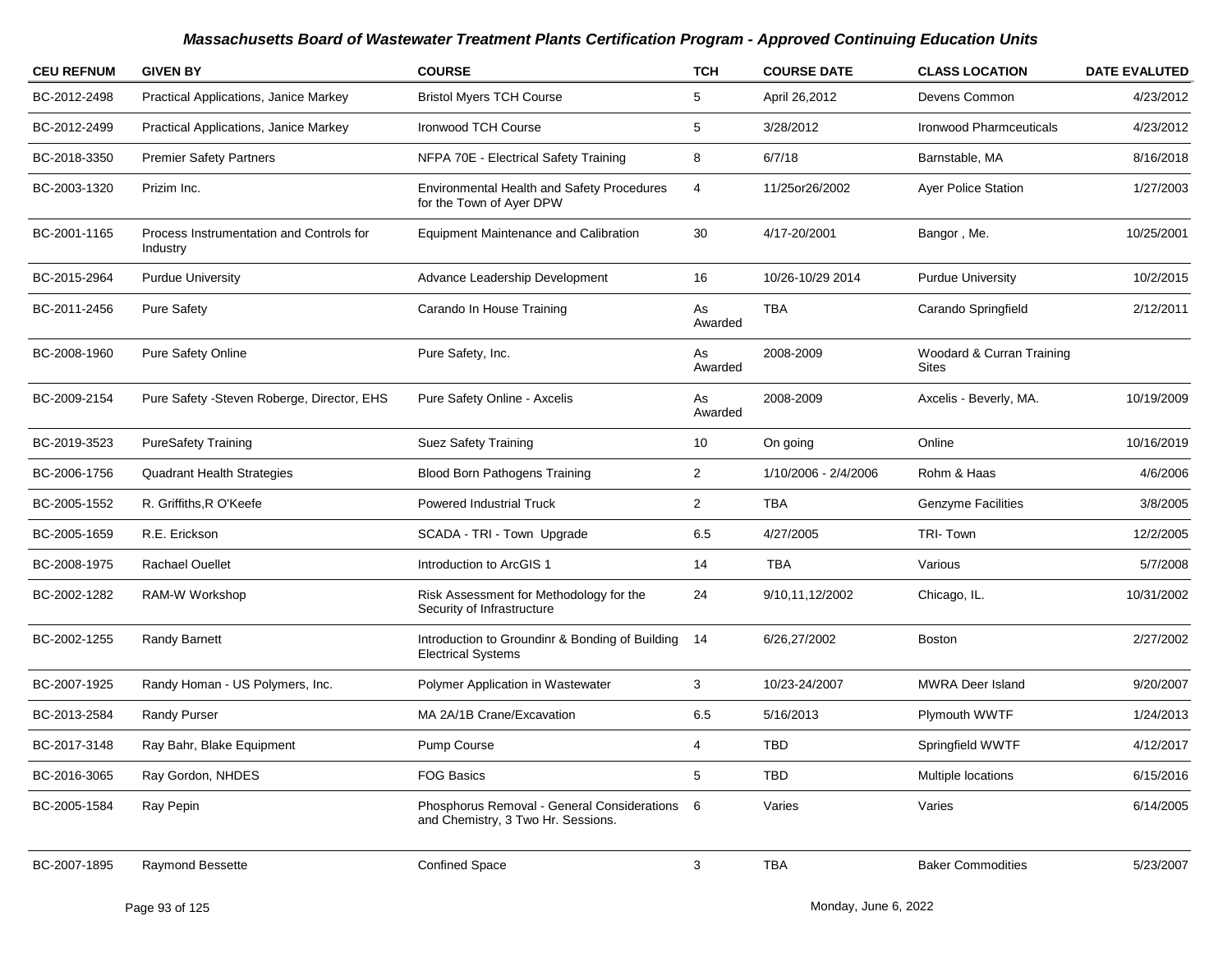| <b>CEU REFNUM</b> | <b>GIVEN BY</b>                                      | <b>COURSE</b>                                                                       | <b>TCH</b>     | <b>COURSE DATE</b>   | <b>CLASS LOCATION</b>                     | <b>DATE EVALUTED</b> |
|-------------------|------------------------------------------------------|-------------------------------------------------------------------------------------|----------------|----------------------|-------------------------------------------|----------------------|
| BC-2012-2498      | Practical Applications, Janice Markey                | <b>Bristol Myers TCH Course</b>                                                     | 5              | April 26,2012        | Devens Common                             | 4/23/2012            |
| BC-2012-2499      | Practical Applications, Janice Markey                | <b>Ironwood TCH Course</b>                                                          | 5              | 3/28/2012            | Ironwood Pharmceuticals                   | 4/23/2012            |
| BC-2018-3350      | <b>Premier Safety Partners</b>                       | NFPA 70E - Electrical Safety Training                                               | 8              | 6/7/18               | Barnstable, MA                            | 8/16/2018            |
| BC-2003-1320      | Prizim Inc.                                          | Environmental Health and Safety Procedures<br>for the Town of Ayer DPW              | 4              | 11/25or26/2002       | Ayer Police Station                       | 1/27/2003            |
| BC-2001-1165      | Process Instrumentation and Controls for<br>Industry | <b>Equipment Maintenance and Calibration</b>                                        | 30             | 4/17-20/2001         | Bangor , Me.                              | 10/25/2001           |
| BC-2015-2964      | <b>Purdue University</b>                             | Advance Leadership Development                                                      | 16             | 10/26-10/29 2014     | <b>Purdue University</b>                  | 10/2/2015            |
| BC-2011-2456      | <b>Pure Safety</b>                                   | Carando In House Training                                                           | As<br>Awarded  | <b>TBA</b>           | Carando Springfield                       | 2/12/2011            |
| BC-2008-1960      | <b>Pure Safety Online</b>                            | Pure Safety, Inc.                                                                   | As<br>Awarded  | 2008-2009            | Woodard & Curran Training<br><b>Sites</b> |                      |
| BC-2009-2154      | Pure Safety - Steven Roberge, Director, EHS          | Pure Safety Online - Axcelis                                                        | As<br>Awarded  | 2008-2009            | Axcelis - Beverly, MA.                    | 10/19/2009           |
| BC-2019-3523      | <b>PureSafety Training</b>                           | Suez Safety Training                                                                | 10             | On going             | Online                                    | 10/16/2019           |
| BC-2006-1756      | <b>Quadrant Health Strategies</b>                    | <b>Blood Born Pathogens Training</b>                                                | $\overline{2}$ | 1/10/2006 - 2/4/2006 | Rohm & Haas                               | 4/6/2006             |
| BC-2005-1552      | R. Griffiths, R O'Keefe                              | <b>Powered Industrial Truck</b>                                                     | $\overline{2}$ | <b>TBA</b>           | <b>Genzyme Facilities</b>                 | 3/8/2005             |
| BC-2005-1659      | R.E. Erickson                                        | SCADA - TRI - Town Upgrade                                                          | 6.5            | 4/27/2005            | TRI-Town                                  | 12/2/2005            |
| BC-2008-1975      | <b>Rachael Ouellet</b>                               | Introduction to ArcGIS 1                                                            | 14             | <b>TBA</b>           | Various                                   | 5/7/2008             |
| BC-2002-1282      | RAM-W Workshop                                       | Risk Assessment for Methodology for the<br>Security of Infrastructure               | 24             | 9/10,11,12/2002      | Chicago, IL.                              | 10/31/2002           |
| BC-2002-1255      | Randy Barnett                                        | Introduction to Groundinr & Bonding of Building<br><b>Electrical Systems</b>        | 14             | 6/26,27/2002         | <b>Boston</b>                             | 2/27/2002            |
| BC-2007-1925      | Randy Homan - US Polymers, Inc.                      | Polymer Application in Wastewater                                                   | 3              | 10/23-24/2007        | <b>MWRA Deer Island</b>                   | 9/20/2007            |
| BC-2013-2584      | Randy Purser                                         | MA 2A/1B Crane/Excavation                                                           | 6.5            | 5/16/2013            | Plymouth WWTF                             | 1/24/2013            |
| BC-2017-3148      | Ray Bahr, Blake Equipment                            | Pump Course                                                                         | 4              | TBD                  | Springfield WWTF                          | 4/12/2017            |
| BC-2016-3065      | Ray Gordon, NHDES                                    | <b>FOG Basics</b>                                                                   | 5              | TBD                  | Multiple locations                        | 6/15/2016            |
| BC-2005-1584      | Ray Pepin                                            | Phosphorus Removal - General Considerations 6<br>and Chemistry, 3 Two Hr. Sessions. |                | Varies               | Varies                                    | 6/14/2005            |
| BC-2007-1895      | Raymond Bessette                                     | <b>Confined Space</b>                                                               | 3              | <b>TBA</b>           | <b>Baker Commodities</b>                  | 5/23/2007            |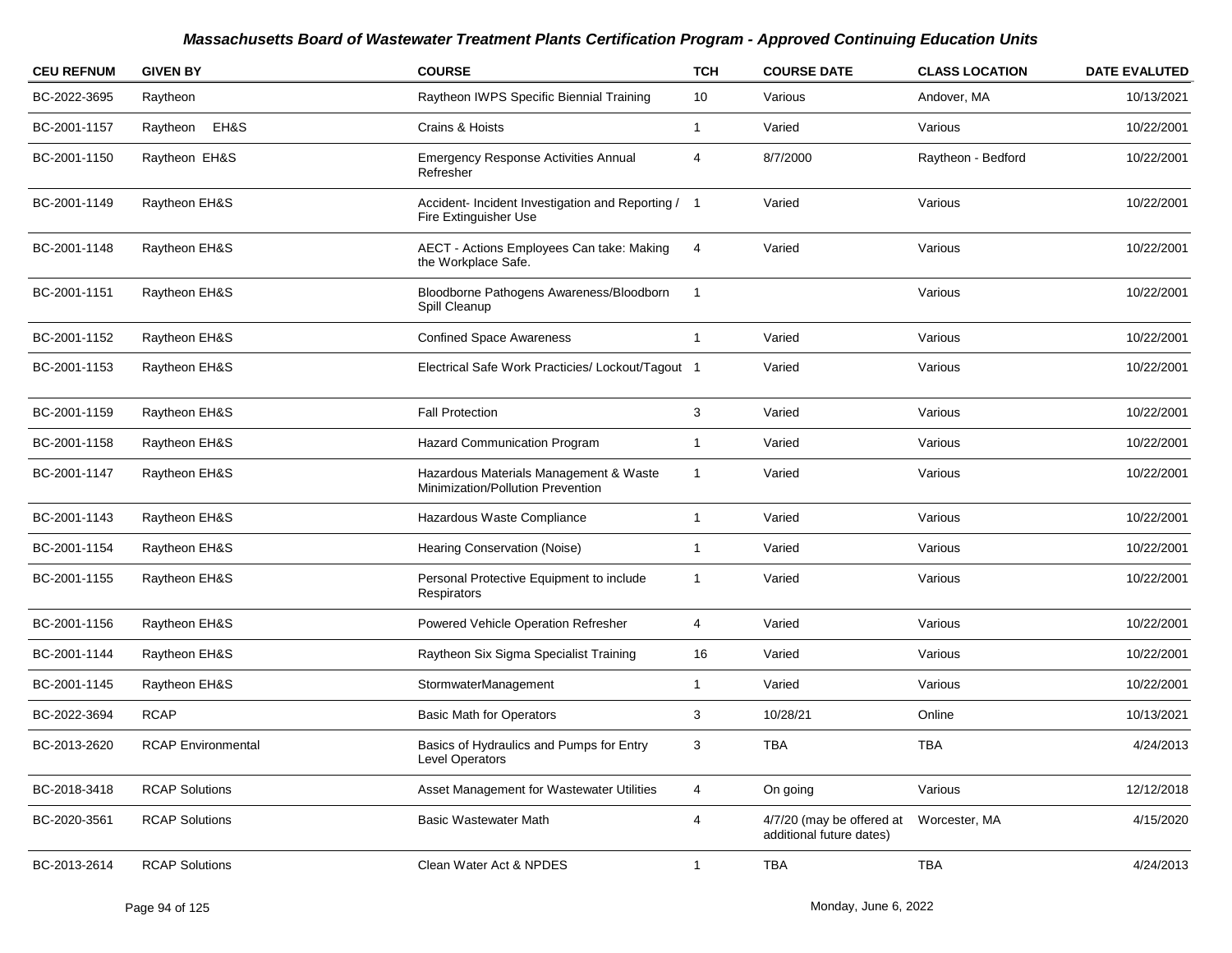| <b>CEU REFNUM</b> | <b>GIVEN BY</b>           | <b>COURSE</b>                                                               | <b>TCH</b>     | <b>COURSE DATE</b>                                    | <b>CLASS LOCATION</b> | <b>DATE EVALUTED</b> |
|-------------------|---------------------------|-----------------------------------------------------------------------------|----------------|-------------------------------------------------------|-----------------------|----------------------|
| BC-2022-3695      | Raytheon                  | Raytheon IWPS Specific Biennial Training                                    | 10             | Various                                               | Andover, MA           | 10/13/2021           |
| BC-2001-1157      | EH&S<br>Raytheon          | Crains & Hoists                                                             | 1              | Varied                                                | Various               | 10/22/2001           |
| BC-2001-1150      | Raytheon EH&S             | <b>Emergency Response Activities Annual</b><br>Refresher                    | 4              | 8/7/2000                                              | Raytheon - Bedford    | 10/22/2001           |
| BC-2001-1149      | Raytheon EH&S             | Accident- Incident Investigation and Reporting / 1<br>Fire Extinguisher Use |                | Varied                                                | Various               | 10/22/2001           |
| BC-2001-1148      | Raytheon EH&S             | AECT - Actions Employees Can take: Making<br>the Workplace Safe.            | 4              | Varied                                                | Various               | 10/22/2001           |
| BC-2001-1151      | Raytheon EH&S             | Bloodborne Pathogens Awareness/Bloodborn<br>Spill Cleanup                   | -1             |                                                       | Various               | 10/22/2001           |
| BC-2001-1152      | Raytheon EH&S             | <b>Confined Space Awareness</b>                                             | $\mathbf{1}$   | Varied                                                | Various               | 10/22/2001           |
| BC-2001-1153      | Raytheon EH&S             | Electrical Safe Work Practicies/ Lockout/Tagout 1                           |                | Varied                                                | Various               | 10/22/2001           |
| BC-2001-1159      | Raytheon EH&S             | <b>Fall Protection</b>                                                      | 3              | Varied                                                | Various               | 10/22/2001           |
| BC-2001-1158      | Raytheon EH&S             | Hazard Communication Program                                                | 1              | Varied                                                | Various               | 10/22/2001           |
| BC-2001-1147      | Raytheon EH&S             | Hazardous Materials Management & Waste<br>Minimization/Pollution Prevention | 1              | Varied                                                | Various               | 10/22/2001           |
| BC-2001-1143      | Raytheon EH&S             | Hazardous Waste Compliance                                                  | 1              | Varied                                                | Various               | 10/22/2001           |
| BC-2001-1154      | Raytheon EH&S             | Hearing Conservation (Noise)                                                | -1             | Varied                                                | Various               | 10/22/2001           |
| BC-2001-1155      | Raytheon EH&S             | Personal Protective Equipment to include<br>Respirators                     | -1             | Varied                                                | Various               | 10/22/2001           |
| BC-2001-1156      | Raytheon EH&S             | Powered Vehicle Operation Refresher                                         | 4              | Varied                                                | Various               | 10/22/2001           |
| BC-2001-1144      | Raytheon EH&S             | Raytheon Six Sigma Specialist Training                                      | 16             | Varied                                                | Various               | 10/22/2001           |
| BC-2001-1145      | Raytheon EH&S             | StormwaterManagement                                                        | $\mathbf{1}$   | Varied                                                | Various               | 10/22/2001           |
| BC-2022-3694      | <b>RCAP</b>               | <b>Basic Math for Operators</b>                                             | 3              | 10/28/21                                              | Online                | 10/13/2021           |
| BC-2013-2620      | <b>RCAP Environmental</b> | Basics of Hydraulics and Pumps for Entry<br>Level Operators                 | 3              | TBA                                                   | TBA                   | 4/24/2013            |
| BC-2018-3418      | <b>RCAP Solutions</b>     | Asset Management for Wastewater Utilities                                   | 4              | On going                                              | Various               | 12/12/2018           |
| BC-2020-3561      | <b>RCAP Solutions</b>     | <b>Basic Wastewater Math</b>                                                | $\overline{4}$ | 4/7/20 (may be offered at<br>additional future dates) | Worcester, MA         | 4/15/2020            |
| BC-2013-2614      | <b>RCAP Solutions</b>     | Clean Water Act & NPDES                                                     | $\mathbf{1}$   | <b>TBA</b>                                            | TBA                   | 4/24/2013            |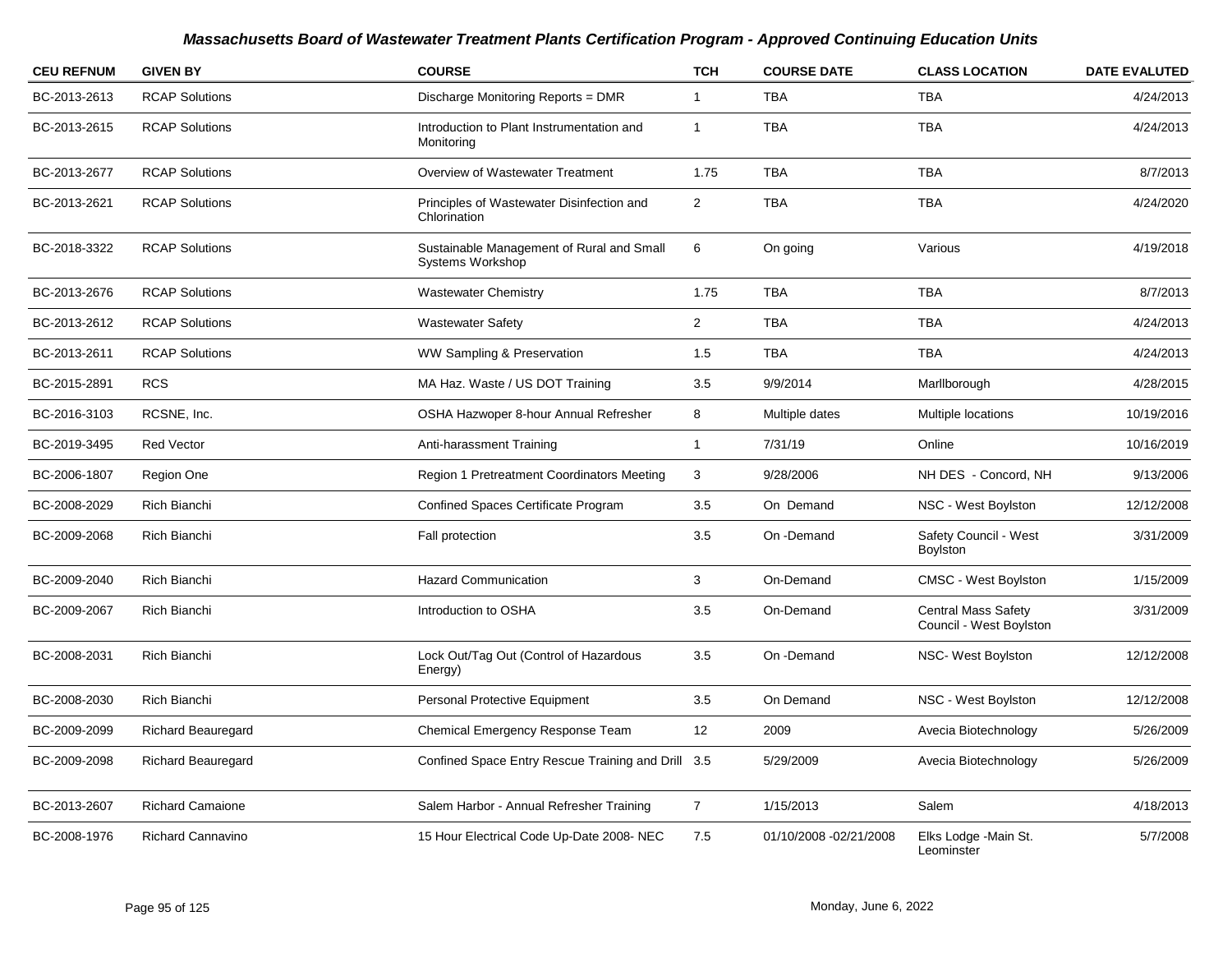| <b>CEU REFNUM</b> | <b>GIVEN BY</b>           | <b>COURSE</b>                                                        | <b>TCH</b>     | <b>COURSE DATE</b>     | <b>CLASS LOCATION</b>                                 | <b>DATE EVALUTED</b> |
|-------------------|---------------------------|----------------------------------------------------------------------|----------------|------------------------|-------------------------------------------------------|----------------------|
| BC-2013-2613      | <b>RCAP Solutions</b>     | Discharge Monitoring Reports = DMR                                   | $\mathbf{1}$   | <b>TBA</b>             | <b>TBA</b>                                            | 4/24/2013            |
| BC-2013-2615      | <b>RCAP Solutions</b>     | Introduction to Plant Instrumentation and<br>Monitoring              | -1             | <b>TBA</b>             | <b>TBA</b>                                            | 4/24/2013            |
| BC-2013-2677      | <b>RCAP Solutions</b>     | Overview of Wastewater Treatment                                     | 1.75           | <b>TBA</b>             | <b>TBA</b>                                            | 8/7/2013             |
| BC-2013-2621      | <b>RCAP Solutions</b>     | Principles of Wastewater Disinfection and<br>Chlorination            | $\overline{2}$ | <b>TBA</b>             | <b>TBA</b>                                            | 4/24/2020            |
| BC-2018-3322      | <b>RCAP Solutions</b>     | Sustainable Management of Rural and Small<br><b>Systems Workshop</b> | 6              | On going               | Various                                               | 4/19/2018            |
| BC-2013-2676      | <b>RCAP Solutions</b>     | <b>Wastewater Chemistry</b>                                          | 1.75           | <b>TBA</b>             | <b>TBA</b>                                            | 8/7/2013             |
| BC-2013-2612      | <b>RCAP Solutions</b>     | <b>Wastewater Safety</b>                                             | $\overline{2}$ | <b>TBA</b>             | <b>TBA</b>                                            | 4/24/2013            |
| BC-2013-2611      | <b>RCAP Solutions</b>     | WW Sampling & Preservation                                           | 1.5            | <b>TBA</b>             | <b>TBA</b>                                            | 4/24/2013            |
| BC-2015-2891      | <b>RCS</b>                | MA Haz. Waste / US DOT Training                                      | 3.5            | 9/9/2014               | Marllborough                                          | 4/28/2015            |
| BC-2016-3103      | RCSNE, Inc.               | OSHA Hazwoper 8-hour Annual Refresher                                | 8              | Multiple dates         | Multiple locations                                    | 10/19/2016           |
| BC-2019-3495      | <b>Red Vector</b>         | Anti-harassment Training                                             | $\mathbf{1}$   | 7/31/19                | Online                                                | 10/16/2019           |
| BC-2006-1807      | Region One                | Region 1 Pretreatment Coordinators Meeting                           | 3              | 9/28/2006              | NH DES - Concord, NH                                  | 9/13/2006            |
| BC-2008-2029      | Rich Bianchi              | <b>Confined Spaces Certificate Program</b>                           | 3.5            | On Demand              | NSC - West Boylston                                   | 12/12/2008           |
| BC-2009-2068      | Rich Bianchi              | Fall protection                                                      | 3.5            | On -Demand             | Safety Council - West<br>Boylston                     | 3/31/2009            |
| BC-2009-2040      | <b>Rich Bianchi</b>       | <b>Hazard Communication</b>                                          | $\mathbf{3}$   | On-Demand              | <b>CMSC - West Boylston</b>                           | 1/15/2009            |
| BC-2009-2067      | Rich Bianchi              | Introduction to OSHA                                                 | 3.5            | On-Demand              | <b>Central Mass Safety</b><br>Council - West Boylston | 3/31/2009            |
| BC-2008-2031      | Rich Bianchi              | Lock Out/Tag Out (Control of Hazardous<br>Energy)                    | 3.5            | On -Demand             | NSC- West Boylston                                    | 12/12/2008           |
| BC-2008-2030      | Rich Bianchi              | Personal Protective Equipment                                        | 3.5            | On Demand              | NSC - West Boylston                                   | 12/12/2008           |
| BC-2009-2099      | <b>Richard Beauregard</b> | Chemical Emergency Response Team                                     | 12             | 2009                   | Avecia Biotechnology                                  | 5/26/2009            |
| BC-2009-2098      | <b>Richard Beauregard</b> | Confined Space Entry Rescue Training and Drill 3.5                   |                | 5/29/2009              | Avecia Biotechnology                                  | 5/26/2009            |
| BC-2013-2607      | <b>Richard Camaione</b>   | Salem Harbor - Annual Refresher Training                             | $\overline{7}$ | 1/15/2013              | Salem                                                 | 4/18/2013            |
| BC-2008-1976      | <b>Richard Cannavino</b>  | 15 Hour Electrical Code Up-Date 2008-NEC                             | 7.5            | 01/10/2008 -02/21/2008 | Elks Lodge - Main St.<br>Leominster                   | 5/7/2008             |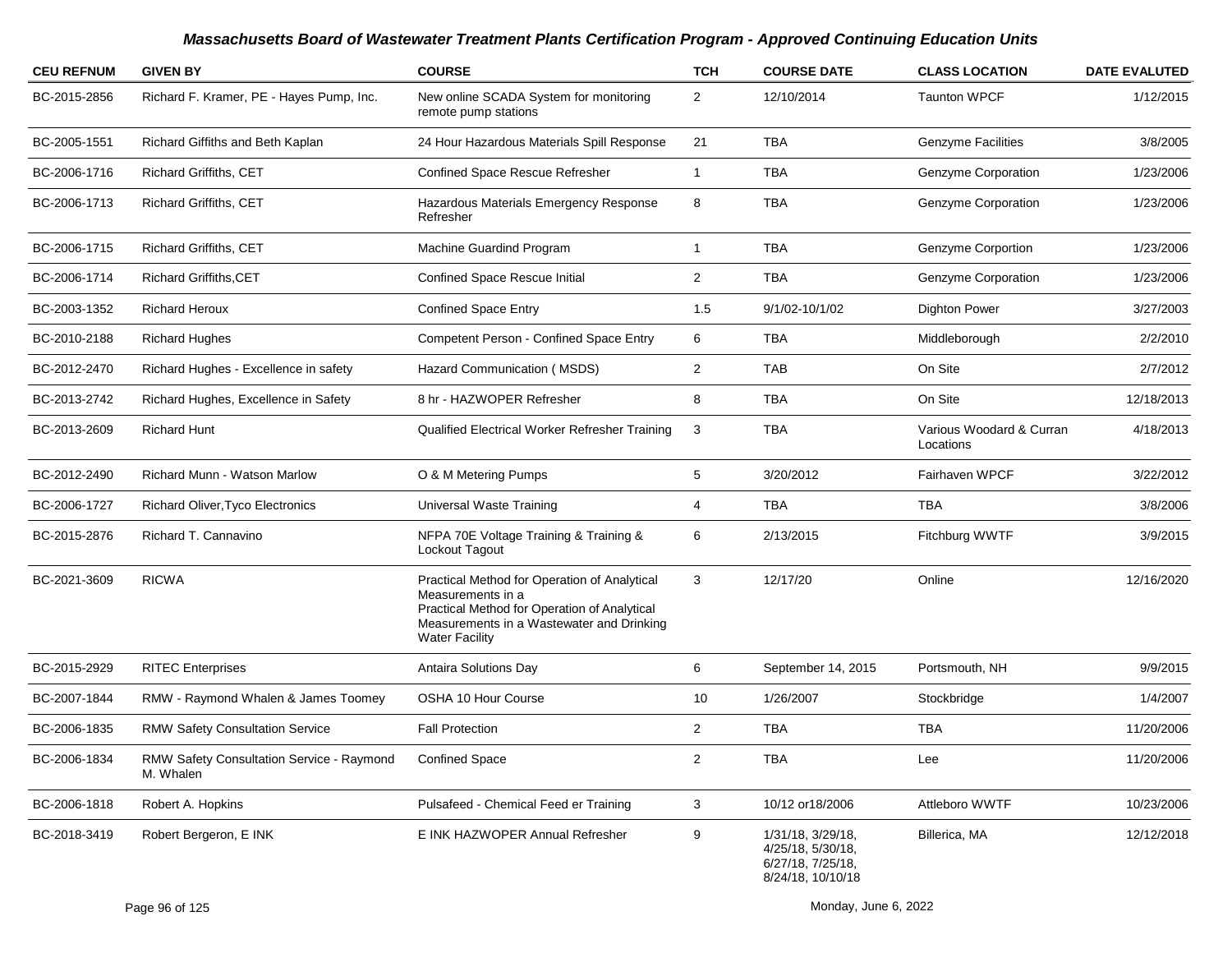| <b>CEU REFNUM</b> | <b>GIVEN BY</b>                                        | <b>COURSE</b>                                                                                                                                                                           | <b>TCH</b>     | <b>COURSE DATE</b>                                                               | <b>CLASS LOCATION</b>                 | <b>DATE EVALUTED</b> |
|-------------------|--------------------------------------------------------|-----------------------------------------------------------------------------------------------------------------------------------------------------------------------------------------|----------------|----------------------------------------------------------------------------------|---------------------------------------|----------------------|
| BC-2015-2856      | Richard F. Kramer, PE - Hayes Pump, Inc.               | New online SCADA System for monitoring<br>remote pump stations                                                                                                                          | $\overline{2}$ | 12/10/2014                                                                       | <b>Taunton WPCF</b>                   | 1/12/2015            |
| BC-2005-1551      | Richard Giffiths and Beth Kaplan                       | 24 Hour Hazardous Materials Spill Response                                                                                                                                              | 21             | <b>TBA</b>                                                                       | <b>Genzyme Facilities</b>             | 3/8/2005             |
| BC-2006-1716      | Richard Griffiths, CET                                 | <b>Confined Space Rescue Refresher</b>                                                                                                                                                  | $\mathbf{1}$   | <b>TBA</b>                                                                       | Genzyme Corporation                   | 1/23/2006            |
| BC-2006-1713      | Richard Griffiths, CET                                 | Hazardous Materials Emergency Response<br>Refresher                                                                                                                                     | 8              | TBA                                                                              | Genzyme Corporation                   | 1/23/2006            |
| BC-2006-1715      | <b>Richard Griffiths, CET</b>                          | Machine Guardind Program                                                                                                                                                                | 1              | <b>TBA</b>                                                                       | Genzyme Corportion                    | 1/23/2006            |
| BC-2006-1714      | <b>Richard Griffiths, CET</b>                          | <b>Confined Space Rescue Initial</b>                                                                                                                                                    | 2              | TBA                                                                              | Genzyme Corporation                   | 1/23/2006            |
| BC-2003-1352      | <b>Richard Heroux</b>                                  | <b>Confined Space Entry</b>                                                                                                                                                             | 1.5            | 9/1/02-10/1/02                                                                   | <b>Dighton Power</b>                  | 3/27/2003            |
| BC-2010-2188      | <b>Richard Hughes</b>                                  | <b>Competent Person - Confined Space Entry</b>                                                                                                                                          | 6              | <b>TBA</b>                                                                       | Middleborough                         | 2/2/2010             |
| BC-2012-2470      | Richard Hughes - Excellence in safety                  | Hazard Communication (MSDS)                                                                                                                                                             | $\overline{c}$ | <b>TAB</b>                                                                       | On Site                               | 2/7/2012             |
| BC-2013-2742      | Richard Hughes, Excellence in Safety                   | 8 hr - HAZWOPER Refresher                                                                                                                                                               | 8              | TBA                                                                              | On Site                               | 12/18/2013           |
| BC-2013-2609      | <b>Richard Hunt</b>                                    | Qualified Electrical Worker Refresher Training                                                                                                                                          | 3              | <b>TBA</b>                                                                       | Various Woodard & Curran<br>Locations | 4/18/2013            |
| BC-2012-2490      | <b>Richard Munn - Watson Marlow</b>                    | O & M Metering Pumps                                                                                                                                                                    | 5              | 3/20/2012                                                                        | Fairhaven WPCF                        | 3/22/2012            |
| BC-2006-1727      | <b>Richard Oliver, Tyco Electronics</b>                | Universal Waste Training                                                                                                                                                                | 4              | <b>TBA</b>                                                                       | <b>TBA</b>                            | 3/8/2006             |
| BC-2015-2876      | Richard T. Cannavino                                   | NFPA 70E Voltage Training & Training &<br>Lockout Tagout                                                                                                                                | 6              | 2/13/2015                                                                        | Fitchburg WWTF                        | 3/9/2015             |
| BC-2021-3609      | <b>RICWA</b>                                           | Practical Method for Operation of Analytical<br>Measurements in a<br>Practical Method for Operation of Analytical<br>Measurements in a Wastewater and Drinking<br><b>Water Facility</b> | 3              | 12/17/20                                                                         | Online                                | 12/16/2020           |
| BC-2015-2929      | <b>RITEC Enterprises</b>                               | Antaira Solutions Day                                                                                                                                                                   | 6              | September 14, 2015                                                               | Portsmouth, NH                        | 9/9/2015             |
| BC-2007-1844      | RMW - Raymond Whalen & James Toomey                    | OSHA 10 Hour Course                                                                                                                                                                     | 10             | 1/26/2007                                                                        | Stockbridge                           | 1/4/2007             |
| BC-2006-1835      | <b>RMW Safety Consultation Service</b>                 | <b>Fall Protection</b>                                                                                                                                                                  | $\overline{2}$ | <b>TBA</b>                                                                       | <b>TBA</b>                            | 11/20/2006           |
| BC-2006-1834      | RMW Safety Consultation Service - Raymond<br>M. Whalen | <b>Confined Space</b>                                                                                                                                                                   | $\overline{c}$ | TBA                                                                              | Lee                                   | 11/20/2006           |
| BC-2006-1818      | Robert A. Hopkins                                      | Pulsafeed - Chemical Feed er Training                                                                                                                                                   | 3              | 10/12 or 18/2006                                                                 | Attleboro WWTF                        | 10/23/2006           |
| BC-2018-3419      | Robert Bergeron, E INK                                 | E INK HAZWOPER Annual Refresher                                                                                                                                                         | 9              | 1/31/18, 3/29/18,<br>4/25/18, 5/30/18,<br>6/27/18, 7/25/18,<br>8/24/18, 10/10/18 | Billerica, MA                         | 12/12/2018           |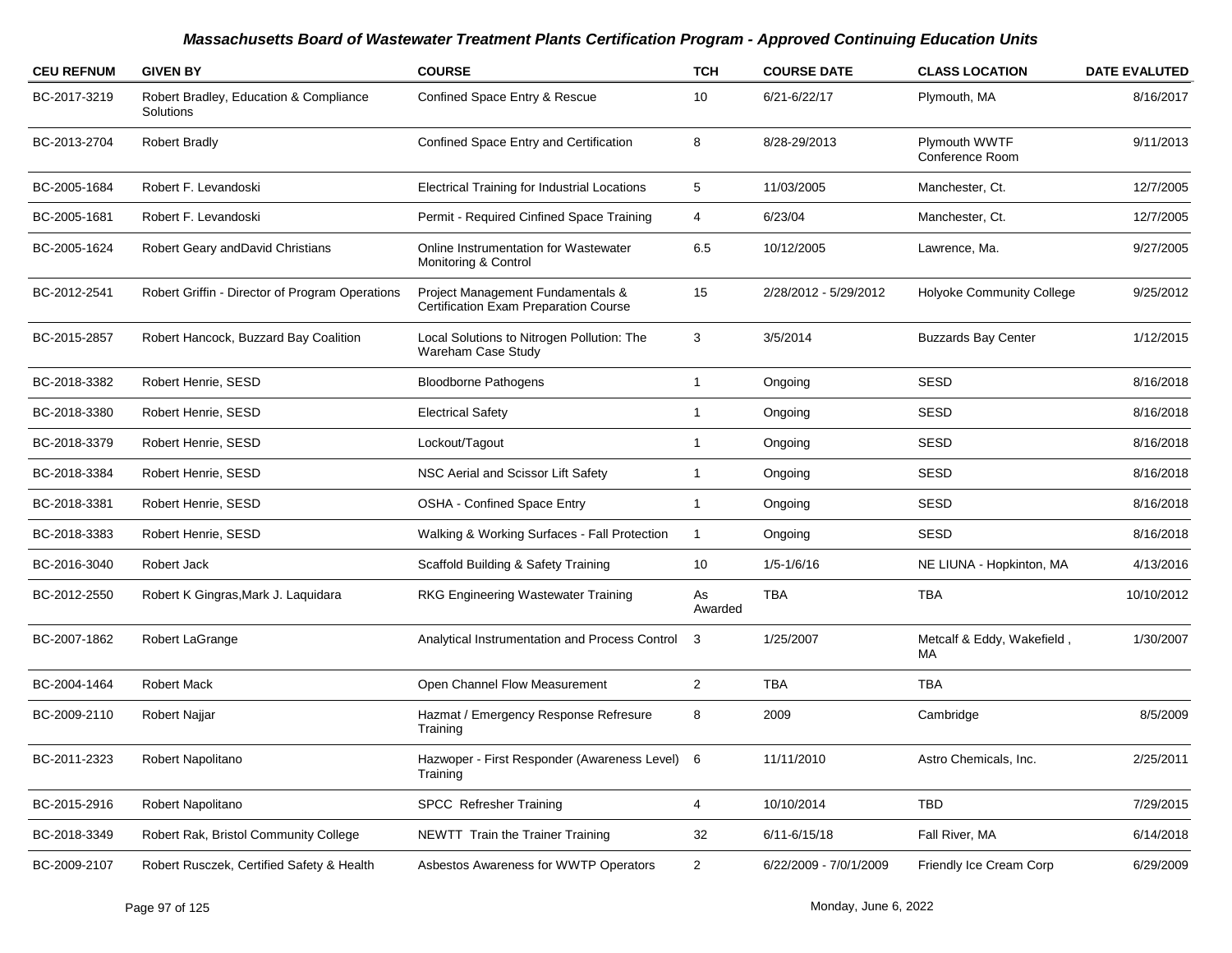| <b>CEU REFNUM</b> | <b>GIVEN BY</b>                                     | <b>COURSE</b>                                                              | <b>TCH</b>     | <b>COURSE DATE</b>     | <b>CLASS LOCATION</b>            | <b>DATE EVALUTED</b> |
|-------------------|-----------------------------------------------------|----------------------------------------------------------------------------|----------------|------------------------|----------------------------------|----------------------|
| BC-2017-3219      | Robert Bradley, Education & Compliance<br>Solutions | Confined Space Entry & Rescue                                              | 10             | 6/21-6/22/17           | Plymouth, MA                     | 8/16/2017            |
| BC-2013-2704      | <b>Robert Bradly</b>                                | Confined Space Entry and Certification                                     | 8              | 8/28-29/2013           | Plymouth WWTF<br>Conference Room | 9/11/2013            |
| BC-2005-1684      | Robert F. Levandoski                                | <b>Electrical Training for Industrial Locations</b>                        | 5              | 11/03/2005             | Manchester, Ct.                  | 12/7/2005            |
| BC-2005-1681      | Robert F. Levandoski                                | Permit - Required Cinfined Space Training                                  | $\overline{4}$ | 6/23/04                | Manchester, Ct.                  | 12/7/2005            |
| BC-2005-1624      | Robert Geary andDavid Christians                    | Online Instrumentation for Wastewater<br>Monitoring & Control              | 6.5            | 10/12/2005             | Lawrence, Ma.                    | 9/27/2005            |
| BC-2012-2541      | Robert Griffin - Director of Program Operations     | Project Management Fundamentals &<br>Certification Exam Preparation Course | 15             | 2/28/2012 - 5/29/2012  | Holyoke Community College        | 9/25/2012            |
| BC-2015-2857      | Robert Hancock, Buzzard Bay Coalition               | Local Solutions to Nitrogen Pollution: The<br>Wareham Case Study           | 3              | 3/5/2014               | <b>Buzzards Bay Center</b>       | 1/12/2015            |
| BC-2018-3382      | Robert Henrie, SESD                                 | <b>Bloodborne Pathogens</b>                                                | $\mathbf{1}$   | Ongoing                | <b>SESD</b>                      | 8/16/2018            |
| BC-2018-3380      | Robert Henrie, SESD                                 | <b>Electrical Safety</b>                                                   | $\mathbf{1}$   | Ongoing                | <b>SESD</b>                      | 8/16/2018            |
| BC-2018-3379      | Robert Henrie, SESD                                 | Lockout/Tagout                                                             | $\overline{1}$ | Ongoing                | <b>SESD</b>                      | 8/16/2018            |
| BC-2018-3384      | Robert Henrie, SESD                                 | NSC Aerial and Scissor Lift Safety                                         | $\mathbf{1}$   | Ongoing                | <b>SESD</b>                      | 8/16/2018            |
| BC-2018-3381      | Robert Henrie, SESD                                 | <b>OSHA - Confined Space Entry</b>                                         | $\mathbf{1}$   | Ongoing                | <b>SESD</b>                      | 8/16/2018            |
| BC-2018-3383      | Robert Henrie, SESD                                 | Walking & Working Surfaces - Fall Protection                               | $\mathbf{1}$   | Ongoing                | <b>SESD</b>                      | 8/16/2018            |
| BC-2016-3040      | Robert Jack                                         | Scaffold Building & Safety Training                                        | 10             | $1/5 - 1/6/16$         | NE LIUNA - Hopkinton, MA         | 4/13/2016            |
| BC-2012-2550      | Robert K Gingras, Mark J. Laquidara                 | RKG Engineering Wastewater Training                                        | As<br>Awarded  | <b>TBA</b>             | <b>TBA</b>                       | 10/10/2012           |
| BC-2007-1862      | Robert LaGrange                                     | Analytical Instrumentation and Process Control                             | 3              | 1/25/2007              | Metcalf & Eddy, Wakefield,<br>МA | 1/30/2007            |
| BC-2004-1464      | <b>Robert Mack</b>                                  | Open Channel Flow Measurement                                              | $\overline{2}$ | <b>TBA</b>             | <b>TBA</b>                       |                      |
| BC-2009-2110      | Robert Najjar                                       | Hazmat / Emergency Response Refresure<br>Training                          | 8              | 2009                   | Cambridge                        | 8/5/2009             |
| BC-2011-2323      | Robert Napolitano                                   | Hazwoper - First Responder (Awareness Level) 6<br>Training                 |                | 11/11/2010             | Astro Chemicals, Inc.            | 2/25/2011            |
| BC-2015-2916      | Robert Napolitano                                   | <b>SPCC</b> Refresher Training                                             | $\overline{4}$ | 10/10/2014             | <b>TBD</b>                       | 7/29/2015            |
| BC-2018-3349      | Robert Rak, Bristol Community College               | NEWTT Train the Trainer Training                                           | 32             | $6/11 - 6/15/18$       | Fall River, MA                   | 6/14/2018            |
| BC-2009-2107      | Robert Rusczek, Certified Safety & Health           | Asbestos Awareness for WWTP Operators                                      | $\overline{2}$ | 6/22/2009 - 7/0/1/2009 | Friendly Ice Cream Corp          | 6/29/2009            |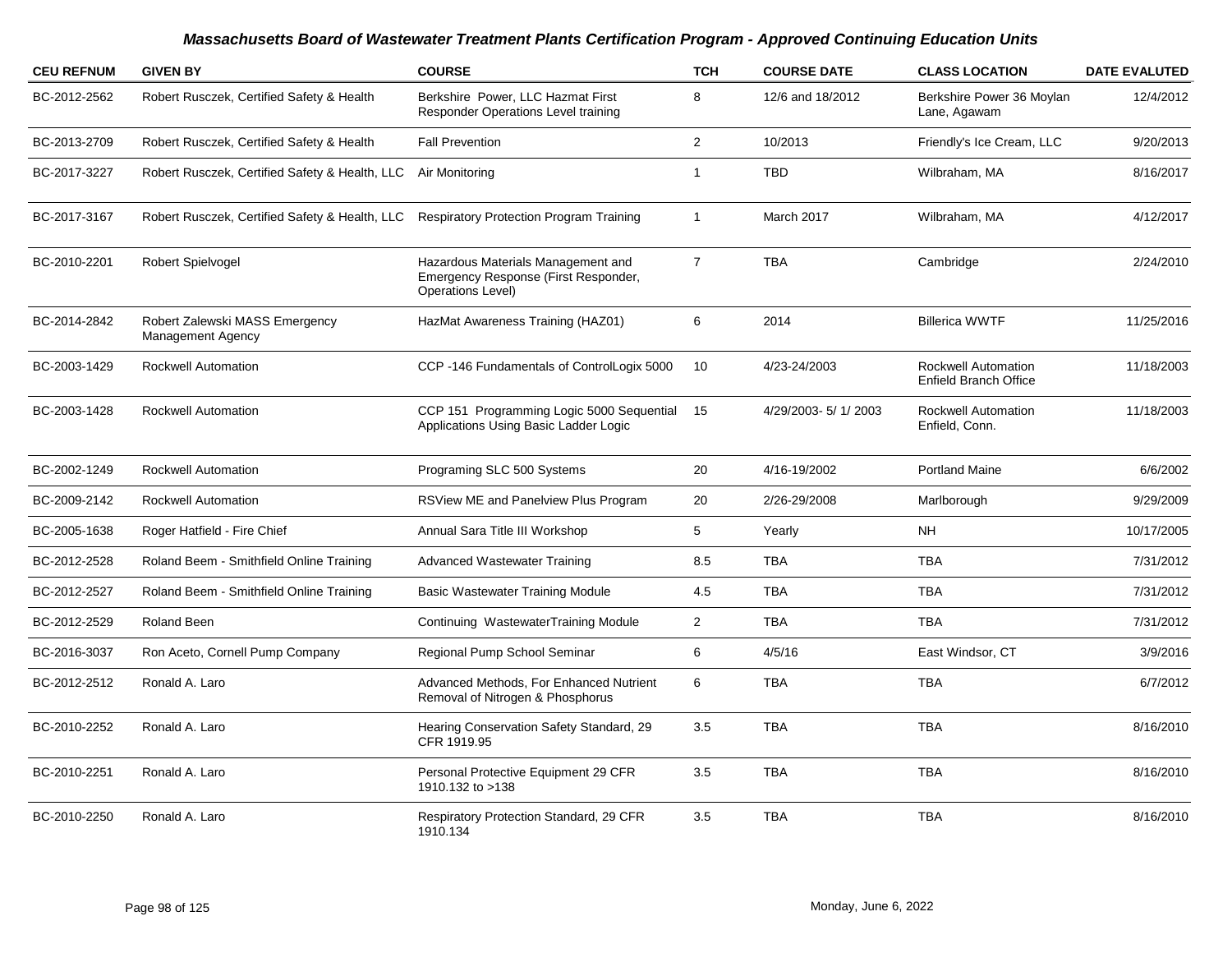| <b>CEU REFNUM</b> | <b>GIVEN BY</b>                                            | <b>COURSE</b>                                                                                          | <b>TCH</b>     | <b>COURSE DATE</b> | <b>CLASS LOCATION</b>                                      | <b>DATE EVALUTED</b> |
|-------------------|------------------------------------------------------------|--------------------------------------------------------------------------------------------------------|----------------|--------------------|------------------------------------------------------------|----------------------|
| BC-2012-2562      | Robert Rusczek, Certified Safety & Health                  | Berkshire Power, LLC Hazmat First<br>Responder Operations Level training                               | 8              | 12/6 and 18/2012   | Berkshire Power 36 Moylan<br>Lane, Agawam                  | 12/4/2012            |
| BC-2013-2709      | Robert Rusczek, Certified Safety & Health                  | <b>Fall Prevention</b>                                                                                 | $\overline{2}$ | 10/2013            | Friendly's Ice Cream, LLC                                  | 9/20/2013            |
| BC-2017-3227      | Robert Rusczek, Certified Safety & Health, LLC             | Air Monitoring                                                                                         | $\overline{1}$ | <b>TBD</b>         | Wilbraham, MA                                              | 8/16/2017            |
| BC-2017-3167      | Robert Rusczek, Certified Safety & Health, LLC             | <b>Respiratory Protection Program Training</b>                                                         | 1              | March 2017         | Wilbraham, MA                                              | 4/12/2017            |
| BC-2010-2201      | Robert Spielvogel                                          | Hazardous Materials Management and<br>Emergency Response (First Responder,<br><b>Operations Level)</b> | $\overline{7}$ | <b>TBA</b>         | Cambridge                                                  | 2/24/2010            |
| BC-2014-2842      | Robert Zalewski MASS Emergency<br><b>Management Agency</b> | HazMat Awareness Training (HAZ01)                                                                      | 6              | 2014               | <b>Billerica WWTF</b>                                      | 11/25/2016           |
| BC-2003-1429      | Rockwell Automation                                        | CCP-146 Fundamentals of ControlLogix 5000                                                              | 10             | 4/23-24/2003       | <b>Rockwell Automation</b><br><b>Enfield Branch Office</b> | 11/18/2003           |
| BC-2003-1428      | <b>Rockwell Automation</b>                                 | CCP 151 Programming Logic 5000 Sequential<br>Applications Using Basic Ladder Logic                     | 15             | 4/29/2003-5/1/2003 | <b>Rockwell Automation</b><br>Enfield, Conn.               | 11/18/2003           |
| BC-2002-1249      | Rockwell Automation                                        | Programing SLC 500 Systems                                                                             | 20             | 4/16-19/2002       | <b>Portland Maine</b>                                      | 6/6/2002             |
| BC-2009-2142      | <b>Rockwell Automation</b>                                 | RSView ME and Panelview Plus Program                                                                   | 20             | 2/26-29/2008       | Marlborough                                                | 9/29/2009            |
| BC-2005-1638      | Roger Hatfield - Fire Chief                                | Annual Sara Title III Workshop                                                                         | 5              | Yearly             | <b>NH</b>                                                  | 10/17/2005           |
| BC-2012-2528      | Roland Beem - Smithfield Online Training                   | <b>Advanced Wastewater Training</b>                                                                    | 8.5            | <b>TBA</b>         | <b>TBA</b>                                                 | 7/31/2012            |
| BC-2012-2527      | Roland Beem - Smithfield Online Training                   | <b>Basic Wastewater Training Module</b>                                                                | 4.5            | <b>TBA</b>         | <b>TBA</b>                                                 | 7/31/2012            |
| BC-2012-2529      | <b>Roland Been</b>                                         | Continuing WastewaterTraining Module                                                                   | $\overline{2}$ | <b>TBA</b>         | <b>TBA</b>                                                 | 7/31/2012            |
| BC-2016-3037      | Ron Aceto, Cornell Pump Company                            | Regional Pump School Seminar                                                                           | 6              | 4/5/16             | East Windsor, CT                                           | 3/9/2016             |
| BC-2012-2512      | Ronald A. Laro                                             | Advanced Methods, For Enhanced Nutrient<br>Removal of Nitrogen & Phosphorus                            | 6              | <b>TBA</b>         | <b>TBA</b>                                                 | 6/7/2012             |
| BC-2010-2252      | Ronald A. Laro                                             | Hearing Conservation Safety Standard, 29<br>CFR 1919.95                                                | 3.5            | <b>TBA</b>         | <b>TBA</b>                                                 | 8/16/2010            |
| BC-2010-2251      | Ronald A. Laro                                             | Personal Protective Equipment 29 CFR<br>1910.132 to >138                                               | 3.5            | <b>TBA</b>         | <b>TBA</b>                                                 | 8/16/2010            |
| BC-2010-2250      | Ronald A. Laro                                             | Respiratory Protection Standard, 29 CFR<br>1910.134                                                    | 3.5            | <b>TBA</b>         | <b>TBA</b>                                                 | 8/16/2010            |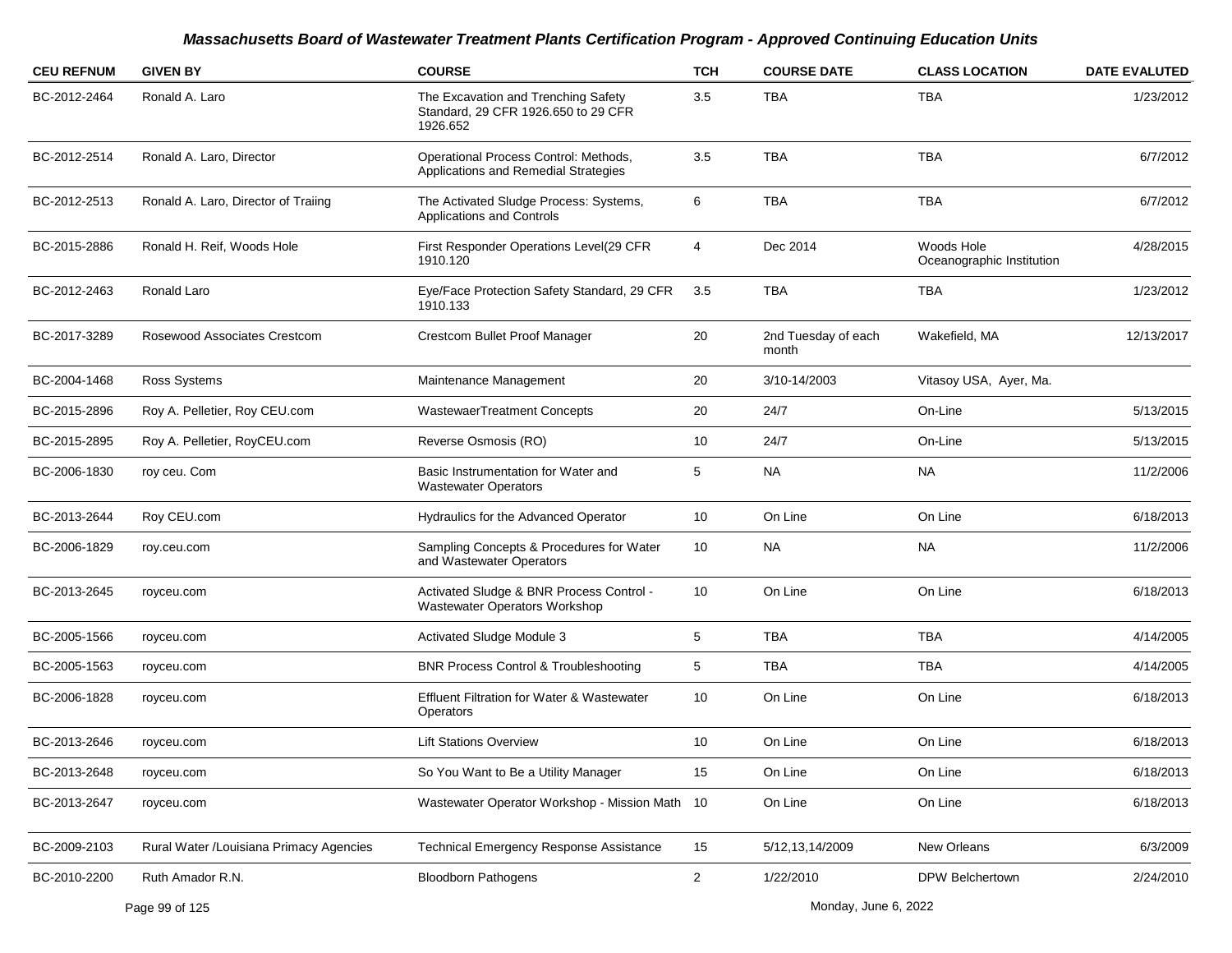| <b>CEU REFNUM</b> | <b>GIVEN BY</b>                         | <b>COURSE</b>                                                                          | <b>TCH</b>     | <b>COURSE DATE</b>           | <b>CLASS LOCATION</b>                   | <b>DATE EVALUTED</b> |
|-------------------|-----------------------------------------|----------------------------------------------------------------------------------------|----------------|------------------------------|-----------------------------------------|----------------------|
| BC-2012-2464      | Ronald A. Laro                          | The Excavation and Trenching Safety<br>Standard, 29 CFR 1926.650 to 29 CFR<br>1926.652 | 3.5            | <b>TBA</b>                   | TBA                                     | 1/23/2012            |
| BC-2012-2514      | Ronald A. Laro, Director                | Operational Process Control: Methods,<br>Applications and Remedial Strategies          | 3.5            | <b>TBA</b>                   | <b>TBA</b>                              | 6/7/2012             |
| BC-2012-2513      | Ronald A. Laro, Director of Traiing     | The Activated Sludge Process: Systems,<br>Applications and Controls                    | 6              | <b>TBA</b>                   | <b>TBA</b>                              | 6/7/2012             |
| BC-2015-2886      | Ronald H. Reif, Woods Hole              | First Responder Operations Level(29 CFR<br>1910.120                                    | 4              | Dec 2014                     | Woods Hole<br>Oceanographic Institution | 4/28/2015            |
| BC-2012-2463      | Ronald Laro                             | Eye/Face Protection Safety Standard, 29 CFR<br>1910.133                                | 3.5            | <b>TBA</b>                   | <b>TBA</b>                              | 1/23/2012            |
| BC-2017-3289      | Rosewood Associates Crestcom            | Crestcom Bullet Proof Manager                                                          | 20             | 2nd Tuesday of each<br>month | Wakefield, MA                           | 12/13/2017           |
| BC-2004-1468      | Ross Systems                            | Maintenance Management                                                                 | 20             | 3/10-14/2003                 | Vitasoy USA, Ayer, Ma.                  |                      |
| BC-2015-2896      | Roy A. Pelletier, Roy CEU.com           | WastewaerTreatment Concepts                                                            | 20             | 24/7                         | On-Line                                 | 5/13/2015            |
| BC-2015-2895      | Roy A. Pelletier, RoyCEU.com            | Reverse Osmosis (RO)                                                                   | 10             | 24/7                         | On-Line                                 | 5/13/2015            |
| BC-2006-1830      | roy ceu. Com                            | Basic Instrumentation for Water and<br><b>Wastewater Operators</b>                     | 5              | <b>NA</b>                    | <b>NA</b>                               | 11/2/2006            |
| BC-2013-2644      | Roy CEU.com                             | Hydraulics for the Advanced Operator                                                   | 10             | On Line                      | On Line                                 | 6/18/2013            |
| BC-2006-1829      | roy.ceu.com                             | Sampling Concepts & Procedures for Water<br>and Wastewater Operators                   | 10             | <b>NA</b>                    | <b>NA</b>                               | 11/2/2006            |
| BC-2013-2645      | royceu.com                              | Activated Sludge & BNR Process Control -<br>Wastewater Operators Workshop              | 10             | On Line                      | On Line                                 | 6/18/2013            |
| BC-2005-1566      | royceu.com                              | Activated Sludge Module 3                                                              | 5              | <b>TBA</b>                   | <b>TBA</b>                              | 4/14/2005            |
| BC-2005-1563      | royceu.com                              | <b>BNR Process Control &amp; Troubleshooting</b>                                       | 5              | TBA                          | TBA                                     | 4/14/2005            |
| BC-2006-1828      | royceu.com                              | <b>Effluent Filtration for Water &amp; Wastewater</b><br>Operators                     | 10             | On Line                      | On Line                                 | 6/18/2013            |
| BC-2013-2646      | royceu.com                              | <b>Lift Stations Overview</b>                                                          | 10             | On Line                      | On Line                                 | 6/18/2013            |
| BC-2013-2648      | royceu.com                              | So You Want to Be a Utility Manager                                                    | 15             | On Line                      | On Line                                 | 6/18/2013            |
| BC-2013-2647      | royceu.com                              | Wastewater Operator Workshop - Mission Math 10                                         |                | On Line                      | On Line                                 | 6/18/2013            |
| BC-2009-2103      | Rural Water /Louisiana Primacy Agencies | <b>Technical Emergency Response Assistance</b>                                         | 15             | 5/12, 13, 14/2009            | New Orleans                             | 6/3/2009             |
| BC-2010-2200      | Ruth Amador R.N.                        | <b>Bloodborn Pathogens</b>                                                             | $\overline{2}$ | 1/22/2010                    | DPW Belchertown                         | 2/24/2010            |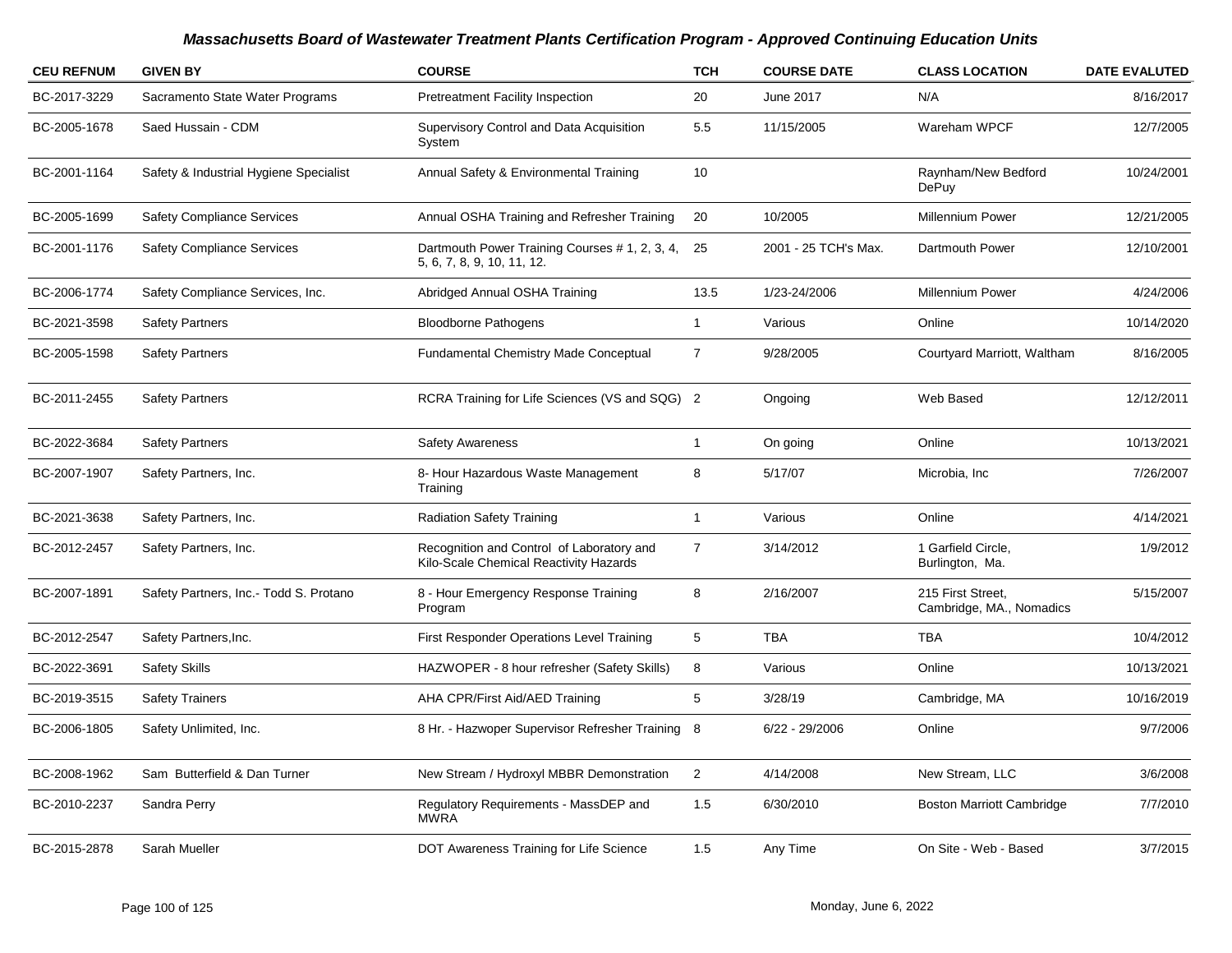| <b>CEU REFNUM</b> | <b>GIVEN BY</b>                        | <b>COURSE</b>                                                                       | <b>TCH</b>     | <b>COURSE DATE</b>   | <b>CLASS LOCATION</b>                         | <b>DATE EVALUTED</b> |
|-------------------|----------------------------------------|-------------------------------------------------------------------------------------|----------------|----------------------|-----------------------------------------------|----------------------|
| BC-2017-3229      | Sacramento State Water Programs        | <b>Pretreatment Facility Inspection</b>                                             | 20             | June 2017            | N/A                                           | 8/16/2017            |
| BC-2005-1678      | Saed Hussain - CDM                     | Supervisory Control and Data Acquisition<br>System                                  | 5.5            | 11/15/2005           | Wareham WPCF                                  | 12/7/2005            |
| BC-2001-1164      | Safety & Industrial Hygiene Specialist | Annual Safety & Environmental Training                                              | 10             |                      | Raynham/New Bedford<br>DePuy                  | 10/24/2001           |
| BC-2005-1699      | <b>Safety Compliance Services</b>      | Annual OSHA Training and Refresher Training                                         | 20             | 10/2005              | Millennium Power                              | 12/21/2005           |
| BC-2001-1176      | <b>Safety Compliance Services</b>      | Dartmouth Power Training Courses # 1, 2, 3, 4,<br>5, 6, 7, 8, 9, 10, 11, 12.        | 25             | 2001 - 25 TCH's Max. | Dartmouth Power                               | 12/10/2001           |
| BC-2006-1774      | Safety Compliance Services, Inc.       | Abridged Annual OSHA Training                                                       | 13.5           | 1/23-24/2006         | Millennium Power                              | 4/24/2006            |
| BC-2021-3598      | <b>Safety Partners</b>                 | <b>Bloodborne Pathogens</b>                                                         | $\mathbf{1}$   | Various              | Online                                        | 10/14/2020           |
| BC-2005-1598      | <b>Safety Partners</b>                 | <b>Fundamental Chemistry Made Conceptual</b>                                        | $\overline{7}$ | 9/28/2005            | Courtyard Marriott, Waltham                   | 8/16/2005            |
| BC-2011-2455      | <b>Safety Partners</b>                 | RCRA Training for Life Sciences (VS and SQG) 2                                      |                | Ongoing              | Web Based                                     | 12/12/2011           |
| BC-2022-3684      | <b>Safety Partners</b>                 | <b>Safety Awareness</b>                                                             | $\mathbf{1}$   | On going             | Online                                        | 10/13/2021           |
| BC-2007-1907      | Safety Partners, Inc.                  | 8- Hour Hazardous Waste Management<br>Training                                      | 8              | 5/17/07              | Microbia, Inc                                 | 7/26/2007            |
| BC-2021-3638      | Safety Partners, Inc.                  | <b>Radiation Safety Training</b>                                                    | $\mathbf{1}$   | Various              | Online                                        | 4/14/2021            |
| BC-2012-2457      | Safety Partners, Inc.                  | Recognition and Control of Laboratory and<br>Kilo-Scale Chemical Reactivity Hazards | $\overline{7}$ | 3/14/2012            | 1 Garfield Circle,<br>Burlington, Ma.         | 1/9/2012             |
| BC-2007-1891      | Safety Partners, Inc.- Todd S. Protano | 8 - Hour Emergency Response Training<br>Program                                     | 8              | 2/16/2007            | 215 First Street,<br>Cambridge, MA., Nomadics | 5/15/2007            |
| BC-2012-2547      | Safety Partners, Inc.                  | First Responder Operations Level Training                                           | 5              | <b>TBA</b>           | <b>TBA</b>                                    | 10/4/2012            |
| BC-2022-3691      | <b>Safety Skills</b>                   | HAZWOPER - 8 hour refresher (Safety Skills)                                         | 8              | Various              | Online                                        | 10/13/2021           |
| BC-2019-3515      | <b>Safety Trainers</b>                 | AHA CPR/First Aid/AED Training                                                      | 5              | 3/28/19              | Cambridge, MA                                 | 10/16/2019           |
| BC-2006-1805      | Safety Unlimited, Inc.                 | 8 Hr. - Hazwoper Supervisor Refresher Training 8                                    |                | $6/22 - 29/2006$     | Online                                        | 9/7/2006             |
| BC-2008-1962      | Sam Butterfield & Dan Turner           | New Stream / Hydroxyl MBBR Demonstration                                            | $\overline{c}$ | 4/14/2008            | New Stream, LLC                               | 3/6/2008             |
| BC-2010-2237      | Sandra Perry                           | Regulatory Requirements - MassDEP and<br><b>MWRA</b>                                | 1.5            | 6/30/2010            | <b>Boston Marriott Cambridge</b>              | 7/7/2010             |
| BC-2015-2878      | Sarah Mueller                          | DOT Awareness Training for Life Science                                             | 1.5            | Any Time             | On Site - Web - Based                         | 3/7/2015             |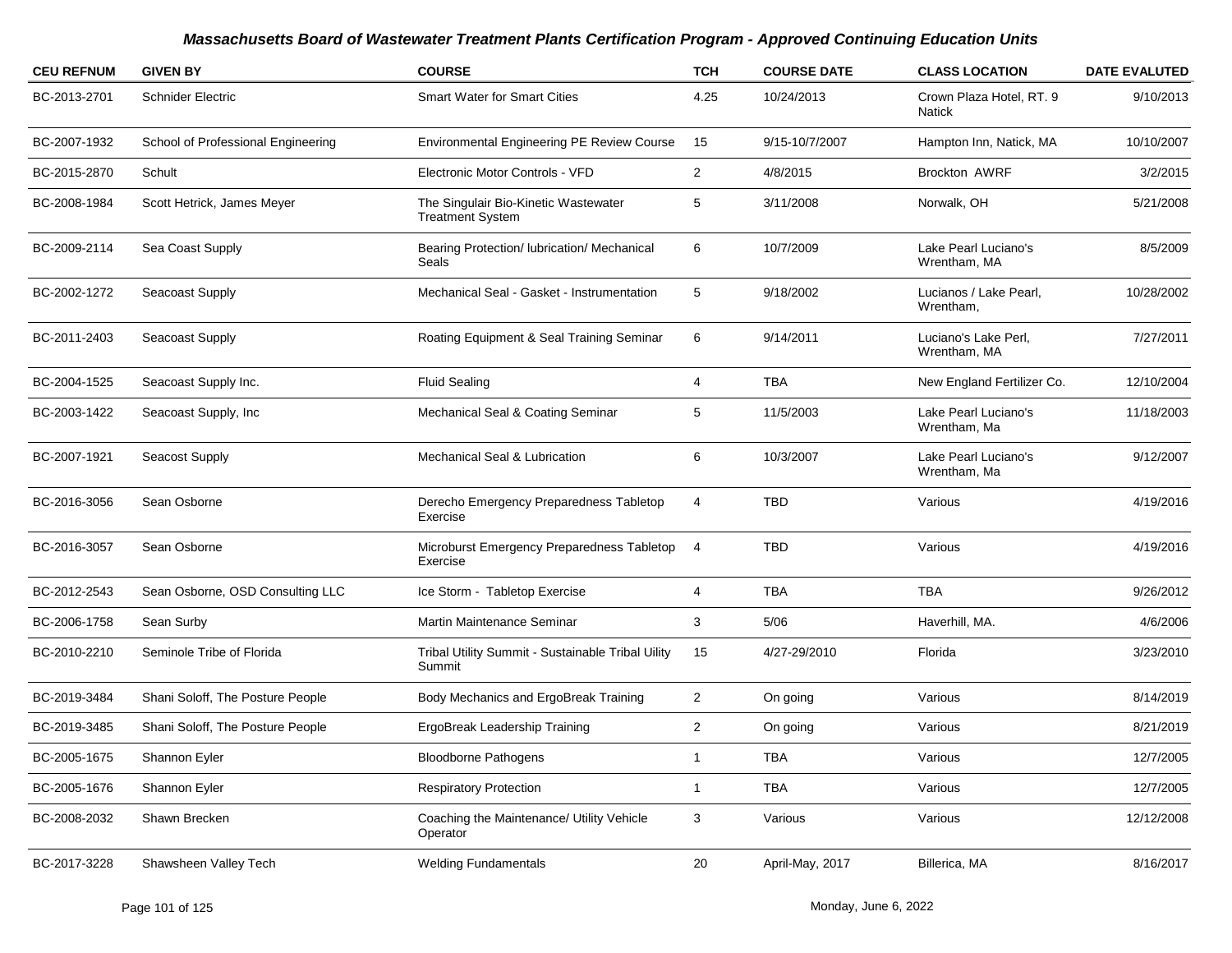| <b>CEU REFNUM</b> | <b>GIVEN BY</b>                    | <b>COURSE</b>                                                   | <b>TCH</b>     | <b>COURSE DATE</b> | <b>CLASS LOCATION</b>                | <b>DATE EVALUTED</b> |
|-------------------|------------------------------------|-----------------------------------------------------------------|----------------|--------------------|--------------------------------------|----------------------|
| BC-2013-2701      | <b>Schnider Electric</b>           | <b>Smart Water for Smart Cities</b>                             | 4.25           | 10/24/2013         | Crown Plaza Hotel, RT. 9<br>Natick   | 9/10/2013            |
| BC-2007-1932      | School of Professional Engineering | Environmental Engineering PE Review Course                      | 15             | 9/15-10/7/2007     | Hampton Inn, Natick, MA              | 10/10/2007           |
| BC-2015-2870      | Schult                             | Electronic Motor Controls - VFD                                 | $\overline{c}$ | 4/8/2015           | <b>Brockton AWRF</b>                 | 3/2/2015             |
| BC-2008-1984      | Scott Hetrick, James Meyer         | The Singulair Bio-Kinetic Wastewater<br><b>Treatment System</b> | 5              | 3/11/2008          | Norwalk, OH                          | 5/21/2008            |
| BC-2009-2114      | Sea Coast Supply                   | Bearing Protection/ lubrication/ Mechanical<br>Seals            | 6              | 10/7/2009          | Lake Pearl Luciano's<br>Wrentham, MA | 8/5/2009             |
| BC-2002-1272      | Seacoast Supply                    | Mechanical Seal - Gasket - Instrumentation                      | 5              | 9/18/2002          | Lucianos / Lake Pearl,<br>Wrentham,  | 10/28/2002           |
| BC-2011-2403      | Seacoast Supply                    | Roating Equipment & Seal Training Seminar                       | 6              | 9/14/2011          | Luciano's Lake Perl,<br>Wrentham, MA | 7/27/2011            |
| BC-2004-1525      | Seacoast Supply Inc.               | <b>Fluid Sealing</b>                                            | 4              | <b>TBA</b>         | New England Fertilizer Co.           | 12/10/2004           |
| BC-2003-1422      | Seacoast Supply, Inc               | Mechanical Seal & Coating Seminar                               | 5              | 11/5/2003          | Lake Pearl Luciano's<br>Wrentham, Ma | 11/18/2003           |
| BC-2007-1921      | Seacost Supply                     | <b>Mechanical Seal &amp; Lubrication</b>                        | 6              | 10/3/2007          | Lake Pearl Luciano's<br>Wrentham, Ma | 9/12/2007            |
| BC-2016-3056      | Sean Osborne                       | Derecho Emergency Preparedness Tabletop<br>Exercise             | 4              | <b>TBD</b>         | Various                              | 4/19/2016            |
| BC-2016-3057      | Sean Osborne                       | Microburst Emergency Preparedness Tabletop<br>Exercise          | $\overline{4}$ | <b>TBD</b>         | Various                              | 4/19/2016            |
| BC-2012-2543      | Sean Osborne, OSD Consulting LLC   | Ice Storm - Tabletop Exercise                                   | 4              | <b>TBA</b>         | <b>TBA</b>                           | 9/26/2012            |
| BC-2006-1758      | Sean Surby                         | Martin Maintenance Seminar                                      | 3              | 5/06               | Haverhill, MA.                       | 4/6/2006             |
| BC-2010-2210      | Seminole Tribe of Florida          | Tribal Utility Summit - Sustainable Tribal Uility<br>Summit     | 15             | 4/27-29/2010       | Florida                              | 3/23/2010            |
| BC-2019-3484      | Shani Soloff, The Posture People   | Body Mechanics and ErgoBreak Training                           | $\overline{2}$ | On going           | Various                              | 8/14/2019            |
| BC-2019-3485      | Shani Soloff, The Posture People   | ErgoBreak Leadership Training                                   | $\overline{2}$ | On going           | Various                              | 8/21/2019            |
| BC-2005-1675      | Shannon Eyler                      | <b>Bloodborne Pathogens</b>                                     | $\mathbf{1}$   | <b>TBA</b>         | Various                              | 12/7/2005            |
| BC-2005-1676      | Shannon Eyler                      | <b>Respiratory Protection</b>                                   | $\mathbf{1}$   | <b>TBA</b>         | Various                              | 12/7/2005            |
| BC-2008-2032      | Shawn Brecken                      | Coaching the Maintenance/ Utility Vehicle<br>Operator           | 3              | Various            | Various                              | 12/12/2008           |
| BC-2017-3228      | Shawsheen Valley Tech              | <b>Welding Fundamentals</b>                                     | 20             | April-May, 2017    | Billerica, MA                        | 8/16/2017            |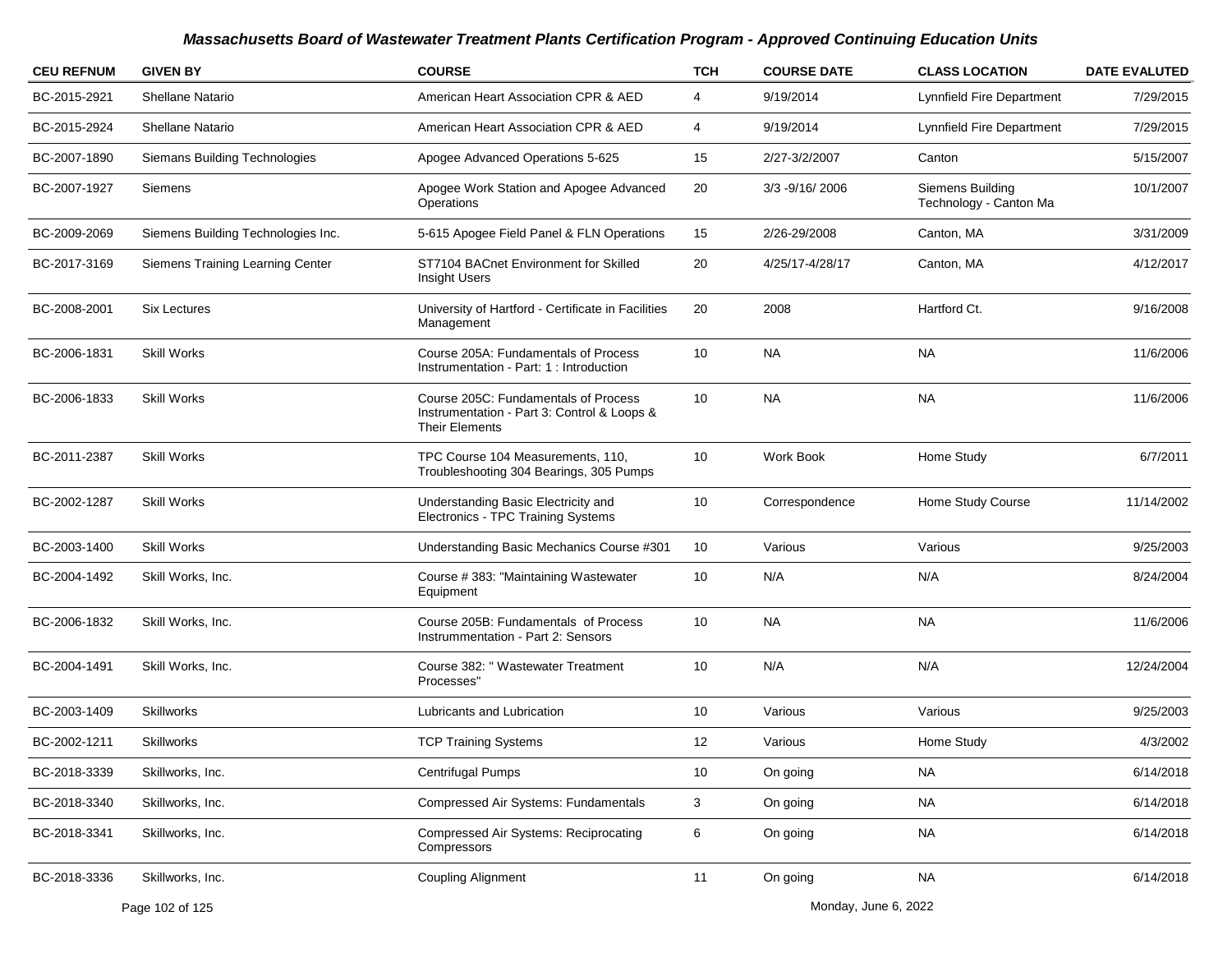| <b>CEU REFNUM</b> | <b>GIVEN BY</b>                    | <b>COURSE</b>                                                                                                | <b>TCH</b>        | <b>COURSE DATE</b> | <b>CLASS LOCATION</b>                      | <b>DATE EVALUTED</b> |
|-------------------|------------------------------------|--------------------------------------------------------------------------------------------------------------|-------------------|--------------------|--------------------------------------------|----------------------|
| BC-2015-2921      | <b>Shellane Natario</b>            | American Heart Association CPR & AED                                                                         | 4                 | 9/19/2014          | Lynnfield Fire Department                  | 7/29/2015            |
| BC-2015-2924      | Shellane Natario                   | American Heart Association CPR & AED                                                                         | 4                 | 9/19/2014          | Lynnfield Fire Department                  | 7/29/2015            |
| BC-2007-1890      | Siemans Building Technologies      | Apogee Advanced Operations 5-625                                                                             | 15                | 2/27-3/2/2007      | Canton                                     | 5/15/2007            |
| BC-2007-1927      | Siemens                            | Apogee Work Station and Apogee Advanced<br>Operations                                                        | 20                | 3/3 - 9/16/2006    | Siemens Building<br>Technology - Canton Ma | 10/1/2007            |
| BC-2009-2069      | Siemens Building Technologies Inc. | 5-615 Apogee Field Panel & FLN Operations                                                                    | 15                | 2/26-29/2008       | Canton, MA                                 | 3/31/2009            |
| BC-2017-3169      | Siemens Training Learning Center   | ST7104 BACnet Environment for Skilled<br>Insight Users                                                       | 20                | 4/25/17-4/28/17    | Canton, MA                                 | 4/12/2017            |
| BC-2008-2001      | <b>Six Lectures</b>                | University of Hartford - Certificate in Facilities<br>Management                                             | 20                | 2008               | Hartford Ct.                               | 9/16/2008            |
| BC-2006-1831      | <b>Skill Works</b>                 | Course 205A: Fundamentals of Process<br>Instrumentation - Part: 1 : Introduction                             | 10                | <b>NA</b>          | NA                                         | 11/6/2006            |
| BC-2006-1833      | <b>Skill Works</b>                 | Course 205C: Fundamentals of Process<br>Instrumentation - Part 3: Control & Loops &<br><b>Their Elements</b> | 10                | <b>NA</b>          | <b>NA</b>                                  | 11/6/2006            |
| BC-2011-2387      | <b>Skill Works</b>                 | TPC Course 104 Measurements, 110,<br>Troubleshooting 304 Bearings, 305 Pumps                                 | 10                | Work Book          | Home Study                                 | 6/7/2011             |
| BC-2002-1287      | <b>Skill Works</b>                 | Understanding Basic Electricity and<br>Electronics - TPC Training Systems                                    | 10                | Correspondence     | Home Study Course                          | 11/14/2002           |
| BC-2003-1400      | <b>Skill Works</b>                 | Understanding Basic Mechanics Course #301                                                                    | 10                | Various            | Various                                    | 9/25/2003            |
| BC-2004-1492      | Skill Works, Inc.                  | Course #383: "Maintaining Wastewater<br>Equipment                                                            | 10                | N/A                | N/A                                        | 8/24/2004            |
| BC-2006-1832      | Skill Works, Inc.                  | Course 205B: Fundamentals of Process<br>Instrummentation - Part 2: Sensors                                   | 10                | <b>NA</b>          | <b>NA</b>                                  | 11/6/2006            |
| BC-2004-1491      | Skill Works, Inc.                  | Course 382: " Wastewater Treatment<br>Processes"                                                             | 10                | N/A                | N/A                                        | 12/24/2004           |
| BC-2003-1409      | <b>Skillworks</b>                  | Lubricants and Lubrication                                                                                   | 10                | Various            | Various                                    | 9/25/2003            |
| BC-2002-1211      | <b>Skillworks</b>                  | <b>TCP Training Systems</b>                                                                                  | $12 \overline{ }$ | Various            | Home Study                                 | 4/3/2002             |
| BC-2018-3339      | Skillworks, Inc.                   | Centrifugal Pumps                                                                                            | 10                | On going           | <b>NA</b>                                  | 6/14/2018            |
| BC-2018-3340      | Skillworks, Inc.                   | Compressed Air Systems: Fundamentals                                                                         | 3                 | On going           | <b>NA</b>                                  | 6/14/2018            |
| BC-2018-3341      | Skillworks, Inc.                   | <b>Compressed Air Systems: Reciprocating</b><br>Compressors                                                  | 6                 | On going           | <b>NA</b>                                  | 6/14/2018            |
| BC-2018-3336      | Skillworks, Inc.                   | <b>Coupling Alignment</b>                                                                                    | 11                | On going           | <b>NA</b>                                  | 6/14/2018            |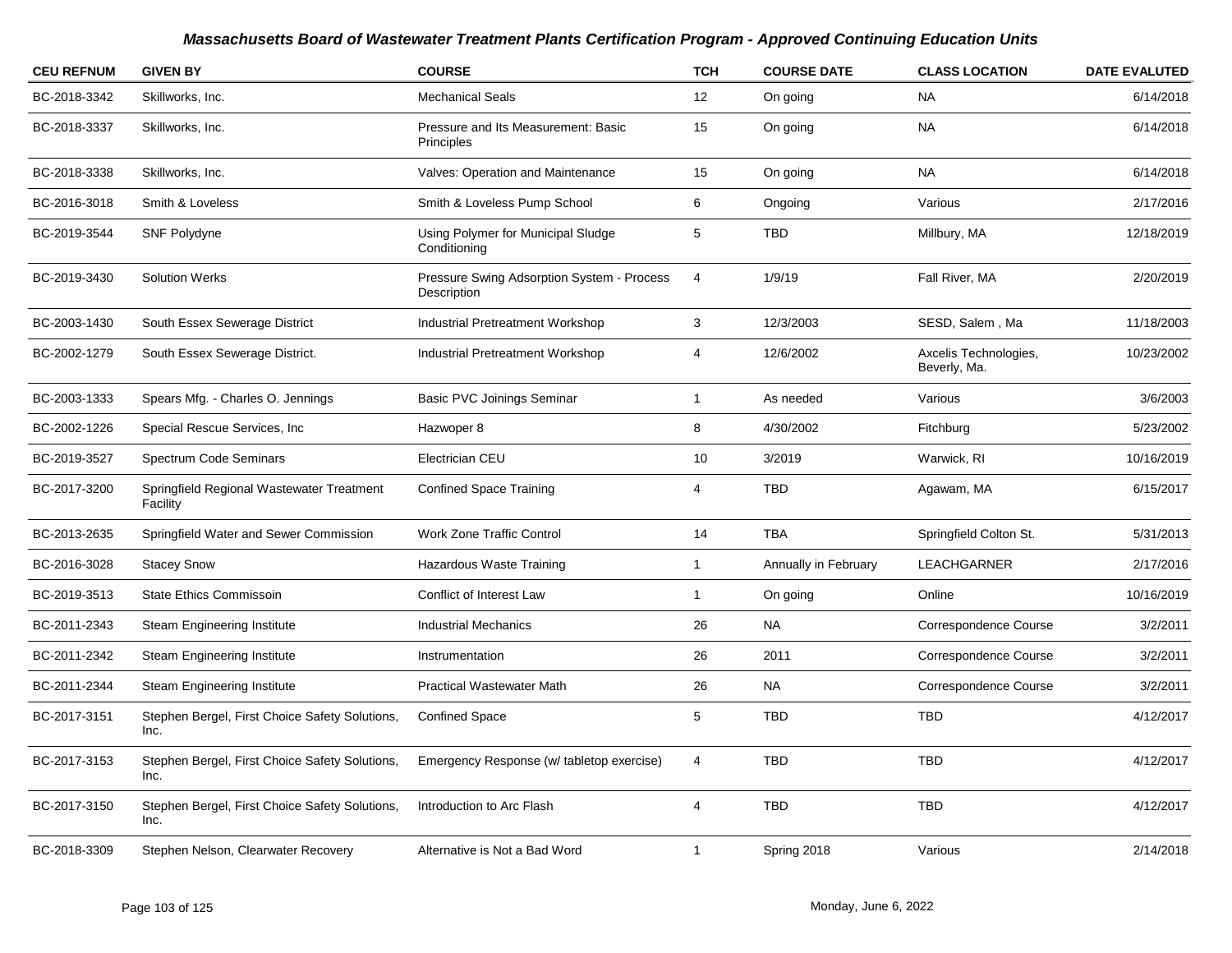| <b>CEU REFNUM</b> | <b>GIVEN BY</b>                                        | <b>COURSE</b>                                             | <b>TCH</b>   | <b>COURSE DATE</b>   | <b>CLASS LOCATION</b>                 | <b>DATE EVALUTED</b> |
|-------------------|--------------------------------------------------------|-----------------------------------------------------------|--------------|----------------------|---------------------------------------|----------------------|
| BC-2018-3342      | Skillworks, Inc.                                       | <b>Mechanical Seals</b>                                   | 12           | On going             | <b>NA</b>                             | 6/14/2018            |
| BC-2018-3337      | Skillworks, Inc.                                       | Pressure and Its Measurement: Basic<br>Principles         | 15           | On going             | <b>NA</b>                             | 6/14/2018            |
| BC-2018-3338      | Skillworks, Inc.                                       | Valves: Operation and Maintenance                         | 15           | On going             | <b>NA</b>                             | 6/14/2018            |
| BC-2016-3018      | Smith & Loveless                                       | Smith & Loveless Pump School                              | 6            | Ongoing              | Various                               | 2/17/2016            |
| BC-2019-3544      | SNF Polydyne                                           | Using Polymer for Municipal Sludge<br>Conditioning        | 5            | <b>TBD</b>           | Millbury, MA                          | 12/18/2019           |
| BC-2019-3430      | <b>Solution Werks</b>                                  | Pressure Swing Adsorption System - Process<br>Description | 4            | 1/9/19               | Fall River, MA                        | 2/20/2019            |
| BC-2003-1430      | South Essex Sewerage District                          | <b>Industrial Pretreatment Workshop</b>                   | 3            | 12/3/2003            | SESD, Salem, Ma                       | 11/18/2003           |
| BC-2002-1279      | South Essex Sewerage District.                         | <b>Industrial Pretreatment Workshop</b>                   | 4            | 12/6/2002            | Axcelis Technologies,<br>Beverly, Ma. | 10/23/2002           |
| BC-2003-1333      | Spears Mfg. - Charles O. Jennings                      | Basic PVC Joinings Seminar                                | $\mathbf{1}$ | As needed            | Various                               | 3/6/2003             |
| BC-2002-1226      | Special Rescue Services, Inc.                          | Hazwoper 8                                                | 8            | 4/30/2002            | Fitchburg                             | 5/23/2002            |
| BC-2019-3527      | Spectrum Code Seminars                                 | Electrician CEU                                           | 10           | 3/2019               | Warwick, RI                           | 10/16/2019           |
| BC-2017-3200      | Springfield Regional Wastewater Treatment<br>Facility  | <b>Confined Space Training</b>                            | 4            | <b>TBD</b>           | Agawam, MA                            | 6/15/2017            |
| BC-2013-2635      | Springfield Water and Sewer Commission                 | <b>Work Zone Traffic Control</b>                          | 14           | <b>TBA</b>           | Springfield Colton St.                | 5/31/2013            |
| BC-2016-3028      | <b>Stacey Snow</b>                                     | Hazardous Waste Training                                  | $\mathbf{1}$ | Annually in February | LEACHGARNER                           | 2/17/2016            |
| BC-2019-3513      | <b>State Ethics Commissoin</b>                         | Conflict of Interest Law                                  | $\mathbf{1}$ | On going             | Online                                | 10/16/2019           |
| BC-2011-2343      | Steam Engineering Institute                            | <b>Industrial Mechanics</b>                               | 26           | <b>NA</b>            | Correspondence Course                 | 3/2/2011             |
| BC-2011-2342      | <b>Steam Engineering Institute</b>                     | Instrumentation                                           | 26           | 2011                 | Correspondence Course                 | 3/2/2011             |
| BC-2011-2344      | <b>Steam Engineering Institute</b>                     | <b>Practical Wastewater Math</b>                          | 26           | <b>NA</b>            | Correspondence Course                 | 3/2/2011             |
| BC-2017-3151      | Stephen Bergel, First Choice Safety Solutions,<br>Inc. | <b>Confined Space</b>                                     | 5            | <b>TBD</b>           | <b>TBD</b>                            | 4/12/2017            |
| BC-2017-3153      | Stephen Bergel, First Choice Safety Solutions,<br>Inc. | Emergency Response (w/ tabletop exercise)                 | 4            | <b>TBD</b>           | <b>TBD</b>                            | 4/12/2017            |
| BC-2017-3150      | Stephen Bergel, First Choice Safety Solutions,<br>Inc. | Introduction to Arc Flash                                 | 4            | <b>TBD</b>           | <b>TBD</b>                            | 4/12/2017            |
| BC-2018-3309      | Stephen Nelson, Clearwater Recovery                    | Alternative is Not a Bad Word                             | 1            | Spring 2018          | Various                               | 2/14/2018            |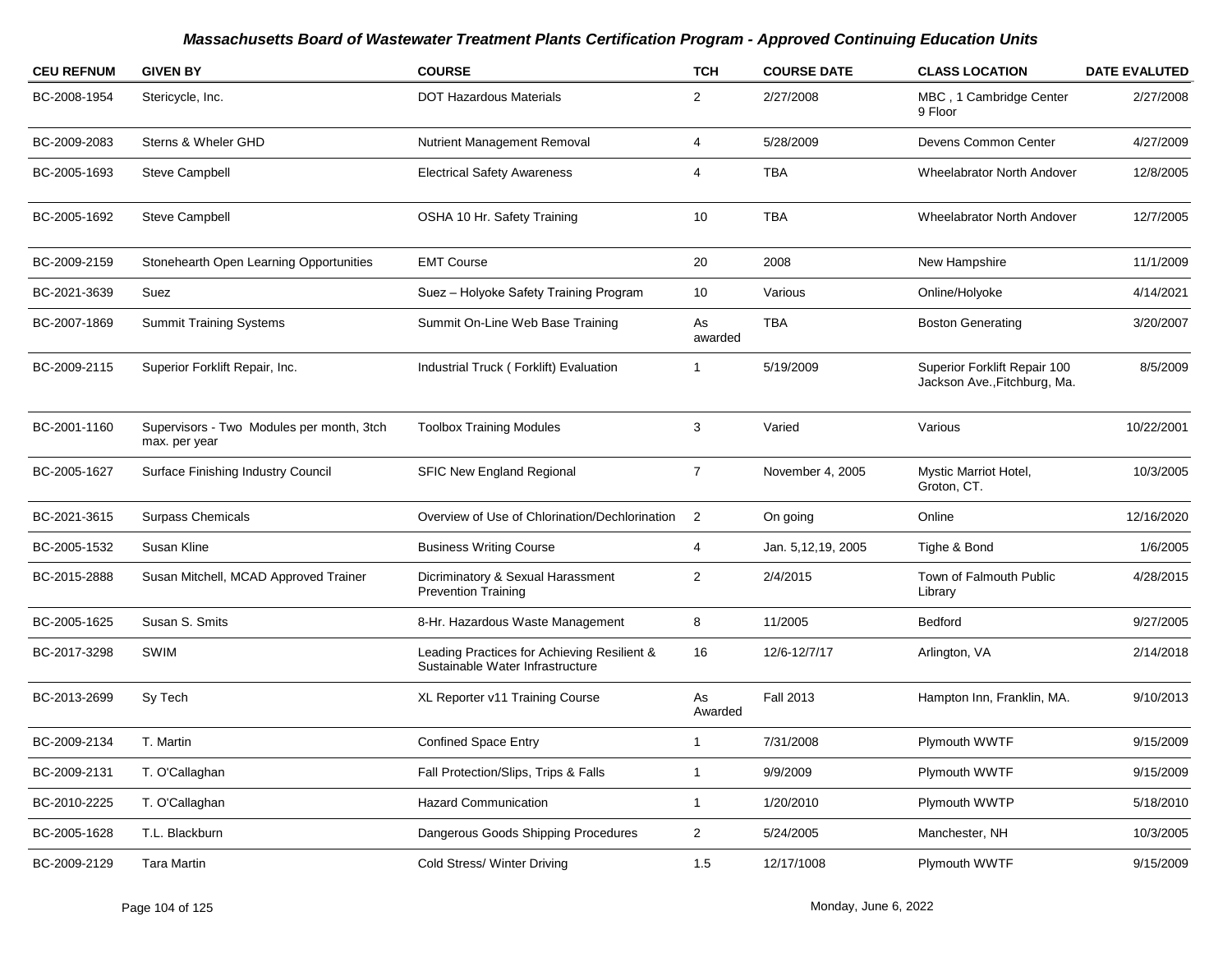| <b>CEU REFNUM</b> | <b>GIVEN BY</b>                                            | <b>COURSE</b>                                                                   | <b>TCH</b>     | <b>COURSE DATE</b> | <b>CLASS LOCATION</b>                                        | <b>DATE EVALUTED</b> |
|-------------------|------------------------------------------------------------|---------------------------------------------------------------------------------|----------------|--------------------|--------------------------------------------------------------|----------------------|
| BC-2008-1954      | Stericycle, Inc.                                           | <b>DOT Hazardous Materials</b>                                                  | $\overline{2}$ | 2/27/2008          | MBC, 1 Cambridge Center<br>9 Floor                           | 2/27/2008            |
| BC-2009-2083      | Sterns & Wheler GHD                                        | <b>Nutrient Management Removal</b>                                              | 4              | 5/28/2009          | Devens Common Center                                         | 4/27/2009            |
| BC-2005-1693      | <b>Steve Campbell</b>                                      | <b>Electrical Safety Awareness</b>                                              | 4              | <b>TBA</b>         | Wheelabrator North Andover                                   | 12/8/2005            |
| BC-2005-1692      | <b>Steve Campbell</b>                                      | OSHA 10 Hr. Safety Training                                                     | 10             | <b>TBA</b>         | <b>Wheelabrator North Andover</b>                            | 12/7/2005            |
| BC-2009-2159      | Stonehearth Open Learning Opportunities                    | <b>EMT Course</b>                                                               | 20             | 2008               | New Hampshire                                                | 11/1/2009            |
| BC-2021-3639      | Suez                                                       | Suez - Holyoke Safety Training Program                                          | 10             | Various            | Online/Holyoke                                               | 4/14/2021            |
| BC-2007-1869      | <b>Summit Training Systems</b>                             | Summit On-Line Web Base Training                                                | As<br>awarded  | <b>TBA</b>         | <b>Boston Generating</b>                                     | 3/20/2007            |
| BC-2009-2115      | Superior Forklift Repair, Inc.                             | Industrial Truck (Forklift) Evaluation                                          | -1             | 5/19/2009          | Superior Forklift Repair 100<br>Jackson Ave., Fitchburg, Ma. | 8/5/2009             |
| BC-2001-1160      | Supervisors - Two Modules per month, 3tch<br>max. per year | <b>Toolbox Training Modules</b>                                                 | 3              | Varied             | Various                                                      | 10/22/2001           |
| BC-2005-1627      | Surface Finishing Industry Council                         | <b>SFIC New England Regional</b>                                                | $\overline{7}$ | November 4, 2005   | Mystic Marriot Hotel,<br>Groton, CT.                         | 10/3/2005            |
| BC-2021-3615      | <b>Surpass Chemicals</b>                                   | Overview of Use of Chlorination/Dechlorination                                  | $\overline{2}$ | On going           | Online                                                       | 12/16/2020           |
| BC-2005-1532      | Susan Kline                                                | <b>Business Writing Course</b>                                                  | 4              | Jan. 5,12,19, 2005 | Tighe & Bond                                                 | 1/6/2005             |
| BC-2015-2888      | Susan Mitchell, MCAD Approved Trainer                      | Dicriminatory & Sexual Harassment<br><b>Prevention Training</b>                 | $\overline{2}$ | 2/4/2015           | Town of Falmouth Public<br>Library                           | 4/28/2015            |
| BC-2005-1625      | Susan S. Smits                                             | 8-Hr. Hazardous Waste Management                                                | 8              | 11/2005            | <b>Bedford</b>                                               | 9/27/2005            |
| BC-2017-3298      | SWIM                                                       | Leading Practices for Achieving Resilient &<br>Sustainable Water Infrastructure | 16             | 12/6-12/7/17       | Arlington, VA                                                | 2/14/2018            |
| BC-2013-2699      | Sy Tech                                                    | XL Reporter v11 Training Course                                                 | As<br>Awarded  | <b>Fall 2013</b>   | Hampton Inn, Franklin, MA.                                   | 9/10/2013            |
| BC-2009-2134      | T. Martin                                                  | <b>Confined Space Entry</b>                                                     | $\mathbf 1$    | 7/31/2008          | Plymouth WWTF                                                | 9/15/2009            |
| BC-2009-2131      | T. O'Callaghan                                             | Fall Protection/Slips, Trips & Falls                                            | $\mathbf{1}$   | 9/9/2009           | Plymouth WWTF                                                | 9/15/2009            |
| BC-2010-2225      | T. O'Callaghan                                             | <b>Hazard Communication</b>                                                     | $\mathbf{1}$   | 1/20/2010          | Plymouth WWTP                                                | 5/18/2010            |
| BC-2005-1628      | T.L. Blackburn                                             | Dangerous Goods Shipping Procedures                                             | $\overline{2}$ | 5/24/2005          | Manchester, NH                                               | 10/3/2005            |
| BC-2009-2129      | <b>Tara Martin</b>                                         | Cold Stress/ Winter Driving                                                     | 1.5            | 12/17/1008         | Plymouth WWTF                                                | 9/15/2009            |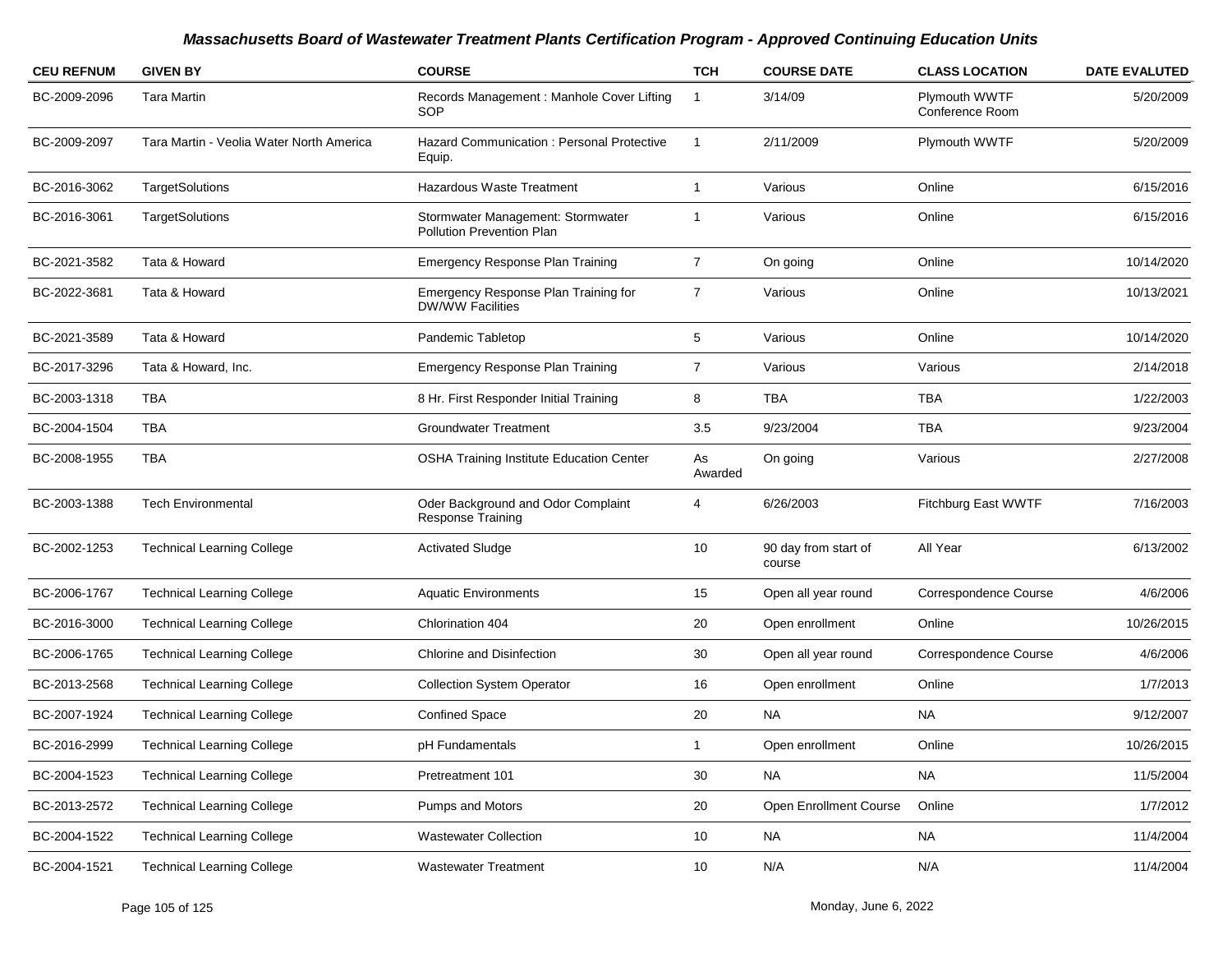| <b>CEU REFNUM</b> | <b>GIVEN BY</b>                          | <b>COURSE</b>                                                   | <b>TCH</b>     | <b>COURSE DATE</b>             | <b>CLASS LOCATION</b>            | <b>DATE EVALUTED</b> |
|-------------------|------------------------------------------|-----------------------------------------------------------------|----------------|--------------------------------|----------------------------------|----------------------|
| BC-2009-2096      | <b>Tara Martin</b>                       | Records Management : Manhole Cover Lifting<br>SOP               | -1             | 3/14/09                        | Plymouth WWTF<br>Conference Room | 5/20/2009            |
| BC-2009-2097      | Tara Martin - Veolia Water North America | Hazard Communication: Personal Protective<br>Equip.             | 1              | 2/11/2009                      | Plymouth WWTF                    | 5/20/2009            |
| BC-2016-3062      | TargetSolutions                          | Hazardous Waste Treatment                                       | 1              | Various                        | Online                           | 6/15/2016            |
| BC-2016-3061      | TargetSolutions                          | Stormwater Management: Stormwater<br>Pollution Prevention Plan  | 1              | Various                        | Online                           | 6/15/2016            |
| BC-2021-3582      | Tata & Howard                            | Emergency Response Plan Training                                | $\overline{7}$ | On going                       | Online                           | 10/14/2020           |
| BC-2022-3681      | Tata & Howard                            | Emergency Response Plan Training for<br><b>DW/WW Facilities</b> | $\overline{7}$ | Various                        | Online                           | 10/13/2021           |
| BC-2021-3589      | Tata & Howard                            | Pandemic Tabletop                                               | 5              | Various                        | Online                           | 10/14/2020           |
| BC-2017-3296      | Tata & Howard, Inc.                      | <b>Emergency Response Plan Training</b>                         | 7              | Various                        | Various                          | 2/14/2018            |
| BC-2003-1318      | TBA                                      | 8 Hr. First Responder Initial Training                          | 8              | <b>TBA</b>                     | TBA                              | 1/22/2003            |
| BC-2004-1504      | TBA                                      | <b>Groundwater Treatment</b>                                    | 3.5            | 9/23/2004                      | TBA                              | 9/23/2004            |
| BC-2008-1955      | <b>TBA</b>                               | <b>OSHA Training Institute Education Center</b>                 | As<br>Awarded  | On going                       | Various                          | 2/27/2008            |
| BC-2003-1388      | <b>Tech Environmental</b>                | Oder Background and Odor Complaint<br><b>Response Training</b>  | 4              | 6/26/2003                      | Fitchburg East WWTF              | 7/16/2003            |
| BC-2002-1253      | <b>Technical Learning College</b>        | <b>Activated Sludge</b>                                         | 10             | 90 day from start of<br>course | All Year                         | 6/13/2002            |
| BC-2006-1767      | <b>Technical Learning College</b>        | <b>Aquatic Environments</b>                                     | 15             | Open all year round            | Correspondence Course            | 4/6/2006             |
| BC-2016-3000      | <b>Technical Learning College</b>        | Chlorination 404                                                | 20             | Open enrollment                | Online                           | 10/26/2015           |
| BC-2006-1765      | <b>Technical Learning College</b>        | Chlorine and Disinfection                                       | 30             | Open all year round            | Correspondence Course            | 4/6/2006             |
| BC-2013-2568      | <b>Technical Learning College</b>        | <b>Collection System Operator</b>                               | 16             | Open enrollment                | Online                           | 1/7/2013             |
| BC-2007-1924      | <b>Technical Learning College</b>        | <b>Confined Space</b>                                           | 20             | NA.                            | <b>NA</b>                        | 9/12/2007            |
| BC-2016-2999      | <b>Technical Learning College</b>        | pH Fundamentals                                                 | 1              | Open enrollment                | Online                           | 10/26/2015           |
| BC-2004-1523      | <b>Technical Learning College</b>        | Pretreatment 101                                                | 30             | <b>NA</b>                      | $\sf NA$                         | 11/5/2004            |
| BC-2013-2572      | <b>Technical Learning College</b>        | Pumps and Motors                                                | 20             | Open Enrollment Course         | Online                           | 1/7/2012             |
| BC-2004-1522      | <b>Technical Learning College</b>        | <b>Wastewater Collection</b>                                    | 10             | <b>NA</b>                      | <b>NA</b>                        | 11/4/2004            |
| BC-2004-1521      | <b>Technical Learning College</b>        | <b>Wastewater Treatment</b>                                     | 10             | N/A                            | N/A                              | 11/4/2004            |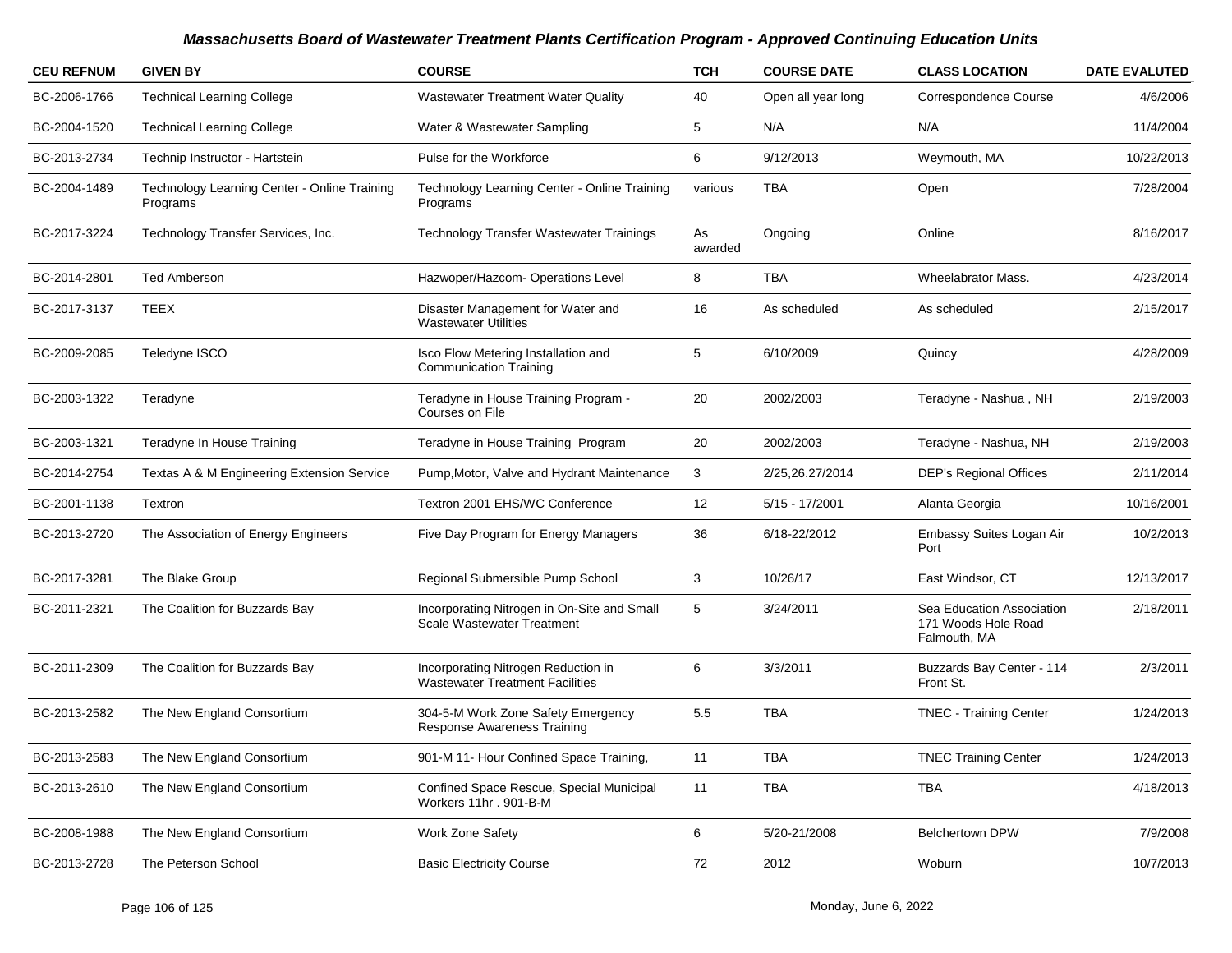| <b>CEU REFNUM</b> | <b>GIVEN BY</b>                                          | <b>COURSE</b>                                                                    | <b>TCH</b>    | <b>COURSE DATE</b> | <b>CLASS LOCATION</b>                                            | <b>DATE EVALUTED</b> |
|-------------------|----------------------------------------------------------|----------------------------------------------------------------------------------|---------------|--------------------|------------------------------------------------------------------|----------------------|
| BC-2006-1766      | <b>Technical Learning College</b>                        | <b>Wastewater Treatment Water Quality</b>                                        | 40            | Open all year long | Correspondence Course                                            | 4/6/2006             |
| BC-2004-1520      | <b>Technical Learning College</b>                        | Water & Wastewater Sampling                                                      | 5             | N/A                | N/A                                                              | 11/4/2004            |
| BC-2013-2734      | Technip Instructor - Hartstein                           | Pulse for the Workforce                                                          | 6             | 9/12/2013          | Weymouth, MA                                                     | 10/22/2013           |
| BC-2004-1489      | Technology Learning Center - Online Training<br>Programs | Technology Learning Center - Online Training<br>Programs                         | various       | TBA                | Open                                                             | 7/28/2004            |
| BC-2017-3224      | Technology Transfer Services, Inc.                       | <b>Technology Transfer Wastewater Trainings</b>                                  | As<br>awarded | Ongoing            | Online                                                           | 8/16/2017            |
| BC-2014-2801      | <b>Ted Amberson</b>                                      | Hazwoper/Hazcom- Operations Level                                                | 8             | TBA                | <b>Wheelabrator Mass.</b>                                        | 4/23/2014            |
| BC-2017-3137      | <b>TEEX</b>                                              | Disaster Management for Water and<br><b>Wastewater Utilities</b>                 | 16            | As scheduled       | As scheduled                                                     | 2/15/2017            |
| BC-2009-2085      | Teledyne ISCO                                            | Isco Flow Metering Installation and<br><b>Communication Training</b>             | 5             | 6/10/2009          | Quincy                                                           | 4/28/2009            |
| BC-2003-1322      | Teradyne                                                 | Teradyne in House Training Program -<br>Courses on File                          | 20            | 2002/2003          | Teradyne - Nashua, NH                                            | 2/19/2003            |
| BC-2003-1321      | Teradyne In House Training                               | Teradyne in House Training Program                                               | 20            | 2002/2003          | Teradyne - Nashua, NH                                            | 2/19/2003            |
| BC-2014-2754      | Textas A & M Engineering Extension Service               | Pump, Motor, Valve and Hydrant Maintenance                                       | 3             | 2/25,26.27/2014    | <b>DEP's Regional Offices</b>                                    | 2/11/2014            |
| BC-2001-1138      | Textron                                                  | Textron 2001 EHS/WC Conference                                                   | 12            | $5/15 - 17/2001$   | Alanta Georgia                                                   | 10/16/2001           |
| BC-2013-2720      | The Association of Energy Engineers                      | Five Day Program for Energy Managers                                             | 36            | 6/18-22/2012       | Embassy Suites Logan Air<br>Port                                 | 10/2/2013            |
| BC-2017-3281      | The Blake Group                                          | Regional Submersible Pump School                                                 | 3             | 10/26/17           | East Windsor, CT                                                 | 12/13/2017           |
| BC-2011-2321      | The Coalition for Buzzards Bay                           | Incorporating Nitrogen in On-Site and Small<br><b>Scale Wastewater Treatment</b> | 5             | 3/24/2011          | Sea Education Association<br>171 Woods Hole Road<br>Falmouth, MA | 2/18/2011            |
| BC-2011-2309      | The Coalition for Buzzards Bay                           | Incorporating Nitrogen Reduction in<br><b>Wastewater Treatment Facilities</b>    | 6             | 3/3/2011           | Buzzards Bay Center - 114<br>Front St.                           | 2/3/2011             |
| BC-2013-2582      | The New England Consortium                               | 304-5-M Work Zone Safety Emergency<br><b>Response Awareness Training</b>         | 5.5           | <b>TBA</b>         | <b>TNEC - Training Center</b>                                    | 1/24/2013            |
| BC-2013-2583      | The New England Consortium                               | 901-M 11- Hour Confined Space Training,                                          | 11            | TBA                | <b>TNEC Training Center</b>                                      | 1/24/2013            |
| BC-2013-2610      | The New England Consortium                               | Confined Space Rescue, Special Municipal<br>Workers 11hr . 901-B-M               | 11            | TBA                | <b>TBA</b>                                                       | 4/18/2013            |
| BC-2008-1988      | The New England Consortium                               | Work Zone Safety                                                                 | 6             | 5/20-21/2008       | Belchertown DPW                                                  | 7/9/2008             |
| BC-2013-2728      | The Peterson School                                      | <b>Basic Electricity Course</b>                                                  | 72            | 2012               | Woburn                                                           | 10/7/2013            |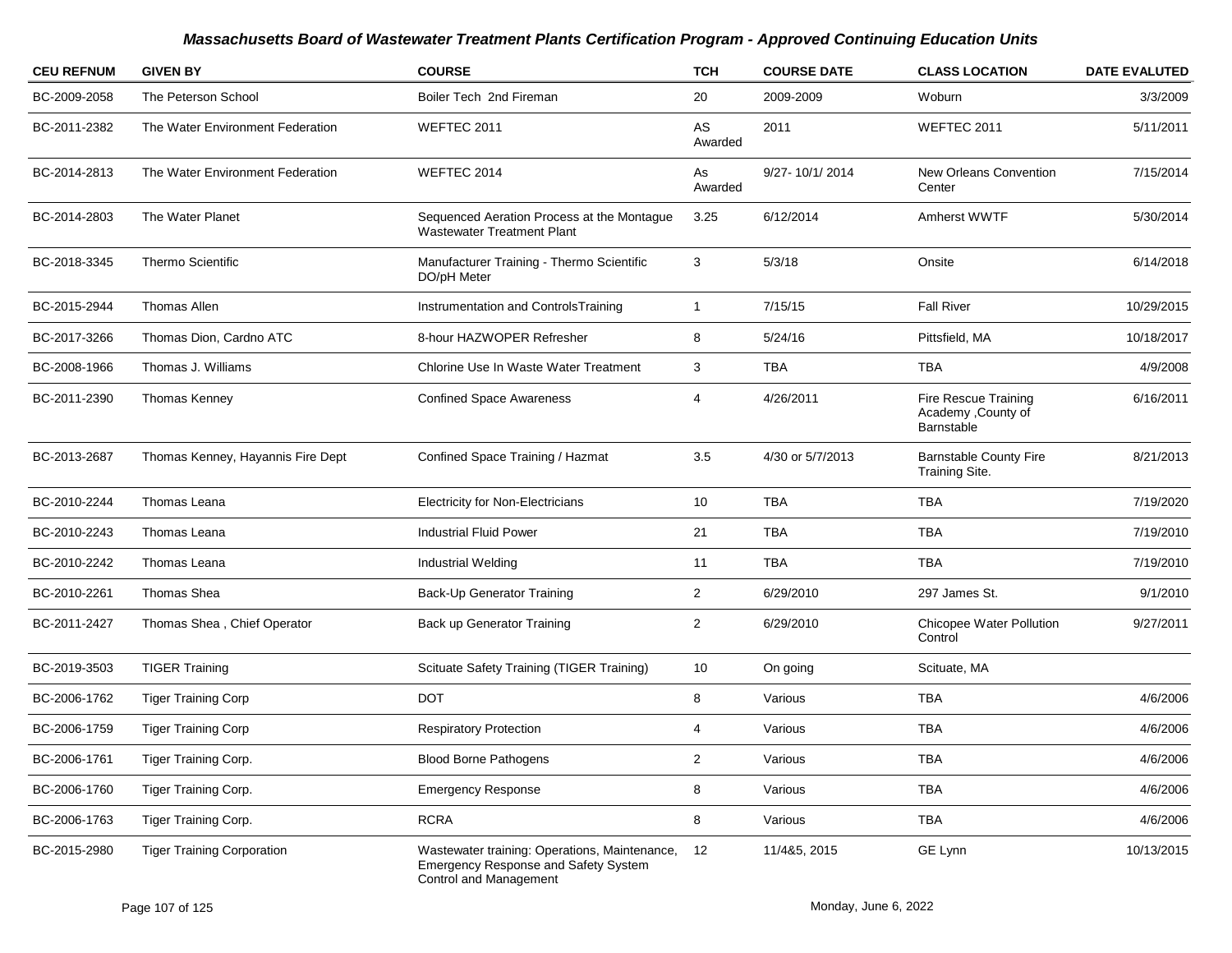| <b>CEU REFNUM</b> | <b>GIVEN BY</b>                   | <b>COURSE</b>                                                                                                   | <b>TCH</b>     | <b>COURSE DATE</b> | <b>CLASS LOCATION</b>                                     | <b>DATE EVALUTED</b> |
|-------------------|-----------------------------------|-----------------------------------------------------------------------------------------------------------------|----------------|--------------------|-----------------------------------------------------------|----------------------|
| BC-2009-2058      | The Peterson School               | Boiler Tech 2nd Fireman                                                                                         | 20             | 2009-2009          | Woburn                                                    | 3/3/2009             |
| BC-2011-2382      | The Water Environment Federation  | WEFTEC 2011                                                                                                     | AS<br>Awarded  | 2011               | WEFTEC 2011                                               | 5/11/2011            |
| BC-2014-2813      | The Water Environment Federation  | WEFTEC 2014                                                                                                     | As<br>Awarded  | 9/27-10/1/2014     | New Orleans Convention<br>Center                          | 7/15/2014            |
| BC-2014-2803      | The Water Planet                  | Sequenced Aeration Process at the Montague<br><b>Wastewater Treatment Plant</b>                                 | 3.25           | 6/12/2014          | Amherst WWTF                                              | 5/30/2014            |
| BC-2018-3345      | <b>Thermo Scientific</b>          | Manufacturer Training - Thermo Scientific<br>DO/pH Meter                                                        | 3              | 5/3/18             | Onsite                                                    | 6/14/2018            |
| BC-2015-2944      | <b>Thomas Allen</b>               | Instrumentation and ControlsTraining                                                                            | $\mathbf{1}$   | 7/15/15            | <b>Fall River</b>                                         | 10/29/2015           |
| BC-2017-3266      | Thomas Dion, Cardno ATC           | 8-hour HAZWOPER Refresher                                                                                       | 8              | 5/24/16            | Pittsfield, MA                                            | 10/18/2017           |
| BC-2008-1966      | Thomas J. Williams                | Chlorine Use In Waste Water Treatment                                                                           | 3              | TBA                | TBA                                                       | 4/9/2008             |
| BC-2011-2390      | Thomas Kenney                     | <b>Confined Space Awareness</b>                                                                                 | 4              | 4/26/2011          | Fire Rescue Training<br>Academy , County of<br>Barnstable | 6/16/2011            |
| BC-2013-2687      | Thomas Kenney, Hayannis Fire Dept | Confined Space Training / Hazmat                                                                                | 3.5            | 4/30 or 5/7/2013   | <b>Barnstable County Fire</b><br>Training Site.           | 8/21/2013            |
| BC-2010-2244      | Thomas Leana                      | <b>Electricity for Non-Electricians</b>                                                                         | 10             | TBA                | TBA                                                       | 7/19/2020            |
| BC-2010-2243      | Thomas Leana                      | <b>Industrial Fluid Power</b>                                                                                   | 21             | <b>TBA</b>         | <b>TBA</b>                                                | 7/19/2010            |
| BC-2010-2242      | Thomas Leana                      | Industrial Welding                                                                                              | 11             | <b>TBA</b>         | <b>TBA</b>                                                | 7/19/2010            |
| BC-2010-2261      | Thomas Shea                       | Back-Up Generator Training                                                                                      | $\overline{2}$ | 6/29/2010          | 297 James St.                                             | 9/1/2010             |
| BC-2011-2427      | Thomas Shea, Chief Operator       | Back up Generator Training                                                                                      | $\overline{2}$ | 6/29/2010          | Chicopee Water Pollution<br>Control                       | 9/27/2011            |
| BC-2019-3503      | <b>TIGER Training</b>             | Scituate Safety Training (TIGER Training)                                                                       | 10             | On going           | Scituate, MA                                              |                      |
| BC-2006-1762      | <b>Tiger Training Corp</b>        | <b>DOT</b>                                                                                                      | 8              | Various            | <b>TBA</b>                                                | 4/6/2006             |
| BC-2006-1759      | <b>Tiger Training Corp</b>        | <b>Respiratory Protection</b>                                                                                   | 4              | Various            | <b>TBA</b>                                                | 4/6/2006             |
| BC-2006-1761      | Tiger Training Corp.              | <b>Blood Borne Pathogens</b>                                                                                    | 2              | Various            | TBA                                                       | 4/6/2006             |
| BC-2006-1760      | Tiger Training Corp.              | <b>Emergency Response</b>                                                                                       | 8              | Various            | TBA                                                       | 4/6/2006             |
| BC-2006-1763      | <b>Tiger Training Corp.</b>       | <b>RCRA</b>                                                                                                     | 8              | Various            | TBA                                                       | 4/6/2006             |
| BC-2015-2980      | <b>Tiger Training Corporation</b> | Wastewater training: Operations, Maintenance,<br>Emergency Response and Safety System<br>Control and Management | 12             | 11/4&5, 2015       | GE Lynn                                                   | 10/13/2015           |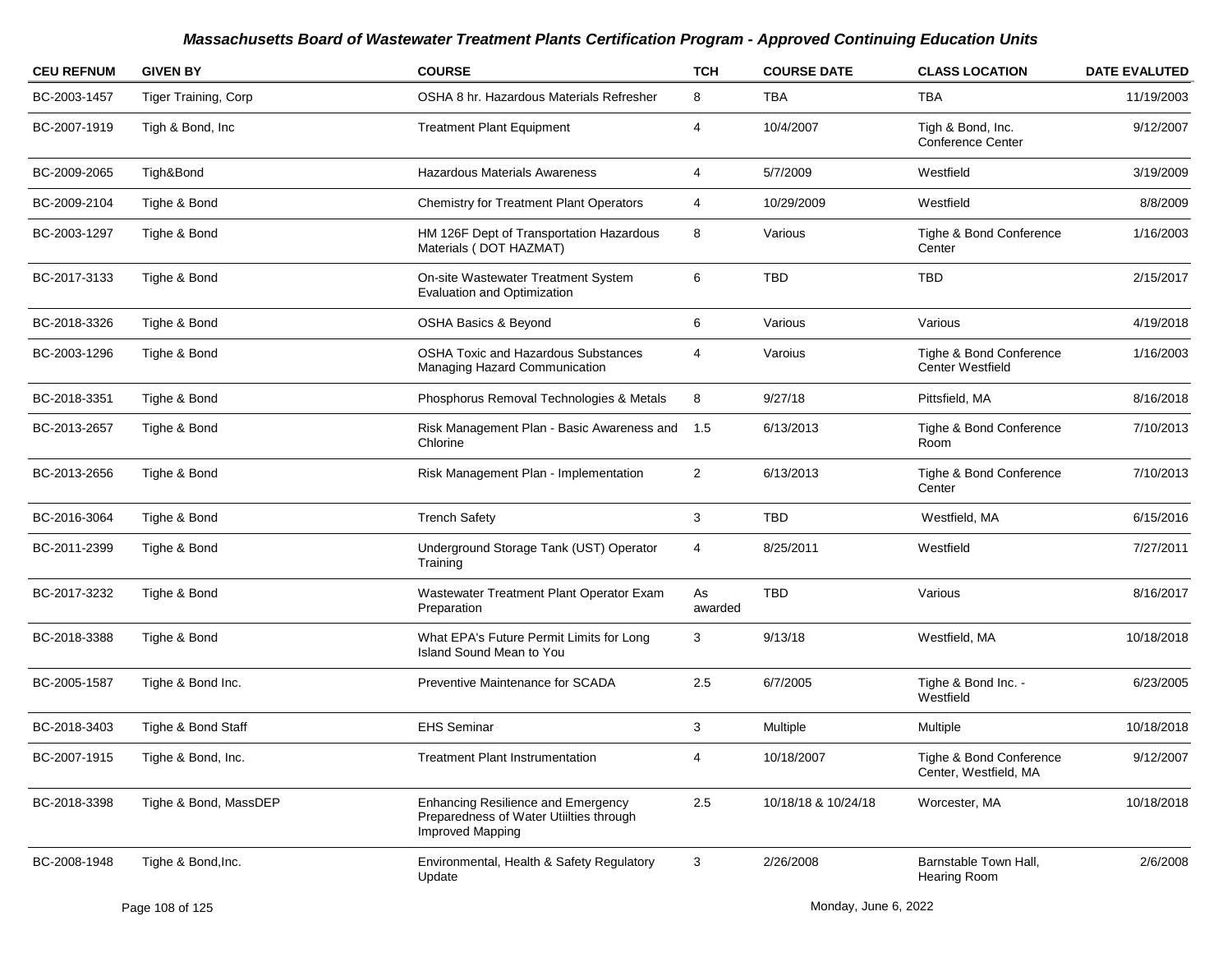| <b>CEU REFNUM</b> | <b>GIVEN BY</b>       | <b>COURSE</b>                                                                                                   | <b>TCH</b>     | <b>COURSE DATE</b>  | <b>CLASS LOCATION</b>                              | <b>DATE EVALUTED</b> |
|-------------------|-----------------------|-----------------------------------------------------------------------------------------------------------------|----------------|---------------------|----------------------------------------------------|----------------------|
| BC-2003-1457      | Tiger Training, Corp  | OSHA 8 hr. Hazardous Materials Refresher                                                                        | 8              | <b>TBA</b>          | TBA                                                | 11/19/2003           |
| BC-2007-1919      | Tigh & Bond, Inc.     | <b>Treatment Plant Equipment</b>                                                                                | 4              | 10/4/2007           | Tigh & Bond, Inc.<br><b>Conference Center</b>      | 9/12/2007            |
| BC-2009-2065      | Tigh&Bond             | <b>Hazardous Materials Awareness</b>                                                                            | 4              | 5/7/2009            | Westfield                                          | 3/19/2009            |
| BC-2009-2104      | Tighe & Bond          | <b>Chemistry for Treatment Plant Operators</b>                                                                  | 4              | 10/29/2009          | Westfield                                          | 8/8/2009             |
| BC-2003-1297      | Tighe & Bond          | HM 126F Dept of Transportation Hazardous<br>Materials (DOT HAZMAT)                                              | 8              | Various             | Tighe & Bond Conference<br>Center                  | 1/16/2003            |
| BC-2017-3133      | Tighe & Bond          | On-site Wastewater Treatment System<br><b>Evaluation and Optimization</b>                                       | 6              | <b>TBD</b>          | <b>TBD</b>                                         | 2/15/2017            |
| BC-2018-3326      | Tighe & Bond          | <b>OSHA Basics &amp; Beyond</b>                                                                                 | 6              | Various             | Various                                            | 4/19/2018            |
| BC-2003-1296      | Tighe & Bond          | <b>OSHA Toxic and Hazardous Substances</b><br>Managing Hazard Communication                                     | 4              | Varoius             | Tighe & Bond Conference<br><b>Center Westfield</b> | 1/16/2003            |
| BC-2018-3351      | Tighe & Bond          | Phosphorus Removal Technologies & Metals                                                                        | 8              | 9/27/18             | Pittsfield, MA                                     | 8/16/2018            |
| BC-2013-2657      | Tighe & Bond          | Risk Management Plan - Basic Awareness and<br>Chlorine                                                          | 1.5            | 6/13/2013           | Tighe & Bond Conference<br>Room                    | 7/10/2013            |
| BC-2013-2656      | Tighe & Bond          | Risk Management Plan - Implementation                                                                           | $\overline{2}$ | 6/13/2013           | Tighe & Bond Conference<br>Center                  | 7/10/2013            |
| BC-2016-3064      | Tighe & Bond          | <b>Trench Safety</b>                                                                                            | 3              | <b>TBD</b>          | Westfield, MA                                      | 6/15/2016            |
| BC-2011-2399      | Tighe & Bond          | Underground Storage Tank (UST) Operator<br>Training                                                             | 4              | 8/25/2011           | Westfield                                          | 7/27/2011            |
| BC-2017-3232      | Tighe & Bond          | Wastewater Treatment Plant Operator Exam<br>Preparation                                                         | As<br>awarded  | <b>TBD</b>          | Various                                            | 8/16/2017            |
| BC-2018-3388      | Tighe & Bond          | What EPA's Future Permit Limits for Long<br>Island Sound Mean to You                                            | 3              | 9/13/18             | Westfield, MA                                      | 10/18/2018           |
| BC-2005-1587      | Tighe & Bond Inc.     | Preventive Maintenance for SCADA                                                                                | 2.5            | 6/7/2005            | Tighe & Bond Inc. -<br>Westfield                   | 6/23/2005            |
| BC-2018-3403      | Tighe & Bond Staff    | <b>EHS Seminar</b>                                                                                              | 3              | Multiple            | Multiple                                           | 10/18/2018           |
| BC-2007-1915      | Tighe & Bond, Inc.    | <b>Treatment Plant Instrumentation</b>                                                                          |                | 10/18/2007          | Tighe & Bond Conference<br>Center, Westfield, MA   | 9/12/2007            |
| BC-2018-3398      | Tighe & Bond, MassDEP | <b>Enhancing Resilience and Emergency</b><br>Preparedness of Water Utiilties through<br><b>Improved Mapping</b> | 2.5            | 10/18/18 & 10/24/18 | Worcester, MA                                      | 10/18/2018           |
| BC-2008-1948      | Tighe & Bond, Inc.    | Environmental, Health & Safety Regulatory<br>Update                                                             | 3              | 2/26/2008           | Barnstable Town Hall,<br><b>Hearing Room</b>       | 2/6/2008             |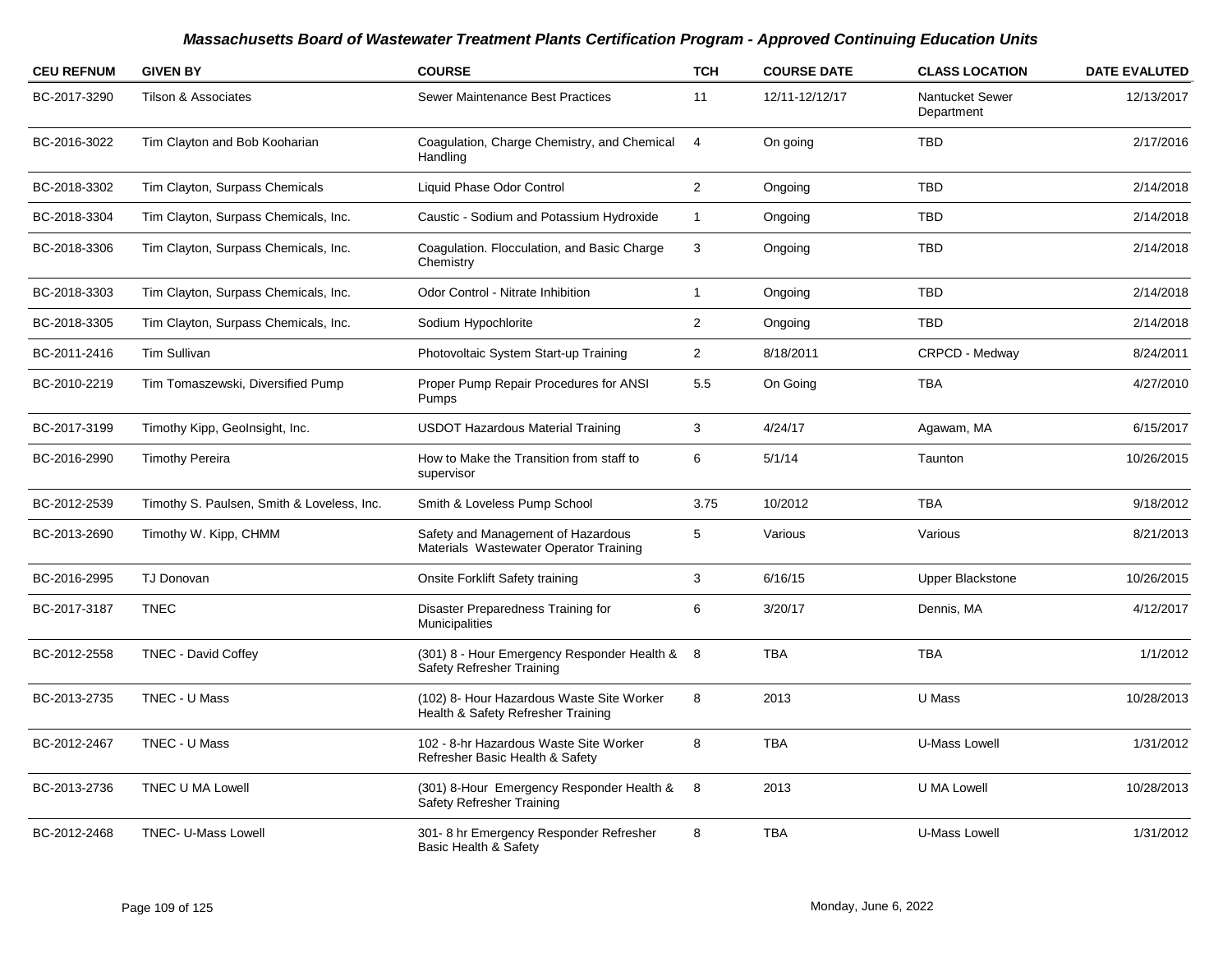| <b>CEU REFNUM</b> | <b>GIVEN BY</b>                            | <b>COURSE</b>                                                                   | <b>TCH</b>     | <b>COURSE DATE</b> | <b>CLASS LOCATION</b>         | <b>DATE EVALUTED</b> |
|-------------------|--------------------------------------------|---------------------------------------------------------------------------------|----------------|--------------------|-------------------------------|----------------------|
| BC-2017-3290      | <b>Tilson &amp; Associates</b>             | Sewer Maintenance Best Practices                                                | 11             | 12/11-12/12/17     | Nantucket Sewer<br>Department | 12/13/2017           |
| BC-2016-3022      | Tim Clayton and Bob Kooharian              | Coagulation, Charge Chemistry, and Chemical<br>Handling                         | 4              | On going           | <b>TBD</b>                    | 2/17/2016            |
| BC-2018-3302      | Tim Clayton, Surpass Chemicals             | Liquid Phase Odor Control                                                       | $\overline{2}$ | Ongoing            | <b>TBD</b>                    | 2/14/2018            |
| BC-2018-3304      | Tim Clayton, Surpass Chemicals, Inc.       | Caustic - Sodium and Potassium Hydroxide                                        | $\mathbf{1}$   | Ongoing            | <b>TBD</b>                    | 2/14/2018            |
| BC-2018-3306      | Tim Clayton, Surpass Chemicals, Inc.       | Coagulation. Flocculation, and Basic Charge<br>Chemistry                        | 3              | Ongoing            | <b>TBD</b>                    | 2/14/2018            |
| BC-2018-3303      | Tim Clayton, Surpass Chemicals, Inc.       | Odor Control - Nitrate Inhibition                                               | $\mathbf{1}$   | Ongoing            | <b>TBD</b>                    | 2/14/2018            |
| BC-2018-3305      | Tim Clayton, Surpass Chemicals, Inc.       | Sodium Hypochlorite                                                             | $\mathbf{2}$   | Ongoing            | <b>TBD</b>                    | 2/14/2018            |
| BC-2011-2416      | Tim Sullivan                               | Photovoltaic System Start-up Training                                           | $\overline{2}$ | 8/18/2011          | CRPCD - Medway                | 8/24/2011            |
| BC-2010-2219      | Tim Tomaszewski, Diversified Pump          | Proper Pump Repair Procedures for ANSI<br>Pumps                                 | 5.5            | On Going           | <b>TBA</b>                    | 4/27/2010            |
| BC-2017-3199      | Timothy Kipp, GeoInsight, Inc.             | <b>USDOT Hazardous Material Training</b>                                        | 3              | 4/24/17            | Agawam, MA                    | 6/15/2017            |
| BC-2016-2990      | <b>Timothy Pereira</b>                     | How to Make the Transition from staff to<br>supervisor                          | 6              | 5/1/14             | Taunton                       | 10/26/2015           |
| BC-2012-2539      | Timothy S. Paulsen, Smith & Loveless, Inc. | Smith & Loveless Pump School                                                    | 3.75           | 10/2012            | <b>TBA</b>                    | 9/18/2012            |
| BC-2013-2690      | Timothy W. Kipp, CHMM                      | Safety and Management of Hazardous<br>Materials Wastewater Operator Training    | 5              | Various            | Various                       | 8/21/2013            |
| BC-2016-2995      | <b>TJ Donovan</b>                          | Onsite Forklift Safety training                                                 | 3              | 6/16/15            | <b>Upper Blackstone</b>       | 10/26/2015           |
| BC-2017-3187      | <b>TNEC</b>                                | Disaster Preparedness Training for<br><b>Municipalities</b>                     | 6              | 3/20/17            | Dennis, MA                    | 4/12/2017            |
| BC-2012-2558      | <b>TNEC - David Coffey</b>                 | (301) 8 - Hour Emergency Responder Health &<br>Safety Refresher Training        | - 8            | <b>TBA</b>         | <b>TBA</b>                    | 1/1/2012             |
| BC-2013-2735      | TNEC - U Mass                              | (102) 8- Hour Hazardous Waste Site Worker<br>Health & Safety Refresher Training | 8              | 2013               | U Mass                        | 10/28/2013           |
| BC-2012-2467      | TNEC - U Mass                              | 102 - 8-hr Hazardous Waste Site Worker<br>Refresher Basic Health & Safety       | 8              | <b>TBA</b>         | U-Mass Lowell                 | 1/31/2012            |
| BC-2013-2736      | <b>TNEC U MA Lowell</b>                    | (301) 8-Hour Emergency Responder Health &<br>Safety Refresher Training          | 8              | 2013               | U MA Lowell                   | 10/28/2013           |
| BC-2012-2468      | <b>TNEC- U-Mass Lowell</b>                 | 301-8 hr Emergency Responder Refresher<br>Basic Health & Safety                 | 8              | <b>TBA</b>         | <b>U-Mass Lowell</b>          | 1/31/2012            |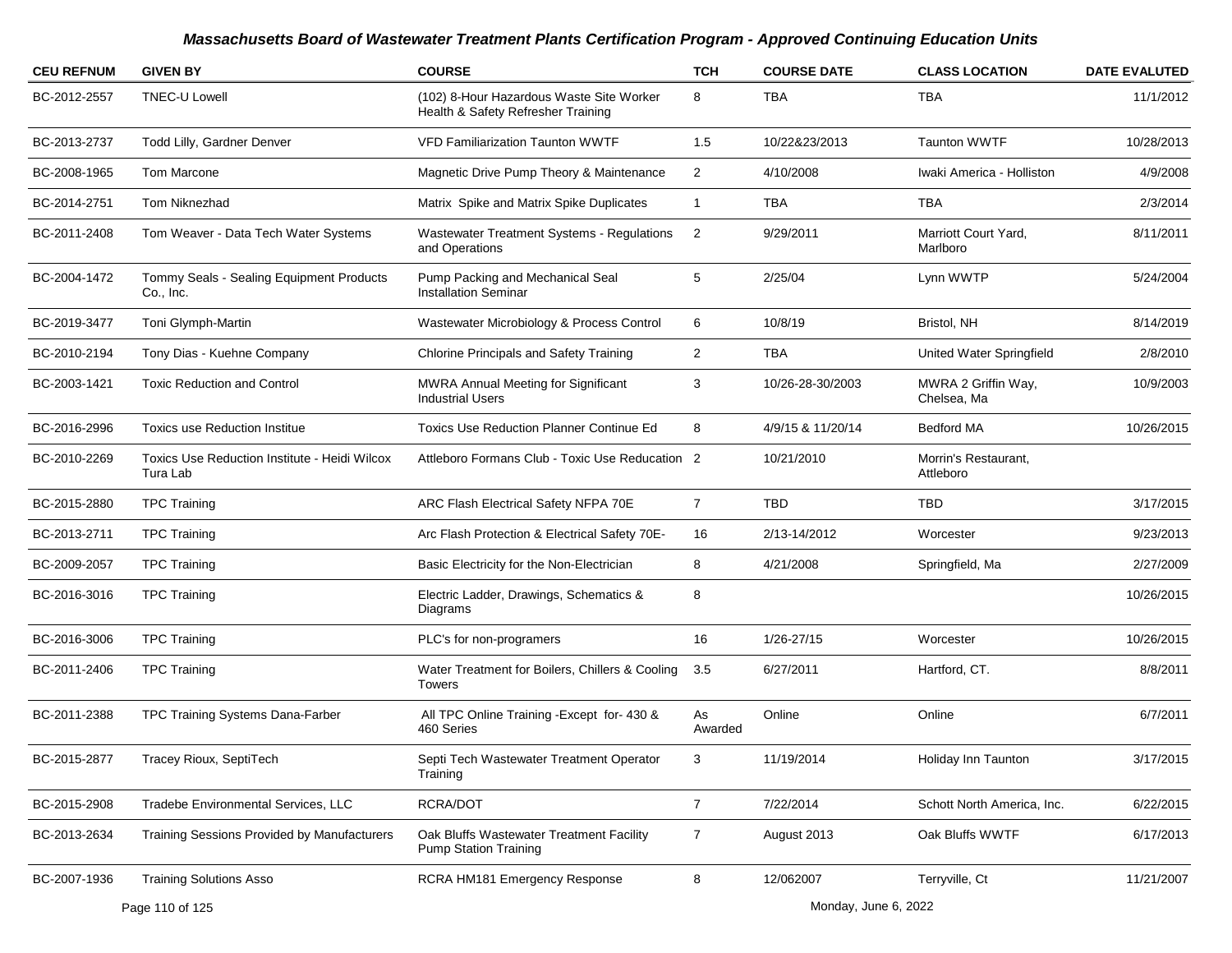| <b>CEU REFNUM</b> | <b>GIVEN BY</b>                                           | <b>COURSE</b>                                                                  | <b>TCH</b>     | <b>COURSE DATE</b> | <b>CLASS LOCATION</b>              | <b>DATE EVALUTED</b> |
|-------------------|-----------------------------------------------------------|--------------------------------------------------------------------------------|----------------|--------------------|------------------------------------|----------------------|
| BC-2012-2557      | <b>TNEC-U Lowell</b>                                      | (102) 8-Hour Hazardous Waste Site Worker<br>Health & Safety Refresher Training | 8              | <b>TBA</b>         | TBA                                | 11/1/2012            |
| BC-2013-2737      | Todd Lilly, Gardner Denver                                | <b>VFD Familiarization Taunton WWTF</b>                                        | 1.5            | 10/22&23/2013      | Taunton WWTF                       | 10/28/2013           |
| BC-2008-1965      | Tom Marcone                                               | Magnetic Drive Pump Theory & Maintenance                                       | $\overline{2}$ | 4/10/2008          | Iwaki America - Holliston          | 4/9/2008             |
| BC-2014-2751      | Tom Niknezhad                                             | Matrix Spike and Matrix Spike Duplicates                                       | 1              | TBA                | TBA                                | 2/3/2014             |
| BC-2011-2408      | Tom Weaver - Data Tech Water Systems                      | <b>Wastewater Treatment Systems - Regulations</b><br>and Operations            | $\overline{2}$ | 9/29/2011          | Marriott Court Yard,<br>Marlboro   | 8/11/2011            |
| BC-2004-1472      | Tommy Seals - Sealing Equipment Products<br>Co., Inc.     | Pump Packing and Mechanical Seal<br><b>Installation Seminar</b>                | 5              | 2/25/04            | Lynn WWTP                          | 5/24/2004            |
| BC-2019-3477      | Toni Glymph-Martin                                        | Wastewater Microbiology & Process Control                                      | 6              | 10/8/19            | Bristol, NH                        | 8/14/2019            |
| BC-2010-2194      | Tony Dias - Kuehne Company                                | Chlorine Principals and Safety Training                                        | 2              | <b>TBA</b>         | United Water Springfield           | 2/8/2010             |
| BC-2003-1421      | <b>Toxic Reduction and Control</b>                        | MWRA Annual Meeting for Significant<br><b>Industrial Users</b>                 | 3              | 10/26-28-30/2003   | MWRA 2 Griffin Way,<br>Chelsea, Ma | 10/9/2003            |
| BC-2016-2996      | <b>Toxics use Reduction Institue</b>                      | <b>Toxics Use Reduction Planner Continue Ed</b>                                | 8              | 4/9/15 & 11/20/14  | <b>Bedford MA</b>                  | 10/26/2015           |
| BC-2010-2269      | Toxics Use Reduction Institute - Heidi Wilcox<br>Tura Lab | Attleboro Formans Club - Toxic Use Reducation 2                                |                | 10/21/2010         | Morrin's Restaurant,<br>Attleboro  |                      |
| BC-2015-2880      | <b>TPC Training</b>                                       | ARC Flash Electrical Safety NFPA 70E                                           | $\overline{7}$ | TBD.               | <b>TBD</b>                         | 3/17/2015            |
| BC-2013-2711      | <b>TPC Training</b>                                       | Arc Flash Protection & Electrical Safety 70E-                                  | 16             | 2/13-14/2012       | Worcester                          | 9/23/2013            |
| BC-2009-2057      | <b>TPC Training</b>                                       | Basic Electricity for the Non-Electrician                                      | 8              | 4/21/2008          | Springfield, Ma                    | 2/27/2009            |
| BC-2016-3016      | <b>TPC Training</b>                                       | Electric Ladder, Drawings, Schematics &<br>Diagrams                            | 8              |                    |                                    | 10/26/2015           |
| BC-2016-3006      | <b>TPC Training</b>                                       | PLC's for non-programers                                                       | 16             | 1/26-27/15         | Worcester                          | 10/26/2015           |
| BC-2011-2406      | <b>TPC Training</b>                                       | Water Treatment for Boilers, Chillers & Cooling<br><b>Towers</b>               | 3.5            | 6/27/2011          | Hartford, CT.                      | 8/8/2011             |
| BC-2011-2388      | TPC Training Systems Dana-Farber                          | All TPC Online Training - Except for- 430 &<br>460 Series                      | As<br>Awarded  | Online             | Online                             | 6/7/2011             |
| BC-2015-2877      | Tracey Rioux, SeptiTech                                   | Septi Tech Wastewater Treatment Operator<br>Training                           | 3              | 11/19/2014         | Holiday Inn Taunton                | 3/17/2015            |
| BC-2015-2908      | Tradebe Environmental Services, LLC                       | RCRA/DOT                                                                       | $\overline{7}$ | 7/22/2014          | Schott North America, Inc.         | 6/22/2015            |
| BC-2013-2634      | <b>Training Sessions Provided by Manufacturers</b>        | Oak Bluffs Wastewater Treatment Facility<br><b>Pump Station Training</b>       | $\overline{7}$ | August 2013        | Oak Bluffs WWTF                    | 6/17/2013            |
| BC-2007-1936      | <b>Training Solutions Asso</b>                            | RCRA HM181 Emergency Response                                                  | 8              | 12/062007          | Terryville, Ct                     | 11/21/2007           |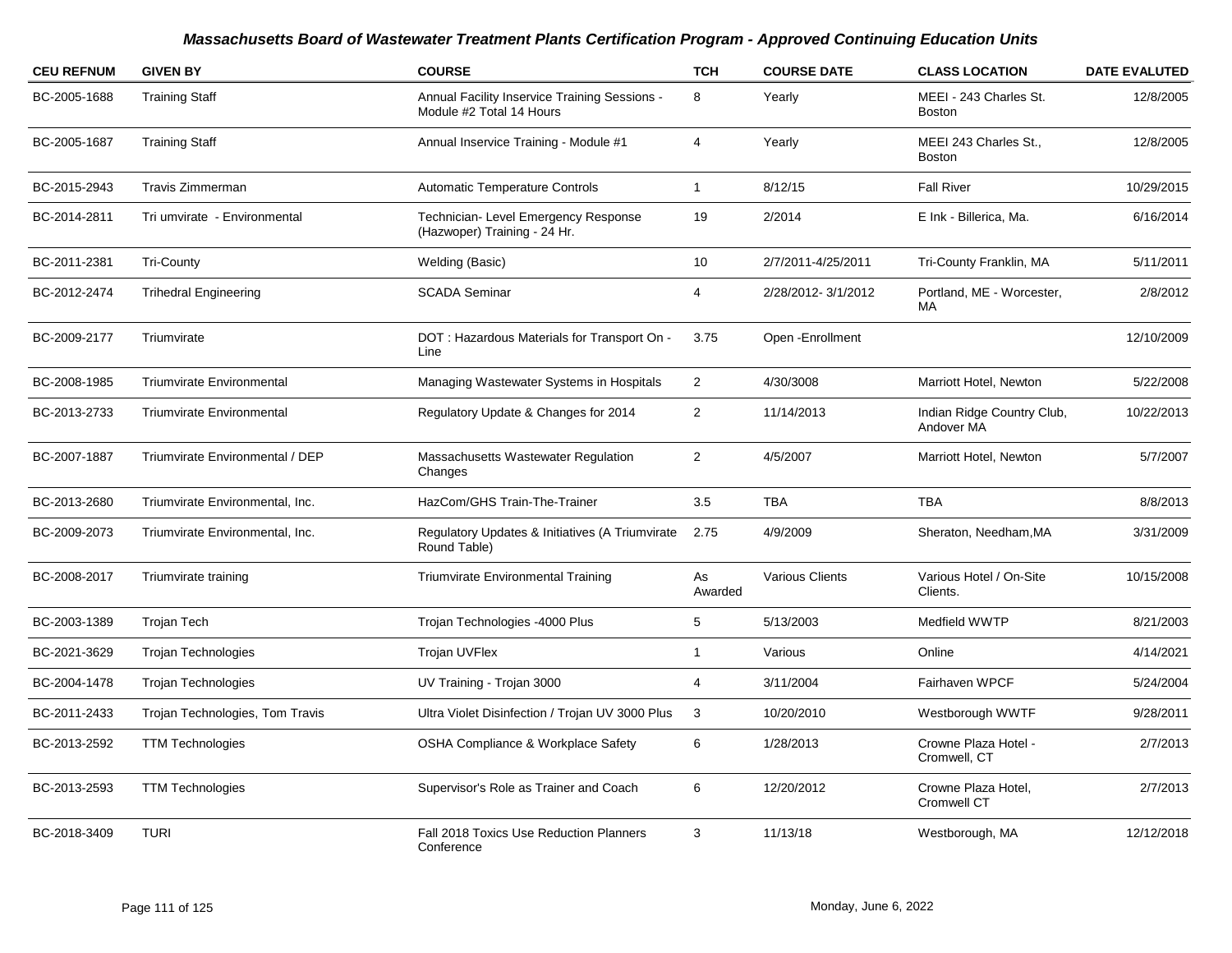| <b>CEU REFNUM</b> | <b>GIVEN BY</b>                  | <b>COURSE</b>                                                             | <b>TCH</b>     | <b>COURSE DATE</b> | <b>CLASS LOCATION</b>                    | <b>DATE EVALUTED</b> |
|-------------------|----------------------------------|---------------------------------------------------------------------------|----------------|--------------------|------------------------------------------|----------------------|
| BC-2005-1688      | <b>Training Staff</b>            | Annual Facility Inservice Training Sessions -<br>Module #2 Total 14 Hours | 8              | Yearly             | MEEI - 243 Charles St.<br><b>Boston</b>  | 12/8/2005            |
| BC-2005-1687      | <b>Training Staff</b>            | Annual Inservice Training - Module #1                                     | 4              | Yearly             | MEEI 243 Charles St.,<br><b>Boston</b>   | 12/8/2005            |
| BC-2015-2943      | Travis Zimmerman                 | <b>Automatic Temperature Controls</b>                                     | $\mathbf{1}$   | 8/12/15            | <b>Fall River</b>                        | 10/29/2015           |
| BC-2014-2811      | Tri umvirate - Environmental     | Technician- Level Emergency Response<br>(Hazwoper) Training - 24 Hr.      | 19             | 2/2014             | E Ink - Billerica, Ma.                   | 6/16/2014            |
| BC-2011-2381      | <b>Tri-County</b>                | Welding (Basic)                                                           | 10             | 2/7/2011-4/25/2011 | Tri-County Franklin, MA                  | 5/11/2011            |
| BC-2012-2474      | <b>Trihedral Engineering</b>     | <b>SCADA Seminar</b>                                                      | 4              | 2/28/2012-3/1/2012 | Portland, ME - Worcester,<br>MA          | 2/8/2012             |
| BC-2009-2177      | Triumvirate                      | DOT: Hazardous Materials for Transport On -<br>Line                       | 3.75           | Open - Enrollment  |                                          | 12/10/2009           |
| BC-2008-1985      | <b>Triumvirate Environmental</b> | Managing Wastewater Systems in Hospitals                                  | $\overline{2}$ | 4/30/3008          | Marriott Hotel, Newton                   | 5/22/2008            |
| BC-2013-2733      | <b>Triumvirate Environmental</b> | Regulatory Update & Changes for 2014                                      | $\overline{c}$ | 11/14/2013         | Indian Ridge Country Club,<br>Andover MA | 10/22/2013           |
| BC-2007-1887      | Triumvirate Environmental / DEP  | Massachusetts Wastewater Regulation<br>Changes                            | 2              | 4/5/2007           | Marriott Hotel, Newton                   | 5/7/2007             |
| BC-2013-2680      | Triumvirate Environmental, Inc.  | HazCom/GHS Train-The-Trainer                                              | 3.5            | <b>TBA</b>         | <b>TBA</b>                               | 8/8/2013             |
| BC-2009-2073      | Triumvirate Environmental, Inc.  | Regulatory Updates & Initiatives (A Triumvirate<br>Round Table)           | 2.75           | 4/9/2009           | Sheraton, Needham, MA                    | 3/31/2009            |
| BC-2008-2017      | Triumvirate training             | <b>Triumvirate Environmental Training</b>                                 | As<br>Awarded  | Various Clients    | Various Hotel / On-Site<br>Clients.      | 10/15/2008           |
| BC-2003-1389      | <b>Trojan Tech</b>               | Trojan Technologies -4000 Plus                                            | 5              | 5/13/2003          | Medfield WWTP                            | 8/21/2003            |
| BC-2021-3629      | <b>Trojan Technologies</b>       | Trojan UVFlex                                                             | 1              | Various            | Online                                   | 4/14/2021            |
| BC-2004-1478      | <b>Trojan Technologies</b>       | UV Training - Trojan 3000                                                 | 4              | 3/11/2004          | Fairhaven WPCF                           | 5/24/2004            |
| BC-2011-2433      | Trojan Technologies, Tom Travis  | Ultra Violet Disinfection / Trojan UV 3000 Plus                           | $\mathbf{3}$   | 10/20/2010         | Westborough WWTF                         | 9/28/2011            |
| BC-2013-2592      | <b>TTM Technologies</b>          | <b>OSHA Compliance &amp; Workplace Safety</b>                             | 6              | 1/28/2013          | Crowne Plaza Hotel -<br>Cromwell, CT     | 2/7/2013             |
| BC-2013-2593      | <b>TTM Technologies</b>          | Supervisor's Role as Trainer and Coach                                    | 6              | 12/20/2012         | Crowne Plaza Hotel,<br>Cromwell CT       | 2/7/2013             |
| BC-2018-3409      | <b>TURI</b>                      | Fall 2018 Toxics Use Reduction Planners<br>Conference                     | 3              | 11/13/18           | Westborough, MA                          | 12/12/2018           |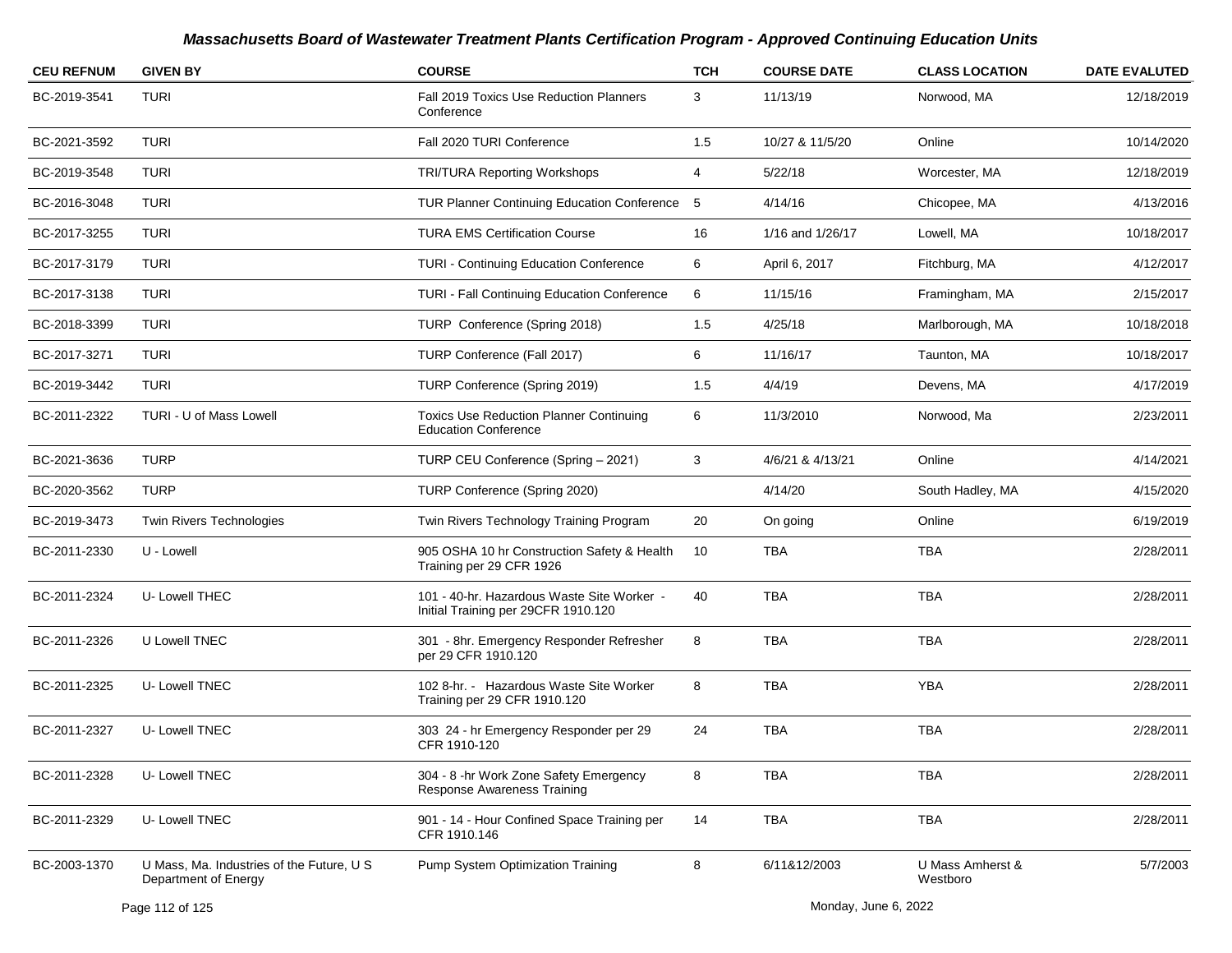| <b>CEU REFNUM</b> | <b>GIVEN BY</b>                                                   | <b>COURSE</b>                                                                     | <b>TCH</b> | <b>COURSE DATE</b> | <b>CLASS LOCATION</b>        | <b>DATE EVALUTED</b> |
|-------------------|-------------------------------------------------------------------|-----------------------------------------------------------------------------------|------------|--------------------|------------------------------|----------------------|
| BC-2019-3541      | <b>TURI</b>                                                       | Fall 2019 Toxics Use Reduction Planners<br>Conference                             | 3          | 11/13/19           | Norwood, MA                  | 12/18/2019           |
| BC-2021-3592      | <b>TURI</b>                                                       | Fall 2020 TURI Conference                                                         | 1.5        | 10/27 & 11/5/20    | Online                       | 10/14/2020           |
| BC-2019-3548      | <b>TURI</b>                                                       | <b>TRI/TURA Reporting Workshops</b>                                               | 4          | 5/22/18            | Worcester, MA                | 12/18/2019           |
| BC-2016-3048      | <b>TURI</b>                                                       | TUR Planner Continuing Education Conference 5                                     |            | 4/14/16            | Chicopee, MA                 | 4/13/2016            |
| BC-2017-3255      | <b>TURI</b>                                                       | <b>TURA EMS Certification Course</b>                                              | 16         | 1/16 and 1/26/17   | Lowell, MA                   | 10/18/2017           |
| BC-2017-3179      | <b>TURI</b>                                                       | TURI - Continuing Education Conference                                            | 6          | April 6, 2017      | Fitchburg, MA                | 4/12/2017            |
| BC-2017-3138      | <b>TURI</b>                                                       | <b>TURI - Fall Continuing Education Conference</b>                                | 6          | 11/15/16           | Framingham, MA               | 2/15/2017            |
| BC-2018-3399      | <b>TURI</b>                                                       | TURP Conference (Spring 2018)                                                     | 1.5        | 4/25/18            | Marlborough, MA              | 10/18/2018           |
| BC-2017-3271      | <b>TURI</b>                                                       | TURP Conference (Fall 2017)                                                       | 6          | 11/16/17           | Taunton, MA                  | 10/18/2017           |
| BC-2019-3442      | <b>TURI</b>                                                       | TURP Conference (Spring 2019)                                                     | 1.5        | 4/4/19             | Devens, MA                   | 4/17/2019            |
| BC-2011-2322      | TURI - U of Mass Lowell                                           | <b>Toxics Use Reduction Planner Continuing</b><br><b>Education Conference</b>     | 6          | 11/3/2010          | Norwood, Ma                  | 2/23/2011            |
| BC-2021-3636      | <b>TURP</b>                                                       | TURP CEU Conference (Spring - 2021)                                               | 3          | 4/6/21 & 4/13/21   | Online                       | 4/14/2021            |
| BC-2020-3562      | TURP                                                              | TURP Conference (Spring 2020)                                                     |            | 4/14/20            | South Hadley, MA             | 4/15/2020            |
| BC-2019-3473      | <b>Twin Rivers Technologies</b>                                   | Twin Rivers Technology Training Program                                           | 20         | On going           | Online                       | 6/19/2019            |
| BC-2011-2330      | U - Lowell                                                        | 905 OSHA 10 hr Construction Safety & Health<br>Training per 29 CFR 1926           | 10         | <b>TBA</b>         | <b>TBA</b>                   | 2/28/2011            |
| BC-2011-2324      | U-Lowell THEC                                                     | 101 - 40-hr. Hazardous Waste Site Worker -<br>Initial Training per 29CFR 1910.120 | 40         | <b>TBA</b>         | <b>TBA</b>                   | 2/28/2011            |
| BC-2011-2326      | U Lowell TNEC                                                     | 301 - 8hr. Emergency Responder Refresher<br>per 29 CFR 1910.120                   | 8          | <b>TBA</b>         | <b>TBA</b>                   | 2/28/2011            |
| BC-2011-2325      | U-Lowell TNEC                                                     | 102 8-hr. - Hazardous Waste Site Worker<br>Training per 29 CFR 1910.120           | 8          | <b>TBA</b>         | <b>YBA</b>                   | 2/28/2011            |
| BC-2011-2327      | U-Lowell TNEC                                                     | 303 24 - hr Emergency Responder per 29<br>CFR 1910-120                            | 24         | <b>TBA</b>         | <b>TBA</b>                   | 2/28/2011            |
| BC-2011-2328      | U-Lowell TNEC                                                     | 304 - 8 -hr Work Zone Safety Emergency<br><b>Response Awareness Training</b>      | 8          | <b>TBA</b>         | <b>TBA</b>                   | 2/28/2011            |
| BC-2011-2329      | U-Lowell TNEC                                                     | 901 - 14 - Hour Confined Space Training per<br>CFR 1910.146                       | 14         | TBA                | TBA                          | 2/28/2011            |
| BC-2003-1370      | U Mass, Ma. Industries of the Future, U S<br>Department of Energy | Pump System Optimization Training                                                 | 8          | 6/11&12/2003       | U Mass Amherst &<br>Westboro | 5/7/2003             |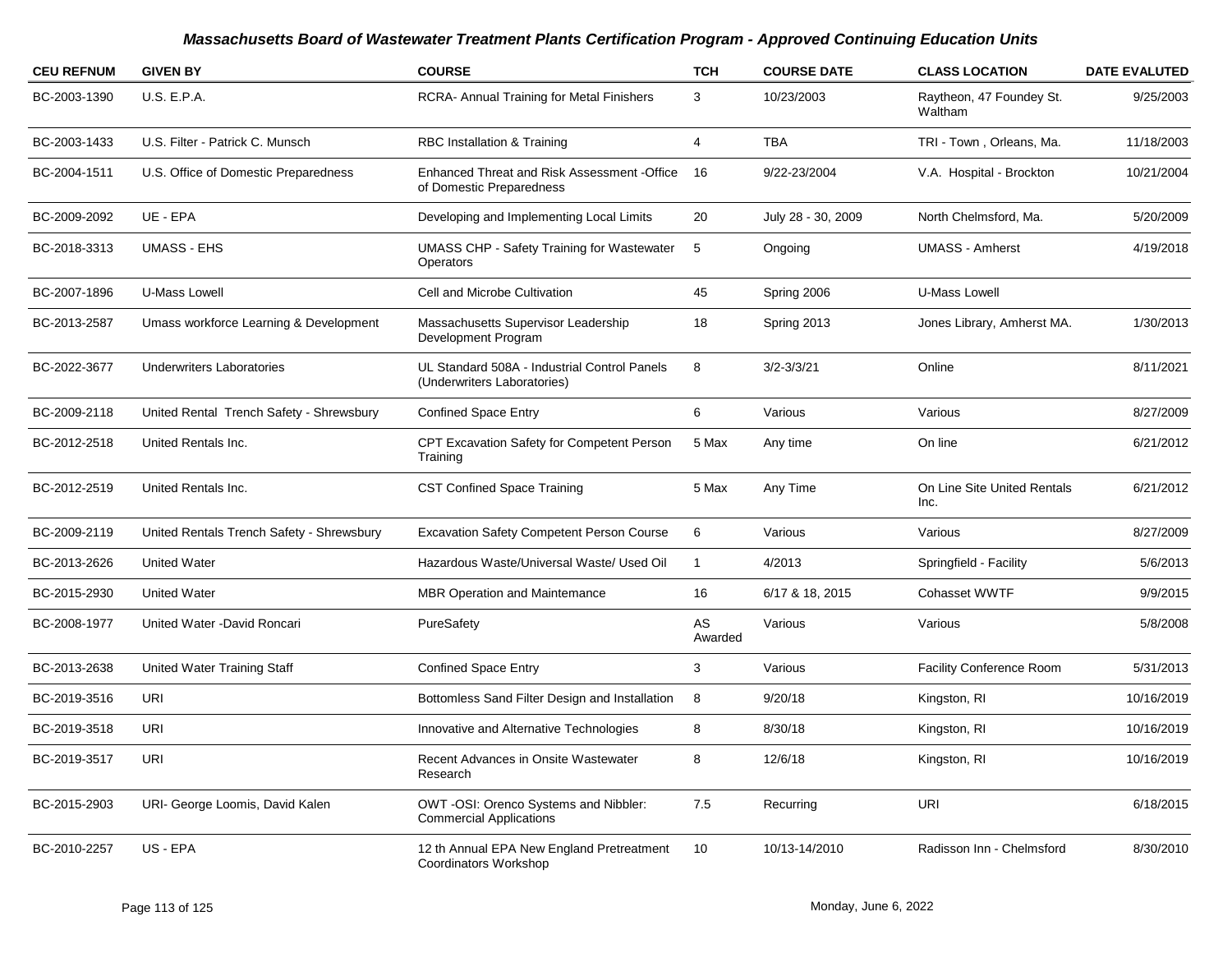| <b>CEU REFNUM</b> | <b>GIVEN BY</b>                           | <b>COURSE</b>                                                               | <b>TCH</b>     | <b>COURSE DATE</b> | <b>CLASS LOCATION</b>               | <b>DATE EVALUTED</b> |
|-------------------|-------------------------------------------|-----------------------------------------------------------------------------|----------------|--------------------|-------------------------------------|----------------------|
| BC-2003-1390      | <b>U.S. E.P.A.</b>                        | <b>RCRA- Annual Training for Metal Finishers</b>                            | 3              | 10/23/2003         | Raytheon, 47 Foundey St.<br>Waltham | 9/25/2003            |
| BC-2003-1433      | U.S. Filter - Patrick C. Munsch           | RBC Installation & Training                                                 | $\overline{4}$ | <b>TBA</b>         | TRI - Town, Orleans, Ma.            | 11/18/2003           |
| BC-2004-1511      | U.S. Office of Domestic Preparedness      | Enhanced Threat and Risk Assessment - Office<br>of Domestic Preparedness    | 16             | 9/22-23/2004       | V.A. Hospital - Brockton            | 10/21/2004           |
| BC-2009-2092      | UE - EPA                                  | Developing and Implementing Local Limits                                    | 20             | July 28 - 30, 2009 | North Chelmsford, Ma.               | 5/20/2009            |
| BC-2018-3313      | <b>UMASS - EHS</b>                        | <b>UMASS CHP - Safety Training for Wastewater</b><br><b>Operators</b>       | 5              | Ongoing            | <b>UMASS - Amherst</b>              | 4/19/2018            |
| BC-2007-1896      | U-Mass Lowell                             | Cell and Microbe Cultivation                                                | 45             | Spring 2006        | <b>U-Mass Lowell</b>                |                      |
| BC-2013-2587      | Umass workforce Learning & Development    | Massachusetts Supervisor Leadership<br>Development Program                  | 18             | Spring 2013        | Jones Library, Amherst MA.          | 1/30/2013            |
| BC-2022-3677      | <b>Underwriters Laboratories</b>          | UL Standard 508A - Industrial Control Panels<br>(Underwriters Laboratories) | 8              | $3/2 - 3/3/21$     | Online                              | 8/11/2021            |
| BC-2009-2118      | United Rental Trench Safety - Shrewsbury  | <b>Confined Space Entry</b>                                                 | 6              | Various            | Various                             | 8/27/2009            |
| BC-2012-2518      | United Rentals Inc.                       | CPT Excavation Safety for Competent Person<br>Training                      | 5 Max          | Any time           | On line                             | 6/21/2012            |
| BC-2012-2519      | United Rentals Inc.                       | <b>CST Confined Space Training</b>                                          | 5 Max          | Any Time           | On Line Site United Rentals<br>Inc. | 6/21/2012            |
| BC-2009-2119      | United Rentals Trench Safety - Shrewsbury | <b>Excavation Safety Competent Person Course</b>                            | 6              | Various            | Various                             | 8/27/2009            |
| BC-2013-2626      | <b>United Water</b>                       | Hazardous Waste/Universal Waste/ Used Oil                                   | 1              | 4/2013             | Springfield - Facility              | 5/6/2013             |
| BC-2015-2930      | <b>United Water</b>                       | <b>MBR Operation and Maintemance</b>                                        | 16             | 6/17 & 18, 2015    | <b>Cohasset WWTF</b>                | 9/9/2015             |
| BC-2008-1977      | United Water - David Roncari              | PureSafety                                                                  | AS<br>Awarded  | Various            | Various                             | 5/8/2008             |
| BC-2013-2638      | United Water Training Staff               | <b>Confined Space Entry</b>                                                 | 3              | Various            | <b>Facility Conference Room</b>     | 5/31/2013            |
| BC-2019-3516      | <b>URI</b>                                | Bottomless Sand Filter Design and Installation                              | 8              | 9/20/18            | Kingston, RI                        | 10/16/2019           |
| BC-2019-3518      | URI                                       | Innovative and Alternative Technologies                                     | 8              | 8/30/18            | Kingston, RI                        | 10/16/2019           |
| BC-2019-3517      | URI                                       | Recent Advances in Onsite Wastewater<br>Research                            | 8              | 12/6/18            | Kingston, RI                        | 10/16/2019           |
| BC-2015-2903      | URI- George Loomis, David Kalen           | OWT -OSI: Orenco Systems and Nibbler:<br><b>Commercial Applications</b>     | 7.5            | Recurring          | <b>URI</b>                          | 6/18/2015            |
| BC-2010-2257      | US - EPA                                  | 12 th Annual EPA New England Pretreatment<br>Coordinators Workshop          | 10             | 10/13-14/2010      | Radisson Inn - Chelmsford           | 8/30/2010            |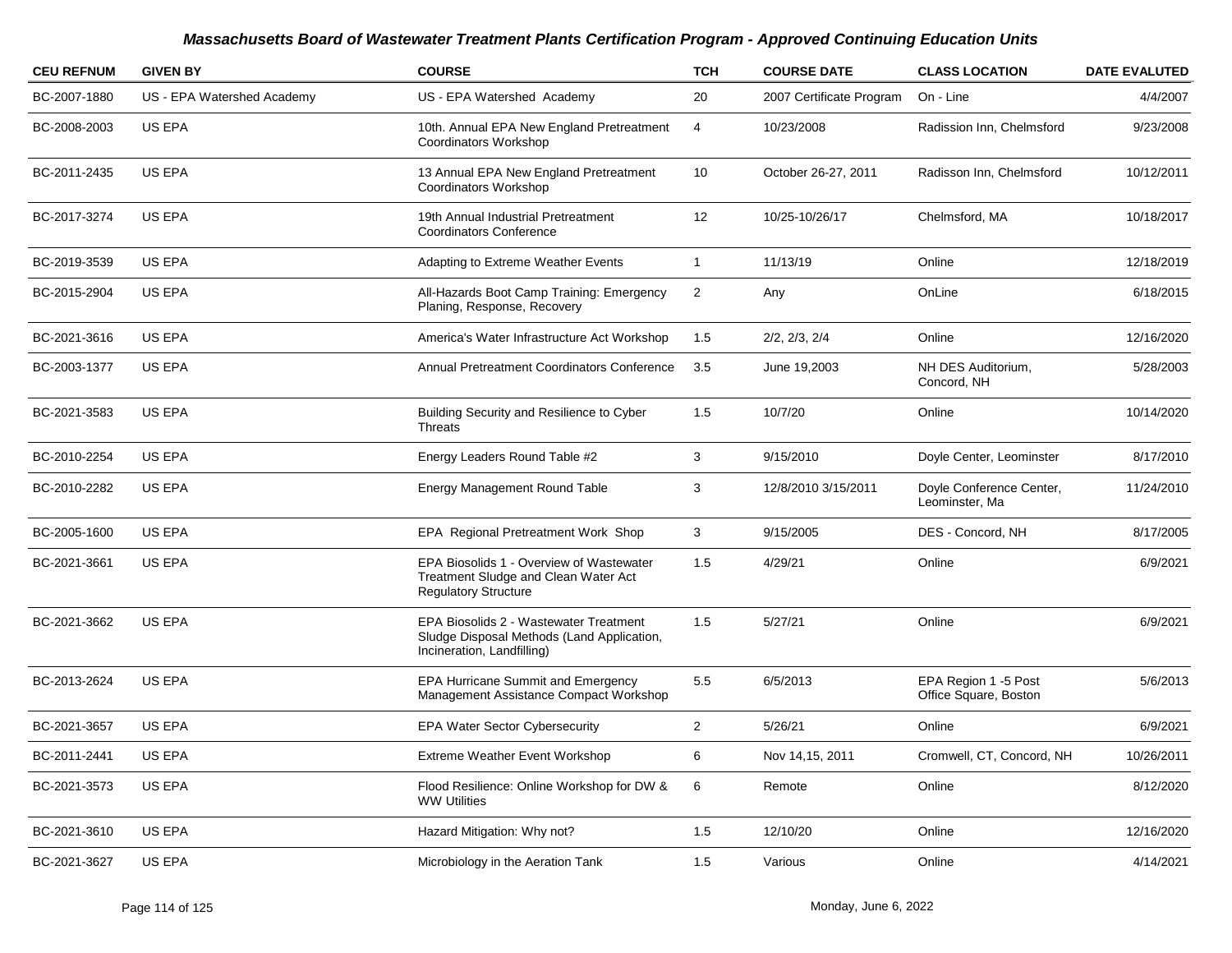| <b>CEU REFNUM</b> | <b>GIVEN BY</b>            | <b>COURSE</b>                                                                                                      | <b>TCH</b>     | <b>COURSE DATE</b>       | <b>CLASS LOCATION</b>                         | <b>DATE EVALUTED</b> |
|-------------------|----------------------------|--------------------------------------------------------------------------------------------------------------------|----------------|--------------------------|-----------------------------------------------|----------------------|
| BC-2007-1880      | US - EPA Watershed Academy | US - EPA Watershed Academy                                                                                         | 20             | 2007 Certificate Program | On - Line                                     | 4/4/2007             |
| BC-2008-2003      | US EPA                     | 10th. Annual EPA New England Pretreatment<br>Coordinators Workshop                                                 | 4              | 10/23/2008               | Radission Inn, Chelmsford                     | 9/23/2008            |
| BC-2011-2435      | US EPA                     | 13 Annual EPA New England Pretreatment<br><b>Coordinators Workshop</b>                                             | 10             | October 26-27, 2011      | Radisson Inn, Chelmsford                      | 10/12/2011           |
| BC-2017-3274      | US EPA                     | 19th Annual Industrial Pretreatment<br><b>Coordinators Conference</b>                                              | 12             | 10/25-10/26/17           | Chelmsford, MA                                | 10/18/2017           |
| BC-2019-3539      | <b>US EPA</b>              | Adapting to Extreme Weather Events                                                                                 | $\mathbf{1}$   | 11/13/19                 | Online                                        | 12/18/2019           |
| BC-2015-2904      | US EPA                     | All-Hazards Boot Camp Training: Emergency<br>Planing, Response, Recovery                                           | 2              | Any                      | OnLine                                        | 6/18/2015            |
| BC-2021-3616      | <b>US EPA</b>              | America's Water Infrastructure Act Workshop                                                                        | 1.5            | 2/2, 2/3, 2/4            | Online                                        | 12/16/2020           |
| BC-2003-1377      | US EPA                     | Annual Pretreatment Coordinators Conference                                                                        | 3.5            | June 19,2003             | NH DES Auditorium,<br>Concord, NH             | 5/28/2003            |
| BC-2021-3583      | US EPA                     | Building Security and Resilience to Cyber<br><b>Threats</b>                                                        | 1.5            | 10/7/20                  | Online                                        | 10/14/2020           |
| BC-2010-2254      | <b>US EPA</b>              | Energy Leaders Round Table #2                                                                                      | 3              | 9/15/2010                | Doyle Center, Leominster                      | 8/17/2010            |
| BC-2010-2282      | US EPA                     | Energy Management Round Table                                                                                      | 3              | 12/8/2010 3/15/2011      | Doyle Conference Center,<br>Leominster, Ma    | 11/24/2010           |
| BC-2005-1600      | <b>US EPA</b>              | EPA Regional Pretreatment Work Shop                                                                                | 3              | 9/15/2005                | DES - Concord, NH                             | 8/17/2005            |
| BC-2021-3661      | US EPA                     | EPA Biosolids 1 - Overview of Wastewater<br>Treatment Sludge and Clean Water Act<br><b>Regulatory Structure</b>    | 1.5            | 4/29/21                  | Online                                        | 6/9/2021             |
| BC-2021-3662      | US EPA                     | EPA Biosolids 2 - Wastewater Treatment<br>Sludge Disposal Methods (Land Application,<br>Incineration, Landfilling) | 1.5            | 5/27/21                  | Online                                        | 6/9/2021             |
| BC-2013-2624      | US EPA                     | <b>EPA Hurricane Summit and Emergency</b><br>Management Assistance Compact Workshop                                | 5.5            | 6/5/2013                 | EPA Region 1 -5 Post<br>Office Square, Boston | 5/6/2013             |
| BC-2021-3657      | <b>US EPA</b>              | <b>EPA Water Sector Cybersecurity</b>                                                                              | $\overline{2}$ | 5/26/21                  | Online                                        | 6/9/2021             |
| BC-2011-2441      | US EPA                     | Extreme Weather Event Workshop                                                                                     | 6              | Nov 14,15, 2011          | Cromwell, CT, Concord, NH                     | 10/26/2011           |
| BC-2021-3573      | US EPA                     | Flood Resilience: Online Workshop for DW &<br><b>WW Utilities</b>                                                  | 6              | Remote                   | Online                                        | 8/12/2020            |
| BC-2021-3610      | US EPA                     | Hazard Mitigation: Why not?                                                                                        | 1.5            | 12/10/20                 | Online                                        | 12/16/2020           |
| BC-2021-3627      | <b>US EPA</b>              | Microbiology in the Aeration Tank                                                                                  | 1.5            | Various                  | Online                                        | 4/14/2021            |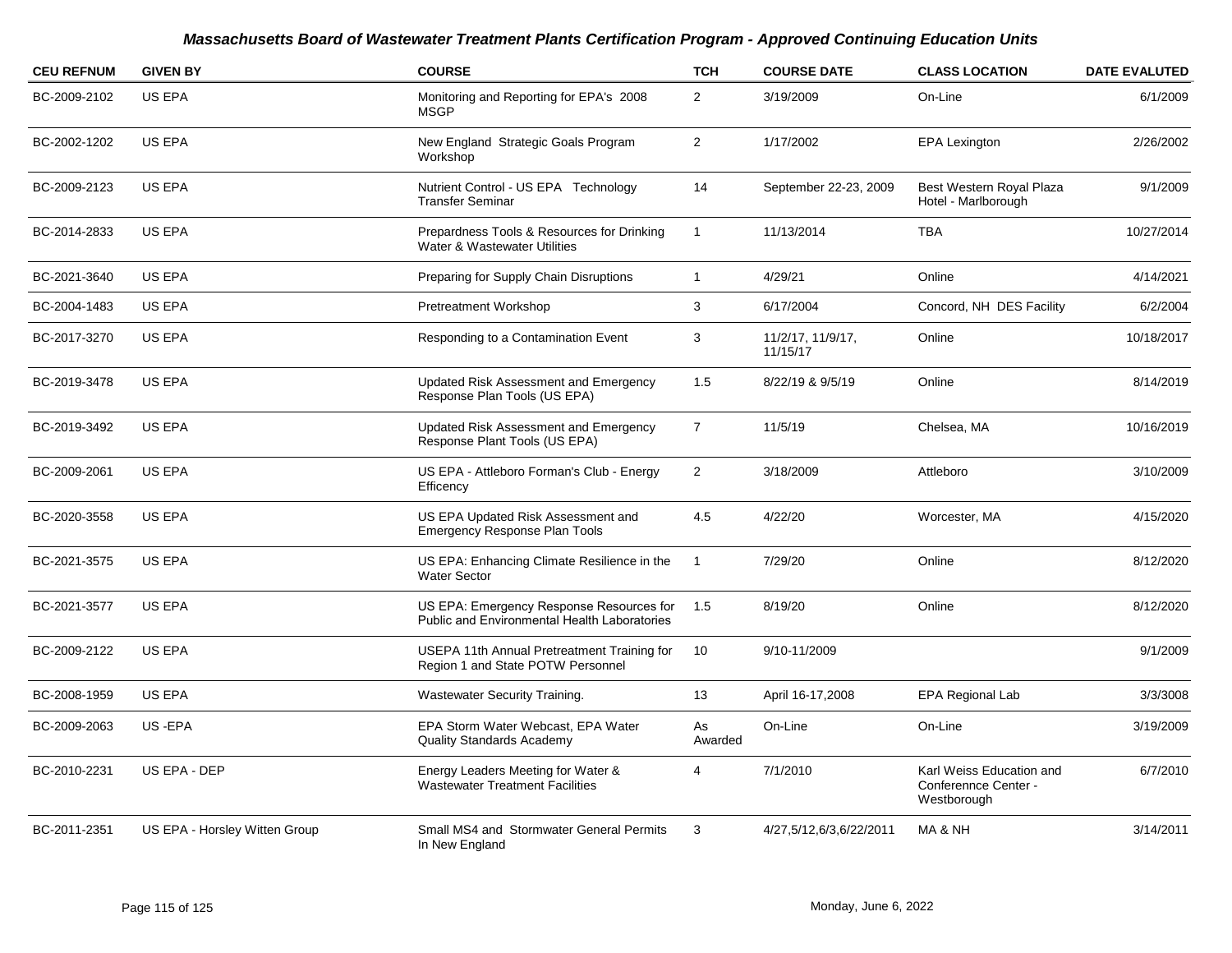| <b>CEU REFNUM</b> | <b>GIVEN BY</b>               | <b>COURSE</b>                                                                                   | <b>TCH</b>     | <b>COURSE DATE</b>            | <b>CLASS LOCATION</b>                                           | <b>DATE EVALUTED</b> |
|-------------------|-------------------------------|-------------------------------------------------------------------------------------------------|----------------|-------------------------------|-----------------------------------------------------------------|----------------------|
| BC-2009-2102      | US EPA                        | Monitoring and Reporting for EPA's 2008<br><b>MSGP</b>                                          | $\overline{2}$ | 3/19/2009                     | On-Line                                                         | 6/1/2009             |
| BC-2002-1202      | US EPA                        | New England Strategic Goals Program<br>Workshop                                                 | $\overline{c}$ | 1/17/2002                     | <b>EPA Lexington</b>                                            | 2/26/2002            |
| BC-2009-2123      | US EPA                        | Nutrient Control - US EPA Technology<br><b>Transfer Seminar</b>                                 | 14             | September 22-23, 2009         | Best Western Royal Plaza<br>Hotel - Marlborough                 | 9/1/2009             |
| BC-2014-2833      | US EPA                        | Prepardness Tools & Resources for Drinking<br>Water & Wastewater Utilities                      | $\mathbf{1}$   | 11/13/2014                    | <b>TBA</b>                                                      | 10/27/2014           |
| BC-2021-3640      | US EPA                        | Preparing for Supply Chain Disruptions                                                          | $\mathbf{1}$   | 4/29/21                       | Online                                                          | 4/14/2021            |
| BC-2004-1483      | US EPA                        | <b>Pretreatment Workshop</b>                                                                    | 3              | 6/17/2004                     | Concord, NH DES Facility                                        | 6/2/2004             |
| BC-2017-3270      | US EPA                        | Responding to a Contamination Event                                                             | 3              | 11/2/17, 11/9/17,<br>11/15/17 | Online                                                          | 10/18/2017           |
| BC-2019-3478      | US EPA                        | Updated Risk Assessment and Emergency<br>Response Plan Tools (US EPA)                           | 1.5            | 8/22/19 & 9/5/19              | Online                                                          | 8/14/2019            |
| BC-2019-3492      | US EPA                        | Updated Risk Assessment and Emergency<br>Response Plant Tools (US EPA)                          | $\overline{7}$ | 11/5/19                       | Chelsea, MA                                                     | 10/16/2019           |
| BC-2009-2061      | US EPA                        | US EPA - Attleboro Forman's Club - Energy<br>Efficency                                          | $\overline{2}$ | 3/18/2009                     | Attleboro                                                       | 3/10/2009            |
| BC-2020-3558      | US EPA                        | US EPA Updated Risk Assessment and<br><b>Emergency Response Plan Tools</b>                      | 4.5            | 4/22/20                       | Worcester, MA                                                   | 4/15/2020            |
| BC-2021-3575      | US EPA                        | US EPA: Enhancing Climate Resilience in the<br><b>Water Sector</b>                              | $\mathbf{1}$   | 7/29/20                       | Online                                                          | 8/12/2020            |
| BC-2021-3577      | US EPA                        | US EPA: Emergency Response Resources for<br><b>Public and Environmental Health Laboratories</b> | 1.5            | 8/19/20                       | Online                                                          | 8/12/2020            |
| BC-2009-2122      | US EPA                        | USEPA 11th Annual Pretreatment Training for<br>Region 1 and State POTW Personnel                | 10             | 9/10-11/2009                  |                                                                 | 9/1/2009             |
| BC-2008-1959      | US EPA                        | Wastewater Security Training.                                                                   | 13             | April 16-17,2008              | <b>EPA Regional Lab</b>                                         | 3/3/3008             |
| BC-2009-2063      | US-EPA                        | EPA Storm Water Webcast, EPA Water<br><b>Quality Standards Academy</b>                          | As<br>Awarded  | On-Line                       | On-Line                                                         | 3/19/2009            |
| BC-2010-2231      | US EPA - DEP                  | Energy Leaders Meeting for Water &<br><b>Wastewater Treatment Facilities</b>                    | 4              | 7/1/2010                      | Karl Weiss Education and<br>Conferennce Center -<br>Westborough | 6/7/2010             |
| BC-2011-2351      | US EPA - Horsley Witten Group | Small MS4 and Stormwater General Permits<br>In New England                                      | 3              | 4/27,5/12,6/3,6/22/2011       | MA & NH                                                         | 3/14/2011            |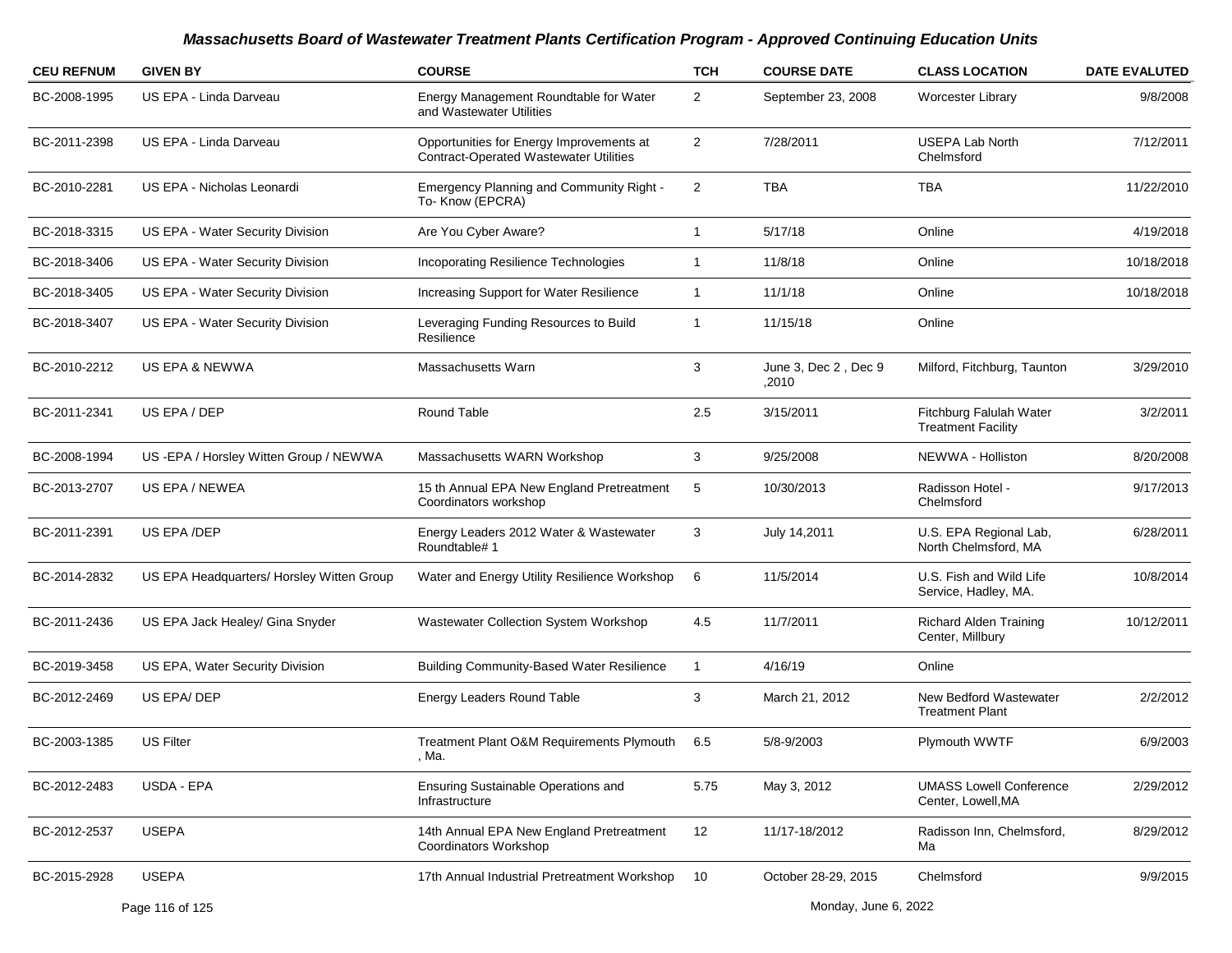| <b>CEU REFNUM</b> | <b>GIVEN BY</b>                           | <b>COURSE</b>                                                                             | <b>TCH</b>     | <b>COURSE DATE</b>            | <b>CLASS LOCATION</b>                                | <b>DATE EVALUTED</b> |
|-------------------|-------------------------------------------|-------------------------------------------------------------------------------------------|----------------|-------------------------------|------------------------------------------------------|----------------------|
| BC-2008-1995      | US EPA - Linda Darveau                    | Energy Management Roundtable for Water<br>and Wastewater Utilities                        | $\overline{2}$ | September 23, 2008            | Worcester Library                                    | 9/8/2008             |
| BC-2011-2398      | US EPA - Linda Darveau                    | Opportunities for Energy Improvements at<br><b>Contract-Operated Wastewater Utilities</b> | $\overline{2}$ | 7/28/2011                     | <b>USEPA Lab North</b><br>Chelmsford                 | 7/12/2011            |
| BC-2010-2281      | US EPA - Nicholas Leonardi                | <b>Emergency Planning and Community Right -</b><br>To-Know (EPCRA)                        | 2              | <b>TBA</b>                    | <b>TBA</b>                                           | 11/22/2010           |
| BC-2018-3315      | US EPA - Water Security Division          | Are You Cyber Aware?                                                                      | 1              | 5/17/18                       | Online                                               | 4/19/2018            |
| BC-2018-3406      | US EPA - Water Security Division          | Incoporating Resilience Technologies                                                      | 1              | 11/8/18                       | Online                                               | 10/18/2018           |
| BC-2018-3405      | US EPA - Water Security Division          | Increasing Support for Water Resilience                                                   | $\mathbf{1}$   | 11/1/18                       | Online                                               | 10/18/2018           |
| BC-2018-3407      | US EPA - Water Security Division          | Leveraging Funding Resources to Build<br>Resilience                                       | 1              | 11/15/18                      | Online                                               |                      |
| BC-2010-2212      | US EPA & NEWWA                            | <b>Massachusetts Warn</b>                                                                 | 3              | June 3, Dec 2, Dec 9<br>.2010 | Milford, Fitchburg, Taunton                          | 3/29/2010            |
| BC-2011-2341      | US EPA / DEP                              | Round Table                                                                               | 2.5            | 3/15/2011                     | Fitchburg Falulah Water<br><b>Treatment Facility</b> | 3/2/2011             |
| BC-2008-1994      | US -EPA / Horsley Witten Group / NEWWA    | Massachusetts WARN Workshop                                                               | 3              | 9/25/2008                     | NEWWA - Holliston                                    | 8/20/2008            |
| BC-2013-2707      | US EPA / NEWEA                            | 15 th Annual EPA New England Pretreatment<br>Coordinators workshop                        | 5              | 10/30/2013                    | Radisson Hotel -<br>Chelmsford                       | 9/17/2013            |
| BC-2011-2391      | US EPA /DEP                               | Energy Leaders 2012 Water & Wastewater<br>Roundtable# 1                                   | 3              | July 14,2011                  | U.S. EPA Regional Lab,<br>North Chelmsford, MA       | 6/28/2011            |
| BC-2014-2832      | US EPA Headquarters/ Horsley Witten Group | Water and Energy Utility Resilience Workshop                                              | 6              | 11/5/2014                     | U.S. Fish and Wild Life<br>Service, Hadley, MA.      | 10/8/2014            |
| BC-2011-2436      | US EPA Jack Healey/ Gina Snyder           | Wastewater Collection System Workshop                                                     | 4.5            | 11/7/2011                     | <b>Richard Alden Training</b><br>Center, Millbury    | 10/12/2011           |
| BC-2019-3458      | US EPA, Water Security Division           | <b>Building Community-Based Water Resilience</b>                                          | $\mathbf{1}$   | 4/16/19                       | Online                                               |                      |
| BC-2012-2469      | US EPA/DEP                                | <b>Energy Leaders Round Table</b>                                                         | 3              | March 21, 2012                | New Bedford Wastewater<br><b>Treatment Plant</b>     | 2/2/2012             |
| BC-2003-1385      | <b>US Filter</b>                          | Treatment Plant O&M Requirements Plymouth<br>, Ma.                                        | 6.5            | 5/8-9/2003                    | Plymouth WWTF                                        | 6/9/2003             |
| BC-2012-2483      | USDA - EPA                                | Ensuring Sustainable Operations and<br>Infrastructure                                     | 5.75           | May 3, 2012                   | <b>UMASS Lowell Conference</b><br>Center, Lowell, MA | 2/29/2012            |
| BC-2012-2537      | <b>USEPA</b>                              | 14th Annual EPA New England Pretreatment<br>Coordinators Workshop                         | 12             | 11/17-18/2012                 | Radisson Inn, Chelmsford,<br>Ma                      | 8/29/2012            |
| BC-2015-2928      | <b>USEPA</b>                              | 17th Annual Industrial Pretreatment Workshop                                              | 10             | October 28-29, 2015           | Chelmsford                                           | 9/9/2015             |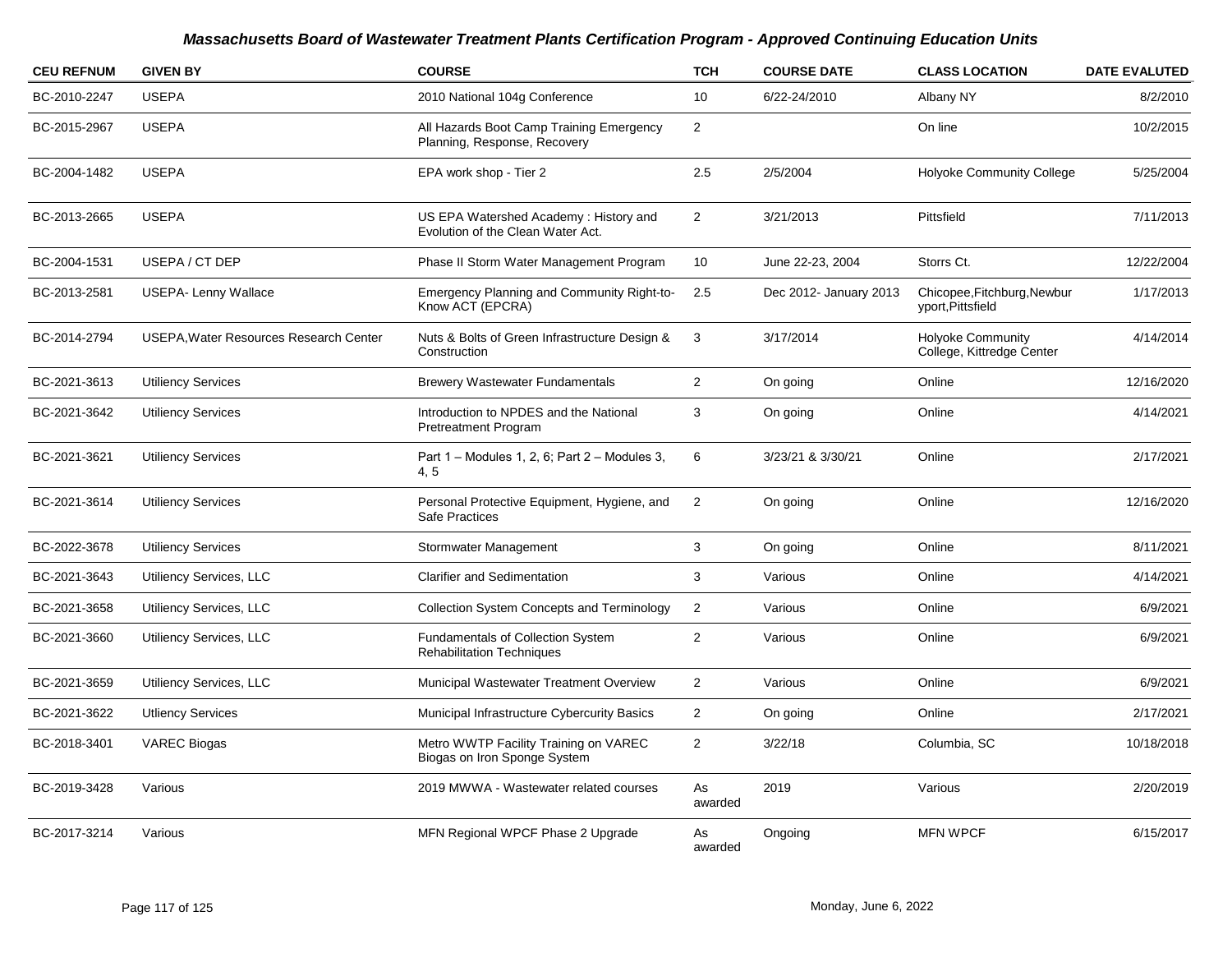| <b>CEU REFNUM</b> | <b>GIVEN BY</b>                               | <b>COURSE</b>                                                              | <b>TCH</b>       | <b>COURSE DATE</b>     | <b>CLASS LOCATION</b>                                 | <b>DATE EVALUTED</b> |
|-------------------|-----------------------------------------------|----------------------------------------------------------------------------|------------------|------------------------|-------------------------------------------------------|----------------------|
| BC-2010-2247      | <b>USEPA</b>                                  | 2010 National 104g Conference                                              | 10               | 6/22-24/2010           | Albany NY                                             | 8/2/2010             |
| BC-2015-2967      | <b>USEPA</b>                                  | All Hazards Boot Camp Training Emergency<br>Planning, Response, Recovery   | $\boldsymbol{2}$ |                        | On line                                               | 10/2/2015            |
| BC-2004-1482      | <b>USEPA</b>                                  | EPA work shop - Tier 2                                                     | 2.5              | 2/5/2004               | <b>Holyoke Community College</b>                      | 5/25/2004            |
| BC-2013-2665      | <b>USEPA</b>                                  | US EPA Watershed Academy: History and<br>Evolution of the Clean Water Act. | $\overline{2}$   | 3/21/2013              | Pittsfield                                            | 7/11/2013            |
| BC-2004-1531      | USEPA / CT DEP                                | Phase II Storm Water Management Program                                    | 10               | June 22-23, 2004       | Storrs Ct.                                            | 12/22/2004           |
| BC-2013-2581      | <b>USEPA-Lenny Wallace</b>                    | <b>Emergency Planning and Community Right-to-</b><br>Know ACT (EPCRA)      | 2.5              | Dec 2012- January 2013 | Chicopee, Fitchburg, Newbur<br>yport, Pittsfield      | 1/17/2013            |
| BC-2014-2794      | <b>USEPA, Water Resources Research Center</b> | Nuts & Bolts of Green Infrastructure Design &<br>Construction              | 3                | 3/17/2014              | <b>Holyoke Community</b><br>College, Kittredge Center | 4/14/2014            |
| BC-2021-3613      | <b>Utiliency Services</b>                     | <b>Brewery Wastewater Fundamentals</b>                                     | $\boldsymbol{2}$ | On going               | Online                                                | 12/16/2020           |
| BC-2021-3642      | <b>Utiliency Services</b>                     | Introduction to NPDES and the National<br><b>Pretreatment Program</b>      | 3                | On going               | Online                                                | 4/14/2021            |
| BC-2021-3621      | <b>Utiliency Services</b>                     | Part 1 – Modules 1, 2, 6; Part 2 – Modules 3,<br>4, 5                      | 6                | 3/23/21 & 3/30/21      | Online                                                | 2/17/2021            |
| BC-2021-3614      | <b>Utiliency Services</b>                     | Personal Protective Equipment, Hygiene, and<br>Safe Practices              | $\overline{2}$   | On going               | Online                                                | 12/16/2020           |
| BC-2022-3678      | <b>Utiliency Services</b>                     | Stormwater Management                                                      | 3                | On going               | Online                                                | 8/11/2021            |
| BC-2021-3643      | Utiliency Services, LLC                       | <b>Clarifier and Sedimentation</b>                                         | 3                | Various                | Online                                                | 4/14/2021            |
| BC-2021-3658      | Utiliency Services, LLC                       | <b>Collection System Concepts and Terminology</b>                          | $\overline{2}$   | Various                | Online                                                | 6/9/2021             |
| BC-2021-3660      | Utiliency Services, LLC                       | Fundamentals of Collection System<br><b>Rehabilitation Techniques</b>      | $\boldsymbol{2}$ | Various                | Online                                                | 6/9/2021             |
| BC-2021-3659      | Utiliency Services, LLC                       | Municipal Wastewater Treatment Overview                                    | $\overline{2}$   | Various                | Online                                                | 6/9/2021             |
| BC-2021-3622      | <b>Utliency Services</b>                      | Municipal Infrastructure Cybercurity Basics                                | $\overline{2}$   | On going               | Online                                                | 2/17/2021            |
| BC-2018-3401      | <b>VAREC Biogas</b>                           | Metro WWTP Facility Training on VAREC<br>Biogas on Iron Sponge System      | $\overline{c}$   | 3/22/18                | Columbia, SC                                          | 10/18/2018           |
| BC-2019-3428      | Various                                       | 2019 MWWA - Wastewater related courses                                     | As<br>awarded    | 2019                   | Various                                               | 2/20/2019            |
| BC-2017-3214      | Various                                       | MFN Regional WPCF Phase 2 Upgrade                                          | As<br>awarded    | Ongoing                | <b>MFN WPCF</b>                                       | 6/15/2017            |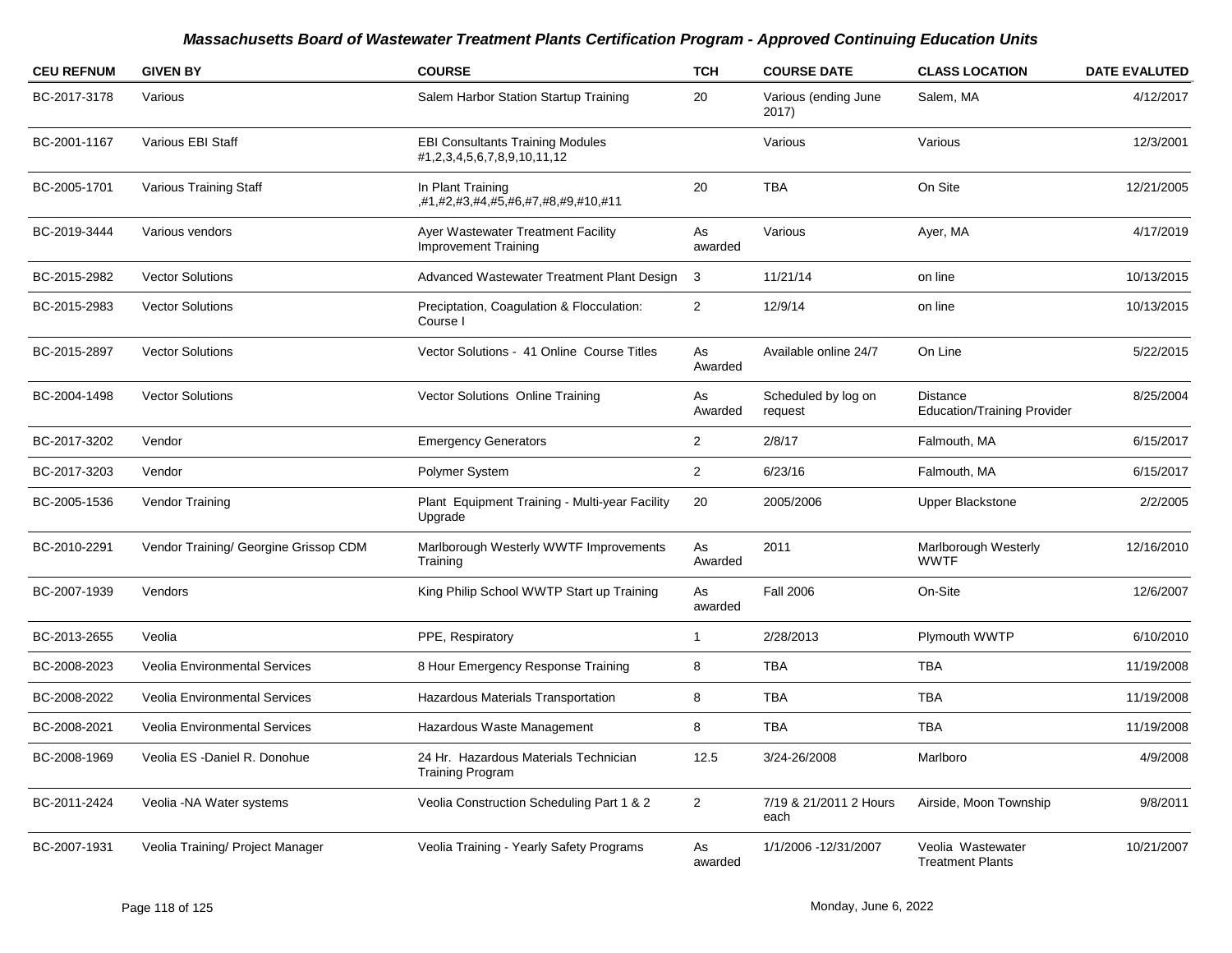| <b>CEU REFNUM</b> | <b>GIVEN BY</b>                       | <b>COURSE</b>                                                          | <b>TCH</b>     | <b>COURSE DATE</b>             | <b>CLASS LOCATION</b>                                 | <b>DATE EVALUTED</b> |
|-------------------|---------------------------------------|------------------------------------------------------------------------|----------------|--------------------------------|-------------------------------------------------------|----------------------|
| BC-2017-3178      | Various                               | Salem Harbor Station Startup Training                                  | 20             | Various (ending June<br>2017)  | Salem, MA                                             | 4/12/2017            |
| BC-2001-1167      | Various EBI Staff                     | <b>EBI Consultants Training Modules</b><br>#1,2,3,4,5,6,7,8,9,10,11,12 |                | Various                        | Various                                               | 12/3/2001            |
| BC-2005-1701      | Various Training Staff                | In Plant Training<br>,#1,#2,#3,#4,#5,#6,#7,#8,#9,#10,#11               | 20             | <b>TBA</b>                     | On Site                                               | 12/21/2005           |
| BC-2019-3444      | Various vendors                       | Ayer Wastewater Treatment Facility<br><b>Improvement Training</b>      | As<br>awarded  | Various                        | Ayer, MA                                              | 4/17/2019            |
| BC-2015-2982      | <b>Vector Solutions</b>               | Advanced Wastewater Treatment Plant Design                             | 3              | 11/21/14                       | on line                                               | 10/13/2015           |
| BC-2015-2983      | <b>Vector Solutions</b>               | Preciptation, Coagulation & Flocculation:<br>Course I                  | $\overline{2}$ | 12/9/14                        | on line                                               | 10/13/2015           |
| BC-2015-2897      | <b>Vector Solutions</b>               | Vector Solutions - 41 Online Course Titles                             | As<br>Awarded  | Available online 24/7          | On Line                                               | 5/22/2015            |
| BC-2004-1498      | <b>Vector Solutions</b>               | Vector Solutions Online Training                                       | As<br>Awarded  | Scheduled by log on<br>request | <b>Distance</b><br><b>Education/Training Provider</b> | 8/25/2004            |
| BC-2017-3202      | Vendor                                | <b>Emergency Generators</b>                                            | $\overline{2}$ | 2/8/17                         | Falmouth, MA                                          | 6/15/2017            |
| BC-2017-3203      | Vendor                                | Polymer System                                                         | $\overline{2}$ | 6/23/16                        | Falmouth, MA                                          | 6/15/2017            |
| BC-2005-1536      | Vendor Training                       | Plant Equipment Training - Multi-year Facility<br>Upgrade              | 20             | 2005/2006                      | <b>Upper Blackstone</b>                               | 2/2/2005             |
| BC-2010-2291      | Vendor Training/ Georgine Grissop CDM | Marlborough Westerly WWTF Improvements<br>Training                     | As<br>Awarded  | 2011                           | Marlborough Westerly<br><b>WWTF</b>                   | 12/16/2010           |
| BC-2007-1939      | Vendors                               | King Philip School WWTP Start up Training                              | As<br>awarded  | <b>Fall 2006</b>               | On-Site                                               | 12/6/2007            |
| BC-2013-2655      | Veolia                                | PPE, Respiratory                                                       | 1              | 2/28/2013                      | Plymouth WWTP                                         | 6/10/2010            |
| BC-2008-2023      | <b>Veolia Environmental Services</b>  | 8 Hour Emergency Response Training                                     | 8              | <b>TBA</b>                     | <b>TBA</b>                                            | 11/19/2008           |
| BC-2008-2022      | Veolia Environmental Services         | Hazardous Materials Transportation                                     | 8              | <b>TBA</b>                     | <b>TBA</b>                                            | 11/19/2008           |
| BC-2008-2021      | <b>Veolia Environmental Services</b>  | Hazardous Waste Management                                             | 8              | <b>TBA</b>                     | <b>TBA</b>                                            | 11/19/2008           |
| BC-2008-1969      | Veolia ES - Daniel R. Donohue         | 24 Hr. Hazardous Materials Technician<br><b>Training Program</b>       | 12.5           | 3/24-26/2008                   | Marlboro                                              | 4/9/2008             |
| BC-2011-2424      | Veolia - NA Water systems             | Veolia Construction Scheduling Part 1 & 2                              | $\overline{2}$ | 7/19 & 21/2011 2 Hours<br>each | Airside, Moon Township                                | 9/8/2011             |
| BC-2007-1931      | Veolia Training/ Project Manager      | Veolia Training - Yearly Safety Programs                               | As<br>awarded  | 1/1/2006 -12/31/2007           | Veolia Wastewater<br><b>Treatment Plants</b>          | 10/21/2007           |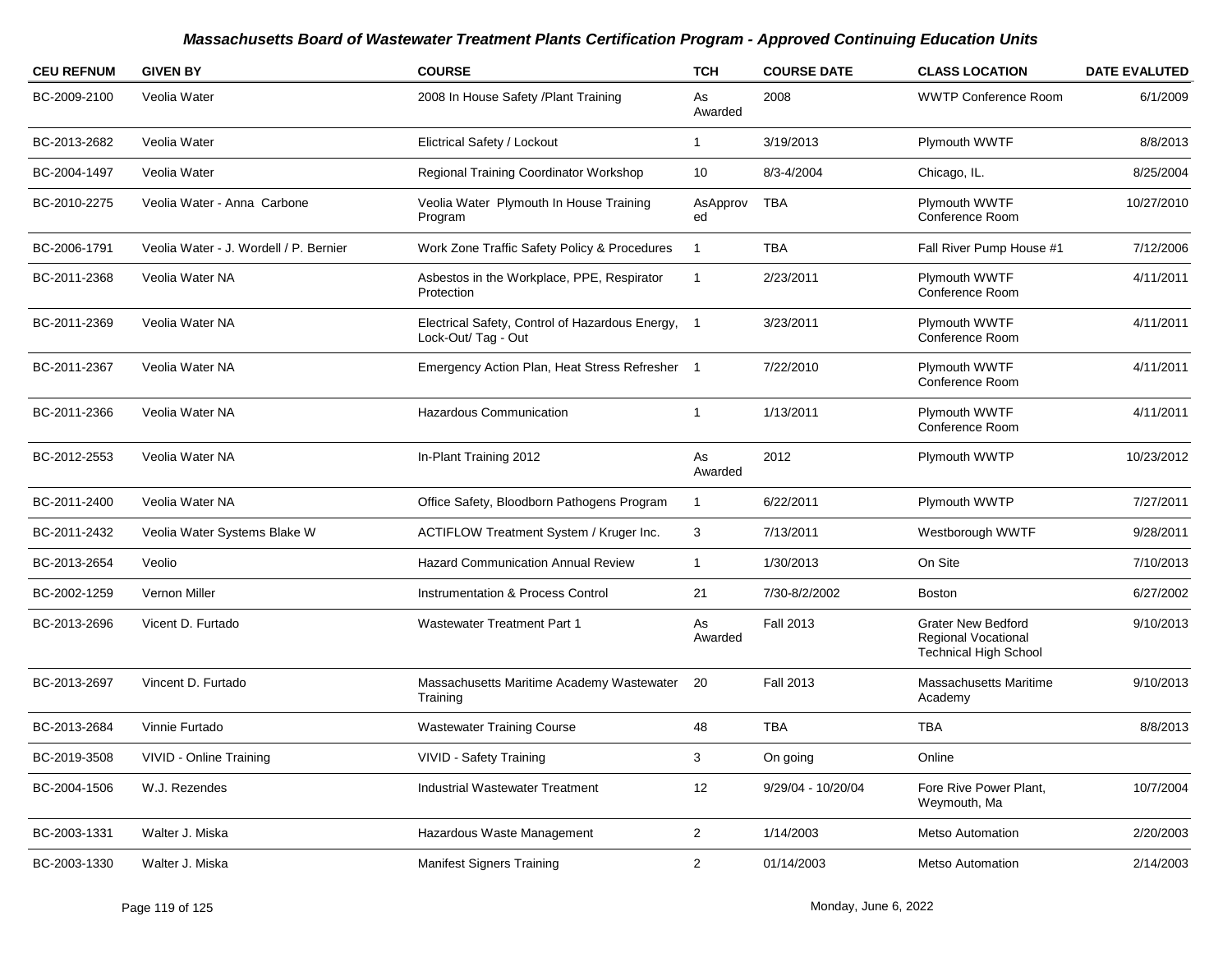| <b>CEU REFNUM</b> | <b>GIVEN BY</b>                        | <b>COURSE</b>                                                            | <b>TCH</b>     | <b>COURSE DATE</b> | <b>CLASS LOCATION</b>                                                                   | <b>DATE EVALUTED</b> |
|-------------------|----------------------------------------|--------------------------------------------------------------------------|----------------|--------------------|-----------------------------------------------------------------------------------------|----------------------|
| BC-2009-2100      | Veolia Water                           | 2008 In House Safety /Plant Training                                     | As<br>Awarded  | 2008               | <b>WWTP Conference Room</b>                                                             | 6/1/2009             |
| BC-2013-2682      | Veolia Water                           | Elictrical Safety / Lockout                                              | $\mathbf{1}$   | 3/19/2013          | Plymouth WWTF                                                                           | 8/8/2013             |
| BC-2004-1497      | Veolia Water                           | Regional Training Coordinator Workshop                                   | 10             | 8/3-4/2004         | Chicago, IL.                                                                            | 8/25/2004            |
| BC-2010-2275      | Veolia Water - Anna Carbone            | Veolia Water Plymouth In House Training<br>Program                       | AsApprov<br>ed | TBA                | Plymouth WWTF<br>Conference Room                                                        | 10/27/2010           |
| BC-2006-1791      | Veolia Water - J. Wordell / P. Bernier | Work Zone Traffic Safety Policy & Procedures                             | $\mathbf{1}$   | <b>TBA</b>         | Fall River Pump House #1                                                                | 7/12/2006            |
| BC-2011-2368      | Veolia Water NA                        | Asbestos in the Workplace, PPE, Respirator<br>Protection                 | -1             | 2/23/2011          | Plymouth WWTF<br>Conference Room                                                        | 4/11/2011            |
| BC-2011-2369      | Veolia Water NA                        | Electrical Safety, Control of Hazardous Energy, 1<br>Lock-Out/ Tag - Out |                | 3/23/2011          | Plymouth WWTF<br>Conference Room                                                        | 4/11/2011            |
| BC-2011-2367      | Veolia Water NA                        | Emergency Action Plan, Heat Stress Refresher 1                           |                | 7/22/2010          | Plymouth WWTF<br>Conference Room                                                        | 4/11/2011            |
| BC-2011-2366      | Veolia Water NA                        | <b>Hazardous Communication</b>                                           | $\mathbf{1}$   | 1/13/2011          | Plymouth WWTF<br>Conference Room                                                        | 4/11/2011            |
| BC-2012-2553      | Veolia Water NA                        | In-Plant Training 2012                                                   | As<br>Awarded  | 2012               | Plymouth WWTP                                                                           | 10/23/2012           |
| BC-2011-2400      | Veolia Water NA                        | Office Safety, Bloodborn Pathogens Program                               | $\mathbf{1}$   | 6/22/2011          | Plymouth WWTP                                                                           | 7/27/2011            |
| BC-2011-2432      | Veolia Water Systems Blake W           | ACTIFLOW Treatment System / Kruger Inc.                                  | 3              | 7/13/2011          | Westborough WWTF                                                                        | 9/28/2011            |
| BC-2013-2654      | Veolio                                 | <b>Hazard Communication Annual Review</b>                                | $\mathbf{1}$   | 1/30/2013          | On Site                                                                                 | 7/10/2013            |
| BC-2002-1259      | Vernon Miller                          | <b>Instrumentation &amp; Process Control</b>                             | 21             | 7/30-8/2/2002      | <b>Boston</b>                                                                           | 6/27/2002            |
| BC-2013-2696      | Vicent D. Furtado                      | <b>Wastewater Treatment Part 1</b>                                       | As<br>Awarded  | <b>Fall 2013</b>   | <b>Grater New Bedford</b><br><b>Regional Vocational</b><br><b>Technical High School</b> | 9/10/2013            |
| BC-2013-2697      | Vincent D. Furtado                     | Massachusetts Maritime Academy Wastewater<br>Training                    | 20             | <b>Fall 2013</b>   | Massachusetts Maritime<br>Academy                                                       | 9/10/2013            |
| BC-2013-2684      | Vinnie Furtado                         | <b>Wastewater Training Course</b>                                        | 48             | <b>TBA</b>         | <b>TBA</b>                                                                              | 8/8/2013             |
| BC-2019-3508      | VIVID - Online Training                | VIVID - Safety Training                                                  | 3              | On going           | Online                                                                                  |                      |
| BC-2004-1506      | W.J. Rezendes                          | Industrial Wastewater Treatment                                          | 12             | 9/29/04 - 10/20/04 | Fore Rive Power Plant,<br>Weymouth, Ma                                                  | 10/7/2004            |
| BC-2003-1331      | Walter J. Miska                        | Hazardous Waste Management                                               | $\overline{2}$ | 1/14/2003          | <b>Metso Automation</b>                                                                 | 2/20/2003            |
| BC-2003-1330      | Walter J. Miska                        | <b>Manifest Signers Training</b>                                         | $\overline{2}$ | 01/14/2003         | <b>Metso Automation</b>                                                                 | 2/14/2003            |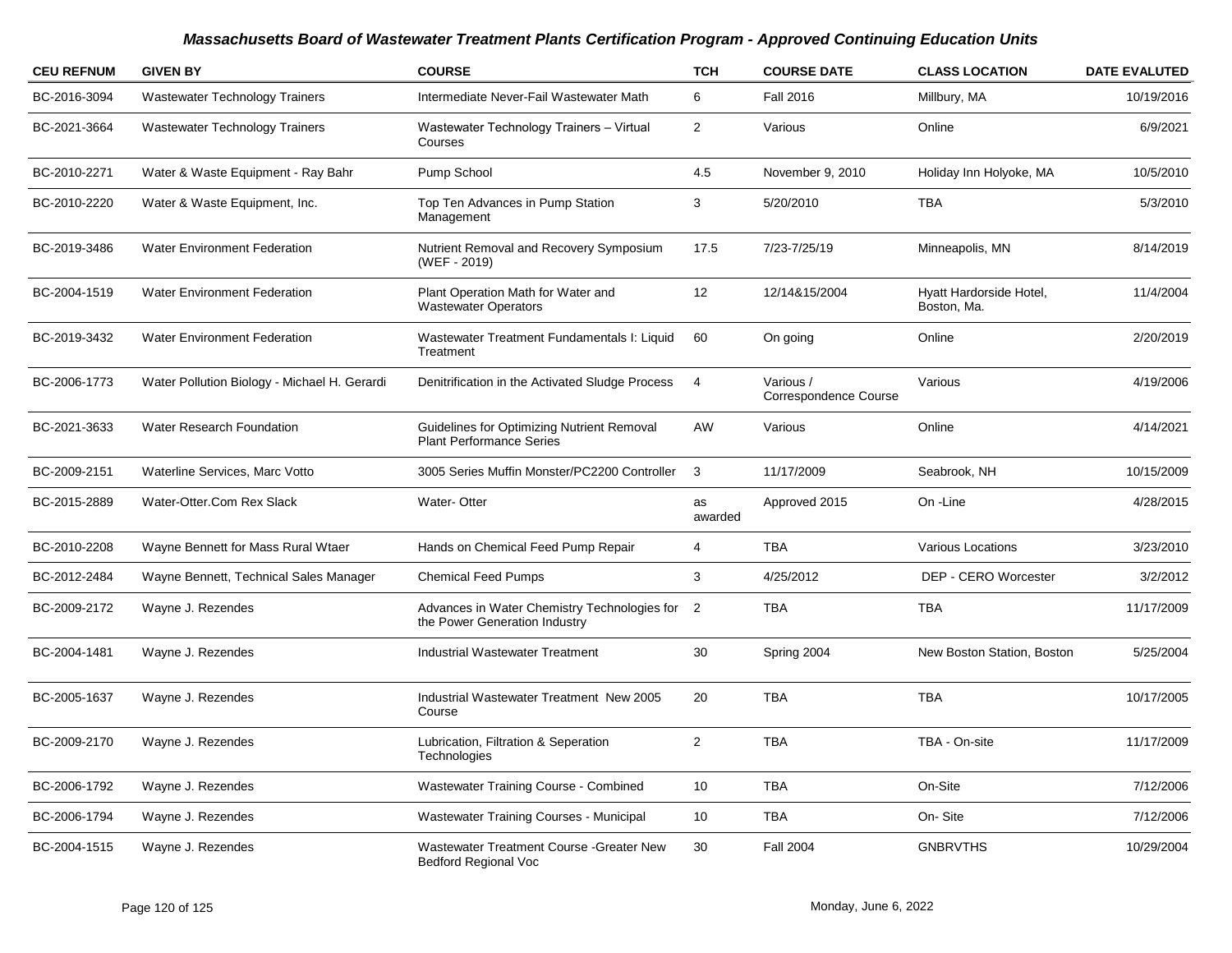| <b>CEU REFNUM</b> | <b>GIVEN BY</b>                              | <b>COURSE</b>                                                                   | <b>TCH</b>     | <b>COURSE DATE</b>                        | <b>CLASS LOCATION</b>                  | <b>DATE EVALUTED</b> |
|-------------------|----------------------------------------------|---------------------------------------------------------------------------------|----------------|-------------------------------------------|----------------------------------------|----------------------|
| BC-2016-3094      | <b>Wastewater Technology Trainers</b>        | Intermediate Never-Fail Wastewater Math                                         | 6              | <b>Fall 2016</b>                          | Millbury, MA                           | 10/19/2016           |
| BC-2021-3664      | <b>Wastewater Technology Trainers</b>        | Wastewater Technology Trainers - Virtual<br>Courses                             | $\overline{2}$ | Various                                   | Online                                 | 6/9/2021             |
| BC-2010-2271      | Water & Waste Equipment - Ray Bahr           | Pump School                                                                     | 4.5            | November 9, 2010                          | Holiday Inn Holyoke, MA                | 10/5/2010            |
| BC-2010-2220      | Water & Waste Equipment, Inc.                | Top Ten Advances in Pump Station<br>Management                                  | 3              | 5/20/2010                                 | <b>TBA</b>                             | 5/3/2010             |
| BC-2019-3486      | <b>Water Environment Federation</b>          | Nutrient Removal and Recovery Symposium<br>(WEF - 2019)                         | 17.5           | 7/23-7/25/19                              | Minneapolis, MN                        | 8/14/2019            |
| BC-2004-1519      | <b>Water Environment Federation</b>          | Plant Operation Math for Water and<br><b>Wastewater Operators</b>               | 12             | 12/14&15/2004                             | Hyatt Hardorside Hotel,<br>Boston, Ma. | 11/4/2004            |
| BC-2019-3432      | <b>Water Environment Federation</b>          | Wastewater Treatment Fundamentals I: Liquid<br>Treatment                        | 60             | On going                                  | Online                                 | 2/20/2019            |
| BC-2006-1773      | Water Pollution Biology - Michael H. Gerardi | Denitrification in the Activated Sludge Process                                 | $\overline{4}$ | Various /<br><b>Correspondence Course</b> | Various                                | 4/19/2006            |
| BC-2021-3633      | Water Research Foundation                    | Guidelines for Optimizing Nutrient Removal<br><b>Plant Performance Series</b>   | AW             | Various                                   | Online                                 | 4/14/2021            |
| BC-2009-2151      | Waterline Services, Marc Votto               | 3005 Series Muffin Monster/PC2200 Controller                                    | 3              | 11/17/2009                                | Seabrook, NH                           | 10/15/2009           |
| BC-2015-2889      | Water-Otter.Com Rex Slack                    | Water-Otter                                                                     | as<br>awarded  | Approved 2015                             | On -Line                               | 4/28/2015            |
| BC-2010-2208      | Wayne Bennett for Mass Rural Wtaer           | Hands on Chemical Feed Pump Repair                                              | $\overline{4}$ | <b>TBA</b>                                | Various Locations                      | 3/23/2010            |
| BC-2012-2484      | Wayne Bennett, Technical Sales Manager       | <b>Chemical Feed Pumps</b>                                                      | 3              | 4/25/2012                                 | DEP - CERO Worcester                   | 3/2/2012             |
| BC-2009-2172      | Wayne J. Rezendes                            | Advances in Water Chemistry Technologies for 2<br>the Power Generation Industry |                | <b>TBA</b>                                | <b>TBA</b>                             | 11/17/2009           |
| BC-2004-1481      | Wayne J. Rezendes                            | <b>Industrial Wastewater Treatment</b>                                          | 30             | Spring 2004                               | New Boston Station, Boston             | 5/25/2004            |
| BC-2005-1637      | Wayne J. Rezendes                            | Industrial Wastewater Treatment New 2005<br>Course                              | 20             | <b>TBA</b>                                | <b>TBA</b>                             | 10/17/2005           |
| BC-2009-2170      | Wayne J. Rezendes                            | Lubrication, Filtration & Seperation<br>Technologies                            | 2              | <b>TBA</b>                                | TBA - On-site                          | 11/17/2009           |
| BC-2006-1792      | Wayne J. Rezendes                            | <b>Wastewater Training Course - Combined</b>                                    | 10             | <b>TBA</b>                                | On-Site                                | 7/12/2006            |
| BC-2006-1794      | Wayne J. Rezendes                            | Wastewater Training Courses - Municipal                                         | 10             | <b>TBA</b>                                | On-Site                                | 7/12/2006            |
| BC-2004-1515      | Wayne J. Rezendes                            | Wastewater Treatment Course - Greater New<br><b>Bedford Regional Voc</b>        | 30             | <b>Fall 2004</b>                          | <b>GNBRVTHS</b>                        | 10/29/2004           |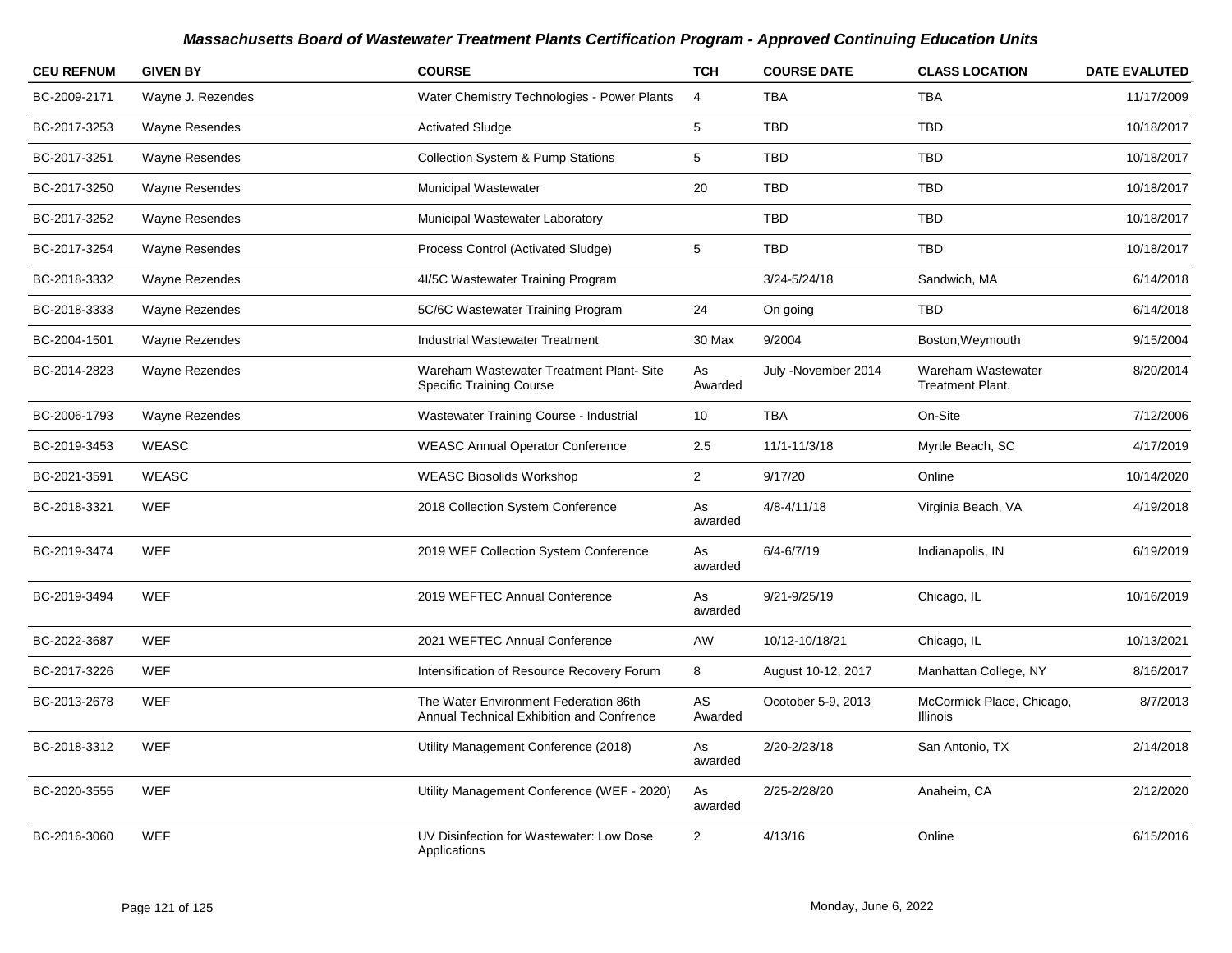| <b>CEU REFNUM</b> | <b>GIVEN BY</b>       | <b>COURSE</b>                                                                      | <b>TCH</b>     | <b>COURSE DATE</b>  | <b>CLASS LOCATION</b>                         | <b>DATE EVALUTED</b> |
|-------------------|-----------------------|------------------------------------------------------------------------------------|----------------|---------------------|-----------------------------------------------|----------------------|
| BC-2009-2171      | Wayne J. Rezendes     | Water Chemistry Technologies - Power Plants                                        | $\overline{4}$ | <b>TBA</b>          | <b>TBA</b>                                    | 11/17/2009           |
| BC-2017-3253      | <b>Wayne Resendes</b> | <b>Activated Sludge</b>                                                            | 5              | <b>TBD</b>          | <b>TBD</b>                                    | 10/18/2017           |
| BC-2017-3251      | Wayne Resendes        | <b>Collection System &amp; Pump Stations</b>                                       | 5              | TBD                 | TBD                                           | 10/18/2017           |
| BC-2017-3250      | <b>Wayne Resendes</b> | <b>Municipal Wastewater</b>                                                        | 20             | <b>TBD</b>          | <b>TBD</b>                                    | 10/18/2017           |
| BC-2017-3252      | <b>Wayne Resendes</b> | Municipal Wastewater Laboratory                                                    |                | <b>TBD</b>          | <b>TBD</b>                                    | 10/18/2017           |
| BC-2017-3254      | Wayne Resendes        | Process Control (Activated Sludge)                                                 | 5              | <b>TBD</b>          | <b>TBD</b>                                    | 10/18/2017           |
| BC-2018-3332      | <b>Wayne Rezendes</b> | 4I/5C Wastewater Training Program                                                  |                | 3/24-5/24/18        | Sandwich, MA                                  | 6/14/2018            |
| BC-2018-3333      | Wayne Rezendes        | 5C/6C Wastewater Training Program                                                  | 24             | On going            | <b>TBD</b>                                    | 6/14/2018            |
| BC-2004-1501      | Wayne Rezendes        | <b>Industrial Wastewater Treatment</b>                                             | 30 Max         | 9/2004              | Boston, Weymouth                              | 9/15/2004            |
| BC-2014-2823      | Wayne Rezendes        | Wareham Wastewater Treatment Plant-Site<br><b>Specific Training Course</b>         | As<br>Awarded  | July -November 2014 | Wareham Wastewater<br><b>Treatment Plant.</b> | 8/20/2014            |
| BC-2006-1793      | Wayne Rezendes        | Wastewater Training Course - Industrial                                            | 10             | <b>TBA</b>          | On-Site                                       | 7/12/2006            |
| BC-2019-3453      | WEASC                 | <b>WEASC Annual Operator Conference</b>                                            | 2.5            | 11/1-11/3/18        | Myrtle Beach, SC                              | 4/17/2019            |
| BC-2021-3591      | <b>WEASC</b>          | <b>WEASC Biosolids Workshop</b>                                                    | $\overline{2}$ | 9/17/20             | Online                                        | 10/14/2020           |
| BC-2018-3321      | <b>WEF</b>            | 2018 Collection System Conference                                                  | As<br>awarded  | $4/8 - 4/11/18$     | Virginia Beach, VA                            | 4/19/2018            |
| BC-2019-3474      | <b>WEF</b>            | 2019 WEF Collection System Conference                                              | As<br>awarded  | $6/4 - 6/7/19$      | Indianapolis, IN                              | 6/19/2019            |
| BC-2019-3494      | <b>WEF</b>            | 2019 WEFTEC Annual Conference                                                      | As<br>awarded  | 9/21-9/25/19        | Chicago, IL                                   | 10/16/2019           |
| BC-2022-3687      | <b>WEF</b>            | 2021 WEFTEC Annual Conference                                                      | AW             | 10/12-10/18/21      | Chicago, IL                                   | 10/13/2021           |
| BC-2017-3226      | <b>WEF</b>            | Intensification of Resource Recovery Forum                                         | 8              | August 10-12, 2017  | Manhattan College, NY                         | 8/16/2017            |
| BC-2013-2678      | <b>WEF</b>            | The Water Environment Federation 86th<br>Annual Technical Exhibition and Confrence | AS<br>Awarded  | Ocotober 5-9, 2013  | McCormick Place, Chicago,<br>Illinois         | 8/7/2013             |
| BC-2018-3312      | <b>WEF</b>            | Utility Management Conference (2018)                                               | As<br>awarded  | 2/20-2/23/18        | San Antonio, TX                               | 2/14/2018            |
| BC-2020-3555      | <b>WEF</b>            | Utility Management Conference (WEF - 2020)                                         | As<br>awarded  | 2/25-2/28/20        | Anaheim, CA                                   | 2/12/2020            |
| BC-2016-3060      | <b>WEF</b>            | UV Disinfection for Wastewater: Low Dose<br>Applications                           | $\overline{2}$ | 4/13/16             | Online                                        | 6/15/2016            |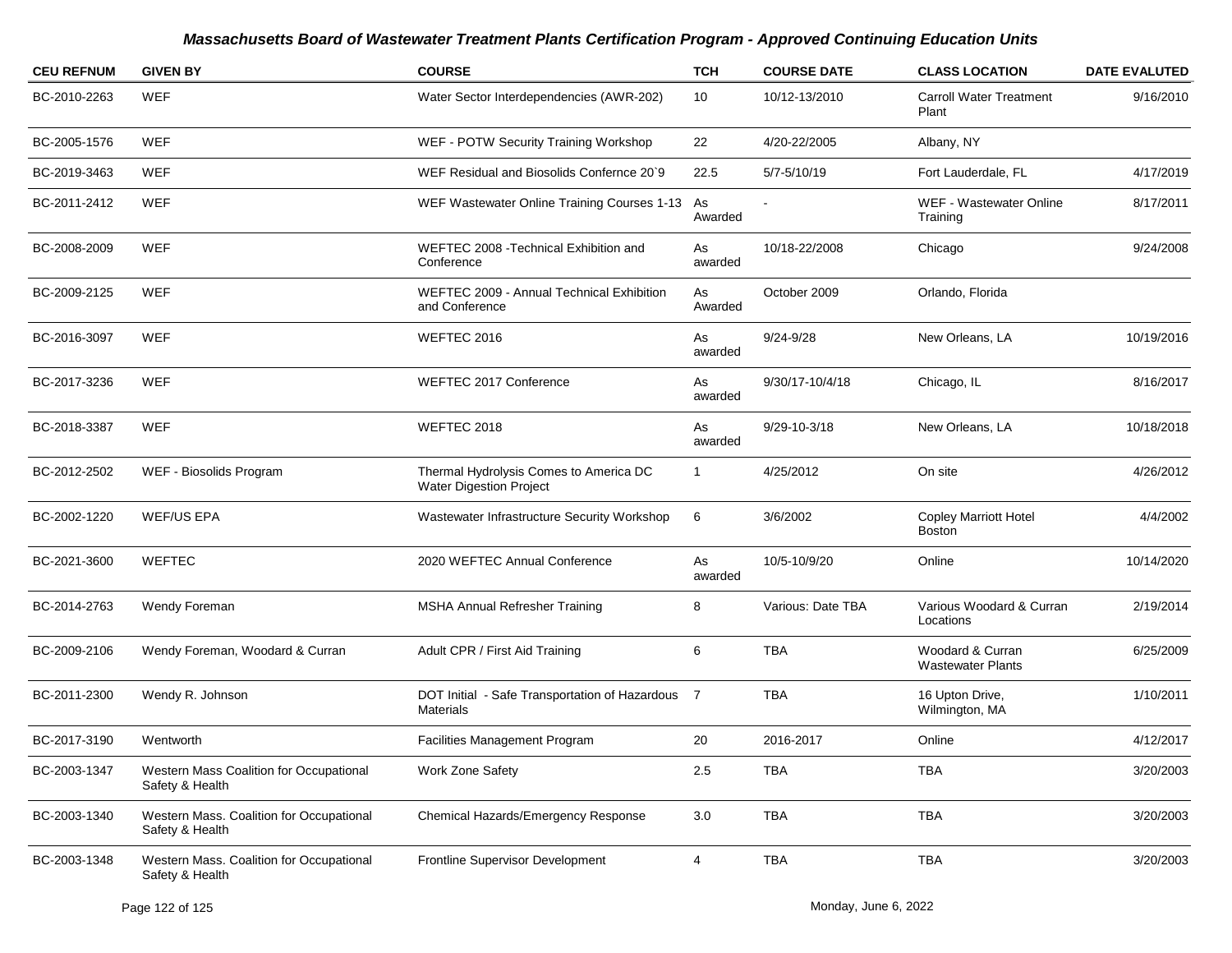| <b>CEU REFNUM</b> | <b>GIVEN BY</b>                                             | <b>COURSE</b>                                                            | <b>TCH</b>    | <b>COURSE DATE</b> | <b>CLASS LOCATION</b>                         | <b>DATE EVALUTED</b> |
|-------------------|-------------------------------------------------------------|--------------------------------------------------------------------------|---------------|--------------------|-----------------------------------------------|----------------------|
| BC-2010-2263      | WEF                                                         | Water Sector Interdependencies (AWR-202)                                 | 10            | 10/12-13/2010      | <b>Carroll Water Treatment</b><br>Plant       | 9/16/2010            |
| BC-2005-1576      | WEF                                                         | WEF - POTW Security Training Workshop                                    | 22            | 4/20-22/2005       | Albany, NY                                    |                      |
| BC-2019-3463      | WEF                                                         | WEF Residual and Biosolids Confernce 20`9                                | 22.5          | 5/7-5/10/19        | Fort Lauderdale, FL                           | 4/17/2019            |
| BC-2011-2412      | WEF                                                         | WEF Wastewater Online Training Courses 1-13                              | As<br>Awarded |                    | WEF - Wastewater Online<br>Training           | 8/17/2011            |
| BC-2008-2009      | WEF                                                         | WEFTEC 2008 - Technical Exhibition and<br>Conference                     | As<br>awarded | 10/18-22/2008      | Chicago                                       | 9/24/2008            |
| BC-2009-2125      | WEF                                                         | WEFTEC 2009 - Annual Technical Exhibition<br>and Conference              | As<br>Awarded | October 2009       | Orlando, Florida                              |                      |
| BC-2016-3097      | WEF                                                         | WEFTEC 2016                                                              | As<br>awarded | $9/24 - 9/28$      | New Orleans, LA                               | 10/19/2016           |
| BC-2017-3236      | WEF                                                         | WEFTEC 2017 Conference                                                   | As<br>awarded | 9/30/17-10/4/18    | Chicago, IL                                   | 8/16/2017            |
| BC-2018-3387      | WEF                                                         | WEFTEC 2018                                                              | As<br>awarded | $9/29 - 10 - 3/18$ | New Orleans, LA                               | 10/18/2018           |
| BC-2012-2502      | WEF - Biosolids Program                                     | Thermal Hydrolysis Comes to America DC<br><b>Water Digestion Project</b> | $\mathbf{1}$  | 4/25/2012          | On site                                       | 4/26/2012            |
| BC-2002-1220      | <b>WEF/US EPA</b>                                           | Wastewater Infrastructure Security Workshop                              | 6             | 3/6/2002           | <b>Copley Marriott Hotel</b><br><b>Boston</b> | 4/4/2002             |
| BC-2021-3600      | <b>WEFTEC</b>                                               | 2020 WEFTEC Annual Conference                                            | As<br>awarded | 10/5-10/9/20       | Online                                        | 10/14/2020           |
| BC-2014-2763      | Wendy Foreman                                               | MSHA Annual Refresher Training                                           | 8             | Various: Date TBA  | Various Woodard & Curran<br>Locations         | 2/19/2014            |
| BC-2009-2106      | Wendy Foreman, Woodard & Curran                             | Adult CPR / First Aid Training                                           | 6             | TBA                | Woodard & Curran<br><b>Wastewater Plants</b>  | 6/25/2009            |
| BC-2011-2300      | Wendy R. Johnson                                            | DOT Initial - Safe Transportation of Hazardous 7<br>Materials            |               | <b>TBA</b>         | 16 Upton Drive,<br>Wilmington, MA             | 1/10/2011            |
| BC-2017-3190      | Wentworth                                                   | Facilities Management Program                                            | 20            | 2016-2017          | Online                                        | 4/12/2017            |
| BC-2003-1347      | Western Mass Coalition for Occupational<br>Safety & Health  | Work Zone Safety                                                         | $2.5\,$       | TBA                | <b>TBA</b>                                    | 3/20/2003            |
| BC-2003-1340      | Western Mass. Coalition for Occupational<br>Safety & Health | Chemical Hazards/Emergency Response                                      | 3.0           | TBA                | TBA                                           | 3/20/2003            |
| BC-2003-1348      | Western Mass. Coalition for Occupational<br>Safety & Health | Frontline Supervisor Development                                         | 4             | TBA                | TBA                                           | 3/20/2003            |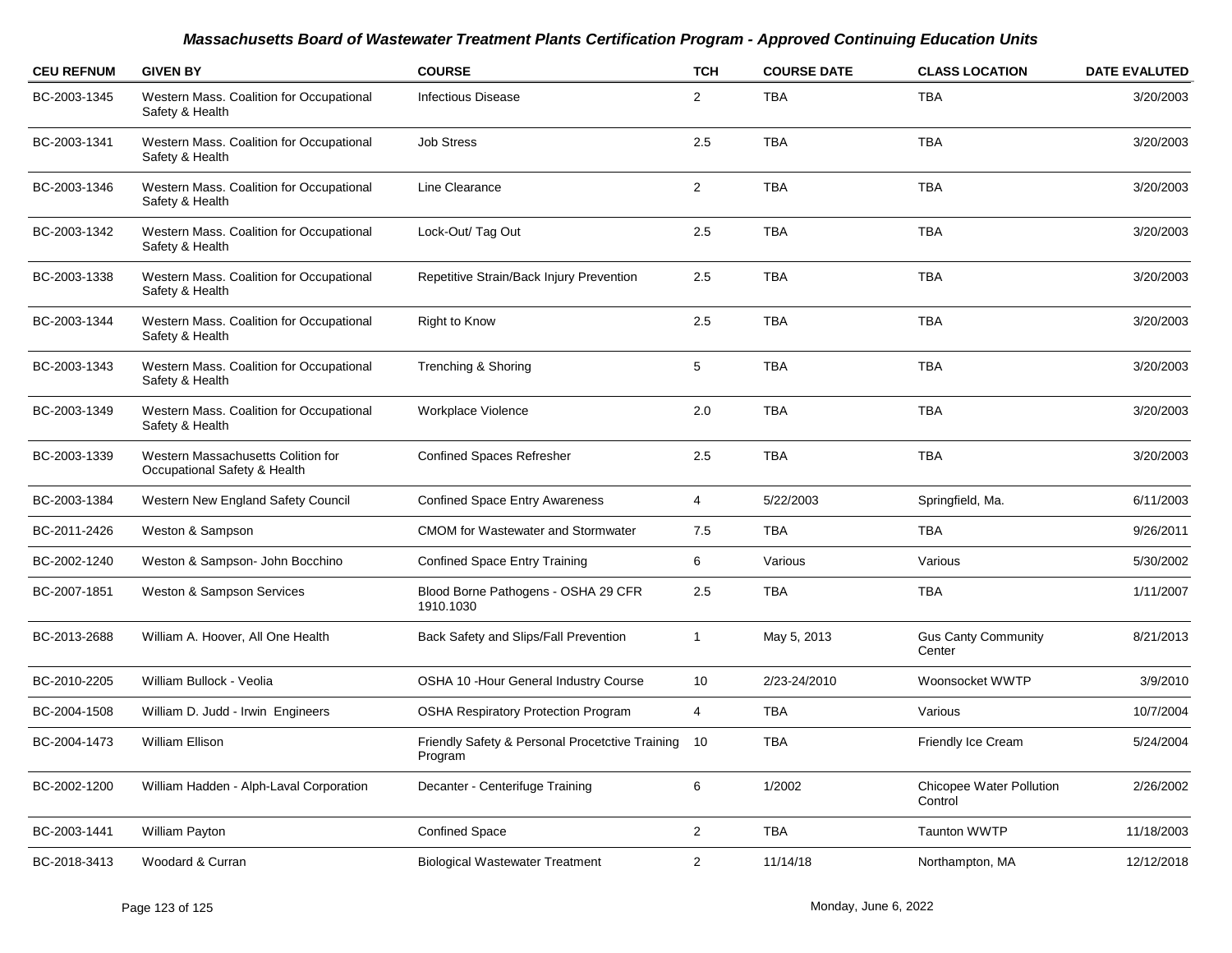| <b>CEU REFNUM</b> | <b>GIVEN BY</b>                                                    | <b>COURSE</b>                                              | <b>TCH</b>     | <b>COURSE DATE</b> | <b>CLASS LOCATION</b>                      | <b>DATE EVALUTED</b> |
|-------------------|--------------------------------------------------------------------|------------------------------------------------------------|----------------|--------------------|--------------------------------------------|----------------------|
| BC-2003-1345      | Western Mass. Coalition for Occupational<br>Safety & Health        | <b>Infectious Disease</b>                                  | $\overline{2}$ | <b>TBA</b>         | <b>TBA</b>                                 | 3/20/2003            |
| BC-2003-1341      | Western Mass. Coalition for Occupational<br>Safety & Health        | <b>Job Stress</b>                                          | 2.5            | <b>TBA</b>         | <b>TBA</b>                                 | 3/20/2003            |
| BC-2003-1346      | Western Mass. Coalition for Occupational<br>Safety & Health        | Line Clearance                                             | $\overline{2}$ | <b>TBA</b>         | <b>TBA</b>                                 | 3/20/2003            |
| BC-2003-1342      | Western Mass. Coalition for Occupational<br>Safety & Health        | Lock-Out/ Tag Out                                          | 2.5            | <b>TBA</b>         | <b>TBA</b>                                 | 3/20/2003            |
| BC-2003-1338      | Western Mass. Coalition for Occupational<br>Safety & Health        | Repetitive Strain/Back Injury Prevention                   | 2.5            | <b>TBA</b>         | <b>TBA</b>                                 | 3/20/2003            |
| BC-2003-1344      | Western Mass. Coalition for Occupational<br>Safety & Health        | <b>Right to Know</b>                                       | 2.5            | <b>TBA</b>         | <b>TBA</b>                                 | 3/20/2003            |
| BC-2003-1343      | Western Mass. Coalition for Occupational<br>Safety & Health        | Trenching & Shoring                                        | 5              | <b>TBA</b>         | <b>TBA</b>                                 | 3/20/2003            |
| BC-2003-1349      | Western Mass. Coalition for Occupational<br>Safety & Health        | Workplace Violence                                         | 2.0            | <b>TBA</b>         | <b>TBA</b>                                 | 3/20/2003            |
| BC-2003-1339      | Western Massachusetts Colition for<br>Occupational Safety & Health | <b>Confined Spaces Refresher</b>                           | 2.5            | <b>TBA</b>         | <b>TBA</b>                                 | 3/20/2003            |
| BC-2003-1384      | Western New England Safety Council                                 | <b>Confined Space Entry Awareness</b>                      | $\overline{4}$ | 5/22/2003          | Springfield, Ma.                           | 6/11/2003            |
| BC-2011-2426      | Weston & Sampson                                                   | <b>CMOM</b> for Wastewater and Stormwater                  | 7.5            | <b>TBA</b>         | <b>TBA</b>                                 | 9/26/2011            |
| BC-2002-1240      | Weston & Sampson- John Bocchino                                    | <b>Confined Space Entry Training</b>                       | 6              | Various            | Various                                    | 5/30/2002            |
| BC-2007-1851      | Weston & Sampson Services                                          | Blood Borne Pathogens - OSHA 29 CFR<br>1910.1030           | 2.5            | <b>TBA</b>         | <b>TBA</b>                                 | 1/11/2007            |
| BC-2013-2688      | William A. Hoover, All One Health                                  | Back Safety and Slips/Fall Prevention                      | $\mathbf{1}$   | May 5, 2013        | <b>Gus Canty Community</b><br>Center       | 8/21/2013            |
| BC-2010-2205      | William Bullock - Veolia                                           | OSHA 10 - Hour General Industry Course                     | 10             | 2/23-24/2010       | Woonsocket WWTP                            | 3/9/2010             |
| BC-2004-1508      | William D. Judd - Irwin Engineers                                  | <b>OSHA Respiratory Protection Program</b>                 | 4              | <b>TBA</b>         | Various                                    | 10/7/2004            |
| BC-2004-1473      | <b>William Ellison</b>                                             | Friendly Safety & Personal Procetctive Training<br>Program | 10             | <b>TBA</b>         | Friendly Ice Cream                         | 5/24/2004            |
| BC-2002-1200      | William Hadden - Alph-Laval Corporation                            | Decanter - Centerifuge Training                            | 6              | 1/2002             | <b>Chicopee Water Pollution</b><br>Control | 2/26/2002            |
| BC-2003-1441      | William Payton                                                     | <b>Confined Space</b>                                      | $\overline{2}$ | <b>TBA</b>         | <b>Taunton WWTP</b>                        | 11/18/2003           |
| BC-2018-3413      | Woodard & Curran                                                   | <b>Biological Wastewater Treatment</b>                     | 2              | 11/14/18           | Northampton, MA                            | 12/12/2018           |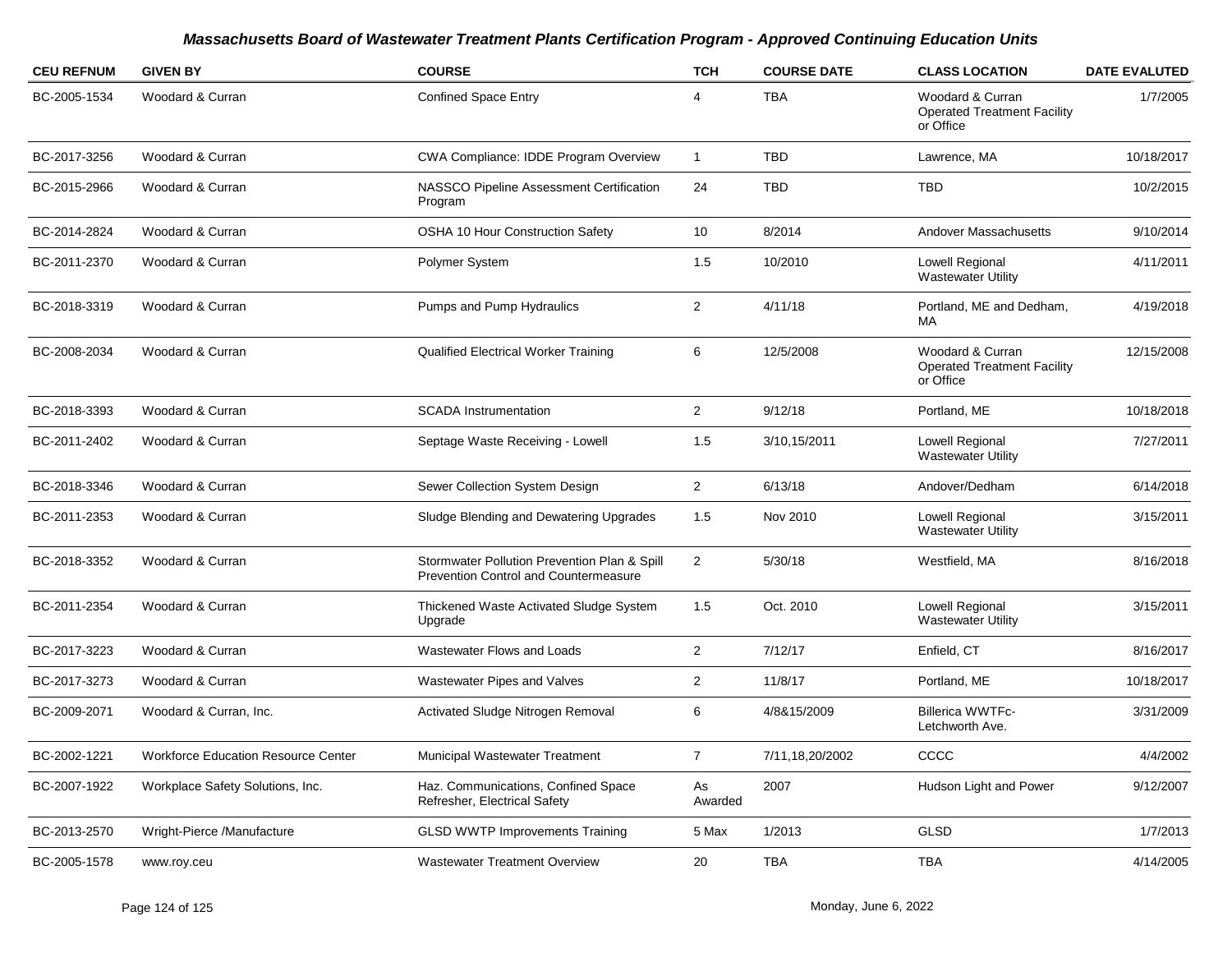| <b>CEU REFNUM</b> | <b>GIVEN BY</b>                            | <b>COURSE</b>                                                                         | <b>TCH</b>     | <b>COURSE DATE</b> | <b>CLASS LOCATION</b>                                               | <b>DATE EVALUTED</b> |
|-------------------|--------------------------------------------|---------------------------------------------------------------------------------------|----------------|--------------------|---------------------------------------------------------------------|----------------------|
| BC-2005-1534      | Woodard & Curran                           | <b>Confined Space Entry</b>                                                           | 4              | <b>TBA</b>         | Woodard & Curran<br><b>Operated Treatment Facility</b><br>or Office | 1/7/2005             |
| BC-2017-3256      | Woodard & Curran                           | <b>CWA Compliance: IDDE Program Overview</b>                                          | $\mathbf{1}$   | <b>TBD</b>         | Lawrence, MA                                                        | 10/18/2017           |
| BC-2015-2966      | Woodard & Curran                           | NASSCO Pipeline Assessment Certification<br>Program                                   | 24             | <b>TBD</b>         | <b>TBD</b>                                                          | 10/2/2015            |
| BC-2014-2824      | Woodard & Curran                           | <b>OSHA 10 Hour Construction Safety</b>                                               | 10             | 8/2014             | Andover Massachusetts                                               | 9/10/2014            |
| BC-2011-2370      | Woodard & Curran                           | Polymer System                                                                        | 1.5            | 10/2010            | Lowell Regional<br><b>Wastewater Utility</b>                        | 4/11/2011            |
| BC-2018-3319      | Woodard & Curran                           | Pumps and Pump Hydraulics                                                             | $\overline{2}$ | 4/11/18            | Portland, ME and Dedham,<br>MA                                      | 4/19/2018            |
| BC-2008-2034      | Woodard & Curran                           | <b>Qualified Electrical Worker Training</b>                                           | 6              | 12/5/2008          | Woodard & Curran<br><b>Operated Treatment Facility</b><br>or Office | 12/15/2008           |
| BC-2018-3393      | Woodard & Curran                           | <b>SCADA</b> Instrumentation                                                          | $\overline{2}$ | 9/12/18            | Portland, ME                                                        | 10/18/2018           |
| BC-2011-2402      | Woodard & Curran                           | Septage Waste Receiving - Lowell                                                      | 1.5            | 3/10,15/2011       | Lowell Regional<br><b>Wastewater Utility</b>                        | 7/27/2011            |
| BC-2018-3346      | Woodard & Curran                           | Sewer Collection System Design                                                        | $\overline{2}$ | 6/13/18            | Andover/Dedham                                                      | 6/14/2018            |
| BC-2011-2353      | Woodard & Curran                           | Sludge Blending and Dewatering Upgrades                                               | 1.5            | Nov 2010           | Lowell Regional<br><b>Wastewater Utility</b>                        | 3/15/2011            |
| BC-2018-3352      | Woodard & Curran                           | Stormwater Pollution Prevention Plan & Spill<br>Prevention Control and Countermeasure | $\overline{2}$ | 5/30/18            | Westfield, MA                                                       | 8/16/2018            |
| BC-2011-2354      | Woodard & Curran                           | Thickened Waste Activated Sludge System<br>Upgrade                                    | 1.5            | Oct. 2010          | Lowell Regional<br><b>Wastewater Utility</b>                        | 3/15/2011            |
| BC-2017-3223      | Woodard & Curran                           | Wastewater Flows and Loads                                                            | $\overline{2}$ | 7/12/17            | Enfield, CT                                                         | 8/16/2017            |
| BC-2017-3273      | Woodard & Curran                           | Wastewater Pipes and Valves                                                           | $\overline{2}$ | 11/8/17            | Portland, ME                                                        | 10/18/2017           |
| BC-2009-2071      | Woodard & Curran, Inc.                     | Activated Sludge Nitrogen Removal                                                     | 6              | 4/8&15/2009        | <b>Billerica WWTFc-</b><br>Letchworth Ave.                          | 3/31/2009            |
| BC-2002-1221      | <b>Workforce Education Resource Center</b> | <b>Municipal Wastewater Treatment</b>                                                 | $\overline{7}$ | 7/11,18,20/2002    | CCCC                                                                | 4/4/2002             |
| BC-2007-1922      | Workplace Safety Solutions, Inc.           | Haz. Communications, Confined Space<br>Refresher, Electrical Safety                   | As<br>Awarded  | 2007               | Hudson Light and Power                                              | 9/12/2007            |
| BC-2013-2570      | Wright-Pierce /Manufacture                 | <b>GLSD WWTP Improvements Training</b>                                                | 5 Max          | 1/2013             | <b>GLSD</b>                                                         | 1/7/2013             |
| BC-2005-1578      | www.roy.ceu                                | <b>Wastewater Treatment Overview</b>                                                  | 20             | <b>TBA</b>         | <b>TBA</b>                                                          | 4/14/2005            |